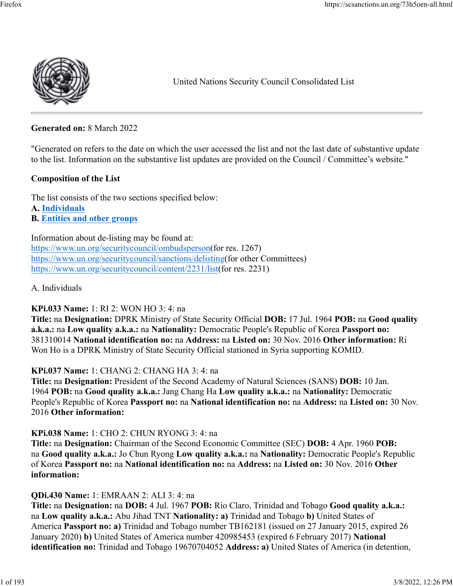

United Nations Security Council Consolidated List

**Generated on:** 8 March 2022

"Generated on refers to the date on which the user accessed the list and not the last date of substantive update to the list. Information on the substantive list updates are provided on the Council / Committee's website."

#### **Composition of the List**

The list consists of the two sections specified below: **A. [Individuals](https://scsanctions.un.org/73h5oen-all.html#alqaedaind) B. [Entities and other groups](https://scsanctions.un.org/73h5oen-all.html#alqaedaent)**

Information about de-listing may be found at: [https://www.un.org/securitycouncil/ombudsperson\(](https://www.un.org/securitycouncil/ombudsperson)for res. 1267) [https://www.un.org/securitycouncil/sanctions/delisting\(](https://www.un.org/securitycouncil/sanctions/delisting)for other Committees) [https://www.un.org/securitycouncil/content/2231/list\(](https://www.un.org/securitycouncil/content/2231/list)for res. 2231)

A. Individuals

#### **KPi.033 Name:** 1: RI 2: WON HO 3: 4: na

**Title:** na **Designation:** DPRK Ministry of State Security Official **DOB:** 17 Jul. 1964 **POB:** na **Good quality a.k.a.:** na **Low quality a.k.a.:** na **Nationality:** Democratic People's Republic of Korea **Passport no:** 381310014 **National identification no:** na **Address:** na **Listed on:** 30 Nov. 2016 **Other information:** Ri Won Ho is a DPRK Ministry of State Security Official stationed in Syria supporting KOMID.

#### **KPi.037 Name:** 1: CHANG 2: CHANG HA 3: 4: na

**Title:** na **Designation:** President of the Second Academy of Natural Sciences (SANS) **DOB:** 10 Jan. 1964 **POB:** na **Good quality a.k.a.:** Jang Chang Ha **Low quality a.k.a.:** na **Nationality:** Democratic People's Republic of Korea **Passport no:** na **National identification no:** na **Address:** na **Listed on:** 30 Nov. 2016 **Other information:** 

**KPi.038 Name:** 1: CHO 2: CHUN RYONG 3: 4: na

**Title:** na **Designation:** Chairman of the Second Economic Committee (SEC) **DOB:** 4 Apr. 1960 **POB:** na **Good quality a.k.a.:** Jo Chun Ryong **Low quality a.k.a.:** na **Nationality:** Democratic People's Republic of Korea **Passport no:** na **National identification no:** na **Address:** na **Listed on:** 30 Nov. 2016 **Other information:** 

#### **QDi.430 Name:** 1: EMRAAN 2: ALI 3: 4: na

**Title:** na **Designation:** na **DOB:** 4 Jul. 1967 **POB:** Rio Claro, Trinidad and Tobago **Good quality a.k.a.:** na **Low quality a.k.a.:** Abu Jihad TNT **Nationality: a)** Trinidad and Tobago **b)** United States of America **Passport no: a)** Trinidad and Tobago number TB162181 (issued on 27 January 2015, expired 26 January 2020) **b)** United States of America number 420985453 (expired 6 February 2017) **National identification no:** Trinidad and Tobago 19670704052 **Address: a)** United States of America (in detention,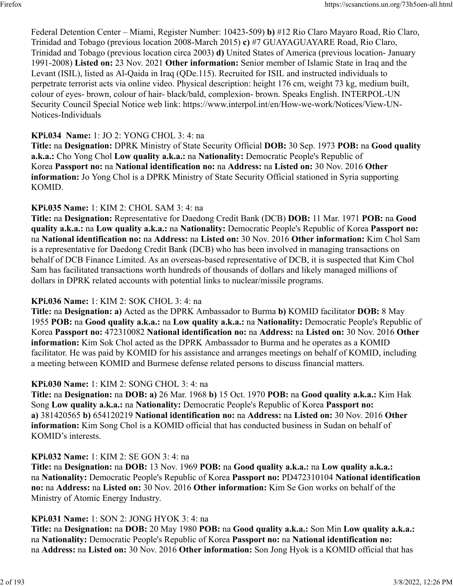Federal Detention Center – Miami, Register Number: 10423-509) **b)** #12 Rio Claro Mayaro Road, Rio Claro, Trinidad and Tobago (previous location 2008-March 2015) **c)** #7 GUAYAGUAYARE Road, Rio Claro, Trinidad and Tobago (previous location circa 2003) **d)** United States of America (previous location- January 1991-2008) **Listed on:** 23 Nov. 2021 **Other information:** Senior member of Islamic State in Iraq and the Levant (ISIL), listed as Al-Qaida in Iraq (QDe.115). Recruited for ISIL and instructed individuals to perpetrate terrorist acts via online video. Physical description: height 176 cm, weight 73 kg, medium built, colour of eyes- brown, colour of hair- black/bald, complexion- brown. Speaks English. INTERPOL-UN Security Council Special Notice web link: https://www.interpol.int/en/How-we-work/Notices/View-UN-Notices-Individuals

#### **KPi.034 Name:** 1: JO 2: YONG CHOL 3: 4: na

**Title:** na **Designation:** DPRK Ministry of State Security Official **DOB:** 30 Sep. 1973 **POB:** na **Good quality a.k.a.:** Cho Yong Chol **Low quality a.k.a.:** na **Nationality:** Democratic People's Republic of Korea **Passport no:** na **National identification no:** na **Address:** na **Listed on:** 30 Nov. 2016 **Other information:** Jo Yong Chol is a DPRK Ministry of State Security Official stationed in Syria supporting KOMID.

#### **KPi.035 Name:** 1: KIM 2: CHOL SAM 3: 4: na

**Title:** na **Designation:** Representative for Daedong Credit Bank (DCB) **DOB:** 11 Mar. 1971 **POB:** na **Good quality a.k.a.:** na **Low quality a.k.a.:** na **Nationality:** Democratic People's Republic of Korea **Passport no:** na **National identification no:** na **Address:** na **Listed on:** 30 Nov. 2016 **Other information:** Kim Chol Sam is a representative for Daedong Credit Bank (DCB) who has been involved in managing transactions on behalf of DCB Finance Limited. As an overseas-based representative of DCB, it is suspected that Kim Chol Sam has facilitated transactions worth hundreds of thousands of dollars and likely managed millions of dollars in DPRK related accounts with potential links to nuclear/missile programs.

### **KPi.036 Name:** 1: KIM 2: SOK CHOL 3: 4: na

**Title:** na **Designation: a)** Acted as the DPRK Ambassador to Burma **b)** KOMID facilitator **DOB:** 8 May 1955 **POB:** na **Good quality a.k.a.:** na **Low quality a.k.a.:** na **Nationality:** Democratic People's Republic of Korea **Passport no:** 472310082 **National identification no:** na **Address:** na **Listed on:** 30 Nov. 2016 **Other information:** Kim Sok Chol acted as the DPRK Ambassador to Burma and he operates as a KOMID facilitator. He was paid by KOMID for his assistance and arranges meetings on behalf of KOMID, including a meeting between KOMID and Burmese defense related persons to discuss financial matters.

#### **KPi.030 Name:** 1: KIM 2: SONG CHOL 3: 4: na

**Title:** na **Designation:** na **DOB: a)** 26 Mar. 1968 **b)** 15 Oct. 1970 **POB:** na **Good quality a.k.a.:** Kim Hak Song **Low quality a.k.a.:** na **Nationality:** Democratic People's Republic of Korea **Passport no: a)** 381420565 **b)** 654120219 **National identification no:** na **Address:** na **Listed on:** 30 Nov. 2016 **Other information:** Kim Song Chol is a KOMID official that has conducted business in Sudan on behalf of KOMID's interests.

#### **KPi.032 Name:** 1: KIM 2: SE GON 3: 4: na

**Title:** na **Designation:** na **DOB:** 13 Nov. 1969 **POB:** na **Good quality a.k.a.:** na **Low quality a.k.a.:** na **Nationality:** Democratic People's Republic of Korea **Passport no:** PD472310104 **National identification no:** na **Address:** na **Listed on:** 30 Nov. 2016 **Other information:** Kim Se Gon works on behalf of the Ministry of Atomic Energy Industry.

### **KPi.031 Name:** 1: SON 2: JONG HYOK 3: 4: na

**Title:** na **Designation:** na **DOB:** 20 May 1980 **POB:** na **Good quality a.k.a.:** Son Min **Low quality a.k.a.:** na **Nationality:** Democratic People's Republic of Korea **Passport no:** na **National identification no:** na **Address:** na **Listed on:** 30 Nov. 2016 **Other information:** Son Jong Hyok is a KOMID official that has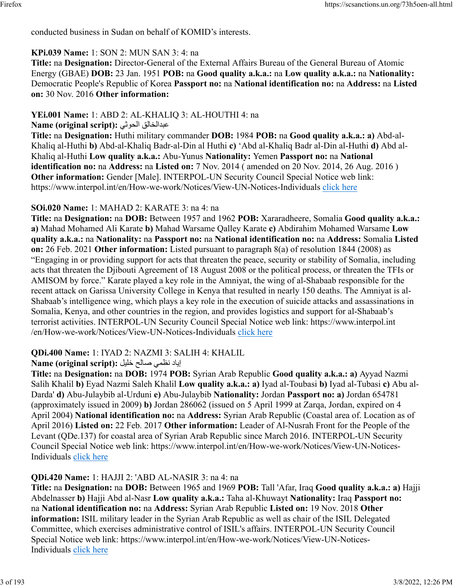conducted business in Sudan on behalf of KOMID's interests.

# **KPi.039 Name:** 1: SON 2: MUN SAN 3: 4: na

**Title:** na **Designation:** Director-General of the External Affairs Bureau of the General Bureau of Atomic Energy (GBAE) **DOB:** 23 Jan. 1951 **POB:** na **Good quality a.k.a.:** na **Low quality a.k.a.:** na **Nationality:** Democratic People's Republic of Korea **Passport no:** na **National identification no:** na **Address:** na **Listed on:** 30 Nov. 2016 **Other information:** 

# **YEi.001 Name:** 1: ABD 2: AL-KHALIQ 3: AL-HOUTHI 4: na

**Name (original script):** يثوحلا قلاخلادبع

**Title:** na **Designation:** Huthi military commander **DOB:** 1984 **POB:** na **Good quality a.k.a.: a)** Abd-al-Khaliq al-Huthi **b)** Abd-al-Khaliq Badr-al-Din al Huthi **c)** 'Abd al-Khaliq Badr al-Din al-Huthi **d)** Abd al-Khaliq al-Huthi **Low quality a.k.a.:** Abu-Yunus **Nationality:** Yemen **Passport no:** na **National identification no:** na **Address:** na **Listed on:** 7 Nov. 2014 ( amended on 20 Nov. 2014, 26 Aug. 2016 ) **Other information:** Gender [Male]. INTERPOL-UN Security Council Special Notice web link: https://www.interpol.int/en/How-we-work/Notices/View-UN-Notices-Individuals [click here](https://www.interpol.int/en/How-we-work/Notices/View-UN-Notices-Individuals)

# **SOi.020 Name:** 1: MAHAD 2: KARATE 3: na 4: na

**Title:** na **Designation:** na **DOB:** Between 1957 and 1962 **POB:** Xararadheere, Somalia **Good quality a.k.a.: a)** Mahad Mohamed Ali Karate **b)** Mahad Warsame Qalley Karate **c)** Abdirahim Mohamed Warsame **Low quality a.k.a.:** na **Nationality:** na **Passport no:** na **National identification no:** na **Address:** Somalia **Listed on:** 26 Feb. 2021 **Other information:** Listed pursuant to paragraph 8(a) of resolution 1844 (2008) as "Engaging in or providing support for acts that threaten the peace, security or stability of Somalia, including acts that threaten the Djibouti Agreement of 18 August 2008 or the political process, or threaten the TFIs or AMISOM by force." Karate played a key role in the Amniyat, the wing of al-Shabaab responsible for the recent attack on Garissa University College in Kenya that resulted in nearly 150 deaths. The Amniyat is al-Shabaab's intelligence wing, which plays a key role in the execution of suicide attacks and assassinations in Somalia, Kenya, and other countries in the region, and provides logistics and support for al-Shabaab's terrorist activities. INTERPOL-UN Security Council Special Notice web link: https://www.interpol.int /en/How-we-work/Notices/View-UN-Notices-Individuals [click here](https://www.interpol.int/en/How-we-work/Notices/View-UN-Notices-Individuals)

# **QDi.400 Name:** 1: IYAD 2: NAZMI 3: SALIH 4: KHALIL

# اياد نظمى صالح خليل :(Name (original script

**Title:** na **Designation:** na **DOB:** 1974 **POB:** Syrian Arab Republic **Good quality a.k.a.: a)** Ayyad Nazmi Salih Khalil **b)** Eyad Nazmi Saleh Khalil **Low quality a.k.a.: a)** Iyad al-Toubasi **b)** Iyad al-Tubasi **c)** Abu al-Darda' **d)** Abu-Julaybib al-Urduni **e)** Abu-Julaybib **Nationality:** Jordan **Passport no: a)** Jordan 654781 (approximately issued in 2009) **b)** Jordan 286062 (issued on 5 April 1999 at Zarqa, Jordan, expired on 4 April 2004) **National identification no:** na **Address:** Syrian Arab Republic (Coastal area of. Location as of April 2016) **Listed on:** 22 Feb. 2017 **Other information:** Leader of Al-Nusrah Front for the People of the Levant (QDe.137) for coastal area of Syrian Arab Republic since March 2016. INTERPOL-UN Security Council Special Notice web link: https://www.interpol.int/en/How-we-work/Notices/View-UN-Notices-Individuals [click here](https://www.interpol.int/en/How-we-work/Notices/View-UN-Notices-Individuals)

# **QDi.420 Name:** 1: HAJJI 2: 'ABD AL-NASIR 3: na 4: na

**Title:** na **Designation:** na **DOB:** Between 1965 and 1969 **POB:** Tall 'Afar, Iraq **Good quality a.k.a.: a)** Hajji Abdelnasser **b)** Hajji Abd al-Nasr **Low quality a.k.a.:** Taha al-Khuwayt **Nationality:** Iraq **Passport no:** na **National identification no:** na **Address:** Syrian Arab Republic **Listed on:** 19 Nov. 2018 **Other information:** ISIL military leader in the Syrian Arab Republic as well as chair of the ISIL Delegated Committee, which exercises administrative control of ISIL's affairs. INTERPOL-UN Security Council Special Notice web link: https://www.interpol.int/en/How-we-work/Notices/View-UN-Notices-Individuals [click here](https://www.interpol.int/en/How-we-work/Notices/View-UN-Notices-Individuals)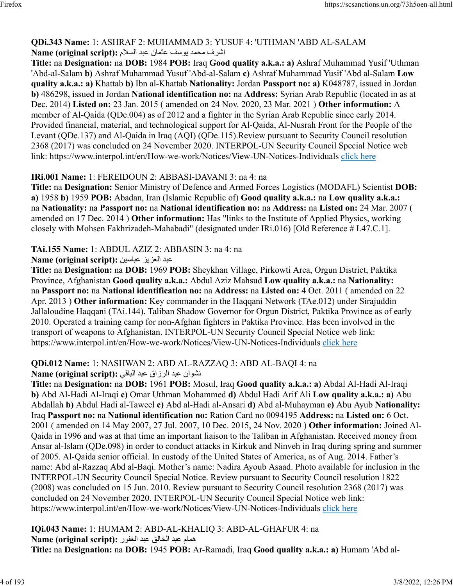# **QDi.343 Name:** 1: ASHRAF 2: MUHAMMAD 3: YUSUF 4: 'UTHMAN 'ABD AL-SALAM اشرف محمد بوسف عثمان عبد السلام :Name (original script)

**Title:** na **Designation:** na **DOB:** 1984 **POB:** Iraq **Good quality a.k.a.: a)** Ashraf Muhammad Yusif 'Uthman 'Abd-al-Salam **b)** Ashraf Muhammad Yusuf 'Abd-al-Salam **c)** Ashraf Muhammad Yusif 'Abd al-Salam **Low quality a.k.a.: a)** Khattab **b)** Ibn al-Khattab **Nationality:** Jordan **Passport no: a)** K048787, issued in Jordan **b)** 486298, issued in Jordan **National identification no:** na **Address:** Syrian Arab Republic (located in as at Dec. 2014) **Listed on:** 23 Jan. 2015 ( amended on 24 Nov. 2020, 23 Mar. 2021 ) **Other information:** A member of Al-Qaida (QDe.004) as of 2012 and a fighter in the Syrian Arab Republic since early 2014. Provided financial, material, and technological support for Al-Qaida, Al-Nusrah Front for the People of the Levant (QDe.137) and Al-Qaida in Iraq (AQI) (QDe.115).Review pursuant to Security Council resolution 2368 (2017) was concluded on 24 November 2020. INTERPOL-UN Security Council Special Notice web link: https://www.interpol.int/en/How-we-work/Notices/View-UN-Notices-Individuals [click here](https://www.interpol.int/en/How-we-work/Notices/View-UN-Notices-Individuals)

## **IRi.001 Name:** 1: FEREIDOUN 2: ABBASI-DAVANI 3: na 4: na

**Title:** na **Designation:** Senior Ministry of Defence and Armed Forces Logistics (MODAFL) Scientist **DOB: a)** 1958 **b)** 1959 **POB:** Abadan, Iran (Islamic Republic of) **Good quality a.k.a.:** na **Low quality a.k.a.:** na **Nationality:** na **Passport no:** na **National identification no:** na **Address:** na **Listed on:** 24 Mar. 2007 ( amended on 17 Dec. 2014 ) **Other information:** Has "links to the Institute of Applied Physics, working closely with Mohsen Fakhrizadeh-Mahabadi" (designated under IRi.016) [Old Reference # I.47.C.1].

## **TAi.155 Name:** 1: ABDUL AZIZ 2: ABBASIN 3: na 4: na

دبع زيزعلا نيسابع **:(script original (Name**

**Title:** na **Designation:** na **DOB:** 1969 **POB:** Sheykhan Village, Pirkowti Area, Orgun District, Paktika Province, Afghanistan **Good quality a.k.a.:** Abdul Aziz Mahsud **Low quality a.k.a.:** na **Nationality:** na **Passport no:** na **National identification no:** na **Address:** na **Listed on:** 4 Oct. 2011 ( amended on 22 Apr. 2013 ) **Other information:** Key commander in the Haqqani Network (TAe.012) under Sirajuddin Jallaloudine Haqqani (TAi.144). Taliban Shadow Governor for Orgun District, Paktika Province as of early 2010. Operated a training camp for non-Afghan fighters in Paktika Province. Has been involved in the transport of weapons to Afghanistan. INTERPOL-UN Security Council Special Notice web link: https://www.interpol.int/en/How-we-work/Notices/View-UN-Notices-Individuals [click here](https://www.interpol.int/en/How-we-work/Notices/View-UN-Notices-Individuals)

# **QDi.012 Name:** 1: NASHWAN 2: ABD AL-RAZZAQ 3: ABD AL-BAQI 4: na

### نشوان عبد الرزاق عبد الباقي :Name (original script)

**Title:** na **Designation:** na **DOB:** 1961 **POB:** Mosul, Iraq **Good quality a.k.a.: a)** Abdal Al-Hadi Al-Iraqi **b)** Abd Al-Hadi Al-Iraqi **c)** Omar Uthman Mohammed **d)** Abdul Hadi Arif Ali **Low quality a.k.a.: a)** Abu Abdallah **b)** Abdul Hadi al-Taweel **c)** Abd al-Hadi al-Ansari **d)** Abd al-Muhayman **e)** Abu Ayub **Nationality:** Iraq **Passport no:** na **National identification no:** Ration Card no 0094195 **Address:** na **Listed on:** 6 Oct. 2001 ( amended on 14 May 2007, 27 Jul. 2007, 10 Dec. 2015, 24 Nov. 2020 ) **Other information:** Joined Al-Qaida in 1996 and was at that time an important liaison to the Taliban in Afghanistan. Received money from Ansar al-Islam (QDe.098) in order to conduct attacks in Kirkuk and Ninveh in Iraq during spring and summer of 2005. Al-Qaida senior official. In custody of the United States of America, as of Aug. 2014. Father's name: Abd al-Razzaq Abd al-Baqi. Mother's name: Nadira Ayoub Asaad. Photo available for inclusion in the INTERPOL-UN Security Council Special Notice. Review pursuant to Security Council resolution 1822 (2008) was concluded on 15 Jun. 2010. Review pursuant to Security Council resolution 2368 (2017) was concluded on 24 November 2020. INTERPOL-UN Security Council Special Notice web link: https://www.interpol.int/en/How-we-work/Notices/View-UN-Notices-Individuals [click here](https://www.interpol.int/en/How-we-work/Notices/View-UN-Notices-Individuals)

**IQi.043 Name:** 1: HUMAM 2: ABD-AL-KHALIQ 3: ABD-AL-GHAFUR 4: na همام عبد الخالق عبد الغفور :**(Name (original script Title:** na **Designation:** na **DOB:** 1945 **POB:** Ar-Ramadi, Iraq **Good quality a.k.a.: a)** Humam 'Abd al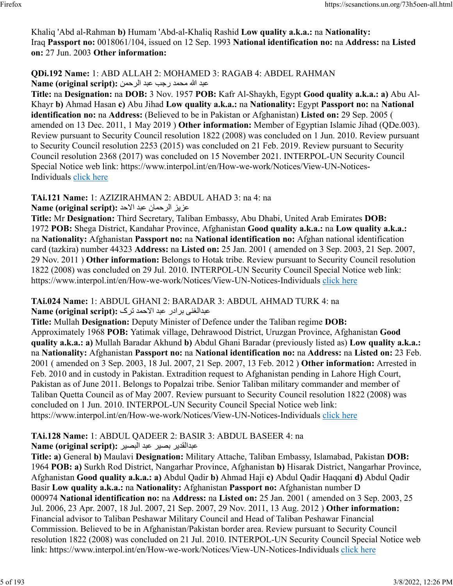Khaliq 'Abd al-Rahman **b)** Humam 'Abd-al-Khaliq Rashid **Low quality a.k.a.:** na **Nationality:** Iraq **Passport no:** 0018061/104, issued on 12 Sep. 1993 **National identification no:** na **Address:** na **Listed on:** 27 Jun. 2003 **Other information:** 

#### **QDi.192 Name:** 1: ABD ALLAH 2: MOHAMED 3: RAGAB 4: ABDEL RAHMAN دبع الله دمحم بجر دبع نمحرلا **:(script original (Name**

**Title:** na **Designation:** na **DOB:** 3 Nov. 1957 **POB:** Kafr Al-Shaykh, Egypt **Good quality a.k.a.: a)** Abu Al-Khayr **b)** Ahmad Hasan **c)** Abu Jihad **Low quality a.k.a.:** na **Nationality:** Egypt **Passport no:** na **National identification no:** na **Address:** (Believed to be in Pakistan or Afghanistan) **Listed on:** 29 Sep. 2005 ( amended on 13 Dec. 2011, 1 May 2019 ) **Other information:** Member of Egyptian Islamic Jihad (QDe.003). Review pursuant to Security Council resolution 1822 (2008) was concluded on 1 Jun. 2010. Review pursuant to Security Council resolution 2253 (2015) was concluded on 21 Feb. 2019. Review pursuant to Security Council resolution 2368 (2017) was concluded on 15 November 2021. INTERPOL-UN Security Council Special Notice web link: https://www.interpol.int/en/How-we-work/Notices/View-UN-Notices-Individuals [click here](https://www.interpol.int/en/How-we-work/Notices/View-UN-Notices-Individuals)

**TAi.121 Name:** 1: AZIZIRAHMAN 2: ABDUL AHAD 3: na 4: na

زيزع نامحرلا دبع دحلاا **:(script original (Name**

**Title:** Mr **Designation:** Third Secretary, Taliban Embassy, Abu Dhabi, United Arab Emirates **DOB:** 1972 **POB:** Shega District, Kandahar Province, Afghanistan **Good quality a.k.a.:** na **Low quality a.k.a.:** na **Nationality:** Afghanistan **Passport no:** na **National identification no:** Afghan national identification card (tazkira) number 44323 **Address:** na **Listed on:** 25 Jan. 2001 ( amended on 3 Sep. 2003, 21 Sep. 2007, 29 Nov. 2011 ) **Other information:** Belongs to Hotak tribe. Review pursuant to Security Council resolution 1822 (2008) was concluded on 29 Jul. 2010. INTERPOL-UN Security Council Special Notice web link: https://www.interpol.int/en/How-we-work/Notices/View-UN-Notices-Individuals [click here](https://www.interpol.int/en/How-we-work/Notices/View-UN-Notices-Individuals)

**TAi.024 Name:** 1: ABDUL GHANI 2: BARADAR 3: ABDUL AHMAD TURK 4: na ینغلادبع ردارب دبع دمحلاا کرت **:(script original (Name**

**Title:** Mullah **Designation:** Deputy Minister of Defence under the Taliban regime **DOB:** Approximately 1968 **POB:** Yatimak village, Dehrawood District, Uruzgan Province, Afghanistan **Good quality a.k.a.: a)** Mullah Baradar Akhund **b)** Abdul Ghani Baradar (previously listed as) **Low quality a.k.a.:** na **Nationality:** Afghanistan **Passport no:** na **National identification no:** na **Address:** na **Listed on:** 23 Feb. 2001 ( amended on 3 Sep. 2003, 18 Jul. 2007, 21 Sep. 2007, 13 Feb. 2012 ) **Other information:** Arrested in Feb. 2010 and in custody in Pakistan. Extradition request to Afghanistan pending in Lahore High Court, Pakistan as of June 2011. Belongs to Popalzai tribe. Senior Taliban military commander and member of Taliban Quetta Council as of May 2007. Review pursuant to Security Council resolution 1822 (2008) was concluded on 1 Jun. 2010. INTERPOL-UN Security Council Special Notice web link: https://www.interpol.int/en/How-we-work/Notices/View-UN-Notices-Individuals [click here](https://www.interpol.int/en/How-we-work/Notices/View-UN-Notices-Individuals)

#### **TAi.128 Name:** 1: ABDUL QADEER 2: BASIR 3: ABDUL BASEER 4: na ريدقلادبع ريصب دبع ريصبلا **:(script original (Name**

**Title: a)** General **b)** Maulavi **Designation:** Military Attache, Taliban Embassy, Islamabad, Pakistan **DOB:** 1964 **POB: a)** Surkh Rod District, Nangarhar Province, Afghanistan **b)** Hisarak District, Nangarhar Province, Afghanistan **Good quality a.k.a.: a)** Abdul Qadir **b)** Ahmad Haji **c)** Abdul Qadir Haqqani **d)** Abdul Qadir Basir **Low quality a.k.a.:** na **Nationality:** Afghanistan **Passport no:** Afghanistan number D 000974 **National identification no:** na **Address:** na **Listed on:** 25 Jan. 2001 ( amended on 3 Sep. 2003, 25 Jul. 2006, 23 Apr. 2007, 18 Jul. 2007, 21 Sep. 2007, 29 Nov. 2011, 13 Aug. 2012 ) **Other information:** Financial advisor to Taliban Peshawar Military Council and Head of Taliban Peshawar Financial Commission. Believed to be in Afghanistan/Pakistan border area. Review pursuant to Security Council resolution 1822 (2008) was concluded on 21 Jul. 2010. INTERPOL-UN Security Council Special Notice web link: https://www.interpol.int/en/How-we-work/Notices/View-UN-Notices-Individuals [click here](https://www.interpol.int/en/How-we-work/Notices/View-UN-Notices-Individuals)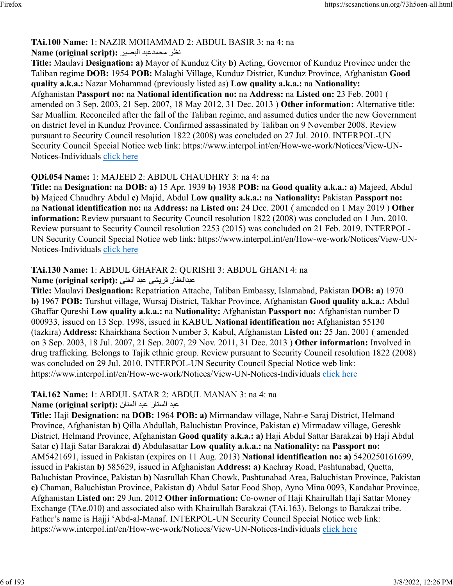## **TAi.100 Name:** 1: NAZIR MOHAMMAD 2: ABDUL BASIR 3: na 4: na

#### رظن دبعدمحم ريصبلا **:(script original (Name**

**Title:** Maulavi **Designation: a)** Mayor of Kunduz City **b)** Acting, Governor of Kunduz Province under the Taliban regime **DOB:** 1954 **POB:** Malaghi Village, Kunduz District, Kunduz Province, Afghanistan **Good quality a.k.a.:** Nazar Mohammad (previously listed as) **Low quality a.k.a.:** na **Nationality:** Afghanistan **Passport no:** na **National identification no:** na **Address:** na **Listed on:** 23 Feb. 2001 ( amended on 3 Sep. 2003, 21 Sep. 2007, 18 May 2012, 31 Dec. 2013 ) **Other information:** Alternative title: Sar Muallim. Reconciled after the fall of the Taliban regime, and assumed duties under the new Government on district level in Kunduz Province. Confirmed assassinated by Taliban on 9 November 2008. Review pursuant to Security Council resolution 1822 (2008) was concluded on 27 Jul. 2010. INTERPOL-UN Security Council Special Notice web link: https://www.interpol.int/en/How-we-work/Notices/View-UN-Notices-Individuals [click here](https://www.interpol.int/en/How-we-work/Notices/View-UN-Notices-Individuals)

## **QDi.054 Name:** 1: MAJEED 2: ABDUL CHAUDHRY 3: na 4: na

**Title:** na **Designation:** na **DOB: a)** 15 Apr. 1939 **b)** 1938 **POB:** na **Good quality a.k.a.: a)** Majeed, Abdul **b)** Majeed Chaudhry Abdul **c)** Majid, Abdul **Low quality a.k.a.:** na **Nationality:** Pakistan **Passport no:** na **National identification no:** na **Address:** na **Listed on:** 24 Dec. 2001 ( amended on 1 May 2019 ) **Other information:** Review pursuant to Security Council resolution 1822 (2008) was concluded on 1 Jun. 2010. Review pursuant to Security Council resolution 2253 (2015) was concluded on 21 Feb. 2019. INTERPOL-UN Security Council Special Notice web link: https://www.interpol.int/en/How-we-work/Notices/View-UN-Notices-Individuals [click here](https://www.interpol.int/en/How-we-work/Notices/View-UN-Notices-Individuals)

# **TAi.130 Name:** 1: ABDUL GHAFAR 2: QURISHI 3: ABDUL GHANI 4: na

رافغلادبع یشيرق دبع ینغلا **:(script original (Name**

**Title:** Maulavi **Designation:** Repatriation Attache, Taliban Embassy, Islamabad, Pakistan **DOB: a)** 1970 **b)** 1967 **POB:** Turshut village, Wursaj District, Takhar Province, Afghanistan **Good quality a.k.a.:** Abdul Ghaffar Qureshi **Low quality a.k.a.:** na **Nationality:** Afghanistan **Passport no:** Afghanistan number D 000933, issued on 13 Sep. 1998, issued in KABUL **National identification no:** Afghanistan 55130 (tazkira) **Address:** Khairkhana Section Number 3, Kabul, Afghanistan **Listed on:** 25 Jan. 2001 ( amended on 3 Sep. 2003, 18 Jul. 2007, 21 Sep. 2007, 29 Nov. 2011, 31 Dec. 2013 ) **Other information:** Involved in drug trafficking. Belongs to Tajik ethnic group. Review pursuant to Security Council resolution 1822 (2008) was concluded on 29 Jul. 2010. INTERPOL-UN Security Council Special Notice web link: https://www.interpol.int/en/How-we-work/Notices/View-UN-Notices-Individuals [click here](https://www.interpol.int/en/How-we-work/Notices/View-UN-Notices-Individuals)

# **TAi.162 Name:** 1: ABDUL SATAR 2: ABDUL MANAN 3: na 4: na

دبع راتسلا دبع نانملا **:(script original (Name**

**Title:** Haji **Designation:** na **DOB:** 1964 **POB: a)** Mirmandaw village, Nahr-e Saraj District, Helmand Province, Afghanistan **b)** Qilla Abdullah, Baluchistan Province, Pakistan **c)** Mirmadaw village, Gereshk District, Helmand Province, Afghanistan **Good quality a.k.a.: a)** Haji Abdul Sattar Barakzai **b)** Haji Abdul Satar **c)** Haji Satar Barakzai **d)** Abdulasattar **Low quality a.k.a.:** na **Nationality:** na **Passport no:** AM5421691, issued in Pakistan (expires on 11 Aug. 2013) **National identification no: a)** 5420250161699, issued in Pakistan **b)** 585629, issued in Afghanistan **Address: a)** Kachray Road, Pashtunabad, Quetta, Baluchistan Province, Pakistan **b)** Nasrullah Khan Chowk, Pashtunabad Area, Baluchistan Province, Pakistan **c)** Chaman, Baluchistan Province, Pakistan **d)** Abdul Satar Food Shop, Ayno Mina 0093, Kandahar Province, Afghanistan **Listed on:** 29 Jun. 2012 **Other information:** Co-owner of Haji Khairullah Haji Sattar Money Exchange (TAe.010) and associated also with Khairullah Barakzai (TAi.163). Belongs to Barakzai tribe. Father's name is Hajji 'Abd-al-Manaf. INTERPOL-UN Security Council Special Notice web link: https://www.interpol.int/en/How-we-work/Notices/View-UN-Notices-Individuals [click here](https://www.interpol.int/en/How-we-work/Notices/View-UN-Notices-Individuals)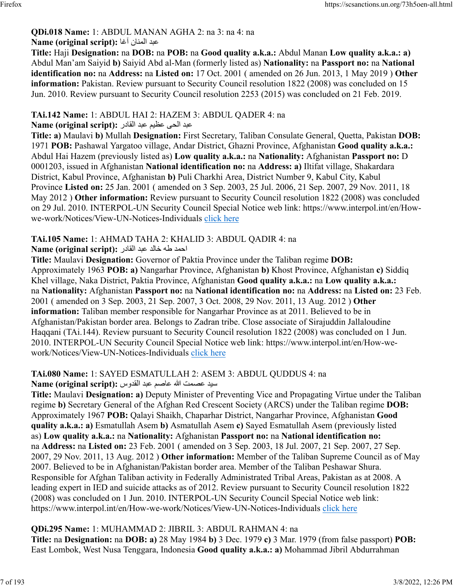#### **QDi.018 Name:** 1: ABDUL MANAN AGHA 2: na 3: na 4: na دبع نانملا اغآ **:(script original (Name**

**Title:** Haji **Designation:** na **DOB:** na **POB:** na **Good quality a.k.a.:** Abdul Manan **Low quality a.k.a.: a)** Abdul Man'am Saiyid **b)** Saiyid Abd al-Man (formerly listed as) **Nationality:** na **Passport no:** na **National identification no:** na **Address:** na **Listed on:** 17 Oct. 2001 ( amended on 26 Jun. 2013, 1 May 2019 ) **Other information:** Pakistan. Review pursuant to Security Council resolution 1822 (2008) was concluded on 15 Jun. 2010. Review pursuant to Security Council resolution 2253 (2015) was concluded on 21 Feb. 2019.

## **TAi.142 Name:** 1: ABDUL HAI 2: HAZEM 3: ABDUL QADER 4: na

## دبع یحلا ميظع دبع رداقلا **:(script original (Name**

**Title: a)** Maulavi **b)** Mullah **Designation:** First Secretary, Taliban Consulate General, Quetta, Pakistan **DOB:** 1971 **POB:** Pashawal Yargatoo village, Andar District, Ghazni Province, Afghanistan **Good quality a.k.a.:** Abdul Hai Hazem (previously listed as) **Low quality a.k.a.:** na **Nationality:** Afghanistan **Passport no:** D 0001203, issued in Afghanistan **National identification no:** na **Address: a)** Iltifat village, Shakardara District, Kabul Province, Afghanistan **b)** Puli Charkhi Area, District Number 9, Kabul City, Kabul Province **Listed on:** 25 Jan. 2001 ( amended on 3 Sep. 2003, 25 Jul. 2006, 21 Sep. 2007, 29 Nov. 2011, 18 May 2012 ) **Other information:** Review pursuant to Security Council resolution 1822 (2008) was concluded on 29 Jul. 2010. INTERPOL-UN Security Council Special Notice web link: https://www.interpol.int/en/Howwe-work/Notices/View-UN-Notices-Individuals [click here](https://www.interpol.int/en/How-we-work/Notices/View-UN-Notices-Individuals)

## **TAi.105 Name:** 1: AHMAD TAHA 2: KHALID 3: ABDUL QADIR 4: na

### دمحا هط دلاخ دبع رداقلا **:(script original (Name**

**Title:** Maulavi **Designation:** Governor of Paktia Province under the Taliban regime **DOB:** Approximately 1963 **POB: a)** Nangarhar Province, Afghanistan **b)** Khost Province, Afghanistan **c)** Siddiq Khel village, Naka District, Paktia Province, Afghanistan **Good quality a.k.a.:** na **Low quality a.k.a.:** na **Nationality:** Afghanistan **Passport no:** na **National identification no:** na **Address:** na **Listed on:** 23 Feb. 2001 ( amended on 3 Sep. 2003, 21 Sep. 2007, 3 Oct. 2008, 29 Nov. 2011, 13 Aug. 2012 ) **Other information:** Taliban member responsible for Nangarhar Province as at 2011. Believed to be in Afghanistan/Pakistan border area. Belongs to Zadran tribe. Close associate of Sirajuddin Jallaloudine Haqqani (TAi.144). Review pursuant to Security Council resolution 1822 (2008) was concluded on 1 Jun. 2010. INTERPOL-UN Security Council Special Notice web link: https://www.interpol.int/en/How-wework/Notices/View-UN-Notices-Individuals [click here](https://www.interpol.int/en/How-we-work/Notices/View-UN-Notices-Individuals)

#### **TAi.080 Name:** 1: SAYED ESMATULLAH 2: ASEM 3: ABDUL QUDDUS 4: na ديس تمصع الله مصاع دبع سودقلا **:(script original (Name**

**Title:** Maulavi **Designation: a)** Deputy Minister of Preventing Vice and Propagating Virtue under the Taliban regime **b)** Secretary General of the Afghan Red Crescent Society (ARCS) under the Taliban regime **DOB:** Approximately 1967 **POB:** Qalayi Shaikh, Chaparhar District, Nangarhar Province, Afghanistan **Good quality a.k.a.: a)** Esmatullah Asem **b)** Asmatullah Asem **c)** Sayed Esmatullah Asem (previously listed as) **Low quality a.k.a.:** na **Nationality:** Afghanistan **Passport no:** na **National identification no:** na **Address:** na **Listed on:** 23 Feb. 2001 ( amended on 3 Sep. 2003, 18 Jul. 2007, 21 Sep. 2007, 27 Sep. 2007, 29 Nov. 2011, 13 Aug. 2012 ) **Other information:** Member of the Taliban Supreme Council as of May 2007. Believed to be in Afghanistan/Pakistan border area. Member of the Taliban Peshawar Shura. Responsible for Afghan Taliban activity in Federally Administrated Tribal Areas, Pakistan as at 2008. A leading expert in IED and suicide attacks as of 2012. Review pursuant to Security Council resolution 1822 (2008) was concluded on 1 Jun. 2010. INTERPOL-UN Security Council Special Notice web link: https://www.interpol.int/en/How-we-work/Notices/View-UN-Notices-Individuals [click here](https://www.interpol.int/en/How-we-work/Notices/View-UN-Notices-Individuals)

## **QDi.295 Name:** 1: MUHAMMAD 2: JIBRIL 3: ABDUL RAHMAN 4: na **Title:** na **Designation:** na **DOB: a)** 28 May 1984 **b)** 3 Dec. 1979 **c)** 3 Mar. 1979 (from false passport) **POB:** East Lombok, West Nusa Tenggara, Indonesia **Good quality a.k.a.: a)** Mohammad Jibril Abdurrahman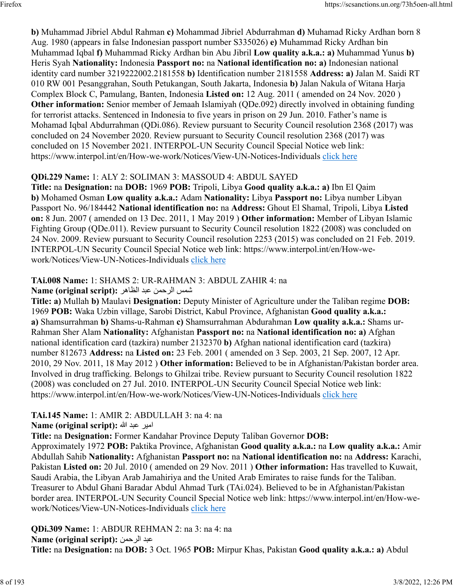**b)** Muhammad Jibriel Abdul Rahman **c)** Mohammad Jibriel Abdurrahman **d)** Muhamad Ricky Ardhan born 8 Aug. 1980 (appears in false Indonesian passport number S335026) **e)** Muhammad Ricky Ardhan bin Muhammad Iqbal **f)** Muhammad Ricky Ardhan bin Abu Jibril **Low quality a.k.a.: a)** Muhammad Yunus **b)** Heris Syah **Nationality:** Indonesia **Passport no:** na **National identification no: a)** Indonesian national identity card number 3219222002.2181558 **b)** Identification number 2181558 **Address: a)** Jalan M. Saidi RT 010 RW 001 Pesanggrahan, South Petukangan, South Jakarta, Indonesia **b)** Jalan Nakula of Witana Harja Complex Block C, Pamulang, Banten, Indonesia **Listed on:** 12 Aug. 2011 ( amended on 24 Nov. 2020 ) **Other information:** Senior member of Jemaah Islamiyah (QDe.092) directly involved in obtaining funding for terrorist attacks. Sentenced in Indonesia to five years in prison on 29 Jun. 2010. Father's name is Mohamad Iqbal Abdurrahman (QDi.086). Review pursuant to Security Council resolution 2368 (2017) was concluded on 24 November 2020. Review pursuant to Security Council resolution 2368 (2017) was concluded on 15 November 2021. INTERPOL-UN Security Council Special Notice web link: https://www.interpol.int/en/How-we-work/Notices/View-UN-Notices-Individuals [click here](https://www.interpol.int/en/How-we-work/Notices/View-UN-Notices-Individuals)

## **QDi.229 Name:** 1: ALY 2: SOLIMAN 3: MASSOUD 4: ABDUL SAYED

**Title:** na **Designation:** na **DOB:** 1969 **POB:** Tripoli, Libya **Good quality a.k.a.: a)** Ibn El Qaim **b)** Mohamed Osman **Low quality a.k.a.:** Adam **Nationality:** Libya **Passport no:** Libya number Libyan Passport No. 96/184442 **National identification no:** na **Address:** Ghout El Shamal, Tripoli, Libya **Listed on:** 8 Jun. 2007 ( amended on 13 Dec. 2011, 1 May 2019 ) **Other information:** Member of Libyan Islamic Fighting Group (QDe.011). Review pursuant to Security Council resolution 1822 (2008) was concluded on 24 Nov. 2009. Review pursuant to Security Council resolution 2253 (2015) was concluded on 21 Feb. 2019. INTERPOL-UN Security Council Special Notice web link: https://www.interpol.int/en/How-wework/Notices/View-UN-Notices-Individuals [click here](https://www.interpol.int/en/How-we-work/Notices/View-UN-Notices-Individuals)

## **TAi.008 Name:** 1: SHAMS 2: UR-RAHMAN 3: ABDUL ZAHIR 4: na

شمس الرحمن عبد الظاهر :Name (original script)

**Title: a)** Mullah **b)** Maulavi **Designation:** Deputy Minister of Agriculture under the Taliban regime **DOB:** 1969 **POB:** Waka Uzbin village, Sarobi District, Kabul Province, Afghanistan **Good quality a.k.a.: a)** Shamsurrahman **b)** Shams-u-Rahman **c)** Shamsurrahman Abdurahman **Low quality a.k.a.:** Shams ur-Rahman Sher Alam **Nationality:** Afghanistan **Passport no:** na **National identification no: a)** Afghan national identification card (tazkira) number 2132370 **b)** Afghan national identification card (tazkira) number 812673 **Address:** na **Listed on:** 23 Feb. 2001 ( amended on 3 Sep. 2003, 21 Sep. 2007, 12 Apr. 2010, 29 Nov. 2011, 18 May 2012 ) **Other information:** Believed to be in Afghanistan/Pakistan border area. Involved in drug trafficking. Belongs to Ghilzai tribe. Review pursuant to Security Council resolution 1822 (2008) was concluded on 27 Jul. 2010. INTERPOL-UN Security Council Special Notice web link: https://www.interpol.int/en/How-we-work/Notices/View-UN-Notices-Individuals [click here](https://www.interpol.int/en/How-we-work/Notices/View-UN-Notices-Individuals)

# **TAi.145 Name:** 1: AMIR 2: ABDULLAH 3: na 4: na

ريما دبع الله **:(script original (Name**

**Title:** na **Designation:** Former Kandahar Province Deputy Taliban Governor **DOB:**

Approximately 1972 **POB:** Paktika Province, Afghanistan **Good quality a.k.a.:** na **Low quality a.k.a.:** Amir Abdullah Sahib **Nationality:** Afghanistan **Passport no:** na **National identification no:** na **Address:** Karachi, Pakistan **Listed on:** 20 Jul. 2010 ( amended on 29 Nov. 2011 ) **Other information:** Has travelled to Kuwait, Saudi Arabia, the Libyan Arab Jamahiriya and the United Arab Emirates to raise funds for the Taliban. Treasurer to Abdul Ghani Baradar Abdul Ahmad Turk (TAi.024). Believed to be in Afghanistan/Pakistan border area. INTERPOL-UN Security Council Special Notice web link: https://www.interpol.int/en/How-wework/Notices/View-UN-Notices-Individuals [click here](https://www.interpol.int/en/How-we-work/Notices/View-UN-Notices-Individuals)

**QDi.309 Name:** 1: ABDUR REHMAN 2: na 3: na 4: na **Name (original script):** نمحرلا دبع **Title:** na **Designation:** na **DOB:** 3 Oct. 1965 **POB:** Mirpur Khas, Pakistan **Good quality a.k.a.: a)** Abdul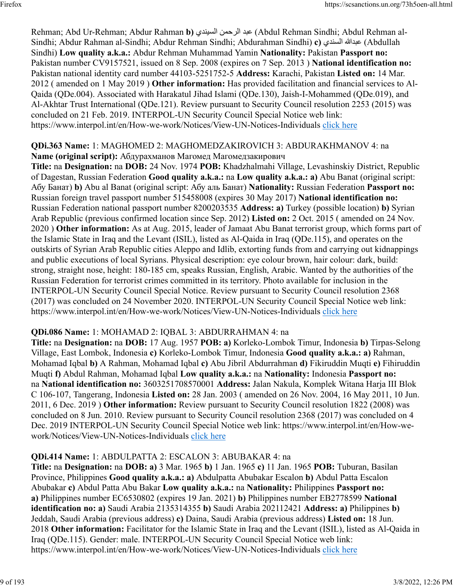Rehman; Abd Ur-Rehman; Abdur Rahman **b)** يدنيسلا نمحرلا دبع) Abdul Rehman Sindhi; Abdul Rehman al-Sindhi; Abdur Rahman al-Sindhi; Abdur Rehman Sindhi; Abdurahman Sindhi) **c)** يدنسلا اللهدبع) Abdullah Sindhi) **Low quality a.k.a.:** Abdur Rehman Muhammad Yamin **Nationality:** Pakistan **Passport no:** Pakistan number CV9157521, issued on 8 Sep. 2008 (expires on 7 Sep. 2013 ) **National identification no:** Pakistan national identity card number 44103-5251752-5 **Address:** Karachi, Pakistan **Listed on:** 14 Mar. 2012 ( amended on 1 May 2019 ) **Other information:** Has provided facilitation and financial services to Al-Qaida (QDe.004). Associated with Harakatul Jihad Islami (QDe.130), Jaish-I-Mohammed (QDe.019), and Al-Akhtar Trust International (QDe.121). Review pursuant to Security Council resolution 2253 (2015) was concluded on 21 Feb. 2019. INTERPOL-UN Security Council Special Notice web link: https://www.interpol.int/en/How-we-work/Notices/View-UN-Notices-Individuals [click here](https://www.interpol.int/en/How-we-work/Notices/View-UN-Notices-Individuals)

## **QDi.363 Name:** 1: MAGHOMED 2: MAGHOMEDZAKIROVICH 3: ABDURAKHMANOV 4: na **Name (original script):** Абдурахманов Магомед Магомедзакирович

**Title:** na **Designation:** na **DOB:** 24 Nov. 1974 **POB:** Khadzhalmahi Village, Levashinskiy District, Republic of Dagestan, Russian Federation **Good quality a.k.a.:** na **Low quality a.k.a.: a)** Abu Banat (original script: Абу Банат) **b)** Abu al Banat (original script: Абу аль Банат) **Nationality:** Russian Federation **Passport no:** Russian foreign travel passport number 515458008 (expires 30 May 2017) **National identification no:** Russian Federation national passport number 8200203535 **Address: a)** Turkey (possible location) **b)** Syrian Arab Republic (previous confirmed location since Sep. 2012) **Listed on:** 2 Oct. 2015 ( amended on 24 Nov. 2020 ) **Other information:** As at Aug. 2015, leader of Jamaat Abu Banat terrorist group, which forms part of the Islamic State in Iraq and the Levant (ISIL), listed as Al-Qaida in Iraq (QDe.115), and operates on the outskirts of Syrian Arab Republic cities Aleppo and Idlib, extorting funds from and carrying out kidnappings and public executions of local Syrians. Physical description: eye colour brown, hair colour: dark, build: strong, straight nose, height: 180-185 cm, speaks Russian, English, Arabic. Wanted by the authorities of the Russian Federation for terrorist crimes committed in its territory. Photo available for inclusion in the INTERPOL-UN Security Council Special Notice. Review pursuant to Security Council resolution 2368 (2017) was concluded on 24 November 2020. INTERPOL-UN Security Council Special Notice web link: https://www.interpol.int/en/How-we-work/Notices/View-UN-Notices-Individuals [click here](https://www.interpol.int/en/How-we-work/Notices/View-UN-Notices-Individuals)

# **QDi.086 Name:** 1: MOHAMAD 2: IQBAL 3: ABDURRAHMAN 4: na

**Title:** na **Designation:** na **DOB:** 17 Aug. 1957 **POB: a)** Korleko-Lombok Timur, Indonesia **b)** Tirpas-Selong Village, East Lombok, Indonesia **c)** Korleko-Lombok Timur, Indonesia **Good quality a.k.a.: a)** Rahman, Mohamad Iqbal **b)** A Rahman, Mohamad Iqbal **c)** Abu Jibril Abdurrahman **d)** Fikiruddin Muqti **e)** Fihiruddin Muqti **f)** Abdul Rahman, Mohamad Iqbal **Low quality a.k.a.:** na **Nationality:** Indonesia **Passport no:** na **National identification no:** 3603251708570001 **Address:** Jalan Nakula, Komplek Witana Harja III Blok C 106-107, Tangerang, Indonesia **Listed on:** 28 Jan. 2003 ( amended on 26 Nov. 2004, 16 May 2011, 10 Jun. 2011, 6 Dec. 2019 ) **Other information:** Review pursuant to Security Council resolution 1822 (2008) was concluded on 8 Jun. 2010. Review pursuant to Security Council resolution 2368 (2017) was concluded on 4 Dec. 2019 INTERPOL-UN Security Council Special Notice web link: https://www.interpol.int/en/How-wework/Notices/View-UN-Notices-Individuals [click here](https://www.interpol.int/en/How-we-work/Notices/View-UN-Notices-Individuals)

# **QDi.414 Name:** 1: ABDULPATTA 2: ESCALON 3: ABUBAKAR 4: na

**Title:** na **Designation:** na **DOB: a)** 3 Mar. 1965 **b)** 1 Jan. 1965 **c)** 11 Jan. 1965 **POB:** Tuburan, Basilan Province, Philippines **Good quality a.k.a.: a)** Abdulpatta Abubakar Escalon **b)** Abdul Patta Escalon Abubakar **c)** Abdul Patta Abu Bakar **Low quality a.k.a.:** na **Nationality:** Philippines **Passport no: a)** Philippines number EC6530802 (expires 19 Jan. 2021) **b)** Philippines number EB2778599 **National identification no: a)** Saudi Arabia 2135314355 **b)** Saudi Arabia 202112421 **Address: a)** Philippines **b)** Jeddah, Saudi Arabia (previous address) **c)** Daina, Saudi Arabia (previous address) **Listed on:** 18 Jun. 2018 **Other information:** Facilitator for the Islamic State in Iraq and the Levant (ISIL), listed as Al-Qaida in Iraq (QDe.115). Gender: male. INTERPOL-UN Security Council Special Notice web link: https://www.interpol.int/en/How-we-work/Notices/View-UN-Notices-Individuals [click here](https://www.interpol.int/en/How-we-work/Notices/View-UN-Notices-Individuals)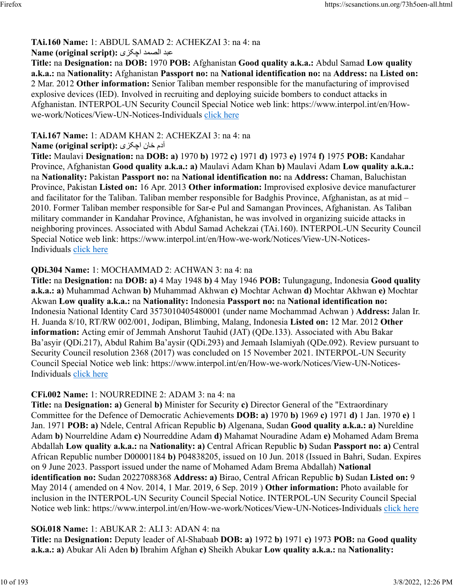# **TAi.160 Name:** 1: ABDUL SAMAD 2: ACHEKZAI 3: na 4: na

# دبع دمصلا یزکچا **:(script original (Name**

**Title:** na **Designation:** na **DOB:** 1970 **POB:** Afghanistan **Good quality a.k.a.:** Abdul Samad **Low quality a.k.a.:** na **Nationality:** Afghanistan **Passport no:** na **National identification no:** na **Address:** na **Listed on:** 2 Mar. 2012 **Other information:** Senior Taliban member responsible for the manufacturing of improvised explosive devices (IED). Involved in recruiting and deploying suicide bombers to conduct attacks in Afghanistan. INTERPOL-UN Security Council Special Notice web link: https://www.interpol.int/en/Howwe-work/Notices/View-UN-Notices-Individuals [click here](https://www.interpol.int/en/How-we-work/Notices/View-UN-Notices-Individuals)

# **TAi.167 Name:** 1: ADAM KHAN 2: ACHEKZAI 3: na 4: na

# آدم خان اچک*زی* :(Name (original script

**Title:** Maulavi **Designation:** na **DOB: a)** 1970 **b)** 1972 **c)** 1971 **d)** 1973 **e)** 1974 **f)** 1975 **POB:** Kandahar Province, Afghanistan **Good quality a.k.a.: a)** Maulavi Adam Khan **b)** Maulavi Adam **Low quality a.k.a.:** na **Nationality:** Pakistan **Passport no:** na **National identification no:** na **Address:** Chaman, Baluchistan Province, Pakistan **Listed on:** 16 Apr. 2013 **Other information:** Improvised explosive device manufacturer and facilitator for the Taliban. Taliban member responsible for Badghis Province, Afghanistan, as at mid – 2010. Former Taliban member responsible for Sar-e Pul and Samangan Provinces, Afghanistan. As Taliban military commander in Kandahar Province, Afghanistan, he was involved in organizing suicide attacks in neighboring provinces. Associated with Abdul Samad Achekzai (TAi.160). INTERPOL-UN Security Council Special Notice web link: https://www.interpol.int/en/How-we-work/Notices/View-UN-Notices-Individuals [click here](https://www.interpol.int/en/How-we-work/Notices/View-UN-Notices-Individuals)

# **QDi.304 Name:** 1: MOCHAMMAD 2: ACHWAN 3: na 4: na

**Title:** na **Designation:** na **DOB: a)** 4 May 1948 **b)** 4 May 1946 **POB:** Tulungagung, Indonesia **Good quality a.k.a.: a)** Muhammad Achwan **b)** Muhammad Akhwan **c)** Mochtar Achwan **d)** Mochtar Akhwan **e)** Mochtar Akwan **Low quality a.k.a.:** na **Nationality:** Indonesia **Passport no:** na **National identification no:** Indonesia National Identity Card 3573010405480001 (under name Mochammad Achwan ) **Address:** Jalan Ir. H. Juanda 8/10, RT/RW 002/001, Jodipan, Blimbing, Malang, Indonesia **Listed on:** 12 Mar. 2012 **Other information:** Acting emir of Jemmah Anshorut Tauhid (JAT) (QDe.133). Associated with Abu Bakar Ba'asyir (QDi.217), Abdul Rahim Ba'aysir (QDi.293) and Jemaah Islamiyah (QDe.092). Review pursuant to Security Council resolution 2368 (2017) was concluded on 15 November 2021. INTERPOL-UN Security Council Special Notice web link: https://www.interpol.int/en/How-we-work/Notices/View-UN-Notices-Individuals [click here](https://www.interpol.int/en/How-we-work/Notices/View-UN-Notices-Individuals)

# **CFi.002 Name:** 1: NOURREDINE 2: ADAM 3: na 4: na

**Title:** na **Designation: a)** General **b)** Minister for Security **c)** Director General of the "Extraordinary Committee for the Defence of Democratic Achievements **DOB: a)** 1970 **b)** 1969 **c)** 1971 **d)** 1 Jan. 1970 **e)** 1 Jan. 1971 **POB: a)** Ndele, Central African Republic **b)** Algenana, Sudan **Good quality a.k.a.: a)** Nureldine Adam **b)** Nourreldine Adam **c)** Nourreddine Adam **d)** Mahamat Nouradine Adam **e)** Mohamed Adam Brema Abdallah **Low quality a.k.a.:** na **Nationality: a)** Central African Republic **b)** Sudan **Passport no: a)** Central African Republic number D00001184 **b)** P04838205, issued on 10 Jun. 2018 (Issued in Bahri, Sudan. Expires on 9 June 2023. Passport issued under the name of Mohamed Adam Brema Abdallah) **National identification no:** Sudan 20227088368 **Address: a)** Birao, Central African Republic **b)** Sudan **Listed on:** 9 May 2014 ( amended on 4 Nov. 2014, 1 Mar. 2019, 6 Sep. 2019 ) **Other information:** Photo available for inclusion in the INTERPOL-UN Security Council Special Notice. INTERPOL-UN Security Council Special Notice web link: https://www.interpol.int/en/How-we-work/Notices/View-UN-Notices-Individuals [click here](https://www.interpol.int/en/How-we-work/Notices/View-UN-Notices-Individuals)

# **SOi.018 Name:** 1: ABUKAR 2: ALI 3: ADAN 4: na

**Title:** na **Designation:** Deputy leader of Al-Shabaab **DOB: a)** 1972 **b)** 1971 **c)** 1973 **POB:** na **Good quality a.k.a.: a)** Abukar Ali Aden **b)** Ibrahim Afghan **c)** Sheikh Abukar **Low quality a.k.a.:** na **Nationality:**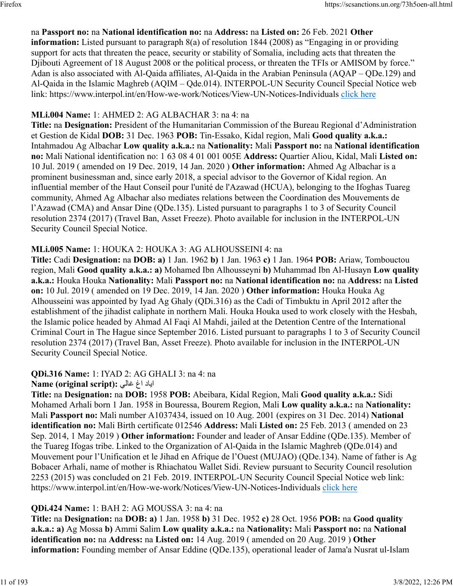# na **Passport no:** na **National identification no:** na **Address:** na **Listed on:** 26 Feb. 2021 **Other**

**information:** Listed pursuant to paragraph 8(a) of resolution 1844 (2008) as "Engaging in or providing support for acts that threaten the peace, security or stability of Somalia, including acts that threaten the Djibouti Agreement of 18 August 2008 or the political process, or threaten the TFIs or AMISOM by force." Adan is also associated with Al-Qaida affiliates, Al-Qaida in the Arabian Peninsula (AQAP – QDe.129) and Al-Qaida in the Islamic Maghreb (AQIM – Qde.014). INTERPOL-UN Security Council Special Notice web link: https://www.interpol.int/en/How-we-work/Notices/View-UN-Notices-Individuals [click here](https://www.interpol.int/en/How-we-work/Notices/View-UN-Notices-Individuals)

### **MLi.004 Name:** 1: AHMED 2: AG ALBACHAR 3: na 4: na

**Title:** na **Designation:** President of the Humanitarian Commission of the Bureau Regional d'Administration et Gestion de Kidal **DOB:** 31 Dec. 1963 **POB:** Tin-Essako, Kidal region, Mali **Good quality a.k.a.:** Intahmadou Ag Albachar **Low quality a.k.a.:** na **Nationality:** Mali **Passport no:** na **National identification no:** Mali National identification no: 1 63 08 4 01 001 005E **Address:** Quartier Aliou, Kidal, Mali **Listed on:** 10 Jul. 2019 ( amended on 19 Dec. 2019, 14 Jan. 2020 ) **Other information:** Ahmed Ag Albachar is a prominent businessman and, since early 2018, a special advisor to the Governor of Kidal region. An influential member of the Haut Conseil pour l'unité de l'Azawad (HCUA), belonging to the Ifoghas Tuareg community, Ahmed Ag Albachar also mediates relations between the Coordination des Mouvements de l'Azawad (CMA) and Ansar Dine (QDe.135). Listed pursuant to paragraphs 1 to 3 of Security Council resolution 2374 (2017) (Travel Ban, Asset Freeze). Photo available for inclusion in the INTERPOL-UN Security Council Special Notice.

### **MLi.005 Name:** 1: HOUKA 2: HOUKA 3: AG ALHOUSSEINI 4: na

**Title:** Cadi **Designation:** na **DOB: a)** 1 Jan. 1962 **b)** 1 Jan. 1963 **c)** 1 Jan. 1964 **POB:** Ariaw, Tombouctou region, Mali **Good quality a.k.a.: a)** Mohamed Ibn Alhousseyni **b)** Muhammad Ibn Al-Husayn **Low quality a.k.a.:** Houka Houka **Nationality:** Mali **Passport no:** na **National identification no:** na **Address:** na **Listed on:** 10 Jul. 2019 ( amended on 19 Dec. 2019, 14 Jan. 2020 ) **Other information:** Houka Houka Ag Alhousseini was appointed by Iyad Ag Ghaly (QDi.316) as the Cadi of Timbuktu in April 2012 after the establishment of the jihadist caliphate in northern Mali. Houka Houka used to work closely with the Hesbah, the Islamic police headed by Ahmad Al Faqi Al Mahdi, jailed at the Detention Centre of the International Criminal Court in The Hague since September 2016. Listed pursuant to paragraphs 1 to 3 of Security Council resolution 2374 (2017) (Travel Ban, Asset Freeze). Photo available for inclusion in the INTERPOL-UN Security Council Special Notice.

### **QDi.316 Name:** 1: IYAD 2: AG GHALI 3: na 4: na

### دايا غا يلاغ **:(script original (Name**

**Title:** na **Designation:** na **DOB:** 1958 **POB:** Abeibara, Kidal Region, Mali **Good quality a.k.a.:** Sidi Mohamed Arhali born 1 Jan. 1958 in Bouressa, Bourem Region, Mali **Low quality a.k.a.:** na **Nationality:** Mali **Passport no:** Mali number A1037434, issued on 10 Aug. 2001 (expires on 31 Dec. 2014) **National identification no:** Mali Birth certificate 012546 **Address:** Mali **Listed on:** 25 Feb. 2013 ( amended on 23 Sep. 2014, 1 May 2019 ) **Other information:** Founder and leader of Ansar Eddine (QDe.135). Member of the Tuareg Ifogas tribe. Linked to the Organization of Al-Qaida in the Islamic Maghreb (QDe.014) and Mouvement pour l'Unification et le Jihad en Afrique de l'Ouest (MUJAO) (QDe.134). Name of father is Ag Bobacer Arhali, name of mother is Rhiachatou Wallet Sidi. Review pursuant to Security Council resolution 2253 (2015) was concluded on 21 Feb. 2019. INTERPOL-UN Security Council Special Notice web link: https://www.interpol.int/en/How-we-work/Notices/View-UN-Notices-Individuals [click here](https://www.interpol.int/en/How-we-work/Notices/View-UN-Notices-Individuals)

### **QDi.424 Name:** 1: BAH 2: AG MOUSSA 3: na 4: na

**Title:** na **Designation:** na **DOB: a)** 1 Jan. 1958 **b)** 31 Dec. 1952 **c)** 28 Oct. 1956 **POB:** na **Good quality a.k.a.: a)** Ag Mossa **b)** Ammi Salim **Low quality a.k.a.:** na **Nationality:** Mali **Passport no:** na **National identification no:** na **Address:** na **Listed on:** 14 Aug. 2019 ( amended on 20 Aug. 2019 ) **Other information:** Founding member of Ansar Eddine (QDe.135), operational leader of Jama'a Nusrat ul-Islam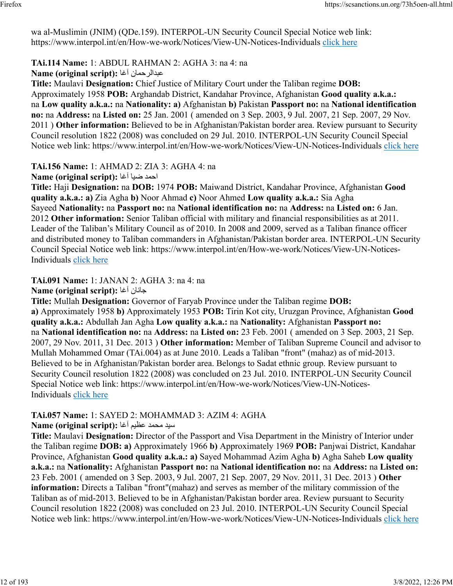wa al-Muslimin (JNIM) (QDe.159). INTERPOL-UN Security Council Special Notice web link: https://www.interpol.int/en/How-we-work/Notices/View-UN-Notices-Individuals [click here](https://www.interpol.int/en/How-we-work/Notices/View-UN-Notices-Individuals)

## **TAi.114 Name:** 1: ABDUL RAHMAN 2: AGHA 3: na 4: na

**Name (original script):** اغآ نامحرلادبع

**Title:** Maulavi **Designation:** Chief Justice of Military Court under the Taliban regime **DOB:** Approximately 1958 **POB:** Arghandab District, Kandahar Province, Afghanistan **Good quality a.k.a.:** na **Low quality a.k.a.:** na **Nationality: a)** Afghanistan **b)** Pakistan **Passport no:** na **National identification no:** na **Address:** na **Listed on:** 25 Jan. 2001 ( amended on 3 Sep. 2003, 9 Jul. 2007, 21 Sep. 2007, 29 Nov. 2011 ) **Other information:** Believed to be in Afghanistan/Pakistan border area. Review pursuant to Security Council resolution 1822 (2008) was concluded on 29 Jul. 2010. INTERPOL-UN Security Council Special Notice web link: https://www.interpol.int/en/How-we-work/Notices/View-UN-Notices-Individuals [click here](https://www.interpol.int/en/How-we-work/Notices/View-UN-Notices-Individuals)

**TAi.156 Name:** 1: AHMAD 2: ZIA 3: AGHA 4: na

دمحا ايض اغآ **:(script original (Name**

**Title:** Haji **Designation:** na **DOB:** 1974 **POB:** Maiwand District, Kandahar Province, Afghanistan **Good quality a.k.a.: a)** Zia Agha **b)** Noor Ahmad **c)** Noor Ahmed **Low quality a.k.a.:** Sia Agha Sayeed **Nationality:** na **Passport no:** na **National identification no:** na **Address:** na **Listed on:** 6 Jan. 2012 **Other information:** Senior Taliban official with military and financial responsibilities as at 2011. Leader of the Taliban's Military Council as of 2010. In 2008 and 2009, served as a Taliban finance officer and distributed money to Taliban commanders in Afghanistan/Pakistan border area. INTERPOL-UN Security Council Special Notice web link: https://www.interpol.int/en/How-we-work/Notices/View-UN-Notices-Individuals [click here](https://www.interpol.int/en/How-we-work/Notices/View-UN-Notices-Individuals)

**TAi.091 Name:** 1: JANAN 2: AGHA 3: na 4: na

**Name (original script):** اغآ ناناج

**Title:** Mullah **Designation:** Governor of Faryab Province under the Taliban regime **DOB: a)** Approximately 1958 **b)** Approximately 1953 **POB:** Tirin Kot city, Uruzgan Province, Afghanistan **Good quality a.k.a.:** Abdullah Jan Agha **Low quality a.k.a.:** na **Nationality:** Afghanistan **Passport no:** na **National identification no:** na **Address:** na **Listed on:** 23 Feb. 2001 ( amended on 3 Sep. 2003, 21 Sep. 2007, 29 Nov. 2011, 31 Dec. 2013 ) **Other information:** Member of Taliban Supreme Council and advisor to Mullah Mohammed Omar (TAi.004) as at June 2010. Leads a Taliban "front" (mahaz) as of mid-2013. Believed to be in Afghanistan/Pakistan border area. Belongs to Sadat ethnic group. Review pursuant to Security Council resolution 1822 (2008) was concluded on 23 Jul. 2010. INTERPOL-UN Security Council Special Notice web link: https://www.interpol.int/en/How-we-work/Notices/View-UN-Notices-Individuals [click here](https://www.interpol.int/en/How-we-work/Notices/View-UN-Notices-Individuals)

# **TAi.057 Name:** 1: SAYED 2: MOHAMMAD 3: AZIM 4: AGHA

ديس دمحم ميظع اغآ **:(script original (Name**

**Title:** Maulavi **Designation:** Director of the Passport and Visa Department in the Ministry of Interior under the Taliban regime **DOB: a)** Approximately 1966 **b)** Approximately 1969 **POB:** Panjwai District, Kandahar Province, Afghanistan **Good quality a.k.a.: a)** Sayed Mohammad Azim Agha **b)** Agha Saheb **Low quality a.k.a.:** na **Nationality:** Afghanistan **Passport no:** na **National identification no:** na **Address:** na **Listed on:** 23 Feb. 2001 ( amended on 3 Sep. 2003, 9 Jul. 2007, 21 Sep. 2007, 29 Nov. 2011, 31 Dec. 2013 ) **Other information:** Directs a Taliban "front"(mahaz) and serves as member of the military commission of the Taliban as of mid-2013. Believed to be in Afghanistan/Pakistan border area. Review pursuant to Security Council resolution 1822 (2008) was concluded on 23 Jul. 2010. INTERPOL-UN Security Council Special Notice web link: https://www.interpol.int/en/How-we-work/Notices/View-UN-Notices-Individuals [click here](https://www.interpol.int/en/How-we-work/Notices/View-UN-Notices-Individuals)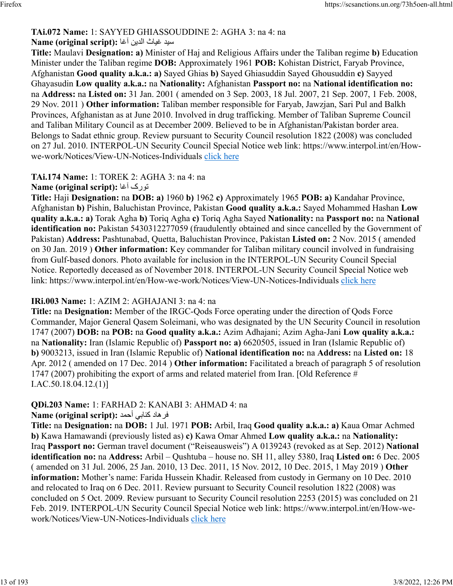# **TAi.072 Name:** 1: SAYYED GHIASSOUDDINE 2: AGHA 3: na 4: na

# ديس ثايغ نيدلا اغآ **:(script original (Name**

**Title:** Maulavi **Designation: a)** Minister of Haj and Religious Affairs under the Taliban regime **b)** Education Minister under the Taliban regime **DOB:** Approximately 1961 **POB:** Kohistan District, Faryab Province, Afghanistan **Good quality a.k.a.: a)** Sayed Ghias **b)** Sayed Ghiasuddin Sayed Ghousuddin **c)** Sayyed Ghayasudin **Low quality a.k.a.:** na **Nationality:** Afghanistan **Passport no:** na **National identification no:** na **Address:** na **Listed on:** 31 Jan. 2001 ( amended on 3 Sep. 2003, 18 Jul. 2007, 21 Sep. 2007, 1 Feb. 2008, 29 Nov. 2011 ) **Other information:** Taliban member responsible for Faryab, Jawzjan, Sari Pul and Balkh Provinces, Afghanistan as at June 2010. Involved in drug trafficking. Member of Taliban Supreme Council and Taliban Military Council as at December 2009. Believed to be in Afghanistan/Pakistan border area. Belongs to Sadat ethnic group. Review pursuant to Security Council resolution 1822 (2008) was concluded on 27 Jul. 2010. INTERPOL-UN Security Council Special Notice web link: https://www.interpol.int/en/Howwe-work/Notices/View-UN-Notices-Individuals [click here](https://www.interpol.int/en/How-we-work/Notices/View-UN-Notices-Individuals)

### **TAi.174 Name:** 1: TOREK 2: AGHA 3: na 4: na

#### **Name (original script):** اغآ کروت

**Title:** Haji **Designation:** na **DOB: a)** 1960 **b)** 1962 **c)** Approximately 1965 **POB: a)** Kandahar Province, Afghanistan **b)** Pishin, Baluchistan Province, Pakistan **Good quality a.k.a.:** Sayed Mohammed Hashan **Low quality a.k.a.: a)** Torak Agha **b)** Toriq Agha **c)** Toriq Agha Sayed **Nationality:** na **Passport no:** na **National identification no:** Pakistan 5430312277059 (fraudulently obtained and since cancelled by the Government of Pakistan) **Address:** Pashtunabad, Quetta, Baluchistan Province, Pakistan **Listed on:** 2 Nov. 2015 ( amended on 30 Jan. 2019 ) **Other information:** Key commander for Taliban military council involved in fundraising from Gulf-based donors. Photo available for inclusion in the INTERPOL-UN Security Council Special Notice. Reportedly deceased as of November 2018. INTERPOL-UN Security Council Special Notice web link: https://www.interpol.int/en/How-we-work/Notices/View-UN-Notices-Individuals [click here](https://www.interpol.int/en/How-we-work/Notices/View-UN-Notices-Individuals)

### **IRi.003 Name:** 1: AZIM 2: AGHAJANI 3: na 4: na

**Title:** na **Designation:** Member of the IRGC-Qods Force operating under the direction of Qods Force Commander, Major General Qasem Soleimani, who was designated by the UN Security Council in resolution 1747 (2007) **DOB:** na **POB:** na **Good quality a.k.a.:** Azim Adhajani; Azim Agha-Jani **Low quality a.k.a.:** na **Nationality:** Iran (Islamic Republic of) **Passport no: a)** 6620505, issued in Iran (Islamic Republic of) **b)** 9003213, issued in Iran (Islamic Republic of) **National identification no:** na **Address:** na **Listed on:** 18 Apr. 2012 ( amended on 17 Dec. 2014 ) **Other information:** Facilitated a breach of paragraph 5 of resolution 1747 (2007) prohibiting the export of arms and related materiel from Iran. [Old Reference # I.AC.50.18.04.12.(1)]

#### **QDi.203 Name:** 1: FARHAD 2: KANABI 3: AHMAD 4: na داهرف يبانك دمحأ **:(script original (Name**

**Title:** na **Designation:** na **DOB:** 1 Jul. 1971 **POB:** Arbil, Iraq **Good quality a.k.a.: a)** Kaua Omar Achmed **b)** Kawa Hamawandi (previously listed as) **c)** Kawa Omar Ahmed **Low quality a.k.a.:** na **Nationality:** Iraq **Passport no:** German travel document ("Reiseausweis") A 0139243 (revoked as at Sep. 2012) **National identification no:** na **Address:** Arbil – Qushtuba – house no. SH 11, alley 5380, Iraq **Listed on:** 6 Dec. 2005 ( amended on 31 Jul. 2006, 25 Jan. 2010, 13 Dec. 2011, 15 Nov. 2012, 10 Dec. 2015, 1 May 2019 ) **Other information:** Mother's name: Farida Hussein Khadir. Released from custody in Germany on 10 Dec. 2010 and relocated to Iraq on 6 Dec. 2011. Review pursuant to Security Council resolution 1822 (2008) was concluded on 5 Oct. 2009. Review pursuant to Security Council resolution 2253 (2015) was concluded on 21 Feb. 2019. INTERPOL-UN Security Council Special Notice web link: https://www.interpol.int/en/How-wework/Notices/View-UN-Notices-Individuals [click here](https://www.interpol.int/en/How-we-work/Notices/View-UN-Notices-Individuals)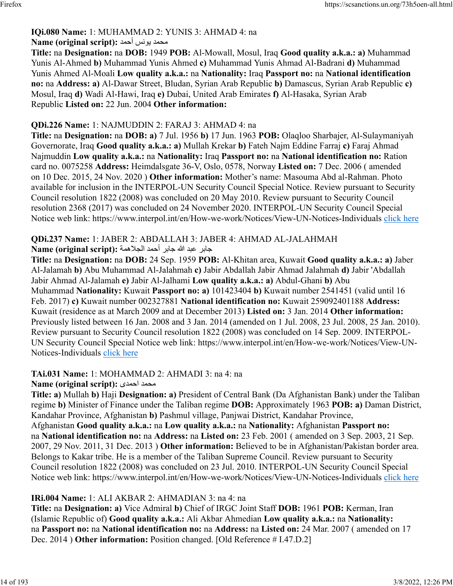# **IQi.080 Name:** 1: MUHAMMAD 2: YUNIS 3: AHMAD 4: na

# دمحم سنوي دمحأ **:(script original (Name**

**Title:** na **Designation:** na **DOB:** 1949 **POB:** Al-Mowall, Mosul, Iraq **Good quality a.k.a.: a)** Muhammad Yunis Al-Ahmed **b)** Muhammad Yunis Ahmed **c)** Muhammad Yunis Ahmad Al-Badrani **d)** Muhammad Yunis Ahmed Al-Moali **Low quality a.k.a.:** na **Nationality:** Iraq **Passport no:** na **National identification no:** na **Address: a)** Al-Dawar Street, Bludan, Syrian Arab Republic **b)** Damascus, Syrian Arab Republic **c)** Mosul, Iraq **d)** Wadi Al-Hawi, Iraq **e)** Dubai, United Arab Emirates **f)** Al-Hasaka, Syrian Arab Republic **Listed on:** 22 Jun. 2004 **Other information:** 

## **QDi.226 Name:** 1: NAJMUDDIN 2: FARAJ 3: AHMAD 4: na

**Title:** na **Designation:** na **DOB: a)** 7 Jul. 1956 **b)** 17 Jun. 1963 **POB:** Olaqloo Sharbajer, Al-Sulaymaniyah Governorate, Iraq **Good quality a.k.a.: a)** Mullah Krekar **b)** Fateh Najm Eddine Farraj **c)** Faraj Ahmad Najmuddin **Low quality a.k.a.:** na **Nationality:** Iraq **Passport no:** na **National identification no:** Ration card no. 0075258 **Address:** Heimdalsgate 36-V, Oslo, 0578, Norway **Listed on:** 7 Dec. 2006 ( amended on 10 Dec. 2015, 24 Nov. 2020 ) **Other information:** Mother's name: Masouma Abd al-Rahman. Photo available for inclusion in the INTERPOL-UN Security Council Special Notice. Review pursuant to Security Council resolution 1822 (2008) was concluded on 20 May 2010. Review pursuant to Security Council resolution 2368 (2017) was concluded on 24 November 2020. INTERPOL-UN Security Council Special Notice web link: https://www.interpol.int/en/How-we-work/Notices/View-UN-Notices-Individuals [click here](https://www.interpol.int/en/How-we-work/Notices/View-UN-Notices-Individuals)

# **QDi.237 Name:** 1: JABER 2: ABDALLAH 3: JABER 4: AHMAD AL-JALAHMAH

#### رباج دبع الله رباج دمحأ ةمهلاجلا **:(script original (Name**

**Title:** na **Designation:** na **DOB:** 24 Sep. 1959 **POB:** Al-Khitan area, Kuwait **Good quality a.k.a.: a)** Jaber Al-Jalamah **b)** Abu Muhammad Al-Jalahmah **c)** Jabir Abdallah Jabir Ahmad Jalahmah **d)** Jabir 'Abdallah Jabir Ahmad Al-Jalamah **e)** Jabir Al-Jalhami **Low quality a.k.a.: a)** Abdul-Ghani **b)** Abu Muhammad **Nationality:** Kuwait **Passport no: a)** 101423404 **b)** Kuwait number 2541451 (valid until 16 Feb. 2017) **c)** Kuwait number 002327881 **National identification no:** Kuwait 259092401188 **Address:** Kuwait (residence as at March 2009 and at December 2013) **Listed on:** 3 Jan. 2014 **Other information:** Previously listed between 16 Jan. 2008 and 3 Jan. 2014 (amended on 1 Jul. 2008, 23 Jul. 2008, 25 Jan. 2010). Review pursuant to Security Council resolution 1822 (2008) was concluded on 14 Sep. 2009. INTERPOL-UN Security Council Special Notice web link: https://www.interpol.int/en/How-we-work/Notices/View-UN-Notices-Individuals [click here](https://www.interpol.int/en/How-we-work/Notices/View-UN-Notices-Individuals)

#### **TAi.031 Name:** 1: MOHAMMAD 2: AHMADI 3: na 4: na **Name (original script):** یدمحا دمحم

**Title: a)** Mullah **b)** Haji **Designation: a)** President of Central Bank (Da Afghanistan Bank) under the Taliban regime **b)** Minister of Finance under the Taliban regime **DOB:** Approximately 1963 **POB: a)** Daman District, Kandahar Province, Afghanistan **b)** Pashmul village, Panjwai District, Kandahar Province, Afghanistan **Good quality a.k.a.:** na **Low quality a.k.a.:** na **Nationality:** Afghanistan **Passport no:** na **National identification no:** na **Address:** na **Listed on:** 23 Feb. 2001 ( amended on 3 Sep. 2003, 21 Sep. 2007, 29 Nov. 2011, 31 Dec. 2013 ) **Other information:** Believed to be in Afghanistan/Pakistan border area. Belongs to Kakar tribe. He is a member of the Taliban Supreme Council. Review pursuant to Security Council resolution 1822 (2008) was concluded on 23 Jul. 2010. INTERPOL-UN Security Council Special Notice web link: https://www.interpol.int/en/How-we-work/Notices/View-UN-Notices-Individuals [click here](https://www.interpol.int/en/How-we-work/Notices/View-UN-Notices-Individuals)

### **IRi.004 Name:** 1: ALI AKBAR 2: AHMADIAN 3: na 4: na

**Title:** na **Designation: a)** Vice Admiral **b)** Chief of IRGC Joint Staff **DOB:** 1961 **POB:** Kerman, Iran (Islamic Republic of) **Good quality a.k.a.:** Ali Akbar Ahmedian **Low quality a.k.a.:** na **Nationality:** na **Passport no:** na **National identification no:** na **Address:** na **Listed on:** 24 Mar. 2007 ( amended on 17 Dec. 2014 ) **Other information:** Position changed. [Old Reference # I.47.D.2]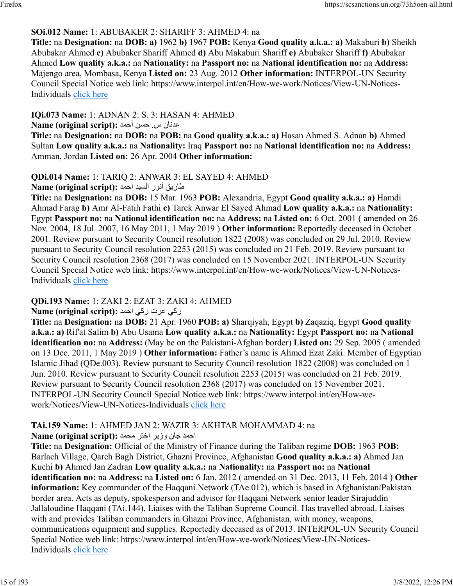## **SOi.012 Name:** 1: ABUBAKER 2: SHARIFF 3: AHMED 4: na

**Title:** na **Designation:** na **DOB: a)** 1962 **b)** 1967 **POB:** Kenya **Good quality a.k.a.: a)** Makaburi **b)** Sheikh Abubakar Ahmed **c)** Abubaker Shariff Ahmed **d)** Abu Makaburi Shariff **e)** Abubaker Shariff **f)** Abubakar Ahmed **Low quality a.k.a.:** na **Nationality:** na **Passport no:** na **National identification no:** na **Address:** Majengo area, Mombasa, Kenya **Listed on:** 23 Aug. 2012 **Other information:** INTERPOL-UN Security Council Special Notice web link: https://www.interpol.int/en/How-we-work/Notices/View-UN-Notices-Individuals [click here](https://www.interpol.int/en/How-we-work/Notices/View-UN-Notices-Individuals)

## **IQi.073 Name:** 1: ADNAN 2: S. 3: HASAN 4: AHMED

ناندع س . نسح دمحأ **:(script original (Name**

**Title:** na **Designation:** na **DOB:** na **POB:** na **Good quality a.k.a.: a)** Hasan Ahmed S. Adnan **b)** Ahmed Sultan **Low quality a.k.a.:** na **Nationality:** Iraq **Passport no:** na **National identification no:** na **Address:** Amman, Jordan **Listed on:** 26 Apr. 2004 **Other information:** 

## **QDi.014 Name:** 1: TARIQ 2: ANWAR 3: EL SAYED 4: AHMED

قاريق أنور السيد احمد :Name (original script)

**Title:** na **Designation:** na **DOB:** 15 Mar. 1963 **POB:** Alexandria, Egypt **Good quality a.k.a.: a)** Hamdi Ahmad Farag **b)** Amr Al-Fatih Fathi **c)** Tarek Anwar El Sayed Ahmad **Low quality a.k.a.:** na **Nationality:** Egypt **Passport no:** na **National identification no:** na **Address:** na **Listed on:** 6 Oct. 2001 ( amended on 26 Nov. 2004, 18 Jul. 2007, 16 May 2011, 1 May 2019 ) **Other information:** Reportedly deceased in October 2001. Review pursuant to Security Council resolution 1822 (2008) was concluded on 29 Jul. 2010. Review pursuant to Security Council resolution 2253 (2015) was concluded on 21 Feb. 2019. Review pursuant to Security Council resolution 2368 (2017) was concluded on 15 November 2021. INTERPOL-UN Security Council Special Notice web link: https://www.interpol.int/en/How-we-work/Notices/View-UN-Notices-Individuals [click here](https://www.interpol.int/en/How-we-work/Notices/View-UN-Notices-Individuals)

# **QDi.193 Name:** 1: ZAKI 2: EZAT 3: ZAKI 4: AHMED

### **زكي عزت زكي احمد :(Name (original script**

**Title:** na **Designation:** na **DOB:** 21 Apr. 1960 **POB: a)** Sharqiyah, Egypt **b)** Zaqaziq, Egypt **Good quality a.k.a.: a)** Rif'at Salim **b)** Abu Usama **Low quality a.k.a.:** na **Nationality:** Egypt **Passport no:** na **National identification no:** na **Address:** (May be on the Pakistani-Afghan border) **Listed on:** 29 Sep. 2005 ( amended on 13 Dec. 2011, 1 May 2019 ) **Other information:** Father's name is Ahmed Ezat Zaki. Member of Egyptian Islamic Jihad (QDe.003). Review pursuant to Security Council resolution 1822 (2008) was concluded on 1 Jun. 2010. Review pursuant to Security Council resolution 2253 (2015) was concluded on 21 Feb. 2019. Review pursuant to Security Council resolution 2368 (2017) was concluded on 15 November 2021. INTERPOL-UN Security Council Special Notice web link: https://www.interpol.int/en/How-wework/Notices/View-UN-Notices-Individuals [click here](https://www.interpol.int/en/How-we-work/Notices/View-UN-Notices-Individuals)

### **TAi.159 Name:** 1: AHMED JAN 2: WAZIR 3: AKHTAR MOHAMMAD 4: na

### دمحا ناج ريزو رتخا دمحم **:(script original (Name**

**Title:** na **Designation:** Official of the Ministry of Finance during the Taliban regime **DOB:** 1963 **POB:** Barlach Village, Qareh Bagh District, Ghazni Province, Afghanistan **Good quality a.k.a.: a)** Ahmed Jan Kuchi **b)** Ahmed Jan Zadran **Low quality a.k.a.:** na **Nationality:** na **Passport no:** na **National identification no:** na **Address:** na **Listed on:** 6 Jan. 2012 ( amended on 31 Dec. 2013, 11 Feb. 2014 ) **Other information:** Key commander of the Haqqani Network (TAe.012), which is based in Afghanistan/Pakistan border area. Acts as deputy, spokesperson and advisor for Haqqani Network senior leader Sirajuddin Jallaloudine Haqqani (TAi.144). Liaises with the Taliban Supreme Council. Has travelled abroad. Liaises with and provides Taliban commanders in Ghazni Province, Afghanistan, with money, weapons, communications equipment and supplies. Reportedly deceased as of 2013. INTERPOL-UN Security Council Special Notice web link: https://www.interpol.int/en/How-we-work/Notices/View-UN-Notices-Individuals [click here](https://www.interpol.int/en/How-we-work/Notices/View-UN-Notices-Individuals)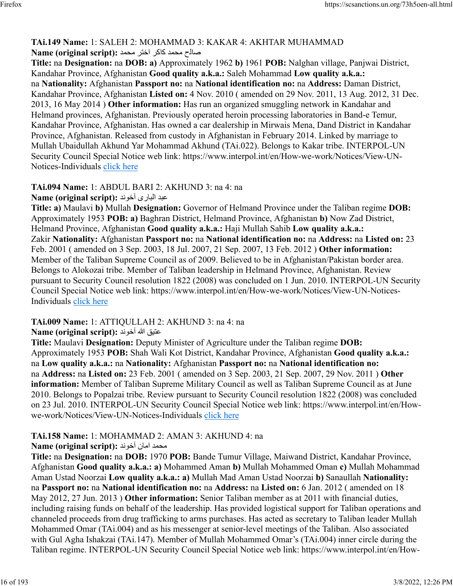# **TAi.149 Name:** 1: SALEH 2: MOHAMMAD 3: KAKAR 4: AKHTAR MUHAMMAD حلاص دمحم ركاك رتخا دمحم **:(script original (Name**

**Title:** na **Designation:** na **DOB: a)** Approximately 1962 **b)** 1961 **POB:** Nalghan village, Panjwai District, Kandahar Province, Afghanistan **Good quality a.k.a.:** Saleh Mohammad **Low quality a.k.a.:** na **Nationality:** Afghanistan **Passport no:** na **National identification no:** na **Address:** Daman District, Kandahar Province, Afghanistan **Listed on:** 4 Nov. 2010 ( amended on 29 Nov. 2011, 13 Aug. 2012, 31 Dec. 2013, 16 May 2014 ) **Other information:** Has run an organized smuggling network in Kandahar and Helmand provinces, Afghanistan. Previously operated heroin processing laboratories in Band-e Temur, Kandahar Province, Afghanistan. Has owned a car dealership in Mirwais Mena, Dand District in Kandahar Province, Afghanistan. Released from custody in Afghanistan in February 2014. Linked by marriage to Mullah Ubaidullah Akhund Yar Mohammad Akhund (TAi.022). Belongs to Kakar tribe. INTERPOL-UN Security Council Special Notice web link: https://www.interpol.int/en/How-we-work/Notices/View-UNNotices-Individuals [click here](https://www.interpol.int/en/How-we-work/Notices/View-UN-Notices-Individuals)

#### **TAi.094 Name:** 1: ABDUL BARI 2: AKHUND 3: na 4: na دبع یرابلا دنوخآ **:(script original (Name**

**Title: a)** Maulavi **b)** Mullah **Designation:** Governor of Helmand Province under the Taliban regime **DOB:** Approximately 1953 **POB: a)** Baghran District, Helmand Province, Afghanistan **b)** Now Zad District, Helmand Province, Afghanistan **Good quality a.k.a.:** Haji Mullah Sahib **Low quality a.k.a.:** Zakir **Nationality:** Afghanistan **Passport no:** na **National identification no:** na **Address:** na **Listed on:** 23 Feb. 2001 ( amended on 3 Sep. 2003, 18 Jul. 2007, 21 Sep. 2007, 13 Feb. 2012 ) **Other information:** Member of the Taliban Supreme Council as of 2009. Believed to be in Afghanistan/Pakistan border area. Belongs to Alokozai tribe. Member of Taliban leadership in Helmand Province, Afghanistan. Review pursuant to Security Council resolution 1822 (2008) was concluded on 1 Jun. 2010. INTERPOL-UN Security Council Special Notice web link: https://www.interpol.int/en/How-we-work/Notices/View-UN-Notices-Individuals [click here](https://www.interpol.int/en/How-we-work/Notices/View-UN-Notices-Individuals)

# **TAi.009 Name:** 1: ATTIQULLAH 2: AKHUND 3: na 4: na

# قيتع الله دنوخآ **:(script original (Name**

**Title:** Maulavi **Designation:** Deputy Minister of Agriculture under the Taliban regime **DOB:** Approximately 1953 **POB:** Shah Wali Kot District, Kandahar Province, Afghanistan **Good quality a.k.a.:** na **Low quality a.k.a.:** na **Nationality:** Afghanistan **Passport no:** na **National identification no:** na **Address:** na **Listed on:** 23 Feb. 2001 ( amended on 3 Sep. 2003, 21 Sep. 2007, 29 Nov. 2011 ) **Other information:** Member of Taliban Supreme Military Council as well as Taliban Supreme Council as at June 2010. Belongs to Popalzai tribe. Review pursuant to Security Council resolution 1822 (2008) was concluded on 23 Jul. 2010. INTERPOL-UN Security Council Special Notice web link: https://www.interpol.int/en/Howwe-work/Notices/View-UN-Notices-Individuals [click here](https://www.interpol.int/en/How-we-work/Notices/View-UN-Notices-Individuals)

# **TAi.158 Name:** 1: MOHAMMAD 2: AMAN 3: AKHUND 4: na

# محمد امان أخوند **: Name (original script)**

**Title:** na **Designation:** na **DOB:** 1970 **POB:** Bande Tumur Village, Maiwand District, Kandahar Province, Afghanistan **Good quality a.k.a.: a)** Mohammed Aman **b)** Mullah Mohammed Oman **c)** Mullah Mohammad Aman Ustad Noorzai **Low quality a.k.a.: a)** Mullah Mad Aman Ustad Noorzai **b)** Sanaullah **Nationality:** na **Passport no:** na **National identification no:** na **Address:** na **Listed on:** 6 Jan. 2012 ( amended on 18 May 2012, 27 Jun. 2013 ) **Other information:** Senior Taliban member as at 2011 with financial duties, including raising funds on behalf of the leadership. Has provided logistical support for Taliban operations and channeled proceeds from drug trafficking to arms purchases. Has acted as secretary to Taliban leader Mullah Mohammed Omar (TAi.004) and as his messenger at senior-level meetings of the Taliban. Also associated with Gul Agha Ishakzai (TAi.147). Member of Mullah Mohammed Omar's (TAi.004) inner circle during the Taliban regime. INTERPOL-UN Security Council Special Notice web link: https://www.interpol.int/en/How-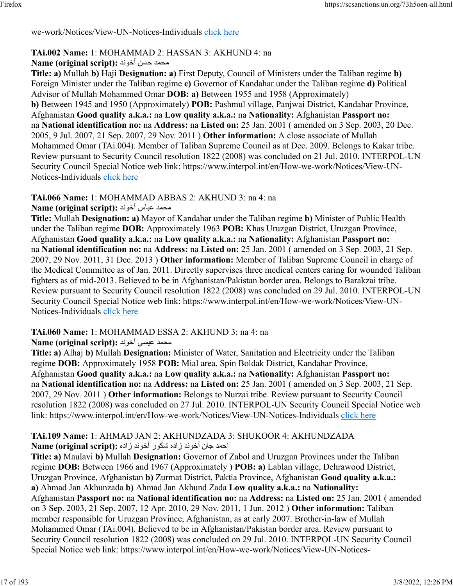## we-work/Notices/View-UN-Notices-Individuals [click here](https://www.interpol.int/en/How-we-work/Notices/View-UN-Notices-Individuals)

## **TAi.002 Name:** 1: MOHAMMAD 2: HASSAN 3: AKHUND 4: na

## دمحم نسح دنوخآ **:(script original (Name**

**Title: a)** Mullah **b)** Haji **Designation: a)** First Deputy, Council of Ministers under the Taliban regime **b)** Foreign Minister under the Taliban regime **c)** Governor of Kandahar under the Taliban regime **d)** Political Advisor of Mullah Mohammed Omar **DOB: a)** Between 1955 and 1958 (Approximately) **b)** Between 1945 and 1950 (Approximately) **POB:** Pashmul village, Panjwai District, Kandahar Province, Afghanistan **Good quality a.k.a.:** na **Low quality a.k.a.:** na **Nationality:** Afghanistan **Passport no:** na **National identification no:** na **Address:** na **Listed on:** 25 Jan. 2001 ( amended on 3 Sep. 2003, 20 Dec. 2005, 9 Jul. 2007, 21 Sep. 2007, 29 Nov. 2011 ) **Other information:** A close associate of Mullah Mohammed Omar (TAi.004). Member of Taliban Supreme Council as at Dec. 2009. Belongs to Kakar tribe. Review pursuant to Security Council resolution 1822 (2008) was concluded on 21 Jul. 2010. INTERPOL-UN Security Council Special Notice web link: https://www.interpol.int/en/How-we-work/Notices/View-UN-Notices-Individuals [click here](https://www.interpol.int/en/How-we-work/Notices/View-UN-Notices-Individuals)

## **TAi.066 Name:** 1: MOHAMMAD ABBAS 2: AKHUND 3: na 4: na

### دمحم سابع دنوخآ **:(script original (Name**

**Title:** Mullah **Designation: a)** Mayor of Kandahar under the Taliban regime **b)** Minister of Public Health under the Taliban regime **DOB:** Approximately 1963 **POB:** Khas Uruzgan District, Uruzgan Province, Afghanistan **Good quality a.k.a.:** na **Low quality a.k.a.:** na **Nationality:** Afghanistan **Passport no:** na **National identification no:** na **Address:** na **Listed on:** 25 Jan. 2001 ( amended on 3 Sep. 2003, 21 Sep. 2007, 29 Nov. 2011, 31 Dec. 2013 ) **Other information:** Member of Taliban Supreme Council in charge of the Medical Committee as of Jan. 2011. Directly supervises three medical centers caring for wounded Taliban fighters as of mid-2013. Believed to be in Afghanistan/Pakistan border area. Belongs to Barakzai tribe. Review pursuant to Security Council resolution 1822 (2008) was concluded on 29 Jul. 2010. INTERPOL-UN Security Council Special Notice web link: https://www.interpol.int/en/How-we-work/Notices/View-UN-Notices-Individuals [click here](https://www.interpol.int/en/How-we-work/Notices/View-UN-Notices-Individuals)

# **TAi.060 Name:** 1: MOHAMMAD ESSA 2: AKHUND 3: na 4: na

### دمحم یسيع دنوخآ **:(script original (Name**

**Title: a)** Alhaj **b)** Mullah **Designation:** Minister of Water, Sanitation and Electricity under the Taliban regime **DOB:** Approximately 1958 **POB:** Mial area, Spin Boldak District, Kandahar Province, Afghanistan **Good quality a.k.a.:** na **Low quality a.k.a.:** na **Nationality:** Afghanistan **Passport no:** na **National identification no:** na **Address:** na **Listed on:** 25 Jan. 2001 ( amended on 3 Sep. 2003, 21 Sep. 2007, 29 Nov. 2011 ) **Other information:** Belongs to Nurzai tribe. Review pursuant to Security Council resolution 1822 (2008) was concluded on 27 Jul. 2010. INTERPOL-UN Security Council Special Notice web link: https://www.interpol.int/en/How-we-work/Notices/View-UN-Notices-Individuals [click here](https://www.interpol.int/en/How-we-work/Notices/View-UN-Notices-Individuals)

### **TAi.109 Name:** 1: AHMAD JAN 2: AKHUNDZADA 3: SHUKOOR 4: AKHUNDZADA احمد جان آخوند زاده شكور آخوند زاده :**Name (original script)**

**Title: a)** Maulavi **b)** Mullah **Designation:** Governor of Zabol and Uruzgan Provinces under the Taliban regime **DOB:** Between 1966 and 1967 (Approximately ) **POB: a)** Lablan village, Dehrawood District, Uruzgan Province, Afghanistan **b)** Zurmat District, Paktia Province, Afghanistan **Good quality a.k.a.: a)** Ahmad Jan Akhunzada **b)** Ahmad Jan Akhund Zada **Low quality a.k.a.:** na **Nationality:** Afghanistan **Passport no:** na **National identification no:** na **Address:** na **Listed on:** 25 Jan. 2001 ( amended on 3 Sep. 2003, 21 Sep. 2007, 12 Apr. 2010, 29 Nov. 2011, 1 Jun. 2012 ) **Other information:** Taliban member responsible for Uruzgan Province, Afghanistan, as at early 2007. Brother-in-law of Mullah Mohammed Omar (TAi.004). Believed to be in Afghanistan/Pakistan border area. Review pursuant to Security Council resolution 1822 (2008) was concluded on 29 Jul. 2010. INTERPOL-UN Security Council Special Notice web link: https://www.interpol.int/en/How-we-work/Notices/View-UN-Notices-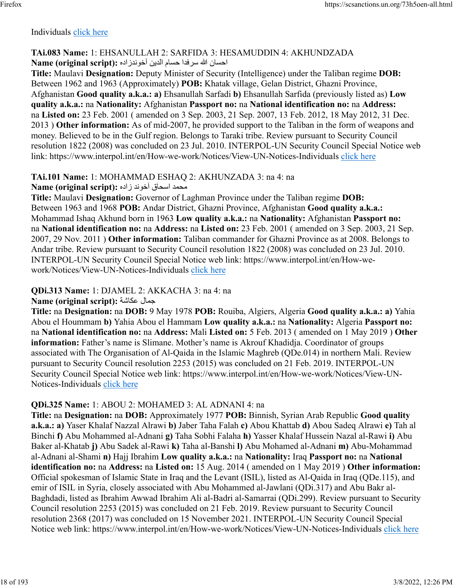#### Individuals [click here](https://www.interpol.int/en/How-we-work/Notices/View-UN-Notices-Individuals)

#### **TAi.083 Name:** 1: EHSANULLAH 2: SARFIDA 3: HESAMUDDIN 4: AKHUNDZADA ناحسان الله سرفدا حسام الدين آخوندزاده :(Name (original script

**Title:** Maulavi **Designation:** Deputy Minister of Security (Intelligence) under the Taliban regime **DOB:** Between 1962 and 1963 (Approximately) **POB:** Khatak village, Gelan District, Ghazni Province, Afghanistan **Good quality a.k.a.: a)** Ehsanullah Sarfadi **b)** Ehsanullah Sarfida (previously listed as) **Low quality a.k.a.:** na **Nationality:** Afghanistan **Passport no:** na **National identification no:** na **Address:** na **Listed on:** 23 Feb. 2001 ( amended on 3 Sep. 2003, 21 Sep. 2007, 13 Feb. 2012, 18 May 2012, 31 Dec. 2013 ) **Other information:** As of mid-2007, he provided support to the Taliban in the form of weapons and money. Believed to be in the Gulf region. Belongs to Taraki tribe. Review pursuant to Security Council resolution 1822 (2008) was concluded on 23 Jul. 2010. INTERPOL-UN Security Council Special Notice web link: https://www.interpol.int/en/How-we-work/Notices/View-UN-Notices-Individuals [click here](https://www.interpol.int/en/How-we-work/Notices/View-UN-Notices-Individuals)

### **TAi.101 Name:** 1: MOHAMMAD ESHAQ 2: AKHUNZADA 3: na 4: na

محمد اسحاق آخوند زاده :(Name (original script

**Title:** Maulavi **Designation:** Governor of Laghman Province under the Taliban regime **DOB:** Between 1963 and 1968 **POB:** Andar District, Ghazni Province, Afghanistan **Good quality a.k.a.:** Mohammad Ishaq Akhund born in 1963 **Low quality a.k.a.:** na **Nationality:** Afghanistan **Passport no:** na **National identification no:** na **Address:** na **Listed on:** 23 Feb. 2001 ( amended on 3 Sep. 2003, 21 Sep. 2007, 29 Nov. 2011 ) **Other information:** Taliban commander for Ghazni Province as at 2008. Belongs to Andar tribe. Review pursuant to Security Council resolution 1822 (2008) was concluded on 23 Jul. 2010. INTERPOL-UN Security Council Special Notice web link: https://www.interpol.int/en/How-wework/Notices/View-UN-Notices-Individuals [click here](https://www.interpol.int/en/How-we-work/Notices/View-UN-Notices-Individuals)

## **QDi.313 Name:** 1: DJAMEL 2: AKKACHA 3: na 4: na

**Name (original script):** ةشاكع لامج

**Title:** na **Designation:** na **DOB:** 9 May 1978 **POB:** Rouiba, Algiers, Algeria **Good quality a.k.a.: a)** Yahia Abou el Hoummam **b)** Yahia Abou el Hammam **Low quality a.k.a.:** na **Nationality:** Algeria **Passport no:** na **National identification no:** na **Address:** Mali **Listed on:** 5 Feb. 2013 ( amended on 1 May 2019 ) **Other information:** Father's name is Slimane. Mother's name is Akrouf Khadidja. Coordinator of groups associated with The Organisation of Al-Qaida in the Islamic Maghreb (QDe.014) in northern Mali. Review pursuant to Security Council resolution 2253 (2015) was concluded on 21 Feb. 2019. INTERPOL-UN Security Council Special Notice web link: https://www.interpol.int/en/How-we-work/Notices/View-UN-Notices-Individuals [click here](https://www.interpol.int/en/How-we-work/Notices/View-UN-Notices-Individuals)

### **QDi.325 Name:** 1: ABOU 2: MOHAMED 3: AL ADNANI 4: na

**Title:** na **Designation:** na **DOB:** Approximately 1977 **POB:** Binnish, Syrian Arab Republic **Good quality a.k.a.: a)** Yaser Khalaf Nazzal Alrawi **b)** Jaber Taha Falah **c)** Abou Khattab **d)** Abou Sadeq Alrawi **e)** Tah al Binchi **f)** Abu Mohammed al-Adnani **g)** Taha Sobhi Falaha **h)** Yasser Khalaf Hussein Nazal al-Rawi **i)** Abu Baker al-Khatab **j)** Abu Sadek al-Rawi **k)** Taha al-Banshi **l)** Abu Mohamed al-Adnani **m)** Abu-Mohammad al-Adnani al-Shami **n)** Hajj Ibrahim **Low quality a.k.a.:** na **Nationality:** Iraq **Passport no:** na **National identification no:** na **Address:** na **Listed on:** 15 Aug. 2014 ( amended on 1 May 2019 ) **Other information:** Official spokesman of Islamic State in Iraq and the Levant (ISIL), listed as Al-Qaida in Iraq (QDe.115), and emir of ISIL in Syria, closely associated with Abu Mohammed al-Jawlani (QDi.317) and Abu Bakr al-Baghdadi, listed as Ibrahim Awwad Ibrahim Ali al-Badri al-Samarrai (QDi.299). Review pursuant to Security Council resolution 2253 (2015) was concluded on 21 Feb. 2019. Review pursuant to Security Council resolution 2368 (2017) was concluded on 15 November 2021. INTERPOL-UN Security Council Special Notice web link: https://www.interpol.int/en/How-we-work/Notices/View-UN-Notices-Individuals [click here](https://www.interpol.int/en/How-we-work/Notices/View-UN-Notices-Individuals)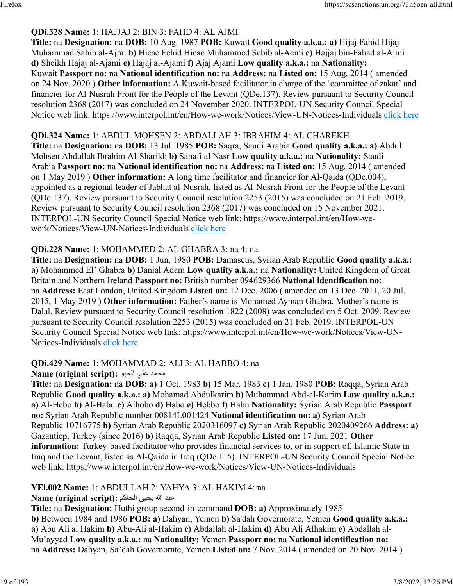## **QDi.328 Name:** 1: HAJJAJ 2: BIN 3: FAHD 4: AL AJMI

**Title:** na **Designation:** na **DOB:** 10 Aug. 1987 **POB:** Kuwait **Good quality a.k.a.: a)** Hijaj Fahid Hijaj Muhammad Sahib al-Ajmi **b)** Hicac Fehid Hicac Muhammed Sebib al-Acmi **c)** Hajjaj bin-Fahad al-Ajmi **d)** Sheikh Hajaj al-Ajami **e)** Hajaj al-Ajami **f)** Ajaj Ajami **Low quality a.k.a.:** na **Nationality:** Kuwait **Passport no:** na **National identification no:** na **Address:** na **Listed on:** 15 Aug. 2014 ( amended on 24 Nov. 2020 ) **Other information:** A Kuwait-based facilitator in charge of the 'committee of zakat' and financier for Al-Nusrah Front for the People of the Levant (QDe.137). Review pursuant to Security Council resolution 2368 (2017) was concluded on 24 November 2020. INTERPOL-UN Security Council Special Notice web link: https://www.interpol.int/en/How-we-work/Notices/View-UN-Notices-Individuals [click here](https://www.interpol.int/en/How-we-work/Notices/View-UN-Notices-Individuals)

## **QDi.324 Name:** 1: ABDUL MOHSEN 2: ABDALLAH 3: IBRAHIM 4: AL CHAREKH

**Title:** na **Designation:** na **DOB:** 13 Jul. 1985 **POB:** Saqra, Saudi Arabia **Good quality a.k.a.: a)** Abdul Mohsen Abdullah Ibrahim Al-Sharikh **b)** Sanafi al Nasr **Low quality a.k.a.:** na **Nationality:** Saudi Arabia **Passport no:** na **National identification no:** na **Address:** na **Listed on:** 15 Aug. 2014 ( amended on 1 May 2019 ) **Other information:** A long time facilitator and financier for Al-Qaida (QDe.004), appointed as a regional leader of Jabhat al-Nusrah, listed as Al-Nusrah Front for the People of the Levant (QDe.137). Review pursuant to Security Council resolution 2253 (2015) was concluded on 21 Feb. 2019. Review pursuant to Security Council resolution 2368 (2017) was concluded on 15 November 2021. INTERPOL-UN Security Council Special Notice web link: https://www.interpol.int/en/How-wework/Notices/View-UN-Notices-Individuals [click here](https://www.interpol.int/en/How-we-work/Notices/View-UN-Notices-Individuals)

### **QDi.228 Name:** 1: MOHAMMED 2: AL GHABRA 3: na 4: na

**Title:** na **Designation:** na **DOB:** 1 Jun. 1980 **POB:** Damascus, Syrian Arab Republic **Good quality a.k.a.: a)** Mohammed El' Ghabra **b)** Danial Adam **Low quality a.k.a.:** na **Nationality:** United Kingdom of Great Britain and Northern Ireland **Passport no:** British number 094629366 **National identification no:** na **Address:** East London, United Kingdom **Listed on:** 12 Dec. 2006 ( amended on 13 Dec. 2011, 20 Jul. 2015, 1 May 2019 ) **Other information:** Father's name is Mohamed Ayman Ghabra. Mother's name is Dalal. Review pursuant to Security Council resolution 1822 (2008) was concluded on 5 Oct. 2009. Review pursuant to Security Council resolution 2253 (2015) was concluded on 21 Feb. 2019. INTERPOL-UN Security Council Special Notice web link: https://www.interpol.int/en/How-we-work/Notices/View-UN-Notices-Individuals [click here](https://www.interpol.int/en/How-we-work/Notices/View-UN-Notices-Individuals)

### **QDi.429 Name:** 1: MOHAMMAD 2: ALI 3: AL HABBO 4: na

### دمحمد على الحبو **:** (Name (original script

**Title:** na **Designation:** na **DOB: a)** 1 Oct. 1983 **b)** 15 Mar. 1983 **c)** 1 Jan. 1980 **POB:** Raqqa, Syrian Arab Republic **Good quality a.k.a.: a)** Mohamad Abdulkarim **b)** Muhammad Abd-al-Karim **Low quality a.k.a.: a)** Al-Hebo **b)** Al-Habu **c)** Alhobo **d)** Habo **e)** Hebbo **f)** Habu **Nationality:** Syrian Arab Republic **Passport no:** Syrian Arab Republic number 00814L001424 **National identification no: a)** Syrian Arab Republic 10716775 **b)** Syrian Arab Republic 2020316097 **c)** Syrian Arab Republic 2020409266 **Address: a)** Gazantiep, Turkey (since 2016) **b)** Raqqa, Syrian Arab Republic **Listed on:** 17 Jun. 2021 **Other information:** Turkey-based facilitator who provides financial services to, or in support of, Islamic State in Iraq and the Levant, listed as Al-Qaida in Iraq (QDe.115). INTERPOL-UN Security Council Special Notice web link: https://www.interpol.int/en/How-we-work/Notices/View-UN-Notices-Individuals

**YEi.002 Name:** 1: ABDULLAH 2: YAHYA 3: AL HAKIM 4: na

دبع الله ىيحي مكاحلا **:(script original (Name**

**Title:** na **Designation:** Huthi group second-in-command **DOB: a)** Approximately 1985 **b)** Between 1984 and 1986 **POB: a)** Dahyan, Yemen **b)** Sa'dah Governorate, Yemen **Good quality a.k.a.: a)** Abu Ali al Hakim **b)** Abu-Ali al-Hakim **c)** Abdallah al-Hakim **d)** Abu Ali Alhakim **e)** Abdallah al-Mu'ayyad **Low quality a.k.a.:** na **Nationality:** Yemen **Passport no:** na **National identification no:** na **Address:** Dahyan, Sa'dah Governorate, Yemen **Listed on:** 7 Nov. 2014 ( amended on 20 Nov. 2014 )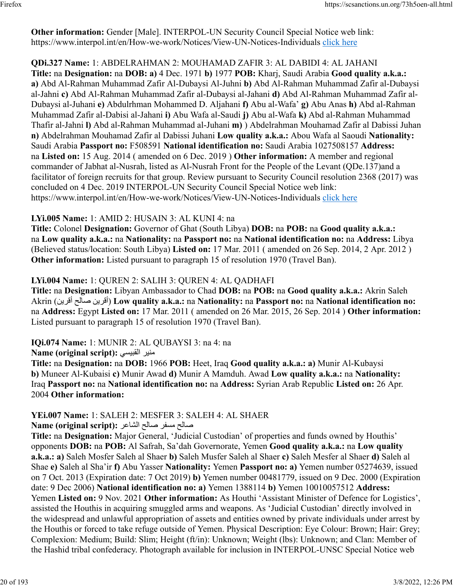**Other information:** Gender [Male]. INTERPOL-UN Security Council Special Notice web link: https://www.interpol.int/en/How-we-work/Notices/View-UN-Notices-Individuals [click here](https://www.interpol.int/en/How-we-work/Notices/View-UN-Notices-Individuals)

**QDi.327 Name:** 1: ABDELRAHMAN 2: MOUHAMAD ZAFIR 3: AL DABIDI 4: AL JAHANI **Title:** na **Designation:** na **DOB: a)** 4 Dec. 1971 **b)** 1977 **POB:** Kharj, Saudi Arabia **Good quality a.k.a.: a)** Abd Al-Rahman Muhammad Zafir Al-Dubaysi Al-Juhni **b)** Abd Al-Rahman Muhammad Zafir al-Dubaysi al-Jahni **c)** Abd Al-Rahman Muhammad Zafir al-Dubaysi al-Jahani **d)** Abd Al-Rahman Muhammad Zafir al-Dubaysi al-Juhani **e)** Abdulrhman Mohammed D. Aljahani **f)** Abu al-Wafa' **g)** Abu Anas **h)** Abd al-Rahman Muhammad Zafir al-Dabisi al-Jahani **i)** Abu Wafa al-Saudi **j)** Abu al-Wafa **k)** Abd al-Rahman Muhammad Thafir al-Jahni **l)** Abd al-Rahman Muhammad al-Juhani **m)** ) Abdelrahman Mouhamad Zafir al Dabissi Juhan **n)** Abdelrahman Mouhamad Zafir al Dabissi Juhani **Low quality a.k.a.:** Abou Wafa al Saoudi **Nationality:** Saudi Arabia **Passport no:** F508591 **National identification no:** Saudi Arabia 1027508157 **Address:** na **Listed on:** 15 Aug. 2014 ( amended on 6 Dec. 2019 ) **Other information:** A member and regional commander of Jabhat al-Nusrah, listed as Al-Nusrah Front for the People of the Levant (QDe.137)and a facilitator of foreign recruits for that group. Review pursuant to Security Council resolution 2368 (2017) was concluded on 4 Dec. 2019 INTERPOL-UN Security Council Special Notice web link: https://www.interpol.int/en/How-we-work/Notices/View-UN-Notices-Individuals [click here](https://www.interpol.int/en/How-we-work/Notices/View-UN-Notices-Individuals)

#### **LYi.005 Name:** 1: AMID 2: HUSAIN 3: AL KUNI 4: na

**Title:** Colonel **Designation:** Governor of Ghat (South Libya) **DOB:** na **POB:** na **Good quality a.k.a.:** na **Low quality a.k.a.:** na **Nationality:** na **Passport no:** na **National identification no:** na **Address:** Libya (Believed status/location: South Libya) **Listed on:** 17 Mar. 2011 ( amended on 26 Sep. 2014, 2 Apr. 2012 ) **Other information:** Listed pursuant to paragraph 15 of resolution 1970 (Travel Ban).

### **LYi.004 Name:** 1: QUREN 2: SALIH 3: QUREN 4: AL QADHAFI

**Title:** na **Designation:** Libyan Ambassador to Chad **DOB:** na **POB:** na **Good quality a.k.a.:** Akrin Saleh Akrin ( نيرقأ حلاص نيرقأ ( **Low quality a.k.a.:** na **Nationality:** na **Passport no:** na **National identification no:** na **Address:** Egypt **Listed on:** 17 Mar. 2011 ( amended on 26 Mar. 2015, 26 Sep. 2014 ) **Other information:** Listed pursuant to paragraph 15 of resolution 1970 (Travel Ban).

**IQi.074 Name:** 1: MUNIR 2: AL QUBAYSI 3: na 4: na

**Name (original script):** يسيبقلا رينم

**Title:** na **Designation:** na **DOB:** 1966 **POB:** Heet, Iraq **Good quality a.k.a.: a)** Munir Al-Kubaysi **b)** Muneer Al-Kubaisi **c)** Munir Awad **d)** Munir A Mamduh. Awad **Low quality a.k.a.:** na **Nationality:** Iraq **Passport no:** na **National identification no:** na **Address:** Syrian Arab Republic **Listed on:** 26 Apr. 2004 **Other information:** 

### **YEi.007 Name:** 1: SALEH 2: MESFER 3: SALEH 4: AL SHAER

حلاص رفسم حلاص رعاشلا **:(script original (Name**

**Title:** na **Designation:** Major General, 'Judicial Custodian' of properties and funds owned by Houthis' opponents **DOB:** na **POB:** Al Safrah, Sa'dah Governorate, Yemen **Good quality a.k.a.:** na **Low quality a.k.a.: a)** Saleh Mosfer Saleh al Shaer **b)** Saleh Musfer Saleh al Shaer **c)** Saleh Mesfer al Shaer **d)** Saleh al Shae **e)** Saleh al Sha'ir **f)** Abu Yasser **Nationality:** Yemen **Passport no: a)** Yemen number 05274639, issued on 7 Oct. 2013 (Expiration date: 7 Oct 2019) **b)** Yemen number 00481779, issued on 9 Dec. 2000 (Expiration date: 9 Dec 2006) **National identification no: a)** Yemen 1388114 **b)** Yemen 10010057512 **Address:** Yemen **Listed on:** 9 Nov. 2021 **Other information:** As Houthi 'Assistant Minister of Defence for Logistics', assisted the Houthis in acquiring smuggled arms and weapons. As 'Judicial Custodian' directly involved in the widespread and unlawful appropriation of assets and entities owned by private individuals under arrest by the Houthis or forced to take refuge outside of Yemen. Physical Description: Eye Colour: Brown; Hair: Grey; Complexion: Medium; Build: Slim; Height (ft/in): Unknown; Weight (lbs): Unknown; and Clan: Member of the Hashid tribal confederacy. Photograph available for inclusion in INTERPOL-UNSC Special Notice web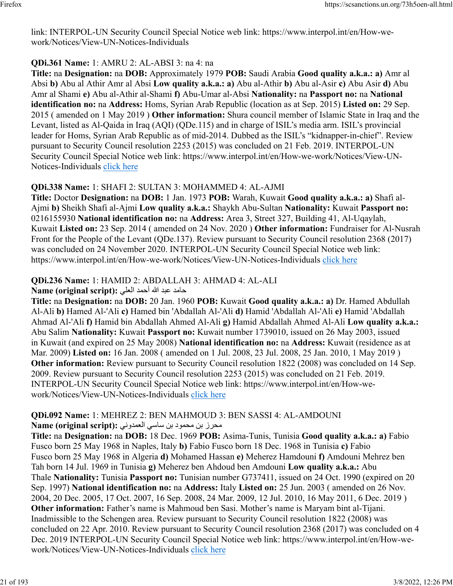link: INTERPOL-UN Security Council Special Notice web link: https://www.interpol.int/en/How-wework/Notices/View-UN-Notices-Individuals

### **QDi.361 Name:** 1: AMRU 2: AL-ABSI 3: na 4: na

**Title:** na **Designation:** na **DOB:** Approximately 1979 **POB:** Saudi Arabia **Good quality a.k.a.: a)** Amr al Absi **b)** Abu al Athir Amr al Absi **Low quality a.k.a.: a)** Abu al-Athir **b)** Abu al-Asir **c)** Abu Asir **d)** Abu Amr al Shami **e)** Abu al-Athir al-Shami **f)** Abu-Umar al-Absi **Nationality:** na **Passport no:** na **National identification no:** na **Address:** Homs, Syrian Arab Republic (location as at Sep. 2015) **Listed on:** 29 Sep. 2015 ( amended on 1 May 2019 ) **Other information:** Shura council member of Islamic State in Iraq and the Levant, listed as Al-Qaida in Iraq (AQI) (QDe.115) and in charge of ISIL's media arm. ISIL's provincial leader for Homs, Syrian Arab Republic as of mid-2014. Dubbed as the ISIL's "kidnapper-in-chief". Review pursuant to Security Council resolution 2253 (2015) was concluded on 21 Feb. 2019. INTERPOL-UN Security Council Special Notice web link: https://www.interpol.int/en/How-we-work/Notices/View-UNNotices-Individuals [click here](https://www.interpol.int/en/How-we-work/Notices/View-UN-Notices-Individuals)

### **QDi.338 Name:** 1: SHAFI 2: SULTAN 3: MOHAMMED 4: AL-AJMI

**Title:** Doctor **Designation:** na **DOB:** 1 Jan. 1973 **POB:** Warah, Kuwait **Good quality a.k.a.: a)** Shafi al-Ajmi **b)** Sheikh Shafi al-Ajmi **Low quality a.k.a.:** Shaykh Abu-Sultan **Nationality:** Kuwait **Passport no:** 0216155930 **National identification no:** na **Address:** Area 3, Street 327, Building 41, Al-Uqaylah, Kuwait **Listed on:** 23 Sep. 2014 ( amended on 24 Nov. 2020 ) **Other information:** Fundraiser for Al-Nusrah Front for the People of the Levant (QDe.137). Review pursuant to Security Council resolution 2368 (2017) was concluded on 24 November 2020. INTERPOL-UN Security Council Special Notice web link: https://www.interpol.int/en/How-we-work/Notices/View-UN-Notices-Individuals [click here](https://www.interpol.int/en/How-we-work/Notices/View-UN-Notices-Individuals)

## **QDi.236 Name:** 1: HAMID 2: ABDALLAH 3: AHMAD 4: AL-ALI

دماح دبع الله دمحأ يلعلا **:(script original (Name**

**Title:** na **Designation:** na **DOB:** 20 Jan. 1960 **POB:** Kuwait **Good quality a.k.a.: a)** Dr. Hamed Abdullah Al-Ali **b)** Hamed Al-'Ali **c)** Hamed bin 'Abdallah Al-'Ali **d)** Hamid 'Abdallah Al-'Ali **e)** Hamid 'Abdallah Ahmad Al-'Ali **f)** Hamid bin Abdallah Ahmed Al-Ali **g)** Hamid Abdallah Ahmed Al-Ali **Low quality a.k.a.:** Abu Salim **Nationality:** Kuwait **Passport no:** Kuwait number 1739010, issued on 26 May 2003, issued in Kuwait (and expired on 25 May 2008) **National identification no:** na **Address:** Kuwait (residence as at Mar. 2009) **Listed on:** 16 Jan. 2008 ( amended on 1 Jul. 2008, 23 Jul. 2008, 25 Jan. 2010, 1 May 2019 ) **Other information:** Review pursuant to Security Council resolution 1822 (2008) was concluded on 14 Sep. 2009. Review pursuant to Security Council resolution 2253 (2015) was concluded on 21 Feb. 2019. INTERPOL-UN Security Council Special Notice web link: https://www.interpol.int/en/How-wework/Notices/View-UN-Notices-Individuals [click here](https://www.interpol.int/en/How-we-work/Notices/View-UN-Notices-Individuals)

# **QDi.092 Name:** 1: MEHREZ 2: BEN MAHMOUD 3: BEN SASSI 4: AL-AMDOUNI

زرحم نب دومحم نب يساس ينودمعلا **:(script original (Name**

**Title:** na **Designation:** na **DOB:** 18 Dec. 1969 **POB:** Asima-Tunis, Tunisia **Good quality a.k.a.: a)** Fabio Fusco born 25 May 1968 in Naples, Italy **b)** Fabio Fusco born 18 Dec. 1968 in Tunisia **c)** Fabio Fusco born 25 May 1968 in Algeria **d)** Mohamed Hassan **e)** Meherez Hamdouni **f)** Amdouni Mehrez ben Tah born 14 Jul. 1969 in Tunisia **g)** Meherez ben Ahdoud ben Amdouni **Low quality a.k.a.:** Abu Thale **Nationality:** Tunisia **Passport no:** Tunisian number G737411, issued on 24 Oct. 1990 (expired on 20 Sep. 1997) **National identification no:** na **Address:** Italy **Listed on:** 25 Jun. 2003 ( amended on 26 Nov. 2004, 20 Dec. 2005, 17 Oct. 2007, 16 Sep. 2008, 24 Mar. 2009, 12 Jul. 2010, 16 May 2011, 6 Dec. 2019 ) **Other information:** Father's name is Mahmoud ben Sasi. Mother's name is Maryam bint al-Tijani. Inadmissible to the Schengen area. Review pursuant to Security Council resolution 1822 (2008) was concluded on 22 Apr. 2010. Review pursuant to Security Council resolution 2368 (2017) was concluded on 4 Dec. 2019 INTERPOL-UN Security Council Special Notice web link: https://www.interpol.int/en/How-wework/Notices/View-UN-Notices-Individuals [click here](https://www.interpol.int/en/How-we-work/Notices/View-UN-Notices-Individuals)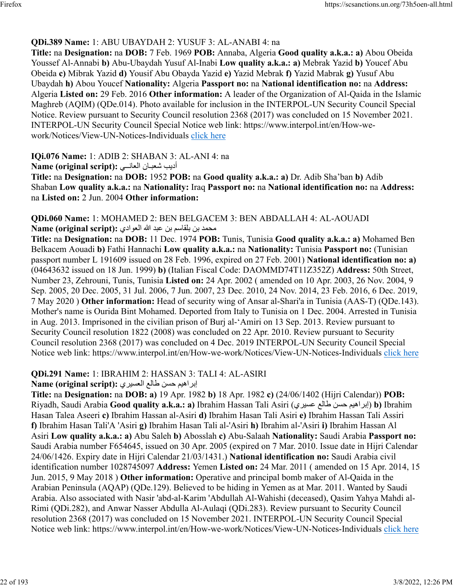## **QDi.389 Name:** 1: ABU UBAYDAH 2: YUSUF 3: AL-ANABI 4: na

**Title:** na **Designation:** na **DOB:** 7 Feb. 1969 **POB:** Annaba, Algeria **Good quality a.k.a.: a)** Abou Obeida Youssef Al-Annabi **b)** Abu-Ubaydah Yusuf Al-Inabi **Low quality a.k.a.: a)** Mebrak Yazid **b)** Youcef Abu Obeida **c)** Mibrak Yazid **d)** Yousif Abu Obayda Yazid **e)** Yazid Mebrak **f)** Yazid Mabrak **g)** Yusuf Abu Ubaydah **h)** Abou Youcef **Nationality:** Algeria **Passport no:** na **National identification no:** na **Address:** Algeria **Listed on:** 29 Feb. 2016 **Other information:** A leader of the Organization of Al-Qaida in the Islamic Maghreb (AQIM) (QDe.014). Photo available for inclusion in the INTERPOL-UN Security Council Special Notice. Review pursuant to Security Council resolution 2368 (2017) was concluded on 15 November 2021. INTERPOL-UN Security Council Special Notice web link: https://www.interpol.int/en/How-wework/Notices/View-UN-Notices-Individuals [click here](https://www.interpol.int/en/How-we-work/Notices/View-UN-Notices-Individuals)

### **IQi.076 Name:** 1: ADIB 2: SHABAN 3: AL-ANI 4: na

بيدأ ناـبعش يــناعلا **:(script original (Name**

**Title:** na **Designation:** na **DOB:** 1952 **POB:** na **Good quality a.k.a.: a)** Dr. Adib Sha'ban **b)** Adib Shaban **Low quality a.k.a.:** na **Nationality:** Iraq **Passport no:** na **National identification no:** na **Address:** na **Listed on:** 2 Jun. 2004 **Other information:** 

#### **QDi.060 Name:** 1: MOHAMED 2: BEN BELGACEM 3: BEN ABDALLAH 4: AL-AOUADI دمحم نب مساقلب نب دبع الله يداوعلا **:(script original (Name**

**Title:** na **Designation:** na **DOB:** 11 Dec. 1974 **POB:** Tunis, Tunisia **Good quality a.k.a.: a)** Mohamed Ben Belkacem Aouadi **b)** Fathi Hannachi **Low quality a.k.a.:** na **Nationality:** Tunisia **Passport no:** (Tunisian passport number L 191609 issued on 28 Feb. 1996, expired on 27 Feb. 2001) **National identification no: a)** (04643632 issued on 18 Jun. 1999) **b)** (Italian Fiscal Code: DAOMMD74T11Z352Z) **Address:** 50th Street, Number 23, Zehrouni, Tunis, Tunisia **Listed on:** 24 Apr. 2002 ( amended on 10 Apr. 2003, 26 Nov. 2004, 9 Sep. 2005, 20 Dec. 2005, 31 Jul. 2006, 7 Jun. 2007, 23 Dec. 2010, 24 Nov. 2014, 23 Feb. 2016, 6 Dec. 2019, 7 May 2020 ) **Other information:** Head of security wing of Ansar al-Shari'a in Tunisia (AAS-T) (QDe.143). Mother's name is Ourida Bint Mohamed. Deported from Italy to Tunisia on 1 Dec. 2004. Arrested in Tunisia in Aug. 2013. Imprisoned in the civilian prison of Burj al-'Amiri on 13 Sep. 2013. Review pursuant to Security Council resolution 1822 (2008) was concluded on 22 Apr. 2010. Review pursuant to Security Council resolution 2368 (2017) was concluded on 4 Dec. 2019 INTERPOL-UN Security Council Special Notice web link: https://www.interpol.int/en/How-we-work/Notices/View-UN-Notices-Individuals [click here](https://www.interpol.int/en/How-we-work/Notices/View-UN-Notices-Individuals)

# **QDi.291 Name:** 1: IBRAHIM 2: HASSAN 3: TALI 4: AL-ASIRI

### براهيم حسن طالع العسيري : Name (original script)

**Title:** na **Designation:** na **DOB: a)** 19 Apr. 1982 **b)** 18 Apr. 1982 **c)** (24/06/1402 (Hijri Calendar)) **POB:** Riyadh, Saudi Arabia **Good quality a.k.a.: a)** Ibrahim Hassan Tali Asiri ( يريسع علاط نسح ميهاربإ( **b)** Ibrahim Hasan Talea Aseeri **c)** Ibrahim Hassan al-Asiri **d)** Ibrahim Hasan Tali Asiri **e)** Ibrahim Hassan Tali Assiri **f)** Ibrahim Hasan Tali'A 'Asiri **g)** Ibrahim Hasan Tali al-'Asiri **h)** Ibrahim al-'Asiri **i)** Ibrahim Hassan Al Asiri **Low quality a.k.a.: a)** Abu Saleh **b)** Abosslah **c)** Abu-Salaah **Nationality:** Saudi Arabia **Passport no:** Saudi Arabia number F654645, issued on 30 Apr. 2005 (expired on 7 Mar. 2010. Issue date in Hijri Calendar 24/06/1426. Expiry date in Hijri Calendar 21/03/1431.) **National identification no:** Saudi Arabia civil identification number 1028745097 **Address:** Yemen **Listed on:** 24 Mar. 2011 ( amended on 15 Apr. 2014, 15 Jun. 2015, 9 May 2018 ) **Other information:** Operative and principal bomb maker of Al-Qaida in the Arabian Peninsula (AQAP) (QDe.129). Believed to be hiding in Yemen as at Mar. 2011. Wanted by Saudi Arabia. Also associated with Nasir 'abd-al-Karim 'Abdullah Al-Wahishi (deceased), Qasim Yahya Mahdi al-Rimi (QDi.282), and Anwar Nasser Abdulla Al-Aulaqi (QDi.283). Review pursuant to Security Council resolution 2368 (2017) was concluded on 15 November 2021. INTERPOL-UN Security Council Special Notice web link: https://www.interpol.int/en/How-we-work/Notices/View-UN-Notices-Individuals [click here](https://www.interpol.int/en/How-we-work/Notices/View-UN-Notices-Individuals)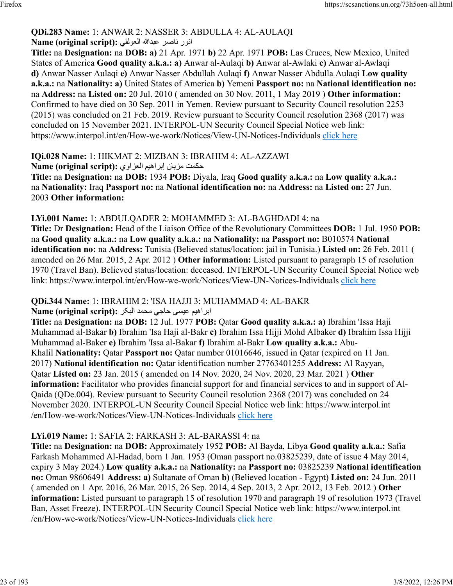#### **QDi.283 Name:** 1: ANWAR 2: NASSER 3: ABDULLA 4: AL-AULAQI رونا رصان اللهدبع يقلوعلا **:(script original (Name**

**Title:** na **Designation:** na **DOB: a)** 21 Apr. 1971 **b)** 22 Apr. 1971 **POB:** Las Cruces, New Mexico, United States of America **Good quality a.k.a.: a)** Anwar al-Aulaqi **b)** Anwar al-Awlaki **c)** Anwar al-Awlaqi **d)** Anwar Nasser Aulaqi **e)** Anwar Nasser Abdullah Aulaqi **f)** Anwar Nasser Abdulla Aulaqi **Low quality a.k.a.:** na **Nationality: a)** United States of America **b)** Yemeni **Passport no:** na **National identification no:** na **Address:** na **Listed on:** 20 Jul. 2010 ( amended on 30 Nov. 2011, 1 May 2019 ) **Other information:** Confirmed to have died on 30 Sep. 2011 in Yemen. Review pursuant to Security Council resolution 2253 (2015) was concluded on 21 Feb. 2019. Review pursuant to Security Council resolution 2368 (2017) was concluded on 15 November 2021. INTERPOL-UN Security Council Special Notice web link: https://www.interpol.int/en/How-we-work/Notices/View-UN-Notices-Individuals [click here](https://www.interpol.int/en/How-we-work/Notices/View-UN-Notices-Individuals)

**IQi.028 Name:** 1: HIKMAT 2: MIZBAN 3: IBRAHIM 4: AL-AZZAWI تمكمت مزبان إبراهيم العزاوي :(Name (original script

**Title:** na **Designation:** na **DOB:** 1934 **POB:** Diyala, Iraq **Good quality a.k.a.:** na **Low quality a.k.a.:** na **Nationality:** Iraq **Passport no:** na **National identification no:** na **Address:** na **Listed on:** 27 Jun. 2003 **Other information:** 

### **LYi.001 Name:** 1: ABDULQADER 2: MOHAMMED 3: AL-BAGHDADI 4: na

**Title:** Dr **Designation:** Head of the Liaison Office of the Revolutionary Committees **DOB:** 1 Jul. 1950 **POB:** na **Good quality a.k.a.:** na **Low quality a.k.a.:** na **Nationality:** na **Passport no:** B010574 **National identification no:** na **Address:** Tunisia (Believed status/location: jail in Tunisia.) **Listed on:** 26 Feb. 2011 ( amended on 26 Mar. 2015, 2 Apr. 2012 ) **Other information:** Listed pursuant to paragraph 15 of resolution 1970 (Travel Ban). Believed status/location: deceased. INTERPOL-UN Security Council Special Notice web link: https://www.interpol.int/en/How-we-work/Notices/View-UN-Notices-Individuals [click here](https://www.interpol.int/en/How-we-work/Notices/View-UN-Notices-Individuals)

### **QDi.344 Name:** 1: IBRAHIM 2: 'ISA HAJJI 3: MUHAMMAD 4: AL-BAKR

#### ابراهيم عيسى حاجي محمد البكر : Name (original script)

**Title:** na **Designation:** na **DOB:** 12 Jul. 1977 **POB:** Qatar **Good quality a.k.a.: a)** Ibrahim 'Issa Haji Muhammad al-Bakar **b)** Ibrahim 'Isa Haji al-Bakr **c)** Ibrahim Issa Hijji Mohd Albaker **d)** Ibrahim Issa Hijji Muhammad al-Baker **e)** Ibrahim 'Issa al-Bakar **f)** Ibrahim al-Bakr **Low quality a.k.a.:** Abu-Khalil **Nationality:** Qatar **Passport no:** Qatar number 01016646, issued in Qatar (expired on 11 Jan. 2017) **National identification no:** Qatar identification number 27763401255 **Address:** Al Rayyan, Qatar **Listed on:** 23 Jan. 2015 ( amended on 14 Nov. 2020, 24 Nov. 2020, 23 Mar. 2021 ) **Other information:** Facilitator who provides financial support for and financial services to and in support of Al-Qaida (QDe.004). Review pursuant to Security Council resolution 2368 (2017) was concluded on 24 November 2020. INTERPOL-UN Security Council Special Notice web link: https://www.interpol.int /en/How-we-work/Notices/View-UN-Notices-Individuals [click here](https://www.interpol.int/en/How-we-work/Notices/View-UN-Notices-Individuals)

### **LYi.019 Name:** 1: SAFIA 2: FARKASH 3: AL-BARASSI 4: na

**Title:** na **Designation:** na **DOB:** Approximately 1952 **POB:** Al Bayda, Libya **Good quality a.k.a.:** Safia Farkash Mohammed Al-Hadad, born 1 Jan. 1953 (Oman passport no.03825239, date of issue 4 May 2014, expiry 3 May 2024.) **Low quality a.k.a.:** na **Nationality:** na **Passport no:** 03825239 **National identification no:** Oman 98606491 **Address: a)** Sultanate of Oman **b)** (Believed location - Egypt) **Listed on:** 24 Jun. 2011 ( amended on 1 Apr. 2016, 26 Mar. 2015, 26 Sep. 2014, 4 Sep. 2013, 2 Apr. 2012, 13 Feb. 2012 ) **Other information:** Listed pursuant to paragraph 15 of resolution 1970 and paragraph 19 of resolution 1973 (Travel Ban, Asset Freeze). INTERPOL-UN Security Council Special Notice web link: https://www.interpol.int /en/How-we-work/Notices/View-UN-Notices-Individuals [click here](https://www.interpol.int/en/How-we-work/Notices/View-UN-Notices-Individuals)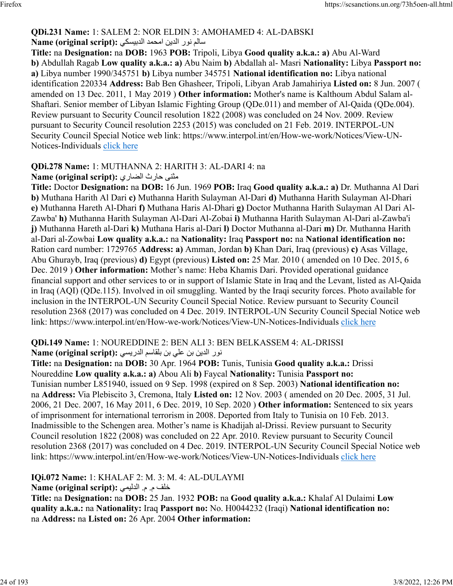#### **QDi.231 Name:** 1: SALEM 2: NOR ELDIN 3: AMOHAMED 4: AL-DABSKI ملام نور الدين امحمد الدبيسكي :**Name (original script)**

**Title:** na **Designation:** na **DOB:** 1963 **POB:** Tripoli, Libya **Good quality a.k.a.: a)** Abu Al-Ward **b)** Abdullah Ragab **Low quality a.k.a.: a)** Abu Naim **b)** Abdallah al- Masri **Nationality:** Libya **Passport no: a)** Libya number 1990/345751 **b)** Libya number 345751 **National identification no:** Libya national identification 220334 **Address:** Bab Ben Ghasheer, Tripoli, Libyan Arab Jamahiriya **Listed on:** 8 Jun. 2007 ( amended on 13 Dec. 2011, 1 May 2019 ) **Other information:** Mother's name is Kalthoum Abdul Salam al-Shaftari. Senior member of Libyan Islamic Fighting Group (QDe.011) and member of Al-Qaida (QDe.004). Review pursuant to Security Council resolution 1822 (2008) was concluded on 24 Nov. 2009. Review pursuant to Security Council resolution 2253 (2015) was concluded on 21 Feb. 2019. INTERPOL-UN Security Council Special Notice web link: https://www.interpol.int/en/How-we-work/Notices/View-UN-Notices-Individuals [click here](https://www.interpol.int/en/How-we-work/Notices/View-UN-Notices-Individuals)

# **QDi.278 Name:** 1: MUTHANNA 2: HARITH 3: AL-DARI 4: na

مثنى حارث الضارى :(Name (original script

**Title:** Doctor **Designation:** na **DOB:** 16 Jun. 1969 **POB:** Iraq **Good quality a.k.a.: a)** Dr. Muthanna Al Dari **b)** Muthana Harith Al Dari **c)** Muthanna Harith Sulayman Al-Dari **d)** Muthanna Harith Sulayman Al-Dhari **e)** Muthanna Hareth Al-Dhari **f)** Muthana Haris Al-Dhari **g)** Doctor Muthanna Harith Sulayman Al Dari Al-Zawba' **h)** Muthanna Harith Sulayman Al-Dari Al-Zobai **i)** Muthanna Harith Sulayman Al-Dari al-Zawba'i **j)** Muthanna Hareth al-Dari **k)** Muthana Haris al-Dari **l)** Doctor Muthanna al-Dari **m)** Dr. Muthanna Harith al-Dari al-Zowbai **Low quality a.k.a.:** na **Nationality:** Iraq **Passport no:** na **National identification no:** Ration card number: 1729765 **Address: a)** Amman, Jordan **b)** Khan Dari, Iraq (previous) **c)** Asas Village, Abu Ghurayb, Iraq (previous) **d)** Egypt (previous) **Listed on:** 25 Mar. 2010 ( amended on 10 Dec. 2015, 6 Dec. 2019 ) **Other information:** Mother's name: Heba Khamis Dari. Provided operational guidance financial support and other services to or in support of Islamic State in Iraq and the Levant, listed as Al-Qaida in Iraq (AQI) (QDe.115). Involved in oil smuggling. Wanted by the Iraqi security forces. Photo available for inclusion in the INTERPOL-UN Security Council Special Notice. Review pursuant to Security Council resolution 2368 (2017) was concluded on 4 Dec. 2019. INTERPOL-UN Security Council Special Notice web link: https://www.interpol.int/en/How-we-work/Notices/View-UN-Notices-Individuals [click here](https://www.interpol.int/en/How-we-work/Notices/View-UN-Notices-Individuals)

#### **QDi.149 Name:** 1: NOUREDDINE 2: BEN ALI 3: BEN BELKASSEM 4: AL-DRISSI نور الدين بن على بن بلقاسم الدريسي :**(Name (original script**

**Title:** na **Designation:** na **DOB:** 30 Apr. 1964 **POB:** Tunis, Tunisia **Good quality a.k.a.:** Drissi Noureddine **Low quality a.k.a.: a)** Abou Ali **b)** Faycal **Nationality:** Tunisia **Passport no:** Tunisian number L851940, issued on 9 Sep. 1998 (expired on 8 Sep. 2003) **National identification no:** na **Address:** Via Plebiscito 3, Cremona, Italy **Listed on:** 12 Nov. 2003 ( amended on 20 Dec. 2005, 31 Jul. 2006, 21 Dec. 2007, 16 May 2011, 6 Dec. 2019, 10 Sep. 2020 ) **Other information:** Sentenced to six years of imprisonment for international terrorism in 2008. Deported from Italy to Tunisia on 10 Feb. 2013. Inadmissible to the Schengen area. Mother's name is Khadijah al-Drissi. Review pursuant to Security Council resolution 1822 (2008) was concluded on 22 Apr. 2010. Review pursuant to Security Council resolution 2368 (2017) was concluded on 4 Dec. 2019. INTERPOL-UN Security Council Special Notice web link: https://www.interpol.int/en/How-we-work/Notices/View-UN-Notices-Individuals [click here](https://www.interpol.int/en/How-we-work/Notices/View-UN-Notices-Individuals)

**IQi.072 Name:** 1: KHALAF 2: M. 3: M. 4: AL-DULAYMI

فلخ م . م . يميلدلا **:(script original (Name**

**Title:** na **Designation:** na **DOB:** 25 Jan. 1932 **POB:** na **Good quality a.k.a.:** Khalaf Al Dulaimi **Low quality a.k.a.:** na **Nationality:** Iraq **Passport no:** No. H0044232 (Iraqi) **National identification no:** na **Address:** na **Listed on:** 26 Apr. 2004 **Other information:**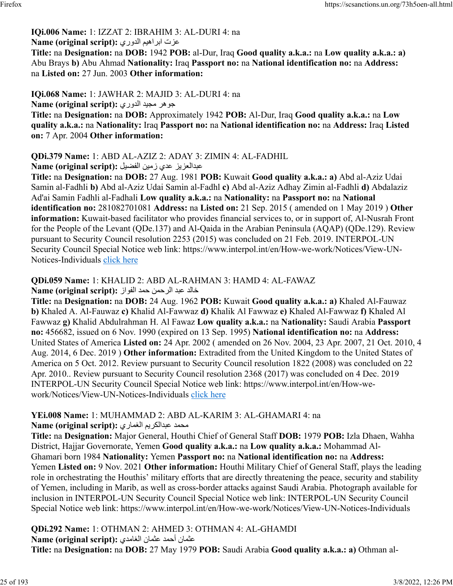#### **IQi.006 Name:** 1: IZZAT 2: IBRAHIM 3: AL-DURI 4: na تزع ميهاربا يرودلا **:(script original (Name**

**Title:** na **Designation:** na **DOB:** 1942 **POB:** al-Dur, Iraq **Good quality a.k.a.:** na **Low quality a.k.a.: a)** Abu Brays **b)** Abu Ahmad **Nationality:** Iraq **Passport no:** na **National identification no:** na **Address:** na **Listed on:** 27 Jun. 2003 **Other information:** 

**IQi.068 Name:** 1: JAWHAR 2: MAJID 3: AL-DURI 4: na رهوج ديجم يرودلا **:(script original (Name**

**Title:** na **Designation:** na **DOB:** Approximately 1942 **POB:** Al-Dur, Iraq **Good quality a.k.a.:** na **Low quality a.k.a.:** na **Nationality:** Iraq **Passport no:** na **National identification no:** na **Address:** Iraq **Listed on:** 7 Apr. 2004 **Other information:** 

**QDi.379 Name:** 1: ABD AL-AZIZ 2: ADAY 3: ZIMIN 4: AL-FADHIL

زيزعلادبع يدع نيمز ليضفلا **:(script original (Name**

**Title:** na **Designation:** na **DOB:** 27 Aug. 1981 **POB:** Kuwait **Good quality a.k.a.: a)** Abd al-Aziz Udai Samin al-Fadhli **b)** Abd al-Aziz Udai Samin al-Fadhl **c)** Abd al-Aziz Adhay Zimin al-Fadhli **d)** Abdalaziz Ad'ai Samin Fadhli al-Fadhali **Low quality a.k.a.:** na **Nationality:** na **Passport no:** na **National identification no:** 281082701081 **Address:** na **Listed on:** 21 Sep. 2015 ( amended on 1 May 2019 ) **Other information:** Kuwait-based facilitator who provides financial services to, or in support of, Al-Nusrah Front for the People of the Levant (QDe.137) and Al-Qaida in the Arabian Peninsula (AQAP) (QDe.129). Review pursuant to Security Council resolution 2253 (2015) was concluded on 21 Feb. 2019. INTERPOL-UN Security Council Special Notice web link: https://www.interpol.int/en/How-we-work/Notices/View-UNNotices-Individuals [click here](https://www.interpol.int/en/How-we-work/Notices/View-UN-Notices-Individuals)

**QDi.059 Name:** 1: KHALID 2: ABD AL-RAHMAN 3: HAMD 4: AL-FAWAZ

دلاخ دبع نمحرلا دمح زاوفلا **:(script original (Name**

**Title:** na **Designation:** na **DOB:** 24 Aug. 1962 **POB:** Kuwait **Good quality a.k.a.: a)** Khaled Al-Fauwaz **b)** Khaled A. Al-Fauwaz **c)** Khalid Al-Fawwaz **d)** Khalik Al Fawwaz **e)** Khaled Al-Fawwaz **f)** Khaled Al Fawwaz **g)** Khalid Abdulrahman H. Al Fawaz **Low quality a.k.a.:** na **Nationality:** Saudi Arabia **Passport no:** 456682, issued on 6 Nov. 1990 (expired on 13 Sep. 1995) **National identification no:** na **Address:** United States of America **Listed on:** 24 Apr. 2002 ( amended on 26 Nov. 2004, 23 Apr. 2007, 21 Oct. 2010, 4 Aug. 2014, 6 Dec. 2019 ) **Other information:** Extradited from the United Kingdom to the United States of America on 5 Oct. 2012. Review pursuant to Security Council resolution 1822 (2008) was concluded on 22 Apr. 2010.. Review pursuant to Security Council resolution 2368 (2017) was concluded on 4 Dec. 2019 INTERPOL-UN Security Council Special Notice web link: https://www.interpol.int/en/How-wework/Notices/View-UN-Notices-Individuals [click here](https://www.interpol.int/en/How-we-work/Notices/View-UN-Notices-Individuals)

**YEi.008 Name:** 1: MUHAMMAD 2: ABD AL-KARIM 3: AL-GHAMARI 4: na

محمد عبدالكريم الغماري :(Name (original script

**Title:** na **Designation:** Major General, Houthi Chief of General Staff **DOB:** 1979 **POB:** Izla Dhaen, Wahha District, Hajjar Governorate, Yemen **Good quality a.k.a.:** na **Low quality a.k.a.:** Mohammad Al-Ghamari born 1984 **Nationality:** Yemen **Passport no:** na **National identification no:** na **Address:** Yemen **Listed on:** 9 Nov. 2021 **Other information:** Houthi Military Chief of General Staff, plays the leading role in orchestrating the Houthis' military efforts that are directly threatening the peace, security and stability of Yemen, including in Marib, as well as cross-border attacks against Saudi Arabia. Photograph available for inclusion in INTERPOL-UN Security Council Special Notice web link: INTERPOL-UN Security Council Special Notice web link: https://www.interpol.int/en/How-we-work/Notices/View-UN-Notices-Individuals

**QDi.292 Name:** 1: OTHMAN 2: AHMED 3: OTHMAN 4: AL-GHAMDI نامثع دمحأ نامثع يدماغلا **:(script original (Name Title:** na **Designation:** na **DOB:** 27 May 1979 **POB:** Saudi Arabia **Good quality a.k.a.: a)** Othman al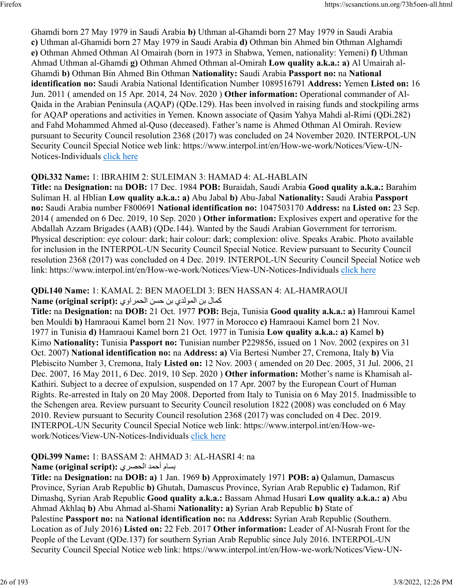Ghamdi born 27 May 1979 in Saudi Arabia **b)** Uthman al-Ghamdi born 27 May 1979 in Saudi Arabia **c)** Uthman al-Ghamidi born 27 May 1979 in Saudi Arabia **d)** Othman bin Ahmed bin Othman Alghamdi **e)** Othman Ahmed Othman Al Omairah (born in 1973 in Shabwa, Yemen, nationality: Yemeni) **f)** Uthman Ahmad Uthman al-Ghamdi **g)** Othman Ahmed Othman al-Omirah **Low quality a.k.a.: a)** Al Umairah al-Ghamdi **b)** Othman Bin Ahmed Bin Othman **Nationality:** Saudi Arabia **Passport no:** na **National identification no:** Saudi Arabia National Identification Number 1089516791 **Address:** Yemen **Listed on:** 16 Jun. 2011 ( amended on 15 Apr. 2014, 24 Nov. 2020 ) **Other information:** Operational commander of Al-Qaida in the Arabian Peninsula (AQAP) (QDe.129). Has been involved in raising funds and stockpiling arms for AQAP operations and activities in Yemen. Known associate of Qasim Yahya Mahdi al-Rimi (QDi.282) and Fahd Mohammed Ahmed al-Quso (deceased). Father's name is Ahmed Othman Al Omirah. Review pursuant to Security Council resolution 2368 (2017) was concluded on 24 November 2020. INTERPOL-UN Security Council Special Notice web link: https://www.interpol.int/en/How-we-work/Notices/View-UN-Notices-Individuals [click here](https://www.interpol.int/en/How-we-work/Notices/View-UN-Notices-Individuals)

### **QDi.332 Name:** 1: IBRAHIM 2: SULEIMAN 3: HAMAD 4: AL-HABLAIN

**Title:** na **Designation:** na **DOB:** 17 Dec. 1984 **POB:** Buraidah, Saudi Arabia **Good quality a.k.a.:** Barahim Suliman H. al Hblian **Low quality a.k.a.: a)** Abu Jabal **b)** Abu-Jabal **Nationality:** Saudi Arabia **Passport no:** Saudi Arabia number F800691 **National identification no:** 1047503170 **Address:** na **Listed on:** 23 Sep. 2014 ( amended on 6 Dec. 2019, 10 Sep. 2020 ) **Other information:** Explosives expert and operative for the Abdallah Azzam Brigades (AAB) (QDe.144). Wanted by the Saudi Arabian Government for terrorism. Physical description: eye colour: dark; hair colour: dark; complexion: olive. Speaks Arabic. Photo available for inclusion in the INTERPOL-UN Security Council Special Notice. Review pursuant to Security Council resolution 2368 (2017) was concluded on 4 Dec. 2019. INTERPOL-UN Security Council Special Notice web link: https://www.interpol.int/en/How-we-work/Notices/View-UN-Notices-Individuals [click here](https://www.interpol.int/en/How-we-work/Notices/View-UN-Notices-Individuals)

## **QDi.140 Name:** 1: KAMAL 2: BEN MAOELDI 3: BEN HASSAN 4: AL-HAMRAOUI لامك بن المولدي بن حسن الحمراوي: Name (original script):

**Title:** na **Designation:** na **DOB:** 21 Oct. 1977 **POB:** Beja, Tunisia **Good quality a.k.a.: a)** Hamroui Kamel ben Mouldi **b)** Hamraoui Kamel born 21 Nov. 1977 in Morocco **c)** Hamraoui Kamel born 21 Nov. 1977 in Tunisia **d)** Hamraoui Kamel born 21 Oct. 1977 in Tunisia **Low quality a.k.a.: a)** Kamel **b)** Kimo **Nationality:** Tunisia **Passport no:** Tunisian number P229856, issued on 1 Nov. 2002 (expires on 31 Oct. 2007) **National identification no:** na **Address: a)** Via Bertesi Number 27, Cremona, Italy **b)** Via Plebiscito Number 3, Cremona, Italy **Listed on:** 12 Nov. 2003 ( amended on 20 Dec. 2005, 31 Jul. 2006, 21 Dec. 2007, 16 May 2011, 6 Dec. 2019, 10 Sep. 2020 ) **Other information:** Mother's name is Khamisah al-Kathiri. Subject to a decree of expulsion, suspended on 17 Apr. 2007 by the European Court of Human Rights. Re-arrested in Italy on 20 May 2008. Deported from Italy to Tunisia on 6 May 2015. Inadmissible to the Schengen area. Review pursuant to Security Council resolution 1822 (2008) was concluded on 6 May 2010. Review pursuant to Security Council resolution 2368 (2017) was concluded on 4 Dec. 2019. INTERPOL-UN Security Council Special Notice web link: https://www.interpol.int/en/How-wework/Notices/View-UN-Notices-Individuals [click here](https://www.interpol.int/en/How-we-work/Notices/View-UN-Notices-Individuals)

# **QDi.399 Name:** 1: BASSAM 2: AHMAD 3: AL-HASRI 4: na

# بسام أحمد الحصري :(Name (original script

**Title:** na **Designation:** na **DOB: a)** 1 Jan. 1969 **b)** Approximately 1971 **POB: a)** Qalamun, Damascus Province, Syrian Arab Republic **b)** Ghutah, Damascus Province, Syrian Arab Republic **c)** Tadamon, Rif Dimashq, Syrian Arab Republic **Good quality a.k.a.:** Bassam Ahmad Husari **Low quality a.k.a.: a)** Abu Ahmad Akhlaq **b)** Abu Ahmad al-Shami **Nationality: a)** Syrian Arab Republic **b)** State of Palestine **Passport no:** na **National identification no:** na **Address:** Syrian Arab Republic (Southern. Location as of July 2016) **Listed on:** 22 Feb. 2017 **Other information:** Leader of Al-Nusrah Front for the People of the Levant (QDe.137) for southern Syrian Arab Republic since July 2016. INTERPOL-UN Security Council Special Notice web link: https://www.interpol.int/en/How-we-work/Notices/View-UN-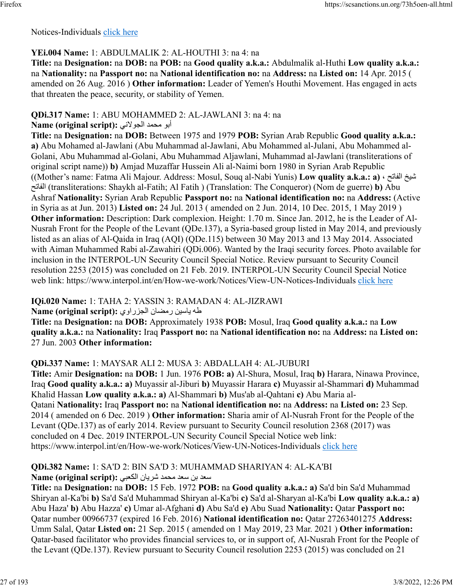Notices-Individuals [click here](https://www.interpol.int/en/How-we-work/Notices/View-UN-Notices-Individuals)

## **YEi.004 Name:** 1: ABDULMALIK 2: AL-HOUTHI 3: na 4: na

**Title:** na **Designation:** na **DOB:** na **POB:** na **Good quality a.k.a.:** Abdulmalik al-Huthi **Low quality a.k.a.:** na **Nationality:** na **Passport no:** na **National identification no:** na **Address:** na **Listed on:** 14 Apr. 2015 ( amended on 26 Aug. 2016 ) **Other information:** Leader of Yemen's Houthi Movement. Has engaged in acts that threaten the peace, security, or stability of Yemen.

# **QDi.317 Name:** 1: ABU MOHAMMED 2: AL-JAWLANI 3: na 4: na

#### ابو محمد الجولاني :Name (original script)

**Title:** na **Designation:** na **DOB:** Between 1975 and 1979 **POB:** Syrian Arab Republic **Good quality a.k.a.: a)** Abu Mohamed al-Jawlani (Abu Muhammad al-Jawlani, Abu Mohammed al-Julani, Abu Mohammed al-Golani, Abu Muhammad al-Golani, Abu Muhammad Aljawlani, Muhammad al-Jawlani (transliterations of original script name)) **b)** Amjad Muzaffar Hussein Ali al-Naimi born 1980 in Syrian Arab Republic ((Mother's name: Fatma Ali Majour. Address: Mosul, Souq al-Nabi Yunis) **Low quality a.k.a.: a)** ، حتافلا خيش حتافلا) transliterations: Shaykh al-Fatih; Al Fatih ) (Translation: The Conqueror) (Nom de guerre) **b)** Abu Ashraf **Nationality:** Syrian Arab Republic **Passport no:** na **National identification no:** na **Address:** (Active in Syria as at Jun. 2013) **Listed on:** 24 Jul. 2013 ( amended on 2 Jun. 2014, 10 Dec. 2015, 1 May 2019 ) **Other information:** Description: Dark complexion. Height: 1.70 m. Since Jan. 2012, he is the Leader of Al-Nusrah Front for the People of the Levant (QDe.137), a Syria-based group listed in May 2014, and previously listed as an alias of Al-Qaida in Iraq (AQI) (QDe.115) between 30 May 2013 and 13 May 2014. Associated with Aiman Muhammed Rabi al-Zawahiri (QDi.006). Wanted by the Iraqi security forces. Photo available for inclusion in the INTERPOL-UN Security Council Special Notice. Review pursuant to Security Council resolution 2253 (2015) was concluded on 21 Feb. 2019. INTERPOL-UN Security Council Special Notice web link: https://www.interpol.int/en/How-we-work/Notices/View-UN-Notices-Individuals [click here](https://www.interpol.int/en/How-we-work/Notices/View-UN-Notices-Individuals)

**IQi.020 Name:** 1: TAHA 2: YASSIN 3: RAMADAN 4: AL-JIZRAWI

طه ياسين رمضان الجزراوي :Name (original script)

**Title:** na **Designation:** na **DOB:** Approximately 1938 **POB:** Mosul, Iraq **Good quality a.k.a.:** na **Low quality a.k.a.:** na **Nationality:** Iraq **Passport no:** na **National identification no:** na **Address:** na **Listed on:** 27 Jun. 2003 **Other information:** 

# **QDi.337 Name:** 1: MAYSAR ALI 2: MUSA 3: ABDALLAH 4: AL-JUBURI

**Title:** Amir **Designation:** na **DOB:** 1 Jun. 1976 **POB: a)** Al-Shura, Mosul, Iraq **b)** Harara, Ninawa Province, Iraq **Good quality a.k.a.: a)** Muyassir al-Jiburi **b)** Muyassir Harara **c)** Muyassir al-Shammari **d)** Muhammad Khalid Hassan **Low quality a.k.a.: a)** Al-Shammari **b)** Mus'ab al-Qahtani **c)** Abu Maria al-Qatani **Nationality:** Iraq **Passport no:** na **National identification no:** na **Address:** na **Listed on:** 23 Sep. 2014 ( amended on 6 Dec. 2019 ) **Other information:** Sharia amir of Al-Nusrah Front for the People of the Levant (QDe.137) as of early 2014. Review pursuant to Security Council resolution 2368 (2017) was concluded on 4 Dec. 2019 INTERPOL-UN Security Council Special Notice web link: https://www.interpol.int/en/How-we-work/Notices/View-UN-Notices-Individuals [click here](https://www.interpol.int/en/How-we-work/Notices/View-UN-Notices-Individuals)

#### **QDi.382 Name:** 1: SA'D 2: BIN SA'D 3: MUHAMMAD SHARIYAN 4: AL-KA'BI دعس نب دعس دمحم نايرش يبعكلا **:(script original (Name**

**Title:** na **Designation:** na **DOB:** 15 Feb. 1972 **POB:** na **Good quality a.k.a.: a)** Sa'd bin Sa'd Muhammad Shiryan al-Ka'bi **b)** Sa'd Sa'd Muhammad Shiryan al-Ka'bi **c)** Sa'd al-Sharyan al-Ka'bi **Low quality a.k.a.: a)** Abu Haza' **b)** Abu Hazza' **c)** Umar al-Afghani **d)** Abu Sa'd **e)** Abu Suad **Nationality:** Qatar **Passport no:** Qatar number 00966737 (expired 16 Feb. 2016) **National identification no:** Qatar 27263401275 **Address:** Umm Salal, Qatar **Listed on:** 21 Sep. 2015 ( amended on 1 May 2019, 23 Mar. 2021 ) **Other information:** Qatar-based facilitator who provides financial services to, or in support of, Al-Nusrah Front for the People of the Levant (QDe.137). Review pursuant to Security Council resolution 2253 (2015) was concluded on 21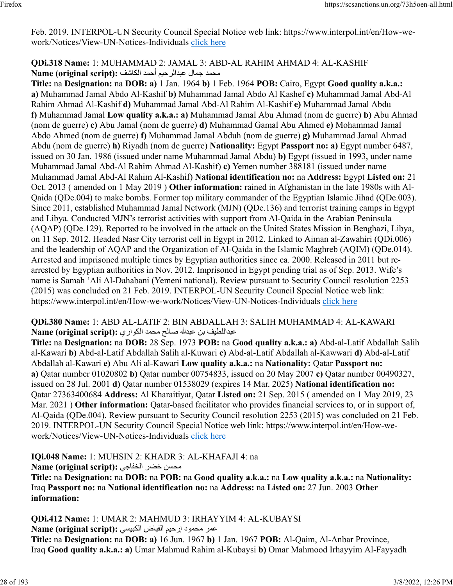Feb. 2019. INTERPOL-UN Security Council Special Notice web link: https://www.interpol.int/en/How-wework/Notices/View-UN-Notices-Individuals [click here](https://www.interpol.int/en/How-we-work/Notices/View-UN-Notices-Individuals)

## **QDi.318 Name:** 1: MUHAMMAD 2: JAMAL 3: ABD-AL RAHIM AHMAD 4: AL-KASHIF محمد جمال عبدالرحبم أحمد الكاشف :Name (original script)

**Title:** na **Designation:** na **DOB: a)** 1 Jan. 1964 **b)** 1 Feb. 1964 **POB:** Cairo, Egypt **Good quality a.k.a.: a)** Muhammad Jamal Abdo Al-Kashif **b)** Muhammad Jamal Abdo Al Kashef **c)** Muhammad Jamal Abd-Al Rahim Ahmad Al-Kashif **d)** Muhammad Jamal Abd-Al Rahim Al-Kashif **e)** Muhammad Jamal Abdu **f)** Muhammad Jamal **Low quality a.k.a.: a)** Muhammad Jamal Abu Ahmad (nom de guerre) **b)** Abu Ahmad (nom de guerre) **c)** Abu Jamal (nom de guerre) **d)** Muhammad Gamal Abu Ahmed **e)** Mohammad Jamal Abdo Ahmed (nom de guerre) **f)** Muhammad Jamal Abduh (nom de guerre) **g)** Muhammad Jamal Ahmad Abdu (nom de guerre) **h)** Riyadh (nom de guerre) **Nationality:** Egypt **Passport no: a)** Egypt number 6487, issued on 30 Jan. 1986 (issued under name Muhammad Jamal Abdu) **b)** Egypt (issued in 1993, under name Muhammad Jamal Abd-Al Rahim Ahmad Al-Kashif) **c)** Yemen number 388181 (issued under name Muhammad Jamal Abd-Al Rahim Al-Kashif) **National identification no:** na **Address:** Egypt **Listed on:** 21 Oct. 2013 ( amended on 1 May 2019 ) **Other information:** rained in Afghanistan in the late 1980s with Al-Qaida (QDe.004) to make bombs. Former top military commander of the Egyptian Islamic Jihad (QDe.003). Since 2011, established Muhammad Jamal Network (MJN) (QDe.136) and terrorist training camps in Egypt and Libya. Conducted MJN's terrorist activities with support from Al-Qaida in the Arabian Peninsula (AQAP) (QDe.129). Reported to be involved in the attack on the United States Mission in Benghazi, Libya, on 11 Sep. 2012. Headed Nasr City terrorist cell in Egypt in 2012. Linked to Aiman al-Zawahiri (QDi.006) and the leadership of AQAP and the Organization of Al-Qaida in the Islamic Maghreb (AQIM) (QDe.014). Arrested and imprisoned multiple times by Egyptian authorities since ca. 2000. Released in 2011 but rearrested by Egyptian authorities in Nov. 2012. Imprisoned in Egypt pending trial as of Sep. 2013. Wife's name is Samah 'Ali Al-Dahabani (Yemeni national). Review pursuant to Security Council resolution 2253 (2015) was concluded on 21 Feb. 2019. INTERPOL-UN Security Council Special Notice web link: https://www.interpol.int/en/How-we-work/Notices/View-UN-Notices-Individuals [click here](https://www.interpol.int/en/How-we-work/Notices/View-UN-Notices-Individuals)

**QDi.380 Name:** 1: ABD AL-LATIF 2: BIN ABDALLAH 3: SALIH MUHAMMAD 4: AL-KAWARI مبداللطيف بن عبدلله صـالح محمد الكواري :(Name (original script

**Title:** na **Designation:** na **DOB:** 28 Sep. 1973 **POB:** na **Good quality a.k.a.: a)** Abd-al-Latif Abdallah Salih al-Kawari **b)** Abd-al-Latif Abdallah Salih al-Kuwari **c)** Abd-al-Latif Abdallah al-Kawwari **d)** Abd-al-Latif Abdallah al-Kawari **e)** Abu Ali al-Kawari **Low quality a.k.a.:** na **Nationality:** Qatar **Passport no: a)** Qatar number 01020802 **b)** Qatar number 00754833, issued on 20 May 2007 **c)** Qatar number 00490327, issued on 28 Jul. 2001 **d)** Qatar number 01538029 (expires 14 Mar. 2025) **National identification no:** Qatar 27363400684 **Address:** Al Kharaitiyat, Qatar **Listed on:** 21 Sep. 2015 ( amended on 1 May 2019, 23 Mar. 2021 ) Other information: Qatar-based facilitator who provides financial services to, or in support of, Al-Qaida (QDe.004). Review pursuant to Security Council resolution 2253 (2015) was concluded on 21 Feb. 2019. INTERPOL-UN Security Council Special Notice web link: https://www.interpol.int/en/How-wework/Notices/View-UN-Notices-Individuals [click here](https://www.interpol.int/en/How-we-work/Notices/View-UN-Notices-Individuals)

**IQi.048 Name:** 1: MUHSIN 2: KHADR 3: AL-KHAFAJI 4: na

محسن خضر الخفاجي :Name (original script)

**Title:** na **Designation:** na **DOB:** na **POB:** na **Good quality a.k.a.:** na **Low quality a.k.a.:** na **Nationality:** Iraq **Passport no:** na **National identification no:** na **Address:** na **Listed on:** 27 Jun. 2003 **Other information:** 

**QDi.412 Name:** 1: UMAR 2: MAHMUD 3: IRHAYYIM 4: AL-KUBAYSI

رمع دومحم ميحرإ ضايفلا يسيبكلا **:(script original (Name**

**Title:** na **Designation:** na **DOB: a)** 16 Jun. 1967 **b)** 1 Jan. 1967 **POB:** Al-Qaim, Al-Anbar Province, Iraq **Good quality a.k.a.: a)** Umar Mahmud Rahim al-Kubaysi **b)** Omar Mahmood Irhayyim Al-Fayyadh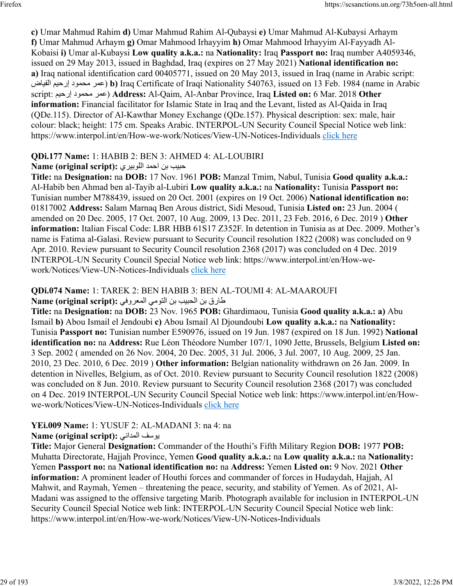**c)** Umar Mahmud Rahim **d)** Umar Mahmud Rahim Al-Qubaysi **e)** Umar Mahmud Al-Kubaysi Arhaym **f)** Umar Mahmud Arhaym **g)** Omar Mahmood Irhayyim **h)** Omar Mahmood Irhayyim Al-Fayyadh Al-Kobaisi **i)** Umar al-Kubaysi **Low quality a.k.a.:** na **Nationality:** Iraq **Passport no:** Iraq number A4059346, issued on 29 May 2013, issued in Baghdad, Iraq (expires on 27 May 2021) **National identification no: a)** Iraq national identification card 00405771, issued on 20 May 2013, issued in Iraq (name in Arabic script: ضايفلا ميحرإ دومحم رمع( **b)** Iraq Certificate of Iraqi Nationality 540763, issued on 13 Feb. 1984 (name in Arabic script: ميحرإ دومحم رمع ( **Address:** Al-Qaim, Al-Anbar Province, Iraq **Listed on:** 6 Mar. 2018 **Other information:** Financial facilitator for Islamic State in Iraq and the Levant, listed as Al-Qaida in Iraq (QDe.115). Director of Al-Kawthar Money Exchange (QDe.157). Physical description: sex: male, hair colour: black; height: 175 cm. Speaks Arabic. INTERPOL-UN Security Council Special Notice web link: https://www.interpol.int/en/How-we-work/Notices/View-UN-Notices-Individuals [click here](https://www.interpol.int/en/How-we-work/Notices/View-UN-Notices-Individuals)

### **QDi.177 Name:** 1: HABIB 2: BEN 3: AHMED 4: AL-LOUBIRI

#### بيبح نب دمحا يريبوللا **:(script original (Name**

**Title:** na **Designation:** na **DOB:** 17 Nov. 1961 **POB:** Manzal Tmim, Nabul, Tunisia **Good quality a.k.a.:** Al-Habib ben Ahmad ben al-Tayib al-Lubiri **Low quality a.k.a.:** na **Nationality:** Tunisia **Passport no:** Tunisian number M788439, issued on 20 Oct. 2001 (expires on 19 Oct. 2006) **National identification no:** 01817002 **Address:** Salam Marnaq Ben Arous district, Sidi Mesoud, Tunisia **Listed on:** 23 Jun. 2004 ( amended on 20 Dec. 2005, 17 Oct. 2007, 10 Aug. 2009, 13 Dec. 2011, 23 Feb. 2016, 6 Dec. 2019 ) **Other information:** Italian Fiscal Code: LBR HBB 61S17 Z352F. In detention in Tunisia as at Dec. 2009. Mother's name is Fatima al-Galasi. Review pursuant to Security Council resolution 1822 (2008) was concluded on 9 Apr. 2010. Review pursuant to Security Council resolution 2368 (2017) was concluded on 4 Dec. 2019 INTERPOL-UN Security Council Special Notice web link: https://www.interpol.int/en/How-wework/Notices/View-UN-Notices-Individuals [click here](https://www.interpol.int/en/How-we-work/Notices/View-UN-Notices-Individuals)

#### **QDi.074 Name:** 1: TAREK 2: BEN HABIB 3: BEN AL-TOUMI 4: AL-MAAROUFI قرار نبل بيب بين التومي المعروفي :(Name (original script

**Title:** na **Designation:** na **DOB:** 23 Nov. 1965 **POB:** Ghardimaou, Tunisia **Good quality a.k.a.: a)** Abu Ismail **b)** Abou Ismail el Jendoubi **c)** Abou Ismail Al Djoundoubi **Low quality a.k.a.:** na **Nationality:** Tunisia **Passport no:** Tunisian number E590976, issued on 19 Jun. 1987 (expired on 18 Jun. 1992) **National identification no:** na **Address:** Rue Léon Théodore Number 107/1, 1090 Jette, Brussels, Belgium **Listed on:** 3 Sep. 2002 ( amended on 26 Nov. 2004, 20 Dec. 2005, 31 Jul. 2006, 3 Jul. 2007, 10 Aug. 2009, 25 Jan. 2010, 23 Dec. 2010, 6 Dec. 2019 ) **Other information:** Belgian nationality withdrawn on 26 Jan. 2009. In detention in Nivelles, Belgium, as of Oct. 2010. Review pursuant to Security Council resolution 1822 (2008) was concluded on 8 Jun. 2010. Review pursuant to Security Council resolution 2368 (2017) was concluded on 4 Dec. 2019 INTERPOL-UN Security Council Special Notice web link: https://www.interpol.int/en/Howwe-work/Notices/View-UN-Notices-Individuals [click here](https://www.interpol.int/en/How-we-work/Notices/View-UN-Notices-Individuals)

### **YEi.009 Name:** 1: YUSUF 2: AL-MADANI 3: na 4: na

### Rame (original script): يوسف المداني

**Title:** Major General **Designation:** Commander of the Houthi's Fifth Military Region **DOB:** 1977 **POB:** Muhatta Directorate, Hajjah Province, Yemen **Good quality a.k.a.:** na **Low quality a.k.a.:** na **Nationality:** Yemen **Passport no:** na **National identification no:** na **Address:** Yemen **Listed on:** 9 Nov. 2021 **Other information:** A prominent leader of Houthi forces and commander of forces in Hudaydah, Hajjah, Al Mahwit, and Raymah, Yemen – threatening the peace, security, and stability of Yemen. As of 2021, Al-Madani was assigned to the offensive targeting Marib. Photograph available for inclusion in INTERPOL-UN Security Council Special Notice web link: INTERPOL-UN Security Council Special Notice web link: https://www.interpol.int/en/How-we-work/Notices/View-UN-Notices-Individuals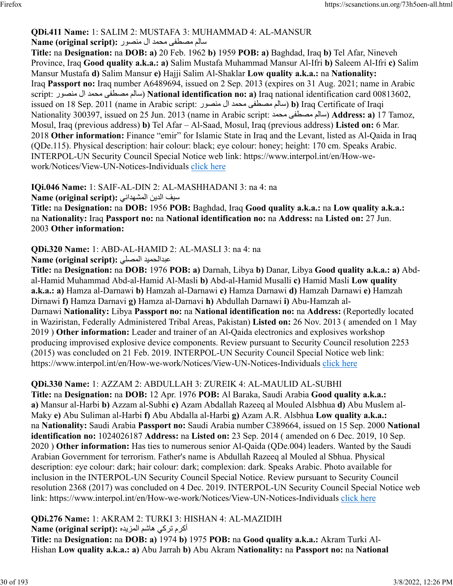# **QDi.411 Name:** 1: SALIM 2: MUSTAFA 3: MUHAMMAD 4: AL-MANSUR

#### ملاس مصطفى محمد ال منصور : Name (original script)

**Title:** na **Designation:** na **DOB: a)** 20 Feb. 1962 **b)** 1959 **POB: a)** Baghdad, Iraq **b)** Tel Afar, Nineveh Province, Iraq **Good quality a.k.a.: a)** Salim Mustafa Muhammad Mansur Al-Ifri **b)** Saleem Al-Ifri **c)** Salim Mansur Mustafa **d)** Salim Mansur **e)** Hajji Salim Al-Shaklar **Low quality a.k.a.:** na **Nationality:** Iraq **Passport no:** Iraq number A6489694, issued on 2 Sep. 2013 (expires on 31 Aug. 2021; name in Arabic script: روصنم لا دمحم ىفطصم ملاس ( **National identification no: a)** Iraq national identification card 00813602, issued on 18 Sep. 2011 (name in Arabic script: روصنم لا دمحم ىفطصم ملاس( **b)** Iraq Certificate of Iraqi Nationality 300397, issued on 25 Jun. 2013 (name in Arabic script: دمحم ىفطصم ملاس ( **Address: a)** 17 Tamoz, Mosul, Iraq (previous address) **b)** Tel Afar – Al-Saad, Mosul, Iraq (previous address) **Listed on:** 6 Mar. 2018 **Other information:** Finance "emir" for Islamic State in Iraq and the Levant, listed as Al-Qaida in Iraq (QDe.115). Physical description: hair colour: black; eye colour: honey; height: 170 cm. Speaks Arabic. INTERPOL-UN Security Council Special Notice web link: https://www.interpol.int/en/How-wework/Notices/View-UN-Notices-Individuals [click here](https://www.interpol.int/en/How-we-work/Notices/View-UN-Notices-Individuals)

#### **IQi.046 Name:** 1: SAIF-AL-DIN 2: AL-MASHHADANI 3: na 4: na فيس نيدلا ينادهشملا **:(script original (Name**

**Title:** na **Designation:** na **DOB:** 1956 **POB:** Baghdad, Iraq **Good quality a.k.a.:** na **Low quality a.k.a.:** na **Nationality:** Iraq **Passport no:** na **National identification no:** na **Address:** na **Listed on:** 27 Jun. 2003 **Other information:** 

#### **QDi.320 Name:** 1: ABD-AL-HAMID 2: AL-MASLI 3: na 4: na **Name (original script):** يلصملا ديمحلادبع

**Title:** na **Designation:** na **DOB:** 1976 **POB: a)** Darnah, Libya **b)** Danar, Libya **Good quality a.k.a.: a)** Abdal-Hamid Muhammad Abd-al-Hamid Al-Masli **b)** Abd-al-Hamid Musalli **c)** Hamid Masli **Low quality a.k.a.: a)** Hamza al-Darnawi **b)** Hamzah al-Darnawi **c)** Hamza Darnawi **d)** Hamzah Darnawi **e)** Hamzah Dirnawi **f)** Hamza Darnavi **g)** Hamza al-Darnavi **h)** Abdullah Darnawi **i)** Abu-Hamzah al-Darnawi **Nationality:** Libya **Passport no:** na **National identification no:** na **Address:** (Reportedly located in Waziristan, Federally Administered Tribal Areas, Pakistan) **Listed on:** 26 Nov. 2013 ( amended on 1 May 2019 ) **Other information:** Leader and trainer of an Al-Qaida electronics and explosives workshop producing improvised explosive device components. Review pursuant to Security Council resolution 2253 (2015) was concluded on 21 Feb. 2019. INTERPOL-UN Security Council Special Notice web link: https://www.interpol.int/en/How-we-work/Notices/View-UN-Notices-Individuals [click here](https://www.interpol.int/en/How-we-work/Notices/View-UN-Notices-Individuals)

# **QDi.330 Name:** 1: AZZAM 2: ABDULLAH 3: ZUREIK 4: AL-MAULID AL-SUBHI

**Title:** na **Designation:** na **DOB:** 12 Apr. 1976 **POB:** Al Baraka, Saudi Arabia **Good quality a.k.a.: a)** Mansur al-Harbi **b)** Azzam al-Subhi **c)** Azam Abdallah Razeeq al Mouled Alsbhua **d)** Abu Muslem al-Maky **e)** Abu Suliman al-Harbi **f)** Abu Abdalla al-Harbi **g)** Azam A.R. Alsbhua **Low quality a.k.a.:** na **Nationality:** Saudi Arabia **Passport no:** Saudi Arabia number C389664, issued on 15 Sep. 2000 **National identification no:** 1024026187 **Address:** na **Listed on:** 23 Sep. 2014 ( amended on 6 Dec. 2019, 10 Sep. 2020 ) **Other information:** Has ties to numerous senior Al-Qaida (QDe.004) leaders. Wanted by the Saudi Arabian Government for terrorism. Father's name is Abdullah Razeeq al Mouled al Sbhua. Physical description: eye colour: dark; hair colour: dark; complexion: dark. Speaks Arabic. Photo available for inclusion in the INTERPOL-UN Security Council Special Notice. Review pursuant to Security Council resolution 2368 (2017) was concluded on 4 Dec. 2019. INTERPOL-UN Security Council Special Notice web link: https://www.interpol.int/en/How-we-work/Notices/View-UN-Notices-Individuals [click here](https://www.interpol.int/en/How-we-work/Notices/View-UN-Notices-Individuals)

**QDi.276 Name:** 1: AKRAM 2: TURKI 3: HISHAN 4: AL-MAZIDIH

أكرم تركي هاشم المزيده :**Name (original script**)

**Title:** na **Designation:** na **DOB: a)** 1974 **b)** 1975 **POB:** na **Good quality a.k.a.:** Akram Turki Al-Hishan **Low quality a.k.a.: a)** Abu Jarrah **b)** Abu Akram **Nationality:** na **Passport no:** na **National**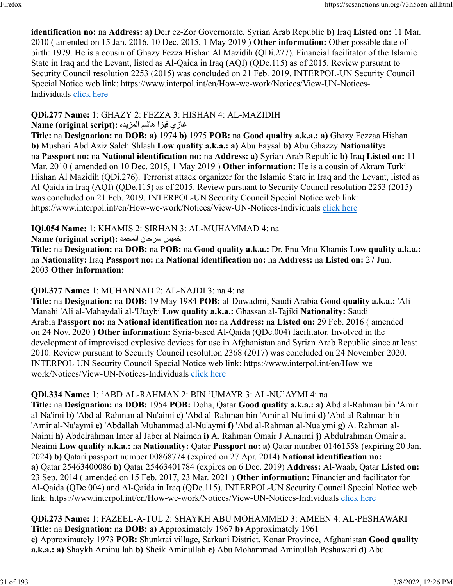**identification no:** na **Address: a)** Deir ez-Zor Governorate, Syrian Arab Republic **b)** Iraq **Listed on:** 11 Mar. 2010 ( amended on 15 Jan. 2016, 10 Dec. 2015, 1 May 2019 ) **Other information:** Other possible date of birth: 1979. He is a cousin of Ghazy Fezza Hishan Al Mazidih (QDi.277). Financial facilitator of the Islamic State in Iraq and the Levant, listed as Al-Qaida in Iraq (AQI) (QDe.115) as of 2015. Review pursuant to Security Council resolution 2253 (2015) was concluded on 21 Feb. 2019. INTERPOL-UN Security Council Special Notice web link: https://www.interpol.int/en/How-we-work/Notices/View-UN-Notices-Individuals [click here](https://www.interpol.int/en/How-we-work/Notices/View-UN-Notices-Individuals)

# **QDi.277 Name:** 1: GHAZY 2: FEZZA 3: HISHAN 4: AL-MAZIDIH

غازي فيزا هاشم المزيده :(Name (original script

**Title:** na **Designation:** na **DOB: a)** 1974 **b)** 1975 **POB:** na **Good quality a.k.a.: a)** Ghazy Fezzaa Hishan **b)** Mushari Abd Aziz Saleh Shlash **Low quality a.k.a.: a)** Abu Faysal **b)** Abu Ghazzy **Nationality:** na **Passport no:** na **National identification no:** na **Address: a)** Syrian Arab Republic **b)** Iraq **Listed on:** 11 Mar. 2010 ( amended on 10 Dec. 2015, 1 May 2019 ) **Other information:** He is a cousin of Akram Turki Hishan Al Mazidih (QDi.276). Terrorist attack organizer for the Islamic State in Iraq and the Levant, listed as Al-Qaida in Iraq (AQI) (QDe.115) as of 2015. Review pursuant to Security Council resolution 2253 (2015) was concluded on 21 Feb. 2019. INTERPOL-UN Security Council Special Notice web link: https://www.interpol.int/en/How-we-work/Notices/View-UN-Notices-Individuals [click here](https://www.interpol.int/en/How-we-work/Notices/View-UN-Notices-Individuals)

# **IQi.054 Name:** 1: KHAMIS 2: SIRHAN 3: AL-MUHAMMAD 4: na

# سيمخ ناحرس دمحملا **:(script original (Name**

**Title:** na **Designation:** na **DOB:** na **POB:** na **Good quality a.k.a.:** Dr. Fnu Mnu Khamis **Low quality a.k.a.:** na **Nationality:** Iraq **Passport no:** na **National identification no:** na **Address:** na **Listed on:** 27 Jun. 2003 **Other information:** 

# **QDi.377 Name:** 1: MUHANNAD 2: AL-NAJDI 3: na 4: na

**Title:** na **Designation:** na **DOB:** 19 May 1984 **POB:** al-Duwadmi, Saudi Arabia **Good quality a.k.a.:** 'Ali Manahi 'Ali al-Mahaydali al-'Utaybi **Low quality a.k.a.:** Ghassan al-Tajiki **Nationality:** Saudi Arabia **Passport no:** na **National identification no:** na **Address:** na **Listed on:** 29 Feb. 2016 ( amended on 24 Nov. 2020 ) **Other information:** Syria-based Al-Qaida (QDe.004) facilitator. Involved in the development of improvised explosive devices for use in Afghanistan and Syrian Arab Republic since at least 2010. Review pursuant to Security Council resolution 2368 (2017) was concluded on 24 November 2020. INTERPOL-UN Security Council Special Notice web link: https://www.interpol.int/en/How-wework/Notices/View-UN-Notices-Individuals [click here](https://www.interpol.int/en/How-we-work/Notices/View-UN-Notices-Individuals)

# **QDi.334 Name:** 1: 'ABD AL-RAHMAN 2: BIN 'UMAYR 3: AL-NU'AYMI 4: na

**Title:** na **Designation:** na **DOB:** 1954 **POB:** Doha, Qatar **Good quality a.k.a.: a)** Abd al-Rahman bin 'Amir al-Na'imi **b)** 'Abd al-Rahman al-Nu'aimi **c)** 'Abd al-Rahman bin 'Amir al-Nu'imi **d)** 'Abd al-Rahman bin 'Amir al-Nu'aymi **e)** 'Abdallah Muhammad al-Nu'aymi **f)** 'Abd al-Rahman al-Nua'ymi **g)** A. Rahman al-Naimi **h)** Abdelrahman Imer al Jaber al Naimeh **i)** A. Rahman Omair J Alnaimi **j)** Abdulrahman Omair al Neaimi **Low quality a.k.a.:** na **Nationality:** Qatar **Passport no: a)** Qatar number 01461558 (expiring 20 Jan. 2024) **b)** Qatari passport number 00868774 (expired on 27 Apr. 2014) **National identification no: a)** Qatar 25463400086 **b)** Qatar 25463401784 (expires on 6 Dec. 2019) **Address:** Al-Waab, Qatar **Listed on:** 23 Sep. 2014 ( amended on 15 Feb. 2017, 23 Mar. 2021 ) **Other information:** Financier and facilitator for Al-Qaida (QDe.004) and Al-Qaida in Iraq (QDe.115). INTERPOL-UN Security Council Special Notice web link: https://www.interpol.int/en/How-we-work/Notices/View-UN-Notices-Individuals [click here](https://www.interpol.int/en/How-we-work/Notices/View-UN-Notices-Individuals)

**QDi.273 Name:** 1: FAZEEL-A-TUL 2: SHAYKH ABU MOHAMMED 3: AMEEN 4: AL-PESHAWARI **Title:** na **Designation:** na **DOB: a)** Approximately 1967 **b)** Approximately 1961 **c)** Approximately 1973 **POB:** Shunkrai village, Sarkani District, Konar Province, Afghanistan **Good quality a.k.a.: a)** Shaykh Aminullah **b)** Sheik Aminullah **c)** Abu Mohammad Aminullah Peshawari **d)** Abu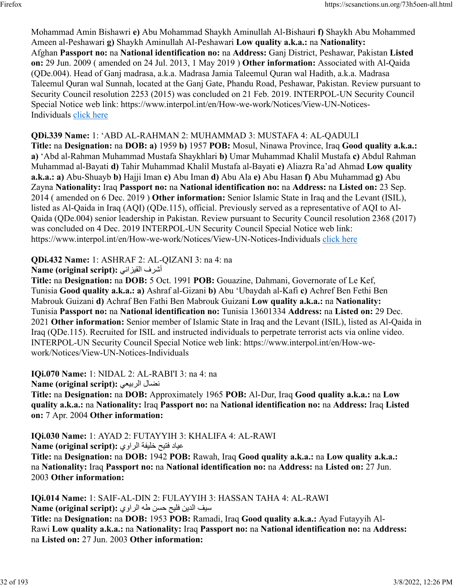Mohammad Amin Bishawri **e)** Abu Mohammad Shaykh Aminullah Al-Bishauri **f)** Shaykh Abu Mohammed Ameen al-Peshawari **g)** Shaykh Aminullah Al-Peshawari **Low quality a.k.a.:** na **Nationality:** Afghan **Passport no:** na **National identification no:** na **Address:** Ganj District, Peshawar, Pakistan **Listed on:** 29 Jun. 2009 ( amended on 24 Jul. 2013, 1 May 2019 ) **Other information:** Associated with Al-Qaida (QDe.004). Head of Ganj madrasa, a.k.a. Madrasa Jamia Taleemul Quran wal Hadith, a.k.a. Madrasa Taleemul Quran wal Sunnah, located at the Ganj Gate, Phandu Road, Peshawar, Pakistan. Review pursuant to Security Council resolution 2253 (2015) was concluded on 21 Feb. 2019. INTERPOL-UN Security Council Special Notice web link: https://www.interpol.int/en/How-we-work/Notices/View-UN-Notices-Individuals [click here](https://www.interpol.int/en/How-we-work/Notices/View-UN-Notices-Individuals)

#### **QDi.339 Name:** 1: 'ABD AL-RAHMAN 2: MUHAMMAD 3: MUSTAFA 4: AL-QADULI

**Title:** na **Designation:** na **DOB: a)** 1959 **b)** 1957 **POB:** Mosul, Ninawa Province, Iraq **Good quality a.k.a.: a)** 'Abd al-Rahman Muhammad Mustafa Shaykhlari **b)** Umar Muhammad Khalil Mustafa **c)** Abdul Rahman Muhammad al-Bayati **d)** Tahir Muhammad Khalil Mustafa al-Bayati **e)** Aliazra Ra'ad Ahmad **Low quality a.k.a.: a)** Abu-Shuayb **b)** Hajji Iman **c)** Abu Iman **d)** Abu Ala **e)** Abu Hasan **f)** Abu Muhammad **g)** Abu Zayna **Nationality:** Iraq **Passport no:** na **National identification no:** na **Address:** na **Listed on:** 23 Sep. 2014 ( amended on 6 Dec. 2019 ) **Other information:** Senior Islamic State in Iraq and the Levant (ISIL), listed as Al-Qaida in Iraq (AQI) (QDe.115), official. Previously served as a representative of AQI to Al-Qaida (QDe.004) senior leadership in Pakistan. Review pursuant to Security Council resolution 2368 (2017) was concluded on 4 Dec. 2019 INTERPOL-UN Security Council Special Notice web link: https://www.interpol.int/en/How-we-work/Notices/View-UN-Notices-Individuals [click here](https://www.interpol.int/en/How-we-work/Notices/View-UN-Notices-Individuals)

**QDi.432 Name:** 1: ASHRAF 2: AL-QIZANI 3: na 4: na

Name (original script): أشرف القيزاني

**Title:** na **Designation:** na **DOB:** 5 Oct. 1991 **POB:** Gouazine, Dahmani, Governorate of Le Kef, Tunisia **Good quality a.k.a.: a)** Ashraf al-Gizani **b)** Abu 'Ubaydah al-Kafi **c)** Achref Ben Fethi Ben Mabrouk Guizani **d)** Achraf Ben Fathi Ben Mabrouk Guizani **Low quality a.k.a.:** na **Nationality:** Tunisia **Passport no:** na **National identification no:** Tunisia 13601334 **Address:** na **Listed on:** 29 Dec. 2021 **Other information:** Senior member of Islamic State in Iraq and the Levant (ISIL), listed as Al-Qaida in Iraq (QDe.115). Recruited for ISIL and instructed individuals to perpetrate terrorist acts via online video. INTERPOL-UN Security Council Special Notice web link: https://www.interpol.int/en/How-wework/Notices/View-UN-Notices-Individuals

**IQi.070 Name:** 1: NIDAL 2: AL-RABI'I 3: na 4: na

**Name (original script):** يعيبرلا لاضن

**Title:** na **Designation:** na **DOB:** Approximately 1965 **POB:** Al-Dur, Iraq **Good quality a.k.a.:** na **Low quality a.k.a.:** na **Nationality:** Iraq **Passport no:** na **National identification no:** na **Address:** Iraq **Listed on:** 7 Apr. 2004 **Other information:** 

**IQi.030 Name:** 1: AYAD 2: FUTAYYIH 3: KHALIFA 4: AL-RAWI دايع حيتف ةفيلخ يوارلا **:(script original (Name**

**Title:** na **Designation:** na **DOB:** 1942 **POB:** Rawah, Iraq **Good quality a.k.a.:** na **Low quality a.k.a.:** na **Nationality:** Iraq **Passport no:** na **National identification no:** na **Address:** na **Listed on:** 27 Jun. 2003 **Other information:** 

**IQi.014 Name:** 1: SAIF-AL-DIN 2: FULAYYIH 3: HASSAN TAHA 4: AL-RAWI في الدين فليح حسن طه الراوي :(Name (original script

**Title:** na **Designation:** na **DOB:** 1953 **POB:** Ramadi, Iraq **Good quality a.k.a.:** Ayad Futayyih Al-Rawi **Low quality a.k.a.:** na **Nationality:** Iraq **Passport no:** na **National identification no:** na **Address:** na **Listed on:** 27 Jun. 2003 **Other information:**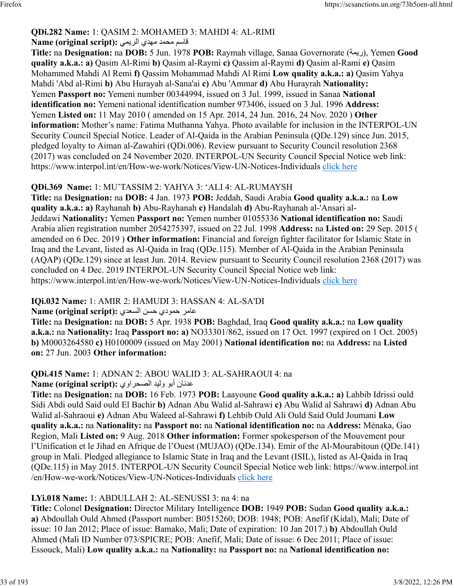## **QDi.282 Name:** 1: QASIM 2: MOHAMED 3: MAHDI 4: AL-RIMI

#### قاسم محمد مهدي الري*مي* :(Name (original script

**Title: na Designation: na DOB: 5 Jun. 1978 POB: Raymah village, Sanaa Governorate ((ريمة), Yemen Good quality a.k.a.: a)** Qasim Al-Rimi **b)** Qasim al-Raymi **c)** Qassim al-Raymi **d)** Qasim al-Rami **e)** Qasim Mohammed Mahdi Al Remi **f)** Qassim Mohammad Mahdi Al Rimi **Low quality a.k.a.: a)** Qasim Yahya Mahdi 'Abd al-Rimi **b)** Abu Hurayah al-Sana'ai **c)** Abu 'Ammar **d)** Abu Hurayrah **Nationality:** Yemen **Passport no:** Yemeni number 00344994, issued on 3 Jul. 1999, issued in Sanaa **National identification no:** Yemeni national identification number 973406, issued on 3 Jul. 1996 **Address:** Yemen **Listed on:** 11 May 2010 ( amended on 15 Apr. 2014, 24 Jun. 2016, 24 Nov. 2020 ) **Other information:** Mother's name: Fatima Muthanna Yahya. Photo available for inclusion in the INTERPOL-UN Security Council Special Notice. Leader of Al-Qaida in the Arabian Peninsula (QDe.129) since Jun. 2015, pledged loyalty to Aiman al-Zawahiri (QDi.006). Review pursuant to Security Council resolution 2368 (2017) was concluded on 24 November 2020. INTERPOL-UN Security Council Special Notice web link: https://www.interpol.int/en/How-we-work/Notices/View-UN-Notices-Individuals [click here](https://www.interpol.int/en/How-we-work/Notices/View-UN-Notices-Individuals)

## **QDi.369 Name:** 1: MU'TASSIM 2: YAHYA 3: 'ALI 4: AL-RUMAYSH

**Title:** na **Designation:** na **DOB:** 4 Jan. 1973 **POB:** Jeddah, Saudi Arabia **Good quality a.k.a.:** na **Low quality a.k.a.: a)** Rayhanah **b)** Abu-Rayhanah **c)** Handalah **d)** Abu-Rayhanah al-'Ansari al-Jeddawi **Nationality:** Yemen **Passport no:** Yemen number 01055336 **National identification no:** Saudi Arabia alien registration number 2054275397, issued on 22 Jul. 1998 **Address:** na **Listed on:** 29 Sep. 2015 ( amended on 6 Dec. 2019 ) **Other information:** Financial and foreign fighter facilitator for Islamic State in Iraq and the Levant, listed as Al-Qaida in Iraq (QDe.115). Member of Al-Qaida in the Arabian Peninsula (AQAP) (QDe.129) since at least Jun. 2014. Review pursuant to Security Council resolution 2368 (2017) was concluded on 4 Dec. 2019 INTERPOL-UN Security Council Special Notice web link: https://www.interpol.int/en/How-we-work/Notices/View-UN-Notices-Individuals [click here](https://www.interpol.int/en/How-we-work/Notices/View-UN-Notices-Individuals)

### **IQi.032 Name:** 1: AMIR 2: HAMUDI 3: HASSAN 4: AL-SA'DI

### رماع يدومح نسح يدعسلا **:(script original (Name**

**Title:** na **Designation:** na **DOB:** 5 Apr. 1938 **POB:** Baghdad, Iraq **Good quality a.k.a.:** na **Low quality a.k.a.:** na **Nationality:** Iraq **Passport no: a)** NO33301/862, issued on 17 Oct. 1997 (expired on 1 Oct. 2005) **b)** M0003264580 **c)** H0100009 (issued on May 2001) **National identification no:** na **Address:** na **Listed on:** 27 Jun. 2003 **Other information:** 

# **QDi.415 Name:** 1: ADNAN 2: ABOU WALID 3: AL-SAHRAOUI 4: na

### عدنان أبو وليد الصحر اوي :(Name (original script

**Title:** na **Designation:** na **DOB:** 16 Feb. 1973 **POB:** Laayoune **Good quality a.k.a.: a)** Lahbib Idrissi ould Sidi Abdi ould Said ould El Bachir **b)** Adnan Abu Walid al-Sahrawi **c)** Abu Walid al Sahrawi **d)** Adnan Abu Walid al-Sahraoui **e)** Adnan Abu Waleed al-Sahrawi **f)** Lehbib Ould Ali Ould Said Ould Joumani **Low quality a.k.a.:** na **Nationality:** na **Passport no:** na **National identification no:** na **Address:** Ménaka, Gao Region, Mali **Listed on:** 9 Aug. 2018 **Other information:** Former spokesperson of the Mouvement pour l'Unification et le Jihad en Afrique de l'Ouest (MUJAO) (QDe.134). Emir of the Al-Mourabitoun (QDe.141) group in Mali. Pledged allegiance to Islamic State in Iraq and the Levant (ISIL), listed as Al-Qaida in Iraq (QDe.115) in May 2015. INTERPOL-UN Security Council Special Notice web link: https://www.interpol.int /en/How-we-work/Notices/View-UN-Notices-Individuals [click here](https://www.interpol.int/en/How-we-work/Notices/View-UN-Notices-Individuals)

### **LYi.018 Name:** 1: ABDULLAH 2: AL-SENUSSI 3: na 4: na

**Title:** Colonel **Designation:** Director Military Intelligence **DOB:** 1949 **POB:** Sudan **Good quality a.k.a.: a)** Abdoullah Ould Ahmed (Passport number: B0515260; DOB: 1948; POB: Anefif (Kidal), Mali; Date of issue: 10 Jan 2012; Place of issue: Bamako, Mali; Date of expiration: 10 Jan 2017.) **b)** Abdoullah Ould Ahmed (Mali ID Number 073/SPICRE; POB: Anefif, Mali; Date of issue: 6 Dec 2011; Place of issue: Essouck, Mali) **Low quality a.k.a.:** na **Nationality:** na **Passport no:** na **National identification no:**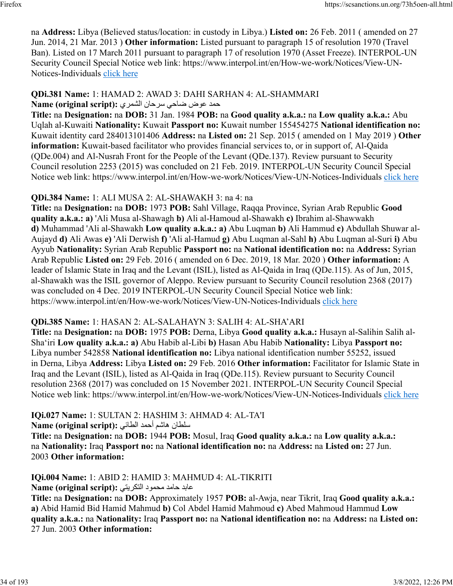na **Address:** Libya (Believed status/location: in custody in Libya.) **Listed on:** 26 Feb. 2011 ( amended on 27 Jun. 2014, 21 Mar. 2013 ) **Other information:** Listed pursuant to paragraph 15 of resolution 1970 (Travel Ban). Listed on 17 March 2011 pursuant to paragraph 17 of resolution 1970 (Asset Freeze). INTERPOL-UN Security Council Special Notice web link: https://www.interpol.int/en/How-we-work/Notices/View-UN-Notices-Individuals [click here](https://www.interpol.int/en/How-we-work/Notices/View-UN-Notices-Individuals)

#### **QDi.381 Name:** 1: HAMAD 2: AWAD 3: DAHI SARHAN 4: AL-SHAMMARI دمح ضوع يحاض ناحرس يرمشلا **:(script original (Name**

**Title:** na **Designation:** na **DOB:** 31 Jan. 1984 **POB:** na **Good quality a.k.a.:** na **Low quality a.k.a.:** Abu Uqlah al-Kuwaiti **Nationality:** Kuwait **Passport no:** Kuwait number 155454275 **National identification no:** Kuwait identity card 284013101406 **Address:** na **Listed on:** 21 Sep. 2015 ( amended on 1 May 2019 ) **Other information:** Kuwait-based facilitator who provides financial services to, or in support of, Al-Qaida (QDe.004) and Al-Nusrah Front for the People of the Levant (QDe.137). Review pursuant to Security Council resolution 2253 (2015) was concluded on 21 Feb. 2019. INTERPOL-UN Security Council Special Notice web link: https://www.interpol.int/en/How-we-work/Notices/View-UN-Notices-Individuals [click here](https://www.interpol.int/en/How-we-work/Notices/View-UN-Notices-Individuals)

# **QDi.384 Name:** 1: ALI MUSA 2: AL-SHAWAKH 3: na 4: na

**Title:** na **Designation:** na **DOB:** 1973 **POB:** Sahl Village, Raqqa Province, Syrian Arab Republic **Good quality a.k.a.: a)** 'Ali Musa al-Shawagh **b)** Ali al-Hamoud al-Shawakh **c)** Ibrahim al-Shawwakh **d)** Muhammad 'Ali al-Shawakh **Low quality a.k.a.: a)** Abu Luqman **b)** Ali Hammud **c)** Abdullah Shuwar al-Aujayd **d)** Ali Awas **e)** 'Ali Derwish **f)** 'Ali al-Hamud **g)** Abu Luqman al-Sahl **h)** Abu Luqman al-Suri **i)** Abu Ayyub **Nationality:** Syrian Arab Republic **Passport no:** na **National identification no:** na **Address:** Syrian Arab Republic **Listed on:** 29 Feb. 2016 ( amended on 6 Dec. 2019, 18 Mar. 2020 ) **Other information:** A leader of Islamic State in Iraq and the Levant (ISIL), listed as Al-Qaida in Iraq (QDe.115). As of Jun, 2015, al-Shawakh was the ISIL governor of Aleppo. Review pursuant to Security Council resolution 2368 (2017) was concluded on 4 Dec. 2019 INTERPOL-UN Security Council Special Notice web link: https://www.interpol.int/en/How-we-work/Notices/View-UN-Notices-Individuals [click here](https://www.interpol.int/en/How-we-work/Notices/View-UN-Notices-Individuals)

### **QDi.385 Name:** 1: HASAN 2: AL-SALAHAYN 3: SALIH 4: AL-SHA'ARI

**Title:** na **Designation:** na **DOB:** 1975 **POB:** Derna, Libya **Good quality a.k.a.:** Husayn al-Salihin Salih al-Sha'iri **Low quality a.k.a.: a)** Abu Habib al-Libi **b)** Hasan Abu Habib **Nationality:** Libya **Passport no:** Libya number 542858 **National identification no:** Libya national identification number 55252, issued in Derna, Libya **Address:** Libya **Listed on:** 29 Feb. 2016 **Other information:** Facilitator for Islamic State in Iraq and the Levant (ISIL), listed as Al-Qaida in Iraq (QDe.115). Review pursuant to Security Council resolution 2368 (2017) was concluded on 15 November 2021. INTERPOL-UN Security Council Special Notice web link: https://www.interpol.int/en/How-we-work/Notices/View-UN-Notices-Individuals [click here](https://www.interpol.int/en/How-we-work/Notices/View-UN-Notices-Individuals)

# **IQi.027 Name:** 1: SULTAN 2: HASHIM 3: AHMAD 4: AL-TA'I

ناطلس مشاه دمحأ يئاطلا **:(script original (Name**

**Title:** na **Designation:** na **DOB:** 1944 **POB:** Mosul, Iraq **Good quality a.k.a.:** na **Low quality a.k.a.:** na **Nationality:** Iraq **Passport no:** na **National identification no:** na **Address:** na **Listed on:** 27 Jun. 2003 **Other information:** 

# **IQi.004 Name:** 1: ABID 2: HAMID 3: MAHMUD 4: AL-TIKRITI

دباع دماح دومحم يتيركتلا **:(script original (Name**

**Title:** na **Designation:** na **DOB:** Approximately 1957 **POB:** al-Awja, near Tikrit, Iraq **Good quality a.k.a.: a)** Abid Hamid Bid Hamid Mahmud **b)** Col Abdel Hamid Mahmoud **c)** Abed Mahmoud Hammud **Low quality a.k.a.:** na **Nationality:** Iraq **Passport no:** na **National identification no:** na **Address:** na **Listed on:** 27 Jun. 2003 **Other information:**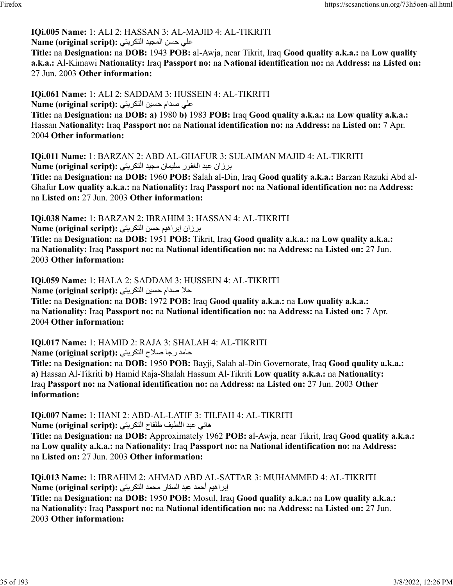#### **IQi.005 Name:** 1: ALI 2: HASSAN 3: AL-MAJID 4: AL-TIKRITI على حسن المجيد التكريتي: Name (original script):

**Title:** na **Designation:** na **DOB:** 1943 **POB:** al-Awja, near Tikrit, Iraq **Good quality a.k.a.:** na **Low quality a.k.a.:** Al-Kimawi **Nationality:** Iraq **Passport no:** na **National identification no:** na **Address:** na **Listed on:** 27 Jun. 2003 **Other information:** 

**IQi.061 Name:** 1: ALI 2: SADDAM 3: HUSSEIN 4: AL-TIKRITI على صدام حسين التكريتي:(Name (original script

**Title:** na **Designation:** na **DOB: a)** 1980 **b)** 1983 **POB:** Iraq **Good quality a.k.a.:** na **Low quality a.k.a.:** Hassan **Nationality:** Iraq **Passport no:** na **National identification no:** na **Address:** na **Listed on:** 7 Apr. 2004 **Other information:** 

**IQi.011 Name:** 1: BARZAN 2: ABD AL-GHAFUR 3: SULAIMAN MAJID 4: AL-TIKRITI نازران عبد الغفور سليمان مجيد التكريتي: Name (original script):

**Title:** na **Designation:** na **DOB:** 1960 **POB:** Salah al-Din, Iraq **Good quality a.k.a.:** Barzan Razuki Abd al-Ghafur **Low quality a.k.a.:** na **Nationality:** Iraq **Passport no:** na **National identification no:** na **Address:** na **Listed on:** 27 Jun. 2003 **Other information:** 

**IQi.038 Name:** 1: BARZAN 2: IBRAHIM 3: HASSAN 4: AL-TIKRITI نرزان إبراهيم حسن التكريتي: Name (original script):

**Title:** na **Designation:** na **DOB:** 1951 **POB:** Tikrit, Iraq **Good quality a.k.a.:** na **Low quality a.k.a.:** na **Nationality:** Iraq **Passport no:** na **National identification no:** na **Address:** na **Listed on:** 27 Jun. 2003 **Other information:** 

**IQi.059 Name:** 1: HALA 2: SADDAM 3: HUSSEIN 4: AL-TIKRITI لا صدام حسين التكريتي: Name (original script):

**Title:** na **Designation:** na **DOB:** 1972 **POB:** Iraq **Good quality a.k.a.:** na **Low quality a.k.a.:** na **Nationality:** Iraq **Passport no:** na **National identification no:** na **Address:** na **Listed on:** 7 Apr. 2004 **Other information:** 

**IQi.017 Name:** 1: HAMID 2: RAJA 3: SHALAH 4: AL-TIKRITI دماح اجر حلاص يتيركتلا **:(script original (Name**

**Title:** na **Designation:** na **DOB:** 1950 **POB:** Bayji, Salah al-Din Governorate, Iraq **Good quality a.k.a.: a)** Hassan Al-Tikriti **b)** Hamid Raja-Shalah Hassum Al-Tikriti **Low quality a.k.a.:** na **Nationality:** Iraq **Passport no:** na **National identification no:** na **Address:** na **Listed on:** 27 Jun. 2003 **Other information:** 

**IQi.007 Name:** 1: HANI 2: ABD-AL-LATIF 3: TILFAH 4: AL-TIKRITI هاني عبد اللطيف طلفاح التكريتي :(Name (original script

**Title:** na **Designation:** na **DOB:** Approximately 1962 **POB:** al-Awja, near Tikrit, Iraq **Good quality a.k.a.:** na **Low quality a.k.a.:** na **Nationality:** Iraq **Passport no:** na **National identification no:** na **Address:** na **Listed on:** 27 Jun. 2003 **Other information:** 

**IQi.013 Name:** 1: IBRAHIM 2: AHMAD ABD AL-SATTAR 3: MUHAMMED 4: AL-TIKRITI براهيم أحمد عبد الستار محمد التكريتي :**Name (original script)** 

**Title:** na **Designation:** na **DOB:** 1950 **POB:** Mosul, Iraq **Good quality a.k.a.:** na **Low quality a.k.a.:** na **Nationality:** Iraq **Passport no:** na **National identification no:** na **Address:** na **Listed on:** 27 Jun. 2003 **Other information:**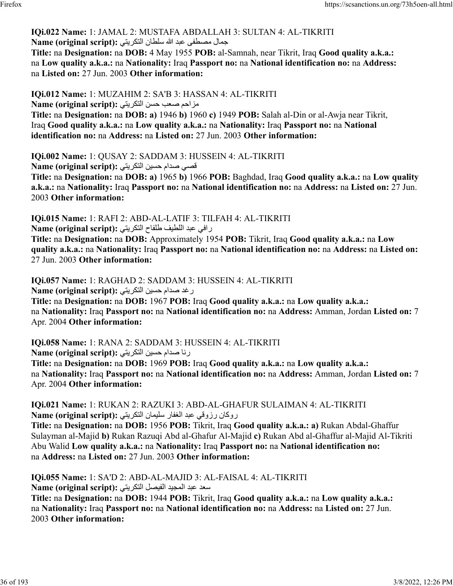### **IQi.022 Name:** 1: JAMAL 2: MUSTAFA ABDALLAH 3: SULTAN 4: AL-TIKRITI لامجمال مصطفى عبد الله سلطان التكريتي :**(Name (original script**

**Title:** na **Designation:** na **DOB:** 4 May 1955 **POB:** al-Samnah, near Tikrit, Iraq **Good quality a.k.a.:** na **Low quality a.k.a.:** na **Nationality:** Iraq **Passport no:** na **National identification no:** na **Address:** na **Listed on:** 27 Jun. 2003 **Other information:** 

**IQi.012 Name:** 1: MUZAHIM 2: SA'B 3: HASSAN 4: AL-TIKRITI مزاحم صعب حسن التكريتي:(Name (original script **Title:** na **Designation:** na **DOB: a)** 1946 **b)** 1960 **c)** 1949 **POB:** Salah al-Din or al-Awja near Tikrit, Iraq **Good quality a.k.a.:** na **Low quality a.k.a.:** na **Nationality:** Iraq **Passport no:** na **National identification no:** na **Address:** na **Listed on:** 27 Jun. 2003 **Other information:** 

**IQi.002 Name:** 1: QUSAY 2: SADDAM 3: HUSSEIN 4: AL-TIKRITI قصبي صدام حسين التكريتي: **Name (original script): Title:** na **Designation:** na **DOB: a)** 1965 **b)** 1966 **POB:** Baghdad, Iraq **Good quality a.k.a.:** na **Low quality a.k.a.:** na **Nationality:** Iraq **Passport no:** na **National identification no:** na **Address:** na **Listed on:** 27 Jun. 2003 **Other information:** 

**IQi.015 Name:** 1: RAFI 2: ABD-AL-LATIF 3: TILFAH 4: AL-TIKRITI رافي عبد اللطيف طلفاح التكريتي :**Name (original script) Title:** na **Designation:** na **DOB:** Approximately 1954 **POB:** Tikrit, Iraq **Good quality a.k.a.:** na **Low**

**quality a.k.a.:** na **Nationality:** Iraq **Passport no:** na **National identification no:** na **Address:** na **Listed on:** 27 Jun. 2003 **Other information:** 

**IQi.057 Name:** 1: RAGHAD 2: SADDAM 3: HUSSEIN 4: AL-TIKRITI

رغد صدام حسين التكريتي :(Name (original script

**Title:** na **Designation:** na **DOB:** 1967 **POB:** Iraq **Good quality a.k.a.:** na **Low quality a.k.a.:** na **Nationality:** Iraq **Passport no:** na **National identification no:** na **Address:** Amman, Jordan **Listed on:** 7 Apr. 2004 **Other information:** 

**IQi.058 Name:** 1: RANA 2: SADDAM 3: HUSSEIN 4: AL-TIKRITI

رنا صدام حسين التكريتي: Name (original script)

**Title:** na **Designation:** na **DOB:** 1969 **POB:** Iraq **Good quality a.k.a.:** na **Low quality a.k.a.:** na **Nationality:** Iraq **Passport no:** na **National identification no:** na **Address:** Amman, Jordan **Listed on:** 7 Apr. 2004 **Other information:** 

**IQi.021 Name:** 1: RUKAN 2: RAZUKI 3: ABD-AL-GHAFUR SULAIMAN 4: AL-TIKRITI نروكان رزوقي عبد الغفار سليمان التكريتي : Name (original script)

**Title:** na **Designation:** na **DOB:** 1956 **POB:** Tikrit, Iraq **Good quality a.k.a.: a)** Rukan Abdal-Ghaffur Sulayman al-Majid **b)** Rukan Razuqi Abd al-Ghafur Al-Majid **c)** Rukan Abd al-Ghaffur al-Majid Al-Tikriti Abu Walid **Low quality a.k.a.:** na **Nationality:** Iraq **Passport no:** na **National identification no:** na **Address:** na **Listed on:** 27 Jun. 2003 **Other information:** 

**IQi.055 Name:** 1: SA'D 2: ABD-AL-MAJID 3: AL-FAISAL 4: AL-TIKRITI دعس دبع ديجملا لصيفلا يتيركتلا **:(script original (Name**

**Title:** na **Designation:** na **DOB:** 1944 **POB:** Tikrit, Iraq **Good quality a.k.a.:** na **Low quality a.k.a.:** na **Nationality:** Iraq **Passport no:** na **National identification no:** na **Address:** na **Listed on:** 27 Jun. 2003 **Other information:**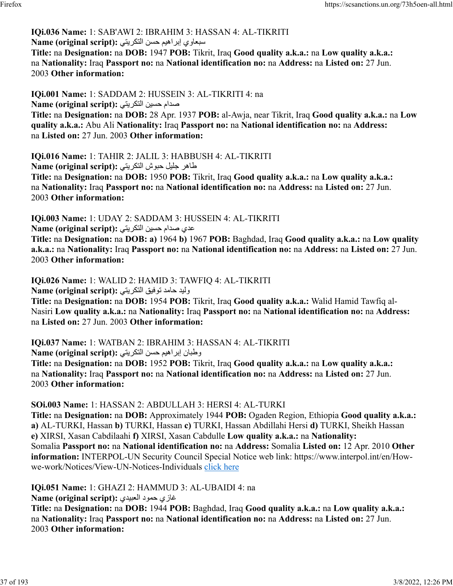#### **IQi.036 Name:** 1: SAB'AWI 2: IBRAHIM 3: HASSAN 4: AL-TIKRITI سبعاوي إبراهيم حسن التكريتي: Name (original script):

**Title:** na **Designation:** na **DOB:** 1947 **POB:** Tikrit, Iraq **Good quality a.k.a.:** na **Low quality a.k.a.:** na **Nationality:** Iraq **Passport no:** na **National identification no:** na **Address:** na **Listed on:** 27 Jun. 2003 **Other information:** 

**IQi.001 Name:** 1: SADDAM 2: HUSSEIN 3: AL-TIKRITI 4: na ملدام حسين التكريتي: **Name (original script): Title:** na **Designation:** na **DOB:** 28 Apr. 1937 **POB:** al-Awja, near Tikrit, Iraq **Good quality a.k.a.:** na **Low quality a.k.a.:** Abu Ali **Nationality:** Iraq **Passport no:** na **National identification no:** na **Address:** na **Listed on:** 27 Jun. 2003 **Other information:** 

**IQi.016 Name:** 1: TAHIR 2: JALIL 3: HABBUSH 4: AL-TIKRITI طاهر جليل حبوش التكريتي :(Name (original script **Title:** na **Designation:** na **DOB:** 1950 **POB:** Tikrit, Iraq **Good quality a.k.a.:** na **Low quality a.k.a.:** na **Nationality:** Iraq **Passport no:** na **National identification no:** na **Address:** na **Listed on:** 27 Jun. 2003 **Other information:** 

**IQi.003 Name:** 1: UDAY 2: SADDAM 3: HUSSEIN 4: AL-TIKRITI عدي صدام حسين التكريتي: **Name (original script):** 

**Title:** na **Designation:** na **DOB: a)** 1964 **b)** 1967 **POB:** Baghdad, Iraq **Good quality a.k.a.:** na **Low quality a.k.a.:** na **Nationality:** Iraq **Passport no:** na **National identification no:** na **Address:** na **Listed on:** 27 Jun. 2003 **Other information:** 

**IQi.026 Name:** 1: WALID 2: HAMID 3: TAWFIQ 4: AL-TIKRITI

ديلو دماح قيفوت يتيركتلا **:(script original (Name**

**Title:** na **Designation:** na **DOB:** 1954 **POB:** Tikrit, Iraq **Good quality a.k.a.:** Walid Hamid Tawfiq al-Nasiri **Low quality a.k.a.:** na **Nationality:** Iraq **Passport no:** na **National identification no:** na **Address:** na **Listed on:** 27 Jun. 2003 **Other information:** 

**IQi.037 Name:** 1: WATBAN 2: IBRAHIM 3: HASSAN 4: AL-TIKRITI

ن طبان إبراهيم حسن التكريتي: Name (original script):

**Title:** na **Designation:** na **DOB:** 1952 **POB:** Tikrit, Iraq **Good quality a.k.a.:** na **Low quality a.k.a.:** na **Nationality:** Iraq **Passport no:** na **National identification no:** na **Address:** na **Listed on:** 27 Jun. 2003 **Other information:** 

**SOi.003 Name:** 1: HASSAN 2: ABDULLAH 3: HERSI 4: AL-TURKI

**Title:** na **Designation:** na **DOB:** Approximately 1944 **POB:** Ogaden Region, Ethiopia **Good quality a.k.a.: a)** AL-TURKI, Hassan **b)** TURKI, Hassan **c)** TURKI, Hassan Abdillahi Hersi **d)** TURKI, Sheikh Hassan **e)** XIRSI, Xasan Cabdilaahi **f)** XIRSI, Xasan Cabdulle **Low quality a.k.a.:** na **Nationality:** Somalia **Passport no:** na **National identification no:** na **Address:** Somalia **Listed on:** 12 Apr. 2010 **Other information:** INTERPOL-UN Security Council Special Notice web link: https://www.interpol.int/en/Howwe-work/Notices/View-UN-Notices-Individuals [click here](https://www.interpol.int/en/How-we-work/Notices/View-UN-Notices-Individuals)

**IQi.051 Name:** 1: GHAZI 2: HAMMUD 3: AL-UBAIDI 4: na

غازي حمود العبيدي :(Name (original script

**Title:** na **Designation:** na **DOB:** 1944 **POB:** Baghdad, Iraq **Good quality a.k.a.:** na **Low quality a.k.a.:** na **Nationality:** Iraq **Passport no:** na **National identification no:** na **Address:** na **Listed on:** 27 Jun. 2003 **Other information:**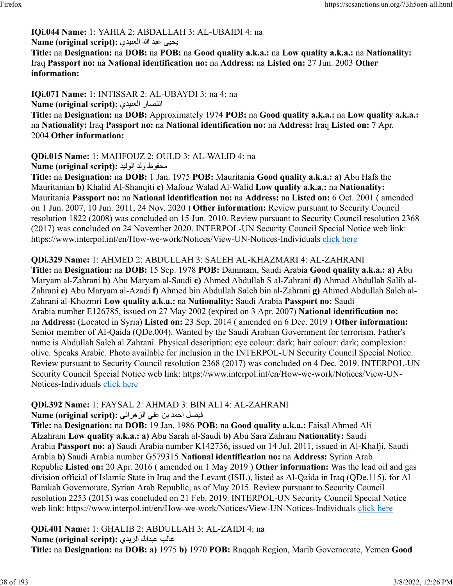# **IQi.044 Name:** 1: YAHIA 2: ABDALLAH 3: AL-UBAIDI 4: na

#### يحيى عبد الله العبيدي :(Name (original script

**Title:** na **Designation:** na **DOB:** na **POB:** na **Good quality a.k.a.:** na **Low quality a.k.a.:** na **Nationality:** Iraq **Passport no:** na **National identification no:** na **Address:** na **Listed on:** 27 Jun. 2003 **Other information:** 

**IQi.071 Name:** 1: INTISSAR 2: AL-UBAYDI 3: na 4: na Name (original script): انتصار العبيدي

**Title:** na **Designation:** na **DOB:** Approximately 1974 **POB:** na **Good quality a.k.a.:** na **Low quality a.k.a.:** na **Nationality:** Iraq **Passport no:** na **National identification no:** na **Address:** Iraq **Listed on:** 7 Apr. 2004 **Other information:** 

#### **QDi.015 Name:** 1: MAHFOUZ 2: OULD 3: AL-WALID 4: na ظوفحم دلو ديلولا **:(script original (Name**

**Title:** na **Designation:** na **DOB:** 1 Jan. 1975 **POB:** Mauritania **Good quality a.k.a.: a)** Abu Hafs the Mauritanian **b)** Khalid Al-Shanqiti **c)** Mafouz Walad Al-Walid **Low quality a.k.a.:** na **Nationality:** Mauritania **Passport no:** na **National identification no:** na **Address:** na **Listed on:** 6 Oct. 2001 ( amended on 1 Jun. 2007, 10 Jun. 2011, 24 Nov. 2020 ) **Other information:** Review pursuant to Security Council resolution 1822 (2008) was concluded on 15 Jun. 2010. Review pursuant to Security Council resolution 2368 (2017) was concluded on 24 November 2020. INTERPOL-UN Security Council Special Notice web link: https://www.interpol.int/en/How-we-work/Notices/View-UN-Notices-Individuals [click here](https://www.interpol.int/en/How-we-work/Notices/View-UN-Notices-Individuals)

### **QDi.329 Name:** 1: AHMED 2: ABDULLAH 3: SALEH AL-KHAZMARI 4: AL-ZAHRANI

**Title:** na **Designation:** na **DOB:** 15 Sep. 1978 **POB:** Dammam, Saudi Arabia **Good quality a.k.a.: a)** Abu Maryam al-Zahrani **b)** Abu Maryam al-Saudi **c)** Ahmed Abdullah S al-Zahrani **d)** Ahmad Abdullah Salih al-Zahrani **e)** Abu Maryam al-Azadi **f)** Ahmed bin Abdullah Saleh bin al-Zahrani **g)** Ahmed Abdullah Saleh al-Zahrani al-Khozmri **Low quality a.k.a.:** na **Nationality:** Saudi Arabia **Passport no:** Saudi Arabia number E126785, issued on 27 May 2002 (expired on 3 Apr. 2007) **National identification no:** na **Address:** (Located in Syria) **Listed on:** 23 Sep. 2014 ( amended on 6 Dec. 2019 ) **Other information:** Senior member of Al-Qaida (QDe.004). Wanted by the Saudi Arabian Government for terrorism. Father's name is Abdullah Saleh al Zahrani. Physical description: eye colour: dark; hair colour: dark; complexion: olive. Speaks Arabic. Photo available for inclusion in the INTERPOL-UN Security Council Special Notice. Review pursuant to Security Council resolution 2368 (2017) was concluded on 4 Dec. 2019. INTERPOL-UN Security Council Special Notice web link: https://www.interpol.int/en/How-we-work/Notices/View-UN-Notices-Individuals [click here](https://www.interpol.int/en/How-we-work/Notices/View-UN-Notices-Individuals)

# **QDi.392 Name:** 1: FAYSAL 2: AHMAD 3: BIN ALI 4: AL-ZAHRANI

لصيف دمحا نب يلع ينارهزلا **:(script original (Name**

**Title:** na **Designation:** na **DOB:** 19 Jan. 1986 **POB:** na **Good quality a.k.a.:** Faisal Ahmed Ali Alzahrani **Low quality a.k.a.: a)** Abu Sarah al-Saudi **b)** Abu Sara Zahrani **Nationality:** Saudi Arabia **Passport no: a)** Saudi Arabia number K142736, issued on 14 Jul. 2011, issued in Al-Khafji, Saudi Arabia **b)** Saudi Arabia number G579315 **National identification no:** na **Address:** Syrian Arab Republic **Listed on:** 20 Apr. 2016 ( amended on 1 May 2019 ) **Other information:** Was the lead oil and gas division official of Islamic State in Iraq and the Levant (ISIL), listed as Al-Qaida in Iraq (QDe.115), for Al Barakah Governorate, Syrian Arab Republic, as of May 2015. Review pursuant to Security Council resolution 2253 (2015) was concluded on 21 Feb. 2019. INTERPOL-UN Security Council Special Notice web link: https://www.interpol.int/en/How-we-work/Notices/View-UN-Notices-Individuals [click here](https://www.interpol.int/en/How-we-work/Notices/View-UN-Notices-Individuals)

#### **QDi.401 Name:** 1: GHALIB 2: ABDULLAH 3: AL-ZAIDI 4: na غالب عبدالله الزيدي :Name (original script)

**Title:** na **Designation:** na **DOB: a)** 1975 **b)** 1970 **POB:** Raqqah Region, Marib Governorate, Yemen **Good**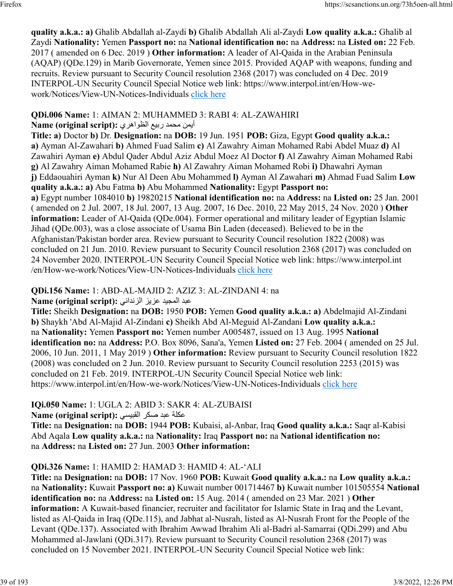**quality a.k.a.: a)** Ghalib Abdallah al-Zaydi **b)** Ghalib Abdallah Ali al-Zaydi **Low quality a.k.a.:** Ghalib al Zaydi **Nationality:** Yemen **Passport no:** na **National identification no:** na **Address:** na **Listed on:** 22 Feb. 2017 ( amended on 6 Dec. 2019 ) **Other information:** A leader of Al-Qaida in the Arabian Peninsula (AQAP) (QDe.129) in Marib Governorate, Yemen since 2015. Provided AQAP with weapons, funding and recruits. Review pursuant to Security Council resolution 2368 (2017) was concluded on 4 Dec. 2019 INTERPOL-UN Security Council Special Notice web link: https://www.interpol.int/en/How-wework/Notices/View-UN-Notices-Individuals [click here](https://www.interpol.int/en/How-we-work/Notices/View-UN-Notices-Individuals)

### **QDi.006 Name:** 1: AIMAN 2: MUHAMMED 3: RABI 4: AL-ZAWAHIRI

### أيمن محمد ربيع الظواهري :Name (original script)

**Title: a)** Doctor **b)** Dr. **Designation:** na **DOB:** 19 Jun. 1951 **POB:** Giza, Egypt **Good quality a.k.a.: a)** Ayman Al-Zawahari **b)** Ahmed Fuad Salim **c)** Al Zawahry Aiman Mohamed Rabi Abdel Muaz **d)** Al Zawahiri Ayman **e)** Abdul Qader Abdul Aziz Abdul Moez Al Doctor **f)** Al Zawahry Aiman Mohamed Rabi **g)** Al Zawahry Aiman Mohamed Rabie **h)** Al Zawahry Aiman Mohamed Robi **i)** Dhawahri Ayman **j)** Eddaouahiri Ayman **k)** Nur Al Deen Abu Mohammed **l)** Ayman Al Zawahari **m)** Ahmad Fuad Salim **Low quality a.k.a.: a)** Abu Fatma **b)** Abu Mohammed **Nationality:** Egypt **Passport no: a)** Egypt number 1084010 **b)** 19820215 **National identification no:** na **Address:** na **Listed on:** 25 Jan. 2001 ( amended on 2 Jul. 2007, 18 Jul. 2007, 13 Aug. 2007, 16 Dec. 2010, 22 May 2015, 24 Nov. 2020 ) **Other information:** Leader of Al-Qaida (QDe.004). Former operational and military leader of Egyptian Islamic Jihad (QDe.003), was a close associate of Usama Bin Laden (deceased). Believed to be in the Afghanistan/Pakistan border area. Review pursuant to Security Council resolution 1822 (2008) was concluded on 21 Jun. 2010. Review pursuant to Security Council resolution 2368 (2017) was concluded on 24 November 2020. INTERPOL-UN Security Council Special Notice web link: https://www.interpol.int /en/How-we-work/Notices/View-UN-Notices-Individuals [click here](https://www.interpol.int/en/How-we-work/Notices/View-UN-Notices-Individuals)

# **QDi.156 Name:** 1: ABD-AL-MAJID 2: AZIZ 3: AL-ZINDANI 4: na

دبع ديجملا زيزع ينادنزلا **:(script original (Name**

**Title:** Sheikh **Designation:** na **DOB:** 1950 **POB:** Yemen **Good quality a.k.a.: a)** Abdelmajid Al-Zindani **b)** Shaykh 'Abd Al-Majid Al-Zindani **c)** Sheikh Abd Al-Meguid Al-Zandani **Low quality a.k.a.:** na **Nationality:** Yemen **Passport no:** Yemen number A005487, issued on 13 Aug. 1995 **National identification no:** na **Address:** P.O. Box 8096, Sana'a, Yemen **Listed on:** 27 Feb. 2004 ( amended on 25 Jul. 2006, 10 Jun. 2011, 1 May 2019 ) **Other information:** Review pursuant to Security Council resolution 1822 (2008) was concluded on 2 Jun. 2010. Review pursuant to Security Council resolution 2253 (2015) was concluded on 21 Feb. 2019. INTERPOL-UN Security Council Special Notice web link: https://www.interpol.int/en/How-we-work/Notices/View-UN-Notices-Individuals [click here](https://www.interpol.int/en/How-we-work/Notices/View-UN-Notices-Individuals)

# **IQi.050 Name:** 1: UGLA 2: ABID 3: SAKR 4: AL-ZUBAISI

مكلة عبد صكر القبيسي: Name (original script)

**Title:** na **Designation:** na **DOB:** 1944 **POB:** Kubaisi, al-Anbar, Iraq **Good quality a.k.a.:** Saqr al-Kabisi Abd Aqala **Low quality a.k.a.:** na **Nationality:** Iraq **Passport no:** na **National identification no:** na **Address:** na **Listed on:** 27 Jun. 2003 **Other information:** 

# **QDi.326 Name:** 1: HAMID 2: HAMAD 3: HAMID 4: AL-'ALI

**Title:** na **Designation:** na **DOB:** 17 Nov. 1960 **POB:** Kuwait **Good quality a.k.a.:** na **Low quality a.k.a.:** na **Nationality:** Kuwait **Passport no: a)** Kuwait number 001714467 **b)** Kuwait number 101505554 **National identification no:** na **Address:** na **Listed on:** 15 Aug. 2014 ( amended on 23 Mar. 2021 ) **Other information:** A Kuwait-based financier, recruiter and facilitator for Islamic State in Iraq and the Levant, listed as Al-Qaida in Iraq (QDe.115), and Jabhat al-Nusrah, listed as Al-Nusrah Front for the People of the Levant (QDe.137). Associated with Ibrahim Awwad Ibrahim Ali al-Badri al-Samarrai (QDi.299) and Abu Mohammed al-Jawlani (QDi.317). Review pursuant to Security Council resolution 2368 (2017) was concluded on 15 November 2021. INTERPOL-UN Security Council Special Notice web link: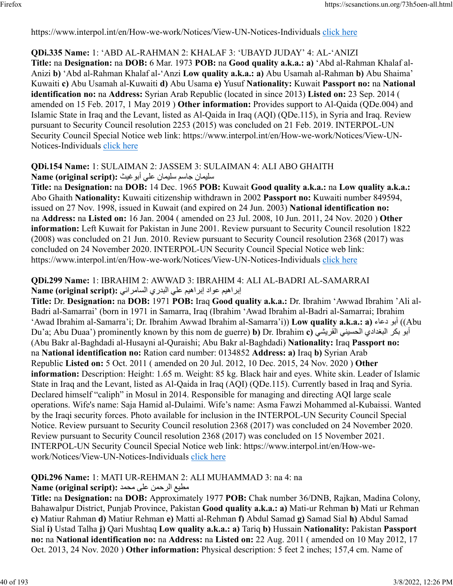https://www.interpol.int/en/How-we-work/Notices/View-UN-Notices-Individuals [click here](https://www.interpol.int/en/How-we-work/Notices/View-UN-Notices-Individuals)

#### **QDi.335 Name:** 1: 'ABD AL-RAHMAN 2: KHALAF 3: 'UBAYD JUDAY' 4: AL-'ANIZI

**Title:** na **Designation:** na **DOB:** 6 Mar. 1973 **POB:** na **Good quality a.k.a.: a)** 'Abd al-Rahman Khalaf al-Anizi **b)** 'Abd al-Rahman Khalaf al-'Anzi **Low quality a.k.a.: a)** Abu Usamah al-Rahman **b)** Abu Shaima' Kuwaiti **c)** Abu Usamah al-Kuwaiti **d)** Abu Usama **e)** Yusuf **Nationality:** Kuwait **Passport no:** na **National identification no:** na **Address:** Syrian Arab Republic (located in since 2013) **Listed on:** 23 Sep. 2014 ( amended on 15 Feb. 2017, 1 May 2019 ) **Other information:** Provides support to Al-Qaida (QDe.004) and Islamic State in Iraq and the Levant, listed as Al-Qaida in Iraq (AQI) (QDe.115), in Syria and Iraq. Review pursuant to Security Council resolution 2253 (2015) was concluded on 21 Feb. 2019. INTERPOL-UN Security Council Special Notice web link: https://www.interpol.int/en/How-we-work/Notices/View-UN-Notices-Individuals [click here](https://www.interpol.int/en/How-we-work/Notices/View-UN-Notices-Individuals)

#### **QDi.154 Name:** 1: SULAIMAN 2: JASSEM 3: SULAIMAN 4: ALI ABO GHAITH ناميلس مساج ناميلس يلع ثيغوبأ **:(script original (Name**

**Title:** na **Designation:** na **DOB:** 14 Dec. 1965 **POB:** Kuwait **Good quality a.k.a.:** na **Low quality a.k.a.:** Abo Ghaith **Nationality:** Kuwaiti citizenship withdrawn in 2002 **Passport no:** Kuwaiti number 849594, issued on 27 Nov. 1998, issued in Kuwait (and expired on 24 Jun. 2003) **National identification no:** na **Address:** na **Listed on:** 16 Jan. 2004 ( amended on 23 Jul. 2008, 10 Jun. 2011, 24 Nov. 2020 ) **Other information:** Left Kuwait for Pakistan in June 2001. Review pursuant to Security Council resolution 1822 (2008) was concluded on 21 Jun. 2010. Review pursuant to Security Council resolution 2368 (2017) was concluded on 24 November 2020. INTERPOL-UN Security Council Special Notice web link: https://www.interpol.int/en/How-we-work/Notices/View-UN-Notices-Individuals [click here](https://www.interpol.int/en/How-we-work/Notices/View-UN-Notices-Individuals)

#### **QDi.299 Name:** 1: IBRAHIM 2: AWWAD 3: IBRAHIM 4: ALI AL-BADRI AL-SAMARRAI براهيم عواد إبراهيم على البدري السامرائي :**Name (original script)**

**Title:** Dr. **Designation:** na **DOB:** 1971 **POB:** Iraq **Good quality a.k.a.:** Dr. Ibrahim 'Awwad Ibrahim 'Ali al-Badri al-Samarrai' (born in 1971 in Samarra, Iraq (Ibrahim 'Awad Ibrahim al-Badri al-Samarrai; Ibrahim 'Awad Ibrahim al-Samarra'i; Dr. Ibrahim Awwad Ibrahim al-Samarra'i)) **Low quality a.k.a.: a)** ءاعد وبأ)) Abu Du'a; Abu Duaa') prominently known by this nom de guerre) **b)** Dr. Ibrahim **c**) المرّ بكر البغدادي الحسيني القريشي (Abu Bakr al-Baghdadi al-Husayni al-Quraishi; Abu Bakr al-Baghdadi) **Nationality:** Iraq **Passport no:** na **National identification no:** Ration card number: 0134852 **Address: a)** Iraq **b)** Syrian Arab Republic **Listed on:** 5 Oct. 2011 ( amended on 20 Jul. 2012, 10 Dec. 2015, 24 Nov. 2020 ) **Other information:** Description: Height: 1.65 m. Weight: 85 kg. Black hair and eyes. White skin. Leader of Islamic State in Iraq and the Levant, listed as Al-Qaida in Iraq (AQI) (QDe.115). Currently based in Iraq and Syria. Declared himself "caliph" in Mosul in 2014. Responsible for managing and directing AQI large scale operations. Wife's name: Saja Hamid al-Dulaimi. Wife's name: Asma Fawzi Mohammed al-Kubaissi. Wanted by the Iraqi security forces. Photo available for inclusion in the INTERPOL-UN Security Council Special Notice. Review pursuant to Security Council resolution 2368 (2017) was concluded on 24 November 2020. Review pursuant to Security Council resolution 2368 (2017) was concluded on 15 November 2021. INTERPOL-UN Security Council Special Notice web link: https://www.interpol.int/en/How-wework/Notices/View-UN-Notices-Individuals [click here](https://www.interpol.int/en/How-we-work/Notices/View-UN-Notices-Individuals)

### **QDi.296 Name:** 1: MATI UR-REHMAN 2: ALI MUHAMMAD 3: na 4: na

### عيطم نمحرلا یلع دمحم **:(script original (Name**

**Title:** na **Designation:** na **DOB:** Approximately 1977 **POB:** Chak number 36/DNB, Rajkan, Madina Colony, Bahawalpur District, Punjab Province, Pakistan **Good quality a.k.a.: a)** Mati-ur Rehman **b)** Mati ur Rehman **c)** Matiur Rahman **d)** Matiur Rehman **e)** Matti al-Rehman **f)** Abdul Samad **g)** Samad Sial **h)** Abdul Samad Sial **i)** Ustad Talha **j)** Qari Mushtaq **Low quality a.k.a.: a)** Tariq **b)** Hussain **Nationality:** Pakistan **Passport no:** na **National identification no:** na **Address:** na **Listed on:** 22 Aug. 2011 ( amended on 10 May 2012, 17 Oct. 2013, 24 Nov. 2020 ) **Other information:** Physical description: 5 feet 2 inches; 157,4 cm. Name of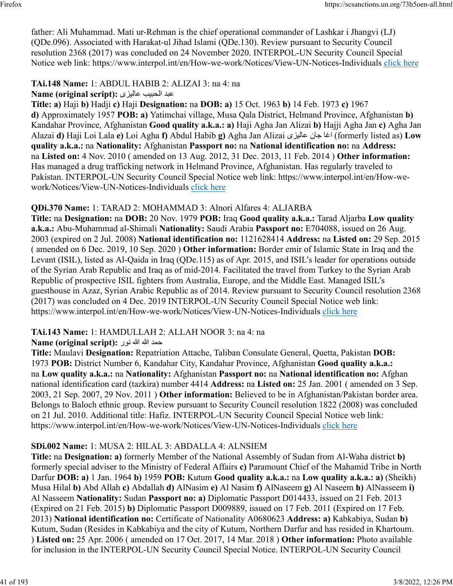father: Ali Muhammad. Mati ur-Rehman is the chief operational commander of Lashkar i Jhangvi (LJ) (QDe.096). Associated with Harakat-ul Jihad Islami (QDe.130). Review pursuant to Security Council resolution 2368 (2017) was concluded on 24 November 2020. INTERPOL-UN Security Council Special Notice web link: https://www.interpol.int/en/How-we-work/Notices/View-UN-Notices-Individuals [click here](https://www.interpol.int/en/How-we-work/Notices/View-UN-Notices-Individuals)

# **TAi.148 Name:** 1: ABDUL HABIB 2: ALIZAI 3: na 4: na

دبع بيبحلا یزيلاع **:(script original (Name**

**Title: a)** Haji **b)** Hadji **c)** Haji **Designation:** na **DOB: a)** 15 Oct. 1963 **b)** 14 Feb. 1973 **c)** 1967 **d)** Approximately 1957 **POB: a)** Yatimchai village, Musa Qala District, Helmand Province, Afghanistan **b)** Kandahar Province, Afghanistan **Good quality a.k.a.: a)** Haji Agha Jan Alizai **b)** Hajji Agha Jan **c)** Agha Jan Alazai **d)** Haji Loi Lala **e)** Loi Agha **f)** Abdul Habib **g)** Agha Jan Alizai یزيلاع ناج اغا) formerly listed as) **Low quality a.k.a.:** na **Nationality:** Afghanistan **Passport no:** na **National identification no:** na **Address:** na **Listed on:** 4 Nov. 2010 ( amended on 13 Aug. 2012, 31 Dec. 2013, 11 Feb. 2014 ) **Other information:** Has managed a drug trafficking network in Helmand Province, Afghanistan. Has regularly traveled to Pakistan. INTERPOL-UN Security Council Special Notice web link: https://www.interpol.int/en/How-wework/Notices/View-UN-Notices-Individuals [click here](https://www.interpol.int/en/How-we-work/Notices/View-UN-Notices-Individuals)

# **QDi.370 Name:** 1: TARAD 2: MOHAMMAD 3: Alnori Alfares 4: ALJARBA

**Title:** na **Designation:** na **DOB:** 20 Nov. 1979 **POB:** Iraq **Good quality a.k.a.:** Tarad Aljarba **Low quality a.k.a.:** Abu-Muhammad al-Shimali **Nationality:** Saudi Arabia **Passport no:** E704088, issued on 26 Aug. 2003 (expired on 2 Jul. 2008) **National identification no:** 1121628414 **Address:** na **Listed on:** 29 Sep. 2015 ( amended on 6 Dec. 2019, 10 Sep. 2020 ) **Other information:** Border emir of Islamic State in Iraq and the Levant (ISIL), listed as Al-Qaida in Iraq (QDe.115) as of Apr. 2015, and ISIL's leader for operations outside of the Syrian Arab Republic and Iraq as of mid-2014. Facilitated the travel from Turkey to the Syrian Arab Republic of prospective ISIL fighters from Australia, Europe, and the Middle East. Managed ISIL's guesthouse in Azaz, Syrian Arabic Republic as of 2014. Review pursuant to Security Council resolution 2368 (2017) was concluded on 4 Dec. 2019 INTERPOL-UN Security Council Special Notice web link: https://www.interpol.int/en/How-we-work/Notices/View-UN-Notices-Individuals [click here](https://www.interpol.int/en/How-we-work/Notices/View-UN-Notices-Individuals)

# **TAi.143 Name:** 1: HAMDULLAH 2: ALLAH NOOR 3: na 4: na

### دمح الله الله رون **:(script original (Name**

**Title:** Maulavi **Designation:** Repatriation Attache, Taliban Consulate General, Quetta, Pakistan **DOB:** 1973 **POB:** District Number 6, Kandahar City, Kandahar Province, Afghanistan **Good quality a.k.a.:** na **Low quality a.k.a.:** na **Nationality:** Afghanistan **Passport no:** na **National identification no:** Afghan national identification card (tazkira) number 4414 **Address:** na **Listed on:** 25 Jan. 2001 ( amended on 3 Sep. 2003, 21 Sep. 2007, 29 Nov. 2011 ) **Other information:** Believed to be in Afghanistan/Pakistan border area. Belongs to Baloch ethnic group. Review pursuant to Security Council resolution 1822 (2008) was concluded on 21 Jul. 2010. Additional title: Hafiz. INTERPOL-UN Security Council Special Notice web link: https://www.interpol.int/en/How-we-work/Notices/View-UN-Notices-Individuals [click here](https://www.interpol.int/en/How-we-work/Notices/View-UN-Notices-Individuals)

# **SDi.002 Name:** 1: MUSA 2: HILAL 3: ABDALLA 4: ALNSIEM

**Title:** na **Designation: a)** formerly Member of the National Assembly of Sudan from Al-Waha district **b)** formerly special adviser to the Ministry of Federal Affairs **c)** Paramount Chief of the Mahamid Tribe in North Darfur **DOB: a)** 1 Jan. 1964 **b)** 1959 **POB:** Kutum **Good quality a.k.a.:** na **Low quality a.k.a.: a)** (Sheikh) Musa Hilal **b)** Abd Allah **c)** Abdallah **d)** AlNasim **e)** Al Nasim **f)** AlNaseem **g)** Al Naseem **h)** AlNasseem **i)** Al Nasseem **Nationality:** Sudan **Passport no: a)** Diplomatic Passport D014433, issued on 21 Feb. 2013 (Expired on 21 Feb. 2015) **b)** Diplomatic Passport D009889, issued on 17 Feb. 2011 (Expired on 17 Feb. 2013) **National identification no:** Certificate of Nationality A0680623 **Address: a)** Kabkabiya, Sudan **b)** Kutum, Sudan (Resides in Kabkabiya and the city of Kutum, Northern Darfur and has resided in Khartoum. ) **Listed on:** 25 Apr. 2006 ( amended on 17 Oct. 2017, 14 Mar. 2018 ) **Other information:** Photo available for inclusion in the INTERPOL-UN Security Council Special Notice. INTERPOL-UN Security Council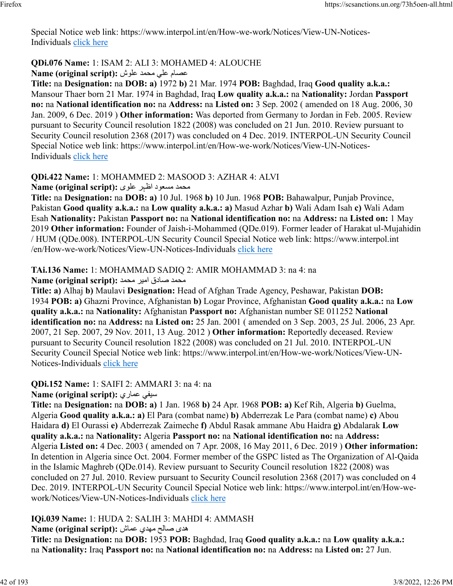Special Notice web link: https://www.interpol.int/en/How-we-work/Notices/View-UN-Notices-Individuals [click here](https://www.interpol.int/en/How-we-work/Notices/View-UN-Notices-Individuals)

# **QDi.076 Name:** 1: ISAM 2: ALI 3: MOHAMED 4: ALOUCHE

مصام على محمد علوش: **Name (original script)** 

**Title:** na **Designation:** na **DOB: a)** 1972 **b)** 21 Mar. 1974 **POB:** Baghdad, Iraq **Good quality a.k.a.:** Mansour Thaer born 21 Mar. 1974 in Baghdad, Iraq **Low quality a.k.a.:** na **Nationality:** Jordan **Passport no:** na **National identification no:** na **Address:** na **Listed on:** 3 Sep. 2002 ( amended on 18 Aug. 2006, 30 Jan. 2009, 6 Dec. 2019 ) **Other information:** Was deported from Germany to Jordan in Feb. 2005. Review pursuant to Security Council resolution 1822 (2008) was concluded on 21 Jun. 2010. Review pursuant to Security Council resolution 2368 (2017) was concluded on 4 Dec. 2019. INTERPOL-UN Security Council Special Notice web link: https://www.interpol.int/en/How-we-work/Notices/View-UN-Notices-Individuals [click here](https://www.interpol.int/en/How-we-work/Notices/View-UN-Notices-Individuals)

### **QDi.422 Name:** 1: MOHAMMED 2: MASOOD 3: AZHAR 4: ALVI

محمد مسعود اظہر علوی :Name (original script)

**Title:** na **Designation:** na **DOB: a)** 10 Jul. 1968 **b)** 10 Jun. 1968 **POB:** Bahawalpur, Punjab Province, Pakistan **Good quality a.k.a.:** na **Low quality a.k.a.: a)** Masud Azhar **b)** Wali Adam Isah **c)** Wali Adam Esah **Nationality:** Pakistan **Passport no:** na **National identification no:** na **Address:** na **Listed on:** 1 May 2019 **Other information:** Founder of Jaish-i-Mohammed (QDe.019). Former leader of Harakat ul-Mujahidin / HUM (QDe.008). INTERPOL-UN Security Council Special Notice web link: https://www.interpol.int /en/How-we-work/Notices/View-UN-Notices-Individuals [click here](https://www.interpol.int/en/How-we-work/Notices/View-UN-Notices-Individuals)

**TAi.136 Name:** 1: MOHAMMAD SADIQ 2: AMIR MOHAMMAD 3: na 4: na

محمد صادق امير محمد :(Name (original script

**Title: a)** Alhaj **b)** Maulavi **Designation:** Head of Afghan Trade Agency, Peshawar, Pakistan **DOB:** 1934 **POB: a)** Ghazni Province, Afghanistan **b)** Logar Province, Afghanistan **Good quality a.k.a.:** na **Low quality a.k.a.:** na **Nationality:** Afghanistan **Passport no:** Afghanistan number SE 011252 **National identification no:** na **Address:** na **Listed on:** 25 Jan. 2001 ( amended on 3 Sep. 2003, 25 Jul. 2006, 23 Apr. 2007, 21 Sep. 2007, 29 Nov. 2011, 13 Aug. 2012 ) **Other information:** Reportedly deceased. Review pursuant to Security Council resolution 1822 (2008) was concluded on 21 Jul. 2010. INTERPOL-UN Security Council Special Notice web link: https://www.interpol.int/en/How-we-work/Notices/View-UN-Notices-Individuals [click here](https://www.interpol.int/en/How-we-work/Notices/View-UN-Notices-Individuals)

**QDi.152 Name:** 1: SAIFI 2: AMMARI 3: na 4: na

**Name (original script):** يرامع يفيس

**Title:** na **Designation:** na **DOB: a)** 1 Jan. 1968 **b)** 24 Apr. 1968 **POB: a)** Kef Rih, Algeria **b)** Guelma, Algeria **Good quality a.k.a.: a)** El Para (combat name) **b)** Abderrezak Le Para (combat name) **c)** Abou Haidara **d)** El Ourassi **e)** Abderrezak Zaimeche **f)** Abdul Rasak ammane Abu Haidra **g)** Abdalarak **Low quality a.k.a.:** na **Nationality:** Algeria **Passport no:** na **National identification no:** na **Address:** Algeria **Listed on:** 4 Dec. 2003 ( amended on 7 Apr. 2008, 16 May 2011, 6 Dec. 2019 ) **Other information:** In detention in Algeria since Oct. 2004. Former member of the GSPC listed as The Organization of Al-Qaida in the Islamic Maghreb (QDe.014). Review pursuant to Security Council resolution 1822 (2008) was concluded on 27 Jul. 2010. Review pursuant to Security Council resolution 2368 (2017) was concluded on 4 Dec. 2019. INTERPOL-UN Security Council Special Notice web link: https://www.interpol.int/en/How-wework/Notices/View-UN-Notices-Individuals [click here](https://www.interpol.int/en/How-we-work/Notices/View-UN-Notices-Individuals)

### **IQi.039 Name:** 1: HUDA 2: SALIH 3: MAHDI 4: AMMASH

ىده حلاص يدهم شامع **:(script original (Name**

**Title:** na **Designation:** na **DOB:** 1953 **POB:** Baghdad, Iraq **Good quality a.k.a.:** na **Low quality a.k.a.:** na **Nationality:** Iraq **Passport no:** na **National identification no:** na **Address:** na **Listed on:** 27 Jun.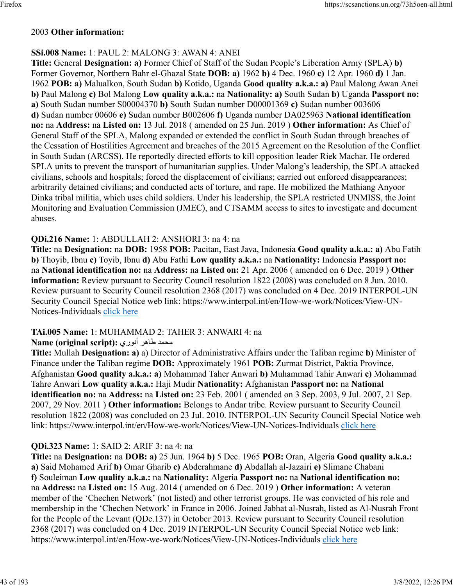#### 2003 **Other information:**

# **SSi.008 Name:** 1: PAUL 2: MALONG 3: AWAN 4: ANEI

**Title:** General **Designation: a)** Former Chief of Staff of the Sudan People's Liberation Army (SPLA) **b)** Former Governor, Northern Bahr el-Ghazal State **DOB: a)** 1962 **b)** 4 Dec. 1960 **c)** 12 Apr. 1960 **d)** 1 Jan. 1962 **POB: a)** Malualkon, South Sudan **b)** Kotido, Uganda **Good quality a.k.a.: a)** Paul Malong Awan Anei **b)** Paul Malong **c)** Bol Malong **Low quality a.k.a.:** na **Nationality: a)** South Sudan **b)** Uganda **Passport no: a)** South Sudan number S00004370 **b)** South Sudan number D00001369 **c)** Sudan number 003606 **d)** Sudan number 00606 **e)** Sudan number B002606 **f)** Uganda number DA025963 **National identification no:** na **Address:** na **Listed on:** 13 Jul. 2018 ( amended on 25 Jun. 2019 ) **Other information:** As Chief of General Staff of the SPLA, Malong expanded or extended the conflict in South Sudan through breaches of the Cessation of Hostilities Agreement and breaches of the 2015 Agreement on the Resolution of the Conflict in South Sudan (ARCSS). He reportedly directed efforts to kill opposition leader Riek Machar. He ordered SPLA units to prevent the transport of humanitarian supplies. Under Malong's leadership, the SPLA attacked civilians, schools and hospitals; forced the displacement of civilians; carried out enforced disappearances; arbitrarily detained civilians; and conducted acts of torture, and rape. He mobilized the Mathiang Anyoor Dinka tribal militia, which uses child soldiers. Under his leadership, the SPLA restricted UNMISS, the Joint Monitoring and Evaluation Commission (JMEC), and CTSAMM access to sites to investigate and document abuses.

#### **QDi.216 Name:** 1: ABDULLAH 2: ANSHORI 3: na 4: na

**Title:** na **Designation:** na **DOB:** 1958 **POB:** Pacitan, East Java, Indonesia **Good quality a.k.a.: a)** Abu Fatih **b)** Thoyib, Ibnu **c)** Toyib, Ibnu **d)** Abu Fathi **Low quality a.k.a.:** na **Nationality:** Indonesia **Passport no:** na **National identification no:** na **Address:** na **Listed on:** 21 Apr. 2006 ( amended on 6 Dec. 2019 ) **Other information:** Review pursuant to Security Council resolution 1822 (2008) was concluded on 8 Jun. 2010. Review pursuant to Security Council resolution 2368 (2017) was concluded on 4 Dec. 2019 INTERPOL-UN Security Council Special Notice web link: https://www.interpol.int/en/How-we-work/Notices/View-UN-Notices-Individuals [click here](https://www.interpol.int/en/How-we-work/Notices/View-UN-Notices-Individuals)

#### **TAi.005 Name:** 1: MUHAMMAD 2: TAHER 3: ANWARI 4: na

#### محمد طاهر أنوري :(Name (original script

**Title:** Mullah **Designation: a)** a) Director of Administrative Affairs under the Taliban regime **b)** Minister of Finance under the Taliban regime **DOB:** Approximately 1961 **POB:** Zurmat District, Paktia Province, Afghanistan **Good quality a.k.a.: a)** Mohammad Taher Anwari **b)** Muhammad Tahir Anwari **c)** Mohammad Tahre Anwari **Low quality a.k.a.:** Haji Mudir **Nationality:** Afghanistan **Passport no:** na **National identification no:** na **Address:** na **Listed on:** 23 Feb. 2001 ( amended on 3 Sep. 2003, 9 Jul. 2007, 21 Sep. 2007, 29 Nov. 2011 ) **Other information:** Belongs to Andar tribe. Review pursuant to Security Council resolution 1822 (2008) was concluded on 23 Jul. 2010. INTERPOL-UN Security Council Special Notice web link: https://www.interpol.int/en/How-we-work/Notices/View-UN-Notices-Individuals [click here](https://www.interpol.int/en/How-we-work/Notices/View-UN-Notices-Individuals)

#### **QDi.323 Name:** 1: SAID 2: ARIF 3: na 4: na

**Title:** na **Designation:** na **DOB: a)** 25 Jun. 1964 **b)** 5 Dec. 1965 **POB:** Oran, Algeria **Good quality a.k.a.: a)** Said Mohamed Arif **b)** Omar Gharib **c)** Abderahmane **d)** Abdallah al-Jazairi **e)** Slimane Chabani **f)** Souleiman **Low quality a.k.a.:** na **Nationality:** Algeria **Passport no:** na **National identification no:** na **Address:** na **Listed on:** 15 Aug. 2014 ( amended on 6 Dec. 2019 ) **Other information:** A veteran member of the 'Chechen Network' (not listed) and other terrorist groups. He was convicted of his role and membership in the 'Chechen Network' in France in 2006. Joined Jabhat al-Nusrah, listed as Al-Nusrah Front for the People of the Levant (QDe.137) in October 2013. Review pursuant to Security Council resolution 2368 (2017) was concluded on 4 Dec. 2019 INTERPOL-UN Security Council Special Notice web link: https://www.interpol.int/en/How-we-work/Notices/View-UN-Notices-Individuals [click here](https://www.interpol.int/en/How-we-work/Notices/View-UN-Notices-Individuals)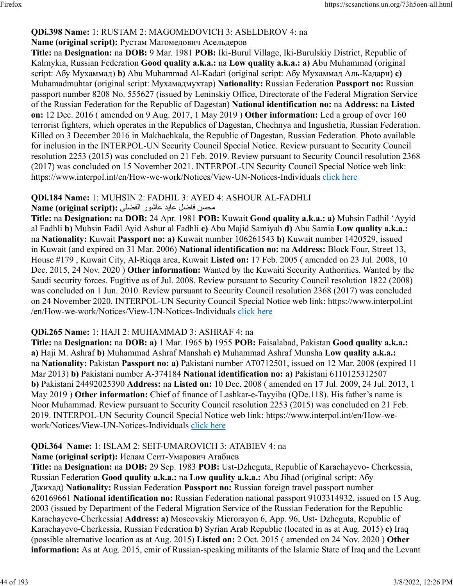### **QDi.398 Name:** 1: RUSTAM 2: MAGOMEDOVICH 3: ASELDEROV 4: na

#### **Name (original script):** Рустам Магомедович Асельдеров

**Title:** na **Designation:** na **DOB:** 9 Mar. 1981 **POB:** Iki-Burul Village, Iki-Burulskiy District, Republic of Kalmykia, Russian Federation **Good quality a.k.a.:** na **Low quality a.k.a.: a)** Abu Muhammad (original script: Абу Мухаммад) **b)** Abu Muhammad Al-Kadari (original script: Абу Мухаммад Аль-Кадари) **c)** Muhamadmuhtar (original script: Мухамадмухтар) **Nationality:** Russian Federation **Passport no:** Russian passport number 8208 No. 555627 (issued by Leninskiy Office, Directorate of the Federal Migration Service of the Russian Federation for the Republic of Dagestan) **National identification no:** na **Address:** na **Listed on:** 12 Dec. 2016 ( amended on 9 Aug. 2017, 1 May 2019 ) **Other information:** Led a group of over 160 terrorist fighters, which operates in the Republics of Dagestan, Chechnya and Ingushetia, Russian Federation. Killed on 3 December 2016 in Makhachkala, the Republic of Dagestan, Russian Federation. Photo available for inclusion in the INTERPOL-UN Security Council Special Notice. Review pursuant to Security Council resolution 2253 (2015) was concluded on 21 Feb. 2019. Review pursuant to Security Council resolution 2368 (2017) was concluded on 15 November 2021. INTERPOL-UN Security Council Special Notice web link: https://www.interpol.int/en/How-we-work/Notices/View-UN-Notices-Individuals [click here](https://www.interpol.int/en/How-we-work/Notices/View-UN-Notices-Individuals)

**QDi.184 Name:** 1: MUHSIN 2: FADHIL 3: AYED 4: ASHOUR AL-FADHLI

#### ن محمد الضاف عاش الضمان الفضلي **:** Name (original script)

**Title:** na **Designation:** na **DOB:** 24 Apr. 1981 **POB:** Kuwait **Good quality a.k.a.: a)** Muhsin Fadhil 'Ayyid al Fadhli **b)** Muhsin Fadil Ayid Ashur al Fadhli **c)** Abu Majid Samiyah **d)** Abu Samia **Low quality a.k.a.:** na **Nationality:** Kuwait **Passport no: a)** Kuwait number 106261543 **b)** Kuwait number 1420529, issued in Kuwait (and expired on 31 Mar. 2006) **National identification no:** na **Address:** Block Four, Street 13, House #179 , Kuwait City, Al-Riqqa area, Kuwait **Listed on:** 17 Feb. 2005 ( amended on 23 Jul. 2008, 10 Dec. 2015, 24 Nov. 2020 ) **Other information:** Wanted by the Kuwaiti Security Authorities. Wanted by the Saudi security forces. Fugitive as of Jul. 2008. Review pursuant to Security Council resolution 1822 (2008) was concluded on 1 Jun. 2010. Review pursuant to Security Council resolution 2368 (2017) was concluded on 24 November 2020. INTERPOL-UN Security Council Special Notice web link: https://www.interpol.int /en/How-we-work/Notices/View-UN-Notices-Individuals [click here](https://www.interpol.int/en/How-we-work/Notices/View-UN-Notices-Individuals)

### **QDi.265 Name:** 1: HAJI 2: MUHAMMAD 3: ASHRAF 4: na

**Title:** na **Designation:** na **DOB: a)** 1 Mar. 1965 **b)** 1955 **POB:** Faisalabad, Pakistan **Good quality a.k.a.: a)** Haji M. Ashraf **b)** Muhammad Ashraf Manshah **c)** Muhammad Ashraf Munsha **Low quality a.k.a.:** na **Nationality:** Pakistan **Passport no: a)** Pakistani number AT0712501, issued on 12 Mar. 2008 (expired 11 Mar 2013) **b)** Pakistani number A-374184 **National identification no: a)** Pakistani 6110125312507 **b)** Pakistani 24492025390 **Address:** na **Listed on:** 10 Dec. 2008 ( amended on 17 Jul. 2009, 24 Jul. 2013, 1 May 2019 ) **Other information:** Chief of finance of Lashkar-e-Tayyiba (QDe.118). His father's name is Noor Muhammad. Review pursuant to Security Council resolution 2253 (2015) was concluded on 21 Feb. 2019. INTERPOL-UN Security Council Special Notice web link: https://www.interpol.int/en/How-wework/Notices/View-UN-Notices-Individuals [click here](https://www.interpol.int/en/How-we-work/Notices/View-UN-Notices-Individuals)

### **QDi.364 Name:** 1: ISLAM 2: SEIT-UMAROVICH 3: ATABIEV 4: na

#### **Name (original script):** Ислам Сеит-Умарович Атабиев

**Title:** na **Designation:** na **DOB:** 29 Sep. 1983 **POB:** Ust-Dzheguta, Republic of Karachayevo- Cherkessia, Russian Federation **Good quality a.k.a.:** na **Low quality a.k.a.:** Abu Jihad (original script: Абу Джихад) **Nationality:** Russian Federation **Passport no:** Russian foreign travel passport number 620169661 **National identification no:** Russian Federation national passport 9103314932, issued on 15 Aug. 2003 (issued by Department of the Federal Migration Service of the Russian Federation for the Republic Karachayevo-Cherkessia) **Address: a)** Moscovskiy Microrayon 6, App. 96, Ust- Dzheguta, Republic of Karachayevo-Cherkessia, Russian Federation **b)** Syrian Arab Republic (located in as at Aug. 2015) **c)** Iraq (possible alternative location as at Aug. 2015) **Listed on:** 2 Oct. 2015 ( amended on 24 Nov. 2020 ) **Other information:** As at Aug. 2015, emir of Russian-speaking militants of the Islamic State of Iraq and the Levant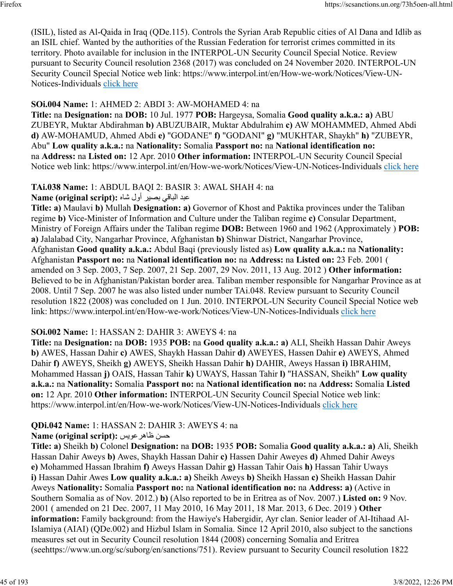(ISIL), listed as Al-Qaida in Iraq (QDe.115). Controls the Syrian Arab Republic cities of Al Dana and Idlib as an ISIL chief. Wanted by the authorities of the Russian Federation for terrorist crimes committed in its territory. Photo available for inclusion in the INTERPOL-UN Security Council Special Notice. Review pursuant to Security Council resolution 2368 (2017) was concluded on 24 November 2020. INTERPOL-UN Security Council Special Notice web link: https://www.interpol.int/en/How-we-work/Notices/View-UN-Notices-Individuals [click here](https://www.interpol.int/en/How-we-work/Notices/View-UN-Notices-Individuals)

### **SOi.004 Name:** 1: AHMED 2: ABDI 3: AW-MOHAMED 4: na

**Title:** na **Designation:** na **DOB:** 10 Jul. 1977 **POB:** Hargeysa, Somalia **Good quality a.k.a.: a)** ABU ZUBEYR, Muktar Abdirahman **b)** ABUZUBAIR, Muktar Abdulrahim **c)** AW MOHAMMED, Ahmed Abdi **d)** AW-MOHAMUD, Ahmed Abdi **e)** "GODANE" **f)** "GODANI" **g)** "MUKHTAR, Shaykh" **h)** "ZUBEYR, Abu" **Low quality a.k.a.:** na **Nationality:** Somalia **Passport no:** na **National identification no:** na **Address:** na **Listed on:** 12 Apr. 2010 **Other information:** INTERPOL-UN Security Council Special Notice web link: https://www.interpol.int/en/How-we-work/Notices/View-UN-Notices-Individuals [click here](https://www.interpol.int/en/How-we-work/Notices/View-UN-Notices-Individuals)

# **TAi.038 Name:** 1: ABDUL BAQI 2: BASIR 3: AWAL SHAH 4: na

دبع يقابلا ريصب لوأ هاش **:(script original (Name**

**Title: a)** Maulavi **b)** Mullah **Designation: a)** Governor of Khost and Paktika provinces under the Taliban regime **b)** Vice-Minister of Information and Culture under the Taliban regime **c)** Consular Department, Ministry of Foreign Affairs under the Taliban regime **DOB:** Between 1960 and 1962 (Approximately ) **POB: a)** Jalalabad City, Nangarhar Province, Afghanistan **b)** Shinwar District, Nangarhar Province, Afghanistan **Good quality a.k.a.:** Abdul Baqi (previously listed as) **Low quality a.k.a.:** na **Nationality:** Afghanistan **Passport no:** na **National identification no:** na **Address:** na **Listed on:** 23 Feb. 2001 ( amended on 3 Sep. 2003, 7 Sep. 2007, 21 Sep. 2007, 29 Nov. 2011, 13 Aug. 2012 ) **Other information:** Believed to be in Afghanistan/Pakistan border area. Taliban member responsible for Nangarhar Province as at 2008. Until 7 Sep. 2007 he was also listed under number TAi.048. Review pursuant to Security Council resolution 1822 (2008) was concluded on 1 Jun. 2010. INTERPOL-UN Security Council Special Notice web link: https://www.interpol.int/en/How-we-work/Notices/View-UN-Notices-Individuals [click here](https://www.interpol.int/en/How-we-work/Notices/View-UN-Notices-Individuals)

#### **SOi.002 Name:** 1: HASSAN 2: DAHIR 3: AWEYS 4: na

**Title:** na **Designation:** na **DOB:** 1935 **POB:** na **Good quality a.k.a.: a)** ALI, Sheikh Hassan Dahir Aweys **b)** AWES, Hassan Dahir **c)** AWES, Shaykh Hassan Dahir **d)** AWEYES, Hassen Dahir **e)** AWEYS, Ahmed Dahir **f)** AWEYS, Sheikh **g)** AWEYS, Sheikh Hassan Dahir **h)** DAHIR, Aweys Hassan **i)** IBRAHIM, Mohammed Hassan **j)** OAIS, Hassan Tahir **k)** UWAYS, Hassan Tahir **l)** "HASSAN, Sheikh" **Low quality a.k.a.:** na **Nationality:** Somalia **Passport no:** na **National identification no:** na **Address:** Somalia **Listed on:** 12 Apr. 2010 **Other information:** INTERPOL-UN Security Council Special Notice web link: https://www.interpol.int/en/How-we-work/Notices/View-UN-Notices-Individuals [click here](https://www.interpol.int/en/How-we-work/Notices/View-UN-Notices-Individuals)

### **QDi.042 Name:** 1: HASSAN 2: DAHIR 3: AWEYS 4: na

#### **Name (original script):** سيوعرهاظ نسح

**Title: a)** Sheikh **b)** Colonel **Designation:** na **DOB:** 1935 **POB:** Somalia **Good quality a.k.a.: a)** Ali, Sheikh Hassan Dahir Aweys **b)** Awes, Shaykh Hassan Dahir **c)** Hassen Dahir Aweyes **d)** Ahmed Dahir Aweys **e)** Mohammed Hassan Ibrahim **f)** Aweys Hassan Dahir **g)** Hassan Tahir Oais **h)** Hassan Tahir Uways **i)** Hassan Dahir Awes **Low quality a.k.a.: a)** Sheikh Aweys **b)** Sheikh Hassan **c)** Sheikh Hassan Dahir Aweys **Nationality:** Somalia **Passport no:** na **National identification no:** na **Address: a)** (Active in Southern Somalia as of Nov. 2012.) **b)** (Also reported to be in Eritrea as of Nov. 2007.) **Listed on:** 9 Nov. 2001 ( amended on 21 Dec. 2007, 11 May 2010, 16 May 2011, 18 Mar. 2013, 6 Dec. 2019 ) **Other information:** Family background: from the Hawiye's Habergidir, Ayr clan. Senior leader of Al-Itihaad Al-Islamiya (AIAI) (QDe.002) and Hizbul Islam in Somalia. Since 12 April 2010, also subject to the sanctions measures set out in Security Council resolution 1844 (2008) concerning Somalia and Eritrea (seehttps://www.un.org/sc/suborg/en/sanctions/751). Review pursuant to Security Council resolution 1822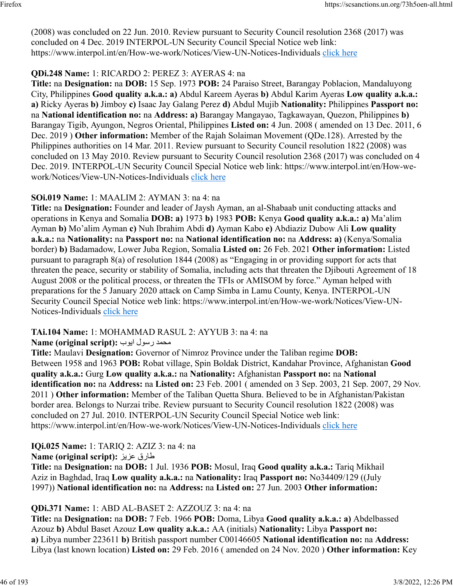(2008) was concluded on 22 Jun. 2010. Review pursuant to Security Council resolution 2368 (2017) was concluded on 4 Dec. 2019 INTERPOL-UN Security Council Special Notice web link: https://www.interpol.int/en/How-we-work/Notices/View-UN-Notices-Individuals [click here](https://www.interpol.int/en/How-we-work/Notices/View-UN-Notices-Individuals)

### **QDi.248 Name:** 1: RICARDO 2: PEREZ 3: AYERAS 4: na

**Title:** na **Designation:** na **DOB:** 15 Sep. 1973 **POB:** 24 Paraiso Street, Barangay Poblacion, Mandaluyong City, Philippines **Good quality a.k.a.: a)** Abdul Kareem Ayeras **b)** Abdul Karim Ayeras **Low quality a.k.a.: a)** Ricky Ayeras **b)** Jimboy **c)** Isaac Jay Galang Perez **d)** Abdul Mujib **Nationality:** Philippines **Passport no:** na **National identification no:** na **Address: a)** Barangay Mangayao, Tagkawayan, Quezon, Philippines **b)** Barangay Tigib, Ayungon, Negros Oriental, Philippines **Listed on:** 4 Jun. 2008 ( amended on 13 Dec. 2011, 6 Dec. 2019 ) **Other information:** Member of the Rajah Solaiman Movement (QDe.128). Arrested by the Philippines authorities on 14 Mar. 2011. Review pursuant to Security Council resolution 1822 (2008) was concluded on 13 May 2010. Review pursuant to Security Council resolution 2368 (2017) was concluded on 4 Dec. 2019. INTERPOL-UN Security Council Special Notice web link: https://www.interpol.int/en/How-wework/Notices/View-UN-Notices-Individuals [click here](https://www.interpol.int/en/How-we-work/Notices/View-UN-Notices-Individuals)

#### **SOi.019 Name:** 1: MAALIM 2: AYMAN 3: na 4: na

**Title:** na **Designation:** Founder and leader of Jaysh Ayman, an al-Shabaab unit conducting attacks and operations in Kenya and Somalia **DOB: a)** 1973 **b)** 1983 **POB:** Kenya **Good quality a.k.a.: a)** Ma'alim Ayman **b)** Mo'alim Ayman **c)** Nuh Ibrahim Abdi **d)** Ayman Kabo **e)** Abdiaziz Dubow Ali **Low quality a.k.a.:** na **Nationality:** na **Passport no:** na **National identification no:** na **Address: a)** (Kenya/Somalia border) **b)** Badamadow, Lower Juba Region, Somalia **Listed on:** 26 Feb. 2021 **Other information:** Listed pursuant to paragraph 8(a) of resolution 1844 (2008) as "Engaging in or providing support for acts that threaten the peace, security or stability of Somalia, including acts that threaten the Djibouti Agreement of 18 August 2008 or the political process, or threaten the TFIs or AMISOM by force." Ayman helped with preparations for the 5 January 2020 attack on Camp Simba in Lamu County, Kenya. INTERPOL-UN Security Council Special Notice web link: https://www.interpol.int/en/How-we-work/Notices/View-UN-Notices-Individuals [click here](https://www.interpol.int/en/How-we-work/Notices/View-UN-Notices-Individuals)

#### **TAi.104 Name:** 1: MOHAMMAD RASUL 2: AYYUB 3: na 4: na

#### دمحم لوسر بويا **:(script original (Name**

**Title:** Maulavi **Designation:** Governor of Nimroz Province under the Taliban regime **DOB:** Between 1958 and 1963 **POB:** Robat village, Spin Boldak District, Kandahar Province, Afghanistan **Good quality a.k.a.:** Gurg **Low quality a.k.a.:** na **Nationality:** Afghanistan **Passport no:** na **National identification no:** na **Address:** na **Listed on:** 23 Feb. 2001 ( amended on 3 Sep. 2003, 21 Sep. 2007, 29 Nov. 2011 ) **Other information:** Member of the Taliban Quetta Shura. Believed to be in Afghanistan/Pakistan border area. Belongs to Nurzai tribe. Review pursuant to Security Council resolution 1822 (2008) was concluded on 27 Jul. 2010. INTERPOL-UN Security Council Special Notice web link: https://www.interpol.int/en/How-we-work/Notices/View-UN-Notices-Individuals [click here](https://www.interpol.int/en/How-we-work/Notices/View-UN-Notices-Individuals)

#### **IQi.025 Name:** 1: TARIQ 2: AZIZ 3: na 4: na

#### **Name (original script):** زيزع قراط

**Title:** na **Designation:** na **DOB:** 1 Jul. 1936 **POB:** Mosul, Iraq **Good quality a.k.a.:** Tariq Mikhail Aziz in Baghdad, Iraq **Low quality a.k.a.:** na **Nationality:** Iraq **Passport no:** No34409/129 ((July 1997)) **National identification no:** na **Address:** na **Listed on:** 27 Jun. 2003 **Other information:** 

#### **QDi.371 Name:** 1: ABD AL-BASET 2: AZZOUZ 3: na 4: na

**Title:** na **Designation:** na **DOB:** 7 Feb. 1966 **POB:** Doma, Libya **Good quality a.k.a.: a)** Abdelbassed Azouz **b)** Abdul Baset Azouz **Low quality a.k.a.:** AA (initials) **Nationality:** Libya **Passport no: a)** Libya number 223611 **b)** British passport number C00146605 **National identification no:** na **Address:** Libya (last known location) **Listed on:** 29 Feb. 2016 ( amended on 24 Nov. 2020 ) **Other information:** Key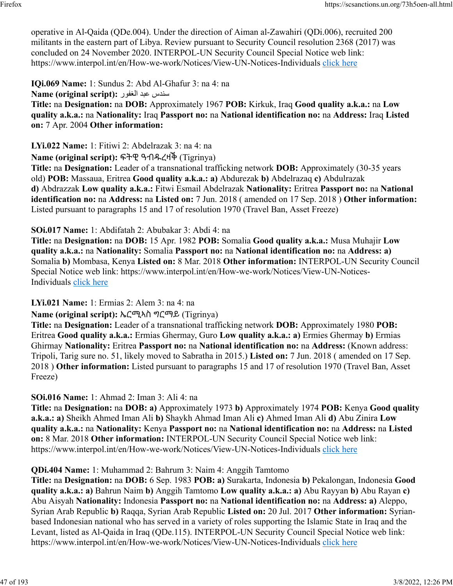operative in Al-Qaida (QDe.004). Under the direction of Aiman al-Zawahiri (QDi.006), recruited 200 militants in the eastern part of Libya. Review pursuant to Security Council resolution 2368 (2017) was concluded on 24 November 2020. INTERPOL-UN Security Council Special Notice web link: https://www.interpol.int/en/How-we-work/Notices/View-UN-Notices-Individuals [click here](https://www.interpol.int/en/How-we-work/Notices/View-UN-Notices-Individuals)

**IQi.069 Name:** 1: Sundus 2: Abd Al-Ghafur 3: na 4: na

سندس عبد الغفور :(Name (original script

**Title:** na **Designation:** na **DOB:** Approximately 1967 **POB:** Kirkuk, Iraq **Good quality a.k.a.:** na **Low quality a.k.a.:** na **Nationality:** Iraq **Passport no:** na **National identification no:** na **Address:** Iraq **Listed on:** 7 Apr. 2004 **Other information:** 

**LYi.022 Name:** 1: Fitiwi 2: Abdelrazak 3: na 4: na

**Name (original script):** ፍትዊ ዓብዱረዛቕ (Tigrinya)

**Title:** na **Designation:** Leader of a transnational trafficking network **DOB:** Approximately (30-35 years old) **POB:** Massaua, Eritrea **Good quality a.k.a.: a)** Abdurezak **b)** Abdelrazaq **c)** Abdulrazak **d)** Abdrazzak **Low quality a.k.a.:** Fitwi Esmail Abdelrazak **Nationality:** Eritrea **Passport no:** na **National identification no:** na **Address:** na **Listed on:** 7 Jun. 2018 ( amended on 17 Sep. 2018 ) **Other information:** Listed pursuant to paragraphs 15 and 17 of resolution 1970 (Travel Ban, Asset Freeze)

**SOi.017 Name:** 1: Abdifatah 2: Abubakar 3: Abdi 4: na

**Title:** na **Designation:** na **DOB:** 15 Apr. 1982 **POB:** Somalia **Good quality a.k.a.:** Musa Muhajir **Low quality a.k.a.:** na **Nationality:** Somalia **Passport no:** na **National identification no:** na **Address: a)** Somalia **b)** Mombasa, Kenya **Listed on:** 8 Mar. 2018 **Other information:** INTERPOL-UN Security Council Special Notice web link: https://www.interpol.int/en/How-we-work/Notices/View-UN-Notices-Individuals [click here](https://www.interpol.int/en/How-we-work/Notices/View-UN-Notices-Individuals)

**LYi.021 Name:** 1: Ermias 2: Alem 3: na 4: na

**Name (original script):** ኤርሚኣስ ግርማይ (Tigrinya)

**Title:** na **Designation:** Leader of a transnational trafficking network **DOB:** Approximately 1980 **POB:** Eritrea **Good quality a.k.a.:** Ermias Ghermay, Guro **Low quality a.k.a.: a)** Ermies Ghermay **b)** Ermias Ghirmay **Nationality:** Eritrea **Passport no:** na **National identification no:** na **Address:** (Known address: Tripoli, Tarig sure no. 51, likely moved to Sabratha in 2015.) **Listed on:** 7 Jun. 2018 ( amended on 17 Sep. 2018 ) **Other information:** Listed pursuant to paragraphs 15 and 17 of resolution 1970 (Travel Ban, Asset Freeze)

**SOi.016 Name:** 1: Ahmad 2: Iman 3: Ali 4: na

**Title:** na **Designation:** na **DOB: a)** Approximately 1973 **b)** Approximately 1974 **POB:** Kenya **Good quality a.k.a.: a)** Sheikh Ahmed Iman Ali **b)** Shaykh Ahmad Iman Ali **c)** Ahmed Iman Ali **d)** Abu Zinira **Low quality a.k.a.:** na **Nationality:** Kenya **Passport no:** na **National identification no:** na **Address:** na **Listed on:** 8 Mar. 2018 **Other information:** INTERPOL-UN Security Council Special Notice web link: https://www.interpol.int/en/How-we-work/Notices/View-UN-Notices-Individuals [click here](https://www.interpol.int/en/How-we-work/Notices/View-UN-Notices-Individuals)

**QDi.404 Name:** 1: Muhammad 2: Bahrum 3: Naim 4: Anggih Tamtomo

**Title:** na **Designation:** na **DOB:** 6 Sep. 1983 **POB: a)** Surakarta, Indonesia **b)** Pekalongan, Indonesia **Good quality a.k.a.: a)** Bahrun Naim **b)** Anggih Tamtomo **Low quality a.k.a.: a)** Abu Rayyan **b)** Abu Rayan **c)** Abu Aisyah **Nationality:** Indonesia **Passport no:** na **National identification no:** na **Address: a)** Aleppo, Syrian Arab Republic **b)** Raqqa, Syrian Arab Republic **Listed on:** 20 Jul. 2017 **Other information:** Syrianbased Indonesian national who has served in a variety of roles supporting the Islamic State in Iraq and the Levant, listed as Al-Qaida in Iraq (QDe.115). INTERPOL-UN Security Council Special Notice web link: https://www.interpol.int/en/How-we-work/Notices/View-UN-Notices-Individuals [click here](https://www.interpol.int/en/How-we-work/Notices/View-UN-Notices-Individuals)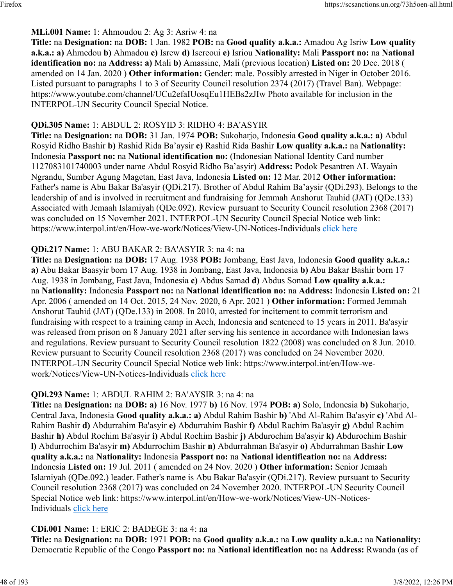### **MLi.001 Name:** 1: Ahmoudou 2: Ag 3: Asriw 4: na

**Title:** na **Designation:** na **DOB:** 1 Jan. 1982 **POB:** na **Good quality a.k.a.:** Amadou Ag Isriw **Low quality a.k.a.: a)** Ahmedou **b)** Ahmadou **c)** Isrew **d)** Isereoui **e)** Isriou **Nationality:** Mali **Passport no:** na **National identification no:** na **Address: a)** Mali **b)** Amassine, Mali (previous location) **Listed on:** 20 Dec. 2018 ( amended on 14 Jan. 2020 ) **Other information:** Gender: male. Possibly arrested in Niger in October 2016. Listed pursuant to paragraphs 1 to 3 of Security Council resolution 2374 (2017) (Travel Ban). Webpage: https://www.youtube.com/channel/UCu2efaIUosqEu1HEBs2zJIw Photo available for inclusion in the INTERPOL-UN Security Council Special Notice.

### **QDi.305 Name:** 1: ABDUL 2: ROSYID 3: RIDHO 4: BA'ASYIR

**Title:** na **Designation:** na **DOB:** 31 Jan. 1974 **POB:** Sukoharjo, Indonesia **Good quality a.k.a.: a)** Abdul Rosyid Ridho Bashir **b)** Rashid Rida Ba'aysir **c)** Rashid Rida Bashir **Low quality a.k.a.:** na **Nationality:** Indonesia **Passport no:** na **National identification no:** (Indonesian National Identity Card number 1127083101740003 under name Abdul Rosyid Ridho Ba'asyir) **Address:** Podok Pesantren AL Wayain Ngrandu, Sumber Agung Magetan, East Java, Indonesia **Listed on:** 12 Mar. 2012 **Other information:** Father's name is Abu Bakar Ba'asyir (QDi.217). Brother of Abdul Rahim Ba'aysir (QDi.293). Belongs to the leadership of and is involved in recruitment and fundraising for Jemmah Anshorut Tauhid (JAT) (QDe.133) Associated with Jemaah Islamiyah (QDe.092). Review pursuant to Security Council resolution 2368 (2017) was concluded on 15 November 2021. INTERPOL-UN Security Council Special Notice web link: https://www.interpol.int/en/How-we-work/Notices/View-UN-Notices-Individuals [click here](https://www.interpol.int/en/How-we-work/Notices/View-UN-Notices-Individuals)

### **QDi.217 Name:** 1: ABU BAKAR 2: BA'ASYIR 3: na 4: na

**Title:** na **Designation:** na **DOB:** 17 Aug. 1938 **POB:** Jombang, East Java, Indonesia **Good quality a.k.a.: a)** Abu Bakar Baasyir born 17 Aug. 1938 in Jombang, East Java, Indonesia **b)** Abu Bakar Bashir born 17 Aug. 1938 in Jombang, East Java, Indonesia **c)** Abdus Samad **d)** Abdus Somad **Low quality a.k.a.:** na **Nationality:** Indonesia **Passport no:** na **National identification no:** na **Address:** Indonesia **Listed on:** 21 Apr. 2006 ( amended on 14 Oct. 2015, 24 Nov. 2020, 6 Apr. 2021 ) **Other information:** Formed Jemmah Anshorut Tauhid (JAT) (QDe.133) in 2008. In 2010, arrested for incitement to commit terrorism and fundraising with respect to a training camp in Aceh, Indonesia and sentenced to 15 years in 2011. Ba'asyir was released from prison on 8 January 2021 after serving his sentence in accordance with Indonesian laws and regulations. Review pursuant to Security Council resolution 1822 (2008) was concluded on 8 Jun. 2010. Review pursuant to Security Council resolution 2368 (2017) was concluded on 24 November 2020. INTERPOL-UN Security Council Special Notice web link: https://www.interpol.int/en/How-wework/Notices/View-UN-Notices-Individuals [click here](https://www.interpol.int/en/How-we-work/Notices/View-UN-Notices-Individuals)

### **QDi.293 Name:** 1: ABDUL RAHIM 2: BA'AYSIR 3: na 4: na

**Title:** na **Designation:** na **DOB: a)** 16 Nov. 1977 **b)** 16 Nov. 1974 **POB: a)** Solo, Indonesia **b)** Sukoharjo, Central Java, Indonesia **Good quality a.k.a.: a)** Abdul Rahim Bashir **b)** 'Abd Al-Rahim Ba'asyir **c)** 'Abd Al-Rahim Bashir **d)** Abdurrahim Ba'asyir **e)** Abdurrahim Bashir **f)** Abdul Rachim Ba'asyir **g)** Abdul Rachim Bashir **h)** Abdul Rochim Ba'asyir **i)** Abdul Rochim Bashir **j)** Abdurochim Ba'asyir **k)** Abdurochim Bashir **l)** Abdurrochim Ba'asyir **m)** Abdurrochim Bashir **n)** Abdurrahman Ba'asyir **o)** Abdurrahman Bashir **Low quality a.k.a.:** na **Nationality:** Indonesia **Passport no:** na **National identification no:** na **Address:** Indonesia **Listed on:** 19 Jul. 2011 ( amended on 24 Nov. 2020 ) **Other information:** Senior Jemaah Islamiyah (QDe.092.) leader. Father's name is Abu Bakar Ba'asyir (QDi.217). Review pursuant to Security Council resolution 2368 (2017) was concluded on 24 November 2020. INTERPOL-UN Security Council Special Notice web link: https://www.interpol.int/en/How-we-work/Notices/View-UN-Notices-Individuals [click here](https://www.interpol.int/en/How-we-work/Notices/View-UN-Notices-Individuals)

### **CDi.001 Name:** 1: ERIC 2: BADEGE 3: na 4: na

**Title:** na **Designation:** na **DOB:** 1971 **POB:** na **Good quality a.k.a.:** na **Low quality a.k.a.:** na **Nationality:** Democratic Republic of the Congo **Passport no:** na **National identification no:** na **Address:** Rwanda (as of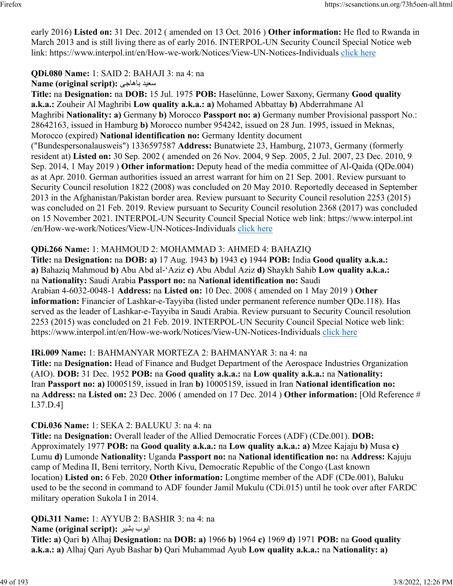early 2016) **Listed on:** 31 Dec. 2012 ( amended on 13 Oct. 2016 ) **Other information:** He fled to Rwanda in March 2013 and is still living there as of early 2016. INTERPOL-UN Security Council Special Notice web link: https://www.interpol.int/en/How-we-work/Notices/View-UN-Notices-Individuals [click here](https://www.interpol.int/en/How-we-work/Notices/View-UN-Notices-Individuals)

# **QDi.080 Name:** 1: SAID 2: BAHAJI 3: na 4: na

**Name (original script):** ىجاهاب ديعس

**Title:** na **Designation:** na **DOB:** 15 Jul. 1975 **POB:** Haselünne, Lower Saxony, Germany **Good quality a.k.a.:** Zouheir Al Maghribi **Low quality a.k.a.: a)** Mohamed Abbattay **b)** Abderrahmane Al Maghribi **Nationality: a)** Germany **b)** Morocco **Passport no: a)** Germany number Provisional passport No.: 28642163, issued in Hamburg **b)** Morocco number 954242, issued on 28 Jun. 1995, issued in Meknas, Morocco (expired) **National identification no:** Germany Identity document ("Bundespersonalausweis") 1336597587 **Address:** Bunatwiete 23, Hamburg, 21073, Germany (formerly resident at) **Listed on:** 30 Sep. 2002 ( amended on 26 Nov. 2004, 9 Sep. 2005, 2 Jul. 2007, 23 Dec. 2010, 9 Sep. 2014, 1 May 2019 ) **Other information:** Deputy head of the media committee of Al-Qaida (QDe.004) as at Apr. 2010. German authorities issued an arrest warrant for him on 21 Sep. 2001. Review pursuant to Security Council resolution 1822 (2008) was concluded on 20 May 2010. Reportedly deceased in September 2013 in the Afghanistan/Pakistan border area. Review pursuant to Security Council resolution 2253 (2015) was concluded on 21 Feb. 2019. Review pursuant to Security Council resolution 2368 (2017) was concluded on 15 November 2021. INTERPOL-UN Security Council Special Notice web link: https://www.interpol.int /en/How-we-work/Notices/View-UN-Notices-Individuals [click here](https://www.interpol.int/en/How-we-work/Notices/View-UN-Notices-Individuals)

### **QDi.266 Name:** 1: MAHMOUD 2: MOHAMMAD 3: AHMED 4: BAHAZIQ

**Title:** na **Designation:** na **DOB: a)** 17 Aug. 1943 **b)** 1943 **c)** 1944 **POB:** India **Good quality a.k.a.: a)** Bahaziq Mahmoud **b)** Abu Abd al-'Aziz **c)** Abu Abdul Aziz **d)** Shaykh Sahib **Low quality a.k.a.:** na **Nationality:** Saudi Arabia **Passport no:** na **National identification no:** Saudi Arabian 4-6032-0048-1 **Address:** na **Listed on:** 10 Dec. 2008 ( amended on 1 May 2019 ) **Other information:** Financier of Lashkar-e-Tayyiba (listed under permanent reference number QDe.118). Has served as the leader of Lashkar-e-Tayyiba in Saudi Arabia. Review pursuant to Security Council resolution 2253 (2015) was concluded on 21 Feb. 2019. INTERPOL-UN Security Council Special Notice web link: https://www.interpol.int/en/How-we-work/Notices/View-UN-Notices-Individuals [click here](https://www.interpol.int/en/How-we-work/Notices/View-UN-Notices-Individuals)

### **IRi.009 Name:** 1: BAHMANYAR MORTEZA 2: BAHMANYAR 3: na 4: na

**Title:** na **Designation:** Head of Finance and Budget Department of the Aerospace Industries Organization (AIO). **DOB:** 31 Dec. 1952 **POB:** na **Good quality a.k.a.:** na **Low quality a.k.a.:** na **Nationality:** Iran **Passport no: a)** I0005159, issued in Iran **b)** 10005159, issued in Iran **National identification no:** na **Address:** na **Listed on:** 23 Dec. 2006 ( amended on 17 Dec. 2014 ) **Other information:** [Old Reference # I.37.D.4]

### **CDi.036 Name:** 1: SEKA 2: BALUKU 3: na 4: na

**Title:** na **Designation:** Overall leader of the Allied Democratic Forces (ADF) (CDe.001). **DOB:** Approximately 1977 **POB:** na **Good quality a.k.a.:** na **Low quality a.k.a.: a)** Mzee Kajaju **b)** Musa **c)** Lumu **d)** Lumonde **Nationality:** Uganda **Passport no:** na **National identification no:** na **Address:** Kajuju camp of Medina II, Beni territory, North Kivu, Democratic Republic of the Congo (Last known location) **Listed on:** 6 Feb. 2020 **Other information:** Longtime member of the ADF (CDe.001), Baluku used to be the second in command to ADF founder Jamil Mukulu (CDi.015) until he took over after FARDC military operation Sukola I in 2014.

**QDi.311 Name:** 1: AYYUB 2: BASHIR 3: na 4: na **Name (original script):** ايوب بشير **Title: a)** Qari **b)** Alhaj **Designation:** na **DOB: a)** 1966 **b)** 1964 **c)** 1969 **d)** 1971 **POB:** na **Good quality a.k.a.: a)** Alhaj Qari Ayub Bashar **b)** Qari Muhammad Ayub **Low quality a.k.a.:** na **Nationality: a)**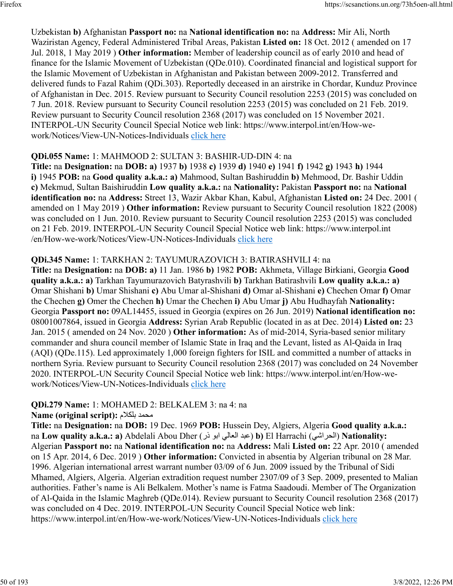Uzbekistan **b)** Afghanistan **Passport no:** na **National identification no:** na **Address:** Mir Ali, North Waziristan Agency, Federal Administered Tribal Areas, Pakistan **Listed on:** 18 Oct. 2012 ( amended on 17 Jul. 2018, 1 May 2019 ) **Other information:** Member of leadership council as of early 2010 and head of finance for the Islamic Movement of Uzbekistan (QDe.010). Coordinated financial and logistical support for the Islamic Movement of Uzbekistan in Afghanistan and Pakistan between 2009-2012. Transferred and delivered funds to Fazal Rahim (QDi.303). Reportedly deceased in an airstrike in Chordar, Kunduz Province of Afghanistan in Dec. 2015. Review pursuant to Security Council resolution 2253 (2015) was concluded on 7 Jun. 2018. Review pursuant to Security Council resolution 2253 (2015) was concluded on 21 Feb. 2019. Review pursuant to Security Council resolution 2368 (2017) was concluded on 15 November 2021. INTERPOL-UN Security Council Special Notice web link: https://www.interpol.int/en/How-wework/Notices/View-UN-Notices-Individuals [click here](https://www.interpol.int/en/How-we-work/Notices/View-UN-Notices-Individuals)

### **QDi.055 Name:** 1: MAHMOOD 2: SULTAN 3: BASHIR-UD-DIN 4: na

**Title:** na **Designation:** na **DOB: a)** 1937 **b)** 1938 **c)** 1939 **d)** 1940 **e)** 1941 **f)** 1942 **g)** 1943 **h)** 1944 **i)** 1945 **POB:** na **Good quality a.k.a.: a)** Mahmood, Sultan Bashiruddin **b)** Mehmood, Dr. Bashir Uddin **c)** Mekmud, Sultan Baishiruddin **Low quality a.k.a.:** na **Nationality:** Pakistan **Passport no:** na **National identification no:** na **Address:** Street 13, Wazir Akbar Khan, Kabul, Afghanistan **Listed on:** 24 Dec. 2001 ( amended on 1 May 2019 ) **Other information:** Review pursuant to Security Council resolution 1822 (2008) was concluded on 1 Jun. 2010. Review pursuant to Security Council resolution 2253 (2015) was concluded on 21 Feb. 2019. INTERPOL-UN Security Council Special Notice web link: https://www.interpol.int /en/How-we-work/Notices/View-UN-Notices-Individuals [click here](https://www.interpol.int/en/How-we-work/Notices/View-UN-Notices-Individuals)

### **QDi.345 Name:** 1: TARKHAN 2: TAYUMURAZOVICH 3: BATIRASHVILI 4: na

**Title:** na **Designation:** na **DOB: a)** 11 Jan. 1986 **b)** 1982 **POB:** Akhmeta, Village Birkiani, Georgia **Good quality a.k.a.: a)** Tarkhan Tayumurazovich Batyrashvili **b)** Tarkhan Batirashvili **Low quality a.k.a.: a)** Omar Shishani **b)** Umar Shishani **c)** Abu Umar al-Shishani **d)** Omar al-Shishani **e)** Chechen Omar **f)** Omar the Chechen **g)** Omer the Chechen **h)** Umar the Chechen **i)** Abu Umar **j)** Abu Hudhayfah **Nationality:** Georgia **Passport no:** 09AL14455, issued in Georgia (expires on 26 Jun. 2019) **National identification no:** 08001007864, issued in Georgia **Address:** Syrian Arab Republic (located in as at Dec. 2014) **Listed on:** 23 Jan. 2015 ( amended on 24 Nov. 2020 ) **Other information:** As of mid-2014, Syria-based senior military commander and shura council member of Islamic State in Iraq and the Levant, listed as Al-Qaida in Iraq (AQI) (QDe.115). Led approximately 1,000 foreign fighters for ISIL and committed a number of attacks in northern Syria. Review pursuant to Security Council resolution 2368 (2017) was concluded on 24 November 2020. INTERPOL-UN Security Council Special Notice web link: https://www.interpol.int/en/How-wework/Notices/View-UN-Notices-Individuals [click here](https://www.interpol.int/en/How-we-work/Notices/View-UN-Notices-Individuals)

# **QDi.279 Name:** 1: MOHAMED 2: BELKALEM 3: na 4: na

### **Name (original script):** ملاكلب دمحم

**Title:** na **Designation:** na **DOB:** 19 Dec. 1969 **POB:** Hussein Dey, Algiers, Algeria **Good quality a.k.a.:** na **Low quality a.k.a.: a)** Abdelali Abou Dher ( رذ وبا يلاعلا دبع( **b)** El Harrachi ( يشارحلا ( **Nationality:** Algerian **Passport no:** na **National identification no:** na **Address:** Mali **Listed on:** 22 Apr. 2010 ( amended on 15 Apr. 2014, 6 Dec. 2019 ) **Other information:** Convicted in absentia by Algerian tribunal on 28 Mar. 1996. Algerian international arrest warrant number 03/09 of 6 Jun. 2009 issued by the Tribunal of Sidi Mhamed, Algiers, Algeria. Algerian extradition request number 2307/09 of 3 Sep. 2009, presented to Malian authorities. Father's name is Ali Belkalem. Mother's name is Fatma Saadoudi. Member of The Organization of Al-Qaida in the Islamic Maghreb (QDe.014). Review pursuant to Security Council resolution 2368 (2017) was concluded on 4 Dec. 2019. INTERPOL-UN Security Council Special Notice web link: https://www.interpol.int/en/How-we-work/Notices/View-UN-Notices-Individuals [click here](https://www.interpol.int/en/How-we-work/Notices/View-UN-Notices-Individuals)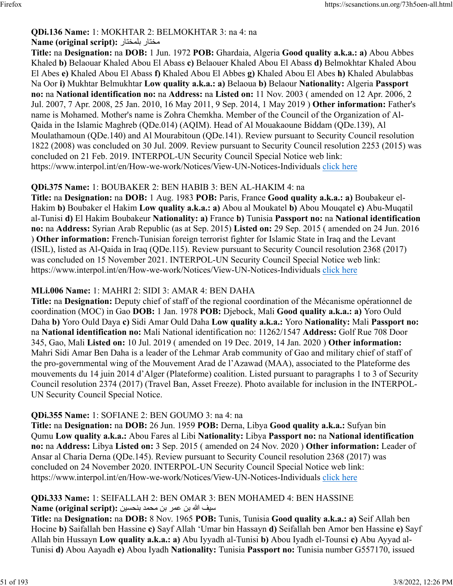#### **QDi.136 Name:** 1: MOKHTAR 2: BELMOKHTAR 3: na 4: na **Name (original script):** راتخملب راتخم

**Title:** na **Designation:** na **DOB:** 1 Jun. 1972 **POB:** Ghardaia, Algeria **Good quality a.k.a.: a)** Abou Abbes Khaled **b)** Belaouar Khaled Abou El Abass **c)** Belaouer Khaled Abou El Abass **d)** Belmokhtar Khaled Abou El Abes **e)** Khaled Abou El Abass **f)** Khaled Abou El Abbes **g)** Khaled Abou El Abes **h)** Khaled Abulabbas Na Oor **i)** Mukhtar Belmukhtar **Low quality a.k.a.: a)** Belaoua **b)** Belaour **Nationality:** Algeria **Passport no:** na **National identification no:** na **Address:** na **Listed on:** 11 Nov. 2003 ( amended on 12 Apr. 2006, 2 Jul. 2007, 7 Apr. 2008, 25 Jan. 2010, 16 May 2011, 9 Sep. 2014, 1 May 2019 ) **Other information:** Father's name is Mohamed. Mother's name is Zohra Chemkha. Member of the Council of the Organization of Al-Qaida in the Islamic Maghreb (QDe.014) (AQIM). Head of Al Mouakaoune Biddam (QDe.139), Al Moulathamoun (QDe.140) and Al Mourabitoun (QDe.141). Review pursuant to Security Council resolution 1822 (2008) was concluded on 30 Jul. 2009. Review pursuant to Security Council resolution 2253 (2015) was concluded on 21 Feb. 2019. INTERPOL-UN Security Council Special Notice web link: https://www.interpol.int/en/How-we-work/Notices/View-UN-Notices-Individuals [click here](https://www.interpol.int/en/How-we-work/Notices/View-UN-Notices-Individuals)

### **QDi.375 Name:** 1: BOUBAKER 2: BEN HABIB 3: BEN AL-HAKIM 4: na

**Title:** na **Designation:** na **DOB:** 1 Aug. 1983 **POB:** Paris, France **Good quality a.k.a.: a)** Boubakeur el-Hakim **b)** Boubaker el Hakim **Low quality a.k.a.: a)** Abou al Moukatel **b)** Abou Mouqatel **c)** Abu-Muqatil al-Tunisi **d)** El Hakim Boubakeur **Nationality: a)** France **b)** Tunisia **Passport no:** na **National identification no:** na **Address:** Syrian Arab Republic (as at Sep. 2015) **Listed on:** 29 Sep. 2015 ( amended on 24 Jun. 2016 ) **Other information:** French-Tunisian foreign terrorist fighter for Islamic State in Iraq and the Levant (ISIL), listed as Al-Qaida in Iraq (QDe.115). Review pursuant to Security Council resolution 2368 (2017) was concluded on 15 November 2021. INTERPOL-UN Security Council Special Notice web link: https://www.interpol.int/en/How-we-work/Notices/View-UN-Notices-Individuals [click here](https://www.interpol.int/en/How-we-work/Notices/View-UN-Notices-Individuals)

### **MLi.006 Name:** 1: MAHRI 2: SIDI 3: AMAR 4: BEN DAHA

**Title:** na **Designation:** Deputy chief of staff of the regional coordination of the Mécanisme opérationnel de coordination (MOC) in Gao **DOB:** 1 Jan. 1978 **POB:** Djebock, Mali **Good quality a.k.a.: a)** Yoro Ould Daha **b)** Yoro Ould Daya **c)** Sidi Amar Ould Daha **Low quality a.k.a.:** Yoro **Nationality:** Mali **Passport no:** na **National identification no:** Mali National identification no: 11262/1547 **Address:** Golf Rue 708 Door 345, Gao, Mali **Listed on:** 10 Jul. 2019 ( amended on 19 Dec. 2019, 14 Jan. 2020 ) **Other information:** Mahri Sidi Amar Ben Daha is a leader of the Lehmar Arab community of Gao and military chief of staff of the pro-governmental wing of the Mouvement Arad de l'Azawad (MAA), associated to the Plateforme des mouvements du 14 juin 2014 d'Alger (Plateforme) coalition. Listed pursuant to paragraphs 1 to 3 of Security Council resolution 2374 (2017) (Travel Ban, Asset Freeze). Photo available for inclusion in the INTERPOL-UN Security Council Special Notice.

# **QDi.355 Name:** 1: SOFIANE 2: BEN GOUMO 3: na 4: na

**Title:** na **Designation:** na **DOB:** 26 Jun. 1959 **POB:** Derna, Libya **Good quality a.k.a.:** Sufyan bin Qumu **Low quality a.k.a.:** Abou Fares al Libi **Nationality:** Libya **Passport no:** na **National identification no:** na **Address:** Libya **Listed on:** 3 Sep. 2015 ( amended on 24 Nov. 2020 ) **Other information:** Leader of Ansar al Charia Derna (QDe.145). Review pursuant to Security Council resolution 2368 (2017) was concluded on 24 November 2020. INTERPOL-UN Security Council Special Notice web link: https://www.interpol.int/en/How-we-work/Notices/View-UN-Notices-Individuals [click here](https://www.interpol.int/en/How-we-work/Notices/View-UN-Notices-Individuals)

#### **QDi.333 Name:** 1: SEIFALLAH 2: BEN OMAR 3: BEN MOHAMED 4: BEN HASSINE فيس الله نب رمع نب دمحم نيسحنب **:(script original (Name**

**Title:** na **Designation:** na **DOB:** 8 Nov. 1965 **POB:** Tunis, Tunisia **Good quality a.k.a.: a)** Seif Allah ben Hocine **b)** Saifallah ben Hassine **c)** Sayf Allah 'Umar bin Hassayn **d)** Seifallah ben Amor ben Hassine **e)** Sayf Allah bin Hussayn **Low quality a.k.a.: a)** Abu Iyyadh al-Tunisi **b)** Abou Iyadh el-Tounsi **c)** Abu Ayyad al-Tunisi **d)** Abou Aayadh **e)** Abou Iyadh **Nationality:** Tunisia **Passport no:** Tunisia number G557170, issued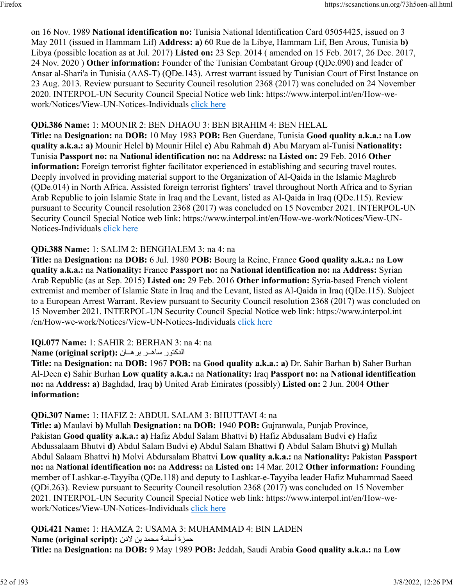on 16 Nov. 1989 **National identification no:** Tunisia National Identification Card 05054425, issued on 3 May 2011 (issued in Hammam Lif) **Address: a)** 60 Rue de la Libye, Hammam Lif, Ben Arous, Tunisia **b)** Libya (possible location as at Jul. 2017) **Listed on:** 23 Sep. 2014 ( amended on 15 Feb. 2017, 26 Dec. 2017, 24 Nov. 2020 ) **Other information:** Founder of the Tunisian Combatant Group (QDe.090) and leader of Ansar al-Shari'a in Tunisia (AAS-T) (QDe.143). Arrest warrant issued by Tunisian Court of First Instance on 23 Aug. 2013. Review pursuant to Security Council resolution 2368 (2017) was concluded on 24 November 2020. INTERPOL-UN Security Council Special Notice web link: https://www.interpol.int/en/How-wework/Notices/View-UN-Notices-Individuals [click here](https://www.interpol.int/en/How-we-work/Notices/View-UN-Notices-Individuals)

#### **QDi.386 Name:** 1: MOUNIR 2: BEN DHAOU 3: BEN BRAHIM 4: BEN HELAL

**Title:** na **Designation:** na **DOB:** 10 May 1983 **POB:** Ben Guerdane, Tunisia **Good quality a.k.a.:** na **Low quality a.k.a.: a)** Mounir Helel **b)** Mounir Hilel **c)** Abu Rahmah **d)** Abu Maryam al-Tunisi **Nationality:** Tunisia **Passport no:** na **National identification no:** na **Address:** na **Listed on:** 29 Feb. 2016 **Other information:** Foreign terrorist fighter facilitator experienced in establishing and securing travel routes. Deeply involved in providing material support to the Organization of Al-Qaida in the Islamic Maghreb (QDe.014) in North Africa. Assisted foreign terrorist fighters' travel throughout North Africa and to Syrian Arab Republic to join Islamic State in Iraq and the Levant, listed as Al-Qaida in Iraq (QDe.115). Review pursuant to Security Council resolution 2368 (2017) was concluded on 15 November 2021. INTERPOL-UN Security Council Special Notice web link: https://www.interpol.int/en/How-we-work/Notices/View-UN-Notices-Individuals [click here](https://www.interpol.int/en/How-we-work/Notices/View-UN-Notices-Individuals)

#### **QDi.388 Name:** 1: SALIM 2: BENGHALEM 3: na 4: na

**Title:** na **Designation:** na **DOB:** 6 Jul. 1980 **POB:** Bourg la Reine, France **Good quality a.k.a.:** na **Low quality a.k.a.:** na **Nationality:** France **Passport no:** na **National identification no:** na **Address:** Syrian Arab Republic (as at Sep. 2015) **Listed on:** 29 Feb. 2016 **Other information:** Syria-based French violent extremist and member of Islamic State in Iraq and the Levant, listed as Al-Qaida in Iraq (QDe.115). Subject to a European Arrest Warrant. Review pursuant to Security Council resolution 2368 (2017) was concluded on 15 November 2021. INTERPOL-UN Security Council Special Notice web link: https://www.interpol.int /en/How-we-work/Notices/View-UN-Notices-Individuals [click here](https://www.interpol.int/en/How-we-work/Notices/View-UN-Notices-Individuals)

#### **IQi.077 Name:** 1: SAHIR 2: BERHAN 3: na 4: na

روتكدلا رــهاس ناــهرب **:(script original (Name**

**Title:** na **Designation:** na **DOB:** 1967 **POB:** na **Good quality a.k.a.: a)** Dr. Sahir Barhan **b)** Saher Burhan Al-Deen **c)** Sahir Burhan **Low quality a.k.a.:** na **Nationality:** Iraq **Passport no:** na **National identification no:** na **Address: a)** Baghdad, Iraq **b)** United Arab Emirates (possibly) **Listed on:** 2 Jun. 2004 **Other information:** 

### **QDi.307 Name:** 1: HAFIZ 2: ABDUL SALAM 3: BHUTTAVI 4: na

**Title: a)** Maulavi **b)** Mullah **Designation:** na **DOB:** 1940 **POB:** Gujranwala, Punjab Province, Pakistan **Good quality a.k.a.: a)** Hafiz Abdul Salam Bhattvi **b)** Hafiz Abdusalam Budvi **c)** Hafiz Abdussalaam Bhutvi **d)** Abdul Salam Budvi **e)** Abdul Salam Bhattwi **f)** Abdul Salam Bhutvi **g)** Mullah Abdul Salaam Bhattvi **h)** Molvi Abdursalam Bhattvi **Low quality a.k.a.:** na **Nationality:** Pakistan **Passport no:** na **National identification no:** na **Address:** na **Listed on:** 14 Mar. 2012 **Other information:** Founding member of Lashkar-e-Tayyiba (QDe.118) and deputy to Lashkar-e-Tayyiba leader Hafiz Muhammad Saeed (QDi.263). Review pursuant to Security Council resolution 2368 (2017) was concluded on 15 November 2021. INTERPOL-UN Security Council Special Notice web link: https://www.interpol.int/en/How-wework/Notices/View-UN-Notices-Individuals [click here](https://www.interpol.int/en/How-we-work/Notices/View-UN-Notices-Individuals)

**QDi.421 Name:** 1: HAMZA 2: USAMA 3: MUHAMMAD 4: BIN LADEN ةزمح ةماسأ دمحم نب ندلا **:(script original (Name Title:** na **Designation:** na **DOB:** 9 May 1989 **POB:** Jeddah, Saudi Arabia **Good quality a.k.a.:** na **Low**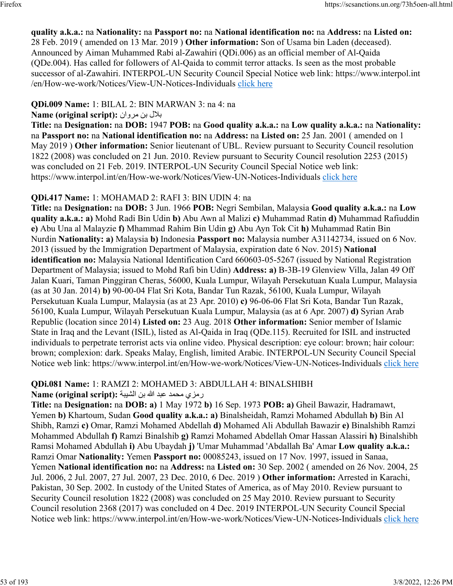#### **quality a.k.a.:** na **Nationality:** na **Passport no:** na **National identification no:** na **Address:** na **Listed on:** 28 Feb. 2019 ( amended on 13 Mar. 2019 ) **Other information:** Son of Usama bin Laden (deceased). Announced by Aiman Muhammed Rabi al-Zawahiri (QDi.006) as an official member of Al-Qaida (QDe.004). Has called for followers of Al-Qaida to commit terror attacks. Is seen as the most probable successor of al-Zawahiri. INTERPOL-UN Security Council Special Notice web link: https://www.interpol.int /en/How-we-work/Notices/View-UN-Notices-Individuals [click here](https://www.interpol.int/en/How-we-work/Notices/View-UN-Notices-Individuals)

### **QDi.009 Name:** 1: BILAL 2: BIN MARWAN 3: na 4: na

### **Name (original script):** بلال بن مروان

**Title:** na **Designation:** na **DOB:** 1947 **POB:** na **Good quality a.k.a.:** na **Low quality a.k.a.:** na **Nationality:** na **Passport no:** na **National identification no:** na **Address:** na **Listed on:** 25 Jan. 2001 ( amended on 1 May 2019 ) **Other information:** Senior lieutenant of UBL. Review pursuant to Security Council resolution 1822 (2008) was concluded on 21 Jun. 2010. Review pursuant to Security Council resolution 2253 (2015) was concluded on 21 Feb. 2019. INTERPOL-UN Security Council Special Notice web link: https://www.interpol.int/en/How-we-work/Notices/View-UN-Notices-Individuals [click here](https://www.interpol.int/en/How-we-work/Notices/View-UN-Notices-Individuals)

### **QDi.417 Name:** 1: MOHAMAD 2: RAFI 3: BIN UDIN 4: na

**Title:** na **Designation:** na **DOB:** 3 Jun. 1966 **POB:** Negri Sembilan, Malaysia **Good quality a.k.a.:** na **Low quality a.k.a.: a)** Mohd Radi Bin Udin **b)** Abu Awn al Malizi **c)** Muhammad Ratin **d)** Muhammad Rafiuddin **e)** Abu Una al Malayzie **f)** Mhammad Rahim Bin Udin **g)** Abu Ayn Tok Cit **h)** Muhammad Ratin Bin Nurdin **Nationality: a)** Malaysia **b)** Indonesia **Passport no:** Malaysia number A31142734, issued on 6 Nov. 2013 (issued by the Immigration Department of Malaysia, expiration date 6 Nov. 2015) **National identification no:** Malaysia National Identification Card 660603-05-5267 (issued by National Registration Department of Malaysia; issued to Mohd Rafi bin Udin) **Address: a)** B-3B-19 Glenview Villa, Jalan 49 Off Jalan Kuari, Taman Pinggiran Cheras, 56000, Kuala Lumpur, Wilayah Persekutuan Kuala Lumpur, Malaysia (as at 30 Jan. 2014) **b)** 90-00-04 Flat Sri Kota, Bandar Tun Razak, 56100, Kuala Lumpur, Wilayah Persekutuan Kuala Lumpur, Malaysia (as at 23 Apr. 2010) **c)** 96-06-06 Flat Sri Kota, Bandar Tun Razak, 56100, Kuala Lumpur, Wilayah Persekutuan Kuala Lumpur, Malaysia (as at 6 Apr. 2007) **d)** Syrian Arab Republic (location since 2014) **Listed on:** 23 Aug. 2018 **Other information:** Senior member of Islamic State in Iraq and the Levant (ISIL), listed as Al-Qaida in Iraq (QDe.115). Recruited for ISIL and instructed individuals to perpetrate terrorist acts via online video. Physical description: eye colour: brown; hair colour: brown; complexion: dark. Speaks Malay, English, limited Arabic. INTERPOL-UN Security Council Special Notice web link: https://www.interpol.int/en/How-we-work/Notices/View-UN-Notices-Individuals [click here](https://www.interpol.int/en/How-we-work/Notices/View-UN-Notices-Individuals)

### **QDi.081 Name:** 1: RAMZI 2: MOHAMED 3: ABDULLAH 4: BINALSHIBH

#### رمزي محمد عبد الله بن الشيبة :(Name (original script

**Title:** na **Designation:** na **DOB: a)** 1 May 1972 **b)** 16 Sep. 1973 **POB: a)** Gheil Bawazir, Hadramawt, Yemen **b)** Khartoum, Sudan **Good quality a.k.a.: a)** Binalsheidah, Ramzi Mohamed Abdullah **b)** Bin Al Shibh, Ramzi **c)** Omar, Ramzi Mohamed Abdellah **d)** Mohamed Ali Abdullah Bawazir **e)** Binalshibh Ramzi Mohammed Abdullah **f)** Ramzi Binalshib **g)** Ramzi Mohamed Abdellah Omar Hassan Alassiri **h)** Binalshibh Ramsi Mohamed Abdullah **i)** Abu Ubaydah **j)** 'Umar Muhammad 'Abdallah Ba' Amar **Low quality a.k.a.:** Ramzi Omar **Nationality:** Yemen **Passport no:** 00085243, issued on 17 Nov. 1997, issued in Sanaa, Yemen **National identification no:** na **Address:** na **Listed on:** 30 Sep. 2002 ( amended on 26 Nov. 2004, 25 Jul. 2006, 2 Jul. 2007, 27 Jul. 2007, 23 Dec. 2010, 6 Dec. 2019 ) **Other information:** Arrested in Karachi, Pakistan, 30 Sep. 2002. In custody of the United States of America, as of May 2010. Review pursuant to Security Council resolution 1822 (2008) was concluded on 25 May 2010. Review pursuant to Security Council resolution 2368 (2017) was concluded on 4 Dec. 2019 INTERPOL-UN Security Council Special Notice web link: https://www.interpol.int/en/How-we-work/Notices/View-UN-Notices-Individuals [click here](https://www.interpol.int/en/How-we-work/Notices/View-UN-Notices-Individuals)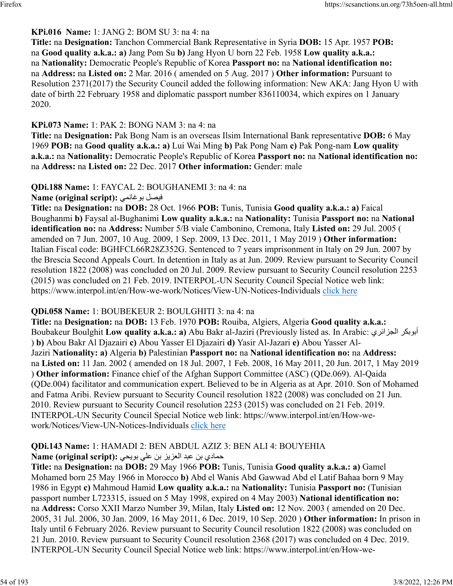### **KPi.016 Name:** 1: JANG 2: BOM SU 3: na 4: na

**Title:** na **Designation:** Tanchon Commercial Bank Representative in Syria **DOB:** 15 Apr. 1957 **POB:** na **Good quality a.k.a.: a)** Jang Pom Su **b)** Jang Hyon U born 22 Feb. 1958 **Low quality a.k.a.:** na **Nationality:** Democratic People's Republic of Korea **Passport no:** na **National identification no:** na **Address:** na **Listed on:** 2 Mar. 2016 ( amended on 5 Aug. 2017 ) **Other information:** Pursuant to Resolution 2371(2017) the Security Council added the following information: New AKA: Jang Hyon U with date of birth 22 February 1958 and diplomatic passport number 836110034, which expires on 1 January 2020.

#### **KPi.073 Name:** 1: PAK 2: BONG NAM 3: na 4: na

**Title:** na **Designation:** Pak Bong Nam is an overseas Ilsim International Bank representative **DOB:** 6 May 1969 **POB:** na **Good quality a.k.a.: a)** Lui Wai Ming **b)** Pak Pong Nam **c)** Pak Pong-nam **Low quality a.k.a.:** na **Nationality:** Democratic People's Republic of Korea **Passport no:** na **National identification no:** na **Address:** na **Listed on:** 22 Dec. 2017 **Other information:** Gender: male

# **QDi.188 Name:** 1: FAYCAL 2: BOUGHANEMI 3: na 4: na

**Name (original script):** يمناغوب لصيف

**Title:** na **Designation:** na **DOB:** 28 Oct. 1966 **POB:** Tunis, Tunisia **Good quality a.k.a.: a)** Faical Boughanmi **b)** Faysal al-Bughanimi **Low quality a.k.a.:** na **Nationality:** Tunisia **Passport no:** na **National identification no:** na **Address:** Number 5/B viale Cambonino, Cremona, Italy **Listed on:** 29 Jul. 2005 ( amended on 7 Jun. 2007, 10 Aug. 2009, 1 Sep. 2009, 13 Dec. 2011, 1 May 2019 ) **Other information:** Italian Fiscal code: BGHFCL66R28Z352G. Sentenced to 7 years imprisonment in Italy on 29 Jun. 2007 by the Brescia Second Appeals Court. In detention in Italy as at Jun. 2009. Review pursuant to Security Council resolution 1822 (2008) was concluded on 20 Jul. 2009. Review pursuant to Security Council resolution 2253 (2015) was concluded on 21 Feb. 2019. INTERPOL-UN Security Council Special Notice web link: https://www.interpol.int/en/How-we-work/Notices/View-UN-Notices-Individuals [click here](https://www.interpol.int/en/How-we-work/Notices/View-UN-Notices-Individuals)

#### **QDi.058 Name:** 1: BOUBEKEUR 2: BOULGHITI 3: na 4: na

**Title:** na **Designation:** na **DOB:** 13 Feb. 1970 **POB:** Rouiba, Algiers, Algeria **Good quality a.k.a.:** Boubakeur Boulghit L**ow quality a.k.a.: a**) Abu Bakr al-Jaziri (Previously listed as. In Arabic: أبوبكر الجزائري ) **b)** Abou Bakr Al Djazairi **c)** Abou Yasser El Djazairi **d)** Yasir Al-Jazari **e)** Abou Yasser Al-Jaziri **Nationality: a)** Algeria **b)** Palestinian **Passport no:** na **National identification no:** na **Address:** na **Listed on:** 11 Jan. 2002 ( amended on 18 Jul. 2007, 1 Feb. 2008, 16 May 2011, 20 Jun. 2017, 1 May 2019 ) **Other information:** Finance chief of the Afghan Support Committee (ASC) (QDe.069). Al-Qaida (QDe.004) facilitator and communication expert. Believed to be in Algeria as at Apr. 2010. Son of Mohamed and Fatma Aribi. Review pursuant to Security Council resolution 1822 (2008) was concluded on 21 Jun. 2010. Review pursuant to Security Council resolution 2253 (2015) was concluded on 21 Feb. 2019. INTERPOL-UN Security Council Special Notice web link: https://www.interpol.int/en/How-wework/Notices/View-UN-Notices-Individuals [click here](https://www.interpol.int/en/How-we-work/Notices/View-UN-Notices-Individuals)

#### **QDi.143 Name:** 1: HAMADI 2: BEN ABDUL AZIZ 3: BEN ALI 4: BOUYEHIA يدامح نب دبع زيزعلا نب يلع يحيوب **:(script original (Name**

**Title:** na **Designation:** na **DOB:** 29 May 1966 **POB:** Tunis, Tunisia **Good quality a.k.a.: a)** Gamel Mohamed born 25 May 1966 in Morocco **b)** Abd el Wanis Abd Gawwad Abd el Latif Bahaa born 9 May 1986 in Egypt **c)** Mahmoud Hamid **Low quality a.k.a.:** na **Nationality:** Tunisia **Passport no:** (Tunisian passport number L723315, issued on 5 May 1998, expired on 4 May 2003) **National identification no:** na **Address:** Corso XXII Marzo Number 39, Milan, Italy **Listed on:** 12 Nov. 2003 ( amended on 20 Dec. 2005, 31 Jul. 2006, 30 Jan. 2009, 16 May 2011, 6 Dec. 2019, 10 Sep. 2020 ) **Other information:** In prison in Italy until 6 February 2026. Review pursuant to Security Council resolution 1822 (2008) was concluded on 21 Jun. 2010. Review pursuant to Security Council resolution 2368 (2017) was concluded on 4 Dec. 2019. INTERPOL-UN Security Council Special Notice web link: https://www.interpol.int/en/How-we-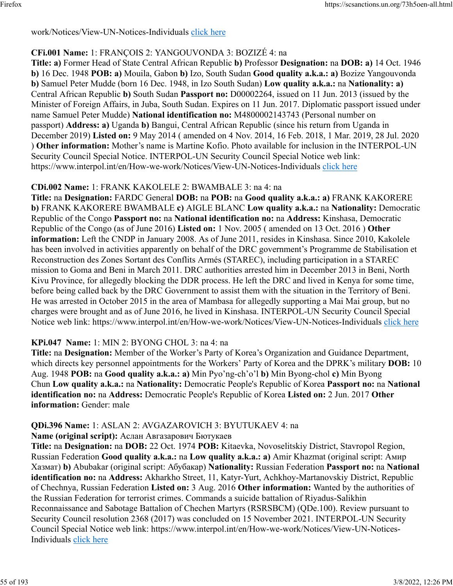#### work/Notices/View-UN-Notices-Individuals [click here](https://www.interpol.int/en/How-we-work/Notices/View-UN-Notices-Individuals)

### **CFi.001 Name:** 1: FRANÇOIS 2: YANGOUVONDA 3: BOZIZÉ 4: na

**Title: a)** Former Head of State Central African Republic **b)** Professor **Designation:** na **DOB: a)** 14 Oct. 1946 **b)** 16 Dec. 1948 **POB: a)** Mouila, Gabon **b)** Izo, South Sudan **Good quality a.k.a.: a)** Bozize Yangouvonda **b)** Samuel Peter Mudde (born 16 Dec. 1948, in Izo South Sudan) **Low quality a.k.a.:** na **Nationality: a)** Central African Republic **b)** South Sudan **Passport no:** D00002264, issued on 11 Jun. 2013 (issued by the Minister of Foreign Affairs, in Juba, South Sudan. Expires on 11 Jun. 2017. Diplomatic passport issued under name Samuel Peter Mudde) **National identification no:** M4800002143743 (Personal number on passport) **Address: a)** Uganda **b)** Bangui, Central African Republic (since his return from Uganda in December 2019) **Listed on:** 9 May 2014 ( amended on 4 Nov. 2014, 16 Feb. 2018, 1 Mar. 2019, 28 Jul. 2020 ) **Other information:** Mother's name is Martine Kofio. Photo available for inclusion in the INTERPOL-UN Security Council Special Notice. INTERPOL-UN Security Council Special Notice web link: https://www.interpol.int/en/How-we-work/Notices/View-UN-Notices-Individuals [click here](https://www.interpol.int/en/How-we-work/Notices/View-UN-Notices-Individuals)

#### **CDi.002 Name:** 1: FRANK KAKOLELE 2: BWAMBALE 3: na 4: na

**Title:** na **Designation:** FARDC General **DOB:** na **POB:** na **Good quality a.k.a.: a)** FRANK KAKORERE **b)** FRANK KAKORERE BWAMBALE **c)** AIGLE BLANC **Low quality a.k.a.:** na **Nationality:** Democratic Republic of the Congo **Passport no:** na **National identification no:** na **Address:** Kinshasa, Democratic Republic of the Congo (as of June 2016) **Listed on:** 1 Nov. 2005 ( amended on 13 Oct. 2016 ) **Other information:** Left the CNDP in January 2008. As of June 2011, resides in Kinshasa. Since 2010, Kakolele has been involved in activities apparently on behalf of the DRC government's Programme de Stabilisation et Reconstruction des Zones Sortant des Conflits Armés (STAREC), including participation in a STAREC mission to Goma and Beni in March 2011. DRC authorities arrested him in December 2013 in Beni, North Kivu Province, for allegedly blocking the DDR process. He left the DRC and lived in Kenya for some time, before being called back by the DRC Government to assist them with the situation in the Territory of Beni. He was arrested in October 2015 in the area of Mambasa for allegedly supporting a Mai Mai group, but no charges were brought and as of June 2016, he lived in Kinshasa. INTERPOL-UN Security Council Special Notice web link: https://www.interpol.int/en/How-we-work/Notices/View-UN-Notices-Individuals [click here](https://www.interpol.int/en/How-we-work/Notices/View-UN-Notices-Individuals)

#### **KPi.047 Name:** 1: MIN 2: BYONG CHOL 3: na 4: na

**Title:** na **Designation:** Member of the Worker's Party of Korea's Organization and Guidance Department, which directs key personnel appointments for the Workers' Party of Korea and the DPRK's military **DOB:** 10 Aug. 1948 **POB:** na **Good quality a.k.a.: a)** Min Pyo'ng-ch'o'l **b)** Min Byong-chol **c)** Min Byong Chun **Low quality a.k.a.:** na **Nationality:** Democratic People's Republic of Korea **Passport no:** na **National identification no:** na **Address:** Democratic People's Republic of Korea **Listed on:** 2 Jun. 2017 **Other information:** Gender: male

#### **QDi.396 Name:** 1: ASLAN 2: AVGAZAROVICH 3: BYUTUKAEV 4: na

**Name (original script):** Аслан Авгазарович Бютукаев

**Title:** na **Designation:** na **DOB:** 22 Oct. 1974 **POB:** Kitaevka, Novoselitskiy District, Stavropol Region, Russian Federation **Good quality a.k.a.:** na **Low quality a.k.a.: a)** Amir Khazmat (original script: Амир Хазмат) **b)** Abubakar (original script: Абубакар) **Nationality:** Russian Federation **Passport no:** na **National identification no:** na **Address:** Akharkho Street, 11, Katyr-Yurt, Achkhoy-Martanovskiy District, Republic of Chechnya, Russian Federation **Listed on:** 3 Aug. 2016 **Other information:** Wanted by the authorities of the Russian Federation for terrorist crimes. Commands a suicide battalion of Riyadus-Salikhin Reconnaissance and Sabotage Battalion of Chechen Martyrs (RSRSBCM) (QDe.100). Review pursuant to Security Council resolution 2368 (2017) was concluded on 15 November 2021. INTERPOL-UN Security Council Special Notice web link: https://www.interpol.int/en/How-we-work/Notices/View-UN-Notices-Individuals [click here](https://www.interpol.int/en/How-we-work/Notices/View-UN-Notices-Individuals)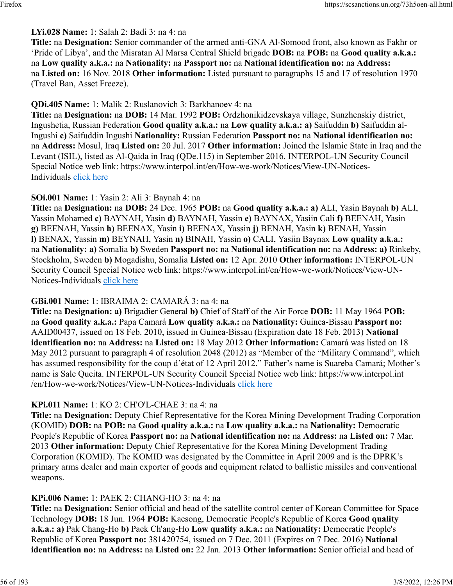### **LYi.028 Name:** 1: Salah 2: Badi 3: na 4: na

**Title:** na **Designation:** Senior commander of the armed anti-GNA Al-Somood front, also known as Fakhr or 'Pride of Libya', and the Misratan Al Marsa Central Shield brigade **DOB:** na **POB:** na **Good quality a.k.a.:** na **Low quality a.k.a.:** na **Nationality:** na **Passport no:** na **National identification no:** na **Address:** na **Listed on:** 16 Nov. 2018 **Other information:** Listed pursuant to paragraphs 15 and 17 of resolution 1970 (Travel Ban, Asset Freeze).

### **QDi.405 Name:** 1: Malik 2: Ruslanovich 3: Barkhanoev 4: na

**Title:** na **Designation:** na **DOB:** 14 Mar. 1992 **POB:** Ordzhonikidzevskaya village, Sunzhenskiy district, Ingushetia, Russian Federation **Good quality a.k.a.:** na **Low quality a.k.a.: a)** Saifuddin **b)** Saifuddin al-Ingushi **c)** Saifuddin Ingushi **Nationality:** Russian Federation **Passport no:** na **National identification no:** na **Address:** Mosul, Iraq **Listed on:** 20 Jul. 2017 **Other information:** Joined the Islamic State in Iraq and the Levant (ISIL), listed as Al-Qaida in Iraq (QDe.115) in September 2016. INTERPOL-UN Security Council Special Notice web link: https://www.interpol.int/en/How-we-work/Notices/View-UN-Notices-Individuals [click here](https://www.interpol.int/en/How-we-work/Notices/View-UN-Notices-Individuals)

### **SOi.001 Name:** 1: Yasin 2: Ali 3: Baynah 4: na

**Title:** na **Designation:** na **DOB:** 24 Dec. 1965 **POB:** na **Good quality a.k.a.: a)** ALI, Yasin Baynah **b)** ALI, Yassin Mohamed **c)** BAYNAH, Yasin **d)** BAYNAH, Yassin **e)** BAYNAX, Yasiin Cali **f)** BEENAH, Yasin **g)** BEENAH, Yassin **h)** BEENAX, Yasin **i)** BEENAX, Yassin **j)** BENAH, Yasin **k)** BENAH, Yassin **l)** BENAX, Yassin **m)** BEYNAH, Yasin **n)** BINAH, Yassin **o)** CALI, Yasiin Baynax **Low quality a.k.a.:** na **Nationality: a)** Somalia **b)** Sweden **Passport no:** na **National identification no:** na **Address: a)** Rinkeby, Stockholm, Sweden **b)** Mogadishu, Somalia **Listed on:** 12 Apr. 2010 **Other information:** INTERPOL-UN Security Council Special Notice web link: https://www.interpol.int/en/How-we-work/Notices/View-UN-Notices-Individuals [click here](https://www.interpol.int/en/How-we-work/Notices/View-UN-Notices-Individuals)

### **GBi.001 Name:** 1: IBRAIMA 2: CAMARÁ 3: na 4: na

**Title:** na **Designation: a)** Brigadier General **b)** Chief of Staff of the Air Force **DOB:** 11 May 1964 **POB:** na **Good quality a.k.a.:** Papa Camará **Low quality a.k.a.:** na **Nationality:** Guinea-Bissau **Passport no:** AAID00437, issued on 18 Feb. 2010, issued in Guinea-Bissau (Expiration date 18 Feb. 2013) **National identification no:** na **Address:** na **Listed on:** 18 May 2012 **Other information:** Camará was listed on 18 May 2012 pursuant to paragraph 4 of resolution 2048 (2012) as "Member of the "Military Command", which has assumed responsibility for the coup d'état of 12 April 2012." Father's name is Suareba Camará; Mother's name is Sale Queita. INTERPOL-UN Security Council Special Notice web link: https://www.interpol.int /en/How-we-work/Notices/View-UN-Notices-Individuals [click here](https://www.interpol.int/en/How-we-work/Notices/View-UN-Notices-Individuals)

#### **KPi.011 Name:** 1: KO 2: CH'O'L-CHAE 3: na 4: na

**Title:** na **Designation:** Deputy Chief Representative for the Korea Mining Development Trading Corporation (KOMID) **DOB:** na **POB:** na **Good quality a.k.a.:** na **Low quality a.k.a.:** na **Nationality:** Democratic People's Republic of Korea **Passport no:** na **National identification no:** na **Address:** na **Listed on:** 7 Mar. 2013 **Other information:** Deputy Chief Representative for the Korea Mining Development Trading Corporation (KOMID). The KOMID was designated by the Committee in April 2009 and is the DPRK's primary arms dealer and main exporter of goods and equipment related to ballistic missiles and conventional weapons.

#### **KPi.006 Name:** 1: PAEK 2: CHANG-HO 3: na 4: na

**Title:** na **Designation:** Senior official and head of the satellite control center of Korean Committee for Space Technology **DOB:** 18 Jun. 1964 **POB:** Kaesong, Democratic People's Republic of Korea **Good quality a.k.a.: a)** Pak Chang-Ho **b)** Paek Ch'ang-Ho **Low quality a.k.a.:** na **Nationality:** Democratic People's Republic of Korea **Passport no:** 381420754, issued on 7 Dec. 2011 (Expires on 7 Dec. 2016) **National identification no:** na **Address:** na **Listed on:** 22 Jan. 2013 **Other information:** Senior official and head of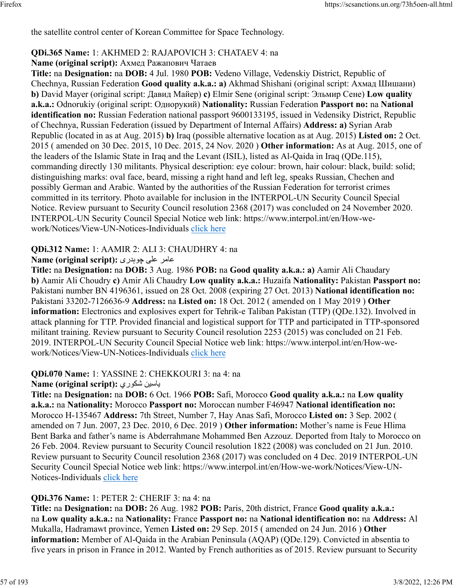the satellite control center of Korean Committee for Space Technology.

#### **QDi.365 Name:** 1: AKHMED 2: RAJAPOVICH 3: CHATAEV 4: na

# **Name (original script):** Ахмед Ражапович Чатаев

**Title:** na **Designation:** na **DOB:** 4 Jul. 1980 **POB:** Vedeno Village, Vedenskiy District, Republic of Chechnya, Russian Federation **Good quality a.k.a.: a)** Akhmad Shishani (original script: Ахмад Шишани) **b)** David Mayer (original script: Давид Майер) **c)** Elmir Sene (original script: Эльмир Сене) **Low quality a.k.a.:** Odnorukiy (original script: Однорукий) **Nationality:** Russian Federation **Passport no:** na **National identification no:** Russian Federation national passport 9600133195, issued in Vedensiky District, Republic of Chechnya, Russian Federation (issued by Department of Internal Affairs) **Address: a)** Syrian Arab Republic (located in as at Aug. 2015) **b)** Iraq (possible alternative location as at Aug. 2015) **Listed on:** 2 Oct. 2015 ( amended on 30 Dec. 2015, 10 Dec. 2015, 24 Nov. 2020 ) **Other information:** As at Aug. 2015, one of the leaders of the Islamic State in Iraq and the Levant (ISIL), listed as Al-Qaida in Iraq (QDe.115), commanding directly 130 militants. Physical description: eye colour: brown, hair colour: black, build: solid; distinguishing marks: oval face, beard, missing a right hand and left leg, speaks Russian, Chechen and possibly German and Arabic. Wanted by the authorities of the Russian Federation for terrorist crimes committed in its territory. Photo available for inclusion in the INTERPOL-UN Security Council Special Notice. Review pursuant to Security Council resolution 2368 (2017) was concluded on 24 November 2020. INTERPOL-UN Security Council Special Notice web link: https://www.interpol.int/en/How-wework/Notices/View-UN-Notices-Individuals [click here](https://www.interpol.int/en/How-we-work/Notices/View-UN-Notices-Individuals)

### **QDi.312 Name:** 1: AAMIR 2: ALI 3: CHAUDHRY 4: na

#### رماع یلع یردہوچ **:(script original (Name**

**Title:** na **Designation:** na **DOB:** 3 Aug. 1986 **POB:** na **Good quality a.k.a.: a)** Aamir Ali Chaudary **b)** Aamir Ali Choudry **c)** Amir Ali Chaudry **Low quality a.k.a.:** Huzaifa **Nationality:** Pakistan **Passport no:** Pakistani number BN 4196361, issued on 28 Oct. 2008 (expiring 27 Oct. 2013) **National identification no:** Pakistani 33202-7126636-9 **Address:** na **Listed on:** 18 Oct. 2012 ( amended on 1 May 2019 ) **Other information:** Electronics and explosives expert for Tehrik-e Taliban Pakistan (TTP) (QDe.132). Involved in attack planning for TTP. Provided financial and logistical support for TTP and participated in TTP-sponsored militant training. Review pursuant to Security Council resolution 2253 (2015) was concluded on 21 Feb. 2019. INTERPOL-UN Security Council Special Notice web link: https://www.interpol.int/en/How-wework/Notices/View-UN-Notices-Individuals [click here](https://www.interpol.int/en/How-we-work/Notices/View-UN-Notices-Individuals)

#### **QDi.070 Name:** 1: YASSINE 2: CHEKKOURI 3: na 4: na **Name (original script):** يروكش نيساي

**Title:** na **Designation:** na **DOB:** 6 Oct. 1966 **POB:** Safi, Morocco **Good quality a.k.a.:** na **Low quality a.k.a.:** na **Nationality:** Morocco **Passport no:** Moroccan number F46947 **National identification no:** Morocco H-135467 **Address:** 7th Street, Number 7, Hay Anas Safi, Morocco **Listed on:** 3 Sep. 2002 ( amended on 7 Jun. 2007, 23 Dec. 2010, 6 Dec. 2019 ) **Other information:** Mother's name is Feue Hlima Bent Barka and father's name is Abderrahmane Mohammed Ben Azzouz. Deported from Italy to Morocco on 26 Feb. 2004. Review pursuant to Security Council resolution 1822 (2008) was concluded on 21 Jun. 2010. Review pursuant to Security Council resolution 2368 (2017) was concluded on 4 Dec. 2019 INTERPOL-UN Security Council Special Notice web link: https://www.interpol.int/en/How-we-work/Notices/View-UN-Notices-Individuals [click here](https://www.interpol.int/en/How-we-work/Notices/View-UN-Notices-Individuals)

#### **QDi.376 Name:** 1: PETER 2: CHERIF 3: na 4: na

**Title:** na **Designation:** na **DOB:** 26 Aug. 1982 **POB:** Paris, 20th district, France **Good quality a.k.a.:** na **Low quality a.k.a.:** na **Nationality:** France **Passport no:** na **National identification no:** na **Address:** Al Mukalla, Hadramawt province, Yemen **Listed on:** 29 Sep. 2015 ( amended on 24 Jun. 2016 ) **Other information:** Member of Al-Qaida in the Arabian Peninsula (AQAP) (QDe.129). Convicted in absentia to five years in prison in France in 2012. Wanted by French authorities as of 2015. Review pursuant to Security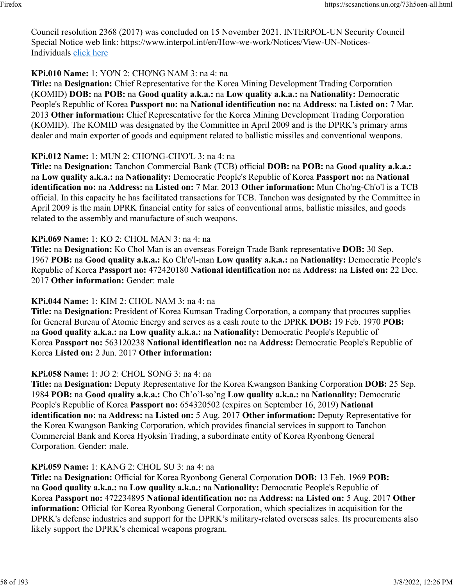Council resolution 2368 (2017) was concluded on 15 November 2021. INTERPOL-UN Security Council Special Notice web link: https://www.interpol.int/en/How-we-work/Notices/View-UN-Notices-Individuals [click here](https://www.interpol.int/en/How-we-work/Notices/View-UN-Notices-Individuals)

**KPi.010 Name:** 1: YO'N 2: CHO'NG NAM 3: na 4: na

**Title:** na **Designation:** Chief Representative for the Korea Mining Development Trading Corporation (KOMID) **DOB:** na **POB:** na **Good quality a.k.a.:** na **Low quality a.k.a.:** na **Nationality:** Democratic People's Republic of Korea **Passport no:** na **National identification no:** na **Address:** na **Listed on:** 7 Mar. 2013 **Other information:** Chief Representative for the Korea Mining Development Trading Corporation (KOMID). The KOMID was designated by the Committee in April 2009 and is the DPRK's primary arms dealer and main exporter of goods and equipment related to ballistic missiles and conventional weapons.

### **KPi.012 Name:** 1: MUN 2: CHO'NG-CH'O'L 3: na 4: na

**Title:** na **Designation:** Tanchon Commercial Bank (TCB) official **DOB:** na **POB:** na **Good quality a.k.a.:** na **Low quality a.k.a.:** na **Nationality:** Democratic People's Republic of Korea **Passport no:** na **National identification no:** na **Address:** na **Listed on:** 7 Mar. 2013 **Other information:** Mun Cho'ng-Ch'o'l is a TCB official. In this capacity he has facilitated transactions for TCB. Tanchon was designated by the Committee in April 2009 is the main DPRK financial entity for sales of conventional arms, ballistic missiles, and goods related to the assembly and manufacture of such weapons.

### **KPi.069 Name:** 1: KO 2: CHOL MAN 3: na 4: na

**Title:** na **Designation:** Ko Chol Man is an overseas Foreign Trade Bank representative **DOB:** 30 Sep. 1967 **POB:** na **Good quality a.k.a.:** Ko Ch'o'l-man **Low quality a.k.a.:** na **Nationality:** Democratic People's Republic of Korea **Passport no:** 472420180 **National identification no:** na **Address:** na **Listed on:** 22 Dec. 2017 **Other information:** Gender: male

### **KPi.044 Name:** 1: KIM 2: CHOL NAM 3: na 4: na

**Title:** na **Designation:** President of Korea Kumsan Trading Corporation, a company that procures supplies for General Bureau of Atomic Energy and serves as a cash route to the DPRK **DOB:** 19 Feb. 1970 **POB:** na **Good quality a.k.a.:** na **Low quality a.k.a.:** na **Nationality:** Democratic People's Republic of Korea **Passport no:** 563120238 **National identification no:** na **Address:** Democratic People's Republic of Korea **Listed on:** 2 Jun. 2017 **Other information:** 

### **KPi.058 Name:** 1: JO 2: CHOL SONG 3: na 4: na

**Title:** na **Designation:** Deputy Representative for the Korea Kwangson Banking Corporation **DOB:** 25 Sep. 1984 **POB:** na **Good quality a.k.a.:** Cho Ch'o'l-so'ng **Low quality a.k.a.:** na **Nationality:** Democratic People's Republic of Korea **Passport no:** 654320502 (expires on September 16, 2019) **National identification no:** na **Address:** na **Listed on:** 5 Aug. 2017 **Other information:** Deputy Representative for the Korea Kwangson Banking Corporation, which provides financial services in support to Tanchon Commercial Bank and Korea Hyoksin Trading, a subordinate entity of Korea Ryonbong General Corporation. Gender: male.

### **KPi.059 Name:** 1: KANG 2: CHOL SU 3: na 4: na

**Title:** na **Designation:** Official for Korea Ryonbong General Corporation **DOB:** 13 Feb. 1969 **POB:** na **Good quality a.k.a.:** na **Low quality a.k.a.:** na **Nationality:** Democratic People's Republic of Korea **Passport no:** 472234895 **National identification no:** na **Address:** na **Listed on:** 5 Aug. 2017 **Other information:** Official for Korea Ryonbong General Corporation, which specializes in acquisition for the DPRK's defense industries and support for the DPRK's military-related overseas sales. Its procurements also likely support the DPRK's chemical weapons program.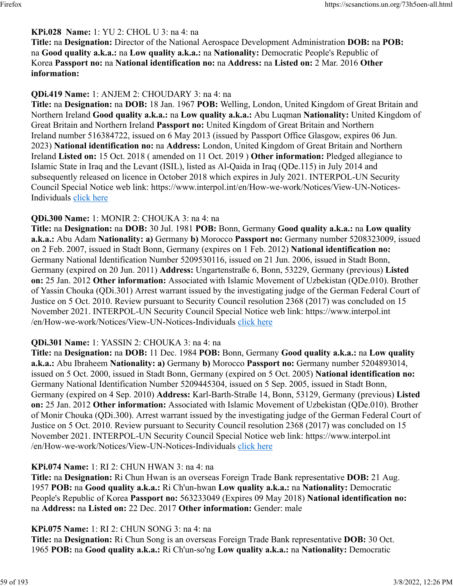### **KPi.028 Name:** 1: YU 2: CHOL U 3: na 4: na

**Title:** na **Designation:** Director of the National Aerospace Development Administration **DOB:** na **POB:** na **Good quality a.k.a.:** na **Low quality a.k.a.:** na **Nationality:** Democratic People's Republic of Korea **Passport no:** na **National identification no:** na **Address:** na **Listed on:** 2 Mar. 2016 **Other information:** 

### **QDi.419 Name:** 1: ANJEM 2: CHOUDARY 3: na 4: na

**Title:** na **Designation:** na **DOB:** 18 Jan. 1967 **POB:** Welling, London, United Kingdom of Great Britain and Northern Ireland **Good quality a.k.a.:** na **Low quality a.k.a.:** Abu Luqman **Nationality:** United Kingdom of Great Britain and Northern Ireland **Passport no:** United Kingdom of Great Britain and Northern Ireland number 516384722, issued on 6 May 2013 (issued by Passport Office Glasgow, expires 06 Jun. 2023) **National identification no:** na **Address:** London, United Kingdom of Great Britain and Northern Ireland **Listed on:** 15 Oct. 2018 ( amended on 11 Oct. 2019 ) **Other information:** Pledged allegiance to Islamic State in Iraq and the Levant (ISIL), listed as Al-Qaida in Iraq (QDe.115) in July 2014 and subsequently released on licence in October 2018 which expires in July 2021. INTERPOL-UN Security Council Special Notice web link: https://www.interpol.int/en/How-we-work/Notices/View-UN-Notices-Individuals [click here](https://www.interpol.int/en/How-we-work/Notices/View-UN-Notices-Individuals)

#### **QDi.300 Name:** 1: MONIR 2: CHOUKA 3: na 4: na

**Title:** na **Designation:** na **DOB:** 30 Jul. 1981 **POB:** Bonn, Germany **Good quality a.k.a.:** na **Low quality a.k.a.:** Abu Adam **Nationality: a)** Germany **b)** Morocco **Passport no:** Germany number 5208323009, issued on 2 Feb. 2007, issued in Stadt Bonn, Germany (expires on 1 Feb. 2012) **National identification no:** Germany National Identification Number 5209530116, issued on 21 Jun. 2006, issued in Stadt Bonn, Germany (expired on 20 Jun. 2011) **Address:** Ungartenstraße 6, Bonn, 53229, Germany (previous) **Listed on:** 25 Jan. 2012 **Other information:** Associated with Islamic Movement of Uzbekistan (QDe.010). Brother of Yassin Chouka (QDi.301) Arrest warrant issued by the investigating judge of the German Federal Court of Justice on 5 Oct. 2010. Review pursuant to Security Council resolution 2368 (2017) was concluded on 15 November 2021. INTERPOL-UN Security Council Special Notice web link: https://www.interpol.int /en/How-we-work/Notices/View-UN-Notices-Individuals [click here](https://www.interpol.int/en/How-we-work/Notices/View-UN-Notices-Individuals)

#### **QDi.301 Name:** 1: YASSIN 2: CHOUKA 3: na 4: na

**Title:** na **Designation:** na **DOB:** 11 Dec. 1984 **POB:** Bonn, Germany **Good quality a.k.a.:** na **Low quality a.k.a.:** Abu Ibraheem **Nationality: a)** Germany **b)** Morocco **Passport no:** Germany number 5204893014, issued on 5 Oct. 2000, issued in Stadt Bonn, Germany (expired on 5 Oct. 2005) **National identification no:** Germany National Identification Number 5209445304, issued on 5 Sep. 2005, issued in Stadt Bonn, Germany (expired on 4 Sep. 2010) **Address:** Karl-Barth-Straße 14, Bonn, 53129, Germany (previous) **Listed on:** 25 Jan. 2012 **Other information:** Associated with Islamic Movement of Uzbekistan (QDe.010). Brother of Monir Chouka (QDi.300). Arrest warrant issued by the investigating judge of the German Federal Court of Justice on 5 Oct. 2010. Review pursuant to Security Council resolution 2368 (2017) was concluded on 15 November 2021. INTERPOL-UN Security Council Special Notice web link: https://www.interpol.int /en/How-we-work/Notices/View-UN-Notices-Individuals [click here](https://www.interpol.int/en/How-we-work/Notices/View-UN-Notices-Individuals)

#### **KPi.074 Name:** 1: RI 2: CHUN HWAN 3: na 4: na

**Title:** na **Designation:** Ri Chun Hwan is an overseas Foreign Trade Bank representative **DOB:** 21 Aug. 1957 **POB:** na **Good quality a.k.a.:** Ri Ch'un-hwan **Low quality a.k.a.:** na **Nationality:** Democratic People's Republic of Korea **Passport no:** 563233049 (Expires 09 May 2018) **National identification no:** na **Address:** na **Listed on:** 22 Dec. 2017 **Other information:** Gender: male

#### **KPi.075 Name:** 1: RI 2: CHUN SONG 3: na 4: na

**Title:** na **Designation:** Ri Chun Song is an overseas Foreign Trade Bank representative **DOB:** 30 Oct. 1965 **POB:** na **Good quality a.k.a.:** Ri Ch'un-so'ng **Low quality a.k.a.:** na **Nationality:** Democratic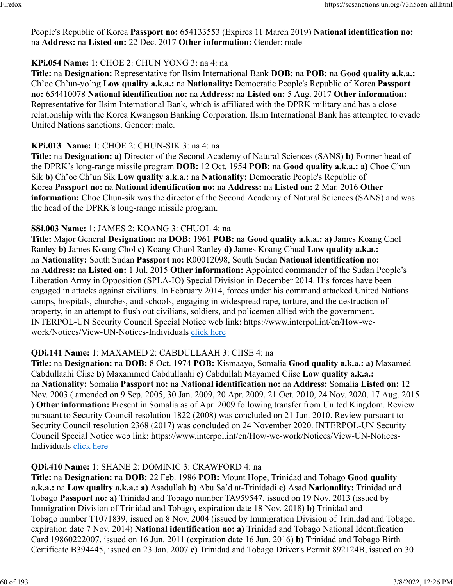People's Republic of Korea **Passport no:** 654133553 (Expires 11 March 2019) **National identification no:** na **Address:** na **Listed on:** 22 Dec. 2017 **Other information:** Gender: male

### **KPi.054 Name:** 1: CHOE 2: CHUN YONG 3: na 4: na

**Title:** na **Designation:** Representative for Ilsim International Bank **DOB:** na **POB:** na **Good quality a.k.a.:** Ch'oe Ch'un-yo'ng **Low quality a.k.a.:** na **Nationality:** Democratic People's Republic of Korea **Passport no:** 654410078 **National identification no:** na **Address:** na **Listed on:** 5 Aug. 2017 **Other information:** Representative for Ilsim International Bank, which is affiliated with the DPRK military and has a close relationship with the Korea Kwangson Banking Corporation. Ilsim International Bank has attempted to evade United Nations sanctions. Gender: male.

#### **KPi.013 Name:** 1: CHOE 2: CHUN-SIK 3: na 4: na

**Title:** na **Designation: a)** Director of the Second Academy of Natural Sciences (SANS) **b)** Former head of the DPRK's long-range missile program **DOB:** 12 Oct. 1954 **POB:** na **Good quality a.k.a.: a)** Choe Chun Sik **b)** Ch'oe Ch'un Sik **Low quality a.k.a.:** na **Nationality:** Democratic People's Republic of Korea **Passport no:** na **National identification no:** na **Address:** na **Listed on:** 2 Mar. 2016 **Other information:** Choe Chun-sik was the director of the Second Academy of Natural Sciences (SANS) and was the head of the DPRK's long-range missile program.

#### **SSi.003 Name:** 1: JAMES 2: KOANG 3: CHUOL 4: na

**Title:** Major General **Designation:** na **DOB:** 1961 **POB:** na **Good quality a.k.a.: a)** James Koang Chol Ranley **b)** James Koang Chol **c)** Koang Chuol Ranley **d)** James Koang Chual **Low quality a.k.a.:** na **Nationality:** South Sudan **Passport no:** R00012098, South Sudan **National identification no:** na **Address:** na **Listed on:** 1 Jul. 2015 **Other information:** Appointed commander of the Sudan People's Liberation Army in Opposition (SPLA-IO) Special Division in December 2014. His forces have been engaged in attacks against civilians. In February 2014, forces under his command attacked United Nations camps, hospitals, churches, and schools, engaging in widespread rape, torture, and the destruction of property, in an attempt to flush out civilians, soldiers, and policemen allied with the government. INTERPOL-UN Security Council Special Notice web link: https://www.interpol.int/en/How-wework/Notices/View-UN-Notices-Individuals [click here](https://www.interpol.int/en/How-we-work/Notices/View-UN-Notices-Individuals)

#### **QDi.141 Name:** 1: MAXAMED 2: CABDULLAAH 3: CIISE 4: na

**Title:** na **Designation:** na **DOB:** 8 Oct. 1974 **POB:** Kismaayo, Somalia **Good quality a.k.a.: a)** Maxamed Cabdullaahi Ciise **b)** Maxammed Cabdullaahi **c)** Cabdullah Mayamed Ciise **Low quality a.k.a.:** na **Nationality:** Somalia **Passport no:** na **National identification no:** na **Address:** Somalia **Listed on:** 12 Nov. 2003 ( amended on 9 Sep. 2005, 30 Jan. 2009, 20 Apr. 2009, 21 Oct. 2010, 24 Nov. 2020, 17 Aug. 2015 ) **Other information:** Present in Somalia as of Apr. 2009 following transfer from United Kingdom. Review pursuant to Security Council resolution 1822 (2008) was concluded on 21 Jun. 2010. Review pursuant to Security Council resolution 2368 (2017) was concluded on 24 November 2020. INTERPOL-UN Security Council Special Notice web link: https://www.interpol.int/en/How-we-work/Notices/View-UN-NoticesIndividuals [click here](https://www.interpol.int/en/How-we-work/Notices/View-UN-Notices-Individuals)

#### **QDi.410 Name:** 1: SHANE 2: DOMINIC 3: CRAWFORD 4: na

**Title:** na **Designation:** na **DOB:** 22 Feb. 1986 **POB:** Mount Hope, Trinidad and Tobago **Good quality a.k.a.:** na **Low quality a.k.a.: a)** Asadullah **b)** Abu Sa'd at-Trinidadi **c)** Asad **Nationality:** Trinidad and Tobago **Passport no: a)** Trinidad and Tobago number TA959547, issued on 19 Nov. 2013 (issued by Immigration Division of Trinidad and Tobago, expiration date 18 Nov. 2018) **b)** Trinidad and Tobago number T1071839, issued on 8 Nov. 2004 (issued by Immigration Division of Trinidad and Tobago, expiration date 7 Nov. 2014) **National identification no: a)** Trinidad and Tobago National Identification Card 19860222007, issued on 16 Jun. 2011 (expiration date 16 Jun. 2016) **b)** Trinidad and Tobago Birth Certificate B394445, issued on 23 Jan. 2007 **c)** Trinidad and Tobago Driver's Permit 892124B, issued on 30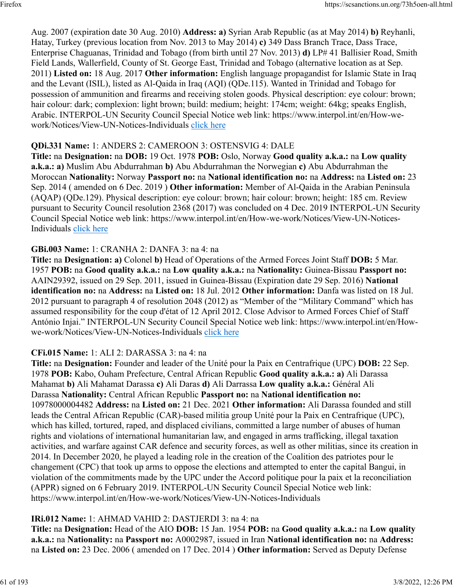Aug. 2007 (expiration date 30 Aug. 2010) **Address: a)** Syrian Arab Republic (as at May 2014) **b)** Reyhanli, Hatay, Turkey (previous location from Nov. 2013 to May 2014) **c)** 349 Dass Branch Trace, Dass Trace, Enterprise Chaguanas, Trinidad and Tobago (from birth until 27 Nov. 2013) **d)** LP# 41 Ballisier Road, Smith Field Lands, Wallerfield, County of St. George East, Trinidad and Tobago (alternative location as at Sep. 2011) **Listed on:** 18 Aug. 2017 **Other information:** English language propagandist for Islamic State in Iraq and the Levant (ISIL), listed as Al-Qaida in Iraq (AQI) (QDe.115). Wanted in Trinidad and Tobago for possession of ammunition and firearms and receiving stolen goods. Physical description: eye colour: brown; hair colour: dark; complexion: light brown; build: medium; height: 174cm; weight: 64kg; speaks English, Arabic. INTERPOL-UN Security Council Special Notice web link: https://www.interpol.int/en/How-wework/Notices/View-UN-Notices-Individuals [click here](https://www.interpol.int/en/How-we-work/Notices/View-UN-Notices-Individuals)

#### **QDi.331 Name:** 1: ANDERS 2: CAMEROON 3: OSTENSVIG 4: DALE

**Title:** na **Designation:** na **DOB:** 19 Oct. 1978 **POB:** Oslo, Norway **Good quality a.k.a.:** na **Low quality a.k.a.: a)** Muslim Abu Abdurrahman **b)** Abu Abdurrahman the Norwegian **c)** Abu Abdurrahman the Moroccan **Nationality:** Norway **Passport no:** na **National identification no:** na **Address:** na **Listed on:** 23 Sep. 2014 ( amended on 6 Dec. 2019 ) **Other information:** Member of Al-Qaida in the Arabian Peninsula (AQAP) (QDe.129). Physical description: eye colour: brown; hair colour: brown; height: 185 cm. Review pursuant to Security Council resolution 2368 (2017) was concluded on 4 Dec. 2019 INTERPOL-UN Security Council Special Notice web link: https://www.interpol.int/en/How-we-work/Notices/View-UN-Notices-Individuals [click here](https://www.interpol.int/en/How-we-work/Notices/View-UN-Notices-Individuals)

#### **GBi.003 Name:** 1: CRANHA 2: DANFA 3: na 4: na

**Title:** na **Designation: a)** Colonel **b)** Head of Operations of the Armed Forces Joint Staff **DOB:** 5 Mar. 1957 **POB:** na **Good quality a.k.a.:** na **Low quality a.k.a.:** na **Nationality:** Guinea-Bissau **Passport no:** AAIN29392, issued on 29 Sep. 2011, issued in Guinea-Bissau (Expiration date 29 Sep. 2016) **National identification no:** na **Address:** na **Listed on:** 18 Jul. 2012 **Other information:** Danfa was listed on 18 Jul. 2012 pursuant to paragraph 4 of resolution 2048 (2012) as "Member of the "Military Command" which has assumed responsibility for the coup d'état of 12 April 2012. Close Advisor to Armed Forces Chief of Staff António Injai." INTERPOL-UN Security Council Special Notice web link: https://www.interpol.int/en/Howwe-work/Notices/View-UN-Notices-Individuals [click here](https://www.interpol.int/en/How-we-work/Notices/View-UN-Notices-Individuals)

#### **CFi.015 Name:** 1: ALI 2: DARASSA 3: na 4: na

**Title:** na **Designation:** Founder and leader of the Unité pour la Paix en Centrafrique (UPC) **DOB:** 22 Sep. 1978 **POB:** Kabo, Ouham Prefecture, Central African Republic **Good quality a.k.a.: a)** Ali Darassa Mahamat **b)** Ali Mahamat Darassa **c)** Ali Daras **d)** Ali Darrassa **Low quality a.k.a.:** Général Ali Darassa **Nationality:** Central African Republic **Passport no:** na **National identification no:** 10978000004482 **Address:** na **Listed on:** 21 Dec. 2021 **Other information:** Ali Darassa founded and still leads the Central African Republic (CAR)-based militia group Unité pour la Paix en Centrafrique (UPC), which has killed, tortured, raped, and displaced civilians, committed a large number of abuses of human rights and violations of international humanitarian law, and engaged in arms trafficking, illegal taxation activities, and warfare against CAR defence and security forces, as well as other militias, since its creation in 2014. In December 2020, he played a leading role in the creation of the Coalition des patriotes pour le changement (CPC) that took up arms to oppose the elections and attempted to enter the capital Bangui, in violation of the commitments made by the UPC under the Accord politique pour la paix et la reconciliation (APPR) signed on 6 February 2019. INTERPOL-UN Security Council Special Notice web link: https://www.interpol.int/en/How-we-work/Notices/View-UN-Notices-Individuals

#### **IRi.012 Name:** 1: AHMAD VAHID 2: DASTJERDI 3: na 4: na

**Title:** na **Designation:** Head of the AIO **DOB:** 15 Jan. 1954 **POB:** na **Good quality a.k.a.:** na **Low quality a.k.a.:** na **Nationality:** na **Passport no:** A0002987, issued in Iran **National identification no:** na **Address:** na **Listed on:** 23 Dec. 2006 ( amended on 17 Dec. 2014 ) **Other information:** Served as Deputy Defense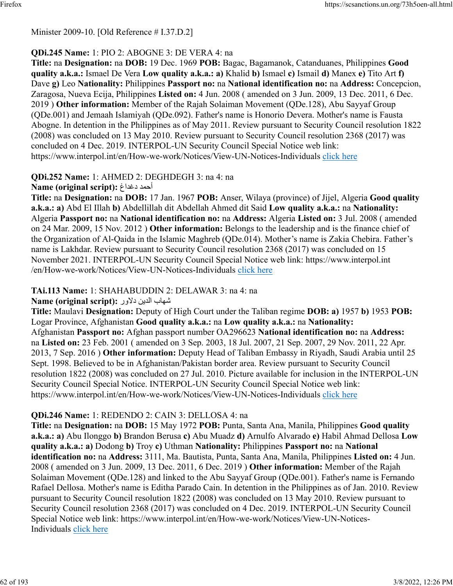#### Minister 2009-10. [Old Reference # I.37.D.2]

### **QDi.245 Name:** 1: PIO 2: ABOGNE 3: DE VERA 4: na

**Title:** na **Designation:** na **DOB:** 19 Dec. 1969 **POB:** Bagac, Bagamanok, Catanduanes, Philippines **Good quality a.k.a.:** Ismael De Vera **Low quality a.k.a.: a)** Khalid **b)** Ismael **c)** Ismail **d)** Manex **e)** Tito Art **f)** Dave **g)** Leo **Nationality:** Philippines **Passport no:** na **National identification no:** na **Address:** Concepcion, Zaragosa, Nueva Ecija, Philippines **Listed on:** 4 Jun. 2008 ( amended on 3 Jun. 2009, 13 Dec. 2011, 6 Dec. 2019 ) **Other information:** Member of the Rajah Solaiman Movement (QDe.128), Abu Sayyaf Group (QDe.001) and Jemaah Islamiyah (QDe.092). Father's name is Honorio Devera. Mother's name is Fausta Abogne. In detention in the Philippines as of May 2011. Review pursuant to Security Council resolution 1822 (2008) was concluded on 13 May 2010. Review pursuant to Security Council resolution 2368 (2017) was concluded on 4 Dec. 2019. INTERPOL-UN Security Council Special Notice web link: https://www.interpol.int/en/How-we-work/Notices/View-UN-Notices-Individuals [click here](https://www.interpol.int/en/How-we-work/Notices/View-UN-Notices-Individuals)

# **QDi.252 Name:** 1: AHMED 2: DEGHDEGH 3: na 4: na

#### **Name (original script):** غادغد دمحأ

**Title:** na **Designation:** na **DOB:** 17 Jan. 1967 **POB:** Anser, Wilaya (province) of Jijel, Algeria **Good quality a.k.a.: a)** Abd El Illah **b)** Abdellillah dit Abdellah Ahmed dit Said **Low quality a.k.a.:** na **Nationality:** Algeria **Passport no:** na **National identification no:** na **Address:** Algeria **Listed on:** 3 Jul. 2008 ( amended on 24 Mar. 2009, 15 Nov. 2012 ) **Other information:** Belongs to the leadership and is the finance chief of the Organization of Al-Qaida in the Islamic Maghreb (QDe.014). Mother's name is Zakia Chebira. Father's name is Lakhdar. Review pursuant to Security Council resolution 2368 (2017) was concluded on 15 November 2021. INTERPOL-UN Security Council Special Notice web link: https://www.interpol.int /en/How-we-work/Notices/View-UN-Notices-Individuals [click here](https://www.interpol.int/en/How-we-work/Notices/View-UN-Notices-Individuals)

### **TAi.113 Name:** 1: SHAHABUDDIN 2: DELAWAR 3: na 4: na

#### باهش نيدلا رولاد **:(script original (Name**

**Title:** Maulavi **Designation:** Deputy of High Court under the Taliban regime **DOB: a)** 1957 **b)** 1953 **POB:** Logar Province, Afghanistan **Good quality a.k.a.:** na **Low quality a.k.a.:** na **Nationality:** Afghanistan **Passport no:** Afghan passport number OA296623 **National identification no:** na **Address:** na **Listed on:** 23 Feb. 2001 ( amended on 3 Sep. 2003, 18 Jul. 2007, 21 Sep. 2007, 29 Nov. 2011, 22 Apr. 2013, 7 Sep. 2016 ) **Other information:** Deputy Head of Taliban Embassy in Riyadh, Saudi Arabia until 25 Sept. 1998. Believed to be in Afghanistan/Pakistan border area. Review pursuant to Security Council resolution 1822 (2008) was concluded on 27 Jul. 2010. Picture available for inclusion in the INTERPOL-UN Security Council Special Notice. INTERPOL-UN Security Council Special Notice web link: https://www.interpol.int/en/How-we-work/Notices/View-UN-Notices-Individuals [click here](https://www.interpol.int/en/How-we-work/Notices/View-UN-Notices-Individuals)

### **QDi.246 Name:** 1: REDENDO 2: CAIN 3: DELLOSA 4: na

**Title:** na **Designation:** na **DOB:** 15 May 1972 **POB:** Punta, Santa Ana, Manila, Philippines **Good quality a.k.a.: a)** Abu Ilonggo **b)** Brandon Berusa **c)** Abu Muadz **d)** Arnulfo Alvarado **e)** Habil Ahmad Dellosa **Low quality a.k.a.: a)** Dodong **b)** Troy **c)** Uthman **Nationality:** Philippines **Passport no:** na **National identification no:** na **Address:** 3111, Ma. Bautista, Punta, Santa Ana, Manila, Philippines **Listed on:** 4 Jun. 2008 ( amended on 3 Jun. 2009, 13 Dec. 2011, 6 Dec. 2019 ) **Other information:** Member of the Rajah Solaiman Movement (QDe.128) and linked to the Abu Sayyaf Group (QDe.001). Father's name is Fernando Rafael Dellosa. Mother's name is Editha Parado Cain. In detention in the Philippines as of Jan. 2010. Review pursuant to Security Council resolution 1822 (2008) was concluded on 13 May 2010. Review pursuant to Security Council resolution 2368 (2017) was concluded on 4 Dec. 2019. INTERPOL-UN Security Council Special Notice web link: https://www.interpol.int/en/How-we-work/Notices/View-UN-Notices-Individuals [click here](https://www.interpol.int/en/How-we-work/Notices/View-UN-Notices-Individuals)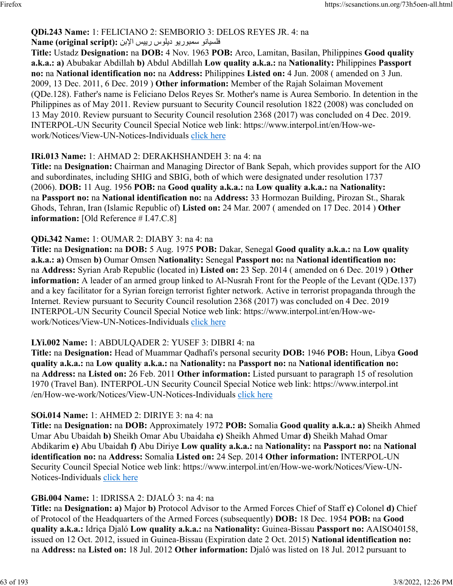#### **QDi.243 Name:** 1: FELICIANO 2: SEMBORIO 3: DELOS REYES JR. 4: na فلسيانو سمبوريو ديلوس رييس الإبن :(Name (original script

**Title:** Ustadz **Designation:** na **DOB:** 4 Nov. 1963 **POB:** Arco, Lamitan, Basilan, Philippines **Good quality a.k.a.: a)** Abubakar Abdillah **b)** Abdul Abdillah **Low quality a.k.a.:** na **Nationality:** Philippines **Passport no:** na **National identification no:** na **Address:** Philippines **Listed on:** 4 Jun. 2008 ( amended on 3 Jun. 2009, 13 Dec. 2011, 6 Dec. 2019 ) **Other information:** Member of the Rajah Solaiman Movement (QDe.128). Father's name is Feliciano Delos Reyes Sr. Mother's name is Aurea Semborio. In detention in the Philippines as of May 2011. Review pursuant to Security Council resolution 1822 (2008) was concluded on 13 May 2010. Review pursuant to Security Council resolution 2368 (2017) was concluded on 4 Dec. 2019. INTERPOL-UN Security Council Special Notice web link: https://www.interpol.int/en/How-wework/Notices/View-UN-Notices-Individuals [click here](https://www.interpol.int/en/How-we-work/Notices/View-UN-Notices-Individuals)

### **IRi.013 Name:** 1: AHMAD 2: DERAKHSHANDEH 3: na 4: na

**Title:** na **Designation:** Chairman and Managing Director of Bank Sepah, which provides support for the AIO and subordinates, including SHIG and SBIG, both of which were designated under resolution 1737 (2006). **DOB:** 11 Aug. 1956 **POB:** na **Good quality a.k.a.:** na **Low quality a.k.a.:** na **Nationality:** na **Passport no:** na **National identification no:** na **Address:** 33 Hormozan Building, Pirozan St., Sharak Ghods, Tehran, Iran (Islamic Republic of) **Listed on:** 24 Mar. 2007 ( amended on 17 Dec. 2014 ) **Other information:** [Old Reference # I.47.C.8]

### **QDi.342 Name:** 1: OUMAR 2: DIABY 3: na 4: na

**Title:** na **Designation:** na **DOB:** 5 Aug. 1975 **POB:** Dakar, Senegal **Good quality a.k.a.:** na **Low quality a.k.a.: a)** Omsen **b)** Oumar Omsen **Nationality:** Senegal **Passport no:** na **National identification no:** na **Address:** Syrian Arab Republic (located in) **Listed on:** 23 Sep. 2014 ( amended on 6 Dec. 2019 ) **Other information:** A leader of an armed group linked to Al-Nusrah Front for the People of the Levant (QDe.137) and a key facilitator for a Syrian foreign terrorist fighter network. Active in terrorist propaganda through the Internet. Review pursuant to Security Council resolution 2368 (2017) was concluded on 4 Dec. 2019 INTERPOL-UN Security Council Special Notice web link: https://www.interpol.int/en/How-wework/Notices/View-UN-Notices-Individuals [click here](https://www.interpol.int/en/How-we-work/Notices/View-UN-Notices-Individuals)

### **LYi.002 Name:** 1: ABDULQADER 2: YUSEF 3: DIBRI 4: na

**Title:** na **Designation:** Head of Muammar Qadhafi's personal security **DOB:** 1946 **POB:** Houn, Libya **Good quality a.k.a.:** na **Low quality a.k.a.:** na **Nationality:** na **Passport no:** na **National identification no:** na **Address:** na **Listed on:** 26 Feb. 2011 **Other information:** Listed pursuant to paragraph 15 of resolution 1970 (Travel Ban). INTERPOL-UN Security Council Special Notice web link: https://www.interpol.int /en/How-we-work/Notices/View-UN-Notices-Individuals [click here](https://www.interpol.int/en/How-we-work/Notices/View-UN-Notices-Individuals)

### **SOi.014 Name:** 1: AHMED 2: DIRIYE 3: na 4: na

**Title:** na **Designation:** na **DOB:** Approximately 1972 **POB:** Somalia **Good quality a.k.a.: a)** Sheikh Ahmed Umar Abu Ubaidah **b)** Sheikh Omar Abu Ubaidaha **c)** Sheikh Ahmed Umar **d)** Sheikh Mahad Omar Abdikarim **e)** Abu Ubaidah **f)** Abu Diriye **Low quality a.k.a.:** na **Nationality:** na **Passport no:** na **National identification no:** na **Address:** Somalia **Listed on:** 24 Sep. 2014 **Other information:** INTERPOL-UN Security Council Special Notice web link: https://www.interpol.int/en/How-we-work/Notices/View-UN-Notices-Individuals [click here](https://www.interpol.int/en/How-we-work/Notices/View-UN-Notices-Individuals)

### **GBi.004 Name:** 1: IDRISSA 2: DJALÓ 3: na 4: na

**Title:** na **Designation: a)** Major **b)** Protocol Advisor to the Armed Forces Chief of Staff **c)** Colonel **d)** Chief of Protocol of the Headquarters of the Armed Forces (subsequently) **DOB:** 18 Dec. 1954 **POB:** na **Good quality a.k.a.:** Idriça Djaló **Low quality a.k.a.:** na **Nationality:** Guinea-Bissau **Passport no:** AAISO40158, issued on 12 Oct. 2012, issued in Guinea-Bissau (Expiration date 2 Oct. 2015) **National identification no:** na **Address:** na **Listed on:** 18 Jul. 2012 **Other information:** Djaló was listed on 18 Jul. 2012 pursuant to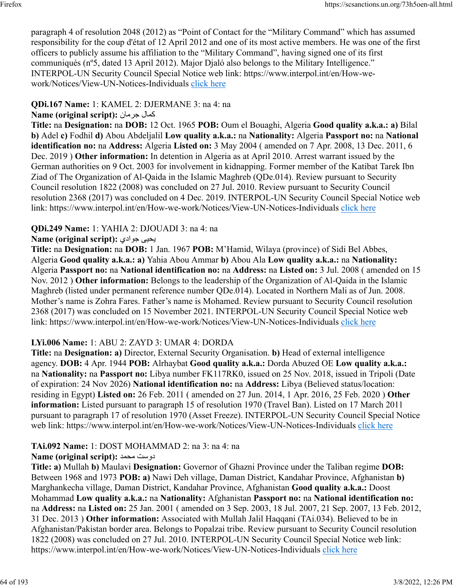paragraph 4 of resolution 2048 (2012) as "Point of Contact for the "Military Command" which has assumed responsibility for the coup d'état of 12 April 2012 and one of its most active members. He was one of the first officers to publicly assume his affiliation to the "Military Command", having signed one of its first communiqués (nº5, dated 13 April 2012). Major Djaló also belongs to the Military Intelligence." INTERPOL-UN Security Council Special Notice web link: https://www.interpol.int/en/How-wework/Notices/View-UN-Notices-Individuals [click here](https://www.interpol.int/en/How-we-work/Notices/View-UN-Notices-Individuals)

### **QDi.167 Name:** 1: KAMEL 2: DJERMANE 3: na 4: na

### **Name (original script):** نامرج لامك

**Title:** na **Designation:** na **DOB:** 12 Oct. 1965 **POB:** Oum el Bouaghi, Algeria **Good quality a.k.a.: a)** Bilal **b)** Adel **c)** Fodhil **d)** Abou Abdeljalil **Low quality a.k.a.:** na **Nationality:** Algeria **Passport no:** na **National identification no:** na **Address:** Algeria **Listed on:** 3 May 2004 ( amended on 7 Apr. 2008, 13 Dec. 2011, 6 Dec. 2019 ) **Other information:** In detention in Algeria as at April 2010. Arrest warrant issued by the German authorities on 9 Oct. 2003 for involvement in kidnapping. Former member of the Katibat Tarek Ibn Ziad of The Organization of Al-Qaida in the Islamic Maghreb (QDe.014). Review pursuant to Security Council resolution 1822 (2008) was concluded on 27 Jul. 2010. Review pursuant to Security Council resolution 2368 (2017) was concluded on 4 Dec. 2019. INTERPOL-UN Security Council Special Notice web link: https://www.interpol.int/en/How-we-work/Notices/View-UN-Notices-Individuals [click here](https://www.interpol.int/en/How-we-work/Notices/View-UN-Notices-Individuals)

### **QDi.249 Name:** 1: YAHIA 2: DJOUADI 3: na 4: na

### **Name (original script):** يداوج ىيحي

**Title:** na **Designation:** na **DOB:** 1 Jan. 1967 **POB:** M'Hamid, Wilaya (province) of Sidi Bel Abbes, Algeria **Good quality a.k.a.: a)** Yahia Abou Ammar **b)** Abou Ala **Low quality a.k.a.:** na **Nationality:** Algeria **Passport no:** na **National identification no:** na **Address:** na **Listed on:** 3 Jul. 2008 ( amended on 15 Nov. 2012 ) **Other information:** Belongs to the leadership of the Organization of Al-Qaida in the Islamic Maghreb (listed under permanent reference number QDe.014). Located in Northern Mali as of Jun. 2008. Mother's name is Zohra Fares. Father's name is Mohamed. Review pursuant to Security Council resolution 2368 (2017) was concluded on 15 November 2021. INTERPOL-UN Security Council Special Notice web link: https://www.interpol.int/en/How-we-work/Notices/View-UN-Notices-Individuals [click here](https://www.interpol.int/en/How-we-work/Notices/View-UN-Notices-Individuals)

#### **LYi.006 Name:** 1: ABU 2: ZAYD 3: UMAR 4: DORDA

**Title:** na **Designation: a)** Director, External Security Organisation. **b)** Head of external intelligence agency. **DOB:** 4 Apr. 1944 **POB:** Alrhaybat **Good quality a.k.a.:** Dorda Abuzed OE **Low quality a.k.a.:** na **Nationality:** na **Passport no:** Libya number FK117RK0, issued on 25 Nov. 2018, issued in Tripoli (Date of expiration: 24 Nov 2026) **National identification no:** na **Address:** Libya (Believed status/location: residing in Egypt) **Listed on:** 26 Feb. 2011 ( amended on 27 Jun. 2014, 1 Apr. 2016, 25 Feb. 2020 ) **Other information:** Listed pursuant to paragraph 15 of resolution 1970 (Travel Ban). Listed on 17 March 2011 pursuant to paragraph 17 of resolution 1970 (Asset Freeze). INTERPOL-UN Security Council Special Notice web link: https://www.interpol.int/en/How-we-work/Notices/View-UN-Notices-Individuals [click here](https://www.interpol.int/en/How-we-work/Notices/View-UN-Notices-Individuals)

# **TAi.092 Name:** 1: DOST MOHAMMAD 2: na 3: na 4: na

#### **Name (original script):** دمحم تسود

**Title: a)** Mullah **b)** Maulavi **Designation:** Governor of Ghazni Province under the Taliban regime **DOB:** Between 1968 and 1973 **POB: a)** Nawi Deh village, Daman District, Kandahar Province, Afghanistan **b)** Marghankecha village, Daman District, Kandahar Province, Afghanistan **Good quality a.k.a.:** Doost Mohammad **Low quality a.k.a.:** na **Nationality:** Afghanistan **Passport no:** na **National identification no:** na **Address:** na **Listed on:** 25 Jan. 2001 ( amended on 3 Sep. 2003, 18 Jul. 2007, 21 Sep. 2007, 13 Feb. 2012, 31 Dec. 2013 ) **Other information:** Associated with Mullah Jalil Haqqani (TAi.034). Believed to be in Afghanistan/Pakistan border area. Belongs to Popalzai tribe. Review pursuant to Security Council resolution 1822 (2008) was concluded on 27 Jul. 2010. INTERPOL-UN Security Council Special Notice web link: https://www.interpol.int/en/How-we-work/Notices/View-UN-Notices-Individuals [click here](https://www.interpol.int/en/How-we-work/Notices/View-UN-Notices-Individuals)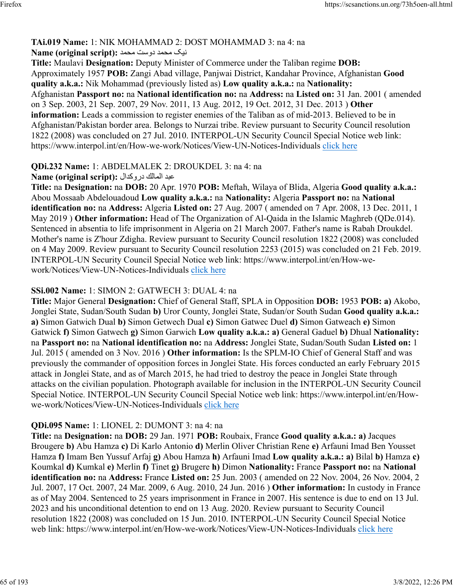### **TAi.019 Name:** 1: NIK MOHAMMAD 2: DOST MOHAMMAD 3: na 4: na

### کين دمحم تسود دمحم **:(script original (Name**

**Title:** Maulavi **Designation:** Deputy Minister of Commerce under the Taliban regime **DOB:** Approximately 1957 **POB:** Zangi Abad village, Panjwai District, Kandahar Province, Afghanistan **Good quality a.k.a.:** Nik Mohammad (previously listed as) **Low quality a.k.a.:** na **Nationality:** Afghanistan **Passport no:** na **National identification no:** na **Address:** na **Listed on:** 31 Jan. 2001 ( amended on 3 Sep. 2003, 21 Sep. 2007, 29 Nov. 2011, 13 Aug. 2012, 19 Oct. 2012, 31 Dec. 2013 ) **Other information:** Leads a commission to register enemies of the Taliban as of mid-2013. Believed to be in Afghanistan/Pakistan border area. Belongs to Nurzai tribe. Review pursuant to Security Council resolution 1822 (2008) was concluded on 27 Jul. 2010. INTERPOL-UN Security Council Special Notice web link: https://www.interpol.int/en/How-we-work/Notices/View-UN-Notices-Individuals [click here](https://www.interpol.int/en/How-we-work/Notices/View-UN-Notices-Individuals)

### **QDi.232 Name:** 1: ABDELMALEK 2: DROUKDEL 3: na 4: na

دبع كلاملا لادكورد **:(script original (Name**

**Title:** na **Designation:** na **DOB:** 20 Apr. 1970 **POB:** Meftah, Wilaya of Blida, Algeria **Good quality a.k.a.:** Abou Mossaab Abdelouadoud **Low quality a.k.a.:** na **Nationality:** Algeria **Passport no:** na **National identification no:** na **Address:** Algeria **Listed on:** 27 Aug. 2007 ( amended on 7 Apr. 2008, 13 Dec. 2011, 1 May 2019 ) **Other information:** Head of The Organization of Al-Qaida in the Islamic Maghreb (QDe.014). Sentenced in absentia to life imprisonment in Algeria on 21 March 2007. Father's name is Rabah Droukdel. Mother's name is Z'hour Zdigha. Review pursuant to Security Council resolution 1822 (2008) was concluded on 4 May 2009. Review pursuant to Security Council resolution 2253 (2015) was concluded on 21 Feb. 2019. INTERPOL-UN Security Council Special Notice web link: https://www.interpol.int/en/How-wework/Notices/View-UN-Notices-Individuals [click here](https://www.interpol.int/en/How-we-work/Notices/View-UN-Notices-Individuals)

### **SSi.002 Name:** 1: SIMON 2: GATWECH 3: DUAL 4: na

**Title:** Major General **Designation:** Chief of General Staff, SPLA in Opposition **DOB:** 1953 **POB: a)** Akobo, Jonglei State, Sudan/South Sudan **b)** Uror County, Jonglei State, Sudan/or South Sudan **Good quality a.k.a.: a)** Simon Gatwich Dual **b)** Simon Getwech Dual **c)** Simon Gatwec Duel **d)** Simon Gatweach **e)** Simon Gatwick **f)** Simon Gatwech **g)** Simon Garwich **Low quality a.k.a.: a)** General Gaduel **b)** Dhual **Nationality:** na **Passport no:** na **National identification no:** na **Address:** Jonglei State, Sudan/South Sudan **Listed on:** 1 Jul. 2015 ( amended on 3 Nov. 2016 ) **Other information:** Is the SPLM-IO Chief of General Staff and was previously the commander of opposition forces in Jonglei State. His forces conducted an early February 2015 attack in Jonglei State, and as of March 2015, he had tried to destroy the peace in Jonglei State through attacks on the civilian population. Photograph available for inclusion in the INTERPOL-UN Security Council Special Notice. INTERPOL-UN Security Council Special Notice web link: https://www.interpol.int/en/Howwe-work/Notices/View-UN-Notices-Individuals [click here](https://www.interpol.int/en/How-we-work/Notices/View-UN-Notices-Individuals)

# **QDi.095 Name:** 1: LIONEL 2: DUMONT 3: na 4: na

**Title:** na **Designation:** na **DOB:** 29 Jan. 1971 **POB:** Roubaix, France **Good quality a.k.a.: a)** Jacques Brougere **b)** Abu Hamza **c)** Di Karlo Antonio **d)** Merlin Oliver Christian Rene **e)** Arfauni Imad Ben Yousset Hamza **f)** Imam Ben Yussuf Arfaj **g)** Abou Hamza **h)** Arfauni Imad **Low quality a.k.a.: a)** Bilal **b)** Hamza **c)** Koumkal **d)** Kumkal **e)** Merlin **f)** Tinet **g)** Brugere **h)** Dimon **Nationality:** France **Passport no:** na **National identification no:** na **Address:** France **Listed on:** 25 Jun. 2003 ( amended on 22 Nov. 2004, 26 Nov. 2004, 2 Jul. 2007, 17 Oct. 2007, 24 Mar. 2009, 6 Aug. 2010, 24 Jun. 2016 ) **Other information:** In custody in France as of May 2004. Sentenced to 25 years imprisonment in France in 2007. His sentence is due to end on 13 Jul. 2023 and his unconditional detention to end on 13 Aug. 2020. Review pursuant to Security Council resolution 1822 (2008) was concluded on 15 Jun. 2010. INTERPOL-UN Security Council Special Notice web link: https://www.interpol.int/en/How-we-work/Notices/View-UN-Notices-Individuals [click here](https://www.interpol.int/en/How-we-work/Notices/View-UN-Notices-Individuals)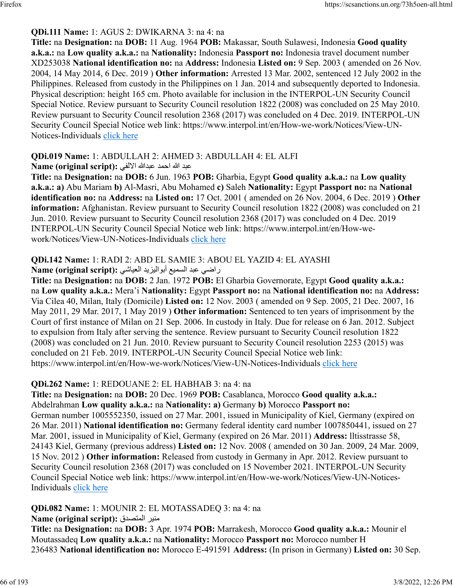### **QDi.111 Name:** 1: AGUS 2: DWIKARNA 3: na 4: na

**Title:** na **Designation:** na **DOB:** 11 Aug. 1964 **POB:** Makassar, South Sulawesi, Indonesia **Good quality a.k.a.:** na **Low quality a.k.a.:** na **Nationality:** Indonesia **Passport no:** Indonesia travel document number XD253038 **National identification no:** na **Address:** Indonesia **Listed on:** 9 Sep. 2003 ( amended on 26 Nov. 2004, 14 May 2014, 6 Dec. 2019 ) **Other information:** Arrested 13 Mar. 2002, sentenced 12 July 2002 in the Philippines. Released from custody in the Philippines on 1 Jan. 2014 and subsequently deported to Indonesia. Physical description: height 165 cm. Photo available for inclusion in the INTERPOL-UN Security Council Special Notice. Review pursuant to Security Council resolution 1822 (2008) was concluded on 25 May 2010. Review pursuant to Security Council resolution 2368 (2017) was concluded on 4 Dec. 2019. INTERPOL-UN Security Council Special Notice web link: https://www.interpol.int/en/How-we-work/Notices/View-UN-Notices-Individuals [click here](https://www.interpol.int/en/How-we-work/Notices/View-UN-Notices-Individuals)

#### **QDi.019 Name:** 1: ABDULLAH 2: AHMED 3: ABDULLAH 4: EL ALFI

#### دبع الله دمحا اللهدبع يفللاا **:(script original (Name**

**Title:** na **Designation:** na **DOB:** 6 Jun. 1963 **POB:** Gharbia, Egypt **Good quality a.k.a.:** na **Low quality a.k.a.: a)** Abu Mariam **b)** Al-Masri, Abu Mohamed **c)** Saleh **Nationality:** Egypt **Passport no:** na **National identification no:** na **Address:** na **Listed on:** 17 Oct. 2001 ( amended on 26 Nov. 2004, 6 Dec. 2019 ) **Other information:** Afghanistan. Review pursuant to Security Council resolution 1822 (2008) was concluded on 21 Jun. 2010. Review pursuant to Security Council resolution 2368 (2017) was concluded on 4 Dec. 2019 INTERPOL-UN Security Council Special Notice web link: https://www.interpol.int/en/How-wework/Notices/View-UN-Notices-Individuals [click here](https://www.interpol.int/en/How-we-work/Notices/View-UN-Notices-Individuals)

### **QDi.142 Name:** 1: RADI 2: ABD EL SAMIE 3: ABOU EL YAZID 4: EL AYASHI

راضي عبد السميع أبواليزيد العياشي :(Name (original script

**Title:** na **Designation:** na **DOB:** 2 Jan. 1972 **POB:** El Gharbia Governorate, Egypt **Good quality a.k.a.:** na **Low quality a.k.a.:** Mera'i **Nationality:** Egypt **Passport no:** na **National identification no:** na **Address:** Via Cilea 40, Milan, Italy (Domicile) **Listed on:** 12 Nov. 2003 ( amended on 9 Sep. 2005, 21 Dec. 2007, 16 May 2011, 29 Mar. 2017, 1 May 2019 ) **Other information:** Sentenced to ten years of imprisonment by the Court of first instance of Milan on 21 Sep. 2006. In custody in Italy. Due for release on 6 Jan. 2012. Subject to expulsion from Italy after serving the sentence. Review pursuant to Security Council resolution 1822 (2008) was concluded on 21 Jun. 2010. Review pursuant to Security Council resolution 2253 (2015) was concluded on 21 Feb. 2019. INTERPOL-UN Security Council Special Notice web link: https://www.interpol.int/en/How-we-work/Notices/View-UN-Notices-Individuals [click here](https://www.interpol.int/en/How-we-work/Notices/View-UN-Notices-Individuals)

### **QDi.262 Name:** 1: REDOUANE 2: EL HABHAB 3: na 4: na

**Title:** na **Designation:** na **DOB:** 20 Dec. 1969 **POB:** Casablanca, Morocco **Good quality a.k.a.:** Abdelrahman **Low quality a.k.a.:** na **Nationality: a)** Germany **b)** Morocco **Passport no:** German number 1005552350, issued on 27 Mar. 2001, issued in Municipality of Kiel, Germany (expired on 26 Mar. 2011) **National identification no:** Germany federal identity card number 1007850441, issued on 27 Mar. 2001, issued in Municipality of Kiel, Germany (expired on 26 Mar. 2011) **Address:** lltisstrasse 58, 24143 Kiel, Germany (previous address) **Listed on:** 12 Nov. 2008 ( amended on 30 Jan. 2009, 24 Mar. 2009, 15 Nov. 2012 ) **Other information:** Released from custody in Germany in Apr. 2012. Review pursuant to Security Council resolution 2368 (2017) was concluded on 15 November 2021. INTERPOL-UN Security Council Special Notice web link: https://www.interpol.int/en/How-we-work/Notices/View-UN-Notices-Individuals [click here](https://www.interpol.int/en/How-we-work/Notices/View-UN-Notices-Individuals)

# **QDi.082 Name:** 1: MOUNIR 2: EL MOTASSADEQ 3: na 4: na

**Name (original script):** قدصتملا رينم

**Title:** na **Designation:** na **DOB:** 3 Apr. 1974 **POB:** Marrakesh, Morocco **Good quality a.k.a.:** Mounir el Moutassadeq **Low quality a.k.a.:** na **Nationality:** Morocco **Passport no:** Morocco number H 236483 **National identification no:** Morocco E-491591 **Address:** (In prison in Germany) **Listed on:** 30 Sep.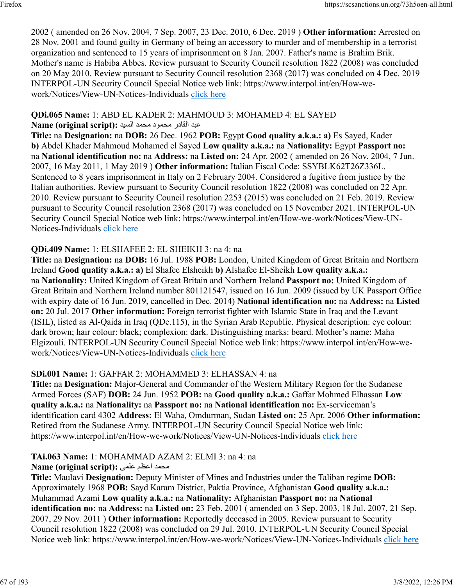2002 ( amended on 26 Nov. 2004, 7 Sep. 2007, 23 Dec. 2010, 6 Dec. 2019 ) **Other information:** Arrested on 28 Nov. 2001 and found guilty in Germany of being an accessory to murder and of membership in a terrorist organization and sentenced to 15 years of imprisonment on 8 Jan. 2007. Father's name is Brahim Brik. Mother's name is Habiba Abbes. Review pursuant to Security Council resolution 1822 (2008) was concluded on 20 May 2010. Review pursuant to Security Council resolution 2368 (2017) was concluded on 4 Dec. 2019 INTERPOL-UN Security Council Special Notice web link: https://www.interpol.int/en/How-wework/Notices/View-UN-Notices-Individuals [click here](https://www.interpol.int/en/How-we-work/Notices/View-UN-Notices-Individuals)

# **QDi.065 Name:** 1: ABD EL KADER 2: MAHMOUD 3: MOHAMED 4: EL SAYED

دبع رداقلا دومحم دمحم ديسلا **:(script original (Name**

**Title:** na **Designation:** na **DOB:** 26 Dec. 1962 **POB:** Egypt **Good quality a.k.a.: a)** Es Sayed, Kader **b)** Abdel Khader Mahmoud Mohamed el Sayed **Low quality a.k.a.:** na **Nationality:** Egypt **Passport no:** na **National identification no:** na **Address:** na **Listed on:** 24 Apr. 2002 ( amended on 26 Nov. 2004, 7 Jun. 2007, 16 May 2011, 1 May 2019 ) **Other information:** Italian Fiscal Code: SSYBLK62T26Z336L. Sentenced to 8 years imprisonment in Italy on 2 February 2004. Considered a fugitive from justice by the Italian authorities. Review pursuant to Security Council resolution 1822 (2008) was concluded on 22 Apr. 2010. Review pursuant to Security Council resolution 2253 (2015) was concluded on 21 Feb. 2019. Review pursuant to Security Council resolution 2368 (2017) was concluded on 15 November 2021. INTERPOL-UN Security Council Special Notice web link: https://www.interpol.int/en/How-we-work/Notices/View-UN-Notices-Individuals [click here](https://www.interpol.int/en/How-we-work/Notices/View-UN-Notices-Individuals)

# **QDi.409 Name:** 1: ELSHAFEE 2: EL SHEIKH 3: na 4: na

**Title:** na **Designation:** na **DOB:** 16 Jul. 1988 **POB:** London, United Kingdom of Great Britain and Northern Ireland **Good quality a.k.a.: a)** El Shafee Elsheikh **b)** Alshafee El-Sheikh **Low quality a.k.a.:** na **Nationality:** United Kingdom of Great Britain and Northern Ireland **Passport no:** United Kingdom of Great Britain and Northern Ireland number 801121547, issued on 16 Jun. 2009 (issued by UK Passport Office with expiry date of 16 Jun. 2019, cancelled in Dec. 2014) **National identification no:** na **Address:** na **Listed on:** 20 Jul. 2017 **Other information:** Foreign terrorist fighter with Islamic State in Iraq and the Levant (ISIL), listed as Al-Qaida in Iraq (QDe.115), in the Syrian Arab Republic. Physical description: eye colour: dark brown; hair colour: black; complexion: dark. Distinguishing marks: beard. Mother's name: Maha Elgizouli. INTERPOL-UN Security Council Special Notice web link: https://www.interpol.int/en/How-wework/Notices/View-UN-Notices-Individuals [click here](https://www.interpol.int/en/How-we-work/Notices/View-UN-Notices-Individuals)

### **SDi.001 Name:** 1: GAFFAR 2: MOHAMMED 3: ELHASSAN 4: na

**Title:** na **Designation:** Major-General and Commander of the Western Military Region for the Sudanese Armed Forces (SAF) **DOB:** 24 Jun. 1952 **POB:** na **Good quality a.k.a.:** Gaffar Mohmed Elhassan **Low quality a.k.a.:** na **Nationality:** na **Passport no:** na **National identification no:** Ex-serviceman's identification card 4302 **Address:** El Waha, Omdurman, Sudan **Listed on:** 25 Apr. 2006 **Other information:** Retired from the Sudanese Army. INTERPOL-UN Security Council Special Notice web link: https://www.interpol.int/en/How-we-work/Notices/View-UN-Notices-Individuals [click here](https://www.interpol.int/en/How-we-work/Notices/View-UN-Notices-Individuals)

### **TAi.063 Name:** 1: MOHAMMAD AZAM 2: ELMI 3: na 4: na

### دمحم مظعا یملع **:(script original (Name**

**Title:** Maulavi **Designation:** Deputy Minister of Mines and Industries under the Taliban regime **DOB:** Approximately 1968 **POB:** Sayd Karam District, Paktia Province, Afghanistan **Good quality a.k.a.:** Muhammad Azami **Low quality a.k.a.:** na **Nationality:** Afghanistan **Passport no:** na **National identification no:** na **Address:** na **Listed on:** 23 Feb. 2001 ( amended on 3 Sep. 2003, 18 Jul. 2007, 21 Sep. 2007, 29 Nov. 2011 ) **Other information:** Reportedly deceased in 2005. Review pursuant to Security Council resolution 1822 (2008) was concluded on 29 Jul. 2010. INTERPOL-UN Security Council Special Notice web link: https://www.interpol.int/en/How-we-work/Notices/View-UN-Notices-Individuals [click here](https://www.interpol.int/en/How-we-work/Notices/View-UN-Notices-Individuals)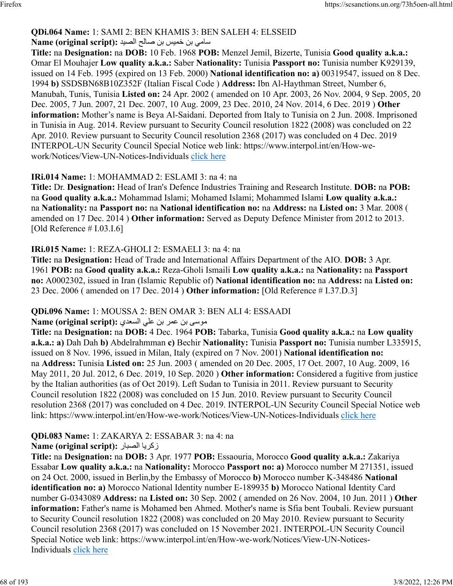# **QDi.064 Name:** 1: SAMI 2: BEN KHAMIS 3: BEN SALEH 4: ELSSEID

### سامي بن خميس بن صل**ا**ح الصيد : Name (original script)

**Title:** na **Designation:** na **DOB:** 10 Feb. 1968 **POB:** Menzel Jemil, Bizerte, Tunisia **Good quality a.k.a.:** Omar El Mouhajer **Low quality a.k.a.:** Saber **Nationality:** Tunisia **Passport no:** Tunisia number K929139, issued on 14 Feb. 1995 (expired on 13 Feb. 2000) **National identification no: a)** 00319547, issued on 8 Dec. 1994 **b)** SSDSBN68B10Z352F (Italian Fiscal Code ) **Address:** Ibn Al-Haythman Street, Number 6, Manubah, Tunis, Tunisia **Listed on:** 24 Apr. 2002 ( amended on 10 Apr. 2003, 26 Nov. 2004, 9 Sep. 2005, 20 Dec. 2005, 7 Jun. 2007, 21 Dec. 2007, 10 Aug. 2009, 23 Dec. 2010, 24 Nov. 2014, 6 Dec. 2019 ) **Other information:** Mother's name is Beya Al-Saidani. Deported from Italy to Tunisia on 2 Jun. 2008. Imprisoned in Tunisia in Aug. 2014. Review pursuant to Security Council resolution 1822 (2008) was concluded on 22 Apr. 2010. Review pursuant to Security Council resolution 2368 (2017) was concluded on 4 Dec. 2019 INTERPOL-UN Security Council Special Notice web link: https://www.interpol.int/en/How-wework/Notices/View-UN-Notices-Individuals [click here](https://www.interpol.int/en/How-we-work/Notices/View-UN-Notices-Individuals)

### **IRi.014 Name:** 1: MOHAMMAD 2: ESLAMI 3: na 4: na

**Title:** Dr. **Designation:** Head of Iran's Defence Industries Training and Research Institute. **DOB:** na **POB:** na **Good quality a.k.a.:** Mohammad Islami; Mohamed Islami; Mohammed Islami **Low quality a.k.a.:** na **Nationality:** na **Passport no:** na **National identification no:** na **Address:** na **Listed on:** 3 Mar. 2008 ( amended on 17 Dec. 2014 ) **Other information:** Served as Deputy Defence Minister from 2012 to 2013. [Old Reference # I.03.I.6]

### **IRi.015 Name:** 1: REZA-GHOLI 2: ESMAELI 3: na 4: na

**Title:** na **Designation:** Head of Trade and International Affairs Department of the AIO. **DOB:** 3 Apr. 1961 **POB:** na **Good quality a.k.a.:** Reza-Gholi Ismaili **Low quality a.k.a.:** na **Nationality:** na **Passport no:** A0002302, issued in Iran (Islamic Republic of) **National identification no:** na **Address:** na **Listed on:** 23 Dec. 2006 ( amended on 17 Dec. 2014 ) **Other information:** [Old Reference # I.37.D.3]

### **QDi.096 Name:** 1: MOUSSA 2: BEN OMAR 3: BEN ALI 4: ESSAADI

#### ىسوم نب رمع نب يلع يدعسلا **:(script original (Name**

**Title:** na **Designation:** na **DOB:** 4 Dec. 1964 **POB:** Tabarka, Tunisia **Good quality a.k.a.:** na **Low quality a.k.a.: a)** Dah Dah **b)** Abdelrahmman **c)** Bechir **Nationality:** Tunisia **Passport no:** Tunisia number L335915, issued on 8 Nov. 1996, issued in Milan, Italy (expired on 7 Nov. 2001) **National identification no:** na **Address:** Tunisia **Listed on:** 25 Jun. 2003 ( amended on 20 Dec. 2005, 17 Oct. 2007, 10 Aug. 2009, 16 May 2011, 20 Jul. 2012, 6 Dec. 2019, 10 Sep. 2020 ) **Other information:** Considered a fugitive from justice by the Italian authorities (as of Oct 2019). Left Sudan to Tunisia in 2011. Review pursuant to Security Council resolution 1822 (2008) was concluded on 15 Jun. 2010. Review pursuant to Security Council resolution 2368 (2017) was concluded on 4 Dec. 2019. INTERPOL-UN Security Council Special Notice web link: https://www.interpol.int/en/How-we-work/Notices/View-UN-Notices-Individuals [click here](https://www.interpol.int/en/How-we-work/Notices/View-UN-Notices-Individuals)

# **QDi.083 Name:** 1: ZAKARYA 2: ESSABAR 3: na 4: na

### **Name (original script):** رابصلا ايركز

**Title:** na **Designation:** na **DOB:** 3 Apr. 1977 **POB:** Essaouria, Morocco **Good quality a.k.a.:** Zakariya Essabar **Low quality a.k.a.:** na **Nationality:** Morocco **Passport no: a)** Morocco number M 271351, issued on 24 Oct. 2000, issued in Berlin,by the Embassy of Morocco **b)** Morocco number K-348486 **National identification no: a)** Morocco National Identity number E-189935 **b)** Morocco National Identity Card number G-0343089 **Address:** na **Listed on:** 30 Sep. 2002 ( amended on 26 Nov. 2004, 10 Jun. 2011 ) **Other information:** Father's name is Mohamed ben Ahmed. Mother's name is Sfia bent Toubali. Review pursuant to Security Council resolution 1822 (2008) was concluded on 20 May 2010. Review pursuant to Security Council resolution 2368 (2017) was concluded on 15 November 2021. INTERPOL-UN Security Council Special Notice web link: https://www.interpol.int/en/How-we-work/Notices/View-UN-Notices-Individuals [click here](https://www.interpol.int/en/How-we-work/Notices/View-UN-Notices-Individuals)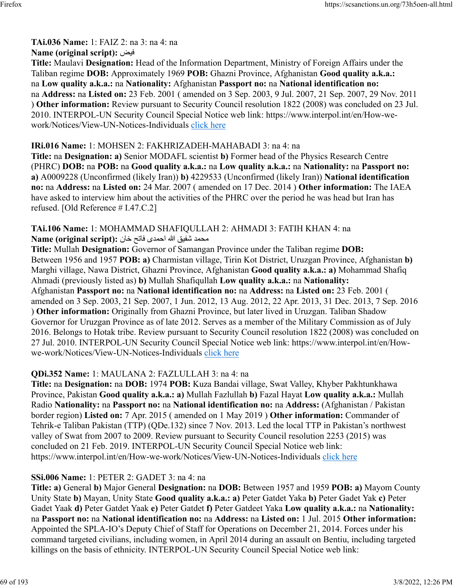### **TAi.036 Name:** 1: FAIZ 2: na 3: na 4: na

### **Name (original script):** ضيف

**Title:** Maulavi **Designation:** Head of the Information Department, Ministry of Foreign Affairs under the Taliban regime **DOB:** Approximately 1969 **POB:** Ghazni Province, Afghanistan **Good quality a.k.a.:** na **Low quality a.k.a.:** na **Nationality:** Afghanistan **Passport no:** na **National identification no:** na **Address:** na **Listed on:** 23 Feb. 2001 ( amended on 3 Sep. 2003, 9 Jul. 2007, 21 Sep. 2007, 29 Nov. 2011 ) **Other information:** Review pursuant to Security Council resolution 1822 (2008) was concluded on 23 Jul. 2010. INTERPOL-UN Security Council Special Notice web link: https://www.interpol.int/en/How-wework/Notices/View-UN-Notices-Individuals [click here](https://www.interpol.int/en/How-we-work/Notices/View-UN-Notices-Individuals)

### **IRi.016 Name:** 1: MOHSEN 2: FAKHRIZADEH-MAHABADI 3: na 4: na

**Title:** na **Designation: a)** Senior MODAFL scientist **b)** Former head of the Physics Research Centre (PHRC) **DOB:** na **POB:** na **Good quality a.k.a.:** na **Low quality a.k.a.:** na **Nationality:** na **Passport no: a)** A0009228 (Unconfirmed (likely Iran)) **b)** 4229533 (Unconfirmed (likely Iran)) **National identification no:** na **Address:** na **Listed on:** 24 Mar. 2007 ( amended on 17 Dec. 2014 ) **Other information:** The IAEA have asked to interview him about the activities of the PHRC over the period he was head but Iran has refused. [Old Reference # I.47.C.2]

#### **TAi.106 Name:** 1: MOHAMMAD SHAFIQULLAH 2: AHMADI 3: FATIH KHAN 4: na دمحم قيفش الله یدمحا حتاف ناخ **:(script original (Name**

**Title:** Mullah **Designation:** Governor of Samangan Province under the Taliban regime **DOB:** Between 1956 and 1957 **POB: a)** Charmistan village, Tirin Kot District, Uruzgan Province, Afghanistan **b)** Marghi village, Nawa District, Ghazni Province, Afghanistan **Good quality a.k.a.: a)** Mohammad Shafiq Ahmadi (previously listed as) **b)** Mullah Shafiqullah **Low quality a.k.a.:** na **Nationality:** Afghanistan **Passport no:** na **National identification no:** na **Address:** na **Listed on:** 23 Feb. 2001 ( amended on 3 Sep. 2003, 21 Sep. 2007, 1 Jun. 2012, 13 Aug. 2012, 22 Apr. 2013, 31 Dec. 2013, 7 Sep. 2016 ) **Other information:** Originally from Ghazni Province, but later lived in Uruzgan. Taliban Shadow Governor for Uruzgan Province as of late 2012. Serves as a member of the Military Commission as of July 2016. Belongs to Hotak tribe. Review pursuant to Security Council resolution 1822 (2008) was concluded on 27 Jul. 2010. INTERPOL-UN Security Council Special Notice web link: https://www.interpol.int/en/Howwe-work/Notices/View-UN-Notices-Individuals [click here](https://www.interpol.int/en/How-we-work/Notices/View-UN-Notices-Individuals)

### **QDi.352 Name:** 1: MAULANA 2: FAZLULLAH 3: na 4: na

**Title:** na **Designation:** na **DOB:** 1974 **POB:** Kuza Bandai village, Swat Valley, Khyber Pakhtunkhawa Province, Pakistan **Good quality a.k.a.: a)** Mullah Fazlullah **b)** Fazal Hayat **Low quality a.k.a.:** Mullah Radio **Nationality:** na **Passport no:** na **National identification no:** na **Address:** (Afghanistan / Pakistan border region) **Listed on:** 7 Apr. 2015 ( amended on 1 May 2019 ) **Other information:** Commander of Tehrik-e Taliban Pakistan (TTP) (QDe.132) since 7 Nov. 2013. Led the local TTP in Pakistan's northwest valley of Swat from 2007 to 2009. Review pursuant to Security Council resolution 2253 (2015) was concluded on 21 Feb. 2019. INTERPOL-UN Security Council Special Notice web link: https://www.interpol.int/en/How-we-work/Notices/View-UN-Notices-Individuals [click here](https://www.interpol.int/en/How-we-work/Notices/View-UN-Notices-Individuals)

# **SSi.006 Name:** 1: PETER 2: GADET 3: na 4: na

**Title: a)** General **b)** Major General **Designation:** na **DOB:** Between 1957 and 1959 **POB: a)** Mayom County Unity State **b)** Mayan, Unity State **Good quality a.k.a.: a)** Peter Gatdet Yaka **b)** Peter Gadet Yak **c)** Peter Gadet Yaak **d)** Peter Gatdet Yaak **e)** Peter Gatdet **f)** Peter Gatdeet Yaka **Low quality a.k.a.:** na **Nationality:** na **Passport no:** na **National identification no:** na **Address:** na **Listed on:** 1 Jul. 2015 **Other information:** Appointed the SPLA-IO's Deputy Chief of Staff for Operations on December 21, 2014. Forces under his command targeted civilians, including women, in April 2014 during an assault on Bentiu, including targeted killings on the basis of ethnicity. INTERPOL-UN Security Council Special Notice web link: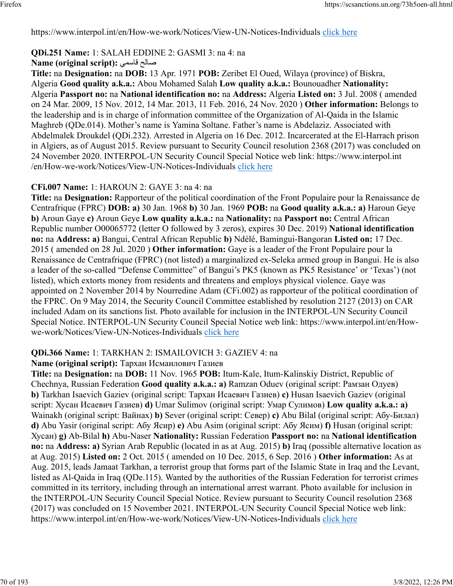https://www.interpol.int/en/How-we-work/Notices/View-UN-Notices-Individuals [click here](https://www.interpol.int/en/How-we-work/Notices/View-UN-Notices-Individuals)

# **QDi.251 Name:** 1: SALAH EDDINE 2: GASMI 3: na 4: na

### **Name (original script):** يمساق حلاص

**Title:** na **Designation:** na **DOB:** 13 Apr. 1971 **POB:** Zeribet El Oued, Wilaya (province) of Biskra, Algeria **Good quality a.k.a.:** Abou Mohamed Salah **Low quality a.k.a.:** Bounouadher **Nationality:** Algeria **Passport no:** na **National identification no:** na **Address:** Algeria **Listed on:** 3 Jul. 2008 ( amended on 24 Mar. 2009, 15 Nov. 2012, 14 Mar. 2013, 11 Feb. 2016, 24 Nov. 2020 ) **Other information:** Belongs to the leadership and is in charge of information committee of the Organization of Al-Qaida in the Islamic Maghreb (QDe.014). Mother's name is Yamina Soltane. Father's name is Abdelaziz. Associated with Abdelmalek Droukdel (QDi.232). Arrested in Algeria on 16 Dec. 2012. Incarcerated at the El-Harrach prison in Algiers, as of August 2015. Review pursuant to Security Council resolution 2368 (2017) was concluded on 24 November 2020. INTERPOL-UN Security Council Special Notice web link: https://www.interpol.int /en/How-we-work/Notices/View-UN-Notices-Individuals [click here](https://www.interpol.int/en/How-we-work/Notices/View-UN-Notices-Individuals)

### **CFi.007 Name:** 1: HAROUN 2: GAYE 3: na 4: na

**Title:** na **Designation:** Rapporteur of the political coordination of the Front Populaire pour la Renaissance de Centrafrique (FPRC) **DOB: a)** 30 Jan. 1968 **b)** 30 Jan. 1969 **POB:** na **Good quality a.k.a.: a)** Haroun Geye **b)** Aroun Gaye **c)** Aroun Geye **Low quality a.k.a.:** na **Nationality:** na **Passport no:** Central African Republic number O00065772 (letter O followed by 3 zeros), expires 30 Dec. 2019) **National identification no:** na **Address: a)** Bangui, Central African Republic **b)** Ndélé, Bamingui-Bangoran **Listed on:** 17 Dec. 2015 ( amended on 28 Jul. 2020 ) **Other information:** Gaye is a leader of the Front Populaire pour la Renaissance de Centrafrique (FPRC) (not listed) a marginalized ex-Seleka armed group in Bangui. He is also a leader of the so-called "Defense Committee" of Bangui's PK5 (known as PK5 Resistance' or 'Texas') (not listed), which extorts money from residents and threatens and employs physical violence. Gaye was appointed on 2 November 2014 by Nourredine Adam (CFi.002) as rapporteur of the political coordination of the FPRC. On 9 May 2014, the Security Council Committee established by resolution 2127 (2013) on CAR included Adam on its sanctions list. Photo available for inclusion in the INTERPOL-UN Security Council Special Notice. INTERPOL-UN Security Council Special Notice web link: https://www.interpol.int/en/Howwe-work/Notices/View-UN-Notices-Individuals [click here](https://www.interpol.int/en/How-we-work/Notices/View-UN-Notices-Individuals)

### **QDi.366 Name:** 1: TARKHAN 2: ISMAILOVICH 3: GAZIEV 4: na

### **Name (original script):** Тархан Исмаилович Газиев

**Title:** na **Designation:** na **DOB:** 11 Nov. 1965 **POB:** Itum-Kale, Itum-Kalinskiy District, Republic of Chechnya, Russian Federation **Good quality a.k.a.: a)** Ramzan Oduev (original script: Рамзан Одуев) **b)** Tarkhan Isaevich Gaziev (original script: Тархан Исаевич Газиев) **c)** Husan Isaevich Gaziev (original script: Хусан Исаевич Газиев) **d)** Umar Sulimov (original script: Умар Сулимов) **Low quality a.k.a.: a)** Wainakh (original script: Вайнах) **b)** Sever (original script: Север) **c)** Abu Bilal (original script: Абу-Билал) **d)** Abu Yasir (original script: Абу Ясир) **e)** Abu Asim (original script: Абу Ясим) **f)** Husan (original script: Хусан) **g)** Ab-Bilal **h)** Abu-Naser **Nationality:** Russian Federation **Passport no:** na **National identification no:** na **Address: a)** Syrian Arab Republic (located in as at Aug. 2015) **b)** Iraq (possible alternative location as at Aug. 2015) **Listed on:** 2 Oct. 2015 ( amended on 10 Dec. 2015, 6 Sep. 2016 ) **Other information:** As at Aug. 2015, leads Jamaat Tarkhan, a terrorist group that forms part of the Islamic State in Iraq and the Levant, listed as Al-Qaida in Iraq (QDe.115). Wanted by the authorities of the Russian Federation for terrorist crimes committed in its territory, including through an international arrest warrant. Photo available for inclusion in the INTERPOL-UN Security Council Special Notice. Review pursuant to Security Council resolution 2368 (2017) was concluded on 15 November 2021. INTERPOL-UN Security Council Special Notice web link: https://www.interpol.int/en/How-we-work/Notices/View-UN-Notices-Individuals [click here](https://www.interpol.int/en/How-we-work/Notices/View-UN-Notices-Individuals)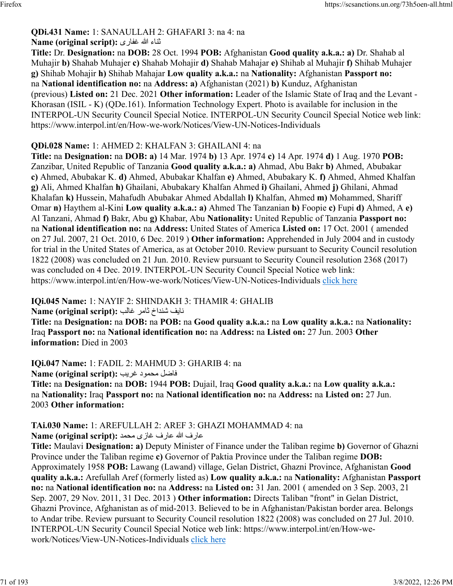#### **QDi.431 Name:** 1: SANAULLAH 2: GHAFARI 3: na 4: na ءانث الله یرافغ **:(script original (Name**

**Title:** Dr. **Designation:** na **DOB:** 28 Oct. 1994 **POB:** Afghanistan **Good quality a.k.a.: a)** Dr. Shahab al Muhajir **b)** Shahab Muhajer **c)** Shahab Mohajir **d)** Shahab Mahajar **e)** Shihab al Muhajir **f)** Shihab Muhajer **g)** Shihab Mohajir **h)** Shihab Mahajar **Low quality a.k.a.:** na **Nationality:** Afghanistan **Passport no:** na **National identification no:** na **Address: a)** Afghanistan (2021) **b)** Kunduz, Afghanistan (previous) **Listed on:** 21 Dec. 2021 **Other information:** Leader of the Islamic State of Iraq and the Levant - Khorasan (ISIL - K) (QDe.161). Information Technology Expert. Photo is available for inclusion in the INTERPOL-UN Security Council Special Notice. INTERPOL-UN Security Council Special Notice web link: https://www.interpol.int/en/How-we-work/Notices/View-UN-Notices-Individuals

### **QDi.028 Name:** 1: AHMED 2: KHALFAN 3: GHAILANI 4: na

**Title:** na **Designation:** na **DOB: a)** 14 Mar. 1974 **b)** 13 Apr. 1974 **c)** 14 Apr. 1974 **d)** 1 Aug. 1970 **POB:** Zanzibar, United Republic of Tanzania **Good quality a.k.a.: a)** Ahmad, Abu Bakr **b)** Ahmed, Abubakar **c)** Ahmed, Abubakar K. **d)** Ahmed, Abubakar Khalfan **e)** Ahmed, Abubakary K. **f)** Ahmed, Ahmed Khalfan **g)** Ali, Ahmed Khalfan **h)** Ghailani, Abubakary Khalfan Ahmed **i)** Ghailani, Ahmed **j)** Ghilani, Ahmad Khalafan **k)** Hussein, Mahafudh Abubakar Ahmed Abdallah **l)** Khalfan, Ahmed **m)** Mohammed, Shariff Omar **n)** Haythem al-Kini **Low quality a.k.a.: a)** Ahmed The Tanzanian **b)** Foopie **c)** Fupi **d)** Ahmed, A **e)** Al Tanzani, Ahmad **f)** Bakr, Abu **g)** Khabar, Abu **Nationality:** United Republic of Tanzania **Passport no:** na **National identification no:** na **Address:** United States of America **Listed on:** 17 Oct. 2001 ( amended on 27 Jul. 2007, 21 Oct. 2010, 6 Dec. 2019 ) **Other information:** Apprehended in July 2004 and in custody for trial in the United States of America, as at October 2010. Review pursuant to Security Council resolution 1822 (2008) was concluded on 21 Jun. 2010. Review pursuant to Security Council resolution 2368 (2017) was concluded on 4 Dec. 2019. INTERPOL-UN Security Council Special Notice web link: https://www.interpol.int/en/How-we-work/Notices/View-UN-Notices-Individuals [click here](https://www.interpol.int/en/How-we-work/Notices/View-UN-Notices-Individuals)

#### **IQi.045 Name:** 1: NAYIF 2: SHINDAKH 3: THAMIR 4: GHALIB

فيان خادنش رماث بلاغ **:(script original (Name**

**Title:** na **Designation:** na **DOB:** na **POB:** na **Good quality a.k.a.:** na **Low quality a.k.a.:** na **Nationality:** Iraq **Passport no:** na **National identification no:** na **Address:** na **Listed on:** 27 Jun. 2003 **Other information:** Died in 2003

**IQi.047 Name:** 1: FADIL 2: MAHMUD 3: GHARIB 4: na

لضاف دومحم بيرغ **:(script original (Name Title:** na **Designation:** na **DOB:** 1944 **POB:** Dujail, Iraq **Good quality a.k.a.:** na **Low quality a.k.a.:** na **Nationality:** Iraq **Passport no:** na **National identification no:** na **Address:** na **Listed on:** 27 Jun. 2003 **Other information:** 

### **TAi.030 Name:** 1: AREFULLAH 2: AREF 3: GHAZI MOHAMMAD 4: na

فراع الله فراع یزاغ دمحم **:(script original (Name**

**Title:** Maulavi **Designation: a)** Deputy Minister of Finance under the Taliban regime **b)** Governor of Ghazni Province under the Taliban regime **c)** Governor of Paktia Province under the Taliban regime **DOB:** Approximately 1958 **POB:** Lawang (Lawand) village, Gelan District, Ghazni Province, Afghanistan **Good quality a.k.a.:** Arefullah Aref (formerly listed as) **Low quality a.k.a.:** na **Nationality:** Afghanistan **Passport no:** na **National identification no:** na **Address:** na **Listed on:** 31 Jan. 2001 ( amended on 3 Sep. 2003, 21 Sep. 2007, 29 Nov. 2011, 31 Dec. 2013 ) **Other information:** Directs Taliban "front" in Gelan District, Ghazni Province, Afghanistan as of mid-2013. Believed to be in Afghanistan/Pakistan border area. Belongs to Andar tribe. Review pursuant to Security Council resolution 1822 (2008) was concluded on 27 Jul. 2010. INTERPOL-UN Security Council Special Notice web link: https://www.interpol.int/en/How-wework/Notices/View-UN-Notices-Individuals [click here](https://www.interpol.int/en/How-we-work/Notices/View-UN-Notices-Individuals)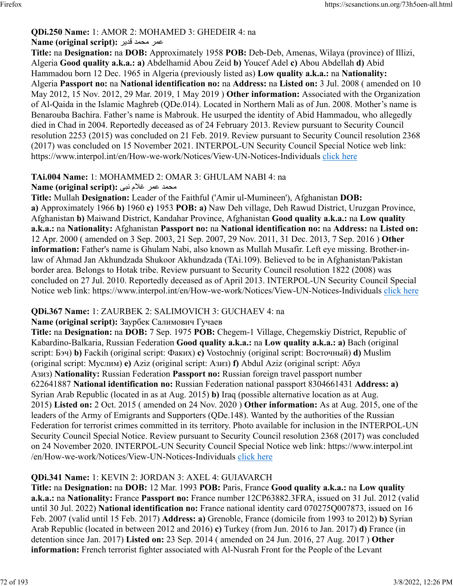# **QDi.250 Name:** 1: AMOR 2: MOHAMED 3: GHEDEIR 4: na

### رمع دمحم ريدق **:(script original (Name**

**Title:** na **Designation:** na **DOB:** Approximately 1958 **POB:** Deb-Deb, Amenas, Wilaya (province) of Illizi, Algeria **Good quality a.k.a.: a)** Abdelhamid Abou Zeid **b)** Youcef Adel **c)** Abou Abdellah **d)** Abid Hammadou born 12 Dec. 1965 in Algeria (previously listed as) **Low quality a.k.a.:** na **Nationality:** Algeria **Passport no:** na **National identification no:** na **Address:** na **Listed on:** 3 Jul. 2008 ( amended on 10 May 2012, 15 Nov. 2012, 29 Mar. 2019, 1 May 2019 ) **Other information:** Associated with the Organization of Al-Qaida in the Islamic Maghreb (QDe.014). Located in Northern Mali as of Jun. 2008. Mother's name is Benarouba Bachira. Father's name is Mabrouk. He usurped the identity of Abid Hammadou, who allegedly died in Chad in 2004. Reportedly deceased as of 24 February 2013. Review pursuant to Security Council resolution 2253 (2015) was concluded on 21 Feb. 2019. Review pursuant to Security Council resolution 2368 (2017) was concluded on 15 November 2021. INTERPOL-UN Security Council Special Notice web link: https://www.interpol.int/en/How-we-work/Notices/View-UN-Notices-Individuals [click here](https://www.interpol.int/en/How-we-work/Notices/View-UN-Notices-Individuals)

### **TAi.004 Name:** 1: MOHAMMED 2: OMAR 3: GHULAM NABI 4: na

#### دمحم رمع ملاغ یبن **:(script original (Name**

**Title:** Mullah **Designation:** Leader of the Faithful ('Amir ul-Mumineen'), Afghanistan **DOB: a)** Approximately 1966 **b)** 1960 **c)** 1953 **POB: a)** Naw Deh village, Deh Rawud District, Uruzgan Province, Afghanistan **b)** Maiwand District, Kandahar Province, Afghanistan **Good quality a.k.a.:** na **Low quality a.k.a.:** na **Nationality:** Afghanistan **Passport no:** na **National identification no:** na **Address:** na **Listed on:** 12 Apr. 2000 ( amended on 3 Sep. 2003, 21 Sep. 2007, 29 Nov. 2011, 31 Dec. 2013, 7 Sep. 2016 ) **Other information:** Father's name is Ghulam Nabi, also known as Mullah Musafir. Left eye missing. Brother-inlaw of Ahmad Jan Akhundzada Shukoor Akhundzada (TAi.109). Believed to be in Afghanistan/Pakistan border area. Belongs to Hotak tribe. Review pursuant to Security Council resolution 1822 (2008) was concluded on 27 Jul. 2010. Reportedly deceased as of April 2013. INTERPOL-UN Security Council Special Notice web link: https://www.interpol.int/en/How-we-work/Notices/View-UN-Notices-Individuals [click here](https://www.interpol.int/en/How-we-work/Notices/View-UN-Notices-Individuals)

### **QDi.367 Name:** 1: ZAURBEK 2: SALIMOVICH 3: GUCHAEV 4: na

### **Name (original script):** Заурбек Салимович Гучаев

**Title:** na **Designation:** na **DOB:** 7 Sep. 1975 **POB:** Chegem-1 Village, Chegemskiy District, Republic of Kabardino-Balkaria, Russian Federation **Good quality a.k.a.:** na **Low quality a.k.a.: a)** Bach (original script: Бэч) **b)** Fackih (original script: Факих) **c)** Vostochniy (original script: Восточный) **d)** Muslim (original script: Муслим) **e)** Aziz (original script: Азиз) **f)** Abdul Aziz (original script: Абул Азиз) **Nationality:** Russian Federation **Passport no:** Russian foreign travel passport number 622641887 **National identification no:** Russian Federation national passport 8304661431 **Address: a)** Syrian Arab Republic (located in as at Aug. 2015) **b)** Iraq (possible alternative location as at Aug. 2015) **Listed on:** 2 Oct. 2015 ( amended on 24 Nov. 2020 ) **Other information:** As at Aug. 2015, one of the leaders of the Army of Emigrants and Supporters (QDe.148). Wanted by the authorities of the Russian Federation for terrorist crimes committed in its territory. Photo available for inclusion in the INTERPOL-UN Security Council Special Notice. Review pursuant to Security Council resolution 2368 (2017) was concluded on 24 November 2020. INTERPOL-UN Security Council Special Notice web link: https://www.interpol.int /en/How-we-work/Notices/View-UN-Notices-Individuals [click here](https://www.interpol.int/en/How-we-work/Notices/View-UN-Notices-Individuals)

# **QDi.341 Name:** 1: KEVIN 2: JORDAN 3: AXEL 4: GUIAVARCH

**Title:** na **Designation:** na **DOB:** 12 Mar. 1993 **POB:** Paris, France **Good quality a.k.a.:** na **Low quality a.k.a.:** na **Nationality:** France **Passport no:** France number 12CP63882.3FRA, issued on 31 Jul. 2012 (valid until 30 Jul. 2022) **National identification no:** France national identity card 070275Q007873, issued on 16 Feb. 2007 (valid until 15 Feb. 2017) **Address: a)** Grenoble, France (domicile from 1993 to 2012) **b)** Syrian Arab Republic (located in between 2012 and 2016) **c)** Turkey (from Jun. 2016 to Jan. 2017) **d)** France (in detention since Jan. 2017) **Listed on:** 23 Sep. 2014 ( amended on 24 Jun. 2016, 27 Aug. 2017 ) **Other information:** French terrorist fighter associated with Al-Nusrah Front for the People of the Levant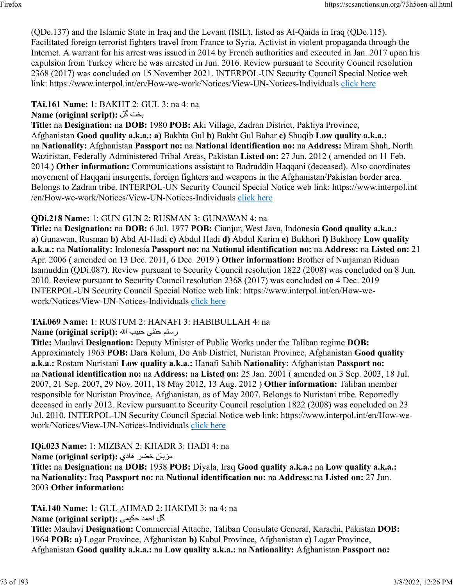(QDe.137) and the Islamic State in Iraq and the Levant (ISIL), listed as Al-Qaida in Iraq (QDe.115). Facilitated foreign terrorist fighters travel from France to Syria. Activist in violent propaganda through the Internet. A warrant for his arrest was issued in 2014 by French authorities and executed in Jan. 2017 upon his expulsion from Turkey where he was arrested in Jun. 2016. Review pursuant to Security Council resolution 2368 (2017) was concluded on 15 November 2021. INTERPOL-UN Security Council Special Notice web link: https://www.interpol.int/en/How-we-work/Notices/View-UN-Notices-Individuals [click here](https://www.interpol.int/en/How-we-work/Notices/View-UN-Notices-Individuals)

**TAi.161 Name:** 1: BAKHT 2: GUL 3: na 4: na

**Name (original script):** لگ تخب

**Title:** na **Designation:** na **DOB:** 1980 **POB:** Aki Village, Zadran District, Paktiya Province, Afghanistan **Good quality a.k.a.: a)** Bakhta Gul **b)** Bakht Gul Bahar **c)** Shuqib **Low quality a.k.a.:** na **Nationality:** Afghanistan **Passport no:** na **National identification no:** na **Address:** Miram Shah, North Waziristan, Federally Administered Tribal Areas, Pakistan **Listed on:** 27 Jun. 2012 ( amended on 11 Feb. 2014 ) **Other information:** Communications assistant to Badruddin Haqqani (deceased). Also coordinates movement of Haqqani insurgents, foreign fighters and weapons in the Afghanistan/Pakistan border area. Belongs to Zadran tribe. INTERPOL-UN Security Council Special Notice web link: https://www.interpol.int /en/How-we-work/Notices/View-UN-Notices-Individuals [click here](https://www.interpol.int/en/How-we-work/Notices/View-UN-Notices-Individuals)

## **QDi.218 Name:** 1: GUN GUN 2: RUSMAN 3: GUNAWAN 4: na

**Title:** na **Designation:** na **DOB:** 6 Jul. 1977 **POB:** Cianjur, West Java, Indonesia **Good quality a.k.a.: a)** Gunawan, Rusman **b)** Abd Al-Hadi **c)** Abdul Hadi **d)** Abdul Karim **e)** Bukhori **f)** Bukhory **Low quality a.k.a.:** na **Nationality:** Indonesia **Passport no:** na **National identification no:** na **Address:** na **Listed on:** 21 Apr. 2006 ( amended on 13 Dec. 2011, 6 Dec. 2019 ) **Other information:** Brother of Nurjaman Riduan Isamuddin (QDi.087). Review pursuant to Security Council resolution 1822 (2008) was concluded on 8 Jun. 2010. Review pursuant to Security Council resolution 2368 (2017) was concluded on 4 Dec. 2019 INTERPOL-UN Security Council Special Notice web link: https://www.interpol.int/en/How-wework/Notices/View-UN-Notices-Individuals [click here](https://www.interpol.int/en/How-we-work/Notices/View-UN-Notices-Individuals)

# **TAi.069 Name:** 1: RUSTUM 2: HANAFI 3: HABIBULLAH 4: na

متسر یفنح بيبح الله **:(script original (Name**

**Title:** Maulavi **Designation:** Deputy Minister of Public Works under the Taliban regime **DOB:** Approximately 1963 **POB:** Dara Kolum, Do Aab District, Nuristan Province, Afghanistan **Good quality a.k.a.:** Rostam Nuristani **Low quality a.k.a.:** Hanafi Sahib **Nationality:** Afghanistan **Passport no:** na **National identification no:** na **Address:** na **Listed on:** 25 Jan. 2001 ( amended on 3 Sep. 2003, 18 Jul. 2007, 21 Sep. 2007, 29 Nov. 2011, 18 May 2012, 13 Aug. 2012 ) **Other information:** Taliban member responsible for Nuristan Province, Afghanistan, as of May 2007. Belongs to Nuristani tribe. Reportedly deceased in early 2012. Review pursuant to Security Council resolution 1822 (2008) was concluded on 23 Jul. 2010. INTERPOL-UN Security Council Special Notice web link: https://www.interpol.int/en/How-wework/Notices/View-UN-Notices-Individuals [click here](https://www.interpol.int/en/How-we-work/Notices/View-UN-Notices-Individuals)

**IQi.023 Name:** 1: MIZBAN 2: KHADR 3: HADI 4: na

نابزم رضخ يداه **:(script original (Name**

**Title:** na **Designation:** na **DOB:** 1938 **POB:** Diyala, Iraq **Good quality a.k.a.:** na **Low quality a.k.a.:** na **Nationality:** Iraq **Passport no:** na **National identification no:** na **Address:** na **Listed on:** 27 Jun. 2003 **Other information:** 

**TAi.140 Name:** 1: GUL AHMAD 2: HAKIMI 3: na 4: na **Name (original script):** كُل احمد حكي*مي* 

**Title:** Maulavi **Designation:** Commercial Attache, Taliban Consulate General, Karachi, Pakistan **DOB:** 1964 **POB: a)** Logar Province, Afghanistan **b)** Kabul Province, Afghanistan **c)** Logar Province, Afghanistan **Good quality a.k.a.:** na **Low quality a.k.a.:** na **Nationality:** Afghanistan **Passport no:**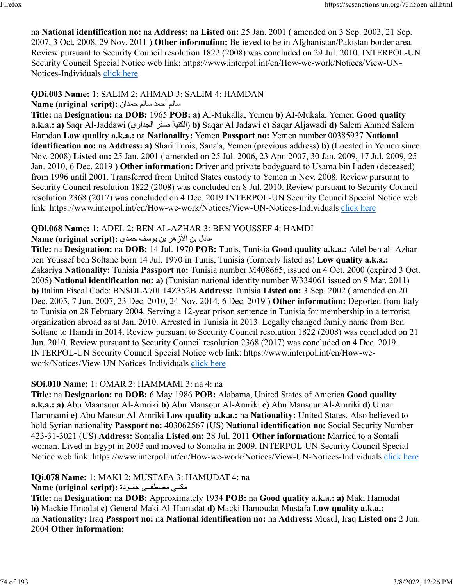na **National identification no:** na **Address:** na **Listed on:** 25 Jan. 2001 ( amended on 3 Sep. 2003, 21 Sep. 2007, 3 Oct. 2008, 29 Nov. 2011 ) **Other information:** Believed to be in Afghanistan/Pakistan border area. Review pursuant to Security Council resolution 1822 (2008) was concluded on 29 Jul. 2010. INTERPOL-UN Security Council Special Notice web link: https://www.interpol.int/en/How-we-work/Notices/View-UN-Notices-Individuals [click here](https://www.interpol.int/en/How-we-work/Notices/View-UN-Notices-Individuals)

### **QDi.003 Name:** 1: SALIM 2: AHMAD 3: SALIM 4: HAMDAN ملاس دمحأ ملاس نادمح **:(script original (Name**

**Title:** na **Designation:** na **DOB:** 1965 **POB: a)** Al-Mukalla, Yemen **b)** AI-Mukala, Yemen **Good quality a.k.a.: a)** Saqr Al-Jaddawi ( يوادجلا رقص ةينكلا( **b)** Saqar Al Jadawi **c)** Saqar Aljawadi **d)** Salem Ahmed Salem Hamdan **Low quality a.k.a.:** na **Nationality:** Yemen **Passport no:** Yemen number 00385937 **National identification no:** na **Address: a)** Shari Tunis, Sana'a, Yemen (previous address) **b)** (Located in Yemen since Nov. 2008) **Listed on:** 25 Jan. 2001 ( amended on 25 Jul. 2006, 23 Apr. 2007, 30 Jan. 2009, 17 Jul. 2009, 25 Jan. 2010, 6 Dec. 2019 ) **Other information:** Driver and private bodyguard to Usama bin Laden (deceased) from 1996 until 2001. Transferred from United States custody to Yemen in Nov. 2008. Review pursuant to Security Council resolution 1822 (2008) was concluded on 8 Jul. 2010. Review pursuant to Security Council resolution 2368 (2017) was concluded on 4 Dec. 2019 INTERPOL-UN Security Council Special Notice web link: https://www.interpol.int/en/How-we-work/Notices/View-UN-Notices-Individuals [click here](https://www.interpol.int/en/How-we-work/Notices/View-UN-Notices-Individuals)

# **QDi.068 Name:** 1: ADEL 2: BEN AL-AZHAR 3: BEN YOUSSEF 4: HAMDI

## عادل بن الأزهر بن بوسف حمدي : Name (original script)

**Title:** na **Designation:** na **DOB:** 14 Jul. 1970 **POB:** Tunis, Tunisia **Good quality a.k.a.:** Adel ben al- Azhar ben Youssef ben Soltane born 14 Jul. 1970 in Tunis, Tunisia (formerly listed as) **Low quality a.k.a.:** Zakariya **Nationality:** Tunisia **Passport no:** Tunisia number M408665, issued on 4 Oct. 2000 (expired 3 Oct. 2005) **National identification no: a)** (Tunisian national identity number W334061 issued on 9 Mar. 2011) **b)** Italian Fiscal Code: BNSDLA70L14Z352B **Address:** Tunisia **Listed on:** 3 Sep. 2002 ( amended on 20 Dec. 2005, 7 Jun. 2007, 23 Dec. 2010, 24 Nov. 2014, 6 Dec. 2019 ) **Other information:** Deported from Italy to Tunisia on 28 February 2004. Serving a 12-year prison sentence in Tunisia for membership in a terrorist organization abroad as at Jan. 2010. Arrested in Tunisia in 2013. Legally changed family name from Ben Soltane to Hamdi in 2014. Review pursuant to Security Council resolution 1822 (2008) was concluded on 21 Jun. 2010. Review pursuant to Security Council resolution 2368 (2017) was concluded on 4 Dec. 2019. INTERPOL-UN Security Council Special Notice web link: https://www.interpol.int/en/How-wework/Notices/View-UN-Notices-Individuals [click here](https://www.interpol.int/en/How-we-work/Notices/View-UN-Notices-Individuals)

## **SOi.010 Name:** 1: OMAR 2: HAMMAMI 3: na 4: na

**Title:** na **Designation:** na **DOB:** 6 May 1986 **POB:** Alabama, United States of America **Good quality a.k.a.: a)** Abu Maansuur Al-Amriki **b)** Abu Mansour Al-Amriki **c)** Abu Mansuur Al-Amriki **d)** Umar Hammami **e)** Abu Mansur Al-Amriki **Low quality a.k.a.:** na **Nationality:** United States. Also believed to hold Syrian nationality **Passport no:** 403062567 (US) **National identification no:** Social Security Number 423-31-3021 (US) **Address:** Somalia **Listed on:** 28 Jul. 2011 **Other information:** Married to a Somali woman. Lived in Egypt in 2005 and moved to Somalia in 2009. INTERPOL-UN Security Council Special Notice web link: https://www.interpol.int/en/How-we-work/Notices/View-UN-Notices-Individuals [click here](https://www.interpol.int/en/How-we-work/Notices/View-UN-Notices-Individuals)

## **IQi.078 Name:** 1: MAKI 2: MUSTAFA 3: HAMUDAT 4: na

## مك<sub>ى</sub> مصطفى حمودة :(Name (original script

**Title:** na **Designation:** na **DOB:** Approximately 1934 **POB:** na **Good quality a.k.a.: a)** Maki Hamudat **b)** Mackie Hmodat **c)** General Maki Al-Hamadat **d)** Macki Hamoudat Mustafa **Low quality a.k.a.:** na **Nationality:** Iraq **Passport no:** na **National identification no:** na **Address:** Mosul, Iraq **Listed on:** 2 Jun. 2004 **Other information:**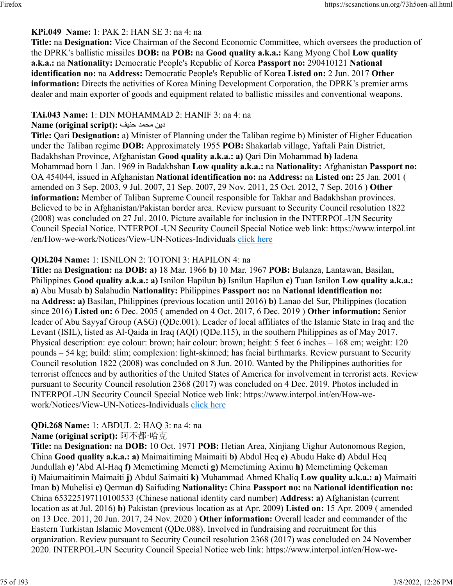## **KPi.049 Name:** 1: PAK 2: HAN SE 3: na 4: na

**Title:** na **Designation:** Vice Chairman of the Second Economic Committee, which oversees the production of the DPRK's ballistic missiles **DOB:** na **POB:** na **Good quality a.k.a.:** Kang Myong Chol **Low quality a.k.a.:** na **Nationality:** Democratic People's Republic of Korea **Passport no:** 290410121 **National identification no:** na **Address:** Democratic People's Republic of Korea **Listed on:** 2 Jun. 2017 **Other information:** Directs the activities of Korea Mining Development Corporation, the DPRK's premier arms dealer and main exporter of goods and equipment related to ballistic missiles and conventional weapons.

## **TAi.043 Name:** 1: DIN MOHAMMAD 2: HANIF 3: na 4: na

### نيد دمحم فينح **:(script original (Name**

**Title:** Qari **Designation:** a) Minister of Planning under the Taliban regime b) Minister of Higher Education under the Taliban regime **DOB:** Approximately 1955 **POB:** Shakarlab village, Yaftali Pain District, Badakhshan Province, Afghanistan **Good quality a.k.a.: a)** Qari Din Mohammad **b)** Iadena Mohammad born 1 Jan. 1969 in Badakhshan **Low quality a.k.a.:** na **Nationality:** Afghanistan **Passport no:** OA 454044, issued in Afghanistan **National identification no:** na **Address:** na **Listed on:** 25 Jan. 2001 ( amended on 3 Sep. 2003, 9 Jul. 2007, 21 Sep. 2007, 29 Nov. 2011, 25 Oct. 2012, 7 Sep. 2016 ) **Other information:** Member of Taliban Supreme Council responsible for Takhar and Badakhshan provinces. Believed to be in Afghanistan/Pakistan border area. Review pursuant to Security Council resolution 1822 (2008) was concluded on 27 Jul. 2010. Picture available for inclusion in the INTERPOL-UN Security Council Special Notice. INTERPOL-UN Security Council Special Notice web link: https://www.interpol.int /en/How-we-work/Notices/View-UN-Notices-Individuals [click here](https://www.interpol.int/en/How-we-work/Notices/View-UN-Notices-Individuals)

## **QDi.204 Name:** 1: ISNILON 2: TOTONI 3: HAPILON 4: na

**Title:** na **Designation:** na **DOB: a)** 18 Mar. 1966 **b)** 10 Mar. 1967 **POB:** Bulanza, Lantawan, Basilan, Philippines **Good quality a.k.a.: a)** Isnilon Hapilun **b)** Isnilun Hapilun **c)** Tuan Isnilon **Low quality a.k.a.: a)** Abu Musab **b)** Salahudin **Nationality:** Philippines **Passport no:** na **National identification no:** na **Address: a)** Basilan, Philippines (previous location until 2016) **b)** Lanao del Sur, Philippines (location since 2016) **Listed on:** 6 Dec. 2005 ( amended on 4 Oct. 2017, 6 Dec. 2019 ) **Other information:** Senior leader of Abu Sayyaf Group (ASG) (QDe.001). Leader of local affiliates of the Islamic State in Iraq and the Levant (ISIL), listed as Al-Qaida in Iraq (AQI) (QDe.115), in the southern Philippines as of May 2017. Physical description: eye colour: brown; hair colour: brown; height: 5 feet 6 inches – 168 cm; weight: 120 pounds – 54 kg; build: slim; complexion: light-skinned; has facial birthmarks. Review pursuant to Security Council resolution 1822 (2008) was concluded on 8 Jun. 2010. Wanted by the Philippines authorities for terrorist offences and by authorities of the United States of America for involvement in terrorist acts. Review pursuant to Security Council resolution 2368 (2017) was concluded on 4 Dec. 2019. Photos included in INTERPOL-UN Security Council Special Notice web link: https://www.interpol.int/en/How-wework/Notices/View-UN-Notices-Individuals [click here](https://www.interpol.int/en/How-we-work/Notices/View-UN-Notices-Individuals)

# **QDi.268 Name:** 1: ABDUL 2: HAQ 3: na 4: na

## **Name (original script):** 阿不都·哈克

**Title:** na **Designation:** na **DOB:** 10 Oct. 1971 **POB:** Hetian Area, Xinjiang Uighur Autonomous Region, China **Good quality a.k.a.: a)** Maimaitiming Maimaiti **b)** Abdul Heq **c)** Abudu Hake **d)** Abdul Heq Jundullah **e)** 'Abd Al-Haq **f)** Memetiming Memeti **g)** Memetiming Aximu **h)** Memetiming Qekeman **i)** Maiumaitimin Maimaiti **j)** Abdul Saimaiti **k)** Muhammad Ahmed Khaliq **Low quality a.k.a.: a)** Maimaiti Iman **b)** Muhelisi **c)** Qerman **d)** Saifuding **Nationality:** China **Passport no:** na **National identification no:** China 653225197110100533 (Chinese national identity card number) **Address: a)** Afghanistan (current location as at Jul. 2016) **b)** Pakistan (previous location as at Apr. 2009) **Listed on:** 15 Apr. 2009 ( amended on 13 Dec. 2011, 20 Jun. 2017, 24 Nov. 2020 ) **Other information:** Overall leader and commander of the Eastern Turkistan Islamic Movement (QDe.088). Involved in fundraising and recruitment for this organization. Review pursuant to Security Council resolution 2368 (2017) was concluded on 24 November 2020. INTERPOL-UN Security Council Special Notice web link: https://www.interpol.int/en/How-we-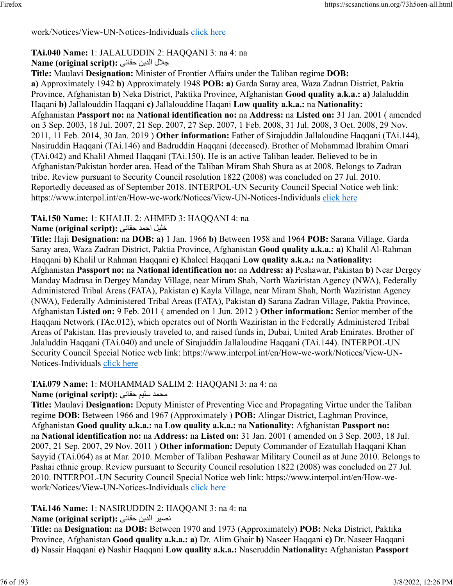## work/Notices/View-UN-Notices-Individuals [click here](https://www.interpol.int/en/How-we-work/Notices/View-UN-Notices-Individuals)

# **TAi.040 Name:** 1: JALALUDDIN 2: HAQQANI 3: na 4: na

# للاج نيدلا ىناقح **:(script original (Name**

**Title:** Maulavi **Designation:** Minister of Frontier Affairs under the Taliban regime **DOB: a)** Approximately 1942 **b)** Approximately 1948 **POB: a)** Garda Saray area, Waza Zadran District, Paktia Province, Afghanistan **b)** Neka District, Paktika Province, Afghanistan **Good quality a.k.a.: a)** Jalaluddin Haqani **b)** Jallalouddin Haqqani **c)** Jallalouddine Haqani **Low quality a.k.a.:** na **Nationality:** Afghanistan **Passport no:** na **National identification no:** na **Address:** na **Listed on:** 31 Jan. 2001 ( amended on 3 Sep. 2003, 18 Jul. 2007, 21 Sep. 2007, 27 Sep. 2007, 1 Feb. 2008, 31 Jul. 2008, 3 Oct. 2008, 29 Nov. 2011, 11 Feb. 2014, 30 Jan. 2019 ) **Other information:** Father of Sirajuddin Jallaloudine Haqqani (TAi.144), Nasiruddin Haqqani (TAi.146) and Badruddin Haqqani (deceased). Brother of Mohammad Ibrahim Omari (TAi.042) and Khalil Ahmed Haqqani (TAi.150). He is an active Taliban leader. Believed to be in Afghanistan/Pakistan border area. Head of the Taliban Miram Shah Shura as at 2008. Belongs to Zadran tribe. Review pursuant to Security Council resolution 1822 (2008) was concluded on 27 Jul. 2010. Reportedly deceased as of September 2018. INTERPOL-UN Security Council Special Notice web link: https://www.interpol.int/en/How-we-work/Notices/View-UN-Notices-Individuals [click here](https://www.interpol.int/en/How-we-work/Notices/View-UN-Notices-Individuals)

# **TAi.150 Name:** 1: KHALIL 2: AHMED 3: HAQQANI 4: na

## ليلخ دمحا یناقح **:(script original (Name**

**Title:** Haji **Designation:** na **DOB: a)** 1 Jan. 1966 **b)** Between 1958 and 1964 **POB:** Sarana Village, Garda Saray area, Waza Zadran District, Paktia Province, Afghanistan **Good quality a.k.a.: a)** Khalil Al-Rahman Haqqani **b)** Khalil ur Rahman Haqqani **c)** Khaleel Haqqani **Low quality a.k.a.:** na **Nationality:** Afghanistan **Passport no:** na **National identification no:** na **Address: a)** Peshawar, Pakistan **b)** Near Dergey Manday Madrasa in Dergey Manday Village, near Miram Shah, North Waziristan Agency (NWA), Federally Administered Tribal Areas (FATA), Pakistan **c)** Kayla Village, near Miram Shah, North Waziristan Agency (NWA), Federally Administered Tribal Areas (FATA), Pakistan **d)** Sarana Zadran Village, Paktia Province, Afghanistan **Listed on:** 9 Feb. 2011 ( amended on 1 Jun. 2012 ) **Other information:** Senior member of the Haqqani Network (TAe.012), which operates out of North Waziristan in the Federally Administered Tribal Areas of Pakistan. Has previously traveled to, and raised funds in, Dubai, United Arab Emirates. Brother of Jalaluddin Haqqani (TAi.040) and uncle of Sirajuddin Jallaloudine Haqqani (TAi.144). INTERPOL-UN Security Council Special Notice web link: https://www.interpol.int/en/How-we-work/Notices/View-UN-Notices-Individuals [click here](https://www.interpol.int/en/How-we-work/Notices/View-UN-Notices-Individuals)

## **TAi.079 Name:** 1: MOHAMMAD SALIM 2: HAQQANI 3: na 4: na

## محمد سليم حقاني: Name (original script):

**Title:** Maulavi **Designation:** Deputy Minister of Preventing Vice and Propagating Virtue under the Taliban regime **DOB:** Between 1966 and 1967 (Approximately ) **POB:** Alingar District, Laghman Province, Afghanistan **Good quality a.k.a.:** na **Low quality a.k.a.:** na **Nationality:** Afghanistan **Passport no:** na **National identification no:** na **Address:** na **Listed on:** 31 Jan. 2001 ( amended on 3 Sep. 2003, 18 Jul. 2007, 21 Sep. 2007, 29 Nov. 2011 ) **Other information:** Deputy Commander of Ezatullah Haqqani Khan Sayyid (TAi.064) as at Mar. 2010. Member of Taliban Peshawar Military Council as at June 2010. Belongs to Pashai ethnic group. Review pursuant to Security Council resolution 1822 (2008) was concluded on 27 Jul. 2010. INTERPOL-UN Security Council Special Notice web link: https://www.interpol.int/en/How-wework/Notices/View-UN-Notices-Individuals [click here](https://www.interpol.int/en/How-we-work/Notices/View-UN-Notices-Individuals)

# **TAi.146 Name:** 1: NASIRUDDIN 2: HAQQANI 3: na 4: na

# نصير الدين حقاني: Name (original script):

**Title:** na **Designation:** na **DOB:** Between 1970 and 1973 (Approximately) **POB:** Neka District, Paktika Province, Afghanistan **Good quality a.k.a.: a)** Dr. Alim Ghair **b)** Naseer Haqqani **c)** Dr. Naseer Haqqani **d)** Nassir Haqqani **e)** Nashir Haqqani **Low quality a.k.a.:** Naseruddin **Nationality:** Afghanistan **Passport**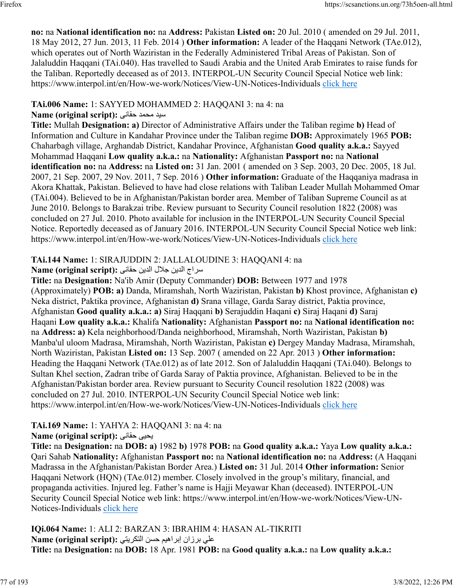**no:** na **National identification no:** na **Address:** Pakistan **Listed on:** 20 Jul. 2010 ( amended on 29 Jul. 2011, 18 May 2012, 27 Jun. 2013, 11 Feb. 2014 ) **Other information:** A leader of the Haqqani Network (TAe.012), which operates out of North Waziristan in the Federally Administered Tribal Areas of Pakistan. Son of Jalaluddin Haqqani (TAi.040). Has travelled to Saudi Arabia and the United Arab Emirates to raise funds for the Taliban. Reportedly deceased as of 2013. INTERPOL-UN Security Council Special Notice web link: https://www.interpol.int/en/How-we-work/Notices/View-UN-Notices-Individuals [click here](https://www.interpol.int/en/How-we-work/Notices/View-UN-Notices-Individuals)

## **TAi.006 Name:** 1: SAYYED MOHAMMED 2: HAQQANI 3: na 4: na

## ديس دمحم یناقح **:(script original (Name**

**Title:** Mullah **Designation: a)** Director of Administrative Affairs under the Taliban regime **b)** Head of Information and Culture in Kandahar Province under the Taliban regime **DOB:** Approximately 1965 **POB:** Chaharbagh village, Arghandab District, Kandahar Province, Afghanistan **Good quality a.k.a.:** Sayyed Mohammad Haqqani **Low quality a.k.a.:** na **Nationality:** Afghanistan **Passport no:** na **National identification no:** na **Address:** na **Listed on:** 31 Jan. 2001 ( amended on 3 Sep. 2003, 20 Dec. 2005, 18 Jul. 2007, 21 Sep. 2007, 29 Nov. 2011, 7 Sep. 2016 ) **Other information:** Graduate of the Haqqaniya madrasa in Akora Khattak, Pakistan. Believed to have had close relations with Taliban Leader Mullah Mohammed Omar (TAi.004). Believed to be in Afghanistan/Pakistan border area. Member of Taliban Supreme Council as at June 2010. Belongs to Barakzai tribe. Review pursuant to Security Council resolution 1822 (2008) was concluded on 27 Jul. 2010. Photo available for inclusion in the INTERPOL-UN Security Council Special Notice. Reportedly deceased as of January 2016. INTERPOL-UN Security Council Special Notice web link: https://www.interpol.int/en/How-we-work/Notices/View-UN-Notices-Individuals [click here](https://www.interpol.int/en/How-we-work/Notices/View-UN-Notices-Individuals)

# **TAi.144 Name:** 1: SIRAJUDDIN 2: JALLALOUDINE 3: HAQQANI 4: na

# جارس نيدلا للاج نيدلا ىناقح **:(script original (Name**

**Title:** na **Designation:** Na'ib Amir (Deputy Commander) **DOB:** Between 1977 and 1978 (Approximately) **POB: a)** Danda, Miramshah, North Waziristan, Pakistan **b)** Khost province, Afghanistan **c)** Neka district, Paktika province, Afghanistan **d)** Srana village, Garda Saray district, Paktia province, Afghanistan **Good quality a.k.a.: a)** Siraj Haqqani **b)** Serajuddin Haqani **c)** Siraj Haqani **d)** Saraj Haqani **Low quality a.k.a.:** Khalifa **Nationality:** Afghanistan **Passport no:** na **National identification no:** na **Address: a)** Kela neighborhood/Danda neighborhood, Miramshah, North Waziristan, Pakistan **b)** Manba'ul uloom Madrasa, Miramshah, North Waziristan, Pakistan **c)** Dergey Manday Madrasa, Miramshah, North Waziristan, Pakistan **Listed on:** 13 Sep. 2007 ( amended on 22 Apr. 2013 ) **Other information:** Heading the Haqqani Network (TAe.012) as of late 2012. Son of Jalaluddin Haqqani (TAi.040). Belongs to Sultan Khel section, Zadran tribe of Garda Saray of Paktia province, Afghanistan. Believed to be in the Afghanistan/Pakistan border area. Review pursuant to Security Council resolution 1822 (2008) was concluded on 27 Jul. 2010. INTERPOL-UN Security Council Special Notice web link: https://www.interpol.int/en/How-we-work/Notices/View-UN-Notices-Individuals [click here](https://www.interpol.int/en/How-we-work/Notices/View-UN-Notices-Individuals)

# **TAi.169 Name:** 1: YAHYA 2: HAQQANI 3: na 4: na

# **Name (original script):** یناقح ىيحي

**Title:** na **Designation:** na **DOB: a)** 1982 **b)** 1978 **POB:** na **Good quality a.k.a.:** Yaya **Low quality a.k.a.:** Qari Sahab **Nationality:** Afghanistan **Passport no:** na **National identification no:** na **Address:** (A Haqqani Madrassa in the Afghanistan/Pakistan Border Area.) **Listed on:** 31 Jul. 2014 **Other information:** Senior Haqqani Network (HQN) (TAe.012) member. Closely involved in the group's military, financial, and propaganda activities. Injured leg. Father's name is Hajji Meyawar Khan (deceased). INTERPOL-UN Security Council Special Notice web link: https://www.interpol.int/en/How-we-work/Notices/View-UN-Notices-Individuals [click here](https://www.interpol.int/en/How-we-work/Notices/View-UN-Notices-Individuals)

**IQi.064 Name:** 1: ALI 2: BARZAN 3: IBRAHIM 4: HASAN AL-TIKRITI على برزان إبراهيم حسن التكريتي :**Name (original script) Title:** na **Designation:** na **DOB:** 18 Apr. 1981 **POB:** na **Good quality a.k.a.:** na **Low quality a.k.a.:**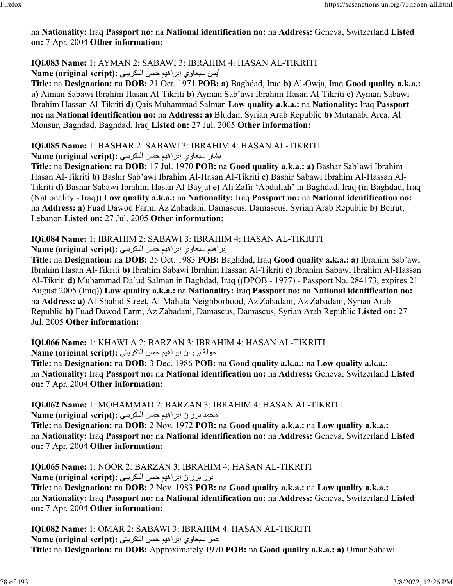## na **Nationality:** Iraq **Passport no:** na **National identification no:** na **Address:** Geneva, Switzerland **Listed on:** 7 Apr. 2004 **Other information:**

## **IQi.083 Name:** 1: AYMAN 2: SABAWI 3: IBRAHIM 4: HASAN AL-TIKRITI أيمن سبعاري إبراهيم حسن التكريتي :(Name (original script

**Title:** na **Designation:** na **DOB:** 21 Oct. 1971 **POB: a)** Baghdad, Iraq **b)** Al-Owja, Iraq **Good quality a.k.a.: a)** Aiman Sabawi Ibrahim Hasan Al-Tikriti **b)** Ayman Sab'awi Ibrahim Hasan Al-Tikriti **c)** Ayman Sabawi Ibrahim Hassan Al-Tikriti **d)** Qais Muhammad Salman **Low quality a.k.a.:** na **Nationality:** Iraq **Passport no:** na **National identification no:** na **Address: a)** Bludan, Syrian Arab Republic **b)** Mutanabi Area, Al Monsur, Baghdad, Baghdad, Iraq **Listed on:** 27 Jul. 2005 **Other information:** 

# **IQi.085 Name:** 1: BASHAR 2: SABAWI 3: IBRAHIM 4: HASAN AL-TIKRITI

بشار سبعاوي إبراهيم حسن التكريتي: Name (original script):

**Title:** na **Designation:** na **DOB:** 17 Jul. 1970 **POB:** na **Good quality a.k.a.: a)** Bashar Sab'awi Ibrahim Hasan Al-Tikriti **b)** Bashir Sab'awi Ibrahim Al-Hasan Al-Tikriti **c)** Bashir Sabawi Ibrahim Al-Hassan Al-Tikriti **d)** Bashar Sabawi Ibrahim Hasan Al-Bayjat **e)** Ali Zafir 'Abdullah' in Baghdad, Iraq (in Baghdad, Iraq (Nationality - Iraq)) **Low quality a.k.a.:** na **Nationality:** Iraq **Passport no:** na **National identification no:** na **Address: a)** Fuad Dawod Farm, Az Zabadani, Damascus, Damascus, Syrian Arab Republic **b)** Beirut, Lebanon **Listed on:** 27 Jul. 2005 **Other information:** 

# **IQi.084 Name:** 1: IBRAHIM 2: SABAWI 3: IBRAHIM 4: HASAN AL-TIKRITI

براهيم سبعاري إبراهيم حسن التكريتي :**Name (original script)** 

**Title:** na **Designation:** na **DOB:** 25 Oct. 1983 **POB:** Baghdad, Iraq **Good quality a.k.a.: a)** Ibrahim Sab'awi Ibrahim Hasan Al-Tikriti **b)** Ibrahim Sabawi Ibrahim Hassan Al-Tikriti **c)** Ibrahim Sabawi Ibrahim Al-Hassan Al-Tikriti **d)** Muhammad Da'ud Salman in Baghdad, Iraq ((DPOB - 1977) - Passport No. 284173, expires 21 August 2005 (Iraq)) **Low quality a.k.a.:** na **Nationality:** Iraq **Passport no:** na **National identification no:** na **Address: a)** Al-Shahid Street, Al-Mahata Neighborhood, Az Zabadani, Az Zabadani, Syrian Arab Republic **b)** Fuad Dawod Farm, Az Zabadani, Damascus, Damascus, Syrian Arab Republic **Listed on:** 27 Jul. 2005 **Other information:** 

**IQi.066 Name:** 1: KHAWLA 2: BARZAN 3: IBRAHIM 4: HASAN AL-TIKRITI خولة برزان إبراهيم حسن التكريتي :(Name (original script

**Title:** na **Designation:** na **DOB:** 3 Dec. 1986 **POB:** na **Good quality a.k.a.:** na **Low quality a.k.a.:** na **Nationality:** Iraq **Passport no:** na **National identification no:** na **Address:** Geneva, Switzerland **Listed on:** 7 Apr. 2004 **Other information:** 

**IQi.062 Name:** 1: MOHAMMAD 2: BARZAN 3: IBRAHIM 4: HASAN AL-TIKRITI محمد برزان إبراهيم حسن التكريتي: Name (original script):

**Title:** na **Designation:** na **DOB:** 2 Nov. 1972 **POB:** na **Good quality a.k.a.:** na **Low quality a.k.a.:** na **Nationality:** Iraq **Passport no:** na **National identification no:** na **Address:** Geneva, Switzerland **Listed on:** 7 Apr. 2004 **Other information:** 

**IQi.065 Name:** 1: NOOR 2: BARZAN 3: IBRAHIM 4: HASAN AL-TIKRITI رون نازرب ميهاربإ نسح يتيركتلا **:(script original (Name Title:** na **Designation:** na **DOB:** 2 Nov. 1983 **POB:** na **Good quality a.k.a.:** na **Low quality a.k.a.:** na **Nationality:** Iraq **Passport no:** na **National identification no:** na **Address:** Geneva, Switzerland **Listed on:** 7 Apr. 2004 **Other information:** 

**IQi.082 Name:** 1: OMAR 2: SABAWI 3: IBRAHIM 4: HASAN AL-TIKRITI رمع يواعبس ميهاربإ نسح يتيركتلا **:(script original (Name Title:** na **Designation:** na **DOB:** Approximately 1970 **POB:** na **Good quality a.k.a.: a)** Umar Sabawi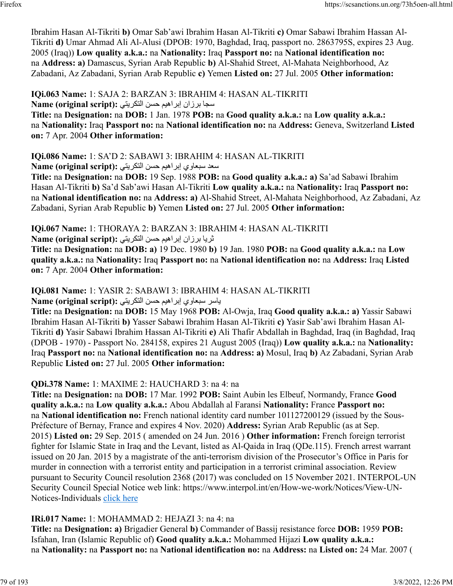Ibrahim Hasan Al-Tikriti **b)** Omar Sab'awi Ibrahim Hasan Al-Tikriti **c)** Omar Sabawi Ibrahim Hassan Al-Tikriti **d)** Umar Ahmad Ali Al-Alusi (DPOB: 1970, Baghdad, Iraq, passport no. 2863795S, expires 23 Aug. 2005 (Iraq)) **Low quality a.k.a.:** na **Nationality:** Iraq **Passport no:** na **National identification no:** na **Address: a)** Damascus, Syrian Arab Republic **b)** Al-Shahid Street, Al-Mahata Neighborhood, Az Zabadani, Az Zabadani, Syrian Arab Republic **c)** Yemen **Listed on:** 27 Jul. 2005 **Other information:** 

**IQi.063 Name:** 1: SAJA 2: BARZAN 3: IBRAHIM 4: HASAN AL-TIKRITI سجا برزان إبراهيم حسن التكريتي: Name (original script):

**Title:** na **Designation:** na **DOB:** 1 Jan. 1978 **POB:** na **Good quality a.k.a.:** na **Low quality a.k.a.:** na **Nationality:** Iraq **Passport no:** na **National identification no:** na **Address:** Geneva, Switzerland **Listed on:** 7 Apr. 2004 **Other information:** 

# **IQi.086 Name:** 1: SA'D 2: SABAWI 3: IBRAHIM 4: HASAN AL-TIKRITI

دعس يواعبس ميهاربإ نسح يتيركتلا **:(script original (Name**

**Title:** na **Designation:** na **DOB:** 19 Sep. 1988 **POB:** na **Good quality a.k.a.: a)** Sa'ad Sabawi Ibrahim Hasan Al-Tikriti **b)** Sa'd Sab'awi Hasan Al-Tikriti **Low quality a.k.a.:** na **Nationality:** Iraq **Passport no:** na **National identification no:** na **Address: a)** Al-Shahid Street, Al-Mahata Neighborhood, Az Zabadani, Az Zabadani, Syrian Arab Republic **b)** Yemen **Listed on:** 27 Jul. 2005 **Other information:** 

**IQi.067 Name:** 1: THORAYA 2: BARZAN 3: IBRAHIM 4: HASAN AL-TIKRITI نريا برزان إبراهيم حسن التكريتي: Name (original script):

**Title:** na **Designation:** na **DOB: a)** 19 Dec. 1980 **b)** 19 Jan. 1980 **POB:** na **Good quality a.k.a.:** na **Low quality a.k.a.:** na **Nationality:** Iraq **Passport no:** na **National identification no:** na **Address:** Iraq **Listed on:** 7 Apr. 2004 **Other information:** 

**IQi.081 Name:** 1: YASIR 2: SABAWI 3: IBRAHIM 4: HASAN AL-TIKRITI

رساي يواعبس ميهاربإ نسح يتيركتلا **:(script original (Name**

**Title:** na **Designation:** na **DOB:** 15 May 1968 **POB:** Al-Owja, Iraq **Good quality a.k.a.: a)** Yassir Sabawi Ibrahim Hasan Al-Tikriti **b)** Yasser Sabawi Ibrahim Hasan Al-Tikriti **c)** Yasir Sab'awi Ibrahim Hasan Al-Tikriti **d)** Yasir Sabawi Ibrahim Hassan Al-Tikriti **e)** Ali Thafir Abdallah in Baghdad, Iraq (in Baghdad, Iraq (DPOB - 1970) - Passport No. 284158, expires 21 August 2005 (Iraq)) **Low quality a.k.a.:** na **Nationality:** Iraq **Passport no:** na **National identification no:** na **Address: a)** Mosul, Iraq **b)** Az Zabadani, Syrian Arab Republic **Listed on:** 27 Jul. 2005 **Other information:** 

**QDi.378 Name:** 1: MAXIME 2: HAUCHARD 3: na 4: na

**Title:** na **Designation:** na **DOB:** 17 Mar. 1992 **POB:** Saint Aubin les Elbeuf, Normandy, France **Good quality a.k.a.:** na **Low quality a.k.a.:** Abou Abdallah al Faransi **Nationality:** France **Passport no:** na **National identification no:** French national identity card number 101127200129 (issued by the Sous-Préfecture of Bernay, France and expires 4 Nov. 2020) **Address:** Syrian Arab Republic (as at Sep. 2015) **Listed on:** 29 Sep. 2015 ( amended on 24 Jun. 2016 ) **Other information:** French foreign terrorist fighter for Islamic State in Iraq and the Levant, listed as Al-Qaida in Iraq (QDe.115). French arrest warrant issued on 20 Jan. 2015 by a magistrate of the anti-terrorism division of the Prosecutor's Office in Paris for murder in connection with a terrorist entity and participation in a terrorist criminal association. Review pursuant to Security Council resolution 2368 (2017) was concluded on 15 November 2021. INTERPOL-UN Security Council Special Notice web link: https://www.interpol.int/en/How-we-work/Notices/View-UNNotices-Individuals [click here](https://www.interpol.int/en/How-we-work/Notices/View-UN-Notices-Individuals)

## **IRi.017 Name:** 1: MOHAMMAD 2: HEJAZI 3: na 4: na

**Title:** na **Designation: a)** Brigadier General **b)** Commander of Bassij resistance force **DOB:** 1959 **POB:** Isfahan, Iran (Islamic Republic of) **Good quality a.k.a.:** Mohammed Hijazi **Low quality a.k.a.:** na **Nationality:** na **Passport no:** na **National identification no:** na **Address:** na **Listed on:** 24 Mar. 2007 (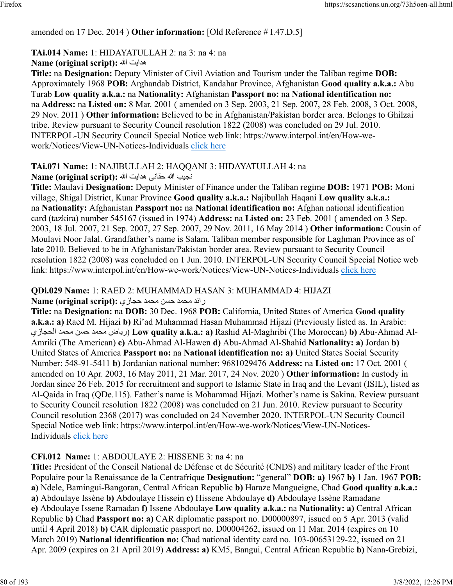## amended on 17 Dec. 2014 ) **Other information:** [Old Reference # I.47.D.5]

### **TAi.014 Name:** 1: HIDAYATULLAH 2: na 3: na 4: na

### **Name (original script):** الله تياده

**Title:** na **Designation:** Deputy Minister of Civil Aviation and Tourism under the Taliban regime **DOB:** Approximately 1968 **POB:** Arghandab District, Kandahar Province, Afghanistan **Good quality a.k.a.:** Abu Turab **Low quality a.k.a.:** na **Nationality:** Afghanistan **Passport no:** na **National identification no:** na **Address:** na **Listed on:** 8 Mar. 2001 ( amended on 3 Sep. 2003, 21 Sep. 2007, 28 Feb. 2008, 3 Oct. 2008, 29 Nov. 2011 ) **Other information:** Believed to be in Afghanistan/Pakistan border area. Belongs to Ghilzai tribe. Review pursuant to Security Council resolution 1822 (2008) was concluded on 29 Jul. 2010. INTERPOL-UN Security Council Special Notice web link: https://www.interpol.int/en/How-wework/Notices/View-UN-Notices-Individuals [click here](https://www.interpol.int/en/How-we-work/Notices/View-UN-Notices-Individuals)

## **TAi.071 Name:** 1: NAJIBULLAH 2: HAQQANI 3: HIDAYATULLAH 4: na

### بيجن الله یناقح تياده الله **:(script original (Name**

**Title:** Maulavi **Designation:** Deputy Minister of Finance under the Taliban regime **DOB:** 1971 **POB:** Moni village, Shigal District, Kunar Province **Good quality a.k.a.:** Najibullah Haqani **Low quality a.k.a.:** na **Nationality:** Afghanistan **Passport no:** na **National identification no:** Afghan national identification card (tazkira) number 545167 (issued in 1974) **Address:** na **Listed on:** 23 Feb. 2001 ( amended on 3 Sep. 2003, 18 Jul. 2007, 21 Sep. 2007, 27 Sep. 2007, 29 Nov. 2011, 16 May 2014 ) **Other information:** Cousin of Moulavi Noor Jalal. Grandfather's name is Salam. Taliban member responsible for Laghman Province as of late 2010. Believed to be in Afghanistan/Pakistan border area. Review pursuant to Security Council resolution 1822 (2008) was concluded on 1 Jun. 2010. INTERPOL-UN Security Council Special Notice web link: https://www.interpol.int/en/How-we-work/Notices/View-UN-Notices-Individuals [click here](https://www.interpol.int/en/How-we-work/Notices/View-UN-Notices-Individuals)

## **QDi.029 Name:** 1: RAED 2: MUHAMMAD HASAN 3: MUHAMMAD 4: HIJAZI

## رائد محمد حسن محمد حجازى: Name (original script):

**Title:** na **Designation:** na **DOB:** 30 Dec. 1968 **POB:** California, United States of America **Good quality a.k.a.: a)** Raed M. Hijazi **b)** Ri'ad Muhammad Hasan Muhammad Hijazi (Previously listed as. In Arabic: يزاجحلا دمحم نسح دمحم ضاير ( **Low quality a.k.a.: a)** Rashid Al-Maghribi (The Moroccan) **b)** Abu-Ahmad Al-Amriki (The American) **c)** Abu-Ahmad Al-Hawen **d)** Abu-Ahmad Al-Shahid **Nationality: a)** Jordan **b)** United States of America **Passport no:** na **National identification no: a)** United States Social Security Number: 548-91-5411 **b)** Jordanian national number: 9681029476 **Address:** na **Listed on:** 17 Oct. 2001 ( amended on 10 Apr. 2003, 16 May 2011, 21 Mar. 2017, 24 Nov. 2020 ) **Other information:** In custody in Jordan since 26 Feb. 2015 for recruitment and support to Islamic State in Iraq and the Levant (ISIL), listed as Al-Qaida in Iraq (QDe.115). Father's name is Mohammad Hijazi. Mother's name is Sakina. Review pursuant to Security Council resolution 1822 (2008) was concluded on 21 Jun. 2010. Review pursuant to Security Council resolution 2368 (2017) was concluded on 24 November 2020. INTERPOL-UN Security Council Special Notice web link: https://www.interpol.int/en/How-we-work/Notices/View-UN-Notices-Individuals [click here](https://www.interpol.int/en/How-we-work/Notices/View-UN-Notices-Individuals)

## **CFi.012 Name:** 1: ABDOULAYE 2: HISSENE 3: na 4: na

**Title:** President of the Conseil National de Défense et de Sécurité (CNDS) and military leader of the Front Populaire pour la Renaissance de la Centrafrique **Designation:** "general" **DOB: a)** 1967 **b)** 1 Jan. 1967 **POB: a)** Ndele, Bamingui-Bangoran, Central African Republic **b)** Haraze Mangueigne, Chad **Good quality a.k.a.: a)** Abdoulaye Issène **b)** Abdoulaye Hissein **c)** Hissene Abdoulaye **d)** Abdoulaye Issène Ramadane **e)** Abdoulaye Issene Ramadan **f)** Issene Abdoulaye **Low quality a.k.a.:** na **Nationality: a)** Central African Republic **b)** Chad **Passport no: a)** CAR diplomatic passport no. D00000897, issued on 5 Apr. 2013 (valid until 4 April 2018) **b)** CAR diplomatic passport no. D00004262, issued on 11 Mar. 2014 (expires on 10 March 2019) **National identification no:** Chad national identity card no. 103-00653129-22, issued on 21 Apr. 2009 (expires on 21 April 2019) **Address: a)** KM5, Bangui, Central African Republic **b)** Nana-Grebizi,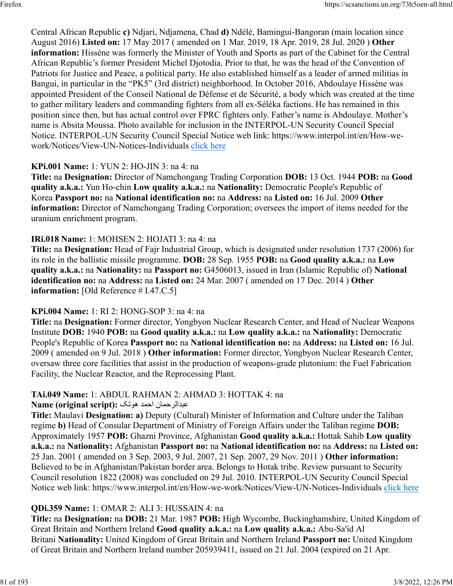Central African Republic **c)** Ndjari, Ndjamena, Chad **d)** Ndélé, Bamingui-Bangoran (main location since August 2016) **Listed on:** 17 May 2017 ( amended on 1 Mar. 2019, 18 Apr. 2019, 28 Jul. 2020 ) **Other information:** Hissène was formerly the Minister of Youth and Sports as part of the Cabinet for the Central African Republic's former President Michel Djotodia. Prior to that, he was the head of the Convention of Patriots for Justice and Peace, a political party. He also established himself as a leader of armed militias in Bangui, in particular in the "PK5" (3rd district) neighborhood. In October 2016, Abdoulaye Hissène was appointed President of the Conseil National de Défense et de Sécurité, a body which was created at the time to gather military leaders and commanding fighters from all ex-Séléka factions. He has remained in this position since then, but has actual control over FPRC fighters only. Father's name is Abdoulaye. Mother's name is Absita Moussa. Photo available for inclusion in the INTERPOL-UN Security Council Special Notice. INTERPOL-UN Security Council Special Notice web link: https://www.interpol.int/en/How-wework/Notices/View-UN-Notices-Individuals [click here](https://www.interpol.int/en/How-we-work/Notices/View-UN-Notices-Individuals)

## **KPi.001 Name:** 1: YUN 2: HO-JIN 3: na 4: na

**Title:** na **Designation:** Director of Namchongang Trading Corporation **DOB:** 13 Oct. 1944 **POB:** na **Good quality a.k.a.:** Yun Ho-chin **Low quality a.k.a.:** na **Nationality:** Democratic People's Republic of Korea **Passport no:** na **National identification no:** na **Address:** na **Listed on:** 16 Jul. 2009 **Other information:** Director of Namchongang Trading Corporation; oversees the import of items needed for the uranium enrichment program.

### **IRi.018 Name:** 1: MOHSEN 2: HOJATI 3: na 4: na

**Title:** na **Designation:** Head of Fajr Industrial Group, which is designated under resolution 1737 (2006) for its role in the ballistic missile programme. **DOB:** 28 Sep. 1955 **POB:** na **Good quality a.k.a.:** na **Low quality a.k.a.:** na **Nationality:** na **Passport no:** G4506013, issued in Iran (Islamic Republic of) **National identification no:** na **Address:** na **Listed on:** 24 Mar. 2007 ( amended on 17 Dec. 2014 ) **Other information:** [Old Reference # I.47.C.5]

#### **KPi.004 Name:** 1: RI 2: HONG-SOP 3: na 4: na

**Title:** na **Designation:** Former director, Yongbyon Nuclear Research Center, and Head of Nuclear Weapons Institute **DOB:** 1940 **POB:** na **Good quality a.k.a.:** na **Low quality a.k.a.:** na **Nationality:** Democratic People's Republic of Korea **Passport no:** na **National identification no:** na **Address:** na **Listed on:** 16 Jul. 2009 ( amended on 9 Jul. 2018 ) **Other information:** Former director, Yongbyon Nuclear Research Center, oversaw three core facilities that assist in the production of weapons-grade plutonium: the Fuel Fabrication Facility, the Nuclear Reactor, and the Reprocessing Plant.

## **TAi.049 Name:** 1: ABDUL RAHMAN 2: AHMAD 3: HOTTAK 4: na

#### نامحرلادبع دمحا کتوه **:(script original (Name**

**Title:** Maulavi **Designation: a)** Deputy (Cultural) Minister of Information and Culture under the Taliban regime **b)** Head of Consular Department of Ministry of Foreign Affairs under the Taliban regime **DOB:** Approximately 1957 **POB:** Ghazni Province, Afghanistan **Good quality a.k.a.:** Hottak Sahib **Low quality a.k.a.:** na **Nationality:** Afghanistan **Passport no:** na **National identification no:** na **Address:** na **Listed on:** 25 Jan. 2001 ( amended on 3 Sep. 2003, 9 Jul. 2007, 21 Sep. 2007, 29 Nov. 2011 ) **Other information:** Believed to be in Afghanistan/Pakistan border area. Belongs to Hotak tribe. Review pursuant to Security Council resolution 1822 (2008) was concluded on 29 Jul. 2010. INTERPOL-UN Security Council Special Notice web link: https://www.interpol.int/en/How-we-work/Notices/View-UN-Notices-Individuals [click here](https://www.interpol.int/en/How-we-work/Notices/View-UN-Notices-Individuals)

## **QDi.359 Name:** 1: OMAR 2: ALI 3: HUSSAIN 4: na

**Title:** na **Designation:** na **DOB:** 21 Mar. 1987 **POB:** High Wycombe, Buckinghamshire, United Kingdom of Great Britain and Northern Ireland **Good quality a.k.a.:** na **Low quality a.k.a.:** Abu-Sa'id Al Britani **Nationality:** United Kingdom of Great Britain and Northern Ireland **Passport no:** United Kingdom of Great Britain and Northern Ireland number 205939411, issued on 21 Jul. 2004 (expired on 21 Apr.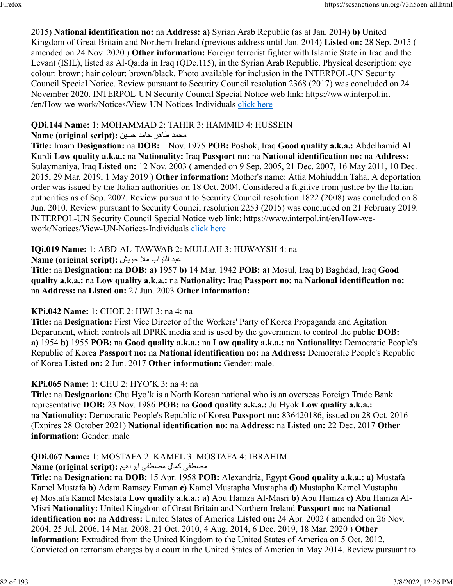2015) **National identification no:** na **Address: a)** Syrian Arab Republic (as at Jan. 2014) **b)** United Kingdom of Great Britain and Northern Ireland (previous address until Jan. 2014) **Listed on:** 28 Sep. 2015 ( amended on 24 Nov. 2020 ) **Other information:** Foreign terrorist fighter with Islamic State in Iraq and the Levant (ISIL), listed as Al-Qaida in Iraq (QDe.115), in the Syrian Arab Republic. Physical description: eye colour: brown; hair colour: brown/black. Photo available for inclusion in the INTERPOL-UN Security Council Special Notice. Review pursuant to Security Council resolution 2368 (2017) was concluded on 24 November 2020. INTERPOL-UN Security Council Special Notice web link: https://www.interpol.int /en/How-we-work/Notices/View-UN-Notices-Individuals [click here](https://www.interpol.int/en/How-we-work/Notices/View-UN-Notices-Individuals)

## **QDi.144 Name:** 1: MOHAMMAD 2: TAHIR 3: HAMMID 4: HUSSEIN

# محمد طاهر حامد حسين : Name (original script)

**Title:** Imam **Designation:** na **DOB:** 1 Nov. 1975 **POB:** Poshok, Iraq **Good quality a.k.a.:** Abdelhamid Al Kurdi **Low quality a.k.a.:** na **Nationality:** Iraq **Passport no:** na **National identification no:** na **Address:** Sulaymaniya, Iraq **Listed on:** 12 Nov. 2003 ( amended on 9 Sep. 2005, 21 Dec. 2007, 16 May 2011, 10 Dec. 2015, 29 Mar. 2019, 1 May 2019 ) **Other information:** Mother's name: Attia Mohiuddin Taha. A deportation order was issued by the Italian authorities on 18 Oct. 2004. Considered a fugitive from justice by the Italian authorities as of Sep. 2007. Review pursuant to Security Council resolution 1822 (2008) was concluded on 8 Jun. 2010. Review pursuant to Security Council resolution 2253 (2015) was concluded on 21 February 2019. INTERPOL-UN Security Council Special Notice web link: https://www.interpol.int/en/How-wework/Notices/View-UN-Notices-Individuals [click here](https://www.interpol.int/en/How-we-work/Notices/View-UN-Notices-Individuals)

# **IQi.019 Name:** 1: ABD-AL-TAWWAB 2: MULLAH 3: HUWAYSH 4: na

دبع باوتلا لام شيوح **:(script original (Name**

**Title:** na **Designation:** na **DOB: a)** 1957 **b)** 14 Mar. 1942 **POB: a)** Mosul, Iraq **b)** Baghdad, Iraq **Good quality a.k.a.:** na **Low quality a.k.a.:** na **Nationality:** Iraq **Passport no:** na **National identification no:** na **Address:** na **Listed on:** 27 Jun. 2003 **Other information:** 

# **KPi.042 Name:** 1: CHOE 2: HWI 3: na 4: na

**Title:** na **Designation:** First Vice Director of the Workers' Party of Korea Propaganda and Agitation Department, which controls all DPRK media and is used by the government to control the public **DOB: a)** 1954 **b)** 1955 **POB:** na **Good quality a.k.a.:** na **Low quality a.k.a.:** na **Nationality:** Democratic People's Republic of Korea **Passport no:** na **National identification no:** na **Address:** Democratic People's Republic of Korea **Listed on:** 2 Jun. 2017 **Other information:** Gender: male.

# **KPi.065 Name:** 1: CHU 2: HYO'K 3: na 4: na

**Title:** na **Designation:** Chu Hyo'k is a North Korean national who is an overseas Foreign Trade Bank representative **DOB:** 23 Nov. 1986 **POB:** na **Good quality a.k.a.:** Ju Hyok **Low quality a.k.a.:** na **Nationality:** Democratic People's Republic of Korea **Passport no:** 836420186, issued on 28 Oct. 2016 (Expires 28 October 2021) **National identification no:** na **Address:** na **Listed on:** 22 Dec. 2017 **Other information:** Gender: male

# **QDi.067 Name:** 1: MOSTAFA 2: KAMEL 3: MOSTAFA 4: IBRAHIM

# مصطفى كمال مصطفى ابراهيم **:Name (original script)**

**Title:** na **Designation:** na **DOB:** 15 Apr. 1958 **POB:** Alexandria, Egypt **Good quality a.k.a.: a)** Mustafa Kamel Mustafa **b)** Adam Ramsey Eaman **c)** Kamel Mustapha Mustapha **d)** Mustapha Kamel Mustapha **e)** Mostafa Kamel Mostafa **Low quality a.k.a.: a)** Abu Hamza Al-Masri **b)** Abu Hamza **c)** Abu Hamza Al-Misri **Nationality:** United Kingdom of Great Britain and Northern Ireland **Passport no:** na **National identification no:** na **Address:** United States of America **Listed on:** 24 Apr. 2002 ( amended on 26 Nov. 2004, 25 Jul. 2006, 14 Mar. 2008, 21 Oct. 2010, 4 Aug. 2014, 6 Dec. 2019, 18 Mar. 2020 ) **Other information:** Extradited from the United Kingdom to the United States of America on 5 Oct. 2012. Convicted on terrorism charges by a court in the United States of America in May 2014. Review pursuant to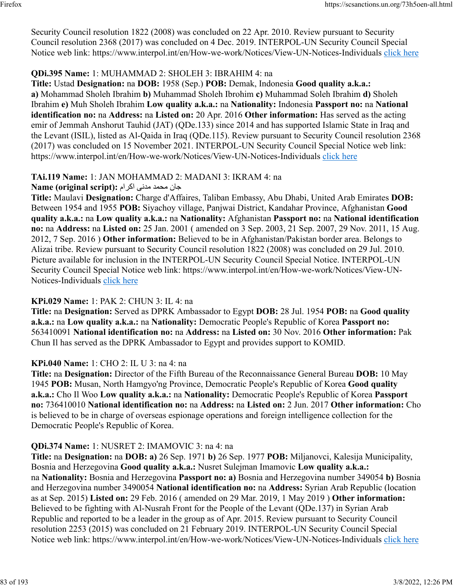Security Council resolution 1822 (2008) was concluded on 22 Apr. 2010. Review pursuant to Security Council resolution 2368 (2017) was concluded on 4 Dec. 2019. INTERPOL-UN Security Council Special Notice web link: https://www.interpol.int/en/How-we-work/Notices/View-UN-Notices-Individuals [click here](https://www.interpol.int/en/How-we-work/Notices/View-UN-Notices-Individuals)

## **QDi.395 Name:** 1: MUHAMMAD 2: SHOLEH 3: IBRAHIM 4: na

**Title:** Ustad **Designation:** na **DOB:** 1958 (Sep.) **POB:** Demak, Indonesia **Good quality a.k.a.: a)** Mohammad Sholeh Ibrahim **b)** Muhammad Sholeh Ibrohim **c)** Muhammad Soleh Ibrahim **d)** Sholeh Ibrahim **e)** Muh Sholeh Ibrahim **Low quality a.k.a.:** na **Nationality:** Indonesia **Passport no:** na **National identification no:** na **Address:** na **Listed on:** 20 Apr. 2016 **Other information:** Has served as the acting emir of Jemmah Anshorut Tauhid (JAT) (QDe.133) since 2014 and has supported Islamic State in Iraq and the Levant (ISIL), listed as Al-Qaida in Iraq (QDe.115). Review pursuant to Security Council resolution 2368 (2017) was concluded on 15 November 2021. INTERPOL-UN Security Council Special Notice web link: https://www.interpol.int/en/How-we-work/Notices/View-UN-Notices-Individuals [click here](https://www.interpol.int/en/How-we-work/Notices/View-UN-Notices-Individuals)

## **TAi.119 Name:** 1: JAN MOHAMMAD 2: MADANI 3: IKRAM 4: na

## ناج دمحم یندم مارکا **:(script original (Name**

**Title:** Maulavi **Designation:** Charge d'Affaires, Taliban Embassy, Abu Dhabi, United Arab Emirates **DOB:** Between 1954 and 1955 **POB:** Siyachoy village, Panjwai District, Kandahar Province, Afghanistan **Good quality a.k.a.:** na **Low quality a.k.a.:** na **Nationality:** Afghanistan **Passport no:** na **National identification no:** na **Address:** na **Listed on:** 25 Jan. 2001 ( amended on 3 Sep. 2003, 21 Sep. 2007, 29 Nov. 2011, 15 Aug. 2012, 7 Sep. 2016 ) **Other information:** Believed to be in Afghanistan/Pakistan border area. Belongs to Alizai tribe. Review pursuant to Security Council resolution 1822 (2008) was concluded on 29 Jul. 2010. Picture available for inclusion in the INTERPOL-UN Security Council Special Notice. INTERPOL-UN Security Council Special Notice web link: https://www.interpol.int/en/How-we-work/Notices/View-UN-Notices-Individuals [click here](https://www.interpol.int/en/How-we-work/Notices/View-UN-Notices-Individuals)

## **KPi.029 Name:** 1: PAK 2: CHUN 3: IL 4: na

**Title:** na **Designation:** Served as DPRK Ambassador to Egypt **DOB:** 28 Jul. 1954 **POB:** na **Good quality a.k.a.:** na **Low quality a.k.a.:** na **Nationality:** Democratic People's Republic of Korea **Passport no:** 563410091 **National identification no:** na **Address:** na **Listed on:** 30 Nov. 2016 **Other information:** Pak Chun Il has served as the DPRK Ambassador to Egypt and provides support to KOMID.

## **KPi.040 Name:** 1: CHO 2: IL U 3: na 4: na

**Title:** na **Designation:** Director of the Fifth Bureau of the Reconnaissance General Bureau **DOB:** 10 May 1945 **POB:** Musan, North Hamgyo'ng Province, Democratic People's Republic of Korea **Good quality a.k.a.:** Cho Il Woo **Low quality a.k.a.:** na **Nationality:** Democratic People's Republic of Korea **Passport no:** 736410010 **National identification no:** na **Address:** na **Listed on:** 2 Jun. 2017 **Other information:** Cho is believed to be in charge of overseas espionage operations and foreign intelligence collection for the Democratic People's Republic of Korea.

## **QDi.374 Name:** 1: NUSRET 2: IMAMOVIC 3: na 4: na

**Title:** na **Designation:** na **DOB: a)** 26 Sep. 1971 **b)** 26 Sep. 1977 **POB:** Miljanovci, Kalesija Municipality, Bosnia and Herzegovina **Good quality a.k.a.:** Nusret Sulejman Imamovic **Low quality a.k.a.:** na **Nationality:** Bosnia and Herzegovina **Passport no: a)** Bosnia and Herzegovina number 349054 **b)** Bosnia and Herzegovina number 3490054 **National identification no:** na **Address:** Syrian Arab Republic (location as at Sep. 2015) **Listed on:** 29 Feb. 2016 ( amended on 29 Mar. 2019, 1 May 2019 ) **Other information:** Believed to be fighting with Al-Nusrah Front for the People of the Levant (QDe.137) in Syrian Arab Republic and reported to be a leader in the group as of Apr. 2015. Review pursuant to Security Council resolution 2253 (2015) was concluded on 21 February 2019. INTERPOL-UN Security Council Special Notice web link: https://www.interpol.int/en/How-we-work/Notices/View-UN-Notices-Individuals [click here](https://www.interpol.int/en/How-we-work/Notices/View-UN-Notices-Individuals)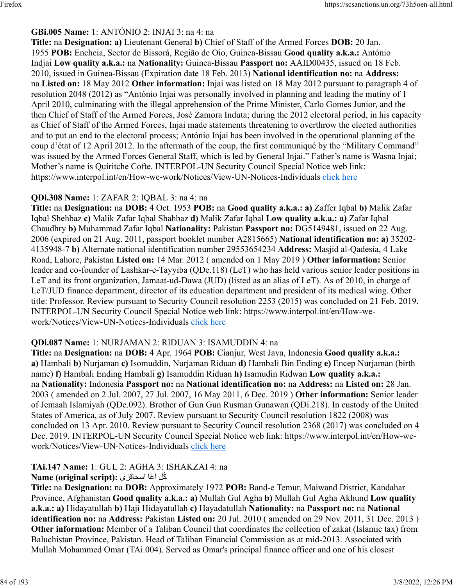## **GBi.005 Name:** 1: ANTÓNIO 2: INJAI 3: na 4: na

**Title:** na **Designation: a)** Lieutenant General **b)** Chief of Staff of the Armed Forces **DOB:** 20 Jan. 1955 **POB:** Encheia, Sector de Bissorá, Região de Oio, Guinea-Bissau **Good quality a.k.a.:** António Indjai **Low quality a.k.a.:** na **Nationality:** Guinea-Bissau **Passport no:** AAID00435, issued on 18 Feb. 2010, issued in Guinea-Bissau (Expiration date 18 Feb. 2013) **National identification no:** na **Address:** na **Listed on:** 18 May 2012 **Other information:** Injai was listed on 18 May 2012 pursuant to paragraph 4 of resolution 2048 (2012) as "António Injai was personally involved in planning and leading the mutiny of 1 April 2010, culminating with the illegal apprehension of the Prime Minister, Carlo Gomes Junior, and the then Chief of Staff of the Armed Forces, José Zamora Induta; during the 2012 electoral period, in his capacity as Chief of Staff of the Armed Forces, Injai made statements threatening to overthrow the elected authorities and to put an end to the electoral process; António Injai has been involved in the operational planning of the coup d'état of 12 April 2012. In the aftermath of the coup, the first communiqué by the "Military Command" was issued by the Armed Forces General Staff, which is led by General Injai." Father's name is Wasna Injai; Mother's name is Quiritche Cofte. INTERPOL-UN Security Council Special Notice web link: https://www.interpol.int/en/How-we-work/Notices/View-UN-Notices-Individuals [click here](https://www.interpol.int/en/How-we-work/Notices/View-UN-Notices-Individuals)

## **QDi.308 Name:** 1: ZAFAR 2: IQBAL 3: na 4: na

**Title:** na **Designation:** na **DOB:** 4 Oct. 1953 **POB:** na **Good quality a.k.a.: a)** Zaffer Iqbal **b)** Malik Zafar Iqbal Shehbaz **c)** Malik Zafar Iqbal Shahbaz **d)** Malik Zafar Iqbal **Low quality a.k.a.: a)** Zafar Iqbal Chaudhry **b)** Muhammad Zafar Iqbal **Nationality:** Pakistan **Passport no:** DG5149481, issued on 22 Aug. 2006 (expired on 21 Aug. 2011, passport booklet number A2815665) **National identification no: a)** 35202- 4135948-7 **b)** Alternate national identification number 29553654234 **Address:** Masjid al-Qadesia, 4 Lake Road, Lahore, Pakistan **Listed on:** 14 Mar. 2012 ( amended on 1 May 2019 ) **Other information:** Senior leader and co-founder of Lashkar-e-Tayyiba (QDe.118) (LeT) who has held various senior leader positions in LeT and its front organization, Jamaat-ud-Dawa (JUD) (listed as an alias of LeT). As of 2010, in charge of LeT/JUD finance department, director of its education department and president of its medical wing. Other title: Professor. Review pursuant to Security Council resolution 2253 (2015) was concluded on 21 Feb. 2019. INTERPOL-UN Security Council Special Notice web link: https://www.interpol.int/en/How-wework/Notices/View-UN-Notices-Individuals [click here](https://www.interpol.int/en/How-we-work/Notices/View-UN-Notices-Individuals)

## **QDi.087 Name:** 1: NURJAMAN 2: RIDUAN 3: ISAMUDDIN 4: na

**Title:** na **Designation:** na **DOB:** 4 Apr. 1964 **POB:** Cianjur, West Java, Indonesia **Good quality a.k.a.: a)** Hambali **b)** Nurjaman **c)** Isomuddin, Nurjaman Riduan **d)** Hambali Bin Ending **e)** Encep Nurjaman (birth name) **f)** Hambali Ending Hambali **g)** Isamuddin Riduan **h)** Isamudin Ridwan **Low quality a.k.a.:** na **Nationality:** Indonesia **Passport no:** na **National identification no:** na **Address:** na **Listed on:** 28 Jan. 2003 ( amended on 2 Jul. 2007, 27 Jul. 2007, 16 May 2011, 6 Dec. 2019 ) **Other information:** Senior leader of Jemaah Islamiyah (QDe.092). Brother of Gun Gun Rusman Gunawan (QDi.218). In custody of the United States of America, as of July 2007. Review pursuant to Security Council resolution 1822 (2008) was concluded on 13 Apr. 2010. Review pursuant to Security Council resolution 2368 (2017) was concluded on 4 Dec. 2019. INTERPOL-UN Security Council Special Notice web link: https://www.interpol.int/en/How-wework/Notices/View-UN-Notices-Individuals [click here](https://www.interpol.int/en/How-we-work/Notices/View-UN-Notices-Individuals)

#### **TAi.147 Name:** 1: GUL 2: AGHA 3: ISHAKZAI 4: na ُكل اغآ یزقاحسا **:(script original (Name**

**Title:** na **Designation:** na **DOB:** Approximately 1972 **POB:** Band-e Temur, Maiwand District, Kandahar Province, Afghanistan **Good quality a.k.a.: a)** Mullah Gul Agha **b)** Mullah Gul Agha Akhund **Low quality a.k.a.: a)** Hidayatullah **b)** Haji Hidayatullah **c)** Hayadatullah **Nationality:** na **Passport no:** na **National identification no:** na **Address:** Pakistan **Listed on:** 20 Jul. 2010 ( amended on 29 Nov. 2011, 31 Dec. 2013 ) **Other information:** Member of a Taliban Council that coordinates the collection of zakat (Islamic tax) from Baluchistan Province, Pakistan. Head of Taliban Financial Commission as at mid-2013. Associated with Mullah Mohammed Omar (TAi.004). Served as Omar's principal finance officer and one of his closest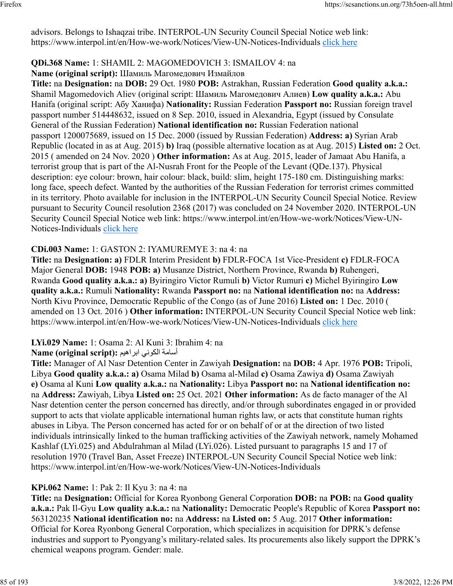advisors. Belongs to Ishaqzai tribe. INTERPOL-UN Security Council Special Notice web link: https://www.interpol.int/en/How-we-work/Notices/View-UN-Notices-Individuals [click here](https://www.interpol.int/en/How-we-work/Notices/View-UN-Notices-Individuals)

## **QDi.368 Name:** 1: SHAMIL 2: MAGOMEDOVICH 3: ISMAILOV 4: na

**Name (original script):** Шамиль Магомедович Измайлов

**Title:** na **Designation:** na **DOB:** 29 Oct. 1980 **POB:** Astrakhan, Russian Federation **Good quality a.k.a.:** Shamil Magomedovich Aliev (original script: Шамиль Магомедович Алиев) **Low quality a.k.a.:** Abu Hanifa (original script: Абу Ханифа) **Nationality:** Russian Federation **Passport no:** Russian foreign travel passport number 514448632, issued on 8 Sep. 2010, issued in Alexandria, Egypt (issued by Consulate General of the Russian Federation) **National identification no:** Russian Federation national passport 1200075689, issued on 15 Dec. 2000 (issued by Russian Federation) **Address: a)** Syrian Arab Republic (located in as at Aug. 2015) **b)** Iraq (possible alternative location as at Aug. 2015) **Listed on:** 2 Oct. 2015 ( amended on 24 Nov. 2020 ) **Other information:** As at Aug. 2015, leader of Jamaat Abu Hanifa, a terrorist group that is part of the Al-Nusrah Front for the People of the Levant (QDe.137). Physical description: eye colour: brown, hair colour: black, build: slim, height 175-180 cm. Distinguishing marks: long face, speech defect. Wanted by the authorities of the Russian Federation for terrorist crimes committed in its territory. Photo available for inclusion in the INTERPOL-UN Security Council Special Notice. Review pursuant to Security Council resolution 2368 (2017) was concluded on 24 November 2020. INTERPOL-UN Security Council Special Notice web link: https://www.interpol.int/en/How-we-work/Notices/View-UN-Notices-Individuals [click here](https://www.interpol.int/en/How-we-work/Notices/View-UN-Notices-Individuals)

## **CDi.003 Name:** 1: GASTON 2: IYAMUREMYE 3: na 4: na

**Title:** na **Designation: a)** FDLR Interim President **b)** FDLR-FOCA 1st Vice-President **c)** FDLR-FOCA Major General **DOB:** 1948 **POB: a)** Musanze District, Northern Province, Rwanda **b)** Ruhengeri, Rwanda **Good quality a.k.a.: a)** Byiringiro Victor Rumuli **b)** Victor Rumuri **c)** Michel Byiringiro **Low quality a.k.a.:** Rumuli **Nationality:** Rwanda **Passport no:** na **National identification no:** na **Address:** North Kivu Province, Democratic Republic of the Congo (as of June 2016) **Listed on:** 1 Dec. 2010 ( amended on 13 Oct. 2016 ) **Other information:** INTERPOL-UN Security Council Special Notice web link: https://www.interpol.int/en/How-we-work/Notices/View-UN-Notices-Individuals [click here](https://www.interpol.int/en/How-we-work/Notices/View-UN-Notices-Individuals)

## **LYi.029 Name:** 1: Osama 2: Al Kuni 3: Ibrahim 4: na

## أسامة الكوني ابراهيم :(Name (original script

**Title:** Manager of Al Nasr Detention Center in Zawiyah **Designation:** na **DOB:** 4 Apr. 1976 **POB:** Tripoli, Libya **Good quality a.k.a.: a)** Osama Milad **b)** Osama al-Milad **c)** Osama Zawiya **d)** Osama Zawiyah **e)** Osama al Kuni **Low quality a.k.a.:** na **Nationality:** Libya **Passport no:** na **National identification no:** na **Address:** Zawiyah, Libya **Listed on:** 25 Oct. 2021 **Other information:** As de facto manager of the Al Nasr detention center the person concerned has directly, and/or through subordinates engaged in or provided support to acts that violate applicable international human rights law, or acts that constitute human rights abuses in Libya. The Person concerned has acted for or on behalf of or at the direction of two listed individuals intrinsically linked to the human trafficking activities of the Zawiyah network, namely Mohamed Kashlaf (LYi.025) and Abdulrahman al Milad (LYi.026). Listed pursuant to paragraphs 15 and 17 of resolution 1970 (Travel Ban, Asset Freeze) INTERPOL-UN Security Council Special Notice web link: https://www.interpol.int/en/How-we-work/Notices/View-UN-Notices-Individuals

## **KPi.062 Name:** 1: Pak 2: Il Kyu 3: na 4: na

**Title:** na **Designation:** Official for Korea Ryonbong General Corporation **DOB:** na **POB:** na **Good quality a.k.a.:** Pak Il-Gyu **Low quality a.k.a.:** na **Nationality:** Democratic People's Republic of Korea **Passport no:** 563120235 **National identification no:** na **Address:** na **Listed on:** 5 Aug. 2017 **Other information:** Official for Korea Ryonbong General Corporation, which specializes in acquisition for DPRK's defense industries and support to Pyongyang's military-related sales. Its procurements also likely support the DPRK's chemical weapons program. Gender: male.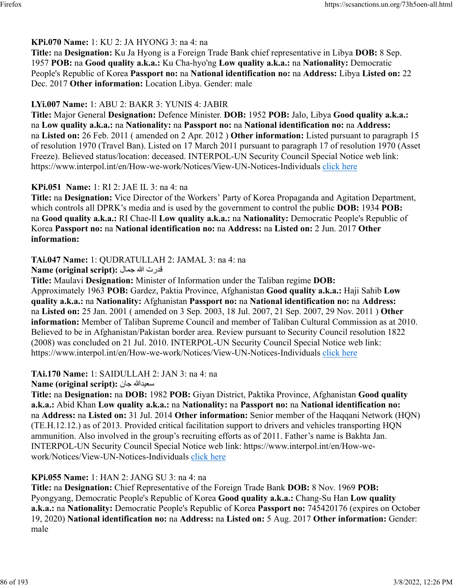### **KPi.070 Name:** 1: KU 2: JA HYONG 3: na 4: na

**Title:** na **Designation:** Ku Ja Hyong is a Foreign Trade Bank chief representative in Libya **DOB:** 8 Sep. 1957 **POB:** na **Good quality a.k.a.:** Ku Cha-hyo'ng **Low quality a.k.a.:** na **Nationality:** Democratic People's Republic of Korea **Passport no:** na **National identification no:** na **Address:** Libya **Listed on:** 22 Dec. 2017 **Other information:** Location Libya. Gender: male

### **LYi.007 Name:** 1: ABU 2: BAKR 3: YUNIS 4: JABIR

**Title:** Major General **Designation:** Defence Minister. **DOB:** 1952 **POB:** Jalo, Libya **Good quality a.k.a.:** na **Low quality a.k.a.:** na **Nationality:** na **Passport no:** na **National identification no:** na **Address:** na **Listed on:** 26 Feb. 2011 ( amended on 2 Apr. 2012 ) **Other information:** Listed pursuant to paragraph 15 of resolution 1970 (Travel Ban). Listed on 17 March 2011 pursuant to paragraph 17 of resolution 1970 (Asset Freeze). Believed status/location: deceased. INTERPOL-UN Security Council Special Notice web link: https://www.interpol.int/en/How-we-work/Notices/View-UN-Notices-Individuals [click here](https://www.interpol.int/en/How-we-work/Notices/View-UN-Notices-Individuals)

### **KPi.051 Name:** 1: RI 2: JAE IL 3: na 4: na

**Title:** na **Designation:** Vice Director of the Workers' Party of Korea Propaganda and Agitation Department, which controls all DPRK's media and is used by the government to control the public **DOB:** 1934 **POB:** na **Good quality a.k.a.:** RI Chae-Il **Low quality a.k.a.:** na **Nationality:** Democratic People's Republic of Korea **Passport no:** na **National identification no:** na **Address:** na **Listed on:** 2 Jun. 2017 **Other information:** 

### **TAi.047 Name:** 1: QUDRATULLAH 2: JAMAL 3: na 4: na

تردق الله لامج **:(script original (Name**

**Title:** Maulavi **Designation:** Minister of Information under the Taliban regime **DOB:** Approximately 1963 **POB:** Gardez, Paktia Province, Afghanistan **Good quality a.k.a.:** Haji Sahib **Low quality a.k.a.:** na **Nationality:** Afghanistan **Passport no:** na **National identification no:** na **Address:** na **Listed on:** 25 Jan. 2001 ( amended on 3 Sep. 2003, 18 Jul. 2007, 21 Sep. 2007, 29 Nov. 2011 ) **Other information:** Member of Taliban Supreme Council and member of Taliban Cultural Commission as at 2010. Believed to be in Afghanistan/Pakistan border area. Review pursuant to Security Council resolution 1822 (2008) was concluded on 21 Jul. 2010. INTERPOL-UN Security Council Special Notice web link: https://www.interpol.int/en/How-we-work/Notices/View-UN-Notices-Individuals [click here](https://www.interpol.int/en/How-we-work/Notices/View-UN-Notices-Individuals)

## **TAi.170 Name:** 1: SAIDULLAH 2: JAN 3: na 4: na

#### **Name (original script):** ناج اللهديعس

**Title:** na **Designation:** na **DOB:** 1982 **POB:** Giyan District, Paktika Province, Afghanistan **Good quality a.k.a.:** Abid Khan **Low quality a.k.a.:** na **Nationality:** na **Passport no:** na **National identification no:** na **Address:** na **Listed on:** 31 Jul. 2014 **Other information:** Senior member of the Haqqani Network (HQN) (TE.H.12.12.) as of 2013. Provided critical facilitation support to drivers and vehicles transporting HQN ammunition. Also involved in the group's recruiting efforts as of 2011. Father's name is Bakhta Jan. INTERPOL-UN Security Council Special Notice web link: https://www.interpol.int/en/How-wework/Notices/View-UN-Notices-Individuals [click here](https://www.interpol.int/en/How-we-work/Notices/View-UN-Notices-Individuals)

## **KPi.055 Name:** 1: HAN 2: JANG SU 3: na 4: na

**Title:** na **Designation:** Chief Representative of the Foreign Trade Bank **DOB:** 8 Nov. 1969 **POB:** Pyongyang, Democratic People's Republic of Korea **Good quality a.k.a.:** Chang-Su Han **Low quality a.k.a.:** na **Nationality:** Democratic People's Republic of Korea **Passport no:** 745420176 (expires on October 19, 2020) **National identification no:** na **Address:** na **Listed on:** 5 Aug. 2017 **Other information:** Gender: male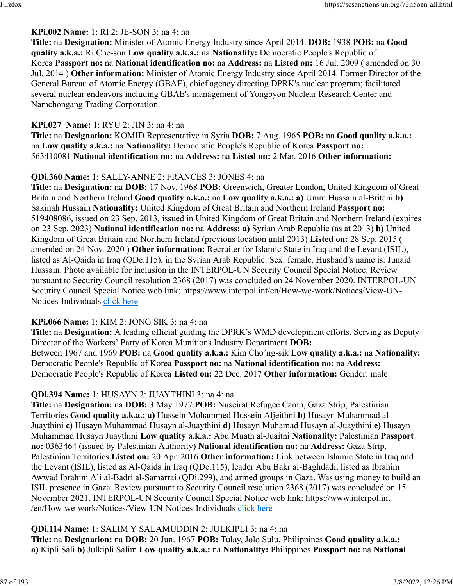## **KPi.002 Name:** 1: RI 2: JE-SON 3: na 4: na

**Title:** na **Designation:** Minister of Atomic Energy Industry since April 2014. **DOB:** 1938 **POB:** na **Good quality a.k.a.:** Ri Che-son **Low quality a.k.a.:** na **Nationality:** Democratic People's Republic of Korea **Passport no:** na **National identification no:** na **Address:** na **Listed on:** 16 Jul. 2009 ( amended on 30 Jul. 2014 ) **Other information:** Minister of Atomic Energy Industry since April 2014. Former Director of the General Bureau of Atomic Energy (GBAE), chief agency directing DPRK's nuclear program; facilitated several nuclear endeavors including GBAE's management of Yongbyon Nuclear Research Center and Namchongang Trading Corporation.

## **KPi.027 Name:** 1: RYU 2: JIN 3: na 4: na

**Title:** na **Designation:** KOMID Representative in Syria **DOB:** 7 Aug. 1965 **POB:** na **Good quality a.k.a.:** na **Low quality a.k.a.:** na **Nationality:** Democratic People's Republic of Korea **Passport no:** 563410081 **National identification no:** na **Address:** na **Listed on:** 2 Mar. 2016 **Other information:** 

## **QDi.360 Name:** 1: SALLY-ANNE 2: FRANCES 3: JONES 4: na

**Title:** na **Designation:** na **DOB:** 17 Nov. 1968 **POB:** Greenwich, Greater London, United Kingdom of Great Britain and Northern Ireland **Good quality a.k.a.:** na **Low quality a.k.a.: a)** Umm Hussain al-Britani **b)** Sakinah Hussain **Nationality:** United Kingdom of Great Britain and Northern Ireland **Passport no:** 519408086, issued on 23 Sep. 2013, issued in United Kingdom of Great Britain and Northern Ireland (expires on 23 Sep. 2023) **National identification no:** na **Address: a)** Syrian Arab Republic (as at 2013) **b)** United Kingdom of Great Britain and Northern Ireland (previous location until 2013) **Listed on:** 28 Sep. 2015 ( amended on 24 Nov. 2020 ) **Other information:** Recruiter for Islamic State in Iraq and the Levant (ISIL), listed as Al-Qaida in Iraq (QDe.115), in the Syrian Arab Republic. Sex: female. Husband's name is: Junaid Hussain. Photo available for inclusion in the INTERPOL-UN Security Council Special Notice. Review pursuant to Security Council resolution 2368 (2017) was concluded on 24 November 2020. INTERPOL-UN Security Council Special Notice web link: https://www.interpol.int/en/How-we-work/Notices/View-UN-Notices-Individuals [click here](https://www.interpol.int/en/How-we-work/Notices/View-UN-Notices-Individuals)

## **KPi.066 Name:** 1: KIM 2: JONG SIK 3: na 4: na

**Title:** na **Designation:** A leading official guiding the DPRK's WMD development efforts. Serving as Deputy Director of the Workers' Party of Korea Munitions Industry Department **DOB:** Between 1967 and 1969 **POB:** na **Good quality a.k.a.:** Kim Cho'ng-sik **Low quality a.k.a.:** na **Nationality:** Democratic People's Republic of Korea **Passport no:** na **National identification no:** na **Address:** Democratic People's Republic of Korea **Listed on:** 22 Dec. 2017 **Other information:** Gender: male

## **QDi.394 Name:** 1: HUSAYN 2: JUAYTHINI 3: na 4: na

**Title:** na **Designation:** na **DOB:** 3 May 1977 **POB:** Nuseirat Refugee Camp, Gaza Strip, Palestinian Territories **Good quality a.k.a.: a)** Hussein Mohammed Hussein Aljeithni **b)** Husayn Muhammad al-Juaythini **c)** Husayn Muhammad Husayn al-Juaythini **d)** Husayn Muhamad Husayn al-Juaythini **e)** Husayn Muhammad Husayn Juaythini **Low quality a.k.a.:** Abu Muath al-Juaitni **Nationality:** Palestinian **Passport no:** 0363464 (issued by Palestinian Authority) **National identification no:** na **Address:** Gaza Strip, Palestinian Territories **Listed on:** 20 Apr. 2016 **Other information:** Link between Islamic State in Iraq and the Levant (ISIL), listed as Al-Qaida in Iraq (QDe.115), leader Abu Bakr al-Baghdadi, listed as Ibrahim Awwad Ibrahim Ali al-Badri al-Samarrai (QDi.299), and armed groups in Gaza. Was using money to build an ISIL presence in Gaza. Review pursuant to Security Council resolution 2368 (2017) was concluded on 15 November 2021. INTERPOL-UN Security Council Special Notice web link: https://www.interpol.int /en/How-we-work/Notices/View-UN-Notices-Individuals [click here](https://www.interpol.int/en/How-we-work/Notices/View-UN-Notices-Individuals)

## **QDi.114 Name:** 1: SALIM Y SALAMUDDIN 2: JULKIPLI 3: na 4: na

**Title:** na **Designation:** na **DOB:** 20 Jun. 1967 **POB:** Tulay, Jolo Sulu, Philippines **Good quality a.k.a.: a)** Kipli Sali **b)** Julkipli Salim **Low quality a.k.a.:** na **Nationality:** Philippines **Passport no:** na **National**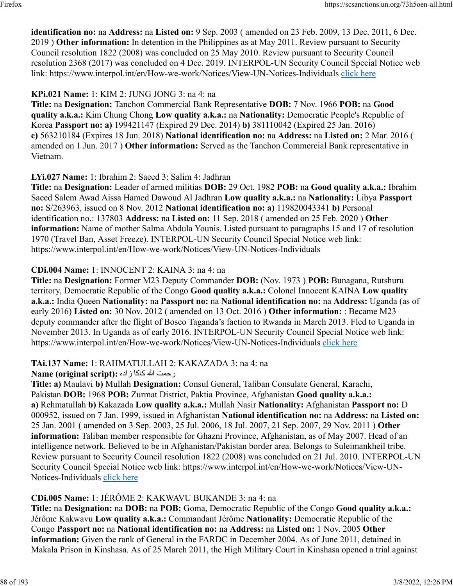**identification no:** na **Address:** na **Listed on:** 9 Sep. 2003 ( amended on 23 Feb. 2009, 13 Dec. 2011, 6 Dec. 2019 ) **Other information:** In detention in the Philippines as at May 2011. Review pursuant to Security Council resolution 1822 (2008) was concluded on 25 May 2010. Review pursuant to Security Council resolution 2368 (2017) was concluded on 4 Dec. 2019. INTERPOL-UN Security Council Special Notice web link: https://www.interpol.int/en/How-we-work/Notices/View-UN-Notices-Individuals [click here](https://www.interpol.int/en/How-we-work/Notices/View-UN-Notices-Individuals)

## **KPi.021 Name:** 1: KIM 2: JUNG JONG 3: na 4: na

**Title:** na **Designation:** Tanchon Commercial Bank Representative **DOB:** 7 Nov. 1966 **POB:** na **Good quality a.k.a.:** Kim Chung Chong **Low quality a.k.a.:** na **Nationality:** Democratic People's Republic of Korea **Passport no: a)** 199421147 (Expired 29 Dec. 2014) **b)** 381110042 (Expired 25 Jan. 2016) **c)** 563210184 (Expires 18 Jun. 2018) **National identification no:** na **Address:** na **Listed on:** 2 Mar. 2016 ( amended on 1 Jun. 2017 ) **Other information:** Served as the Tanchon Commercial Bank representative in Vietnam.

## **LYi.027 Name:** 1: Ibrahim 2: Saeed 3: Salim 4: Jadhran

**Title:** na **Designation:** Leader of armed militias **DOB:** 29 Oct. 1982 **POB:** na **Good quality a.k.a.:** Ibrahim Saeed Salem Awad Aissa Hamed Dawoud Al Jadhran **Low quality a.k.a.:** na **Nationality:** Libya **Passport no:** S/263963, issued on 8 Nov. 2012 **National identification no: a)** 119820043341 **b)** Personal identification no.: 137803 **Address:** na **Listed on:** 11 Sep. 2018 ( amended on 25 Feb. 2020 ) **Other information:** Name of mother Salma Abdula Younis. Listed pursuant to paragraphs 15 and 17 of resolution 1970 (Travel Ban, Asset Freeze). INTERPOL-UN Security Council Special Notice web link: https://www.interpol.int/en/How-we-work/Notices/View-UN-Notices-Individuals

## **CDi.004 Name:** 1: INNOCENT 2: KAINA 3: na 4: na

**Title:** na **Designation:** Former M23 Deputy Commander **DOB:** (Nov. 1973 ) **POB:** Bunagana, Rutshuru territory, Democratic Republic of the Congo **Good quality a.k.a.:** Colonel Innocent KAINA **Low quality a.k.a.:** India Queen **Nationality:** na **Passport no:** na **National identification no:** na **Address:** Uganda (as of early 2016) **Listed on:** 30 Nov. 2012 ( amended on 13 Oct. 2016 ) **Other information:** : Became M23 deputy commander after the flight of Bosco Taganda's faction to Rwanda in March 2013. Fled to Uganda in November 2013. In Uganda as of early 2016. INTERPOL-UN Security Council Special Notice web link: https://www.interpol.int/en/How-we-work/Notices/View-UN-Notices-Individuals [click here](https://www.interpol.int/en/How-we-work/Notices/View-UN-Notices-Individuals)

## **TAi.137 Name:** 1: RAHMATULLAH 2: KAKAZADA 3: na 4: na

رحمت الله كاكا زاده :**(Name (original script** 

**Title: a)** Maulavi **b)** Mullah **Designation:** Consul General, Taliban Consulate General, Karachi, Pakistan **DOB:** 1968 **POB:** Zurmat District, Paktia Province, Afghanistan **Good quality a.k.a.: a)** Rehmatullah **b)** Kakazada **Low quality a.k.a.:** Mullah Nasir **Nationality:** Afghanistan **Passport no:** D 000952, issued on 7 Jan. 1999, issued in Afghanistan **National identification no:** na **Address:** na **Listed on:** 25 Jan. 2001 ( amended on 3 Sep. 2003, 25 Jul. 2006, 18 Jul. 2007, 21 Sep. 2007, 29 Nov. 2011 ) **Other information:** Taliban member responsible for Ghazni Province, Afghanistan, as of May 2007. Head of an intelligence network. Believed to be in Afghanistan/Pakistan border area. Belongs to Suleimankheil tribe. Review pursuant to Security Council resolution 1822 (2008) was concluded on 21 Jul. 2010. INTERPOL-UN Security Council Special Notice web link: https://www.interpol.int/en/How-we-work/Notices/View-UN-Notices-Individuals [click here](https://www.interpol.int/en/How-we-work/Notices/View-UN-Notices-Individuals)

## **CDi.005 Name:** 1: JÉRÔME 2: KAKWAVU BUKANDE 3: na 4: na

**Title:** na **Designation:** na **DOB:** na **POB:** Goma, Democratic Republic of the Congo **Good quality a.k.a.:** Jérôme Kakwavu **Low quality a.k.a.:** Commandant Jérôme **Nationality:** Democratic Republic of the Congo **Passport no:** na **National identification no:** na **Address:** na **Listed on:** 1 Nov. 2005 **Other information:** Given the rank of General in the FARDC in December 2004. As of June 2011, detained in Makala Prison in Kinshasa. As of 25 March 2011, the High Military Court in Kinshasa opened a trial against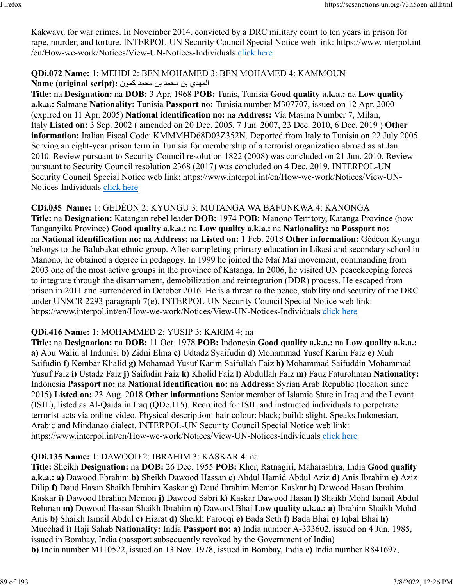Kakwavu for war crimes. In November 2014, convicted by a DRC military court to ten years in prison for rape, murder, and torture. INTERPOL-UN Security Council Special Notice web link: https://www.interpol.int /en/How-we-work/Notices/View-UN-Notices-Individuals [click here](https://www.interpol.int/en/How-we-work/Notices/View-UN-Notices-Individuals)

## **QDi.072 Name:** 1: MEHDI 2: BEN MOHAMED 3: BEN MOHAMED 4: KAMMOUN المهدي بن محمد بن محمد نب دمحم كمون :**Name (original script**)

**Title:** na **Designation:** na **DOB:** 3 Apr. 1968 **POB:** Tunis, Tunisia **Good quality a.k.a.:** na **Low quality a.k.a.:** Salmane **Nationality:** Tunisia **Passport no:** Tunisia number M307707, issued on 12 Apr. 2000 (expired on 11 Apr. 2005) **National identification no:** na **Address:** Via Masina Number 7, Milan, Italy **Listed on:** 3 Sep. 2002 ( amended on 20 Dec. 2005, 7 Jun. 2007, 23 Dec. 2010, 6 Dec. 2019 ) **Other information:** Italian Fiscal Code: KMMMHD68D03Z352N. Deported from Italy to Tunisia on 22 July 2005. Serving an eight-year prison term in Tunisia for membership of a terrorist organization abroad as at Jan. 2010. Review pursuant to Security Council resolution 1822 (2008) was concluded on 21 Jun. 2010. Review pursuant to Security Council resolution 2368 (2017) was concluded on 4 Dec. 2019. INTERPOL-UN Security Council Special Notice web link: https://www.interpol.int/en/How-we-work/Notices/View-UN-Notices-Individuals [click here](https://www.interpol.int/en/How-we-work/Notices/View-UN-Notices-Individuals)

# **CDi.035 Name:** 1: GÉDÉON 2: KYUNGU 3: MUTANGA WA BAFUNKWA 4: KANONGA

**Title:** na **Designation:** Katangan rebel leader **DOB:** 1974 **POB:** Manono Territory, Katanga Province (now Tanganyika Province) **Good quality a.k.a.:** na **Low quality a.k.a.:** na **Nationality:** na **Passport no:** na **National identification no:** na **Address:** na **Listed on:** 1 Feb. 2018 **Other information:** Gédéon Kyungu belongs to the Balubakat ethnic group. After completing primary education in Likasi and secondary school in Manono, he obtained a degree in pedagogy. In 1999 he joined the Maï Maï movement, commanding from 2003 one of the most active groups in the province of Katanga. In 2006, he visited UN peacekeeping forces to integrate through the disarmament, demobilization and reintegration (DDR) process. He escaped from prison in 2011 and surrendered in October 2016. He is a threat to the peace, stability and security of the DRC under UNSCR 2293 paragraph 7(e). INTERPOL-UN Security Council Special Notice web link: https://www.interpol.int/en/How-we-work/Notices/View-UN-Notices-Individuals [click here](https://www.interpol.int/en/How-we-work/Notices/View-UN-Notices-Individuals)

# **QDi.416 Name:** 1: MOHAMMED 2: YUSIP 3: KARIM 4: na

**Title:** na **Designation:** na **DOB:** 11 Oct. 1978 **POB:** Indonesia **Good quality a.k.a.:** na **Low quality a.k.a.: a)** Abu Walid al Indunisi **b)** Zidni Elma **c)** Udtadz Syaifudin **d)** Mohammad Yusef Karim Faiz **e)** Muh Saifudin **f)** Kembar Khalid **g)** Mohamad Yusuf Karim Saifullah Faiz **h)** Mohammad Saifuddin Mohammad Yusuf Faiz **i)** Ustadz Faiz **j)** Saifudin Faiz **k)** Kholid Faiz **l)** Abdullah Faiz **m)** Fauz Faturohman **Nationality:** Indonesia **Passport no:** na **National identification no:** na **Address:** Syrian Arab Republic (location since 2015) **Listed on:** 23 Aug. 2018 **Other information:** Senior member of Islamic State in Iraq and the Levant (ISIL), listed as Al-Qaida in Iraq (QDe.115). Recruited for ISIL and instructed individuals to perpetrate terrorist acts via online video. Physical description: hair colour: black; build: slight. Speaks Indonesian, Arabic and Mindanao dialect. INTERPOL-UN Security Council Special Notice web link: https://www.interpol.int/en/How-we-work/Notices/View-UN-Notices-Individuals [click here](https://www.interpol.int/en/How-we-work/Notices/View-UN-Notices-Individuals)

# **QDi.135 Name:** 1: DAWOOD 2: IBRAHIM 3: KASKAR 4: na

**Title:** Sheikh **Designation:** na **DOB:** 26 Dec. 1955 **POB:** Kher, Ratnagiri, Maharashtra, India **Good quality a.k.a.: a)** Dawood Ebrahim **b)** Sheikh Dawood Hassan **c)** Abdul Hamid Abdul Aziz **d)** Anis Ibrahim **e)** Aziz Dilip **f)** Daud Hasan Shaikh Ibrahim Kaskar **g)** Daud Ibrahim Memon Kaskar **h)** Dawood Hasan Ibrahim Kaskar **i)** Dawood Ibrahim Memon **j)** Dawood Sabri **k)** Kaskar Dawood Hasan **l)** Shaikh Mohd Ismail Abdul Rehman **m)** Dowood Hassan Shaikh Ibrahim **n)** Dawood Bhai **Low quality a.k.a.: a)** Ibrahim Shaikh Mohd Anis **b)** Shaikh Ismail Abdul **c)** Hizrat **d)** Sheikh Farooqi **e)** Bada Seth **f)** Bada Bhai **g)** Iqbal Bhai **h)** Mucchad **i)** Haji Sahab **Nationality:** India **Passport no: a)** India number A-333602, issued on 4 Jun. 1985, issued in Bombay, India (passport subsequently revoked by the Government of India) **b)** India number M110522, issued on 13 Nov. 1978, issued in Bombay, India **c)** India number R841697,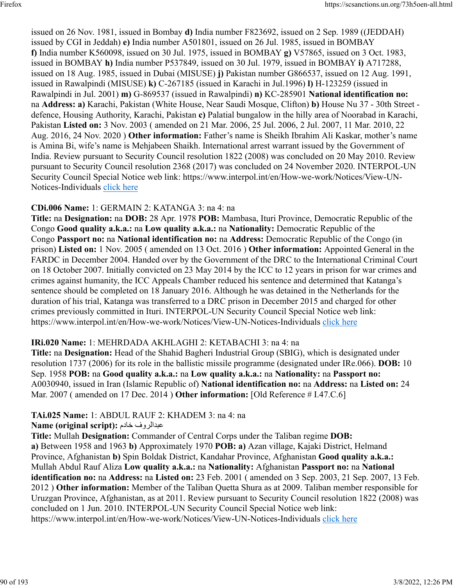issued on 26 Nov. 1981, issued in Bombay **d)** India number F823692, issued on 2 Sep. 1989 ((JEDDAH) issued by CGI in Jeddah) **e)** India number A501801, issued on 26 Jul. 1985, issued in BOMBAY **f)** India number K560098, issued on 30 Jul. 1975, issued in BOMBAY **g)** V57865, issued on 3 Oct. 1983, issued in BOMBAY **h)** India number P537849, issued on 30 Jul. 1979, issued in BOMBAY **i)** A717288, issued on 18 Aug. 1985, issued in Dubai (MISUSE) **j)** Pakistan number G866537, issued on 12 Aug. 1991, issued in Rawalpindi (MISUSE) **k)** C-267185 (issued in Karachi in Jul.1996) **l)** H-123259 (issued in Rawalpindi in Jul. 2001) **m)** G-869537 (issued in Rawalpindi) **n)** KC-285901 **National identification no:** na **Address: a)** Karachi, Pakistan (White House, Near Saudi Mosque, Clifton) **b)** House Nu 37 - 30th Street defence, Housing Authority, Karachi, Pakistan **c)** Palatial bungalow in the hilly area of Noorabad in Karachi, Pakistan **Listed on:** 3 Nov. 2003 ( amended on 21 Mar. 2006, 25 Jul. 2006, 2 Jul. 2007, 11 Mar. 2010, 22 Aug. 2016, 24 Nov. 2020 ) **Other information:** Father's name is Sheikh Ibrahim Ali Kaskar, mother's name is Amina Bi, wife's name is Mehjabeen Shaikh. International arrest warrant issued by the Government of India. Review pursuant to Security Council resolution 1822 (2008) was concluded on 20 May 2010. Review pursuant to Security Council resolution 2368 (2017) was concluded on 24 November 2020. INTERPOL-UN Security Council Special Notice web link: https://www.interpol.int/en/How-we-work/Notices/View-UN-Notices-Individuals [click here](https://www.interpol.int/en/How-we-work/Notices/View-UN-Notices-Individuals)

### **CDi.006 Name:** 1: GERMAIN 2: KATANGA 3: na 4: na

**Title:** na **Designation:** na **DOB:** 28 Apr. 1978 **POB:** Mambasa, Ituri Province, Democratic Republic of the Congo **Good quality a.k.a.:** na **Low quality a.k.a.:** na **Nationality:** Democratic Republic of the Congo **Passport no:** na **National identification no:** na **Address:** Democratic Republic of the Congo (in prison) **Listed on:** 1 Nov. 2005 ( amended on 13 Oct. 2016 ) **Other information:** Appointed General in the FARDC in December 2004. Handed over by the Government of the DRC to the International Criminal Court on 18 October 2007. Initially convicted on 23 May 2014 by the ICC to 12 years in prison for war crimes and crimes against humanity, the ICC Appeals Chamber reduced his sentence and determined that Katanga's sentence should be completed on 18 January 2016. Although he was detained in the Netherlands for the duration of his trial, Katanga was transferred to a DRC prison in December 2015 and charged for other crimes previously committed in Ituri. INTERPOL-UN Security Council Special Notice web link: https://www.interpol.int/en/How-we-work/Notices/View-UN-Notices-Individuals [click here](https://www.interpol.int/en/How-we-work/Notices/View-UN-Notices-Individuals)

## **IRi.020 Name:** 1: MEHRDADA AKHLAGHI 2: KETABACHI 3: na 4: na

**Title:** na **Designation:** Head of the Shahid Bagheri Industrial Group (SBIG), which is designated under resolution 1737 (2006) for its role in the ballistic missile programme (designated under IRe.066). **DOB:** 10 Sep. 1958 **POB:** na **Good quality a.k.a.:** na **Low quality a.k.a.:** na **Nationality:** na **Passport no:** A0030940, issued in Iran (Islamic Republic of) **National identification no:** na **Address:** na **Listed on:** 24 Mar. 2007 ( amended on 17 Dec. 2014 ) **Other information:** [Old Reference # I.47.C.6]

## **TAi.025 Name:** 1: ABDUL RAUF 2: KHADEM 3: na 4: na

#### **Name (original script):** مداخ فورلادبع

**Title:** Mullah **Designation:** Commander of Central Corps under the Taliban regime **DOB: a)** Between 1958 and 1963 **b)** Approximately 1970 **POB: a)** Azan village, Kajaki District, Helmand Province, Afghanistan **b)** Spin Boldak District, Kandahar Province, Afghanistan **Good quality a.k.a.:** Mullah Abdul Rauf Aliza **Low quality a.k.a.:** na **Nationality:** Afghanistan **Passport no:** na **National identification no:** na **Address:** na **Listed on:** 23 Feb. 2001 ( amended on 3 Sep. 2003, 21 Sep. 2007, 13 Feb. 2012 ) **Other information:** Member of the Taliban Quetta Shura as at 2009. Taliban member responsible for Uruzgan Province, Afghanistan, as at 2011. Review pursuant to Security Council resolution 1822 (2008) was concluded on 1 Jun. 2010. INTERPOL-UN Security Council Special Notice web link: https://www.interpol.int/en/How-we-work/Notices/View-UN-Notices-Individuals [click here](https://www.interpol.int/en/How-we-work/Notices/View-UN-Notices-Individuals)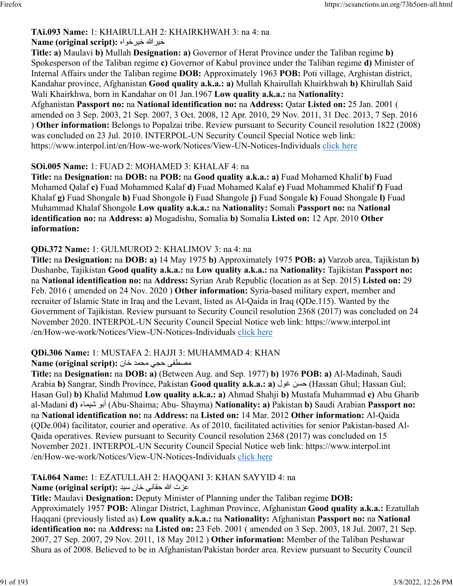#### **TAi.093 Name:** 1: KHAIRULLAH 2: KHAIRKHWAH 3: na 4: na **Name (original script):** هاوخريخ اللهريخ

**Title: a)** Maulavi **b)** Mullah **Designation: a)** Governor of Herat Province under the Taliban regime **b)** Spokesperson of the Taliban regime **c)** Governor of Kabul province under the Taliban regime **d)** Minister of Internal Affairs under the Taliban regime **DOB:** Approximately 1963 **POB:** Poti village, Arghistan district, Kandahar province, Afghanistan **Good quality a.k.a.: a)** Mullah Khairullah Khairkhwah **b)** Khirullah Said Wali Khairkhwa, born in Kandahar on 01 Jan.1967 **Low quality a.k.a.:** na **Nationality:** Afghanistan **Passport no:** na **National identification no:** na **Address:** Qatar **Listed on:** 25 Jan. 2001 ( amended on 3 Sep. 2003, 21 Sep. 2007, 3 Oct. 2008, 12 Apr. 2010, 29 Nov. 2011, 31 Dec. 2013, 7 Sep. 2016 ) **Other information:** Belongs to Popalzai tribe. Review pursuant to Security Council resolution 1822 (2008) was concluded on 23 Jul. 2010. INTERPOL-UN Security Council Special Notice web link: https://www.interpol.int/en/How-we-work/Notices/View-UN-Notices-Individuals [click here](https://www.interpol.int/en/How-we-work/Notices/View-UN-Notices-Individuals)

## **SOi.005 Name:** 1: FUAD 2: MOHAMED 3: KHALAF 4: na

**Title:** na **Designation:** na **DOB:** na **POB:** na **Good quality a.k.a.: a)** Fuad Mohamed Khalif **b)** Fuad Mohamed Qalaf **c)** Fuad Mohammed Kalaf **d)** Fuad Mohamed Kalaf **e)** Fuad Mohammed Khalif **f)** Fuad Khalaf **g)** Fuad Shongale **h)** Fuad Shongole **i)** Fuad Shangole **j)** Fuad Songale **k)** Fouad Shongale **l)** Fuad Muhammad Khalaf Shongole **Low quality a.k.a.:** na **Nationality:** Somali **Passport no:** na **National identification no:** na **Address: a)** Mogadishu, Somalia **b)** Somalia **Listed on:** 12 Apr. 2010 **Other information:** 

## **QDi.372 Name:** 1: GULMUROD 2: KHALIMOV 3: na 4: na

**Title:** na **Designation:** na **DOB: a)** 14 May 1975 **b)** Approximately 1975 **POB: a)** Varzob area, Tajikistan **b)** Dushanbe, Tajikistan **Good quality a.k.a.:** na **Low quality a.k.a.:** na **Nationality:** Tajikistan **Passport no:** na **National identification no:** na **Address:** Syrian Arab Republic (location as at Sep. 2015) **Listed on:** 29 Feb. 2016 ( amended on 24 Nov. 2020 ) **Other information:** Syria-based military expert, member and recruiter of Islamic State in Iraq and the Levant, listed as Al-Qaida in Iraq (QDe.115). Wanted by the Government of Tajikistan. Review pursuant to Security Council resolution 2368 (2017) was concluded on 24 November 2020. INTERPOL-UN Security Council Special Notice web link: https://www.interpol.int /en/How-we-work/Notices/View-UN-Notices-Individuals [click here](https://www.interpol.int/en/How-we-work/Notices/View-UN-Notices-Individuals)

## **QDi.306 Name:** 1: MUSTAFA 2: HAJJI 3: MUHAMMAD 4: KHAN

## ىفطصم يجح دمحم ناخ **:(script original (Name**

**Title:** na **Designation:** na **DOB: a)** (Between Aug. and Sep. 1977) **b)** 1976 **POB: a)** Al-Madinah, Saudi Arabia **b)** Sangrar, Sindh Province, Pakistan **Good quality a.k.a.: a)** لوغ نسح) Hassan Ghul; Hassan Gul; Hasan Gul) **b)** Khalid Mahmud **Low quality a.k.a.: a)** Ahmad Shahji **b)** Mustafa Muhammad **c)** Abu Gharib al-Madani **d)** ءاميش وبأ) Abu-Shaima; Abu- Shayma) **Nationality: a)** Pakistan **b)** Saudi Arabian **Passport no:** na **National identification no:** na **Address:** na **Listed on:** 14 Mar. 2012 **Other information:** Al-Qaida (QDe.004) facilitator, courier and operative. As of 2010, facilitated activities for senior Pakistan-based Al-Qaida operatives. Review pursuant to Security Council resolution 2368 (2017) was concluded on 15 November 2021. INTERPOL-UN Security Council Special Notice web link: https://www.interpol.int /en/How-we-work/Notices/View-UN-Notices-Individuals [click here](https://www.interpol.int/en/How-we-work/Notices/View-UN-Notices-Individuals)

## **TAi.064 Name:** 1: EZATULLAH 2: HAQQANI 3: KHAN SAYYID 4: na

## عزت الله حقاني خان سيد **:Name (original script)**

**Title:** Maulavi **Designation:** Deputy Minister of Planning under the Taliban regime **DOB:** Approximately 1957 **POB:** Alingar District, Laghman Province, Afghanistan **Good quality a.k.a.:** Ezatullah Haqqani (previously listed as) **Low quality a.k.a.:** na **Nationality:** Afghanistan **Passport no:** na **National identification no:** na **Address:** na **Listed on:** 23 Feb. 2001 ( amended on 3 Sep. 2003, 18 Jul. 2007, 21 Sep. 2007, 27 Sep. 2007, 29 Nov. 2011, 18 May 2012 ) **Other information:** Member of the Taliban Peshawar Shura as of 2008. Believed to be in Afghanistan/Pakistan border area. Review pursuant to Security Council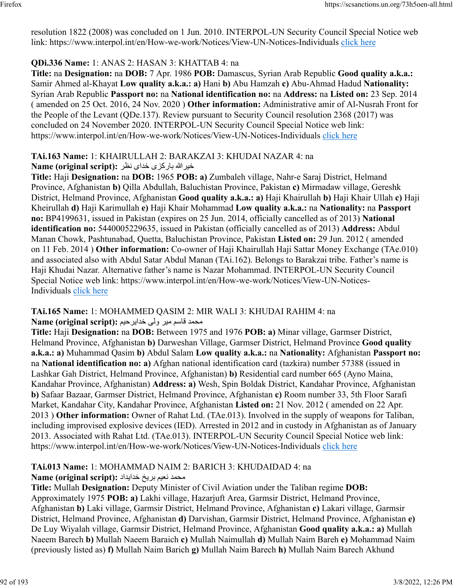resolution 1822 (2008) was concluded on 1 Jun. 2010. INTERPOL-UN Security Council Special Notice web link: https://www.interpol.int/en/How-we-work/Notices/View-UN-Notices-Individuals [click here](https://www.interpol.int/en/How-we-work/Notices/View-UN-Notices-Individuals)

## **QDi.336 Name:** 1: ANAS 2: HASAN 3: KHATTAB 4: na

**Title:** na **Designation:** na **DOB:** 7 Apr. 1986 **POB:** Damascus, Syrian Arab Republic **Good quality a.k.a.:** Samir Ahmed al-Khayat **Low quality a.k.a.: a)** Hani **b)** Abu Hamzah **c)** Abu-Ahmad Hadud **Nationality:** Syrian Arab Republic **Passport no:** na **National identification no:** na **Address:** na **Listed on:** 23 Sep. 2014 ( amended on 25 Oct. 2016, 24 Nov. 2020 ) **Other information:** Administrative amir of Al-Nusrah Front for the People of the Levant (QDe.137). Review pursuant to Security Council resolution 2368 (2017) was concluded on 24 November 2020. INTERPOL-UN Security Council Special Notice web link: https://www.interpol.int/en/How-we-work/Notices/View-UN-Notices-Individuals [click here](https://www.interpol.int/en/How-we-work/Notices/View-UN-Notices-Individuals)

#### **TAi.163 Name:** 1: KHAIRULLAH 2: BARAKZAI 3: KHUDAI NAZAR 4: na اللهريخ یزکراب یادخ رظن **:(script original (Name**

**Title:** Haji **Designation:** na **DOB:** 1965 **POB: a)** Zumbaleh village, Nahr-e Saraj District, Helmand Province, Afghanistan **b)** Qilla Abdullah, Baluchistan Province, Pakistan **c)** Mirmadaw village, Gereshk District, Helmand Province, Afghanistan **Good quality a.k.a.: a)** Haji Khairullah **b)** Haji Khair Ullah **c)** Haji Kheirullah **d)** Haji Karimullah **e)** Haji Khair Mohammad **Low quality a.k.a.:** na **Nationality:** na **Passport no:** BP4199631, issued in Pakistan (expires on 25 Jun. 2014, officially cancelled as of 2013) **National identification no:** 5440005229635, issued in Pakistan (officially cancelled as of 2013) **Address:** Abdul Manan Chowk, Pashtunabad, Quetta, Baluchistan Province, Pakistan **Listed on:** 29 Jun. 2012 ( amended on 11 Feb. 2014 ) **Other information:** Co-owner of Haji Khairullah Haji Sattar Money Exchange (TAe.010) and associated also with Abdul Satar Abdul Manan (TAi.162). Belongs to Barakzai tribe. Father's name is Haji Khudai Nazar. Alternative father's name is Nazar Mohammad. INTERPOL-UN Security Council Special Notice web link: https://www.interpol.int/en/How-we-work/Notices/View-UN-Notices-Individuals [click here](https://www.interpol.int/en/How-we-work/Notices/View-UN-Notices-Individuals)

#### **TAi.165 Name:** 1: MOHAMMED QASIM 2: MIR WALI 3: KHUDAI RAHIM 4: na دمحم مساق ريم یلو ميحريادخ **:(script original (Name**

**Title:** Haji **Designation:** na **DOB:** Between 1975 and 1976 **POB: a)** Minar village, Garmser District, Helmand Province, Afghanistan **b)** Darweshan Village, Garmser District, Helmand Province **Good quality a.k.a.: a)** Muhammad Qasim **b)** Abdul Salam **Low quality a.k.a.:** na **Nationality:** Afghanistan **Passport no:** na **National identification no: a)** Afghan national identification card (tazkira) number 57388 (issued in Lashkar Gah District, Helmand Province, Afghanistan) **b)** Residential card number 665 (Ayno Maina, Kandahar Province, Afghanistan) **Address: a)** Wesh, Spin Boldak District, Kandahar Province, Afghanistan **b)** Safaar Bazaar, Garmser District, Helmand Province, Afghanistan **c)** Room number 33, 5th Floor Sarafi Market, Kandahar City, Kandahar Province, Afghanistan **Listed on:** 21 Nov. 2012 ( amended on 22 Apr. 2013 ) **Other information:** Owner of Rahat Ltd. (TAe.013). Involved in the supply of weapons for Taliban, including improvised explosive devices (IED). Arrested in 2012 and in custody in Afghanistan as of January 2013. Associated with Rahat Ltd. (TAe.013). INTERPOL-UN Security Council Special Notice web link: https://www.interpol.int/en/How-we-work/Notices/View-UN-Notices-Individuals [click here](https://www.interpol.int/en/How-we-work/Notices/View-UN-Notices-Individuals)

#### **TAi.013 Name:** 1: MOHAMMAD NAIM 2: BARICH 3: KHUDAIDAD 4: na دمحم ميعن خيرب داديادخ **:(script original (Name**

**Title:** Mullah **Designation:** Deputy Minister of Civil Aviation under the Taliban regime **DOB:** Approximately 1975 **POB: a)** Lakhi village, Hazarjuft Area, Garmsir District, Helmand Province, Afghanistan **b)** Laki village, Garmsir District, Helmand Province, Afghanistan **c)** Lakari village, Garmsir District, Helmand Province, Afghanistan **d)** Darvishan, Garmsir District, Helmand Province, Afghanistan **e)** De Luy Wiyalah village, Garmsir District, Helmand Province, Afghanistan **Good quality a.k.a.: a)** Mullah Naeem Barech **b)** Mullah Naeem Baraich **c)** Mullah Naimullah **d)** Mullah Naim Bareh **e)** Mohammad Naim (previously listed as) **f)** Mullah Naim Barich **g)** Mullah Naim Barech **h)** Mullah Naim Barech Akhund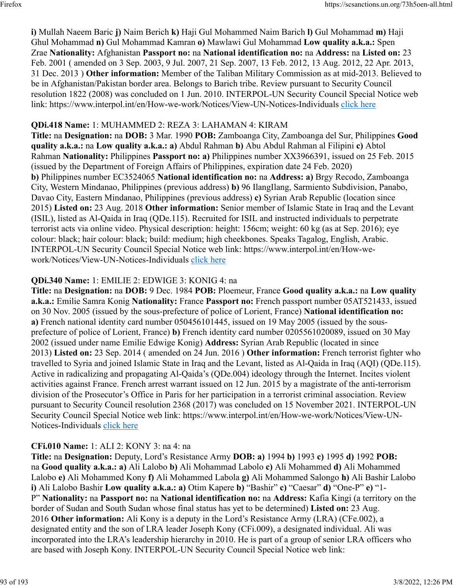**i)** Mullah Naeem Baric **j)** Naim Berich **k)** Haji Gul Mohammed Naim Barich **l)** Gul Mohammad **m)** Haji Ghul Mohammad **n)** Gul Mohammad Kamran **o)** Mawlawi Gul Mohammad **Low quality a.k.a.:** Spen Zrae **Nationality:** Afghanistan **Passport no:** na **National identification no:** na **Address:** na **Listed on:** 23 Feb. 2001 ( amended on 3 Sep. 2003, 9 Jul. 2007, 21 Sep. 2007, 13 Feb. 2012, 13 Aug. 2012, 22 Apr. 2013, 31 Dec. 2013 ) **Other information:** Member of the Taliban Military Commission as at mid-2013. Believed to be in Afghanistan/Pakistan border area. Belongs to Barich tribe. Review pursuant to Security Council resolution 1822 (2008) was concluded on 1 Jun. 2010. INTERPOL-UN Security Council Special Notice web link: https://www.interpol.int/en/How-we-work/Notices/View-UN-Notices-Individuals [click here](https://www.interpol.int/en/How-we-work/Notices/View-UN-Notices-Individuals)

### **QDi.418 Name:** 1: MUHAMMED 2: REZA 3: LAHAMAN 4: KIRAM

**Title:** na **Designation:** na **DOB:** 3 Mar. 1990 **POB:** Zamboanga City, Zamboanga del Sur, Philippines **Good quality a.k.a.:** na **Low quality a.k.a.: a)** Abdul Rahman **b)** Abu Abdul Rahman al Filipini **c)** Abtol Rahman **Nationality:** Philippines **Passport no: a)** Philippines number XX3966391, issued on 25 Feb. 2015 (issued by the Department of Foreign Affairs of Philippines, expiration date 24 Feb. 2020) **b)** Philippines number EC3524065 **National identification no:** na **Address: a)** Brgy Recodo, Zamboanga City, Western Mindanao, Philippines (previous address) **b)** 96 IlangIlang, Sarmiento Subdivision, Panabo, Davao City, Eastern Mindanao, Philippines (previous address) **c)** Syrian Arab Republic (location since 2015) **Listed on:** 23 Aug. 2018 **Other information:** Senior member of Islamic State in Iraq and the Levant (ISIL), listed as Al-Qaida in Iraq (QDe.115). Recruited for ISIL and instructed individuals to perpetrate terrorist acts via online video. Physical description: height: 156cm; weight: 60 kg (as at Sep. 2016); eye colour: black; hair colour: black; build: medium; high cheekbones. Speaks Tagalog, English, Arabic. INTERPOL-UN Security Council Special Notice web link: https://www.interpol.int/en/How-wework/Notices/View-UN-Notices-Individuals [click here](https://www.interpol.int/en/How-we-work/Notices/View-UN-Notices-Individuals)

### **QDi.340 Name:** 1: EMILIE 2: EDWIGE 3: KONIG 4: na

**Title:** na **Designation:** na **DOB:** 9 Dec. 1984 **POB:** Ploemeur, France **Good quality a.k.a.:** na **Low quality a.k.a.:** Emilie Samra Konig **Nationality:** France **Passport no:** French passport number 05AT521433, issued on 30 Nov. 2005 (issued by the sous-prefecture of police of Lorient, France) **National identification no: a)** French national identity card number 050456101445, issued on 19 May 2005 (issued by the sousprefecture of police of Lorient, France) **b)** French identity card number 0205561020089, issued on 30 May 2002 (issued under name Emilie Edwige Konig) **Address:** Syrian Arab Republic (located in since 2013) **Listed on:** 23 Sep. 2014 ( amended on 24 Jun. 2016 ) **Other information:** French terrorist fighter who travelled to Syria and joined Islamic State in Iraq and the Levant, listed as Al-Qaida in Iraq (AQI) (QDe.115). Active in radicalizing and propagating Al-Qaida's (QDe.004) ideology through the Internet. Incites violent activities against France. French arrest warrant issued on 12 Jun. 2015 by a magistrate of the anti-terrorism division of the Prosecutor's Office in Paris for her participation in a terrorist criminal association. Review pursuant to Security Council resolution 2368 (2017) was concluded on 15 November 2021. INTERPOL-UN Security Council Special Notice web link: https://www.interpol.int/en/How-we-work/Notices/View-UN-Notices-Individuals [click here](https://www.interpol.int/en/How-we-work/Notices/View-UN-Notices-Individuals)

## **CFi.010 Name:** 1: ALI 2: KONY 3: na 4: na

**Title:** na **Designation:** Deputy, Lord's Resistance Army **DOB: a)** 1994 **b)** 1993 **c)** 1995 **d)** 1992 **POB:** na **Good quality a.k.a.: a)** Ali Lalobo **b)** Ali Mohammad Labolo **c)** Ali Mohammed **d)** Ali Mohammed Lalobo **e)** Ali Mohammed Kony **f)** Ali Mohammed Labola **g)** Ali Mohammed Salongo **h)** Ali Bashir Lalobo **i)** Ali Lalobo Bashir **Low quality a.k.a.: a)** Otim Kapere **b)** "Bashir" **c)** "Caesar" **d)** "One-P" **e)** "1- P" **Nationality:** na **Passport no:** na **National identification no:** na **Address:** Kafia Kingi (a territory on the border of Sudan and South Sudan whose final status has yet to be determined) **Listed on:** 23 Aug. 2016 **Other information:** Ali Kony is a deputy in the Lord's Resistance Army (LRA) (CFe.002), a designated entity and the son of LRA leader Joseph Kony (CFi.009), a designated individual. Ali was incorporated into the LRA's leadership hierarchy in 2010. He is part of a group of senior LRA officers who are based with Joseph Kony. INTERPOL-UN Security Council Special Notice web link: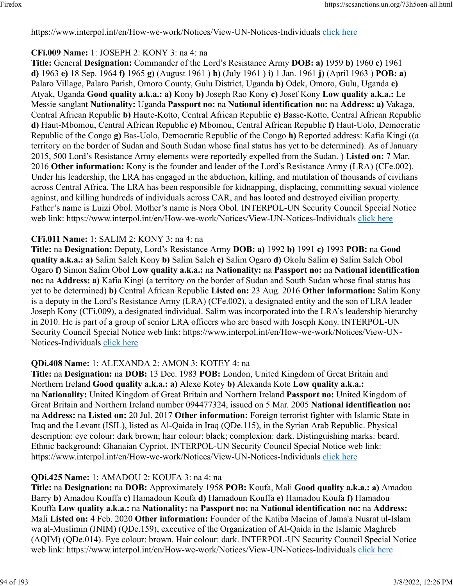https://www.interpol.int/en/How-we-work/Notices/View-UN-Notices-Individuals [click here](https://www.interpol.int/en/How-we-work/Notices/View-UN-Notices-Individuals)

## **CFi.009 Name:** 1: JOSEPH 2: KONY 3: na 4: na

**Title:** General **Designation:** Commander of the Lord's Resistance Army **DOB: a)** 1959 **b)** 1960 **c)** 1961 **d)** 1963 **e)** 18 Sep. 1964 **f)** 1965 **g)** (August 1961 ) **h)** (July 1961 ) **i)** 1 Jan. 1961 **j)** (April 1963 ) **POB: a)** Palaro Village, Palaro Parish, Omoro County, Gulu District, Uganda **b)** Odek, Omoro, Gulu, Uganda **c)** Atyak, Uganda **Good quality a.k.a.: a)** Kony **b)** Joseph Rao Kony **c)** Josef Kony **Low quality a.k.a.:** Le Messie sanglant **Nationality:** Uganda **Passport no:** na **National identification no:** na **Address: a)** Vakaga, Central African Republic **b)** Haute-Kotto, Central African Republic **c)** Basse-Kotto, Central African Republic **d)** Haut-Mbomou, Central African Republic **e)** Mbomou, Central African Republic **f)** Haut-Uolo, Democratic Republic of the Congo **g)** Bas-Uolo, Democratic Republic of the Congo **h)** Reported address: Kafia Kingi ((a territory on the border of Sudan and South Sudan whose final status has yet to be determined). As of January 2015, 500 Lord's Resistance Army elements were reportedly expelled from the Sudan. ) **Listed on:** 7 Mar. 2016 **Other information:** Kony is the founder and leader of the Lord's Resistance Army (LRA) (CFe.002). Under his leadership, the LRA has engaged in the abduction, killing, and mutilation of thousands of civilians across Central Africa. The LRA has been responsible for kidnapping, displacing, committing sexual violence against, and killing hundreds of individuals across CAR, and has looted and destroyed civilian property. Father's name is Luizi Obol. Mother's name is Nora Obol. INTERPOL-UN Security Council Special Notice web link: https://www.interpol.int/en/How-we-work/Notices/View-UN-Notices-Individuals [click here](https://www.interpol.int/en/How-we-work/Notices/View-UN-Notices-Individuals)

## **CFi.011 Name:** 1: SALIM 2: KONY 3: na 4: na

**Title:** na **Designation:** Deputy, Lord's Resistance Army **DOB: a)** 1992 **b)** 1991 **c)** 1993 **POB:** na **Good quality a.k.a.: a)** Salim Saleh Kony **b)** Salim Saleh **c)** Salim Ogaro **d)** Okolu Salim **e)** Salim Saleh Obol Ogaro **f)** Simon Salim Obol **Low quality a.k.a.:** na **Nationality:** na **Passport no:** na **National identification no:** na **Address: a)** Kafia Kingi (a territory on the border of Sudan and South Sudan whose final status has yet to be determined) **b)** Central African Republic **Listed on:** 23 Aug. 2016 **Other information:** Salim Kony is a deputy in the Lord's Resistance Army (LRA) (CFe.002), a designated entity and the son of LRA leader Joseph Kony (CFi.009), a designated individual. Salim was incorporated into the LRA's leadership hierarchy in 2010. He is part of a group of senior LRA officers who are based with Joseph Kony. INTERPOL-UN Security Council Special Notice web link: https://www.interpol.int/en/How-we-work/Notices/View-UN-Notices-Individuals [click here](https://www.interpol.int/en/How-we-work/Notices/View-UN-Notices-Individuals)

## **QDi.408 Name:** 1: ALEXANDA 2: AMON 3: KOTEY 4: na

**Title:** na **Designation:** na **DOB:** 13 Dec. 1983 **POB:** London, United Kingdom of Great Britain and Northern Ireland **Good quality a.k.a.: a)** Alexe Kotey **b)** Alexanda Kote **Low quality a.k.a.:** na **Nationality:** United Kingdom of Great Britain and Northern Ireland **Passport no:** United Kingdom of Great Britain and Northern Ireland number 094477324, issued on 5 Mar. 2005 **National identification no:** na **Address:** na **Listed on:** 20 Jul. 2017 **Other information:** Foreign terrorist fighter with Islamic State in Iraq and the Levant (ISIL), listed as Al-Qaida in Iraq (QDe.115), in the Syrian Arab Republic. Physical description: eye colour: dark brown; hair colour: black; complexion: dark. Distinguishing marks: beard. Ethnic background: Ghanaian Cypriot. INTERPOL-UN Security Council Special Notice web link: https://www.interpol.int/en/How-we-work/Notices/View-UN-Notices-Individuals [click here](https://www.interpol.int/en/How-we-work/Notices/View-UN-Notices-Individuals)

## **QDi.425 Name:** 1: AMADOU 2: KOUFA 3: na 4: na

**Title:** na **Designation:** na **DOB:** Approximately 1958 **POB:** Koufa, Mali **Good quality a.k.a.: a)** Amadou Barry **b)** Amadou Kouffa **c)** Hamadoun Koufa **d)** Hamadoun Kouffa **e)** Hamadou Koufa **f)** Hamadou Kouffa **Low quality a.k.a.:** na **Nationality:** na **Passport no:** na **National identification no:** na **Address:** Mali **Listed on:** 4 Feb. 2020 **Other information:** Founder of the Katiba Macina of Jama'a Nusrat ul-Islam wa al-Muslimin (JNIM) (QDe.159), executive of the Organization of Al-Qaida in the Islamic Maghreb (AQIM) (QDe.014). Eye colour: brown. Hair colour: dark. INTERPOL-UN Security Council Special Notice web link: https://www.interpol.int/en/How-we-work/Notices/View-UN-Notices-Individuals [click here](https://www.interpol.int/en/How-we-work/Notices/View-UN-Notices-Individuals)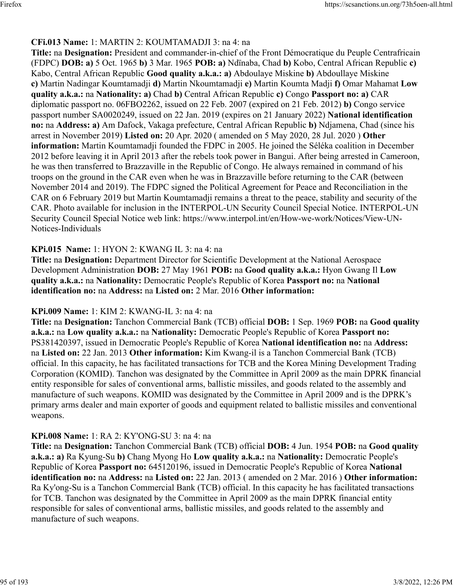## **CFi.013 Name:** 1: MARTIN 2: KOUMTAMADJI 3: na 4: na

**Title:** na **Designation:** President and commander-in-chief of the Front Démocratique du Peuple Centrafricain (FDPC) **DOB: a)** 5 Oct. 1965 **b)** 3 Mar. 1965 **POB: a)** Ndïnaba, Chad **b)** Kobo, Central African Republic **c)** Kabo, Central African Republic **Good quality a.k.a.: a)** Abdoulaye Miskine **b)** Abdoullaye Miskine **c)** Martin Nadingar Koumtamadji **d)** Martin Nkoumtamadji **e)** Martin Koumta Madji **f)** Omar Mahamat **Low quality a.k.a.:** na **Nationality: a)** Chad **b)** Central African Republic **c)** Congo **Passport no: a)** CAR diplomatic passport no. 06FBO2262, issued on 22 Feb. 2007 (expired on 21 Feb. 2012) **b)** Congo service passport number SA0020249, issued on 22 Jan. 2019 (expires on 21 January 2022) **National identification no:** na **Address: a)** Am Dafock, Vakaga prefecture, Central African Republic **b)** Ndjamena, Chad (since his arrest in November 2019) **Listed on:** 20 Apr. 2020 ( amended on 5 May 2020, 28 Jul. 2020 ) **Other information:** Martin Koumtamadji founded the FDPC in 2005. He joined the Séléka coalition in December 2012 before leaving it in April 2013 after the rebels took power in Bangui. After being arrested in Cameroon, he was then transferred to Brazzaville in the Republic of Congo. He always remained in command of his troops on the ground in the CAR even when he was in Brazzaville before returning to the CAR (between November 2014 and 2019). The FDPC signed the Political Agreement for Peace and Reconciliation in the CAR on 6 February 2019 but Martin Koumtamadji remains a threat to the peace, stability and security of the CAR. Photo available for inclusion in the INTERPOL-UN Security Council Special Notice. INTERPOL-UN Security Council Special Notice web link: https://www.interpol.int/en/How-we-work/Notices/View-UN-Notices-Individuals

## **KPi.015 Name:** 1: HYON 2: KWANG IL 3: na 4: na

**Title:** na **Designation:** Department Director for Scientific Development at the National Aerospace Development Administration **DOB:** 27 May 1961 **POB:** na **Good quality a.k.a.:** Hyon Gwang Il **Low quality a.k.a.:** na **Nationality:** Democratic People's Republic of Korea **Passport no:** na **National identification no:** na **Address:** na **Listed on:** 2 Mar. 2016 **Other information:** 

## **KPi.009 Name:** 1: KIM 2: KWANG-IL 3: na 4: na

**Title:** na **Designation:** Tanchon Commercial Bank (TCB) official **DOB:** 1 Sep. 1969 **POB:** na **Good quality a.k.a.:** na **Low quality a.k.a.:** na **Nationality:** Democratic People's Republic of Korea **Passport no:** PS381420397, issued in Democratic People's Republic of Korea **National identification no:** na **Address:** na **Listed on:** 22 Jan. 2013 **Other information:** Kim Kwang-il is a Tanchon Commercial Bank (TCB) official. In this capacity, he has facilitated transactions for TCB and the Korea Mining Development Trading Corporation (KOMID). Tanchon was designated by the Committee in April 2009 as the main DPRK financial entity responsible for sales of conventional arms, ballistic missiles, and goods related to the assembly and manufacture of such weapons. KOMID was designated by the Committee in April 2009 and is the DPRK's primary arms dealer and main exporter of goods and equipment related to ballistic missiles and conventional weapons.

## **KPi.008 Name:** 1: RA 2: KY'ONG-SU 3: na 4: na

**Title:** na **Designation:** Tanchon Commercial Bank (TCB) official **DOB:** 4 Jun. 1954 **POB:** na **Good quality a.k.a.: a)** Ra Kyung-Su **b)** Chang Myong Ho **Low quality a.k.a.:** na **Nationality:** Democratic People's Republic of Korea **Passport no:** 645120196, issued in Democratic People's Republic of Korea **National identification no:** na **Address:** na **Listed on:** 22 Jan. 2013 ( amended on 2 Mar. 2016 ) **Other information:** Ra Ky'ong-Su is a Tanchon Commercial Bank (TCB) official. In this capacity he has facilitated transactions for TCB. Tanchon was designated by the Committee in April 2009 as the main DPRK financial entity responsible for sales of conventional arms, ballistic missiles, and goods related to the assembly and manufacture of such weapons.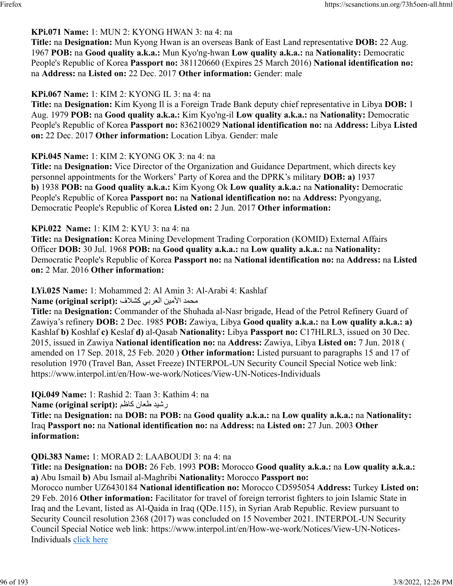## **KPi.071 Name:** 1: MUN 2: KYONG HWAN 3: na 4: na

**Title:** na **Designation:** Mun Kyong Hwan is an overseas Bank of East Land representative **DOB:** 22 Aug. 1967 **POB:** na **Good quality a.k.a.:** Mun Kyo'ng-hwan **Low quality a.k.a.:** na **Nationality:** Democratic People's Republic of Korea **Passport no:** 381120660 (Expires 25 March 2016) **National identification no:** na **Address:** na **Listed on:** 22 Dec. 2017 **Other information:** Gender: male

## **KPi.067 Name:** 1: KIM 2: KYONG IL 3: na 4: na

**Title:** na **Designation:** Kim Kyong Il is a Foreign Trade Bank deputy chief representative in Libya **DOB:** 1 Aug. 1979 **POB:** na **Good quality a.k.a.:** Kim Kyo'ng-il **Low quality a.k.a.:** na **Nationality:** Democratic People's Republic of Korea **Passport no:** 836210029 **National identification no:** na **Address:** Libya **Listed on:** 22 Dec. 2017 **Other information:** Location Libya. Gender: male

## **KPi.045 Name:** 1: KIM 2: KYONG OK 3: na 4: na

**Title:** na **Designation:** Vice Director of the Organization and Guidance Department, which directs key personnel appointments for the Workers' Party of Korea and the DPRK's military **DOB: a)** 1937 **b)** 1938 **POB:** na **Good quality a.k.a.:** Kim Kyong Ok **Low quality a.k.a.:** na **Nationality:** Democratic People's Republic of Korea **Passport no:** na **National identification no:** na **Address:** Pyongyang, Democratic People's Republic of Korea **Listed on:** 2 Jun. 2017 **Other information:** 

## **KPi.022 Name:** 1: KIM 2: KYU 3: na 4: na

**Title:** na **Designation:** Korea Mining Development Trading Corporation (KOMID) External Affairs Officer **DOB:** 30 Jul. 1968 **POB:** na **Good quality a.k.a.:** na **Low quality a.k.a.:** na **Nationality:** Democratic People's Republic of Korea **Passport no:** na **National identification no:** na **Address:** na **Listed on:** 2 Mar. 2016 **Other information:** 

## **LYi.025 Name:** 1: Mohammed 2: Al Amin 3: Al-Arabi 4: Kashlaf

محمد الأمين العربي كشلاف :**Name (original script**)

**Title:** na **Designation:** Commander of the Shuhada al-Nasr brigade, Head of the Petrol Refinery Guard of Zawiya's refinery **DOB:** 2 Dec. 1985 **POB:** Zawiya, Libya **Good quality a.k.a.:** na **Low quality a.k.a.: a)** Kashlaf **b)** Koshlaf **c)** Keslaf **d)** al-Qasab **Nationality:** Libya **Passport no:** C17HLRL3, issued on 30 Dec. 2015, issued in Zawiya **National identification no:** na **Address:** Zawiya, Libya **Listed on:** 7 Jun. 2018 ( amended on 17 Sep. 2018, 25 Feb. 2020 ) **Other information:** Listed pursuant to paragraphs 15 and 17 of resolution 1970 (Travel Ban, Asset Freeze) INTERPOL-UN Security Council Special Notice web link: https://www.interpol.int/en/How-we-work/Notices/View-UN-Notices-Individuals

**IQi.049 Name:** 1: Rashid 2: Taan 3: Kathim 4: na

ديشر ناعط مظاك **:(script original (Name**

**Title:** na **Designation:** na **DOB:** na **POB:** na **Good quality a.k.a.:** na **Low quality a.k.a.:** na **Nationality:** Iraq **Passport no:** na **National identification no:** na **Address:** na **Listed on:** 27 Jun. 2003 **Other information:** 

## **QDi.383 Name:** 1: MORAD 2: LAABOUDI 3: na 4: na

**Title:** na **Designation:** na **DOB:** 26 Feb. 1993 **POB:** Morocco **Good quality a.k.a.:** na **Low quality a.k.a.: a)** Abu Ismail **b)** Abu Ismail al-Maghribi **Nationality:** Morocco **Passport no:**

Morocco number UZ6430184 **National identification no:** Morocco CD595054 **Address:** Turkey **Listed on:** 29 Feb. 2016 **Other information:** Facilitator for travel of foreign terrorist fighters to join Islamic State in Iraq and the Levant, listed as Al-Qaida in Iraq (QDe.115), in Syrian Arab Republic. Review pursuant to Security Council resolution 2368 (2017) was concluded on 15 November 2021. INTERPOL-UN Security Council Special Notice web link: https://www.interpol.int/en/How-we-work/Notices/View-UN-Notices-Individuals [click here](https://www.interpol.int/en/How-we-work/Notices/View-UN-Notices-Individuals)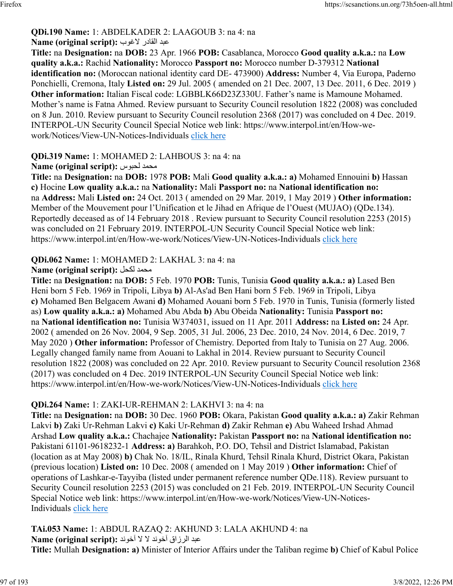#### **QDi.190 Name:** 1: ABDELKADER 2: LAAGOUB 3: na 4: na دبع رداقلا بوغلا **:(script original (Name**

**Title:** na **Designation:** na **DOB:** 23 Apr. 1966 **POB:** Casablanca, Morocco **Good quality a.k.a.:** na **Low quality a.k.a.:** Rachid **Nationality:** Morocco **Passport no:** Morocco number D-379312 **National identification no:** (Moroccan national identity card DE- 473900) **Address:** Number 4, Via Europa, Paderno Ponchielli, Cremona, Italy **Listed on:** 29 Jul. 2005 ( amended on 21 Dec. 2007, 13 Dec. 2011, 6 Dec. 2019 ) **Other information:** Italian Fiscal code: LGBBLK66D23Z330U. Father's name is Mamoune Mohamed. Mother's name is Fatna Ahmed. Review pursuant to Security Council resolution 1822 (2008) was concluded on 8 Jun. 2010. Review pursuant to Security Council resolution 2368 (2017) was concluded on 4 Dec. 2019. INTERPOL-UN Security Council Special Notice web link: https://www.interpol.int/en/How-wework/Notices/View-UN-Notices-Individuals [click here](https://www.interpol.int/en/How-we-work/Notices/View-UN-Notices-Individuals)

## **QDi.319 Name:** 1: MOHAMED 2: LAHBOUS 3: na 4: na

## **Name (original script):** سوبحل دمحم

**Title:** na **Designation:** na **DOB:** 1978 **POB:** Mali **Good quality a.k.a.: a)** Mohamed Ennouini **b)** Hassan **c)** Hocine **Low quality a.k.a.:** na **Nationality:** Mali **Passport no:** na **National identification no:** na **Address:** Mali **Listed on:** 24 Oct. 2013 ( amended on 29 Mar. 2019, 1 May 2019 ) **Other information:** Member of the Mouvement pour l'Unification et le Jihad en Afrique de l'Ouest (MUJAO) (QDe.134). Reportedly deceased as of 14 February 2018 . Review pursuant to Security Council resolution 2253 (2015) was concluded on 21 February 2019. INTERPOL-UN Security Council Special Notice web link: https://www.interpol.int/en/How-we-work/Notices/View-UN-Notices-Individuals [click here](https://www.interpol.int/en/How-we-work/Notices/View-UN-Notices-Individuals)

## **QDi.062 Name:** 1: MOHAMED 2: LAKHAL 3: na 4: na

## **Name (original script):** لحكل دمحم

**Title:** na **Designation:** na **DOB:** 5 Feb. 1970 **POB:** Tunis, Tunisia **Good quality a.k.a.: a)** Lased Ben Heni born 5 Feb. 1969 in Tripoli, Libya **b)** Al-As'ad Ben Hani born 5 Feb. 1969 in Tripoli, Libya **c)** Mohamed Ben Belgacem Awani **d)** Mohamed Aouani born 5 Feb. 1970 in Tunis, Tunisia (formerly listed as) **Low quality a.k.a.: a)** Mohamed Abu Abda **b)** Abu Obeida **Nationality:** Tunisia **Passport no:** na **National identification no:** Tunisia W374031, issued on 11 Apr. 2011 **Address:** na **Listed on:** 24 Apr. 2002 ( amended on 26 Nov. 2004, 9 Sep. 2005, 31 Jul. 2006, 23 Dec. 2010, 24 Nov. 2014, 6 Dec. 2019, 7 May 2020 ) **Other information:** Professor of Chemistry. Deported from Italy to Tunisia on 27 Aug. 2006. Legally changed family name from Aouani to Lakhal in 2014. Review pursuant to Security Council resolution 1822 (2008) was concluded on 22 Apr. 2010. Review pursuant to Security Council resolution 2368 (2017) was concluded on 4 Dec. 2019 INTERPOL-UN Security Council Special Notice web link: https://www.interpol.int/en/How-we-work/Notices/View-UN-Notices-Individuals [click here](https://www.interpol.int/en/How-we-work/Notices/View-UN-Notices-Individuals)

## **QDi.264 Name:** 1: ZAKI-UR-REHMAN 2: LAKHVI 3: na 4: na

**Title:** na **Designation:** na **DOB:** 30 Dec. 1960 **POB:** Okara, Pakistan **Good quality a.k.a.: a)** Zakir Rehman Lakvi **b)** Zaki Ur-Rehman Lakvi **c)** Kaki Ur-Rehman **d)** Zakir Rehman **e)** Abu Waheed Irshad Ahmad Arshad **Low quality a.k.a.:** Chachajee **Nationality:** Pakistan **Passport no:** na **National identification no:** Pakistani 61101-9618232-1 **Address: a)** Barahkoh, P.O. DO, Tehsil and District Islamabad, Pakistan (location as at May 2008) **b)** Chak No. 18/IL, Rinala Khurd, Tehsil Rinala Khurd, District Okara, Pakistan (previous location) **Listed on:** 10 Dec. 2008 ( amended on 1 May 2019 ) **Other information:** Chief of operations of Lashkar-e-Tayyiba (listed under permanent reference number QDe.118). Review pursuant to Security Council resolution 2253 (2015) was concluded on 21 Feb. 2019. INTERPOL-UN Security Council Special Notice web link: https://www.interpol.int/en/How-we-work/Notices/View-UN-NoticesIndividuals [click here](https://www.interpol.int/en/How-we-work/Notices/View-UN-Notices-Individuals)

**TAi.053 Name:** 1: ABDUL RAZAQ 2: AKHUND 3: LALA AKHUND 4: na مبد الرزاق آخوند لا لا آخوند :(Name (original script **Title:** Mullah **Designation: a)** Minister of Interior Affairs under the Taliban regime **b)** Chief of Kabul Police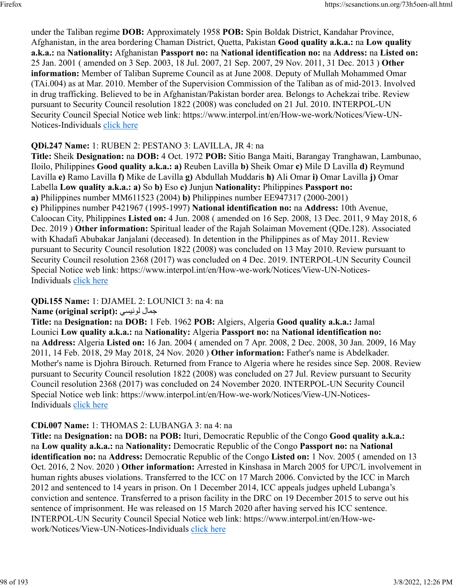under the Taliban regime **DOB:** Approximately 1958 **POB:** Spin Boldak District, Kandahar Province, Afghanistan, in the area bordering Chaman District, Quetta, Pakistan **Good quality a.k.a.:** na **Low quality a.k.a.:** na **Nationality:** Afghanistan **Passport no:** na **National identification no:** na **Address:** na **Listed on:** 25 Jan. 2001 ( amended on 3 Sep. 2003, 18 Jul. 2007, 21 Sep. 2007, 29 Nov. 2011, 31 Dec. 2013 ) **Other information:** Member of Taliban Supreme Council as at June 2008. Deputy of Mullah Mohammed Omar (TAi.004) as at Mar. 2010. Member of the Supervision Commission of the Taliban as of mid-2013. Involved in drug trafficking. Believed to be in Afghanistan/Pakistan border area. Belongs to Achekzai tribe. Review pursuant to Security Council resolution 1822 (2008) was concluded on 21 Jul. 2010. INTERPOL-UN Security Council Special Notice web link: https://www.interpol.int/en/How-we-work/Notices/View-UN-Notices-Individuals [click here](https://www.interpol.int/en/How-we-work/Notices/View-UN-Notices-Individuals)

## **QDi.247 Name:** 1: RUBEN 2: PESTANO 3: LAVILLA, JR 4: na

**Title:** Sheik **Designation:** na **DOB:** 4 Oct. 1972 **POB:** Sitio Banga Maiti, Barangay Tranghawan, Lambunao, Iloilo, Philippines **Good quality a.k.a.: a)** Reuben Lavilla **b)** Sheik Omar **c)** Mile D Lavilla **d)** Reymund Lavilla **e)** Ramo Lavilla **f)** Mike de Lavilla **g)** Abdullah Muddaris **h)** Ali Omar **i)** Omar Lavilla **j)** Omar Labella **Low quality a.k.a.: a)** So **b)** Eso **c)** Junjun **Nationality:** Philippines **Passport no: a)** Philippines number MM611523 (2004) **b)** Philippines number EE947317 (2000-2001) **c)** Philippines number P421967 (1995-1997) **National identification no:** na **Address:** 10th Avenue, Caloocan City, Philippines **Listed on:** 4 Jun. 2008 ( amended on 16 Sep. 2008, 13 Dec. 2011, 9 May 2018, 6 Dec. 2019 ) **Other information:** Spiritual leader of the Rajah Solaiman Movement (QDe.128). Associated with Khadafi Abubakar Janjalani (deceased). In detention in the Philippines as of May 2011. Review pursuant to Security Council resolution 1822 (2008) was concluded on 13 May 2010. Review pursuant to Security Council resolution 2368 (2017) was concluded on 4 Dec. 2019. INTERPOL-UN Security Council Special Notice web link: https://www.interpol.int/en/How-we-work/Notices/View-UN-Notices-Individuals [click here](https://www.interpol.int/en/How-we-work/Notices/View-UN-Notices-Individuals)

## **QDi.155 Name:** 1: DJAMEL 2: LOUNICI 3: na 4: na

## **Name (original script):** يسينول لامج

**Title:** na **Designation:** na **DOB:** 1 Feb. 1962 **POB:** Algiers, Algeria **Good quality a.k.a.:** Jamal Lounici **Low quality a.k.a.:** na **Nationality:** Algeria **Passport no:** na **National identification no:** na **Address:** Algeria **Listed on:** 16 Jan. 2004 ( amended on 7 Apr. 2008, 2 Dec. 2008, 30 Jan. 2009, 16 May 2011, 14 Feb. 2018, 29 May 2018, 24 Nov. 2020 ) **Other information:** Father's name is Abdelkader. Mother's name is Djohra Birouch. Returned from France to Algeria where he resides since Sep. 2008. Review pursuant to Security Council resolution 1822 (2008) was concluded on 27 Jul. Review pursuant to Security Council resolution 2368 (2017) was concluded on 24 November 2020. INTERPOL-UN Security Council Special Notice web link: https://www.interpol.int/en/How-we-work/Notices/View-UN-Notices-Individuals [click here](https://www.interpol.int/en/How-we-work/Notices/View-UN-Notices-Individuals)

## **CDi.007 Name:** 1: THOMAS 2: LUBANGA 3: na 4: na

**Title:** na **Designation:** na **DOB:** na **POB:** Ituri, Democratic Republic of the Congo **Good quality a.k.a.:** na **Low quality a.k.a.:** na **Nationality:** Democratic Republic of the Congo **Passport no:** na **National identification no:** na **Address:** Democratic Republic of the Congo **Listed on:** 1 Nov. 2005 ( amended on 13 Oct. 2016, 2 Nov. 2020 ) **Other information:** Arrested in Kinshasa in March 2005 for UPC/L involvement in human rights abuses violations. Transferred to the ICC on 17 March 2006. Convicted by the ICC in March 2012 and sentenced to 14 years in prison. On 1 December 2014, ICC appeals judges upheld Lubanga's conviction and sentence. Transferred to a prison facility in the DRC on 19 December 2015 to serve out his sentence of imprisonment. He was released on 15 March 2020 after having served his ICC sentence. INTERPOL-UN Security Council Special Notice web link: https://www.interpol.int/en/How-wework/Notices/View-UN-Notices-Individuals [click here](https://www.interpol.int/en/How-we-work/Notices/View-UN-Notices-Individuals)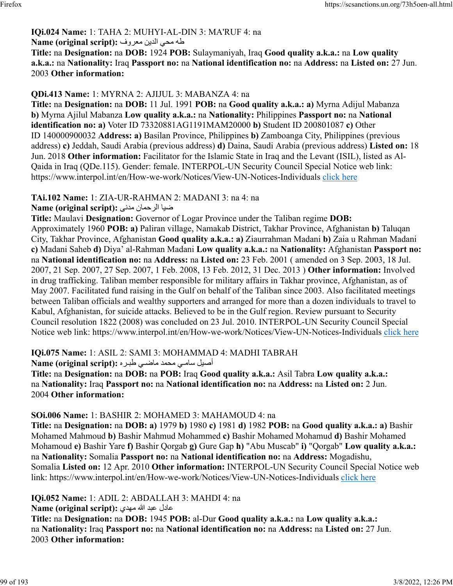# **IQi.024 Name:** 1: TAHA 2: MUHYI-AL-DIN 3: MA'RUF 4: na

هله محي الدين معروف: :Name (original script)

**Title:** na **Designation:** na **DOB:** 1924 **POB:** Sulaymaniyah, Iraq **Good quality a.k.a.:** na **Low quality a.k.a.:** na **Nationality:** Iraq **Passport no:** na **National identification no:** na **Address:** na **Listed on:** 27 Jun. 2003 **Other information:** 

## **QDi.413 Name:** 1: MYRNA 2: AJIJUL 3: MABANZA 4: na

**Title:** na **Designation:** na **DOB:** 11 Jul. 1991 **POB:** na **Good quality a.k.a.: a)** Myrna Adijul Mabanza **b)** Myrna Ajilul Mabanza **Low quality a.k.a.:** na **Nationality:** Philippines **Passport no:** na **National identification no: a)** Voter ID 73320881AG1191MAM20000 **b)** Student ID 200801087 **c)** Other ID 140000900032 **Address: a)** Basilan Province, Philippines **b)** Zamboanga City, Philippines (previous address) **c)** Jeddah, Saudi Arabia (previous address) **d)** Daina, Saudi Arabia (previous address) **Listed on:** 18 Jun. 2018 **Other information:** Facilitator for the Islamic State in Iraq and the Levant (ISIL), listed as Al-Qaida in Iraq (QDe.115). Gender: female. INTERPOL-UN Security Council Special Notice web link: https://www.interpol.int/en/How-we-work/Notices/View-UN-Notices-Individuals [click here](https://www.interpol.int/en/How-we-work/Notices/View-UN-Notices-Individuals)

## **TAi.102 Name:** 1: ZIA-UR-RAHMAN 2: MADANI 3: na 4: na

ايض نامحرلا یندم **:(script original (Name**

**Title:** Maulavi **Designation:** Governor of Logar Province under the Taliban regime **DOB:** Approximately 1960 **POB: a)** Paliran village, Namakab District, Takhar Province, Afghanistan **b)** Taluqan City, Takhar Province, Afghanistan **Good quality a.k.a.: a)** Ziaurrahman Madani **b)** Zaia u Rahman Madani **c)** Madani Saheb **d)** Diya' al-Rahman Madani **Low quality a.k.a.:** na **Nationality:** Afghanistan **Passport no:** na **National identification no:** na **Address:** na **Listed on:** 23 Feb. 2001 ( amended on 3 Sep. 2003, 18 Jul. 2007, 21 Sep. 2007, 27 Sep. 2007, 1 Feb. 2008, 13 Feb. 2012, 31 Dec. 2013 ) **Other information:** Involved in drug trafficking. Taliban member responsible for military affairs in Takhar province, Afghanistan, as of May 2007. Facilitated fund raising in the Gulf on behalf of the Taliban since 2003. Also facilitated meetings between Taliban officials and wealthy supporters and arranged for more than a dozen individuals to travel to Kabul, Afghanistan, for suicide attacks. Believed to be in the Gulf region. Review pursuant to Security Council resolution 1822 (2008) was concluded on 23 Jul. 2010. INTERPOL-UN Security Council Special Notice web link: https://www.interpol.int/en/How-we-work/Notices/View-UN-Notices-Individuals [click here](https://www.interpol.int/en/How-we-work/Notices/View-UN-Notices-Individuals)

## **IQi.075 Name:** 1: ASIL 2: SAMI 3: MOHAMMAD 4: MADHI TABRAH

أصيل سا*مي م*حمد ماضي طبره :(Name (original script

**Title:** na **Designation:** na **DOB:** na **POB:** Iraq **Good quality a.k.a.:** Asil Tabra **Low quality a.k.a.:** na **Nationality:** Iraq **Passport no:** na **National identification no:** na **Address:** na **Listed on:** 2 Jun. 2004 **Other information:** 

## **SOi.006 Name:** 1: BASHIR 2: MOHAMED 3: MAHAMOUD 4: na

**Title:** na **Designation:** na **DOB: a)** 1979 **b)** 1980 **c)** 1981 **d)** 1982 **POB:** na **Good quality a.k.a.: a)** Bashir Mohamed Mahmoud **b)** Bashir Mahmud Mohammed **c)** Bashir Mohamed Mohamud **d)** Bashir Mohamed Mohamoud **e)** Bashir Yare **f)** Bashir Qorgab **g)** Gure Gap **h)** "Abu Muscab" **i)** "Qorgab" **Low quality a.k.a.:** na **Nationality:** Somalia **Passport no:** na **National identification no:** na **Address:** Mogadishu, Somalia **Listed on:** 12 Apr. 2010 **Other information:** INTERPOL-UN Security Council Special Notice web link: https://www.interpol.int/en/How-we-work/Notices/View-UN-Notices-Individuals [click here](https://www.interpol.int/en/How-we-work/Notices/View-UN-Notices-Individuals)

## **IQi.052 Name:** 1: ADIL 2: ABDALLAH 3: MAHDI 4: na

لداع دبع الله يدهم **:(script original (Name**

**Title:** na **Designation:** na **DOB:** 1945 **POB:** al-Dur **Good quality a.k.a.:** na **Low quality a.k.a.:** na **Nationality:** Iraq **Passport no:** na **National identification no:** na **Address:** na **Listed on:** 27 Jun. 2003 **Other information:**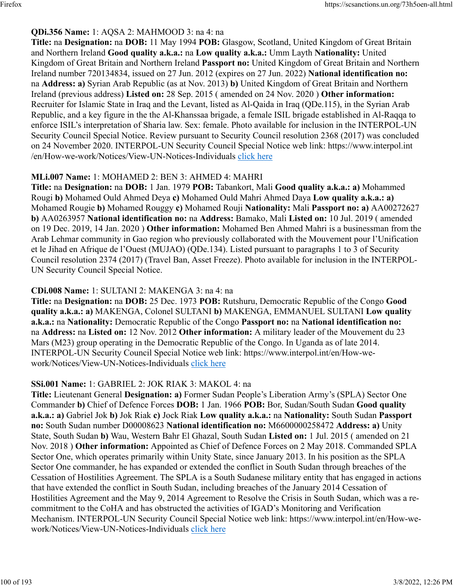## **QDi.356 Name:** 1: AQSA 2: MAHMOOD 3: na 4: na

**Title:** na **Designation:** na **DOB:** 11 May 1994 **POB:** Glasgow, Scotland, United Kingdom of Great Britain and Northern Ireland **Good quality a.k.a.:** na **Low quality a.k.a.:** Umm Layth **Nationality:** United Kingdom of Great Britain and Northern Ireland **Passport no:** United Kingdom of Great Britain and Northern Ireland number 720134834, issued on 27 Jun. 2012 (expires on 27 Jun. 2022) **National identification no:** na **Address: a)** Syrian Arab Republic (as at Nov. 2013) **b)** United Kingdom of Great Britain and Northern Ireland (previous address) **Listed on:** 28 Sep. 2015 ( amended on 24 Nov. 2020 ) **Other information:** Recruiter for Islamic State in Iraq and the Levant, listed as Al-Qaida in Iraq (QDe.115), in the Syrian Arab Republic, and a key figure in the the Al-Khanssaa brigade, a female ISIL brigade established in Al-Raqqa to enforce ISIL's interpretation of Sharia law. Sex: female. Photo available for inclusion in the INTERPOL-UN Security Council Special Notice. Review pursuant to Security Council resolution 2368 (2017) was concluded on 24 November 2020. INTERPOL-UN Security Council Special Notice web link: https://www.interpol.int /en/How-we-work/Notices/View-UN-Notices-Individuals [click here](https://www.interpol.int/en/How-we-work/Notices/View-UN-Notices-Individuals)

## **MLi.007 Name:** 1: MOHAMED 2: BEN 3: AHMED 4: MAHRI

**Title:** na **Designation:** na **DOB:** 1 Jan. 1979 **POB:** Tabankort, Mali **Good quality a.k.a.: a)** Mohammed Rougi **b)** Mohamed Ould Ahmed Deya **c)** Mohamed Ould Mahri Ahmed Daya **Low quality a.k.a.: a)** Mohamed Rougie **b)** Mohamed Rouggy **c)** Mohamed Rouji **Nationality:** Mali **Passport no: a)** AA00272627 **b)** AA0263957 **National identification no:** na **Address:** Bamako, Mali **Listed on:** 10 Jul. 2019 ( amended on 19 Dec. 2019, 14 Jan. 2020 ) **Other information:** Mohamed Ben Ahmed Mahri is a businessman from the Arab Lehmar community in Gao region who previously collaborated with the Mouvement pour l'Unification et le Jihad en Afrique de l'Ouest (MUJAO) (QDe.134). Listed pursuant to paragraphs 1 to 3 of Security Council resolution 2374 (2017) (Travel Ban, Asset Freeze). Photo available for inclusion in the INTERPOL-UN Security Council Special Notice.

## **CDi.008 Name:** 1: SULTANI 2: MAKENGA 3: na 4: na

**Title:** na **Designation:** na **DOB:** 25 Dec. 1973 **POB:** Rutshuru, Democratic Republic of the Congo **Good quality a.k.a.: a)** MAKENGA, Colonel SULTANI **b)** MAKENGA, EMMANUEL SULTANI **Low quality a.k.a.:** na **Nationality:** Democratic Republic of the Congo **Passport no:** na **National identification no:** na **Address:** na **Listed on:** 12 Nov. 2012 **Other information:** A military leader of the Mouvement du 23 Mars (M23) group operating in the Democratic Republic of the Congo. In Uganda as of late 2014. INTERPOL-UN Security Council Special Notice web link: https://www.interpol.int/en/How-wework/Notices/View-UN-Notices-Individuals [click here](https://www.interpol.int/en/How-we-work/Notices/View-UN-Notices-Individuals)

## **SSi.001 Name:** 1: GABRIEL 2: JOK RIAK 3: MAKOL 4: na

**Title:** Lieutenant General **Designation: a)** Former Sudan People's Liberation Army's (SPLA) Sector One Commander **b)** Chief of Defence Forces **DOB:** 1 Jan. 1966 **POB:** Bor, Sudan/South Sudan **Good quality a.k.a.: a)** Gabriel Jok **b)** Jok Riak **c)** Jock Riak **Low quality a.k.a.:** na **Nationality:** South Sudan **Passport no:** South Sudan number D00008623 **National identification no:** M6600000258472 **Address: a)** Unity State, South Sudan **b)** Wau, Western Bahr El Ghazal, South Sudan **Listed on:** 1 Jul. 2015 ( amended on 21 Nov. 2018 ) **Other information:** Appointed as Chief of Defence Forces on 2 May 2018. Commanded SPLA Sector One, which operates primarily within Unity State, since January 2013. In his position as the SPLA Sector One commander, he has expanded or extended the conflict in South Sudan through breaches of the Cessation of Hostilities Agreement. The SPLA is a South Sudanese military entity that has engaged in actions that have extended the conflict in South Sudan, including breaches of the January 2014 Cessation of Hostilities Agreement and the May 9, 2014 Agreement to Resolve the Crisis in South Sudan, which was a recommitment to the CoHA and has obstructed the activities of IGAD's Monitoring and Verification Mechanism. INTERPOL-UN Security Council Special Notice web link: https://www.interpol.int/en/How-wework/Notices/View-UN-Notices-Individuals [click here](https://www.interpol.int/en/How-we-work/Notices/View-UN-Notices-Individuals)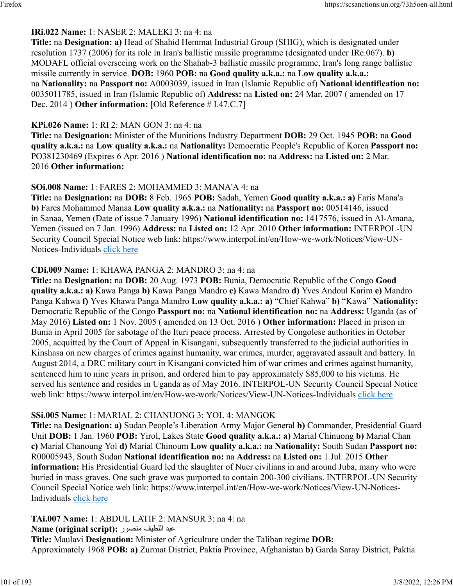## **IRi.022 Name:** 1: NASER 2: MALEKI 3: na 4: na

**Title:** na **Designation: a)** Head of Shahid Hemmat Industrial Group (SHIG), which is designated under resolution 1737 (2006) for its role in Iran's ballistic missile programme (designated under IRe.067). **b)** MODAFL official overseeing work on the Shahab-3 ballistic missile programme, Iran's long range ballistic missile currently in service. **DOB:** 1960 **POB:** na **Good quality a.k.a.:** na **Low quality a.k.a.:** na **Nationality:** na **Passport no:** A0003039, issued in Iran (Islamic Republic of) **National identification no:** 0035011785, issued in Iran (Islamic Republic of) **Address:** na **Listed on:** 24 Mar. 2007 ( amended on 17 Dec. 2014 ) **Other information:** [Old Reference # I.47.C.7]

### **KPi.026 Name:** 1: RI 2: MAN GON 3: na 4: na

**Title:** na **Designation:** Minister of the Munitions Industry Department **DOB:** 29 Oct. 1945 **POB:** na **Good quality a.k.a.:** na **Low quality a.k.a.:** na **Nationality:** Democratic People's Republic of Korea **Passport no:** PO381230469 (Expires 6 Apr. 2016 ) **National identification no:** na **Address:** na **Listed on:** 2 Mar. 2016 **Other information:** 

### **SOi.008 Name:** 1: FARES 2: MOHAMMED 3: MANA'A 4: na

**Title:** na **Designation:** na **DOB:** 8 Feb. 1965 **POB:** Sadah, Yemen **Good quality a.k.a.: a)** Faris Mana'a **b)** Fares Mohammed Manaa **Low quality a.k.a.:** na **Nationality:** na **Passport no:** 00514146, issued in Sanaa, Yemen (Date of issue 7 January 1996) **National identification no:** 1417576, issued in Al-Amana, Yemen (issued on 7 Jan. 1996) **Address:** na **Listed on:** 12 Apr. 2010 **Other information:** INTERPOL-UN Security Council Special Notice web link: https://www.interpol.int/en/How-we-work/Notices/View-UN-Notices-Individuals [click here](https://www.interpol.int/en/How-we-work/Notices/View-UN-Notices-Individuals)

### **CDi.009 Name:** 1: KHAWA PANGA 2: MANDRO 3: na 4: na

**Title:** na **Designation:** na **DOB:** 20 Aug. 1973 **POB:** Bunia, Democratic Republic of the Congo **Good quality a.k.a.: a)** Kawa Panga **b)** Kawa Panga Mandro **c)** Kawa Mandro **d)** Yves Andoul Karim **e)** Mandro Panga Kahwa **f)** Yves Khawa Panga Mandro **Low quality a.k.a.: a)** "Chief Kahwa" **b)** "Kawa" **Nationality:** Democratic Republic of the Congo **Passport no:** na **National identification no:** na **Address:** Uganda (as of May 2016) **Listed on:** 1 Nov. 2005 ( amended on 13 Oct. 2016 ) **Other information:** Placed in prison in Bunia in April 2005 for sabotage of the Ituri peace process. Arrested by Congolese authorities in October 2005, acquitted by the Court of Appeal in Kisangani, subsequently transferred to the judicial authorities in Kinshasa on new charges of crimes against humanity, war crimes, murder, aggravated assault and battery. In August 2014, a DRC military court in Kisangani convicted him of war crimes and crimes against humanity, sentenced him to nine years in prison, and ordered him to pay approximately \$85,000 to his victims. He served his sentence and resides in Uganda as of May 2016. INTERPOL-UN Security Council Special Notice web link: https://www.interpol.int/en/How-we-work/Notices/View-UN-Notices-Individuals [click here](https://www.interpol.int/en/How-we-work/Notices/View-UN-Notices-Individuals)

## **SSi.005 Name:** 1: MARIAL 2: CHANUONG 3: YOL 4: MANGOK

**Title:** na **Designation: a)** Sudan People's Liberation Army Major General **b)** Commander, Presidential Guard Unit **DOB:** 1 Jan. 1960 **POB:** Yirol, Lakes State **Good quality a.k.a.: a)** Marial Chinuong **b)** Marial Chan **c)** Marial Chanoung Yol **d)** Marial Chinoum **Low quality a.k.a.:** na **Nationality:** South Sudan **Passport no:** R00005943, South Sudan **National identification no:** na **Address:** na **Listed on:** 1 Jul. 2015 **Other information:** His Presidential Guard led the slaughter of Nuer civilians in and around Juba, many who were buried in mass graves. One such grave was purported to contain 200-300 civilians. INTERPOL-UN Security Council Special Notice web link: https://www.interpol.int/en/How-we-work/Notices/View-UN-Notices-Individuals [click here](https://www.interpol.int/en/How-we-work/Notices/View-UN-Notices-Individuals)

**TAi.007 Name:** 1: ABDUL LATIF 2: MANSUR 3: na 4: na

دبع فيطللا روصنم **:(script original (Name**

**Title:** Maulavi **Designation:** Minister of Agriculture under the Taliban regime **DOB:** Approximately 1968 **POB: a)** Zurmat District, Paktia Province, Afghanistan **b)** Garda Saray District, Paktia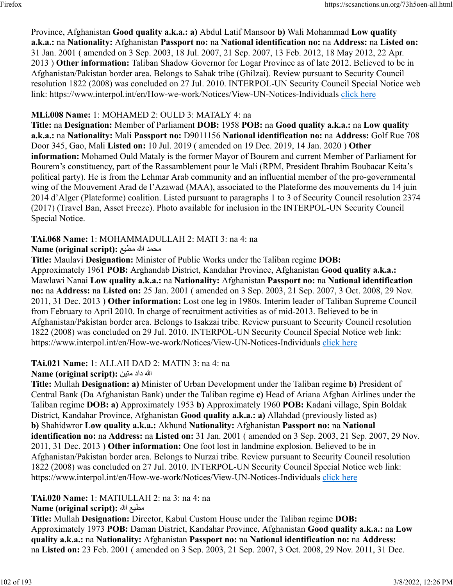Province, Afghanistan **Good quality a.k.a.: a)** Abdul Latif Mansoor **b)** Wali Mohammad **Low quality a.k.a.:** na **Nationality:** Afghanistan **Passport no:** na **National identification no:** na **Address:** na **Listed on:** 31 Jan. 2001 ( amended on 3 Sep. 2003, 18 Jul. 2007, 21 Sep. 2007, 13 Feb. 2012, 18 May 2012, 22 Apr. 2013 ) **Other information:** Taliban Shadow Governor for Logar Province as of late 2012. Believed to be in Afghanistan/Pakistan border area. Belongs to Sahak tribe (Ghilzai). Review pursuant to Security Council resolution 1822 (2008) was concluded on 27 Jul. 2010. INTERPOL-UN Security Council Special Notice web link: https://www.interpol.int/en/How-we-work/Notices/View-UN-Notices-Individuals [click here](https://www.interpol.int/en/How-we-work/Notices/View-UN-Notices-Individuals)

## **MLi.008 Name:** 1: MOHAMED 2: OULD 3: MATALY 4: na

**Title:** na **Designation:** Member of Parliament **DOB:** 1958 **POB:** na **Good quality a.k.a.:** na **Low quality a.k.a.:** na **Nationality:** Mali **Passport no:** D9011156 **National identification no:** na **Address:** Golf Rue 708 Door 345, Gao, Mali **Listed on:** 10 Jul. 2019 ( amended on 19 Dec. 2019, 14 Jan. 2020 ) **Other information:** Mohamed Ould Mataly is the former Mayor of Bourem and current Member of Parliament for Bourem's constituency, part of the Rassamblement pour le Mali (RPM, President Ibrahim Boubacar Keita's political party). He is from the Lehmar Arab community and an influential member of the pro-governmental wing of the Mouvement Arad de l'Azawad (MAA), associated to the Plateforme des mouvements du 14 juin 2014 d'Alger (Plateforme) coalition. Listed pursuant to paragraphs 1 to 3 of Security Council resolution 2374 (2017) (Travel Ban, Asset Freeze). Photo available for inclusion in the INTERPOL-UN Security Council Special Notice.

## **TAi.068 Name:** 1: MOHAMMADULLAH 2: MATI 3: na 4: na

## **Name (original script):** محمد الله مطيع

**Title:** Maulavi **Designation:** Minister of Public Works under the Taliban regime **DOB:** Approximately 1961 **POB:** Arghandab District, Kandahar Province, Afghanistan **Good quality a.k.a.:** Mawlawi Nanai **Low quality a.k.a.:** na **Nationality:** Afghanistan **Passport no:** na **National identification no:** na **Address:** na **Listed on:** 25 Jan. 2001 ( amended on 3 Sep. 2003, 21 Sep. 2007, 3 Oct. 2008, 29 Nov. 2011, 31 Dec. 2013 ) **Other information:** Lost one leg in 1980s. Interim leader of Taliban Supreme Council from February to April 2010. In charge of recruitment activities as of mid-2013. Believed to be in Afghanistan/Pakistan border area. Belongs to Isakzai tribe. Review pursuant to Security Council resolution 1822 (2008) was concluded on 29 Jul. 2010. INTERPOL-UN Security Council Special Notice web link: https://www.interpol.int/en/How-we-work/Notices/View-UN-Notices-Individuals [click here](https://www.interpol.int/en/How-we-work/Notices/View-UN-Notices-Individuals)

## **TAi.021 Name:** 1: ALLAH DAD 2: MATIN 3: na 4: na

## الله داد منين :(Name (original script

**Title:** Mullah **Designation: a)** Minister of Urban Development under the Taliban regime **b)** President of Central Bank (Da Afghanistan Bank) under the Taliban regime **c)** Head of Ariana Afghan Airlines under the Taliban regime **DOB: a)** Approximately 1953 **b)** Approximately 1960 **POB:** Kadani village, Spin Boldak District, Kandahar Province, Afghanistan **Good quality a.k.a.: a)** Allahdad (previously listed as) **b)** Shahidwror **Low quality a.k.a.:** Akhund **Nationality:** Afghanistan **Passport no:** na **National identification no:** na **Address:** na **Listed on:** 31 Jan. 2001 ( amended on 3 Sep. 2003, 21 Sep. 2007, 29 Nov. 2011, 31 Dec. 2013 ) **Other information:** One foot lost in landmine explosion. Believed to be in Afghanistan/Pakistan border area. Belongs to Nurzai tribe. Review pursuant to Security Council resolution 1822 (2008) was concluded on 27 Jul. 2010. INTERPOL-UN Security Council Special Notice web link: https://www.interpol.int/en/How-we-work/Notices/View-UN-Notices-Individuals [click here](https://www.interpol.int/en/How-we-work/Notices/View-UN-Notices-Individuals)

## **TAi.020 Name:** 1: MATIULLAH 2: na 3: na 4: na

## **Name (original script):** الله عيطم

**Title:** Mullah **Designation:** Director, Kabul Custom House under the Taliban regime **DOB:** Approximately 1973 **POB:** Daman District, Kandahar Province, Afghanistan **Good quality a.k.a.:** na **Low quality a.k.a.:** na **Nationality:** Afghanistan **Passport no:** na **National identification no:** na **Address:** na **Listed on:** 23 Feb. 2001 ( amended on 3 Sep. 2003, 21 Sep. 2007, 3 Oct. 2008, 29 Nov. 2011, 31 Dec.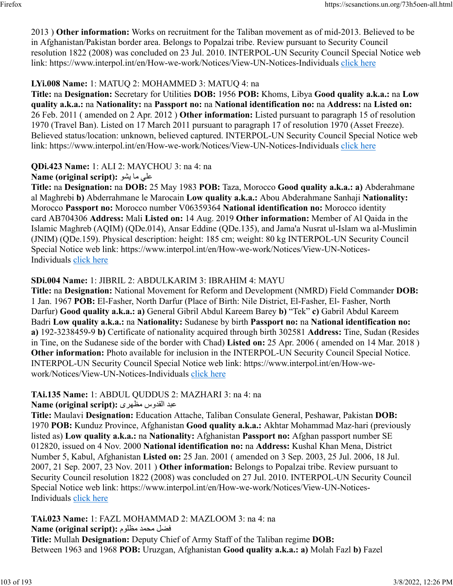2013 ) **Other information:** Works on recruitment for the Taliban movement as of mid-2013. Believed to be in Afghanistan/Pakistan border area. Belongs to Popalzai tribe. Review pursuant to Security Council resolution 1822 (2008) was concluded on 23 Jul. 2010. INTERPOL-UN Security Council Special Notice web link: https://www.interpol.int/en/How-we-work/Notices/View-UN-Notices-Individuals [click here](https://www.interpol.int/en/How-we-work/Notices/View-UN-Notices-Individuals)

## **LYi.008 Name:** 1: MATUQ 2: MOHAMMED 3: MATUQ 4: na

**Title:** na **Designation:** Secretary for Utilities **DOB:** 1956 **POB:** Khoms, Libya **Good quality a.k.a.:** na **Low quality a.k.a.:** na **Nationality:** na **Passport no:** na **National identification no:** na **Address:** na **Listed on:** 26 Feb. 2011 ( amended on 2 Apr. 2012 ) **Other information:** Listed pursuant to paragraph 15 of resolution 1970 (Travel Ban). Listed on 17 March 2011 pursuant to paragraph 17 of resolution 1970 (Asset Freeze). Believed status/location: unknown, believed captured. INTERPOL-UN Security Council Special Notice web link: https://www.interpol.int/en/How-we-work/Notices/View-UN-Notices-Individuals [click here](https://www.interpol.int/en/How-we-work/Notices/View-UN-Notices-Individuals)

## **QDi.423 Name:** 1: ALI 2: MAYCHOU 3: na 4: na

## **n و :(Name (original script**): على ما يشو

**Title:** na **Designation:** na **DOB:** 25 May 1983 **POB:** Taza, Morocco **Good quality a.k.a.: a)** Abderahmane al Maghrebi **b)** Abderrahmane le Marocain **Low quality a.k.a.:** Abou Abderahmane Sanhaji **Nationality:** Morocco **Passport no:** Morocco number V06359364 **National identification no:** Morocco identity card AB704306 **Address:** Mali **Listed on:** 14 Aug. 2019 **Other information:** Member of Al Qaida in the Islamic Maghreb (AQIM) (QDe.014), Ansar Eddine (QDe.135), and Jama'a Nusrat ul-Islam wa al-Muslimin (JNIM) (QDe.159). Physical description: height: 185 cm; weight: 80 kg INTERPOL-UN Security Council Special Notice web link: https://www.interpol.int/en/How-we-work/Notices/View-UN-Notices-Individuals [click here](https://www.interpol.int/en/How-we-work/Notices/View-UN-Notices-Individuals)

## **SDi.004 Name:** 1: JIBRIL 2: ABDULKARIM 3: IBRAHIM 4: MAYU

**Title:** na **Designation:** National Movement for Reform and Development (NMRD) Field Commander **DOB:** 1 Jan. 1967 **POB:** El-Fasher, North Darfur (Place of Birth: Nile District, El-Fasher, El- Fasher, North Darfur) **Good quality a.k.a.: a)** General Gibril Abdul Kareem Barey **b)** "Tek" **c)** Gabril Abdul Kareem Badri **Low quality a.k.a.:** na **Nationality:** Sudanese by birth **Passport no:** na **National identification no: a)** 192-3238459-9 **b)** Certificate of nationality acquired through birth 302581 **Address:** Tine, Sudan (Resides in Tine, on the Sudanese side of the border with Chad) **Listed on:** 25 Apr. 2006 ( amended on 14 Mar. 2018 ) **Other information:** Photo available for inclusion in the INTERPOL-UN Security Council Special Notice. INTERPOL-UN Security Council Special Notice web link: https://www.interpol.int/en/How-wework/Notices/View-UN-Notices-Individuals [click here](https://www.interpol.int/en/How-we-work/Notices/View-UN-Notices-Individuals)

## **TAi.135 Name:** 1: ABDUL QUDDUS 2: MAZHARI 3: na 4: na

دبع سودقلا یرهظم **:(script original (Name**

**Title:** Maulavi **Designation:** Education Attache, Taliban Consulate General, Peshawar, Pakistan **DOB:** 1970 **POB:** Kunduz Province, Afghanistan **Good quality a.k.a.:** Akhtar Mohammad Maz-hari (previously listed as) **Low quality a.k.a.:** na **Nationality:** Afghanistan **Passport no:** Afghan passport number SE 012820, issued on 4 Nov. 2000 **National identification no:** na **Address:** Kushal Khan Mena, District Number 5, Kabul, Afghanistan **Listed on:** 25 Jan. 2001 ( amended on 3 Sep. 2003, 25 Jul. 2006, 18 Jul. 2007, 21 Sep. 2007, 23 Nov. 2011 ) **Other information:** Belongs to Popalzai tribe. Review pursuant to Security Council resolution 1822 (2008) was concluded on 27 Jul. 2010. INTERPOL-UN Security Council Special Notice web link: https://www.interpol.int/en/How-we-work/Notices/View-UN-NoticesIndividuals [click here](https://www.interpol.int/en/How-we-work/Notices/View-UN-Notices-Individuals)

**TAi.023 Name:** 1: FAZL MOHAMMAD 2: MAZLOOM 3: na 4: na لضف دمحم مولظم **:(script original (Name Title:** Mullah **Designation:** Deputy Chief of Army Staff of the Taliban regime **DOB:** Between 1963 and 1968 **POB:** Uruzgan, Afghanistan **Good quality a.k.a.: a)** Molah Fazl **b)** Fazel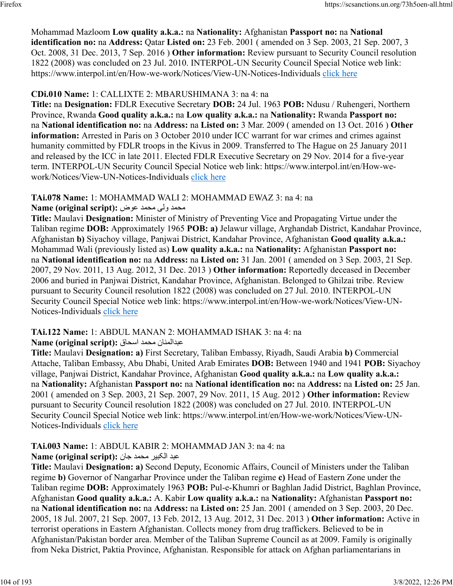Mohammad Mazloom **Low quality a.k.a.:** na **Nationality:** Afghanistan **Passport no:** na **National identification no:** na **Address:** Qatar **Listed on:** 23 Feb. 2001 ( amended on 3 Sep. 2003, 21 Sep. 2007, 3 Oct. 2008, 31 Dec. 2013, 7 Sep. 2016 ) **Other information:** Review pursuant to Security Council resolution 1822 (2008) was concluded on 23 Jul. 2010. INTERPOL-UN Security Council Special Notice web link: https://www.interpol.int/en/How-we-work/Notices/View-UN-Notices-Individuals [click here](https://www.interpol.int/en/How-we-work/Notices/View-UN-Notices-Individuals)

## **CDi.010 Name:** 1: CALLIXTE 2: MBARUSHIMANA 3: na 4: na

**Title:** na **Designation:** FDLR Executive Secretary **DOB:** 24 Jul. 1963 **POB:** Ndusu / Ruhengeri, Northern Province, Rwanda **Good quality a.k.a.:** na **Low quality a.k.a.:** na **Nationality:** Rwanda **Passport no:** na **National identification no:** na **Address:** na **Listed on:** 3 Mar. 2009 ( amended on 13 Oct. 2016 ) **Other information:** Arrested in Paris on 3 October 2010 under ICC warrant for war crimes and crimes against humanity committed by FDLR troops in the Kivus in 2009. Transferred to The Hague on 25 January 2011 and released by the ICC in late 2011. Elected FDLR Executive Secretary on 29 Nov. 2014 for a five-year term. INTERPOL-UN Security Council Special Notice web link: https://www.interpol.int/en/How-wework/Notices/View-UN-Notices-Individuals [click here](https://www.interpol.int/en/How-we-work/Notices/View-UN-Notices-Individuals)

## **TAi.078 Name:** 1: MOHAMMAD WALI 2: MOHAMMAD EWAZ 3: na 4: na

## دمحم یلو دمحم ضوع **:(script original (Name**

**Title:** Maulavi **Designation:** Minister of Ministry of Preventing Vice and Propagating Virtue under the Taliban regime **DOB:** Approximately 1965 **POB: a)** Jelawur village, Arghandab District, Kandahar Province, Afghanistan **b)** Siyachoy village, Panjwai District, Kandahar Province, Afghanistan **Good quality a.k.a.:** Mohammad Wali (previously listed as) **Low quality a.k.a.:** na **Nationality:** Afghanistan **Passport no:** na **National identification no:** na **Address:** na **Listed on:** 31 Jan. 2001 ( amended on 3 Sep. 2003, 21 Sep. 2007, 29 Nov. 2011, 13 Aug. 2012, 31 Dec. 2013 ) **Other information:** Reportedly deceased in December 2006 and buried in Panjwai District, Kandahar Province, Afghanistan. Belonged to Ghilzai tribe. Review pursuant to Security Council resolution 1822 (2008) was concluded on 27 Jul. 2010. INTERPOL-UN Security Council Special Notice web link: https://www.interpol.int/en/How-we-work/Notices/View-UNNotices-Individuals [click here](https://www.interpol.int/en/How-we-work/Notices/View-UN-Notices-Individuals)

## **TAi.122 Name:** 1: ABDUL MANAN 2: MOHAMMAD ISHAK 3: na 4: na

## نانملادبع دمحم قاحسا **:(script original (Name**

**Title:** Maulavi **Designation: a)** First Secretary, Taliban Embassy, Riyadh, Saudi Arabia **b)** Commercial Attache, Taliban Embassy, Abu Dhabi, United Arab Emirates **DOB:** Between 1940 and 1941 **POB:** Siyachoy village, Panjwai District, Kandahar Province, Afghanistan **Good quality a.k.a.:** na **Low quality a.k.a.:** na **Nationality:** Afghanistan **Passport no:** na **National identification no:** na **Address:** na **Listed on:** 25 Jan. 2001 ( amended on 3 Sep. 2003, 21 Sep. 2007, 29 Nov. 2011, 15 Aug. 2012 ) **Other information:** Review pursuant to Security Council resolution 1822 (2008) was concluded on 27 Jul. 2010. INTERPOL-UN Security Council Special Notice web link: https://www.interpol.int/en/How-we-work/Notices/View-UN-Notices-Individuals [click here](https://www.interpol.int/en/How-we-work/Notices/View-UN-Notices-Individuals)

# **TAi.003 Name:** 1: ABDUL KABIR 2: MOHAMMAD JAN 3: na 4: na

## دبع ريبکلا دمحم ناج **:(script original (Name**

**Title:** Maulavi **Designation: a)** Second Deputy, Economic Affairs, Council of Ministers under the Taliban regime **b)** Governor of Nangarhar Province under the Taliban regime **c)** Head of Eastern Zone under the Taliban regime **DOB:** Approximately 1963 **POB:** Pul-e-Khumri or Baghlan Jadid District, Baghlan Province, Afghanistan **Good quality a.k.a.:** A. Kabir **Low quality a.k.a.:** na **Nationality:** Afghanistan **Passport no:** na **National identification no:** na **Address:** na **Listed on:** 25 Jan. 2001 ( amended on 3 Sep. 2003, 20 Dec. 2005, 18 Jul. 2007, 21 Sep. 2007, 13 Feb. 2012, 13 Aug. 2012, 31 Dec. 2013 ) **Other information:** Active in terrorist operations in Eastern Afghanistan. Collects money from drug traffickers. Believed to be in Afghanistan/Pakistan border area. Member of the Taliban Supreme Council as at 2009. Family is originally from Neka District, Paktia Province, Afghanistan. Responsible for attack on Afghan parliamentarians in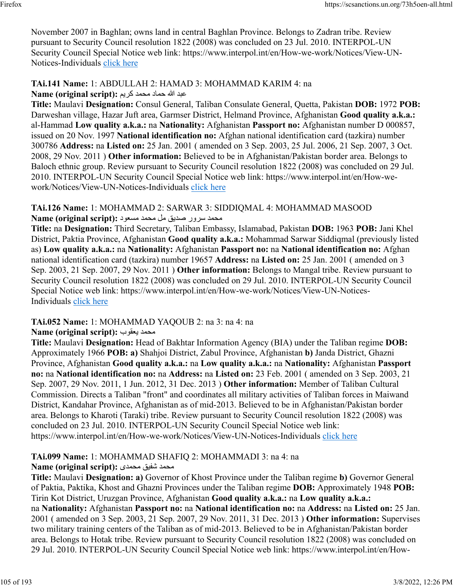November 2007 in Baghlan; owns land in central Baghlan Province. Belongs to Zadran tribe. Review pursuant to Security Council resolution 1822 (2008) was concluded on 23 Jul. 2010. INTERPOL-UN Security Council Special Notice web link: https://www.interpol.int/en/How-we-work/Notices/View-UNNotices-Individuals [click here](https://www.interpol.int/en/How-we-work/Notices/View-UN-Notices-Individuals)

# **TAi.141 Name:** 1: ABDULLAH 2: HAMAD 3: MOHAMMAD KARIM 4: na

دبع الله دامح دمحم ميرك **:(script original (Name**

**Title:** Maulavi **Designation:** Consul General, Taliban Consulate General, Quetta, Pakistan **DOB:** 1972 **POB:** Darweshan village, Hazar Juft area, Garmser District, Helmand Province, Afghanistan **Good quality a.k.a.:** al-Hammad **Low quality a.k.a.:** na **Nationality:** Afghanistan **Passport no:** Afghanistan number D 000857, issued on 20 Nov. 1997 **National identification no:** Afghan national identification card (tazkira) number 300786 **Address:** na **Listed on:** 25 Jan. 2001 ( amended on 3 Sep. 2003, 25 Jul. 2006, 21 Sep. 2007, 3 Oct. 2008, 29 Nov. 2011 ) **Other information:** Believed to be in Afghanistan/Pakistan border area. Belongs to Baloch ethnic group. Review pursuant to Security Council resolution 1822 (2008) was concluded on 29 Jul. 2010. INTERPOL-UN Security Council Special Notice web link: https://www.interpol.int/en/How-wework/Notices/View-UN-Notices-Individuals [click here](https://www.interpol.int/en/How-we-work/Notices/View-UN-Notices-Individuals)

### **TAi.126 Name:** 1: MOHAMMAD 2: SARWAR 3: SIDDIQMAL 4: MOHAMMAD MASOOD محمد سرور صديق مل محمد مسعود :**Name (original script**)

**Title:** na **Designation:** Third Secretary, Taliban Embassy, Islamabad, Pakistan **DOB:** 1963 **POB:** Jani Khel District, Paktia Province, Afghanistan **Good quality a.k.a.:** Mohammad Sarwar Siddiqmal (previously listed as) **Low quality a.k.a.:** na **Nationality:** Afghanistan **Passport no:** na **National identification no:** Afghan national identification card (tazkira) number 19657 **Address:** na **Listed on:** 25 Jan. 2001 ( amended on 3 Sep. 2003, 21 Sep. 2007, 29 Nov. 2011 ) **Other information:** Belongs to Mangal tribe. Review pursuant to Security Council resolution 1822 (2008) was concluded on 29 Jul. 2010. INTERPOL-UN Security Council Special Notice web link: https://www.interpol.int/en/How-we-work/Notices/View-UN-Notices-Individuals [click here](https://www.interpol.int/en/How-we-work/Notices/View-UN-Notices-Individuals)

## **TAi.052 Name:** 1: MOHAMMAD YAQOUB 2: na 3: na 4: na

## **Name (original script):** بوقعي دمحم

**Title:** Maulavi **Designation:** Head of Bakhtar Information Agency (BIA) under the Taliban regime **DOB:** Approximately 1966 **POB: a)** Shahjoi District, Zabul Province, Afghanistan **b)** Janda District, Ghazni Province, Afghanistan **Good quality a.k.a.:** na **Low quality a.k.a.:** na **Nationality:** Afghanistan **Passport no:** na **National identification no:** na **Address:** na **Listed on:** 23 Feb. 2001 ( amended on 3 Sep. 2003, 21 Sep. 2007, 29 Nov. 2011, 1 Jun. 2012, 31 Dec. 2013 ) **Other information:** Member of Taliban Cultural Commission. Directs a Taliban "front" and coordinates all military activities of Taliban forces in Maiwand District, Kandahar Province, Afghanistan as of mid-2013. Believed to be in Afghanistan/Pakistan border area. Belongs to Kharoti (Taraki) tribe. Review pursuant to Security Council resolution 1822 (2008) was concluded on 23 Jul. 2010. INTERPOL-UN Security Council Special Notice web link: https://www.interpol.int/en/How-we-work/Notices/View-UN-Notices-Individuals [click here](https://www.interpol.int/en/How-we-work/Notices/View-UN-Notices-Individuals)

# **TAi.099 Name:** 1: MOHAMMAD SHAFIQ 2: MOHAMMADI 3: na 4: na

## دمحم قيفش یدمحم **:(script original (Name**

**Title:** Maulavi **Designation: a)** Governor of Khost Province under the Taliban regime **b)** Governor General of Paktia, Paktika, Khost and Ghazni Provinces under the Taliban regime **DOB:** Approximately 1948 **POB:** Tirin Kot District, Uruzgan Province, Afghanistan **Good quality a.k.a.:** na **Low quality a.k.a.:** na **Nationality:** Afghanistan **Passport no:** na **National identification no:** na **Address:** na **Listed on:** 25 Jan. 2001 ( amended on 3 Sep. 2003, 21 Sep. 2007, 29 Nov. 2011, 31 Dec. 2013 ) **Other information:** Supervises two military training centers of the Taliban as of mid-2013. Believed to be in Afghanistan/Pakistan border area. Belongs to Hotak tribe. Review pursuant to Security Council resolution 1822 (2008) was concluded on 29 Jul. 2010. INTERPOL-UN Security Council Special Notice web link: https://www.interpol.int/en/How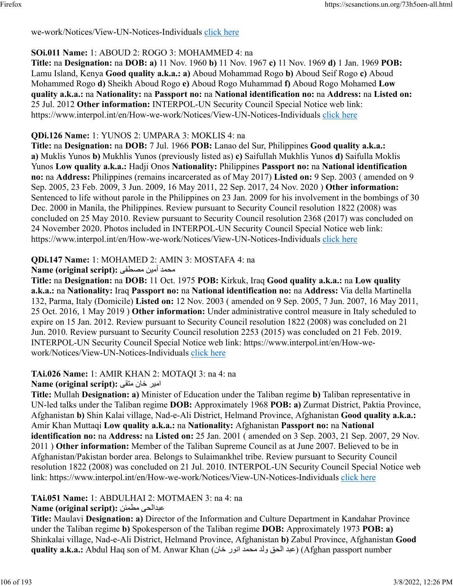we-work/Notices/View-UN-Notices-Individuals [click here](https://www.interpol.int/en/How-we-work/Notices/View-UN-Notices-Individuals)

## **SOi.011 Name:** 1: ABOUD 2: ROGO 3: MOHAMMED 4: na

**Title:** na **Designation:** na **DOB: a)** 11 Nov. 1960 **b)** 11 Nov. 1967 **c)** 11 Nov. 1969 **d)** 1 Jan. 1969 **POB:** Lamu Island, Kenya **Good quality a.k.a.: a)** Aboud Mohammad Rogo **b)** Aboud Seif Rogo **c)** Aboud Mohammed Rogo **d)** Sheikh Aboud Rogo **e)** Aboud Rogo Muhammad **f)** Aboud Rogo Mohamed **Low quality a.k.a.:** na **Nationality:** na **Passport no:** na **National identification no:** na **Address:** na **Listed on:** 25 Jul. 2012 **Other information:** INTERPOL-UN Security Council Special Notice web link: https://www.interpol.int/en/How-we-work/Notices/View-UN-Notices-Individuals [click here](https://www.interpol.int/en/How-we-work/Notices/View-UN-Notices-Individuals)

## **QDi.126 Name:** 1: YUNOS 2: UMPARA 3: MOKLIS 4: na

**Title:** na **Designation:** na **DOB:** 7 Jul. 1966 **POB:** Lanao del Sur, Philippines **Good quality a.k.a.: a)** Muklis Yunos **b)** Mukhlis Yunos (previously listed as) **c)** Saifullah Mukhlis Yunos **d)** Saifulla Moklis Yunos **Low quality a.k.a.:** Hadji Onos **Nationality:** Philippines **Passport no:** na **National identification no:** na **Address:** Philippines (remains incarcerated as of May 2017) **Listed on:** 9 Sep. 2003 ( amended on 9 Sep. 2005, 23 Feb. 2009, 3 Jun. 2009, 16 May 2011, 22 Sep. 2017, 24 Nov. 2020 ) **Other information:** Sentenced to life without parole in the Philippines on 23 Jan. 2009 for his involvement in the bombings of 30 Dec. 2000 in Manila, the Philippines. Review pursuant to Security Council resolution 1822 (2008) was concluded on 25 May 2010. Review pursuant to Security Council resolution 2368 (2017) was concluded on 24 November 2020. Photos included in INTERPOL-UN Security Council Special Notice web link: https://www.interpol.int/en/How-we-work/Notices/View-UN-Notices-Individuals [click here](https://www.interpol.int/en/How-we-work/Notices/View-UN-Notices-Individuals)

## **QDi.147 Name:** 1: MOHAMED 2: AMIN 3: MOSTAFA 4: na

## دمحم نيمأ ىفطصم **:(script original (Name**

**Title:** na **Designation:** na **DOB:** 11 Oct. 1975 **POB:** Kirkuk, Iraq **Good quality a.k.a.:** na **Low quality a.k.a.:** na **Nationality:** Iraq **Passport no:** na **National identification no:** na **Address:** Via della Martinella 132, Parma, Italy (Domicile) **Listed on:** 12 Nov. 2003 ( amended on 9 Sep. 2005, 7 Jun. 2007, 16 May 2011, 25 Oct. 2016, 1 May 2019 ) **Other information:** Under administrative control measure in Italy scheduled to expire on 15 Jan. 2012. Review pursuant to Security Council resolution 1822 (2008) was concluded on 21 Jun. 2010. Review pursuant to Security Council resolution 2253 (2015) was concluded on 21 Feb. 2019. INTERPOL-UN Security Council Special Notice web link: https://www.interpol.int/en/How-wework/Notices/View-UN-Notices-Individuals [click here](https://www.interpol.int/en/How-we-work/Notices/View-UN-Notices-Individuals)

# **TAi.026 Name:** 1: AMIR KHAN 2: MOTAQI 3: na 4: na

## امير خان منقى :Name (original script)

**Title:** Mullah **Designation: a)** Minister of Education under the Taliban regime **b)** Taliban representative in UN-led talks under the Taliban regime **DOB:** Approximately 1968 **POB: a)** Zurmat District, Paktia Province, Afghanistan **b)** Shin Kalai village, Nad-e-Ali District, Helmand Province, Afghanistan **Good quality a.k.a.:** Amir Khan Muttaqi **Low quality a.k.a.:** na **Nationality:** Afghanistan **Passport no:** na **National identification no:** na **Address:** na **Listed on:** 25 Jan. 2001 ( amended on 3 Sep. 2003, 21 Sep. 2007, 29 Nov. 2011 ) **Other information:** Member of the Taliban Supreme Council as at June 2007. Believed to be in Afghanistan/Pakistan border area. Belongs to Sulaimankhel tribe. Review pursuant to Security Council resolution 1822 (2008) was concluded on 21 Jul. 2010. INTERPOL-UN Security Council Special Notice web link: https://www.interpol.int/en/How-we-work/Notices/View-UN-Notices-Individuals [click here](https://www.interpol.int/en/How-we-work/Notices/View-UN-Notices-Individuals)

## **TAi.051 Name:** 1: ABDULHAI 2: MOTMAEN 3: na 4: na

## **Name (original script):** نئمطم یحلادبع

**Title:** Maulavi **Designation: a)** Director of the Information and Culture Department in Kandahar Province under the Taliban regime **b)** Spokesperson of the Taliban regime **DOB:** Approximately 1973 **POB: a)** Shinkalai village, Nad-e-Ali District, Helmand Province, Afghanistan **b)** Zabul Province, Afghanistan **Good quality a.k.a.:** Abdul Haq son of M. Anwar Khan (عبد الحق ولد محمد انور خان) (Afghan passport number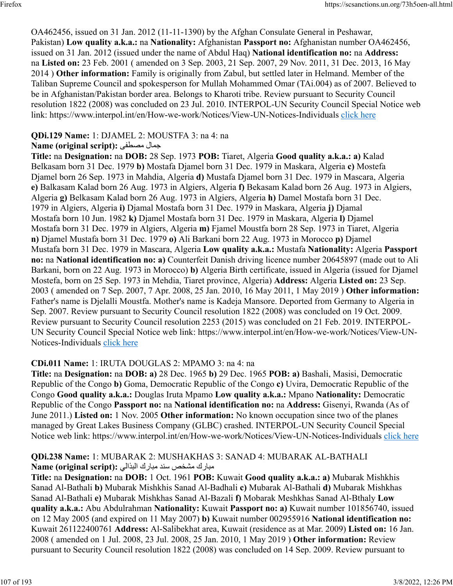OA462456, issued on 31 Jan. 2012 (11-11-1390) by the Afghan Consulate General in Peshawar, Pakistan) **Low quality a.k.a.:** na **Nationality:** Afghanistan **Passport no:** Afghanistan number OA462456, issued on 31 Jan. 2012 (issued under the name of Abdul Haq) **National identification no:** na **Address:** na **Listed on:** 23 Feb. 2001 ( amended on 3 Sep. 2003, 21 Sep. 2007, 29 Nov. 2011, 31 Dec. 2013, 16 May 2014 ) **Other information:** Family is originally from Zabul, but settled later in Helmand. Member of the Taliban Supreme Council and spokesperson for Mullah Mohammed Omar (TAi.004) as of 2007. Believed to be in Afghanistan/Pakistan border area. Belongs to Kharoti tribe. Review pursuant to Security Council resolution 1822 (2008) was concluded on 23 Jul. 2010. INTERPOL-UN Security Council Special Notice web link: https://www.interpol.int/en/How-we-work/Notices/View-UN-Notices-Individuals [click here](https://www.interpol.int/en/How-we-work/Notices/View-UN-Notices-Individuals)

## **QDi.129 Name:** 1: DJAMEL 2: MOUSTFA 3: na 4: na

## **Name (original script):** ىفطصم لامج

**Title:** na **Designation:** na **DOB:** 28 Sep. 1973 **POB:** Tiaret, Algeria **Good quality a.k.a.: a)** Kalad Belkasam born 31 Dec. 1979 **b)** Mostafa Djamel born 31 Dec. 1979 in Maskara, Algeria **c)** Mostefa Djamel born 26 Sep. 1973 in Mahdia, Algeria **d)** Mustafa Djamel born 31 Dec. 1979 in Mascara, Algeria **e)** Balkasam Kalad born 26 Aug. 1973 in Algiers, Algeria **f)** Bekasam Kalad born 26 Aug. 1973 in Algiers, Algeria **g)** Belkasam Kalad born 26 Aug. 1973 in Algiers, Algeria **h)** Damel Mostafa born 31 Dec. 1979 in Algiers, Algeria **i)** Djamal Mostafa born 31 Dec. 1979 in Maskara, Algeria **j)** Djamal Mostafa born 10 Jun. 1982 **k)** Djamel Mostafa born 31 Dec. 1979 in Maskara, Algeria **l)** Djamel Mostafa born 31 Dec. 1979 in Algiers, Algeria **m)** Fjamel Moustfa born 28 Sep. 1973 in Tiaret, Algeria **n)** Djamel Mustafa born 31 Dec. 1979 **o)** Ali Barkani born 22 Aug. 1973 in Morocco **p)** Djamel Mustafa born 31 Dec. 1979 in Mascara, Algeria **Low quality a.k.a.:** Mustafa **Nationality:** Algeria **Passport no:** na **National identification no: a)** Counterfeit Danish driving licence number 20645897 (made out to Ali Barkani, born on 22 Aug. 1973 in Morocco) **b)** Algeria Birth certificate, issued in Algeria (issued for Djamel Mostefa, born on 25 Sep. 1973 in Mehdia, Tiaret province, Algeria) **Address:** Algeria **Listed on:** 23 Sep. 2003 ( amended on 7 Sep. 2007, 7 Apr. 2008, 25 Jan. 2010, 16 May 2011, 1 May 2019 ) **Other information:** Father's name is Djelalli Moustfa. Mother's name is Kadeja Mansore. Deported from Germany to Algeria in Sep. 2007. Review pursuant to Security Council resolution 1822 (2008) was concluded on 19 Oct. 2009. Review pursuant to Security Council resolution 2253 (2015) was concluded on 21 Feb. 2019. INTERPOL-UN Security Council Special Notice web link: https://www.interpol.int/en/How-we-work/Notices/View-UN-Notices-Individuals [click here](https://www.interpol.int/en/How-we-work/Notices/View-UN-Notices-Individuals)

## **CDi.011 Name:** 1: IRUTA DOUGLAS 2: MPAMO 3: na 4: na

**Title:** na **Designation:** na **DOB: a)** 28 Dec. 1965 **b)** 29 Dec. 1965 **POB: a)** Bashali, Masisi, Democratic Republic of the Congo **b)** Goma, Democratic Republic of the Congo **c)** Uvira, Democratic Republic of the Congo **Good quality a.k.a.:** Douglas Iruta Mpamo **Low quality a.k.a.:** Mpano **Nationality:** Democratic Republic of the Congo **Passport no:** na **National identification no:** na **Address:** Gisenyi, Rwanda (As of June 2011.) **Listed on:** 1 Nov. 2005 **Other information:** No known occupation since two of the planes managed by Great Lakes Business Company (GLBC) crashed. INTERPOL-UN Security Council Special Notice web link: https://www.interpol.int/en/How-we-work/Notices/View-UN-Notices-Individuals [click here](https://www.interpol.int/en/How-we-work/Notices/View-UN-Notices-Individuals)

## **QDi.238 Name:** 1: MUBARAK 2: MUSHAKHAS 3: SANAD 4: MUBARAK AL-BATHALI مبارك مشخص سند مبارك البذالي : Name (original script)

**Title:** na **Designation:** na **DOB:** 1 Oct. 1961 **POB:** Kuwait **Good quality a.k.a.: a)** Mubarak Mishkhis Sanad Al-Bathali **b)** Mubarak Mishkhis Sanad Al-Badhali **c)** Mubarak Al-Bathali **d)** Mubarak Mishkhas Sanad Al-Bathali **e)** Mubarak Mishkhas Sanad Al-Bazali **f)** Mobarak Meshkhas Sanad Al-Bthaly **Low quality a.k.a.:** Abu Abdulrahman **Nationality:** Kuwait **Passport no: a)** Kuwait number 101856740, issued on 12 May 2005 (and expired on 11 May 2007) **b)** Kuwait number 002955916 **National identification no:** Kuwait 261122400761 **Address:** Al-Salibekhat area, Kuwait (residence as at Mar. 2009) **Listed on:** 16 Jan. 2008 ( amended on 1 Jul. 2008, 23 Jul. 2008, 25 Jan. 2010, 1 May 2019 ) **Other information:** Review pursuant to Security Council resolution 1822 (2008) was concluded on 14 Sep. 2009. Review pursuant to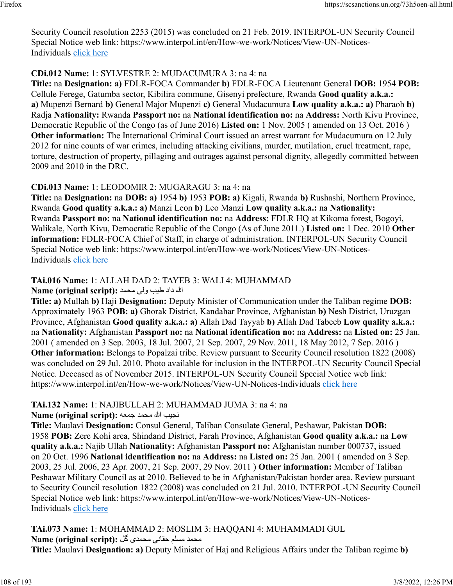Security Council resolution 2253 (2015) was concluded on 21 Feb. 2019. INTERPOL-UN Security Council Special Notice web link: https://www.interpol.int/en/How-we-work/Notices/View-UN-Notices-Individuals [click here](https://www.interpol.int/en/How-we-work/Notices/View-UN-Notices-Individuals)

## **CDi.012 Name:** 1: SYLVESTRE 2: MUDACUMURA 3: na 4: na

**Title:** na **Designation: a)** FDLR-FOCA Commander **b)** FDLR-FOCA Lieutenant General **DOB:** 1954 **POB:** Cellule Ferege, Gatumba sector, Kibilira commune, Gisenyi prefecture, Rwanda **Good quality a.k.a.: a)** Mupenzi Bernard **b)** General Major Mupenzi **c)** General Mudacumura **Low quality a.k.a.: a)** Pharaoh **b)** Radja **Nationality:** Rwanda **Passport no:** na **National identification no:** na **Address:** North Kivu Province, Democratic Republic of the Congo (as of June 2016) **Listed on:** 1 Nov. 2005 ( amended on 13 Oct. 2016 ) **Other information:** The International Criminal Court issued an arrest warrant for Mudacumura on 12 July 2012 for nine counts of war crimes, including attacking civilians, murder, mutilation, cruel treatment, rape, torture, destruction of property, pillaging and outrages against personal dignity, allegedly committed between 2009 and 2010 in the DRC.

### **CDi.013 Name:** 1: LEODOMIR 2: MUGARAGU 3: na 4: na

**Title:** na **Designation:** na **DOB: a)** 1954 **b)** 1953 **POB: a)** Kigali, Rwanda **b)** Rushashi, Northern Province, Rwanda **Good quality a.k.a.: a)** Manzi Leon **b)** Leo Manzi **Low quality a.k.a.:** na **Nationality:** Rwanda **Passport no:** na **National identification no:** na **Address:** FDLR HQ at Kikoma forest, Bogoyi, Walikale, North Kivu, Democratic Republic of the Congo (As of June 2011.) **Listed on:** 1 Dec. 2010 **Other information:** FDLR-FOCA Chief of Staff, in charge of administration. INTERPOL-UN Security Council Special Notice web link: https://www.interpol.int/en/How-we-work/Notices/View-UN-Notices-Individuals [click here](https://www.interpol.int/en/How-we-work/Notices/View-UN-Notices-Individuals)

## **TAi.016 Name:** 1: ALLAH DAD 2: TAYEB 3: WALI 4: MUHAMMAD

الله داد طيب ولي محمد :(Name (original script

**Title: a)** Mullah **b)** Haji **Designation:** Deputy Minister of Communication under the Taliban regime **DOB:** Approximately 1963 **POB: a)** Ghorak District, Kandahar Province, Afghanistan **b)** Nesh District, Uruzgan Province, Afghanistan **Good quality a.k.a.: a)** Allah Dad Tayyab **b)** Allah Dad Tabeeb **Low quality a.k.a.:** na **Nationality:** Afghanistan **Passport no:** na **National identification no:** na **Address:** na **Listed on:** 25 Jan. 2001 ( amended on 3 Sep. 2003, 18 Jul. 2007, 21 Sep. 2007, 29 Nov. 2011, 18 May 2012, 7 Sep. 2016 ) **Other information:** Belongs to Popalzai tribe. Review pursuant to Security Council resolution 1822 (2008) was concluded on 29 Jul. 2010. Photo available for inclusion in the INTERPOL-UN Security Council Special Notice. Deceased as of November 2015. INTERPOL-UN Security Council Special Notice web link: https://www.interpol.int/en/How-we-work/Notices/View-UN-Notices-Individuals [click here](https://www.interpol.int/en/How-we-work/Notices/View-UN-Notices-Individuals)

## **TAi.132 Name:** 1: NAJIBULLAH 2: MUHAMMAD JUMA 3: na 4: na

بيجن الله دمحم هعمج **:(script original (Name**

**Title:** Maulavi **Designation:** Consul General, Taliban Consulate General, Peshawar, Pakistan **DOB:** 1958 **POB:** Zere Kohi area, Shindand District, Farah Province, Afghanistan **Good quality a.k.a.:** na **Low quality a.k.a.:** Najib Ullah **Nationality:** Afghanistan **Passport no:** Afghanistan number 000737, issued on 20 Oct. 1996 **National identification no:** na **Address:** na **Listed on:** 25 Jan. 2001 ( amended on 3 Sep. 2003, 25 Jul. 2006, 23 Apr. 2007, 21 Sep. 2007, 29 Nov. 2011 ) **Other information:** Member of Taliban Peshawar Military Council as at 2010. Believed to be in Afghanistan/Pakistan border area. Review pursuant to Security Council resolution 1822 (2008) was concluded on 21 Jul. 2010. INTERPOL-UN Security Council Special Notice web link: https://www.interpol.int/en/How-we-work/Notices/View-UN-Notices-Individuals [click here](https://www.interpol.int/en/How-we-work/Notices/View-UN-Notices-Individuals)

## **TAi.073 Name:** 1: MOHAMMAD 2: MOSLIM 3: HAQQANI 4: MUHAMMADI GUL دمحم ملسم ىناقح یدمحم لگ **:(script original (Name**

**Title:** Maulavi **Designation: a)** Deputy Minister of Haj and Religious Affairs under the Taliban regime **b)**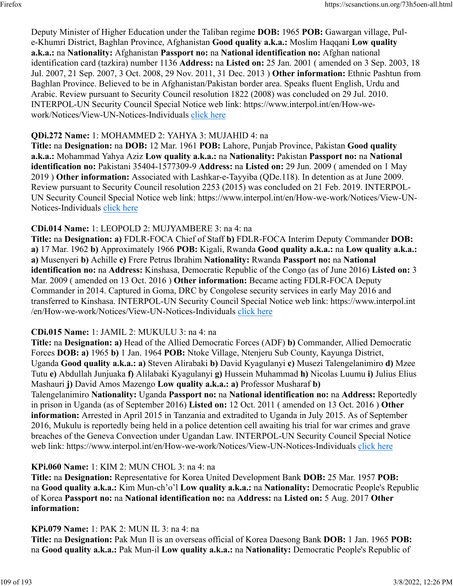Deputy Minister of Higher Education under the Taliban regime **DOB:** 1965 **POB:** Gawargan village, Pule-Khumri District, Baghlan Province, Afghanistan **Good quality a.k.a.:** Moslim Haqqani **Low quality a.k.a.:** na **Nationality:** Afghanistan **Passport no:** na **National identification no:** Afghan national identification card (tazkira) number 1136 **Address:** na **Listed on:** 25 Jan. 2001 ( amended on 3 Sep. 2003, 18 Jul. 2007, 21 Sep. 2007, 3 Oct. 2008, 29 Nov. 2011, 31 Dec. 2013 ) **Other information:** Ethnic Pashtun from Baghlan Province. Believed to be in Afghanistan/Pakistan border area. Speaks fluent English, Urdu and Arabic. Review pursuant to Security Council resolution 1822 (2008) was concluded on 29 Jul. 2010. INTERPOL-UN Security Council Special Notice web link: https://www.interpol.int/en/How-wework/Notices/View-UN-Notices-Individuals [click here](https://www.interpol.int/en/How-we-work/Notices/View-UN-Notices-Individuals)

# **QDi.272 Name:** 1: MOHAMMED 2: YAHYA 3: MUJAHID 4: na

**Title:** na **Designation:** na **DOB:** 12 Mar. 1961 **POB:** Lahore, Punjab Province, Pakistan **Good quality a.k.a.:** Mohammad Yahya Aziz **Low quality a.k.a.:** na **Nationality:** Pakistan **Passport no:** na **National identification no:** Pakistani 35404-1577309-9 **Address:** na **Listed on:** 29 Jun. 2009 ( amended on 1 May 2019 ) **Other information:** Associated with Lashkar-e-Tayyiba (QDe.118). In detention as at June 2009. Review pursuant to Security Council resolution 2253 (2015) was concluded on 21 Feb. 2019. INTERPOL-UN Security Council Special Notice web link: https://www.interpol.int/en/How-we-work/Notices/View-UN-Notices-Individuals [click here](https://www.interpol.int/en/How-we-work/Notices/View-UN-Notices-Individuals)

# **CDi.014 Name:** 1: LEOPOLD 2: MUJYAMBERE 3: na 4: na

**Title:** na **Designation: a)** FDLR-FOCA Chief of Staff **b)** FDLR-FOCA Interim Deputy Commander **DOB: a)** 17 Mar. 1962 **b)** Approximately 1966 **POB:** Kigali, Rwanda **Good quality a.k.a.:** na **Low quality a.k.a.: a)** Musenyeri **b)** Achille **c)** Frere Petrus Ibrahim **Nationality:** Rwanda **Passport no:** na **National identification no:** na **Address:** Kinshasa, Democratic Republic of the Congo (as of June 2016) **Listed on:** 3 Mar. 2009 ( amended on 13 Oct. 2016 ) **Other information:** Became acting FDLR-FOCA Deputy Commander in 2014. Captured in Goma, DRC by Congolese security services in early May 2016 and transferred to Kinshasa. INTERPOL-UN Security Council Special Notice web link: https://www.interpol.int /en/How-we-work/Notices/View-UN-Notices-Individuals [click here](https://www.interpol.int/en/How-we-work/Notices/View-UN-Notices-Individuals)

# **CDi.015 Name:** 1: JAMIL 2: MUKULU 3: na 4: na

**Title:** na **Designation: a)** Head of the Allied Democratic Forces (ADF) **b)** Commander, Allied Democratic Forces **DOB: a)** 1965 **b)** 1 Jan. 1964 **POB:** Ntoke Village, Ntenjeru Sub County, Kayunga District, Uganda **Good quality a.k.a.: a)** Steven Alirabaki **b)** David Kyagulanyi **c)** Musezi Talengelanimiro **d)** Mzee Tutu **e)** Abdullah Junjuaka **f)** Alilabaki Kyagulanyi **g)** Hussein Muhammad **h)** Nicolas Luumu **i)** Julius Elius Mashauri **j)** David Amos Mazengo **Low quality a.k.a.: a)** Professor Musharaf **b)** Talengelanimiro **Nationality:** Uganda **Passport no:** na **National identification no:** na **Address:** Reportedly in prison in Uganda (as of September 2016) **Listed on:** 12 Oct. 2011 ( amended on 13 Oct. 2016 ) **Other information:** Arrested in April 2015 in Tanzania and extradited to Uganda in July 2015. As of September 2016, Mukulu is reportedly being held in a police detention cell awaiting his trial for war crimes and grave breaches of the Geneva Convection under Ugandan Law. INTERPOL-UN Security Council Special Notice web link: https://www.interpol.int/en/How-we-work/Notices/View-UN-Notices-Individuals [click here](https://www.interpol.int/en/How-we-work/Notices/View-UN-Notices-Individuals)

# **KPi.060 Name:** 1: KIM 2: MUN CHOL 3: na 4: na

**Title:** na **Designation:** Representative for Korea United Development Bank **DOB:** 25 Mar. 1957 **POB:** na **Good quality a.k.a.:** Kim Mun-ch'o'l **Low quality a.k.a.:** na **Nationality:** Democratic People's Republic of Korea **Passport no:** na **National identification no:** na **Address:** na **Listed on:** 5 Aug. 2017 **Other information:** 

# **KPi.079 Name:** 1: PAK 2: MUN IL 3: na 4: na

**Title:** na **Designation:** Pak Mun Il is an overseas official of Korea Daesong Bank **DOB:** 1 Jan. 1965 **POB:** na **Good quality a.k.a.:** Pak Mun-il **Low quality a.k.a.:** na **Nationality:** Democratic People's Republic of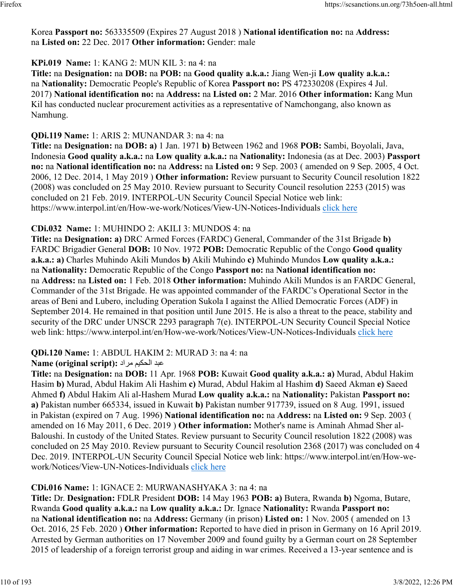Korea **Passport no:** 563335509 (Expires 27 August 2018 ) **National identification no:** na **Address:** na **Listed on:** 22 Dec. 2017 **Other information:** Gender: male

# **KPi.019 Name:** 1: KANG 2: MUN KIL 3: na 4: na

**Title:** na **Designation:** na **DOB:** na **POB:** na **Good quality a.k.a.:** Jiang Wen-ji **Low quality a.k.a.:** na **Nationality:** Democratic People's Republic of Korea **Passport no:** PS 472330208 (Expires 4 Jul. 2017) **National identification no:** na **Address:** na **Listed on:** 2 Mar. 2016 **Other information:** Kang Mun Kil has conducted nuclear procurement activities as a representative of Namchongang, also known as Namhung.

# **QDi.119 Name:** 1: ARIS 2: MUNANDAR 3: na 4: na

**Title:** na **Designation:** na **DOB: a)** 1 Jan. 1971 **b)** Between 1962 and 1968 **POB:** Sambi, Boyolali, Java, Indonesia **Good quality a.k.a.:** na **Low quality a.k.a.:** na **Nationality:** Indonesia (as at Dec. 2003) **Passport no:** na **National identification no:** na **Address:** na **Listed on:** 9 Sep. 2003 ( amended on 9 Sep. 2005, 4 Oct. 2006, 12 Dec. 2014, 1 May 2019 ) **Other information:** Review pursuant to Security Council resolution 1822 (2008) was concluded on 25 May 2010. Review pursuant to Security Council resolution 2253 (2015) was concluded on 21 Feb. 2019. INTERPOL-UN Security Council Special Notice web link: https://www.interpol.int/en/How-we-work/Notices/View-UN-Notices-Individuals [click here](https://www.interpol.int/en/How-we-work/Notices/View-UN-Notices-Individuals)

# **CDi.032 Name:** 1: MUHINDO 2: AKILI 3: MUNDOS 4: na

**Title:** na **Designation: a)** DRC Armed Forces (FARDC) General, Commander of the 31st Brigade **b)** FARDC Brigadier General **DOB:** 10 Nov. 1972 **POB:** Democratic Republic of the Congo **Good quality a.k.a.: a)** Charles Muhindo Akili Mundos **b)** Akili Muhindo **c)** Muhindo Mundos **Low quality a.k.a.:** na **Nationality:** Democratic Republic of the Congo **Passport no:** na **National identification no:** na **Address:** na **Listed on:** 1 Feb. 2018 **Other information:** Muhindo Akili Mundos is an FARDC General, Commander of the 31st Brigade. He was appointed commander of the FARDC's Operational Sector in the areas of Beni and Lubero, including Operation Sukola I against the Allied Democratic Forces (ADF) in September 2014. He remained in that position until June 2015. He is also a threat to the peace, stability and security of the DRC under UNSCR 2293 paragraph 7(e). INTERPOL-UN Security Council Special Notice web link: https://www.interpol.int/en/How-we-work/Notices/View-UN-Notices-Individuals [click here](https://www.interpol.int/en/How-we-work/Notices/View-UN-Notices-Individuals)

# **QDi.120 Name:** 1: ABDUL HAKIM 2: MURAD 3: na 4: na

# دبع ميكحلا دارم **:(script original (Name**

**Title:** na **Designation:** na **DOB:** 11 Apr. 1968 **POB:** Kuwait **Good quality a.k.a.: a)** Murad, Abdul Hakim Hasim **b)** Murad, Abdul Hakim Ali Hashim **c)** Murad, Abdul Hakim al Hashim **d)** Saeed Akman **e)** Saeed Ahmed **f)** Abdul Hakim Ali al-Hashem Murad **Low quality a.k.a.:** na **Nationality:** Pakistan **Passport no: a)** Pakistan number 665334, issued in Kuwait **b)** Pakistan number 917739, issued on 8 Aug. 1991, issued in Pakistan (expired on 7 Aug. 1996) **National identification no:** na **Address:** na **Listed on:** 9 Sep. 2003 ( amended on 16 May 2011, 6 Dec. 2019 ) **Other information:** Mother's name is Aminah Ahmad Sher al-Baloushi. In custody of the United States. Review pursuant to Security Council resolution 1822 (2008) was concluded on 25 May 2010. Review pursuant to Security Council resolution 2368 (2017) was concluded on 4 Dec. 2019. INTERPOL-UN Security Council Special Notice web link: https://www.interpol.int/en/How-wework/Notices/View-UN-Notices-Individuals [click here](https://www.interpol.int/en/How-we-work/Notices/View-UN-Notices-Individuals)

# **CDi.016 Name:** 1: IGNACE 2: MURWANASHYAKA 3: na 4: na

**Title:** Dr. **Designation:** FDLR President **DOB:** 14 May 1963 **POB: a)** Butera, Rwanda **b)** Ngoma, Butare, Rwanda **Good quality a.k.a.:** na **Low quality a.k.a.:** Dr. Ignace **Nationality:** Rwanda **Passport no:** na **National identification no:** na **Address:** Germany (in prison) **Listed on:** 1 Nov. 2005 ( amended on 13 Oct. 2016, 25 Feb. 2020 ) **Other information:** Reported to have died in prison in Germany on 16 April 2019. Arrested by German authorities on 17 November 2009 and found guilty by a German court on 28 September 2015 of leadership of a foreign terrorist group and aiding in war crimes. Received a 13-year sentence and is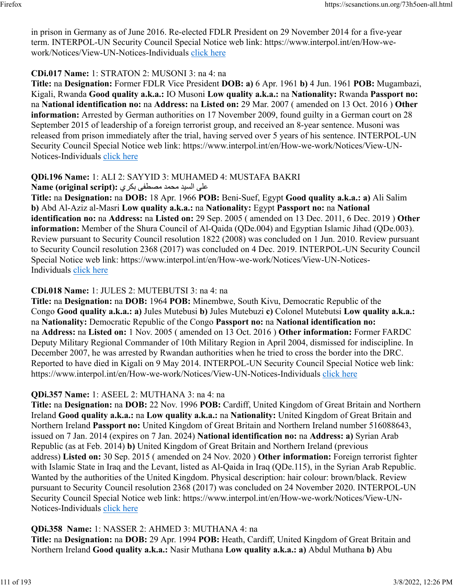in prison in Germany as of June 2016. Re-elected FDLR President on 29 November 2014 for a five-year term. INTERPOL-UN Security Council Special Notice web link: https://www.interpol.int/en/How-wework/Notices/View-UN-Notices-Individuals [click here](https://www.interpol.int/en/How-we-work/Notices/View-UN-Notices-Individuals)

#### **CDi.017 Name:** 1: STRATON 2: MUSONI 3: na 4: na

**Title:** na **Designation:** Former FDLR Vice President **DOB: a)** 6 Apr. 1961 **b)** 4 Jun. 1961 **POB:** Mugambazi, Kigali, Rwanda **Good quality a.k.a.:** IO Musoni **Low quality a.k.a.:** na **Nationality:** Rwanda **Passport no:** na **National identification no:** na **Address:** na **Listed on:** 29 Mar. 2007 ( amended on 13 Oct. 2016 ) **Other information:** Arrested by German authorities on 17 November 2009, found guilty in a German court on 28 September 2015 of leadership of a foreign terrorist group, and received an 8-year sentence. Musoni was released from prison immediately after the trial, having served over 5 years of his sentence. INTERPOL-UN Security Council Special Notice web link: https://www.interpol.int/en/How-we-work/Notices/View-UN-Notices-Individuals [click here](https://www.interpol.int/en/How-we-work/Notices/View-UN-Notices-Individuals)

# **QDi.196 Name:** 1: ALI 2: SAYYID 3: MUHAMED 4: MUSTAFA BAKRI

### ىلع ديسلا دمحم ىفطصم يركب **:(script original (Name**

**Title:** na **Designation:** na **DOB:** 18 Apr. 1966 **POB:** Beni-Suef, Egypt **Good quality a.k.a.: a)** Ali Salim **b)** Abd Al-Aziz al-Masri **Low quality a.k.a.:** na **Nationality:** Egypt **Passport no:** na **National identification no:** na **Address:** na **Listed on:** 29 Sep. 2005 ( amended on 13 Dec. 2011, 6 Dec. 2019 ) **Other information:** Member of the Shura Council of Al-Qaida (QDe.004) and Egyptian Islamic Jihad (QDe.003). Review pursuant to Security Council resolution 1822 (2008) was concluded on 1 Jun. 2010. Review pursuant to Security Council resolution 2368 (2017) was concluded on 4 Dec. 2019. INTERPOL-UN Security Council Special Notice web link: https://www.interpol.int/en/How-we-work/Notices/View-UN-Notices-Individuals [click here](https://www.interpol.int/en/How-we-work/Notices/View-UN-Notices-Individuals)

#### **CDi.018 Name:** 1: JULES 2: MUTEBUTSI 3: na 4: na

**Title:** na **Designation:** na **DOB:** 1964 **POB:** Minembwe, South Kivu, Democratic Republic of the Congo **Good quality a.k.a.: a)** Jules Mutebusi **b)** Jules Mutebuzi **c)** Colonel Mutebutsi **Low quality a.k.a.:** na **Nationality:** Democratic Republic of the Congo **Passport no:** na **National identification no:** na **Address:** na **Listed on:** 1 Nov. 2005 ( amended on 13 Oct. 2016 ) **Other information:** Former FARDC Deputy Military Regional Commander of 10th Military Region in April 2004, dismissed for indiscipline. In December 2007, he was arrested by Rwandan authorities when he tried to cross the border into the DRC. Reported to have died in Kigali on 9 May 2014. INTERPOL-UN Security Council Special Notice web link: https://www.interpol.int/en/How-we-work/Notices/View-UN-Notices-Individuals [click here](https://www.interpol.int/en/How-we-work/Notices/View-UN-Notices-Individuals)

# **QDi.357 Name:** 1: ASEEL 2: MUTHANA 3: na 4: na

**Title:** na **Designation:** na **DOB:** 22 Nov. 1996 **POB:** Cardiff, United Kingdom of Great Britain and Northern Ireland **Good quality a.k.a.:** na **Low quality a.k.a.:** na **Nationality:** United Kingdom of Great Britain and Northern Ireland **Passport no:** United Kingdom of Great Britain and Northern Ireland number 516088643, issued on 7 Jan. 2014 (expires on 7 Jan. 2024) **National identification no:** na **Address: a)** Syrian Arab Republic (as at Feb. 2014) **b)** United Kingdom of Great Britain and Northern Ireland (previous address) **Listed on:** 30 Sep. 2015 ( amended on 24 Nov. 2020 ) **Other information:** Foreign terrorist fighter with Islamic State in Iraq and the Levant, listed as Al-Qaida in Iraq (QDe.115), in the Syrian Arab Republic. Wanted by the authorities of the United Kingdom. Physical description: hair colour: brown/black. Review pursuant to Security Council resolution 2368 (2017) was concluded on 24 November 2020. INTERPOL-UN Security Council Special Notice web link: https://www.interpol.int/en/How-we-work/Notices/View-UNNotices-Individuals [click here](https://www.interpol.int/en/How-we-work/Notices/View-UN-Notices-Individuals)

#### **QDi.358 Name:** 1: NASSER 2: AHMED 3: MUTHANA 4: na

**Title:** na **Designation:** na **DOB:** 29 Apr. 1994 **POB:** Heath, Cardiff, United Kingdom of Great Britain and Northern Ireland **Good quality a.k.a.:** Nasir Muthana **Low quality a.k.a.: a)** Abdul Muthana **b)** Abu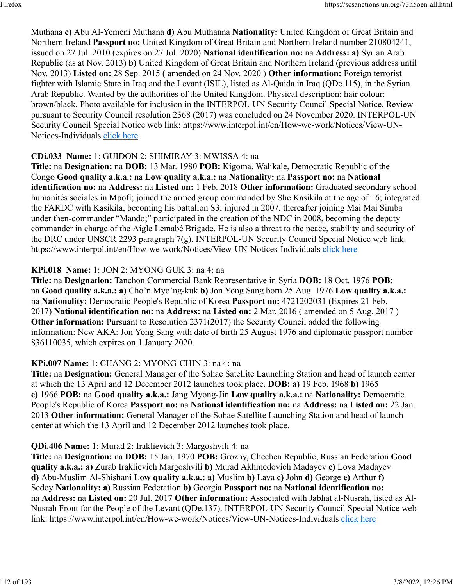Muthana **c)** Abu Al-Yemeni Muthana **d)** Abu Muthanna **Nationality:** United Kingdom of Great Britain and Northern Ireland **Passport no:** United Kingdom of Great Britain and Northern Ireland number 210804241, issued on 27 Jul. 2010 (expires on 27 Jul. 2020) **National identification no:** na **Address: a)** Syrian Arab Republic (as at Nov. 2013) **b)** United Kingdom of Great Britain and Northern Ireland (previous address until Nov. 2013) **Listed on:** 28 Sep. 2015 ( amended on 24 Nov. 2020 ) **Other information:** Foreign terrorist fighter with Islamic State in Iraq and the Levant (ISIL), listed as Al-Qaida in Iraq (QDe.115), in the Syrian Arab Republic. Wanted by the authorities of the United Kingdom. Physical description: hair colour: brown/black. Photo available for inclusion in the INTERPOL-UN Security Council Special Notice. Review pursuant to Security Council resolution 2368 (2017) was concluded on 24 November 2020. INTERPOL-UN Security Council Special Notice web link: https://www.interpol.int/en/How-we-work/Notices/View-UN-Notices-Individuals [click here](https://www.interpol.int/en/How-we-work/Notices/View-UN-Notices-Individuals)

#### **CDi.033 Name:** 1: GUIDON 2: SHIMIRAY 3: MWISSA 4: na

**Title:** na **Designation:** na **DOB:** 13 Mar. 1980 **POB:** Kigoma, Walikale, Democratic Republic of the Congo **Good quality a.k.a.:** na **Low quality a.k.a.:** na **Nationality:** na **Passport no:** na **National identification no:** na **Address:** na **Listed on:** 1 Feb. 2018 **Other information:** Graduated secondary school humanités sociales in Mpofi; joined the armed group commanded by She Kasikila at the age of 16; integrated the FARDC with Kasikila, becoming his battalion S3; injured in 2007, thereafter joining Mai Mai Simba under then-commander "Mando;" participated in the creation of the NDC in 2008, becoming the deputy commander in charge of the Aigle Lemabé Brigade. He is also a threat to the peace, stability and security of the DRC under UNSCR 2293 paragraph 7(g). INTERPOL-UN Security Council Special Notice web link: https://www.interpol.int/en/How-we-work/Notices/View-UN-Notices-Individuals [click here](https://www.interpol.int/en/How-we-work/Notices/View-UN-Notices-Individuals)

### **KPi.018 Name:** 1: JON 2: MYONG GUK 3: na 4: na

**Title:** na **Designation:** Tanchon Commercial Bank Representative in Syria **DOB:** 18 Oct. 1976 **POB:** na **Good quality a.k.a.: a)** Cho'n Myo'ng-kuk **b)** Jon Yong Sang born 25 Aug. 1976 **Low quality a.k.a.:** na **Nationality:** Democratic People's Republic of Korea **Passport no:** 4721202031 (Expires 21 Feb. 2017) **National identification no:** na **Address:** na **Listed on:** 2 Mar. 2016 ( amended on 5 Aug. 2017 ) **Other information:** Pursuant to Resolution 2371(2017) the Security Council added the following information: New AKA: Jon Yong Sang with date of birth 25 August 1976 and diplomatic passport number 836110035, which expires on 1 January 2020.

#### **KPi.007 Name:** 1: CHANG 2: MYONG-CHIN 3: na 4: na

**Title:** na **Designation:** General Manager of the Sohae Satellite Launching Station and head of launch center at which the 13 April and 12 December 2012 launches took place. **DOB: a)** 19 Feb. 1968 **b)** 1965 **c)** 1966 **POB:** na **Good quality a.k.a.:** Jang Myong-Jin **Low quality a.k.a.:** na **Nationality:** Democratic People's Republic of Korea **Passport no:** na **National identification no:** na **Address:** na **Listed on:** 22 Jan. 2013 **Other information:** General Manager of the Sohae Satellite Launching Station and head of launch center at which the 13 April and 12 December 2012 launches took place.

#### **QDi.406 Name:** 1: Murad 2: Iraklievich 3: Margoshvili 4: na

**Title:** na **Designation:** na **DOB:** 15 Jan. 1970 **POB:** Grozny, Chechen Republic, Russian Federation **Good quality a.k.a.: a)** Zurab Iraklievich Margoshvili **b)** Murad Akhmedovich Madayev **c)** Lova Madayev **d)** Abu-Muslim Al-Shishani **Low quality a.k.a.: a)** Muslim **b)** Lava **c)** John **d)** George **e)** Arthur **f)** Sedoy **Nationality: a)** Russian Federation **b)** Georgia **Passport no:** na **National identification no:** na **Address:** na **Listed on:** 20 Jul. 2017 **Other information:** Associated with Jabhat al-Nusrah, listed as Al-Nusrah Front for the People of the Levant (QDe.137). INTERPOL-UN Security Council Special Notice web link: https://www.interpol.int/en/How-we-work/Notices/View-UN-Notices-Individuals [click here](https://www.interpol.int/en/How-we-work/Notices/View-UN-Notices-Individuals)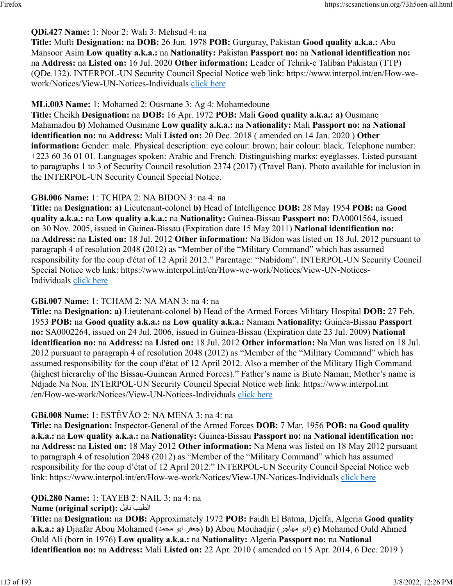### **QDi.427 Name:** 1: Noor 2: Wali 3: Mehsud 4: na

**Title:** Mufti **Designation:** na **DOB:** 26 Jun. 1978 **POB:** Gurguray, Pakistan **Good quality a.k.a.:** Abu Mansoor Asim **Low quality a.k.a.:** na **Nationality:** Pakistan **Passport no:** na **National identification no:** na **Address:** na **Listed on:** 16 Jul. 2020 **Other information:** Leader of Tehrik-e Taliban Pakistan (TTP) (QDe.132). INTERPOL-UN Security Council Special Notice web link: https://www.interpol.int/en/How-wework/Notices/View-UN-Notices-Individuals [click here](https://www.interpol.int/en/How-we-work/Notices/View-UN-Notices-Individuals)

#### **MLi.003 Name:** 1: Mohamed 2: Ousmane 3: Ag 4: Mohamedoune

**Title:** Cheikh **Designation:** na **DOB:** 16 Apr. 1972 **POB:** Mali **Good quality a.k.a.: a)** Ousmane Mahamadou **b)** Mohamed Ousmane **Low quality a.k.a.:** na **Nationality:** Mali **Passport no:** na **National identification no:** na **Address:** Mali **Listed on:** 20 Dec. 2018 ( amended on 14 Jan. 2020 ) **Other information:** Gender: male. Physical description: eye colour: brown; hair colour: black. Telephone number: +223 60 36 01 01. Languages spoken: Arabic and French. Distinguishing marks: eyeglasses. Listed pursuant to paragraphs 1 to 3 of Security Council resolution 2374 (2017) (Travel Ban). Photo available for inclusion in the INTERPOL-UN Security Council Special Notice.

#### **GBi.006 Name:** 1: TCHIPA 2: NA BIDON 3: na 4: na

**Title:** na **Designation: a)** Lieutenant-colonel **b)** Head of Intelligence **DOB:** 28 May 1954 **POB:** na **Good quality a.k.a.:** na **Low quality a.k.a.:** na **Nationality:** Guinea-Bissau **Passport no:** DA0001564, issued on 30 Nov. 2005, issued in Guinea-Bissau (Expiration date 15 May 2011) **National identification no:** na **Address:** na **Listed on:** 18 Jul. 2012 **Other information:** Na Bidon was listed on 18 Jul. 2012 pursuant to paragraph 4 of resolution 2048 (2012) as "Member of the "Military Command" which has assumed responsibility for the coup d'état of 12 April 2012." Parentage: "Nabidom". INTERPOL-UN Security Council Special Notice web link: https://www.interpol.int/en/How-we-work/Notices/View-UN-Notices-Individuals [click here](https://www.interpol.int/en/How-we-work/Notices/View-UN-Notices-Individuals)

#### **GBi.007 Name:** 1: TCHAM 2: NA MAN 3: na 4: na

**Title:** na **Designation: a)** Lieutenant-colonel **b)** Head of the Armed Forces Military Hospital **DOB:** 27 Feb. 1953 **POB:** na **Good quality a.k.a.:** na **Low quality a.k.a.:** Namam **Nationality:** Guinea-Bissau **Passport no:** SA0002264, issued on 24 Jul. 2006, issued in Guinea-Bissau (Expiration date 23 Jul. 2009) **National identification no:** na **Address:** na **Listed on:** 18 Jul. 2012 **Other information:** Na Man was listed on 18 Jul. 2012 pursuant to paragraph 4 of resolution 2048 (2012) as "Member of the "Military Command" which has assumed responsibility for the coup d'état of 12 April 2012. Also a member of the Military High Command (highest hierarchy of the Bissau-Guinean Armed Forces)." Father's name is Biute Naman; Mother's name is Ndjade Na Noa. INTERPOL-UN Security Council Special Notice web link: https://www.interpol.int /en/How-we-work/Notices/View-UN-Notices-Individuals [click here](https://www.interpol.int/en/How-we-work/Notices/View-UN-Notices-Individuals)

#### **GBi.008 Name:** 1: ESTÊVÃO 2: NA MENA 3: na 4: na

**Title:** na **Designation:** Inspector-General of the Armed Forces **DOB:** 7 Mar. 1956 **POB:** na **Good quality a.k.a.:** na **Low quality a.k.a.:** na **Nationality:** Guinea-Bissau **Passport no:** na **National identification no:** na **Address:** na **Listed on:** 18 May 2012 **Other information:** Na Mena was listed on 18 May 2012 pursuant to paragraph 4 of resolution 2048 (2012) as "Member of the "Military Command" which has assumed responsibility for the coup d'état of 12 April 2012." INTERPOL-UN Security Council Special Notice web link: https://www.interpol.int/en/How-we-work/Notices/View-UN-Notices-Individuals [click here](https://www.interpol.int/en/How-we-work/Notices/View-UN-Notices-Individuals)

#### **QDi.280 Name:** 1: TAYEB 2: NAIL 3: na 4: na

#### **Name (original script):** ليان بيطلا

**Title:** na **Designation:** na **DOB:** Approximately 1972 **POB:** Faidh El Batma, Djelfa, Algeria **Good quality a.k.a.: a)** Djaafar Abou Mohamed ( دمحم وبا رفعج( **b)** Abou Mouhadjir ( رجاهم وبا( **c)** Mohamed Ould Ahmed Ould Ali (born in 1976) **Low quality a.k.a.:** na **Nationality:** Algeria **Passport no:** na **National identification no:** na **Address:** Mali **Listed on:** 22 Apr. 2010 ( amended on 15 Apr. 2014, 6 Dec. 2019 )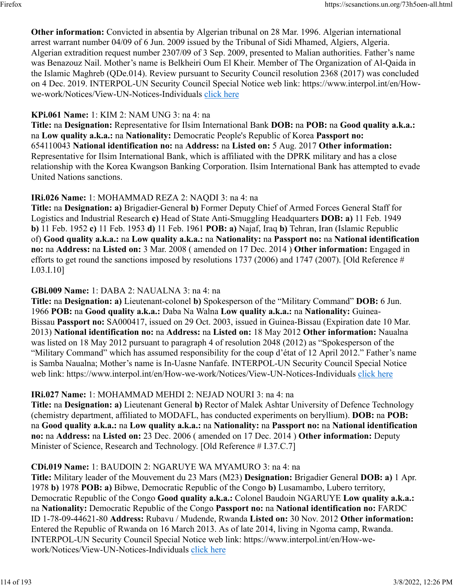**Other information:** Convicted in absentia by Algerian tribunal on 28 Mar. 1996. Algerian international arrest warrant number 04/09 of 6 Jun. 2009 issued by the Tribunal of Sidi Mhamed, Algiers, Algeria. Algerian extradition request number 2307/09 of 3 Sep. 2009, presented to Malian authorities. Father's name was Benazouz Nail. Mother's name is Belkheiri Oum El Kheir. Member of The Organization of Al-Qaida in the Islamic Maghreb (QDe.014). Review pursuant to Security Council resolution 2368 (2017) was concluded on 4 Dec. 2019. INTERPOL-UN Security Council Special Notice web link: https://www.interpol.int/en/Howwe-work/Notices/View-UN-Notices-Individuals [click here](https://www.interpol.int/en/How-we-work/Notices/View-UN-Notices-Individuals)

#### **KPi.061 Name:** 1: KIM 2: NAM UNG 3: na 4: na

**Title:** na **Designation:** Representative for Ilsim International Bank **DOB:** na **POB:** na **Good quality a.k.a.:** na **Low quality a.k.a.:** na **Nationality:** Democratic People's Republic of Korea **Passport no:** 654110043 **National identification no:** na **Address:** na **Listed on:** 5 Aug. 2017 **Other information:** Representative for Ilsim International Bank, which is affiliated with the DPRK military and has a close relationship with the Korea Kwangson Banking Corporation. Ilsim International Bank has attempted to evade United Nations sanctions.

#### **IRi.026 Name:** 1: MOHAMMAD REZA 2: NAQDI 3: na 4: na

**Title:** na **Designation: a)** Brigadier-General **b)** Former Deputy Chief of Armed Forces General Staff for Logistics and Industrial Research **c)** Head of State Anti-Smuggling Headquarters **DOB: a)** 11 Feb. 1949 **b)** 11 Feb. 1952 **c)** 11 Feb. 1953 **d)** 11 Feb. 1961 **POB: a)** Najaf, Iraq **b)** Tehran, Iran (Islamic Republic of) **Good quality a.k.a.:** na **Low quality a.k.a.:** na **Nationality:** na **Passport no:** na **National identification no:** na **Address:** na **Listed on:** 3 Mar. 2008 ( amended on 17 Dec. 2014 ) **Other information:** Engaged in efforts to get round the sanctions imposed by resolutions 1737 (2006) and 1747 (2007). [Old Reference # I.03.I.10]

#### **GBi.009 Name:** 1: DABA 2: NAUALNA 3: na 4: na

**Title:** na **Designation: a)** Lieutenant-colonel **b)** Spokesperson of the "Military Command" **DOB:** 6 Jun. 1966 **POB:** na **Good quality a.k.a.:** Daba Na Walna **Low quality a.k.a.:** na **Nationality:** Guinea-Bissau **Passport no:** SA000417, issued on 29 Oct. 2003, issued in Guinea-Bissau (Expiration date 10 Mar. 2013) **National identification no:** na **Address:** na **Listed on:** 18 May 2012 **Other information:** Naualna was listed on 18 May 2012 pursuant to paragraph 4 of resolution 2048 (2012) as "Spokesperson of the "Military Command" which has assumed responsibility for the coup d'état of 12 April 2012." Father's name is Samba Naualna; Mother's name is In-Uasne Nanfafe. INTERPOL-UN Security Council Special Notice web link: https://www.interpol.int/en/How-we-work/Notices/View-UN-Notices-Individuals [click here](https://www.interpol.int/en/How-we-work/Notices/View-UN-Notices-Individuals)

#### **IRi.027 Name:** 1: MOHAMMAD MEHDI 2: NEJAD NOURI 3: na 4: na

**Title:** na **Designation: a)** Lieutenant General **b)** Rector of Malek Ashtar University of Defence Technology (chemistry department, affiliated to MODAFL, has conducted experiments on beryllium). **DOB:** na **POB:** na **Good quality a.k.a.:** na **Low quality a.k.a.:** na **Nationality:** na **Passport no:** na **National identification no:** na **Address:** na **Listed on:** 23 Dec. 2006 ( amended on 17 Dec. 2014 ) **Other information:** Deputy Minister of Science, Research and Technology. [Old Reference # I.37.C.7]

#### **CDi.019 Name:** 1: BAUDOIN 2: NGARUYE WA MYAMURO 3: na 4: na

**Title:** Military leader of the Mouvement du 23 Mars (M23) **Designation:** Brigadier General **DOB: a)** 1 Apr. 1978 **b)** 1978 **POB: a)** Bibwe, Democratic Republic of the Congo **b)** Lusamambo, Lubero territory, Democratic Republic of the Congo **Good quality a.k.a.:** Colonel Baudoin NGARUYE **Low quality a.k.a.:** na **Nationality:** Democratic Republic of the Congo **Passport no:** na **National identification no:** FARDC ID 1-78-09-44621-80 **Address:** Rubavu / Mudende, Rwanda **Listed on:** 30 Nov. 2012 **Other information:** Entered the Republic of Rwanda on 16 March 2013. As of late 2014, living in Ngoma camp, Rwanda. INTERPOL-UN Security Council Special Notice web link: https://www.interpol.int/en/How-wework/Notices/View-UN-Notices-Individuals [click here](https://www.interpol.int/en/How-we-work/Notices/View-UN-Notices-Individuals)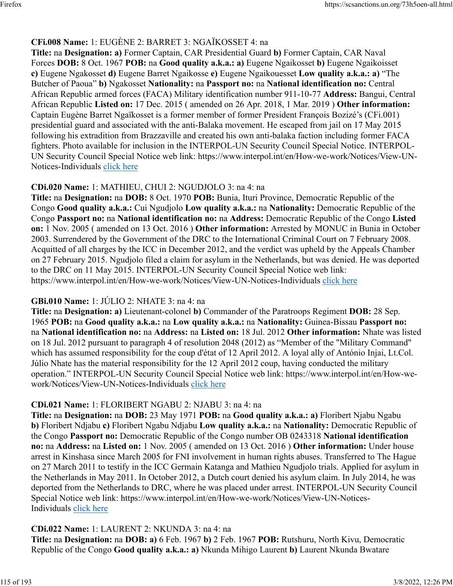# **CFi.008 Name:** 1: EUGÈNE 2: BARRET 3: NGAÏKOSSET 4: na

**Title:** na **Designation: a)** Former Captain, CAR Presidential Guard **b)** Former Captain, CAR Naval Forces **DOB:** 8 Oct. 1967 **POB:** na **Good quality a.k.a.: a)** Eugene Ngaikosset **b)** Eugene Ngaikoisset **c)** Eugene Ngakosset **d)** Eugene Barret Ngaikosse **e)** Eugene Ngaikouesset **Low quality a.k.a.: a)** "The Butcher of Paoua" **b)** Ngakosset **Nationality:** na **Passport no:** na **National identification no:** Central African Republic armed forces (FACA) Military identification number 911-10-77 **Address:** Bangui, Central African Republic **Listed on:** 17 Dec. 2015 ( amended on 26 Apr. 2018, 1 Mar. 2019 ) **Other information:** Captain Eugène Barret Ngaïkosset is a former member of former President François Bozizé's (CFi.001) presidential guard and associated with the anti-Balaka movement. He escaped from jail on 17 May 2015 following his extradition from Brazzaville and created his own anti-balaka faction including former FACA fighters. Photo available for inclusion in the INTERPOL-UN Security Council Special Notice. INTERPOL-UN Security Council Special Notice web link: https://www.interpol.int/en/How-we-work/Notices/View-UN-Notices-Individuals [click here](https://www.interpol.int/en/How-we-work/Notices/View-UN-Notices-Individuals)

#### **CDi.020 Name:** 1: MATHIEU, CHUI 2: NGUDJOLO 3: na 4: na

**Title:** na **Designation:** na **DOB:** 8 Oct. 1970 **POB:** Bunia, Ituri Province, Democratic Republic of the Congo **Good quality a.k.a.:** Cui Ngudjolo **Low quality a.k.a.:** na **Nationality:** Democratic Republic of the Congo **Passport no:** na **National identification no:** na **Address:** Democratic Republic of the Congo **Listed on:** 1 Nov. 2005 ( amended on 13 Oct. 2016 ) **Other information:** Arrested by MONUC in Bunia in October 2003. Surrendered by the Government of the DRC to the International Criminal Court on 7 February 2008. Acquitted of all charges by the ICC in December 2012, and the verdict was upheld by the Appeals Chamber on 27 February 2015. Ngudjolo filed a claim for asylum in the Netherlands, but was denied. He was deported to the DRC on 11 May 2015. INTERPOL-UN Security Council Special Notice web link: https://www.interpol.int/en/How-we-work/Notices/View-UN-Notices-Individuals [click here](https://www.interpol.int/en/How-we-work/Notices/View-UN-Notices-Individuals)

# **GBi.010 Name:** 1: JÚLIO 2: NHATE 3: na 4: na

**Title:** na **Designation: a)** Lieutenant-colonel **b)** Commander of the Paratroops Regiment **DOB:** 28 Sep. 1965 **POB:** na **Good quality a.k.a.:** na **Low quality a.k.a.:** na **Nationality:** Guinea-Bissau **Passport no:** na **National identification no:** na **Address:** na **Listed on:** 18 Jul. 2012 **Other information:** Nhate was listed on 18 Jul. 2012 pursuant to paragraph 4 of resolution 2048 (2012) as "Member of the "Military Command" which has assumed responsibility for the coup d'état of 12 April 2012. A loyal ally of António Injai, Lt.Col. Júlio Nhate has the material responsibility for the 12 April 2012 coup, having conducted the military operation." INTERPOL-UN Security Council Special Notice web link: https://www.interpol.int/en/How-wework/Notices/View-UN-Notices-Individuals [click here](https://www.interpol.int/en/How-we-work/Notices/View-UN-Notices-Individuals)

# **CDi.021 Name:** 1: FLORIBERT NGABU 2: NJABU 3: na 4: na

**Title:** na **Designation:** na **DOB:** 23 May 1971 **POB:** na **Good quality a.k.a.: a)** Floribert Njabu Ngabu **b)** Floribert Ndjabu **c)** Floribert Ngabu Ndjabu **Low quality a.k.a.:** na **Nationality:** Democratic Republic of the Congo **Passport no:** Democratic Republic of the Congo number OB 0243318 **National identification no:** na **Address:** na **Listed on:** 1 Nov. 2005 ( amended on 13 Oct. 2016 ) **Other information:** Under house arrest in Kinshasa since March 2005 for FNI involvement in human rights abuses. Transferred to The Hague on 27 March 2011 to testify in the ICC Germain Katanga and Mathieu Ngudjolo trials. Applied for asylum in the Netherlands in May 2011. In October 2012, a Dutch court denied his asylum claim. In July 2014, he was deported from the Netherlands to DRC, where he was placed under arrest. INTERPOL-UN Security Council Special Notice web link: https://www.interpol.int/en/How-we-work/Notices/View-UN-NoticesIndividuals [click here](https://www.interpol.int/en/How-we-work/Notices/View-UN-Notices-Individuals)

# **CDi.022 Name:** 1: LAURENT 2: NKUNDA 3: na 4: na

**Title:** na **Designation:** na **DOB: a)** 6 Feb. 1967 **b)** 2 Feb. 1967 **POB:** Rutshuru, North Kivu, Democratic Republic of the Congo **Good quality a.k.a.: a)** Nkunda Mihigo Laurent **b)** Laurent Nkunda Bwatare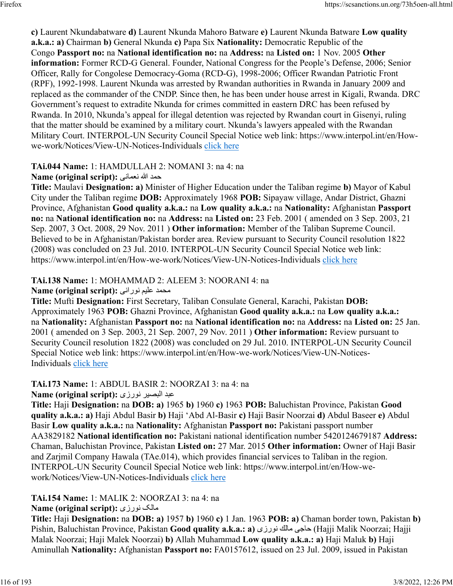**c)** Laurent Nkundabatware **d)** Laurent Nkunda Mahoro Batware **e)** Laurent Nkunda Batware **Low quality a.k.a.: a)** Chairman **b)** General Nkunda **c)** Papa Six **Nationality:** Democratic Republic of the Congo **Passport no:** na **National identification no:** na **Address:** na **Listed on:** 1 Nov. 2005 **Other information:** Former RCD-G General. Founder, National Congress for the People's Defense, 2006; Senior Officer, Rally for Congolese Democracy-Goma (RCD-G), 1998-2006; Officer Rwandan Patriotic Front (RPF), 1992-1998. Laurent Nkunda was arrested by Rwandan authorities in Rwanda in January 2009 and replaced as the commander of the CNDP. Since then, he has been under house arrest in Kigali, Rwanda. DRC Government's request to extradite Nkunda for crimes committed in eastern DRC has been refused by Rwanda. In 2010, Nkunda's appeal for illegal detention was rejected by Rwandan court in Gisenyi, ruling that the matter should be examined by a military court. Nkunda's lawyers appealed with the Rwandan Military Court. INTERPOL-UN Security Council Special Notice web link: https://www.interpol.int/en/Howwe-work/Notices/View-UN-Notices-Individuals [click here](https://www.interpol.int/en/How-we-work/Notices/View-UN-Notices-Individuals)

### **TAi.044 Name:** 1: HAMDULLAH 2: NOMANI 3: na 4: na

#### دمح الله ىنامعن **:(script original (Name**

**Title:** Maulavi **Designation: a)** Minister of Higher Education under the Taliban regime **b)** Mayor of Kabul City under the Taliban regime **DOB:** Approximately 1968 **POB:** Sipayaw village, Andar District, Ghazni Province, Afghanistan **Good quality a.k.a.:** na **Low quality a.k.a.:** na **Nationality:** Afghanistan **Passport no:** na **National identification no:** na **Address:** na **Listed on:** 23 Feb. 2001 ( amended on 3 Sep. 2003, 21 Sep. 2007, 3 Oct. 2008, 29 Nov. 2011 ) **Other information:** Member of the Taliban Supreme Council. Believed to be in Afghanistan/Pakistan border area. Review pursuant to Security Council resolution 1822 (2008) was concluded on 23 Jul. 2010. INTERPOL-UN Security Council Special Notice web link: https://www.interpol.int/en/How-we-work/Notices/View-UN-Notices-Individuals [click here](https://www.interpol.int/en/How-we-work/Notices/View-UN-Notices-Individuals)

#### **TAi.138 Name:** 1: MOHAMMAD 2: ALEEM 3: NOORANI 4: na

محمد عليم نوراني :(Name (original script

**Title:** Mufti **Designation:** First Secretary, Taliban Consulate General, Karachi, Pakistan **DOB:** Approximately 1963 **POB:** Ghazni Province, Afghanistan **Good quality a.k.a.:** na **Low quality a.k.a.:** na **Nationality:** Afghanistan **Passport no:** na **National identification no:** na **Address:** na **Listed on:** 25 Jan. 2001 ( amended on 3 Sep. 2003, 21 Sep. 2007, 29 Nov. 2011 ) **Other information:** Review pursuant to Security Council resolution 1822 (2008) was concluded on 29 Jul. 2010. INTERPOL-UN Security Council Special Notice web link: https://www.interpol.int/en/How-we-work/Notices/View-UN-Notices-Individuals [click here](https://www.interpol.int/en/How-we-work/Notices/View-UN-Notices-Individuals)

#### **TAi.173 Name:** 1: ABDUL BASIR 2: NOORZAI 3: na 4: na

دبع ريصبلا یزرون **:(script original (Name**

**Title:** Haji **Designation:** na **DOB: a)** 1965 **b)** 1960 **c)** 1963 **POB:** Baluchistan Province, Pakistan **Good quality a.k.a.: a)** Haji Abdul Basir **b)** Haji 'Abd Al-Basir **c)** Haji Basir Noorzai **d)** Abdul Baseer **e)** Abdul Basir **Low quality a.k.a.:** na **Nationality:** Afghanistan **Passport no:** Pakistani passport number AA3829182 **National identification no:** Pakistani national identification number 5420124679187 **Address:** Chaman, Baluchistan Province, Pakistan **Listed on:** 27 Mar. 2015 **Other information:** Owner of Haji Basir and Zarjmil Company Hawala (TAe.014), which provides financial services to Taliban in the region. INTERPOL-UN Security Council Special Notice web link: https://www.interpol.int/en/How-wework/Notices/View-UN-Notices-Individuals [click here](https://www.interpol.int/en/How-we-work/Notices/View-UN-Notices-Individuals)

# **TAi.154 Name:** 1: MALIK 2: NOORZAI 3: na 4: na

#### **Name (original script):** ىزرون کلام

**Title:** Haji **Designation:** na **DOB: a)** 1957 **b)** 1960 **c)** 1 Jan. 1963 **POB: a)** Chaman border town, Pakistan **b)** Pishin, Baluchistan Province, Pakistan **Good quality a.k.a.: a)** ىزرون كلام ىجاح) Hajji Malik Noorzai; Hajji Malak Noorzai; Haji Malek Noorzai) **b)** Allah Muhammad **Low quality a.k.a.: a)** Haji Maluk **b)** Haji Aminullah **Nationality:** Afghanistan **Passport no:** FA0157612, issued on 23 Jul. 2009, issued in Pakistan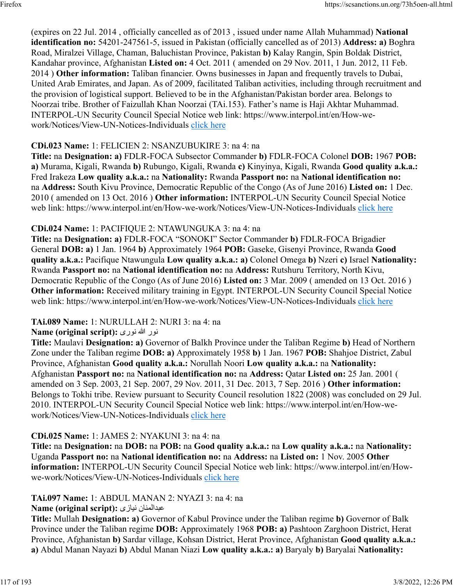(expires on 22 Jul. 2014 , officially cancelled as of 2013 , issued under name Allah Muhammad) **National identification no:** 54201-247561-5, issued in Pakistan (officially cancelled as of 2013) **Address: a)** Boghra Road, Miralzei Village, Chaman, Baluchistan Province, Pakistan **b)** Kalay Rangin, Spin Boldak District, Kandahar province, Afghanistan **Listed on:** 4 Oct. 2011 ( amended on 29 Nov. 2011, 1 Jun. 2012, 11 Feb. 2014 ) **Other information:** Taliban financier. Owns businesses in Japan and frequently travels to Dubai, United Arab Emirates, and Japan. As of 2009, facilitated Taliban activities, including through recruitment and the provision of logistical support. Believed to be in the Afghanistan/Pakistan border area. Belongs to Noorzai tribe. Brother of Faizullah Khan Noorzai (TAi.153). Father's name is Haji Akhtar Muhammad. INTERPOL-UN Security Council Special Notice web link: https://www.interpol.int/en/How-wework/Notices/View-UN-Notices-Individuals [click here](https://www.interpol.int/en/How-we-work/Notices/View-UN-Notices-Individuals)

#### **CDi.023 Name:** 1: FELICIEN 2: NSANZUBUKIRE 3: na 4: na

**Title:** na **Designation: a)** FDLR-FOCA Subsector Commander **b)** FDLR-FOCA Colonel **DOB:** 1967 **POB: a)** Murama, Kigali, Rwanda **b)** Rubungo, Kigali, Rwanda **c)** Kinyinya, Kigali, Rwanda **Good quality a.k.a.:** Fred Irakeza **Low quality a.k.a.:** na **Nationality:** Rwanda **Passport no:** na **National identification no:** na **Address:** South Kivu Province, Democratic Republic of the Congo (As of June 2016) **Listed on:** 1 Dec. 2010 ( amended on 13 Oct. 2016 ) **Other information:** INTERPOL-UN Security Council Special Notice web link: https://www.interpol.int/en/How-we-work/Notices/View-UN-Notices-Individuals [click here](https://www.interpol.int/en/How-we-work/Notices/View-UN-Notices-Individuals)

#### **CDi.024 Name:** 1: PACIFIQUE 2: NTAWUNGUKA 3: na 4: na

**Title:** na **Designation: a)** FDLR-FOCA "SONOKI" Sector Commander **b)** FDLR-FOCA Brigadier General **DOB: a)** 1 Jan. 1964 **b)** Approximately 1964 **POB:** Gaseke, Gisenyi Province, Rwanda **Good quality a.k.a.:** Pacifique Ntawungula **Low quality a.k.a.: a)** Colonel Omega **b)** Nzeri **c)** Israel **Nationality:** Rwanda **Passport no:** na **National identification no:** na **Address:** Rutshuru Territory, North Kivu, Democratic Republic of the Congo (As of June 2016) **Listed on:** 3 Mar. 2009 ( amended on 13 Oct. 2016 ) **Other information:** Received military training in Egypt. INTERPOL-UN Security Council Special Notice web link: https://www.interpol.int/en/How-we-work/Notices/View-UN-Notices-Individuals [click here](https://www.interpol.int/en/How-we-work/Notices/View-UN-Notices-Individuals)

#### **TAi.089 Name:** 1: NURULLAH 2: NURI 3: na 4: na

#### رون الله یرون **:(script original (Name**

**Title:** Maulavi **Designation: a)** Governor of Balkh Province under the Taliban Regime **b)** Head of Northern Zone under the Taliban regime **DOB: a)** Approximately 1958 **b)** 1 Jan. 1967 **POB:** Shahjoe District, Zabul Province, Afghanistan **Good quality a.k.a.:** Norullah Noori **Low quality a.k.a.:** na **Nationality:** Afghanistan **Passport no:** na **National identification no:** na **Address:** Qatar **Listed on:** 25 Jan. 2001 ( amended on 3 Sep. 2003, 21 Sep. 2007, 29 Nov. 2011, 31 Dec. 2013, 7 Sep. 2016 ) **Other information:** Belongs to Tokhi tribe. Review pursuant to Security Council resolution 1822 (2008) was concluded on 29 Jul. 2010. INTERPOL-UN Security Council Special Notice web link: https://www.interpol.int/en/How-wework/Notices/View-UN-Notices-Individuals [click here](https://www.interpol.int/en/How-we-work/Notices/View-UN-Notices-Individuals)

#### **CDi.025 Name:** 1: JAMES 2: NYAKUNI 3: na 4: na

**Title:** na **Designation:** na **DOB:** na **POB:** na **Good quality a.k.a.:** na **Low quality a.k.a.:** na **Nationality:** Uganda **Passport no:** na **National identification no:** na **Address:** na **Listed on:** 1 Nov. 2005 **Other information:** INTERPOL-UN Security Council Special Notice web link: https://www.interpol.int/en/Howwe-work/Notices/View-UN-Notices-Individuals [click here](https://www.interpol.int/en/How-we-work/Notices/View-UN-Notices-Individuals)

# **TAi.097 Name:** 1: ABDUL MANAN 2: NYAZI 3: na 4: na

#### **Name (original script):** یزاين نانملادبع

**Title:** Mullah **Designation: a)** Governor of Kabul Province under the Taliban regime **b)** Governor of Balk Province under the Taliban regime **DOB:** Approximately 1968 **POB: a)** Pashtoon Zarghoon District, Herat Province, Afghanistan **b)** Sardar village, Kohsan District, Herat Province, Afghanistan **Good quality a.k.a.: a)** Abdul Manan Nayazi **b)** Abdul Manan Niazi **Low quality a.k.a.: a)** Baryaly **b)** Baryalai **Nationality:**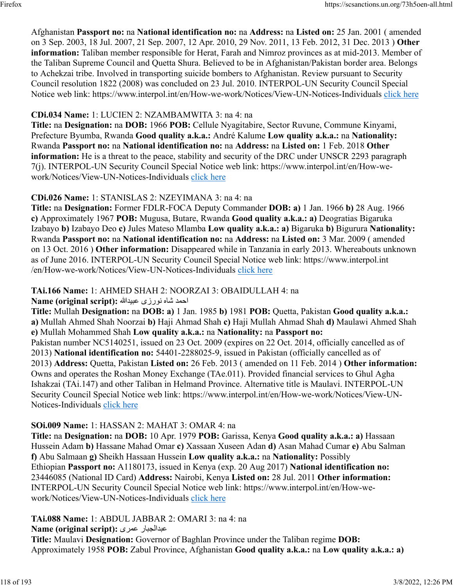Afghanistan **Passport no:** na **National identification no:** na **Address:** na **Listed on:** 25 Jan. 2001 ( amended on 3 Sep. 2003, 18 Jul. 2007, 21 Sep. 2007, 12 Apr. 2010, 29 Nov. 2011, 13 Feb. 2012, 31 Dec. 2013 ) **Other information:** Taliban member responsible for Herat, Farah and Nimroz provinces as at mid-2013. Member of the Taliban Supreme Council and Quetta Shura. Believed to be in Afghanistan/Pakistan border area. Belongs to Achekzai tribe. Involved in transporting suicide bombers to Afghanistan. Review pursuant to Security Council resolution 1822 (2008) was concluded on 23 Jul. 2010. INTERPOL-UN Security Council Special Notice web link: https://www.interpol.int/en/How-we-work/Notices/View-UN-Notices-Individuals [click here](https://www.interpol.int/en/How-we-work/Notices/View-UN-Notices-Individuals)

#### **CDi.034 Name:** 1: LUCIEN 2: NZAMBAMWITA 3: na 4: na

**Title:** na **Designation:** na **DOB:** 1966 **POB:** Cellule Nyagitabire, Sector Ruvune, Commune Kinyami, Prefecture Byumba, Rwanda **Good quality a.k.a.:** André Kalume **Low quality a.k.a.:** na **Nationality:** Rwanda **Passport no:** na **National identification no:** na **Address:** na **Listed on:** 1 Feb. 2018 **Other information:** He is a threat to the peace, stability and security of the DRC under UNSCR 2293 paragraph 7(j). INTERPOL-UN Security Council Special Notice web link: https://www.interpol.int/en/How-wework/Notices/View-UN-Notices-Individuals [click here](https://www.interpol.int/en/How-we-work/Notices/View-UN-Notices-Individuals)

### **CDi.026 Name:** 1: STANISLAS 2: NZEYIMANA 3: na 4: na

**Title:** na **Designation:** Former FDLR-FOCA Deputy Commander **DOB: a)** 1 Jan. 1966 **b)** 28 Aug. 1966 **c)** Approximately 1967 **POB:** Mugusa, Butare, Rwanda **Good quality a.k.a.: a)** Deogratias Bigaruka Izabayo **b)** Izabayo Deo **c)** Jules Mateso Mlamba **Low quality a.k.a.: a)** Bigaruka **b)** Bigurura **Nationality:** Rwanda **Passport no:** na **National identification no:** na **Address:** na **Listed on:** 3 Mar. 2009 ( amended on 13 Oct. 2016 ) **Other information:** Disappeared while in Tanzania in early 2013. Whereabouts unknown as of June 2016. INTERPOL-UN Security Council Special Notice web link: https://www.interpol.int /en/How-we-work/Notices/View-UN-Notices-Individuals [click here](https://www.interpol.int/en/How-we-work/Notices/View-UN-Notices-Individuals)

# **TAi.166 Name:** 1: AHMED SHAH 2: NOORZAI 3: OBAIDULLAH 4: na

دمحا هاش یزرون اللهديبع **:(script original (Name**

**Title:** Mullah **Designation:** na **DOB: a)** 1 Jan. 1985 **b)** 1981 **POB:** Quetta, Pakistan **Good quality a.k.a.: a)** Mullah Ahmed Shah Noorzai **b)** Haji Ahmad Shah **c)** Haji Mullah Ahmad Shah **d)** Maulawi Ahmed Shah **e)** Mullah Mohammed Shah **Low quality a.k.a.:** na **Nationality:** na **Passport no:** Pakistan number NC5140251, issued on 23 Oct. 2009 (expires on 22 Oct. 2014, officially cancelled as of 2013) **National identification no:** 54401-2288025-9, issued in Pakistan (officially cancelled as of 2013) **Address:** Quetta, Pakistan **Listed on:** 26 Feb. 2013 ( amended on 11 Feb. 2014 ) **Other information:** Owns and operates the Roshan Money Exchange (TAe.011). Provided financial services to Ghul Agha Ishakzai (TAi.147) and other Taliban in Helmand Province. Alternative title is Maulavi. INTERPOL-UN Security Council Special Notice web link: https://www.interpol.int/en/How-we-work/Notices/View-UNNotices-Individuals [click here](https://www.interpol.int/en/How-we-work/Notices/View-UN-Notices-Individuals)

# **SOi.009 Name:** 1: HASSAN 2: MAHAT 3: OMAR 4: na

**Title:** na **Designation:** na **DOB:** 10 Apr. 1979 **POB:** Garissa, Kenya **Good quality a.k.a.: a)** Hassaan Hussein Adam **b)** Hassane Mahad Omar **c)** Xassaan Xuseen Adan **d)** Asan Mahad Cumar **e)** Abu Salman **f)** Abu Salmaan **g)** Sheikh Hassaan Hussein **Low quality a.k.a.:** na **Nationality:** Possibly Ethiopian **Passport no:** A1180173, issued in Kenya (exp. 20 Aug 2017) **National identification no:** 23446085 (National ID Card) **Address:** Nairobi, Kenya **Listed on:** 28 Jul. 2011 **Other information:** INTERPOL-UN Security Council Special Notice web link: https://www.interpol.int/en/How-wework/Notices/View-UN-Notices-Individuals [click here](https://www.interpol.int/en/How-we-work/Notices/View-UN-Notices-Individuals)

**TAi.088 Name:** 1: ABDUL JABBAR 2: OMARI 3: na 4: na

**Name (original script):** یرمع رابجلادبع

**Title:** Maulavi **Designation:** Governor of Baghlan Province under the Taliban regime **DOB:** Approximately 1958 **POB:** Zabul Province, Afghanistan **Good quality a.k.a.:** na **Low quality a.k.a.: a)**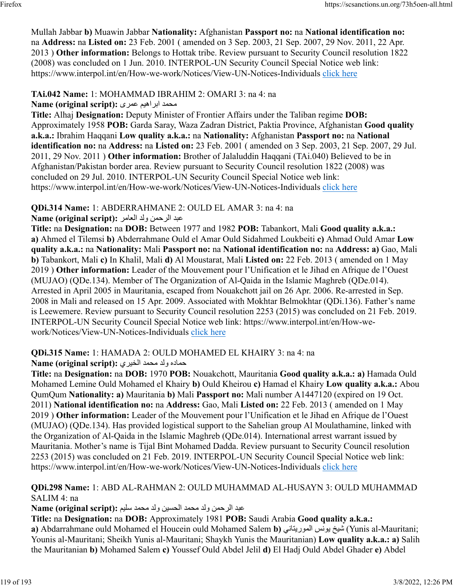Mullah Jabbar **b)** Muawin Jabbar **Nationality:** Afghanistan **Passport no:** na **National identification no:** na **Address:** na **Listed on:** 23 Feb. 2001 ( amended on 3 Sep. 2003, 21 Sep. 2007, 29 Nov. 2011, 22 Apr. 2013 ) **Other information:** Belongs to Hottak tribe. Review pursuant to Security Council resolution 1822 (2008) was concluded on 1 Jun. 2010. INTERPOL-UN Security Council Special Notice web link: https://www.interpol.int/en/How-we-work/Notices/View-UN-Notices-Individuals [click here](https://www.interpol.int/en/How-we-work/Notices/View-UN-Notices-Individuals)

# **TAi.042 Name:** 1: MOHAMMAD IBRAHIM 2: OMARI 3: na 4: na

دمحم ميهاربا یرمع **:(script original (Name**

**Title:** Alhaj **Designation:** Deputy Minister of Frontier Affairs under the Taliban regime **DOB:** Approximately 1958 **POB:** Garda Saray, Waza Zadran District, Paktia Province, Afghanistan **Good quality a.k.a.:** Ibrahim Haqqani **Low quality a.k.a.:** na **Nationality:** Afghanistan **Passport no:** na **National identification no:** na **Address:** na **Listed on:** 23 Feb. 2001 ( amended on 3 Sep. 2003, 21 Sep. 2007, 29 Jul. 2011, 29 Nov. 2011 ) **Other information:** Brother of Jalaluddin Haqqani (TAi.040) Believed to be in Afghanistan/Pakistan border area. Review pursuant to Security Council resolution 1822 (2008) was concluded on 29 Jul. 2010. INTERPOL-UN Security Council Special Notice web link: https://www.interpol.int/en/How-we-work/Notices/View-UN-Notices-Individuals [click here](https://www.interpol.int/en/How-we-work/Notices/View-UN-Notices-Individuals)

# **QDi.314 Name:** 1: ABDERRAHMANE 2: OULD EL AMAR 3: na 4: na

دبع نمحرلا دلو رماعلا **:(script original (Name**

**Title:** na **Designation:** na **DOB:** Between 1977 and 1982 **POB:** Tabankort, Mali **Good quality a.k.a.: a)** Ahmed el Tilemsi **b)** Abderrahmane Ould el Amar Ould Sidahmed Loukbeiti **c)** Ahmad Ould Amar **Low quality a.k.a.:** na **Nationality:** Mali **Passport no:** na **National identification no:** na **Address: a)** Gao, Mali **b)** Tabankort, Mali **c)** In Khalil, Mali **d)** Al Moustarat, Mali **Listed on:** 22 Feb. 2013 ( amended on 1 May 2019 ) **Other information:** Leader of the Mouvement pour l'Unification et le Jihad en Afrique de l'Ouest (MUJAO) (QDe.134). Member of The Organization of Al-Qaida in the Islamic Maghreb (QDe.014). Arrested in April 2005 in Mauritania, escaped from Nouakchott jail on 26 Apr. 2006. Re-arrested in Sep. 2008 in Mali and released on 15 Apr. 2009. Associated with Mokhtar Belmokhtar (QDi.136). Father's name is Leewemere. Review pursuant to Security Council resolution 2253 (2015) was concluded on 21 Feb. 2019. INTERPOL-UN Security Council Special Notice web link: https://www.interpol.int/en/How-wework/Notices/View-UN-Notices-Individuals [click here](https://www.interpol.int/en/How-we-work/Notices/View-UN-Notices-Individuals)

# **QDi.315 Name:** 1: HAMADA 2: OULD MOHAMED EL KHAIRY 3: na 4: na

هدامح دلو دمحم يريخلا **:(script original (Name**

**Title:** na **Designation:** na **DOB:** 1970 **POB:** Nouakchott, Mauritania **Good quality a.k.a.: a)** Hamada Ould Mohamed Lemine Ould Mohamed el Khairy **b)** Ould Kheirou **c)** Hamad el Khairy **Low quality a.k.a.:** Abou QumQum **Nationality: a)** Mauritania **b)** Mali **Passport no:** Mali number A1447120 (expired on 19 Oct. 2011) **National identification no:** na **Address:** Gao, Mali **Listed on:** 22 Feb. 2013 ( amended on 1 May 2019 ) **Other information:** Leader of the Mouvement pour l'Unification et le Jihad en Afrique de l'Ouest (MUJAO) (QDe.134). Has provided logistical support to the Sahelian group Al Moulathamine, linked with the Organization of Al-Qaida in the Islamic Maghreb (QDe.014). International arrest warrant issued by Mauritania. Mother's name is Tijal Bint Mohamed Dadda. Review pursuant to Security Council resolution 2253 (2015) was concluded on 21 Feb. 2019. INTERPOL-UN Security Council Special Notice web link: https://www.interpol.int/en/How-we-work/Notices/View-UN-Notices-Individuals [click here](https://www.interpol.int/en/How-we-work/Notices/View-UN-Notices-Individuals)

#### **QDi.298 Name:** 1: ABD AL-RAHMAN 2: OULD MUHAMMAD AL-HUSAYN 3: OULD MUHAMMAD SALIM 4: na

عبد الرحمن ولد محمد الحسين ولد محمد سليم :**(Name (original script** 

**Title:** na **Designation:** na **DOB:** Approximately 1981 **POB:** Saudi Arabia **Good quality a.k.a.: a)** Abdarrahmane ould Mohamed el Houcein ould Mohamed Salem **b)** يناتيروملا سنوي خيش) Yunis al-Mauritani; Younis al-Mauritani; Sheikh Yunis al-Mauritani; Shaykh Yunis the Mauritanian) **Low quality a.k.a.: a)** Salih the Mauritanian **b)** Mohamed Salem **c)** Youssef Ould Abdel Jelil **d)** El Hadj Ould Abdel Ghader **e)** Abdel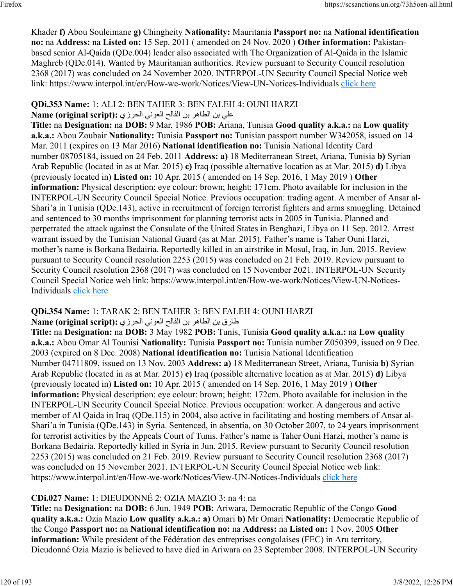Khader **f)** Abou Souleimane **g)** Chingheity **Nationality:** Mauritania **Passport no:** na **National identification no:** na **Address:** na **Listed on:** 15 Sep. 2011 ( amended on 24 Nov. 2020 ) **Other information:** Pakistanbased senior Al-Qaida (QDe.004) leader also associated with The Organization of Al-Qaida in the Islamic Maghreb (QDe.014). Wanted by Mauritanian authorities. Review pursuant to Security Council resolution 2368 (2017) was concluded on 24 November 2020. INTERPOL-UN Security Council Special Notice web link: https://www.interpol.int/en/How-we-work/Notices/View-UN-Notices-Individuals [click here](https://www.interpol.int/en/How-we-work/Notices/View-UN-Notices-Individuals)

### **QDi.353 Name:** 1: ALI 2: BEN TAHER 3: BEN FALEH 4: OUNI HARZI

# علي بن الطاهر بن الفالح العوني الحرزي: Name (original script):

**Title:** na **Designation:** na **DOB:** 9 Mar. 1986 **POB:** Ariana, Tunisia **Good quality a.k.a.:** na **Low quality a.k.a.:** Abou Zoubair **Nationality:** Tunisia **Passport no:** Tunisian passport number W342058, issued on 14 Mar. 2011 (expires on 13 Mar 2016) **National identification no:** Tunisia National Identity Card number 08705184, issued on 24 Feb. 2011 **Address: a)** 18 Mediterranean Street, Ariana, Tunisia **b)** Syrian Arab Republic (located in as at Mar. 2015) **c)** Iraq (possible alternative location as at Mar. 2015) **d)** Libya (previously located in) **Listed on:** 10 Apr. 2015 ( amended on 14 Sep. 2016, 1 May 2019 ) **Other information:** Physical description: eye colour: brown; height: 171cm. Photo available for inclusion in the INTERPOL-UN Security Council Special Notice. Previous occupation: trading agent. A member of Ansar al-Shari'a in Tunisia (QDe.143), active in recruitment of foreign terrorist fighters and arms smuggling. Detained and sentenced to 30 months imprisonment for planning terrorist acts in 2005 in Tunisia. Planned and perpetrated the attack against the Consulate of the United States in Benghazi, Libya on 11 Sep. 2012. Arrest warrant issued by the Tunisian National Guard (as at Mar. 2015). Father's name is Taher Ouni Harzi, mother's name is Borkana Bedairia. Reportedly killed in an airstrike in Mosul, Iraq, in Jun. 2015. Review pursuant to Security Council resolution 2253 (2015) was concluded on 21 Feb. 2019. Review pursuant to Security Council resolution 2368 (2017) was concluded on 15 November 2021. INTERPOL-UN Security Council Special Notice web link: https://www.interpol.int/en/How-we-work/Notices/View-UN-Notices-Individuals [click here](https://www.interpol.int/en/How-we-work/Notices/View-UN-Notices-Individuals)

# **QDi.354 Name:** 1: TARAK 2: BEN TAHER 3: BEN FALEH 4: OUNI HARZI

قارق بن الطاهر بن الفالح العوني الحرزي :(Name (original script

**Title:** na **Designation:** na **DOB:** 3 May 1982 **POB:** Tunis, Tunisia **Good quality a.k.a.:** na **Low quality a.k.a.:** Abou Omar Al Tounisi **Nationality:** Tunisia **Passport no:** Tunisia number Z050399, issued on 9 Dec. 2003 (expired on 8 Dec. 2008) **National identification no:** Tunisia National Identification Number 04711809, issued on 13 Nov. 2003 **Address: a)** 18 Mediterranean Street, Ariana, Tunisia **b)** Syrian Arab Republic (located in as at Mar. 2015) **c)** Iraq (possible alternative location as at Mar. 2015) **d)** Libya (previously located in) **Listed on:** 10 Apr. 2015 ( amended on 14 Sep. 2016, 1 May 2019 ) **Other information:** Physical description: eye colour: brown; height: 172cm. Photo available for inclusion in the INTERPOL-UN Security Council Special Notice. Previous occupation: worker. A dangerous and active member of Al Qaida in Iraq (QDe.115) in 2004, also active in facilitating and hosting members of Ansar al-Shari'a in Tunisia (QDe.143) in Syria. Sentenced, in absentia, on 30 October 2007, to 24 years imprisonment for terrorist activities by the Appeals Court of Tunis. Father's name is Taher Ouni Harzi, mother's name is Borkana Bedairia. Reportedly killed in Syria in Jun. 2015. Review pursuant to Security Council resolution 2253 (2015) was concluded on 21 Feb. 2019. Review pursuant to Security Council resolution 2368 (2017) was concluded on 15 November 2021. INTERPOL-UN Security Council Special Notice web link: https://www.interpol.int/en/How-we-work/Notices/View-UN-Notices-Individuals [click here](https://www.interpol.int/en/How-we-work/Notices/View-UN-Notices-Individuals)

# **CDi.027 Name:** 1: DIEUDONNÉ 2: OZIA MAZIO 3: na 4: na

**Title:** na **Designation:** na **DOB:** 6 Jun. 1949 **POB:** Ariwara, Democratic Republic of the Congo **Good quality a.k.a.:** Ozia Mazio **Low quality a.k.a.: a)** Omari **b)** Mr Omari **Nationality:** Democratic Republic of the Congo **Passport no:** na **National identification no:** na **Address:** na **Listed on:** 1 Nov. 2005 **Other information:** While president of the Fédération des entreprises congolaises (FEC) in Aru territory, Dieudonné Ozia Mazio is believed to have died in Ariwara on 23 September 2008. INTERPOL-UN Security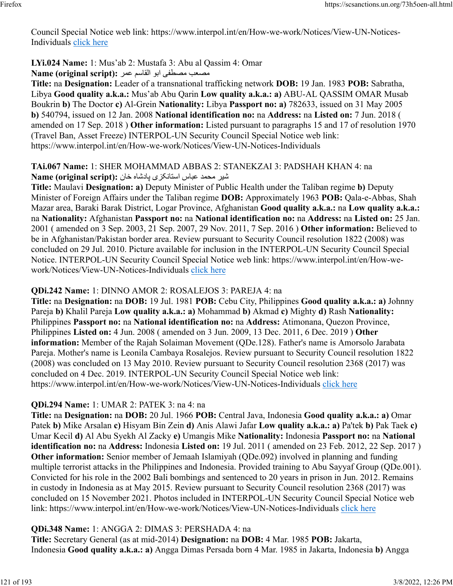Council Special Notice web link: https://www.interpol.int/en/How-we-work/Notices/View-UN-Notices-Individuals [click here](https://www.interpol.int/en/How-we-work/Notices/View-UN-Notices-Individuals)

#### **LYi.024 Name:** 1: Mus'ab 2: Mustafa 3: Abu al Qassim 4: Omar

بمصعب مصطفى ابو القاسم عمر :(Name (original script

**Title:** na **Designation:** Leader of a transnational trafficking network **DOB:** 19 Jan. 1983 **POB:** Sabratha, Libya **Good quality a.k.a.:** Mus'ab Abu Qarin **Low quality a.k.a.: a)** ABU-AL QASSIM OMAR Musab Boukrin **b)** The Doctor **c)** Al-Grein **Nationality:** Libya **Passport no: a)** 782633, issued on 31 May 2005 **b)** 540794, issued on 12 Jan. 2008 **National identification no:** na **Address:** na **Listed on:** 7 Jun. 2018 ( amended on 17 Sep. 2018 ) **Other information:** Listed pursuant to paragraphs 15 and 17 of resolution 1970 (Travel Ban, Asset Freeze) INTERPOL-UN Security Council Special Notice web link: https://www.interpol.int/en/How-we-work/Notices/View-UN-Notices-Individuals

#### **TAi.067 Name:** 1: SHER MOHAMMAD ABBAS 2: STANEKZAI 3: PADSHAH KHAN 4: na ريش دمحم سابع یزکناتسا هاشداپ ناخ **:(script original (Name**

**Title:** Maulavi **Designation: a)** Deputy Minister of Public Health under the Taliban regime **b)** Deputy Minister of Foreign Affairs under the Taliban regime **DOB:** Approximately 1963 **POB:** Qala-e-Abbas, Shah Mazar area, Baraki Barak District, Logar Province, Afghanistan **Good quality a.k.a.:** na **Low quality a.k.a.:** na **Nationality:** Afghanistan **Passport no:** na **National identification no:** na **Address:** na **Listed on:** 25 Jan. 2001 ( amended on 3 Sep. 2003, 21 Sep. 2007, 29 Nov. 2011, 7 Sep. 2016 ) **Other information:** Believed to be in Afghanistan/Pakistan border area. Review pursuant to Security Council resolution 1822 (2008) was concluded on 29 Jul. 2010. Picture available for inclusion in the INTERPOL-UN Security Council Special Notice. INTERPOL-UN Security Council Special Notice web link: https://www.interpol.int/en/How-wework/Notices/View-UN-Notices-Individuals [click here](https://www.interpol.int/en/How-we-work/Notices/View-UN-Notices-Individuals)

#### **QDi.242 Name:** 1: DINNO AMOR 2: ROSALEJOS 3: PAREJA 4: na

**Title:** na **Designation:** na **DOB:** 19 Jul. 1981 **POB:** Cebu City, Philippines **Good quality a.k.a.: a)** Johnny Pareja **b)** Khalil Pareja **Low quality a.k.a.: a)** Mohammad **b)** Akmad **c)** Mighty **d)** Rash **Nationality:** Philippines **Passport no:** na **National identification no:** na **Address:** Atimonana, Quezon Province, Philippines **Listed on:** 4 Jun. 2008 ( amended on 3 Jun. 2009, 13 Dec. 2011, 6 Dec. 2019 ) **Other information:** Member of the Rajah Solaiman Movement (QDe.128). Father's name is Amorsolo Jarabata Pareja. Mother's name is Leonila Cambaya Rosalejos. Review pursuant to Security Council resolution 1822 (2008) was concluded on 13 May 2010. Review pursuant to Security Council resolution 2368 (2017) was concluded on 4 Dec. 2019. INTERPOL-UN Security Council Special Notice web link: https://www.interpol.int/en/How-we-work/Notices/View-UN-Notices-Individuals [click here](https://www.interpol.int/en/How-we-work/Notices/View-UN-Notices-Individuals)

# **QDi.294 Name:** 1: UMAR 2: PATEK 3: na 4: na

**Title:** na **Designation:** na **DOB:** 20 Jul. 1966 **POB:** Central Java, Indonesia **Good quality a.k.a.: a)** Omar Patek **b)** Mike Arsalan **c)** Hisyam Bin Zein **d)** Anis Alawi Jafar **Low quality a.k.a.: a)** Pa'tek **b)** Pak Taek **c)** Umar Kecil **d)** Al Abu Syekh Al Zacky **e)** Umangis Mike **Nationality:** Indonesia **Passport no:** na **National identification no:** na **Address:** Indonesia **Listed on:** 19 Jul. 2011 ( amended on 23 Feb. 2012, 22 Sep. 2017 ) **Other information:** Senior member of Jemaah Islamiyah (QDe.092) involved in planning and funding multiple terrorist attacks in the Philippines and Indonesia. Provided training to Abu Sayyaf Group (QDe.001). Convicted for his role in the 2002 Bali bombings and sentenced to 20 years in prison in Jun. 2012. Remains in custody in Indonesia as at May 2015. Review pursuant to Security Council resolution 2368 (2017) was concluded on 15 November 2021. Photos included in INTERPOL-UN Security Council Special Notice web link: https://www.interpol.int/en/How-we-work/Notices/View-UN-Notices-Individuals [click here](https://www.interpol.int/en/How-we-work/Notices/View-UN-Notices-Individuals)

# **QDi.348 Name:** 1: ANGGA 2: DIMAS 3: PERSHADA 4: na

**Title:** Secretary General (as at mid-2014) **Designation:** na **DOB:** 4 Mar. 1985 **POB:** Jakarta, Indonesia **Good quality a.k.a.: a)** Angga Dimas Persada born 4 Mar. 1985 in Jakarta, Indonesia **b)** Angga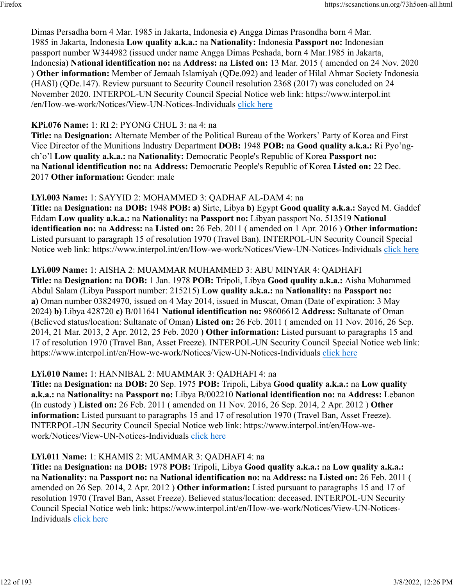Dimas Persadha born 4 Mar. 1985 in Jakarta, Indonesia **c)** Angga Dimas Prasondha born 4 Mar. 1985 in Jakarta, Indonesia **Low quality a.k.a.:** na **Nationality:** Indonesia **Passport no:** Indonesian passport number W344982 (issued under name Angga Dimas Peshada, born 4 Mar.1985 in Jakarta, Indonesia) **National identification no:** na **Address:** na **Listed on:** 13 Mar. 2015 ( amended on 24 Nov. 2020 ) **Other information:** Member of Jemaah Islamiyah (QDe.092) and leader of Hilal Ahmar Society Indonesia (HASI) (QDe.147). Review pursuant to Security Council resolution 2368 (2017) was concluded on 24 November 2020. INTERPOL-UN Security Council Special Notice web link: https://www.interpol.int /en/How-we-work/Notices/View-UN-Notices-Individuals [click here](https://www.interpol.int/en/How-we-work/Notices/View-UN-Notices-Individuals)

#### **KPi.076 Name:** 1: RI 2: PYONG CHUL 3: na 4: na

**Title:** na **Designation:** Alternate Member of the Political Bureau of the Workers' Party of Korea and First Vice Director of the Munitions Industry Department **DOB:** 1948 **POB:** na **Good quality a.k.a.:** Ri Pyo'ngch'o'l **Low quality a.k.a.:** na **Nationality:** Democratic People's Republic of Korea **Passport no:** na **National identification no:** na **Address:** Democratic People's Republic of Korea **Listed on:** 22 Dec. 2017 **Other information:** Gender: male

#### **LYi.003 Name:** 1: SAYYID 2: MOHAMMED 3: QADHAF AL-DAM 4: na

**Title:** na **Designation:** na **DOB:** 1948 **POB: a)** Sirte, Libya **b)** Egypt **Good quality a.k.a.:** Sayed M. Gaddef Eddam **Low quality a.k.a.:** na **Nationality:** na **Passport no:** Libyan passport No. 513519 **National identification no:** na **Address:** na **Listed on:** 26 Feb. 2011 ( amended on 1 Apr. 2016 ) **Other information:** Listed pursuant to paragraph 15 of resolution 1970 (Travel Ban). INTERPOL-UN Security Council Special Notice web link: https://www.interpol.int/en/How-we-work/Notices/View-UN-Notices-Individuals [click here](https://www.interpol.int/en/How-we-work/Notices/View-UN-Notices-Individuals)

#### **LYi.009 Name:** 1: AISHA 2: MUAMMAR MUHAMMED 3: ABU MINYAR 4: QADHAFI

**Title:** na **Designation:** na **DOB:** 1 Jan. 1978 **POB:** Tripoli, Libya **Good quality a.k.a.:** Aisha Muhammed Abdul Salam (Libya Passport number: 215215) **Low quality a.k.a.:** na **Nationality:** na **Passport no: a)** Oman number 03824970, issued on 4 May 2014, issued in Muscat, Oman (Date of expiration: 3 May 2024) **b)** Libya 428720 **c)** B/011641 **National identification no:** 98606612 **Address:** Sultanate of Oman (Believed status/location: Sultanate of Oman) **Listed on:** 26 Feb. 2011 ( amended on 11 Nov. 2016, 26 Sep. 2014, 21 Mar. 2013, 2 Apr. 2012, 25 Feb. 2020 ) **Other information:** Listed pursuant to paragraphs 15 and 17 of resolution 1970 (Travel Ban, Asset Freeze). INTERPOL-UN Security Council Special Notice web link: https://www.interpol.int/en/How-we-work/Notices/View-UN-Notices-Individuals [click here](https://www.interpol.int/en/How-we-work/Notices/View-UN-Notices-Individuals)

#### **LYi.010 Name:** 1: HANNIBAL 2: MUAMMAR 3: QADHAFI 4: na

**Title:** na **Designation:** na **DOB:** 20 Sep. 1975 **POB:** Tripoli, Libya **Good quality a.k.a.:** na **Low quality a.k.a.:** na **Nationality:** na **Passport no:** Libya B/002210 **National identification no:** na **Address:** Lebanon (In custody ) **Listed on:** 26 Feb. 2011 ( amended on 11 Nov. 2016, 26 Sep. 2014, 2 Apr. 2012 ) **Other information:** Listed pursuant to paragraphs 15 and 17 of resolution 1970 (Travel Ban, Asset Freeze). INTERPOL-UN Security Council Special Notice web link: https://www.interpol.int/en/How-wework/Notices/View-UN-Notices-Individuals [click here](https://www.interpol.int/en/How-we-work/Notices/View-UN-Notices-Individuals)

#### **LYi.011 Name:** 1: KHAMIS 2: MUAMMAR 3: QADHAFI 4: na

**Title:** na **Designation:** na **DOB:** 1978 **POB:** Tripoli, Libya **Good quality a.k.a.:** na **Low quality a.k.a.:** na **Nationality:** na **Passport no:** na **National identification no:** na **Address:** na **Listed on:** 26 Feb. 2011 ( amended on 26 Sep. 2014, 2 Apr. 2012 ) **Other information:** Listed pursuant to paragraphs 15 and 17 of resolution 1970 (Travel Ban, Asset Freeze). Believed status/location: deceased. INTERPOL-UN Security Council Special Notice web link: https://www.interpol.int/en/How-we-work/Notices/View-UN-Notices-Individuals [click here](https://www.interpol.int/en/How-we-work/Notices/View-UN-Notices-Individuals)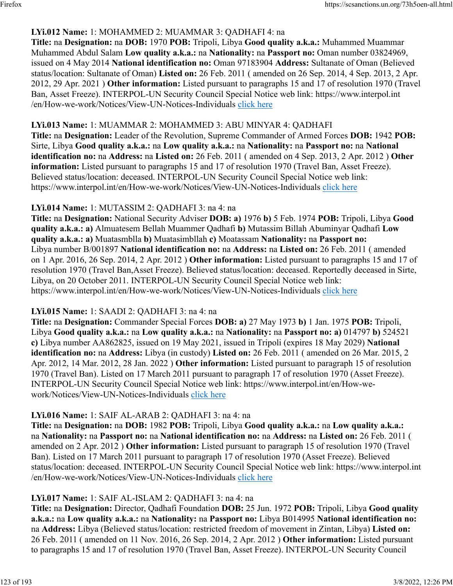### **LYi.012 Name:** 1: MOHAMMED 2: MUAMMAR 3: QADHAFI 4: na

**Title:** na **Designation:** na **DOB:** 1970 **POB:** Tripoli, Libya **Good quality a.k.a.:** Muhammed Muammar Muhammed Abdul Salam **Low quality a.k.a.:** na **Nationality:** na **Passport no:** Oman number 03824969, issued on 4 May 2014 **National identification no:** Oman 97183904 **Address:** Sultanate of Oman (Believed status/location: Sultanate of Oman) **Listed on:** 26 Feb. 2011 ( amended on 26 Sep. 2014, 4 Sep. 2013, 2 Apr. 2012, 29 Apr. 2021 ) **Other information:** Listed pursuant to paragraphs 15 and 17 of resolution 1970 (Travel Ban, Asset Freeze). INTERPOL-UN Security Council Special Notice web link: https://www.interpol.int /en/How-we-work/Notices/View-UN-Notices-Individuals [click here](https://www.interpol.int/en/How-we-work/Notices/View-UN-Notices-Individuals)

#### **LYi.013 Name:** 1: MUAMMAR 2: MOHAMMED 3: ABU MINYAR 4: QADHAFI

**Title:** na **Designation:** Leader of the Revolution, Supreme Commander of Armed Forces **DOB:** 1942 **POB:** Sirte, Libya **Good quality a.k.a.:** na **Low quality a.k.a.:** na **Nationality:** na **Passport no:** na **National identification no:** na **Address:** na **Listed on:** 26 Feb. 2011 ( amended on 4 Sep. 2013, 2 Apr. 2012 ) **Other information:** Listed pursuant to paragraphs 15 and 17 of resolution 1970 (Travel Ban, Asset Freeze). Believed status/location: deceased. INTERPOL-UN Security Council Special Notice web link: https://www.interpol.int/en/How-we-work/Notices/View-UN-Notices-Individuals [click here](https://www.interpol.int/en/How-we-work/Notices/View-UN-Notices-Individuals)

#### **LYi.014 Name:** 1: MUTASSIM 2: QADHAFI 3: na 4: na

**Title:** na **Designation:** National Security Adviser **DOB: a)** 1976 **b)** 5 Feb. 1974 **POB:** Tripoli, Libya **Good quality a.k.a.: a)** Almuatesem Bellah Muammer Qadhafi **b)** Mutassim Billah Abuminyar Qadhafi **Low quality a.k.a.: a)** Muatasmblla **b)** Muatasimbllah **c)** Moatassam **Nationality:** na **Passport no:** Libya number B/001897 **National identification no:** na **Address:** na **Listed on:** 26 Feb. 2011 ( amended on 1 Apr. 2016, 26 Sep. 2014, 2 Apr. 2012 ) **Other information:** Listed pursuant to paragraphs 15 and 17 of resolution 1970 (Travel Ban,Asset Freeze). Believed status/location: deceased. Reportedly deceased in Sirte, Libya, on 20 October 2011. INTERPOL-UN Security Council Special Notice web link: https://www.interpol.int/en/How-we-work/Notices/View-UN-Notices-Individuals [click here](https://www.interpol.int/en/How-we-work/Notices/View-UN-Notices-Individuals)

#### **LYi.015 Name:** 1: SAADI 2: QADHAFI 3: na 4: na

**Title:** na **Designation:** Commander Special Forces **DOB: a)** 27 May 1973 **b)** 1 Jan. 1975 **POB:** Tripoli, Libya **Good quality a.k.a.:** na **Low quality a.k.a.:** na **Nationality:** na **Passport no: a)** 014797 **b)** 524521 **c)** Libya number AA862825, issued on 19 May 2021, issued in Tripoli (expires 18 May 2029) **National identification no:** na **Address:** Libya (in custody) **Listed on:** 26 Feb. 2011 ( amended on 26 Mar. 2015, 2 Apr. 2012, 14 Mar. 2012, 28 Jan. 2022 ) **Other information:** Listed pursuant to paragraph 15 of resolution 1970 (Travel Ban). Listed on 17 March 2011 pursuant to paragraph 17 of resolution 1970 (Asset Freeze). INTERPOL-UN Security Council Special Notice web link: https://www.interpol.int/en/How-wework/Notices/View-UN-Notices-Individuals [click here](https://www.interpol.int/en/How-we-work/Notices/View-UN-Notices-Individuals)

#### **LYi.016 Name:** 1: SAIF AL-ARAB 2: QADHAFI 3: na 4: na

**Title:** na **Designation:** na **DOB:** 1982 **POB:** Tripoli, Libya **Good quality a.k.a.:** na **Low quality a.k.a.:** na **Nationality:** na **Passport no:** na **National identification no:** na **Address:** na **Listed on:** 26 Feb. 2011 ( amended on 2 Apr. 2012 ) **Other information:** Listed pursuant to paragraph 15 of resolution 1970 (Travel Ban). Listed on 17 March 2011 pursuant to paragraph 17 of resolution 1970 (Asset Freeze). Believed status/location: deceased. INTERPOL-UN Security Council Special Notice web link: https://www.interpol.int /en/How-we-work/Notices/View-UN-Notices-Individuals [click here](https://www.interpol.int/en/How-we-work/Notices/View-UN-Notices-Individuals)

#### **LYi.017 Name:** 1: SAIF AL-ISLAM 2: QADHAFI 3: na 4: na

**Title:** na **Designation:** Director, Qadhafi Foundation **DOB:** 25 Jun. 1972 **POB:** Tripoli, Libya **Good quality a.k.a.:** na **Low quality a.k.a.:** na **Nationality:** na **Passport no:** Libya B014995 **National identification no:** na **Address:** Libya (Believed status/location: restricted freedom of movement in Zintan, Libya) **Listed on:** 26 Feb. 2011 ( amended on 11 Nov. 2016, 26 Sep. 2014, 2 Apr. 2012 ) **Other information:** Listed pursuant to paragraphs 15 and 17 of resolution 1970 (Travel Ban, Asset Freeze). INTERPOL-UN Security Council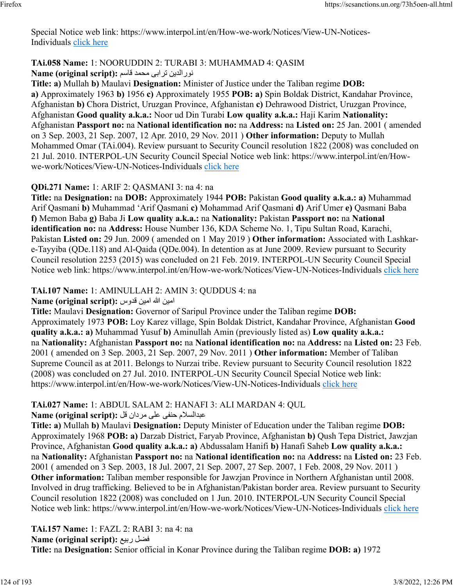Special Notice web link: https://www.interpol.int/en/How-we-work/Notices/View-UN-Notices-Individuals [click here](https://www.interpol.int/en/How-we-work/Notices/View-UN-Notices-Individuals)

#### **TAi.058 Name:** 1: NOORUDDIN 2: TURABI 3: MUHAMMAD 4: QASIM نيدلارون یبارت دمحم مساق **:(script original (Name**

**Title: a)** Mullah **b)** Maulavi **Designation:** Minister of Justice under the Taliban regime **DOB: a)** Approximately 1963 **b)** 1956 **c)** Approximately 1955 **POB: a)** Spin Boldak District, Kandahar Province, Afghanistan **b)** Chora District, Uruzgan Province, Afghanistan **c)** Dehrawood District, Uruzgan Province, Afghanistan **Good quality a.k.a.:** Noor ud Din Turabi **Low quality a.k.a.:** Haji Karim **Nationality:** Afghanistan **Passport no:** na **National identification no:** na **Address:** na **Listed on:** 25 Jan. 2001 ( amended on 3 Sep. 2003, 21 Sep. 2007, 12 Apr. 2010, 29 Nov. 2011 ) **Other information:** Deputy to Mullah Mohammed Omar (TAi.004). Review pursuant to Security Council resolution 1822 (2008) was concluded on 21 Jul. 2010. INTERPOL-UN Security Council Special Notice web link: https://www.interpol.int/en/Howwe-work/Notices/View-UN-Notices-Individuals [click here](https://www.interpol.int/en/How-we-work/Notices/View-UN-Notices-Individuals)

#### **QDi.271 Name:** 1: ARIF 2: QASMANI 3: na 4: na

**Title:** na **Designation:** na **DOB:** Approximately 1944 **POB:** Pakistan **Good quality a.k.a.: a)** Muhammad Arif Qasmani **b)** Muhammad 'Arif Qasmani **c)** Mohammad Arif Qasmani **d)** Arif Umer **e)** Qasmani Baba **f)** Memon Baba **g)** Baba Ji **Low quality a.k.a.:** na **Nationality:** Pakistan **Passport no:** na **National identification no:** na **Address:** House Number 136, KDA Scheme No. 1, Tipu Sultan Road, Karachi, Pakistan **Listed on:** 29 Jun. 2009 ( amended on 1 May 2019 ) **Other information:** Associated with Lashkare-Tayyiba (QDe.118) and Al-Qaida (QDe.004). In detention as at June 2009. Review pursuant to Security Council resolution 2253 (2015) was concluded on 21 Feb. 2019. INTERPOL-UN Security Council Special Notice web link: https://www.interpol.int/en/How-we-work/Notices/View-UN-Notices-Individuals [click here](https://www.interpol.int/en/How-we-work/Notices/View-UN-Notices-Individuals)

### **TAi.107 Name:** 1: AMINULLAH 2: AMIN 3: QUDDUS 4: na

امين الله امين قدوس: Name (original script):

**Title:** Maulavi **Designation:** Governor of Saripul Province under the Taliban regime **DOB:** Approximately 1973 **POB:** Loy Karez village, Spin Boldak District, Kandahar Province, Afghanistan **Good quality a.k.a.: a)** Muhammad Yusuf **b)** Aminullah Amin (previously listed as) **Low quality a.k.a.:** na **Nationality:** Afghanistan **Passport no:** na **National identification no:** na **Address:** na **Listed on:** 23 Feb. 2001 ( amended on 3 Sep. 2003, 21 Sep. 2007, 29 Nov. 2011 ) **Other information:** Member of Taliban Supreme Council as at 2011. Belongs to Nurzai tribe. Review pursuant to Security Council resolution 1822 (2008) was concluded on 27 Jul. 2010. INTERPOL-UN Security Council Special Notice web link: https://www.interpol.int/en/How-we-work/Notices/View-UN-Notices-Individuals [click here](https://www.interpol.int/en/How-we-work/Notices/View-UN-Notices-Individuals)

# **TAi.027 Name:** 1: ABDUL SALAM 2: HANAFI 3: ALI MARDAN 4: QUL

ملاسلادبع یفنح یلع نادرم لق **:(script original (Name**

**Title: a)** Mullah **b)** Maulavi **Designation:** Deputy Minister of Education under the Taliban regime **DOB:** Approximately 1968 **POB: a)** Darzab District, Faryab Province, Afghanistan **b)** Qush Tepa District, Jawzjan Province, Afghanistan **Good quality a.k.a.: a)** Abdussalam Hanifi **b)** Hanafi Saheb **Low quality a.k.a.:** na **Nationality:** Afghanistan **Passport no:** na **National identification no:** na **Address:** na **Listed on:** 23 Feb. 2001 ( amended on 3 Sep. 2003, 18 Jul. 2007, 21 Sep. 2007, 27 Sep. 2007, 1 Feb. 2008, 29 Nov. 2011 ) **Other information:** Taliban member responsible for Jawzjan Province in Northern Afghanistan until 2008. Involved in drug trafficking. Believed to be in Afghanistan/Pakistan border area. Review pursuant to Security Council resolution 1822 (2008) was concluded on 1 Jun. 2010. INTERPOL-UN Security Council Special Notice web link: https://www.interpol.int/en/How-we-work/Notices/View-UN-Notices-Individuals [click here](https://www.interpol.int/en/How-we-work/Notices/View-UN-Notices-Individuals)

**TAi.157 Name:** 1: FAZL 2: RABI 3: na 4: na **Name (original script):** عيبر لضف **Title:** na **Designation:** Senior official in Konar Province during the Taliban regime **DOB: a)** 1972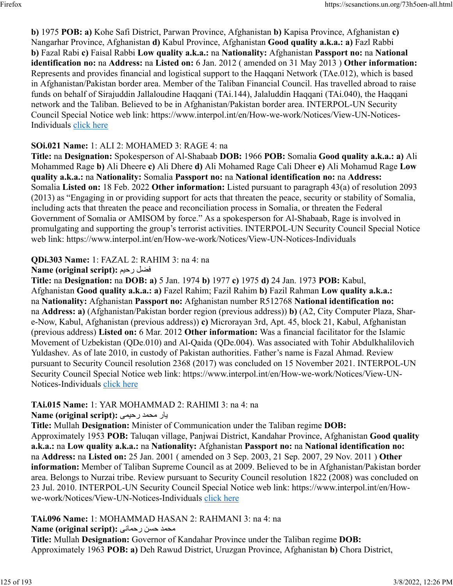**b)** 1975 **POB: a)** Kohe Safi District, Parwan Province, Afghanistan **b)** Kapisa Province, Afghanistan **c)** Nangarhar Province, Afghanistan **d)** Kabul Province, Afghanistan **Good quality a.k.a.: a)** Fazl Rabbi **b)** Fazal Rabi **c)** Faisal Rabbi **Low quality a.k.a.:** na **Nationality:** Afghanistan **Passport no:** na **National identification no:** na **Address:** na **Listed on:** 6 Jan. 2012 ( amended on 31 May 2013 ) **Other information:** Represents and provides financial and logistical support to the Haqqani Network (TAe.012), which is based in Afghanistan/Pakistan border area. Member of the Taliban Financial Council. Has travelled abroad to raise funds on behalf of Sirajuddin Jallaloudine Haqqani (TAi.144), Jalaluddin Haqqani (TAi.040), the Haqqani network and the Taliban. Believed to be in Afghanistan/Pakistan border area. INTERPOL-UN Security Council Special Notice web link: https://www.interpol.int/en/How-we-work/Notices/View-UN-Notices-Individuals [click here](https://www.interpol.int/en/How-we-work/Notices/View-UN-Notices-Individuals)

### **SOi.021 Name:** 1: ALI 2: MOHAMED 3: RAGE 4: na

**Title:** na **Designation:** Spokesperson of Al-Shabaab **DOB:** 1966 **POB:** Somalia **Good quality a.k.a.: a)** Ali Mohammed Rage **b)** Ali Dheere **c)** Ali Dhere **d)** Ali Mohamed Rage Cali Dheer **e)** Ali Mohamud Rage **Low quality a.k.a.:** na **Nationality:** Somalia **Passport no:** na **National identification no:** na **Address:** Somalia **Listed on:** 18 Feb. 2022 **Other information:** Listed pursuant to paragraph 43(a) of resolution 2093 (2013) as "Engaging in or providing support for acts that threaten the peace, security or stability of Somalia, including acts that threaten the peace and reconciliation process in Somalia, or threaten the Federal Government of Somalia or AMISOM by force." As a spokesperson for Al-Shabaab, Rage is involved in promulgating and supporting the group's terrorist activities. INTERPOL-UN Security Council Special Notice web link: https://www.interpol.int/en/How-we-work/Notices/View-UN-Notices-Individuals

# **QDi.303 Name:** 1: FAZAL 2: RAHIM 3: na 4: na

### **Name (original script):** ميحر لضف

**Title:** na **Designation:** na **DOB: a)** 5 Jan. 1974 **b)** 1977 **c)** 1975 **d)** 24 Jan. 1973 **POB:** Kabul, Afghanistan **Good quality a.k.a.: a)** Fazel Rahim; Fazil Rahim **b)** Fazil Rahman **Low quality a.k.a.:** na **Nationality:** Afghanistan **Passport no:** Afghanistan number R512768 **National identification no:** na **Address: a)** (Afghanistan/Pakistan border region (previous address)) **b)** (A2, City Computer Plaza, Share-Now, Kabul, Afghanistan (previous address)) **c)** Microrayan 3rd, Apt. 45, block 21, Kabul, Afghanistan (previous address) **Listed on:** 6 Mar. 2012 **Other information:** Was a financial facilitator for the Islamic Movement of Uzbekistan (QDe.010) and Al-Qaida (QDe.004). Was associated with Tohir Abdulkhalilovich Yuldashev. As of late 2010, in custody of Pakistan authorities. Father's name is Fazal Ahmad. Review pursuant to Security Council resolution 2368 (2017) was concluded on 15 November 2021. INTERPOL-UN Security Council Special Notice web link: https://www.interpol.int/en/How-we-work/Notices/View-UN-Notices-Individuals [click here](https://www.interpol.int/en/How-we-work/Notices/View-UN-Notices-Individuals)

# **TAi.015 Name:** 1: YAR MOHAMMAD 2: RAHIMI 3: na 4: na

# راي دمحم یميحر **:(script original (Name**

**Title:** Mullah **Designation:** Minister of Communication under the Taliban regime **DOB:** Approximately 1953 **POB:** Taluqan village, Panjwai District, Kandahar Province, Afghanistan **Good quality a.k.a.:** na **Low quality a.k.a.:** na **Nationality:** Afghanistan **Passport no:** na **National identification no:** na **Address:** na **Listed on:** 25 Jan. 2001 ( amended on 3 Sep. 2003, 21 Sep. 2007, 29 Nov. 2011 ) **Other information:** Member of Taliban Supreme Council as at 2009. Believed to be in Afghanistan/Pakistan border area. Belongs to Nurzai tribe. Review pursuant to Security Council resolution 1822 (2008) was concluded on 23 Jul. 2010. INTERPOL-UN Security Council Special Notice web link: https://www.interpol.int/en/Howwe-work/Notices/View-UN-Notices-Individuals [click here](https://www.interpol.int/en/How-we-work/Notices/View-UN-Notices-Individuals)

# **TAi.096 Name:** 1: MOHAMMAD HASAN 2: RAHMANI 3: na 4: na

# دمحم نسح ینامحر **:(script original (Name**

**Title:** Mullah **Designation:** Governor of Kandahar Province under the Taliban regime **DOB:** Approximately 1963 **POB: a)** Deh Rawud District, Uruzgan Province, Afghanistan **b)** Chora District,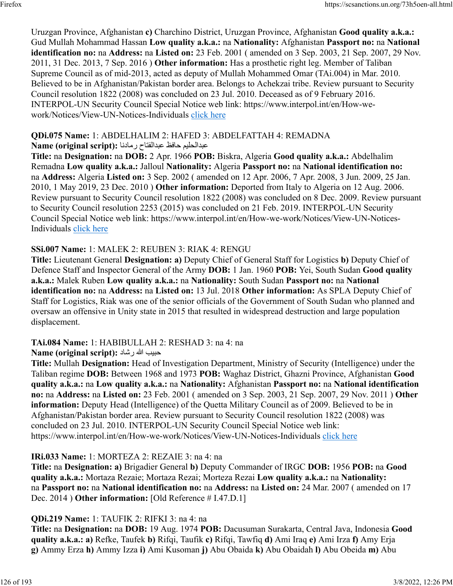Uruzgan Province, Afghanistan **c)** Charchino District, Uruzgan Province, Afghanistan **Good quality a.k.a.:** Gud Mullah Mohammad Hassan **Low quality a.k.a.:** na **Nationality:** Afghanistan **Passport no:** na **National identification no:** na **Address:** na **Listed on:** 23 Feb. 2001 ( amended on 3 Sep. 2003, 21 Sep. 2007, 29 Nov. 2011, 31 Dec. 2013, 7 Sep. 2016 ) **Other information:** Has a prosthetic right leg. Member of Taliban Supreme Council as of mid-2013, acted as deputy of Mullah Mohammed Omar (TAi.004) in Mar. 2010. Believed to be in Afghanistan/Pakistan border area. Belongs to Achekzai tribe. Review pursuant to Security Council resolution 1822 (2008) was concluded on 23 Jul. 2010. Deceased as of 9 February 2016. INTERPOL-UN Security Council Special Notice web link: https://www.interpol.int/en/How-wework/Notices/View-UN-Notices-Individuals [click here](https://www.interpol.int/en/How-we-work/Notices/View-UN-Notices-Individuals)

# **QDi.075 Name:** 1: ABDELHALIM 2: HAFED 3: ABDELFATTAH 4: REMADNA

# ميلحلادبع ظفاح حاتفلادبع اندامر **:(script original (Name**

**Title:** na **Designation:** na **DOB:** 2 Apr. 1966 **POB:** Biskra, Algeria **Good quality a.k.a.:** Abdelhalim Remadna **Low quality a.k.a.:** Jalloul **Nationality:** Algeria **Passport no:** na **National identification no:** na **Address:** Algeria **Listed on:** 3 Sep. 2002 ( amended on 12 Apr. 2006, 7 Apr. 2008, 3 Jun. 2009, 25 Jan. 2010, 1 May 2019, 23 Dec. 2010 ) **Other information:** Deported from Italy to Algeria on 12 Aug. 2006. Review pursuant to Security Council resolution 1822 (2008) was concluded on 8 Dec. 2009. Review pursuant to Security Council resolution 2253 (2015) was concluded on 21 Feb. 2019. INTERPOL-UN Security Council Special Notice web link: https://www.interpol.int/en/How-we-work/Notices/View-UN-Notices-Individuals [click here](https://www.interpol.int/en/How-we-work/Notices/View-UN-Notices-Individuals)

# **SSi.007 Name:** 1: MALEK 2: REUBEN 3: RIAK 4: RENGU

**Title:** Lieutenant General **Designation: a)** Deputy Chief of General Staff for Logistics **b)** Deputy Chief of Defence Staff and Inspector General of the Army **DOB:** 1 Jan. 1960 **POB:** Yei, South Sudan **Good quality a.k.a.:** Malek Ruben **Low quality a.k.a.:** na **Nationality:** South Sudan **Passport no:** na **National identification no:** na **Address:** na **Listed on:** 13 Jul. 2018 **Other information:** As SPLA Deputy Chief of Staff for Logistics, Riak was one of the senior officials of the Government of South Sudan who planned and oversaw an offensive in Unity state in 2015 that resulted in widespread destruction and large population displacement.

# **TAi.084 Name:** 1: HABIBULLAH 2: RESHAD 3: na 4: na

# بيبح الله داشر **:(script original (Name**

**Title:** Mullah **Designation:** Head of Investigation Department, Ministry of Security (Intelligence) under the Taliban regime **DOB:** Between 1968 and 1973 **POB:** Waghaz District, Ghazni Province, Afghanistan **Good quality a.k.a.:** na **Low quality a.k.a.:** na **Nationality:** Afghanistan **Passport no:** na **National identification no:** na **Address:** na **Listed on:** 23 Feb. 2001 ( amended on 3 Sep. 2003, 21 Sep. 2007, 29 Nov. 2011 ) **Other information:** Deputy Head (Intelligence) of the Quetta Military Council as of 2009. Believed to be in Afghanistan/Pakistan border area. Review pursuant to Security Council resolution 1822 (2008) was concluded on 23 Jul. 2010. INTERPOL-UN Security Council Special Notice web link: https://www.interpol.int/en/How-we-work/Notices/View-UN-Notices-Individuals [click here](https://www.interpol.int/en/How-we-work/Notices/View-UN-Notices-Individuals)

# **IRi.033 Name:** 1: MORTEZA 2: REZAIE 3: na 4: na

**Title:** na **Designation: a)** Brigadier General **b)** Deputy Commander of IRGC **DOB:** 1956 **POB:** na **Good quality a.k.a.:** Mortaza Rezaie; Mortaza Rezai; Morteza Rezai **Low quality a.k.a.:** na **Nationality:** na **Passport no:** na **National identification no:** na **Address:** na **Listed on:** 24 Mar. 2007 ( amended on 17 Dec. 2014 ) **Other information:** [Old Reference # I.47.D.1]

# **QDi.219 Name:** 1: TAUFIK 2: RIFKI 3: na 4: na

**Title:** na **Designation:** na **DOB:** 19 Aug. 1974 **POB:** Dacusuman Surakarta, Central Java, Indonesia **Good quality a.k.a.: a)** Refke, Taufek **b)** Rifqi, Taufik **c)** Rifqi, Tawfiq **d)** Ami Iraq **e)** Ami Irza **f)** Amy Erja **g)** Ammy Erza **h)** Ammy Izza **i)** Ami Kusoman **j)** Abu Obaida **k)** Abu Obaidah **l)** Abu Obeida **m)** Abu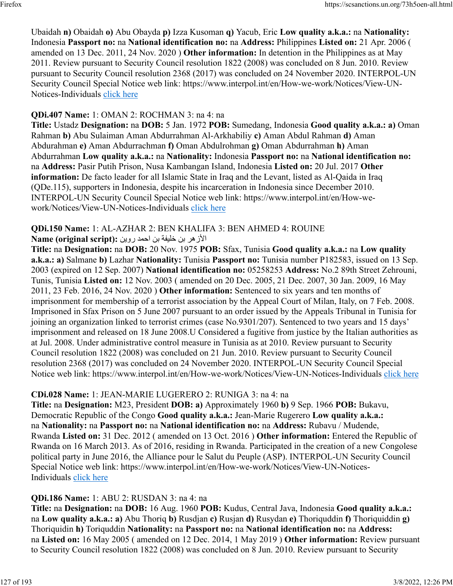Ubaidah **n)** Obaidah **o)** Abu Obayda **p)** Izza Kusoman **q)** Yacub, Eric **Low quality a.k.a.:** na **Nationality:** Indonesia **Passport no:** na **National identification no:** na **Address:** Philippines **Listed on:** 21 Apr. 2006 ( amended on 13 Dec. 2011, 24 Nov. 2020 ) **Other information:** In detention in the Philippines as at May 2011. Review pursuant to Security Council resolution 1822 (2008) was concluded on 8 Jun. 2010. Review pursuant to Security Council resolution 2368 (2017) was concluded on 24 November 2020. INTERPOL-UN Security Council Special Notice web link: https://www.interpol.int/en/How-we-work/Notices/View-UN-Notices-Individuals [click here](https://www.interpol.int/en/How-we-work/Notices/View-UN-Notices-Individuals)

### **QDi.407 Name:** 1: OMAN 2: ROCHMAN 3: na 4: na

**Title:** Ustadz **Designation:** na **DOB:** 5 Jan. 1972 **POB:** Sumedang, Indonesia **Good quality a.k.a.: a)** Oman Rahman **b)** Abu Sulaiman Aman Abdurrahman Al-Arkhabiliy **c)** Aman Abdul Rahman **d)** Aman Abdurahman **e)** Aman Abdurrachman **f)** Oman Abdulrohman **g)** Oman Abdurrahman **h)** Aman Abdurrahman **Low quality a.k.a.:** na **Nationality:** Indonesia **Passport no:** na **National identification no:** na **Address:** Pasir Putih Prison, Nusa Kambangan Island, Indonesia **Listed on:** 20 Jul. 2017 **Other information:** De facto leader for all Islamic State in Iraq and the Levant, listed as Al-Qaida in Iraq (QDe.115), supporters in Indonesia, despite his incarceration in Indonesia since December 2010. INTERPOL-UN Security Council Special Notice web link: https://www.interpol.int/en/How-wework/Notices/View-UN-Notices-Individuals [click here](https://www.interpol.int/en/How-we-work/Notices/View-UN-Notices-Individuals)

# **QDi.150 Name:** 1: AL-AZHAR 2: BEN KHALIFA 3: BEN AHMED 4: ROUINE

### الأزهر بن خليفة بن احمد روين :(Name (original script

**Title:** na **Designation:** na **DOB:** 20 Nov. 1975 **POB:** Sfax, Tunisia **Good quality a.k.a.:** na **Low quality a.k.a.: a)** Salmane **b)** Lazhar **Nationality:** Tunisia **Passport no:** Tunisia number P182583, issued on 13 Sep. 2003 (expired on 12 Sep. 2007) **National identification no:** 05258253 **Address:** No.2 89th Street Zehrouni, Tunis, Tunisia **Listed on:** 12 Nov. 2003 ( amended on 20 Dec. 2005, 21 Dec. 2007, 30 Jan. 2009, 16 May 2011, 23 Feb. 2016, 24 Nov. 2020 ) **Other information:** Sentenced to six years and ten months of imprisonment for membership of a terrorist association by the Appeal Court of Milan, Italy, on 7 Feb. 2008. Imprisoned in Sfax Prison on 5 June 2007 pursuant to an order issued by the Appeals Tribunal in Tunisia for joining an organization linked to terrorist crimes (case No.9301/207). Sentenced to two years and 15 days' imprisonment and released on 18 June 2008.U Considered a fugitive from justice by the Italian authorities as at Jul. 2008. Under administrative control measure in Tunisia as at 2010. Review pursuant to Security Council resolution 1822 (2008) was concluded on 21 Jun. 2010. Review pursuant to Security Council resolution 2368 (2017) was concluded on 24 November 2020. INTERPOL-UN Security Council Special Notice web link: https://www.interpol.int/en/How-we-work/Notices/View-UN-Notices-Individuals [click here](https://www.interpol.int/en/How-we-work/Notices/View-UN-Notices-Individuals)

# **CDi.028 Name:** 1: JEAN-MARIE LUGERERO 2: RUNIGA 3: na 4: na

**Title:** na **Designation:** M23, President **DOB: a)** Approximately 1960 **b)** 9 Sep. 1966 **POB:** Bukavu, Democratic Republic of the Congo **Good quality a.k.a.:** Jean-Marie Rugerero **Low quality a.k.a.:** na **Nationality:** na **Passport no:** na **National identification no:** na **Address:** Rubavu / Mudende, Rwanda **Listed on:** 31 Dec. 2012 ( amended on 13 Oct. 2016 ) **Other information:** Entered the Republic of Rwanda on 16 March 2013. As of 2016, residing in Rwanda. Participated in the creation of a new Congolese political party in June 2016, the Alliance pour le Salut du Peuple (ASP). INTERPOL-UN Security Council Special Notice web link: https://www.interpol.int/en/How-we-work/Notices/View-UN-Notices-Individuals [click here](https://www.interpol.int/en/How-we-work/Notices/View-UN-Notices-Individuals)

# **QDi.186 Name:** 1: ABU 2: RUSDAN 3: na 4: na

**Title:** na **Designation:** na **DOB:** 16 Aug. 1960 **POB:** Kudus, Central Java, Indonesia **Good quality a.k.a.:** na **Low quality a.k.a.: a)** Abu Thoriq **b)** Rusdjan **c)** Rusjan **d)** Rusydan **e)** Thoriquddin **f)** Thoriquiddin **g)** Thoriquidin **h)** Toriquddin **Nationality:** na **Passport no:** na **National identification no:** na **Address:** na **Listed on:** 16 May 2005 ( amended on 12 Dec. 2014, 1 May 2019 ) **Other information:** Review pursuant to Security Council resolution 1822 (2008) was concluded on 8 Jun. 2010. Review pursuant to Security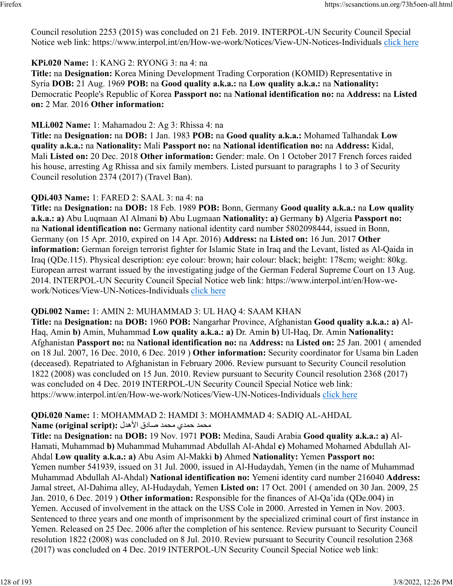Council resolution 2253 (2015) was concluded on 21 Feb. 2019. INTERPOL-UN Security Council Special Notice web link: https://www.interpol.int/en/How-we-work/Notices/View-UN-Notices-Individuals [click here](https://www.interpol.int/en/How-we-work/Notices/View-UN-Notices-Individuals)

#### **KPi.020 Name:** 1: KANG 2: RYONG 3: na 4: na

**Title:** na **Designation:** Korea Mining Development Trading Corporation (KOMID) Representative in Syria **DOB:** 21 Aug. 1969 **POB:** na **Good quality a.k.a.:** na **Low quality a.k.a.:** na **Nationality:** Democratic People's Republic of Korea **Passport no:** na **National identification no:** na **Address:** na **Listed on:** 2 Mar. 2016 **Other information:** 

#### **MLi.002 Name:** 1: Mahamadou 2: Ag 3: Rhissa 4: na

**Title:** na **Designation:** na **DOB:** 1 Jan. 1983 **POB:** na **Good quality a.k.a.:** Mohamed Talhandak **Low quality a.k.a.:** na **Nationality:** Mali **Passport no:** na **National identification no:** na **Address:** Kidal, Mali **Listed on:** 20 Dec. 2018 **Other information:** Gender: male. On 1 October 2017 French forces raided his house, arresting Ag Rhissa and six family members. Listed pursuant to paragraphs 1 to 3 of Security Council resolution 2374 (2017) (Travel Ban).

#### **QDi.403 Name:** 1: FARED 2: SAAL 3: na 4: na

**Title:** na **Designation:** na **DOB:** 18 Feb. 1989 **POB:** Bonn, Germany **Good quality a.k.a.:** na **Low quality a.k.a.: a)** Abu Luqmaan Al Almani **b)** Abu Lugmaan **Nationality: a)** Germany **b)** Algeria **Passport no:** na **National identification no:** Germany national identity card number 5802098444, issued in Bonn, Germany (on 15 Apr. 2010, expired on 14 Apr. 2016) **Address:** na **Listed on:** 16 Jun. 2017 **Other information:** German foreign terrorist fighter for Islamic State in Iraq and the Levant, listed as Al-Qaida in Iraq (QDe.115). Physical description: eye colour: brown; hair colour: black; height: 178cm; weight: 80kg. European arrest warrant issued by the investigating judge of the German Federal Supreme Court on 13 Aug. 2014. INTERPOL-UN Security Council Special Notice web link: https://www.interpol.int/en/How-wework/Notices/View-UN-Notices-Individuals [click here](https://www.interpol.int/en/How-we-work/Notices/View-UN-Notices-Individuals)

#### **QDi.002 Name:** 1: AMIN 2: MUHAMMAD 3: UL HAQ 4: SAAM KHAN

**Title:** na **Designation:** na **DOB:** 1960 **POB:** Nangarhar Province, Afghanistan **Good quality a.k.a.: a)** Al-Haq, Amin **b)** Amin, Muhammad **Low quality a.k.a.: a)** Dr. Amin **b)** Ul-Haq, Dr. Amin **Nationality:** Afghanistan **Passport no:** na **National identification no:** na **Address:** na **Listed on:** 25 Jan. 2001 ( amended on 18 Jul. 2007, 16 Dec. 2010, 6 Dec. 2019 ) **Other information:** Security coordinator for Usama bin Laden (deceased). Repatriated to Afghanistan in February 2006. Review pursuant to Security Council resolution 1822 (2008) was concluded on 15 Jun. 2010. Review pursuant to Security Council resolution 2368 (2017) was concluded on 4 Dec. 2019 INTERPOL-UN Security Council Special Notice web link: https://www.interpol.int/en/How-we-work/Notices/View-UN-Notices-Individuals [click here](https://www.interpol.int/en/How-we-work/Notices/View-UN-Notices-Individuals)

#### **QDi.020 Name:** 1: MOHAMMAD 2: HAMDI 3: MOHAMMAD 4: SADIQ AL-AHDAL محمد حمدي محمد صادق الأهدل **:Name (original script)**

**Title:** na **Designation:** na **DOB:** 19 Nov. 1971 **POB:** Medina, Saudi Arabia **Good quality a.k.a.: a)** Al-Hamati, Muhammad **b)** Muhammad Muhammad Abdullah Al-Ahdal **c)** Mohamed Mohamed Abdullah Al-Ahdal **Low quality a.k.a.: a)** Abu Asim Al-Makki **b)** Ahmed **Nationality:** Yemen **Passport no:** Yemen number 541939, issued on 31 Jul. 2000, issued in Al-Hudaydah, Yemen (in the name of Muhammad Muhammad Abdullah Al-Ahdal) **National identification no:** Yemeni identity card number 216040 **Address:** Jamal street, Al-Dahima alley, Al-Hudaydah, Yemen **Listed on:** 17 Oct. 2001 ( amended on 30 Jan. 2009, 25 Jan. 2010, 6 Dec. 2019 ) **Other information:** Responsible for the finances of Al-Qa'ida (QDe.004) in Yemen. Accused of involvement in the attack on the USS Cole in 2000. Arrested in Yemen in Nov. 2003. Sentenced to three years and one month of imprisonment by the specialized criminal court of first instance in Yemen. Released on 25 Dec. 2006 after the completion of his sentence. Review pursuant to Security Council resolution 1822 (2008) was concluded on 8 Jul. 2010. Review pursuant to Security Council resolution 2368 (2017) was concluded on 4 Dec. 2019 INTERPOL-UN Security Council Special Notice web link: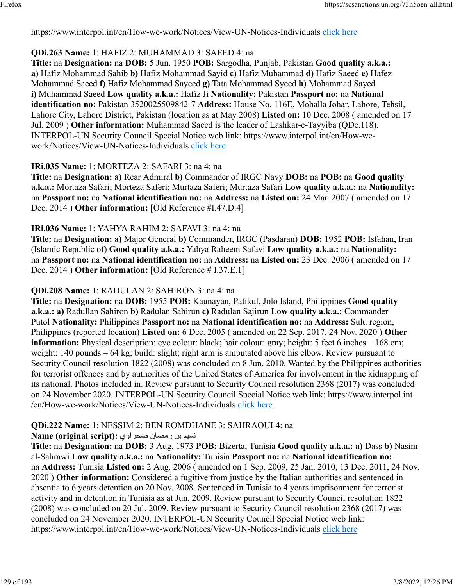https://www.interpol.int/en/How-we-work/Notices/View-UN-Notices-Individuals [click here](https://www.interpol.int/en/How-we-work/Notices/View-UN-Notices-Individuals)

#### **QDi.263 Name:** 1: HAFIZ 2: MUHAMMAD 3: SAEED 4: na

**Title:** na **Designation:** na **DOB:** 5 Jun. 1950 **POB:** Sargodha, Punjab, Pakistan **Good quality a.k.a.: a)** Hafiz Mohammad Sahib **b)** Hafiz Mohammad Sayid **c)** Hafiz Muhammad **d)** Hafiz Saeed **e)** Hafez Mohammad Saeed **f)** Hafiz Mohammad Sayeed **g)** Tata Mohammad Syeed **h)** Mohammad Sayed **i)** Muhammad Saeed **Low quality a.k.a.:** Hafiz Ji **Nationality:** Pakistan **Passport no:** na **National identification no:** Pakistan 3520025509842-7 **Address:** House No. 116E, Mohalla Johar, Lahore, Tehsil, Lahore City, Lahore District, Pakistan (location as at May 2008) **Listed on:** 10 Dec. 2008 ( amended on 17 Jul. 2009 ) **Other information:** Muhammad Saeed is the leader of Lashkar-e-Tayyiba (QDe.118). INTERPOL-UN Security Council Special Notice web link: https://www.interpol.int/en/How-wework/Notices/View-UN-Notices-Individuals [click here](https://www.interpol.int/en/How-we-work/Notices/View-UN-Notices-Individuals)

#### **IRi.035 Name:** 1: MORTEZA 2: SAFARI 3: na 4: na

**Title:** na **Designation: a)** Rear Admiral **b)** Commander of IRGC Navy **DOB:** na **POB:** na **Good quality a.k.a.:** Mortaza Safari; Morteza Saferi; Murtaza Saferi; Murtaza Safari **Low quality a.k.a.:** na **Nationality:** na **Passport no:** na **National identification no:** na **Address:** na **Listed on:** 24 Mar. 2007 ( amended on 17 Dec. 2014 ) **Other information:** [Old Reference #I.47.D.4]

#### **IRi.036 Name:** 1: YAHYA RAHIM 2: SAFAVI 3: na 4: na

**Title:** na **Designation: a)** Major General **b)** Commander, IRGC (Pasdaran) **DOB:** 1952 **POB:** Isfahan, Iran (Islamic Republic of) **Good quality a.k.a.:** Yahya Raheem Safavi **Low quality a.k.a.:** na **Nationality:** na **Passport no:** na **National identification no:** na **Address:** na **Listed on:** 23 Dec. 2006 ( amended on 17 Dec. 2014 ) **Other information:** [Old Reference # I.37.E.1]

#### **QDi.208 Name:** 1: RADULAN 2: SAHIRON 3: na 4: na

**Title:** na **Designation:** na **DOB:** 1955 **POB:** Kaunayan, Patikul, Jolo Island, Philippines **Good quality a.k.a.: a)** Radullan Sahiron **b)** Radulan Sahirun **c)** Radulan Sajirun **Low quality a.k.a.:** Commander Putol **Nationality:** Philippines **Passport no:** na **National identification no:** na **Address:** Sulu region, Philippines (reported location) **Listed on:** 6 Dec. 2005 ( amended on 22 Sep. 2017, 24 Nov. 2020 ) **Other information:** Physical description: eye colour: black; hair colour: gray; height: 5 feet 6 inches – 168 cm; weight: 140 pounds – 64 kg; build: slight; right arm is amputated above his elbow. Review pursuant to Security Council resolution 1822 (2008) was concluded on 8 Jun. 2010. Wanted by the Philippines authorities for terrorist offences and by authorities of the United States of America for involvement in the kidnapping of its national. Photos included in. Review pursuant to Security Council resolution 2368 (2017) was concluded on 24 November 2020. INTERPOL-UN Security Council Special Notice web link: https://www.interpol.int /en/How-we-work/Notices/View-UN-Notices-Individuals [click here](https://www.interpol.int/en/How-we-work/Notices/View-UN-Notices-Individuals)

# **QDi.222 Name:** 1: NESSIM 2: BEN ROMDHANE 3: SAHRAOUI 4: na

#### نسيم بن رمضان صحر اوي :(Name (original script

**Title:** na **Designation:** na **DOB:** 3 Aug. 1973 **POB:** Bizerta, Tunisia **Good quality a.k.a.: a)** Dass **b)** Nasim al-Sahrawi **Low quality a.k.a.:** na **Nationality:** Tunisia **Passport no:** na **National identification no:** na **Address:** Tunisia **Listed on:** 2 Aug. 2006 ( amended on 1 Sep. 2009, 25 Jan. 2010, 13 Dec. 2011, 24 Nov. 2020 ) **Other information:** Considered a fugitive from justice by the Italian authorities and sentenced in absentia to 6 years detention on 20 Nov. 2008. Sentenced in Tunisia to 4 years imprisonment for terrorist activity and in detention in Tunisia as at Jun. 2009. Review pursuant to Security Council resolution 1822 (2008) was concluded on 20 Jul. 2009. Review pursuant to Security Council resolution 2368 (2017) was concluded on 24 November 2020. INTERPOL-UN Security Council Special Notice web link: https://www.interpol.int/en/How-we-work/Notices/View-UN-Notices-Individuals [click here](https://www.interpol.int/en/How-we-work/Notices/View-UN-Notices-Individuals)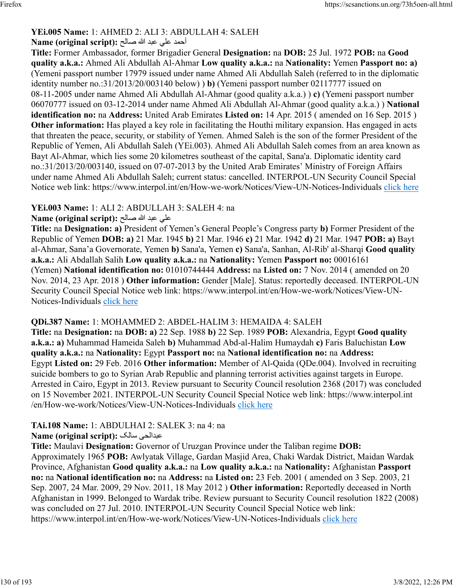### **YEi.005 Name:** 1: AHMED 2: ALI 3: ABDULLAH 4: SALEH

#### احمد على عبد الله صالح :(Name (original script

**Title:** Former Ambassador, former Brigadier General **Designation:** na **DOB:** 25 Jul. 1972 **POB:** na **Good quality a.k.a.:** Ahmed Ali Abdullah Al-Ahmar **Low quality a.k.a.:** na **Nationality:** Yemen **Passport no: a)** (Yemeni passport number 17979 issued under name Ahmed Ali Abdullah Saleh (referred to in the diplomatic identity number no.:31/2013/20/003140 below) ) **b)** (Yemeni passport number 02117777 issued on 08-11-2005 under name Ahmed Ali Abdullah Al-Ahmar (good quality a.k.a.) ) **c)** (Yemeni passport number 06070777 issued on 03-12-2014 under name Ahmed Ali Abdullah Al-Ahmar (good quality a.k.a.) ) **National identification no:** na **Address:** United Arab Emirates **Listed on:** 14 Apr. 2015 ( amended on 16 Sep. 2015 ) **Other information:** Has played a key role in facilitating the Houthi military expansion. Has engaged in acts that threaten the peace, security, or stability of Yemen. Ahmed Saleh is the son of the former President of the Republic of Yemen, Ali Abdullah Saleh (YEi.003). Ahmed Ali Abdullah Saleh comes from an area known as Bayt Al-Ahmar, which lies some 20 kilometres southeast of the capital, Sana'a. Diplomatic identity card no.:31/2013/20/003140, issued on 07-07-2013 by the United Arab Emirates' Ministry of Foreign Affairs under name Ahmed Ali Abdullah Saleh; current status: cancelled. INTERPOL-UN Security Council Special Notice web link: https://www.interpol.int/en/How-we-work/Notices/View-UN-Notices-Individuals [click here](https://www.interpol.int/en/How-we-work/Notices/View-UN-Notices-Individuals)

#### **YEi.003 Name:** 1: ALI 2: ABDULLAH 3: SALEH 4: na

#### يلع دبع الله حلاص **:(script original (Name**

**Title:** na **Designation: a)** President of Yemen's General People's Congress party **b)** Former President of the Republic of Yemen **DOB: a)** 21 Mar. 1945 **b)** 21 Mar. 1946 **c)** 21 Mar. 1942 **d)** 21 Mar. 1947 **POB: a)** Bayt al-Ahmar, Sana'a Governorate, Yemen **b)** Sana'a, Yemen **c)** Sana'a, Sanhan, Al-Rib' al-Sharqi **Good quality a.k.a.:** Ali Abdallah Salih **Low quality a.k.a.:** na **Nationality:** Yemen **Passport no:** 00016161 (Yemen) **National identification no:** 01010744444 **Address:** na **Listed on:** 7 Nov. 2014 ( amended on 20 Nov. 2014, 23 Apr. 2018 ) **Other information:** Gender [Male]. Status: reportedly deceased. INTERPOL-UN Security Council Special Notice web link: https://www.interpol.int/en/How-we-work/Notices/View-UN-Notices-Individuals [click here](https://www.interpol.int/en/How-we-work/Notices/View-UN-Notices-Individuals)

#### **QDi.387 Name:** 1: MOHAMMED 2: ABDEL-HALIM 3: HEMAIDA 4: SALEH

**Title:** na **Designation:** na **DOB: a)** 22 Sep. 1988 **b)** 22 Sep. 1989 **POB:** Alexandria, Egypt **Good quality a.k.a.: a)** Muhammad Hameida Saleh **b)** Muhammad Abd-al-Halim Humaydah **c)** Faris Baluchistan **Low quality a.k.a.:** na **Nationality:** Egypt **Passport no:** na **National identification no:** na **Address:** Egypt **Listed on:** 29 Feb. 2016 **Other information:** Member of Al-Qaida (QDe.004). Involved in recruiting suicide bombers to go to Syrian Arab Republic and planning terrorist activities against targets in Europe. Arrested in Cairo, Egypt in 2013. Review pursuant to Security Council resolution 2368 (2017) was concluded on 15 November 2021. INTERPOL-UN Security Council Special Notice web link: https://www.interpol.int /en/How-we-work/Notices/View-UN-Notices-Individuals [click here](https://www.interpol.int/en/How-we-work/Notices/View-UN-Notices-Individuals)

#### **TAi.108 Name:** 1: ABDULHAI 2: SALEK 3: na 4: na

#### **Name (original script):** کلاس یحلادبع

**Title:** Maulavi **Designation:** Governor of Uruzgan Province under the Taliban regime **DOB:** Approximately 1965 **POB:** Awlyatak Village, Gardan Masjid Area, Chaki Wardak District, Maidan Wardak Province, Afghanistan **Good quality a.k.a.:** na **Low quality a.k.a.:** na **Nationality:** Afghanistan **Passport no:** na **National identification no:** na **Address:** na **Listed on:** 23 Feb. 2001 ( amended on 3 Sep. 2003, 21 Sep. 2007, 24 Mar. 2009, 29 Nov. 2011, 18 May 2012 ) **Other information:** Reportedly deceased in North Afghanistan in 1999. Belonged to Wardak tribe. Review pursuant to Security Council resolution 1822 (2008) was concluded on 27 Jul. 2010. INTERPOL-UN Security Council Special Notice web link: https://www.interpol.int/en/How-we-work/Notices/View-UN-Notices-Individuals [click here](https://www.interpol.int/en/How-we-work/Notices/View-UN-Notices-Individuals)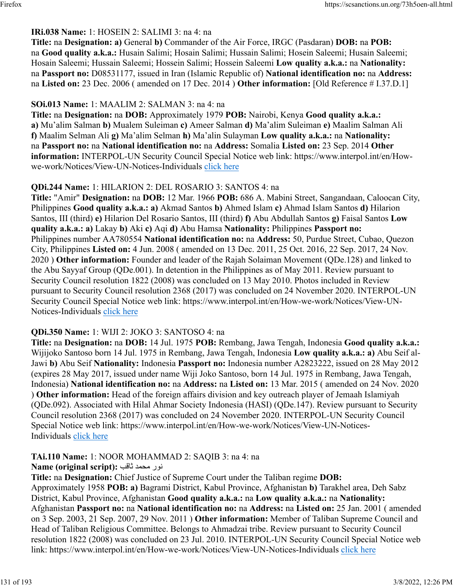### **IRi.038 Name:** 1: HOSEIN 2: SALIMI 3: na 4: na

**Title:** na **Designation: a)** General **b)** Commander of the Air Force, IRGC (Pasdaran) **DOB:** na **POB:** na **Good quality a.k.a.:** Husain Salimi; Hosain Salimi; Hussain Salimi; Hosein Saleemi; Husain Saleemi; Hosain Saleemi; Hussain Saleemi; Hossein Salimi; Hossein Saleemi **Low quality a.k.a.:** na **Nationality:** na **Passport no:** D08531177, issued in Iran (Islamic Republic of) **National identification no:** na **Address:** na **Listed on:** 23 Dec. 2006 ( amended on 17 Dec. 2014 ) **Other information:** [Old Reference # I.37.D.1]

#### **SOi.013 Name:** 1: MAALIM 2: SALMAN 3: na 4: na

**Title:** na **Designation:** na **DOB:** Approximately 1979 **POB:** Nairobi, Kenya **Good quality a.k.a.: a)** Mu'alim Salman **b)** Mualem Suleiman **c)** Ameer Salman **d)** Ma'alim Suleiman **e)** Maalim Salman Ali **f)** Maalim Selman Ali **g)** Ma'alim Selman **h)** Ma'alin Sulayman **Low quality a.k.a.:** na **Nationality:** na **Passport no:** na **National identification no:** na **Address:** Somalia **Listed on:** 23 Sep. 2014 **Other information:** INTERPOL-UN Security Council Special Notice web link: https://www.interpol.int/en/Howwe-work/Notices/View-UN-Notices-Individuals [click here](https://www.interpol.int/en/How-we-work/Notices/View-UN-Notices-Individuals)

#### **QDi.244 Name:** 1: HILARION 2: DEL ROSARIO 3: SANTOS 4: na

**Title:** "Amir" **Designation:** na **DOB:** 12 Mar. 1966 **POB:** 686 A. Mabini Street, Sangandaan, Caloocan City, Philippines **Good quality a.k.a.: a)** Akmad Santos **b)** Ahmed Islam **c)** Ahmad Islam Santos **d)** Hilarion Santos, III (third) **e)** Hilarion Del Rosario Santos, III (third) **f)** Abu Abdullah Santos **g)** Faisal Santos **Low quality a.k.a.: a)** Lakay **b)** Aki **c)** Aqi **d)** Abu Hamsa **Nationality:** Philippines **Passport no:** Philippines number AA780554 **National identification no:** na **Address:** 50, Purdue Street, Cubao, Quezon City, Philippines **Listed on:** 4 Jun. 2008 ( amended on 13 Dec. 2011, 25 Oct. 2016, 22 Sep. 2017, 24 Nov. 2020 ) **Other information:** Founder and leader of the Rajah Solaiman Movement (QDe.128) and linked to the Abu Sayyaf Group (QDe.001). In detention in the Philippines as of May 2011. Review pursuant to Security Council resolution 1822 (2008) was concluded on 13 May 2010. Photos included in Review pursuant to Security Council resolution 2368 (2017) was concluded on 24 November 2020. INTERPOL-UN Security Council Special Notice web link: https://www.interpol.int/en/How-we-work/Notices/View-UN-Notices-Individuals [click here](https://www.interpol.int/en/How-we-work/Notices/View-UN-Notices-Individuals)

#### **QDi.350 Name:** 1: WIJI 2: JOKO 3: SANTOSO 4: na

**Title:** na **Designation:** na **DOB:** 14 Jul. 1975 **POB:** Rembang, Jawa Tengah, Indonesia **Good quality a.k.a.:** Wijijoko Santoso born 14 Jul. 1975 in Rembang, Jawa Tengah, Indonesia **Low quality a.k.a.: a)** Abu Seif al-Jawi **b)** Abu Seif **Nationality:** Indonesia **Passport no:** Indonesia number A2823222, issued on 28 May 2012 (expires 28 May 2017, issued under name Wiji Joko Santoso, born 14 Jul. 1975 in Rembang, Jawa Tengah, Indonesia) **National identification no:** na **Address:** na **Listed on:** 13 Mar. 2015 ( amended on 24 Nov. 2020 ) **Other information:** Head of the foreign affairs division and key outreach player of Jemaah Islamiyah (QDe.092). Associated with Hilal Ahmar Society Indonesia (HASI) (QDe.147). Review pursuant to Security Council resolution 2368 (2017) was concluded on 24 November 2020. INTERPOL-UN Security Council Special Notice web link: https://www.interpol.int/en/How-we-work/Notices/View-UN-Notices-Individuals [click here](https://www.interpol.int/en/How-we-work/Notices/View-UN-Notices-Individuals)

#### **TAi.110 Name:** 1: NOOR MOHAMMAD 2: SAQIB 3: na 4: na

رون دمحم بقاث **:(script original (Name**

**Title:** na **Designation:** Chief Justice of Supreme Court under the Taliban regime **DOB:** Approximately 1958 **POB: a)** Bagrami District, Kabul Province, Afghanistan **b)** Tarakhel area, Deh Sabz District, Kabul Province, Afghanistan **Good quality a.k.a.:** na **Low quality a.k.a.:** na **Nationality:** Afghanistan **Passport no:** na **National identification no:** na **Address:** na **Listed on:** 25 Jan. 2001 ( amended on 3 Sep. 2003, 21 Sep. 2007, 29 Nov. 2011 ) **Other information:** Member of Taliban Supreme Council and Head of Taliban Religious Committee. Belongs to Ahmadzai tribe. Review pursuant to Security Council resolution 1822 (2008) was concluded on 23 Jul. 2010. INTERPOL-UN Security Council Special Notice web link: https://www.interpol.int/en/How-we-work/Notices/View-UN-Notices-Individuals [click here](https://www.interpol.int/en/How-we-work/Notices/View-UN-Notices-Individuals)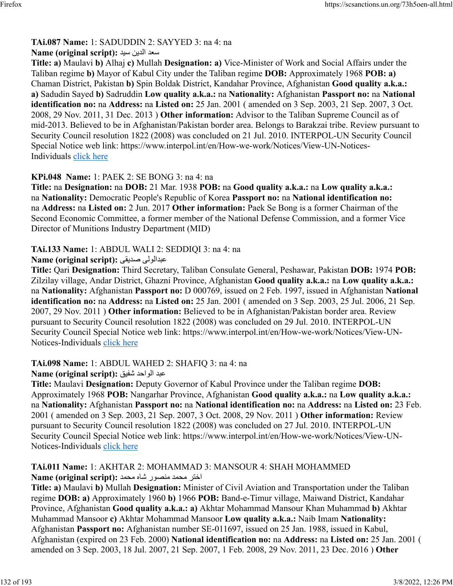# **TAi.087 Name:** 1: SADUDDIN 2: SAYYED 3: na 4: na

#### دعس نيدلا ديس **:(script original (Name**

**Title: a)** Maulavi **b)** Alhaj **c)** Mullah **Designation: a)** Vice-Minister of Work and Social Affairs under the Taliban regime **b)** Mayor of Kabul City under the Taliban regime **DOB:** Approximately 1968 **POB: a)** Chaman District, Pakistan **b)** Spin Boldak District, Kandahar Province, Afghanistan **Good quality a.k.a.: a)** Sadudin Sayed **b)** Sadruddin **Low quality a.k.a.:** na **Nationality:** Afghanistan **Passport no:** na **National identification no:** na **Address:** na **Listed on:** 25 Jan. 2001 ( amended on 3 Sep. 2003, 21 Sep. 2007, 3 Oct. 2008, 29 Nov. 2011, 31 Dec. 2013 ) **Other information:** Advisor to the Taliban Supreme Council as of mid-2013. Believed to be in Afghanistan/Pakistan border area. Belongs to Barakzai tribe. Review pursuant to Security Council resolution 1822 (2008) was concluded on 21 Jul. 2010. INTERPOL-UN Security Council Special Notice web link: https://www.interpol.int/en/How-we-work/Notices/View-UN-Notices-Individuals [click here](https://www.interpol.int/en/How-we-work/Notices/View-UN-Notices-Individuals)

# **KPi.048 Name:** 1: PAEK 2: SE BONG 3: na 4: na

**Title:** na **Designation:** na **DOB:** 21 Mar. 1938 **POB:** na **Good quality a.k.a.:** na **Low quality a.k.a.:** na **Nationality:** Democratic People's Republic of Korea **Passport no:** na **National identification no:** na **Address:** na **Listed on:** 2 Jun. 2017 **Other information:** Paek Se Bong is a former Chairman of the Second Economic Committee, a former member of the National Defense Commission, and a former Vice Director of Munitions Industry Department (MID)

# **TAi.133 Name:** 1: ABDUL WALI 2: SEDDIQI 3: na 4: na

**Name (original script):** یقيدص یلولادبع

**Title:** Qari **Designation:** Third Secretary, Taliban Consulate General, Peshawar, Pakistan **DOB:** 1974 **POB:** Zilzilay village, Andar District, Ghazni Province, Afghanistan **Good quality a.k.a.:** na **Low quality a.k.a.:** na **Nationality:** Afghanistan **Passport no:** D 000769, issued on 2 Feb. 1997, issued in Afghanistan **National identification no:** na **Address:** na **Listed on:** 25 Jan. 2001 ( amended on 3 Sep. 2003, 25 Jul. 2006, 21 Sep. 2007, 29 Nov. 2011 ) **Other information:** Believed to be in Afghanistan/Pakistan border area. Review pursuant to Security Council resolution 1822 (2008) was concluded on 29 Jul. 2010. INTERPOL-UN Security Council Special Notice web link: https://www.interpol.int/en/How-we-work/Notices/View-UN-Notices-Individuals [click here](https://www.interpol.int/en/How-we-work/Notices/View-UN-Notices-Individuals)

# **TAi.098 Name:** 1: ABDUL WAHED 2: SHAFIQ 3: na 4: na

# دبع دحاولا قيفش **:(script original (Name**

**Title:** Maulavi **Designation:** Deputy Governor of Kabul Province under the Taliban regime **DOB:** Approximately 1968 **POB:** Nangarhar Province, Afghanistan **Good quality a.k.a.:** na **Low quality a.k.a.:** na **Nationality:** Afghanistan **Passport no:** na **National identification no:** na **Address:** na **Listed on:** 23 Feb. 2001 ( amended on 3 Sep. 2003, 21 Sep. 2007, 3 Oct. 2008, 29 Nov. 2011 ) **Other information:** Review pursuant to Security Council resolution 1822 (2008) was concluded on 27 Jul. 2010. INTERPOL-UN Security Council Special Notice web link: https://www.interpol.int/en/How-we-work/Notices/View-UNNotices-Individuals [click here](https://www.interpol.int/en/How-we-work/Notices/View-UN-Notices-Individuals)

#### **TAi.011 Name:** 1: AKHTAR 2: MOHAMMAD 3: MANSOUR 4: SHAH MOHAMMED رتخا دمحم روصنم هاش دمحم **:(script original (Name**

**Title: a)** Maulavi **b)** Mullah **Designation:** Minister of Civil Aviation and Transportation under the Taliban regime **DOB: a)** Approximately 1960 **b)** 1966 **POB:** Band-e-Timur village, Maiwand District, Kandahar Province, Afghanistan **Good quality a.k.a.: a)** Akhtar Mohammad Mansour Khan Muhammad **b)** Akhtar Muhammad Mansoor **c)** Akhtar Mohammad Mansoor **Low quality a.k.a.:** Naib Imam **Nationality:** Afghanistan **Passport no:** Afghanistan number SE-011697, issued on 25 Jan. 1988, issued in Kabul, Afghanistan (expired on 23 Feb. 2000) **National identification no:** na **Address:** na **Listed on:** 25 Jan. 2001 ( amended on 3 Sep. 2003, 18 Jul. 2007, 21 Sep. 2007, 1 Feb. 2008, 29 Nov. 2011, 23 Dec. 2016 ) **Other**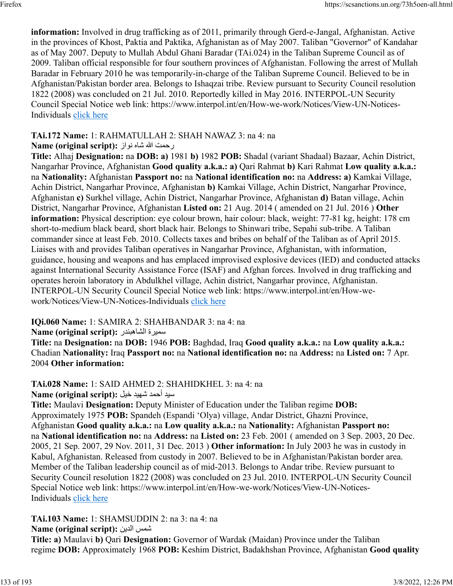**information:** Involved in drug trafficking as of 2011, primarily through Gerd-e-Jangal, Afghanistan. Active in the provinces of Khost, Paktia and Paktika, Afghanistan as of May 2007. Taliban "Governor" of Kandahar as of May 2007. Deputy to Mullah Abdul Ghani Baradar (TAi.024) in the Taliban Supreme Council as of 2009. Taliban official responsible for four southern provinces of Afghanistan. Following the arrest of Mullah Baradar in February 2010 he was temporarily-in-charge of the Taliban Supreme Council. Believed to be in Afghanistan/Pakistan border area. Belongs to Ishaqzai tribe. Review pursuant to Security Council resolution 1822 (2008) was concluded on 21 Jul. 2010. Reportedly killed in May 2016. INTERPOL-UN Security Council Special Notice web link: https://www.interpol.int/en/How-we-work/Notices/View-UN-Notices-Individuals [click here](https://www.interpol.int/en/How-we-work/Notices/View-UN-Notices-Individuals)

# **TAi.172 Name:** 1: RAHMATULLAH 2: SHAH NAWAZ 3: na 4: na

# رحمت الله شاه نواز : Name (original script)

**Title:** Alhaj **Designation:** na **DOB: a)** 1981 **b)** 1982 **POB:** Shadal (variant Shadaal) Bazaar, Achin District, Nangarhar Province, Afghanistan **Good quality a.k.a.: a)** Qari Rahmat **b)** Kari Rahmat **Low quality a.k.a.:** na **Nationality:** Afghanistan **Passport no:** na **National identification no:** na **Address: a)** Kamkai Village, Achin District, Nangarhar Province, Afghanistan **b)** Kamkai Village, Achin District, Nangarhar Province, Afghanistan **c)** Surkhel village, Achin District, Nangarhar Province, Afghanistan **d)** Batan village, Achin District, Nangarhar Province, Afghanistan **Listed on:** 21 Aug. 2014 ( amended on 21 Jul. 2016 ) **Other information:** Physical description: eye colour brown, hair colour: black, weight: 77-81 kg, height: 178 cm short-to-medium black beard, short black hair. Belongs to Shinwari tribe, Sepahi sub-tribe. A Taliban commander since at least Feb. 2010. Collects taxes and bribes on behalf of the Taliban as of April 2015. Liaises with and provides Taliban operatives in Nangarhar Province, Afghanistan, with information, guidance, housing and weapons and has emplaced improvised explosive devices (IED) and conducted attacks against International Security Assistance Force (ISAF) and Afghan forces. Involved in drug trafficking and operates heroin laboratory in Abdulkhel village, Achin district, Nangarhar province, Afghanistan. INTERPOL-UN Security Council Special Notice web link: https://www.interpol.int/en/How-wework/Notices/View-UN-Notices-Individuals [click here](https://www.interpol.int/en/How-we-work/Notices/View-UN-Notices-Individuals)

# **IQi.060 Name:** 1: SAMIRA 2: SHAHBANDAR 3: na 4: na

# Rame (original script): سميرة الشاهبندر

**Title:** na **Designation:** na **DOB:** 1946 **POB:** Baghdad, Iraq **Good quality a.k.a.:** na **Low quality a.k.a.:** Chadian **Nationality:** Iraq **Passport no:** na **National identification no:** na **Address:** na **Listed on:** 7 Apr. 2004 **Other information:** 

# **TAi.028 Name:** 1: SAID AHMED 2: SHAHIDKHEL 3: na 4: na

ديس دمحأ ديهش ليخ **:(script original (Name**

**Title:** Maulavi **Designation:** Deputy Minister of Education under the Taliban regime **DOB:** Approximately 1975 **POB:** Spandeh (Espandi 'Olya) village, Andar District, Ghazni Province, Afghanistan **Good quality a.k.a.:** na **Low quality a.k.a.:** na **Nationality:** Afghanistan **Passport no:** na **National identification no:** na **Address:** na **Listed on:** 23 Feb. 2001 ( amended on 3 Sep. 2003, 20 Dec. 2005, 21 Sep. 2007, 29 Nov. 2011, 31 Dec. 2013 ) **Other information:** In July 2003 he was in custody in Kabul, Afghanistan. Released from custody in 2007. Believed to be in Afghanistan/Pakistan border area. Member of the Taliban leadership council as of mid-2013. Belongs to Andar tribe. Review pursuant to Security Council resolution 1822 (2008) was concluded on 23 Jul. 2010. INTERPOL-UN Security Council Special Notice web link: https://www.interpol.int/en/How-we-work/Notices/View-UN-NoticesIndividuals [click here](https://www.interpol.int/en/How-we-work/Notices/View-UN-Notices-Individuals)

**TAi.103 Name:** 1: SHAMSUDDIN 2: na 3: na 4: na

**Name (original script):** نيدلا سمش

**Title: a)** Maulavi **b)** Qari **Designation:** Governor of Wardak (Maidan) Province under the Taliban regime **DOB:** Approximately 1968 **POB:** Keshim District, Badakhshan Province, Afghanistan **Good quality**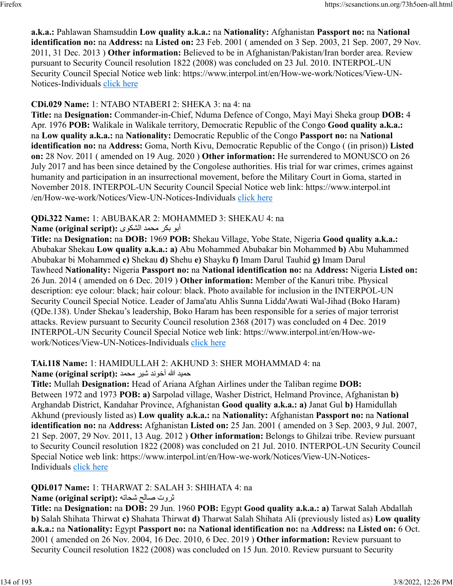**a.k.a.:** Pahlawan Shamsuddin **Low quality a.k.a.:** na **Nationality:** Afghanistan **Passport no:** na **National identification no:** na **Address:** na **Listed on:** 23 Feb. 2001 ( amended on 3 Sep. 2003, 21 Sep. 2007, 29 Nov. 2011, 31 Dec. 2013 ) **Other information:** Believed to be in Afghanistan/Pakistan/Iran border area. Review pursuant to Security Council resolution 1822 (2008) was concluded on 23 Jul. 2010. INTERPOL-UN Security Council Special Notice web link: https://www.interpol.int/en/How-we-work/Notices/View-UN-Notices-Individuals [click here](https://www.interpol.int/en/How-we-work/Notices/View-UN-Notices-Individuals)

# **CDi.029 Name:** 1: NTABO NTABERI 2: SHEKA 3: na 4: na

**Title:** na **Designation:** Commander-in-Chief, Nduma Defence of Congo, Mayi Mayi Sheka group **DOB:** 4 Apr. 1976 **POB:** Walikale in Walikale territory, Democratic Republic of the Congo **Good quality a.k.a.:** na **Low quality a.k.a.:** na **Nationality:** Democratic Republic of the Congo **Passport no:** na **National identification no:** na **Address:** Goma, North Kivu, Democratic Republic of the Congo ( (in prison)) **Listed on:** 28 Nov. 2011 ( amended on 19 Aug. 2020 ) **Other information:** He surrendered to MONUSCO on 26 July 2017 and has been since detained by the Congolese authorities. His trial for war crimes, crimes against humanity and participation in an insurrectional movement, before the Military Court in Goma, started in November 2018. INTERPOL-UN Security Council Special Notice web link: https://www.interpol.int /en/How-we-work/Notices/View-UN-Notices-Individuals [click here](https://www.interpol.int/en/How-we-work/Notices/View-UN-Notices-Individuals)

# **QDi.322 Name:** 1: ABUBAKAR 2: MOHAMMED 3: SHEKAU 4: na

### وبأ ركب دمحم ىوكشلا **:(script original (Name**

**Title:** na **Designation:** na **DOB:** 1969 **POB:** Shekau Village, Yobe State, Nigeria **Good quality a.k.a.:** Abubakar Shekau **Low quality a.k.a.: a)** Abu Mohammed Abubakar bin Mohammed **b)** Abu Muhammed Abubakar bi Mohammed **c)** Shekau **d)** Shehu **e)** Shayku **f)** Imam Darul Tauhid **g)** Imam Darul Tawheed **Nationality:** Nigeria **Passport no:** na **National identification no:** na **Address:** Nigeria **Listed on:** 26 Jun. 2014 ( amended on 6 Dec. 2019 ) **Other information:** Member of the Kanuri tribe. Physical description: eye colour: black; hair colour: black. Photo available for inclusion in the INTERPOL-UN Security Council Special Notice. Leader of Jama'atu Ahlis Sunna Lidda'Awati Wal-Jihad (Boko Haram) (QDe.138). Under Shekau's leadership, Boko Haram has been responsible for a series of major terrorist attacks. Review pursuant to Security Council resolution 2368 (2017) was concluded on 4 Dec. 2019 INTERPOL-UN Security Council Special Notice web link: https://www.interpol.int/en/How-wework/Notices/View-UN-Notices-Individuals [click here](https://www.interpol.int/en/How-we-work/Notices/View-UN-Notices-Individuals)

# **TAi.118 Name:** 1: HAMIDULLAH 2: AKHUND 3: SHER MOHAMMAD 4: na

#### ديمح الله دنوخآ ريش دمحم **:(script original (Name**

**Title:** Mullah **Designation:** Head of Ariana Afghan Airlines under the Taliban regime **DOB:** Between 1972 and 1973 **POB: a)** Sarpolad village, Washer District, Helmand Province, Afghanistan **b)** Arghandab District, Kandahar Province, Afghanistan **Good quality a.k.a.: a)** Janat Gul **b)** Hamidullah Akhund (previously listed as) **Low quality a.k.a.:** na **Nationality:** Afghanistan **Passport no:** na **National identification no:** na **Address:** Afghanistan **Listed on:** 25 Jan. 2001 ( amended on 3 Sep. 2003, 9 Jul. 2007, 21 Sep. 2007, 29 Nov. 2011, 13 Aug. 2012 ) **Other information:** Belongs to Ghilzai tribe. Review pursuant to Security Council resolution 1822 (2008) was concluded on 21 Jul. 2010. INTERPOL-UN Security Council Special Notice web link: https://www.interpol.int/en/How-we-work/Notices/View-UN-Notices-Individuals [click here](https://www.interpol.int/en/How-we-work/Notices/View-UN-Notices-Individuals)

# **QDi.017 Name:** 1: THARWAT 2: SALAH 3: SHIHATA 4: na

# تورث حلاص هتاحش **:(script original (Name**

**Title:** na **Designation:** na **DOB:** 29 Jun. 1960 **POB:** Egypt **Good quality a.k.a.: a)** Tarwat Salah Abdallah **b)** Salah Shihata Thirwat **c)** Shahata Thirwat **d)** Tharwat Salah Shihata Ali (previously listed as) **Low quality a.k.a.:** na **Nationality:** Egypt **Passport no:** na **National identification no:** na **Address:** na **Listed on:** 6 Oct. 2001 ( amended on 26 Nov. 2004, 16 Dec. 2010, 6 Dec. 2019 ) **Other information:** Review pursuant to Security Council resolution 1822 (2008) was concluded on 15 Jun. 2010. Review pursuant to Security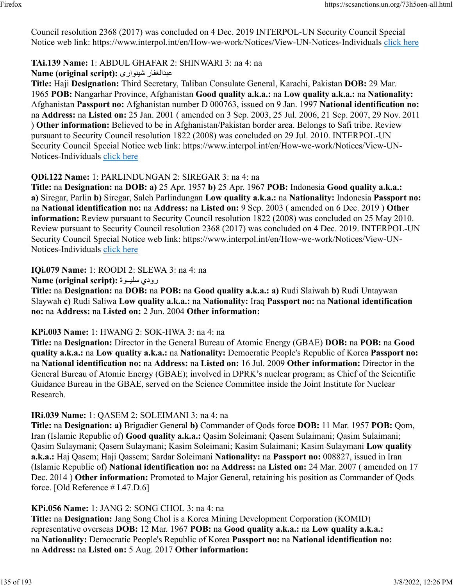Council resolution 2368 (2017) was concluded on 4 Dec. 2019 INTERPOL-UN Security Council Special Notice web link: https://www.interpol.int/en/How-we-work/Notices/View-UN-Notices-Individuals [click here](https://www.interpol.int/en/How-we-work/Notices/View-UN-Notices-Individuals)

#### **TAi.139 Name:** 1: ABDUL GHAFAR 2: SHINWARI 3: na 4: na

**Name (original script):** یراونيش رافغلادبع

**Title:** Haji **Designation:** Third Secretary, Taliban Consulate General, Karachi, Pakistan **DOB:** 29 Mar. 1965 **POB:** Nangarhar Province, Afghanistan **Good quality a.k.a.:** na **Low quality a.k.a.:** na **Nationality:** Afghanistan **Passport no:** Afghanistan number D 000763, issued on 9 Jan. 1997 **National identification no:** na **Address:** na **Listed on:** 25 Jan. 2001 ( amended on 3 Sep. 2003, 25 Jul. 2006, 21 Sep. 2007, 29 Nov. 2011 ) **Other information:** Believed to be in Afghanistan/Pakistan border area. Belongs to Safi tribe. Review pursuant to Security Council resolution 1822 (2008) was concluded on 29 Jul. 2010. INTERPOL-UN Security Council Special Notice web link: https://www.interpol.int/en/How-we-work/Notices/View-UN-Notices-Individuals [click here](https://www.interpol.int/en/How-we-work/Notices/View-UN-Notices-Individuals)

# **QDi.122 Name:** 1: PARLINDUNGAN 2: SIREGAR 3: na 4: na

**Title:** na **Designation:** na **DOB: a)** 25 Apr. 1957 **b)** 25 Apr. 1967 **POB:** Indonesia **Good quality a.k.a.: a)** Siregar, Parlin **b)** Siregar, Saleh Parlindungan **Low quality a.k.a.:** na **Nationality:** Indonesia **Passport no:** na **National identification no:** na **Address:** na **Listed on:** 9 Sep. 2003 ( amended on 6 Dec. 2019 ) **Other information:** Review pursuant to Security Council resolution 1822 (2008) was concluded on 25 May 2010. Review pursuant to Security Council resolution 2368 (2017) was concluded on 4 Dec. 2019. INTERPOL-UN Security Council Special Notice web link: https://www.interpol.int/en/How-we-work/Notices/View-UN-Notices-Individuals [click here](https://www.interpol.int/en/How-we-work/Notices/View-UN-Notices-Individuals)

**IQi.079 Name:** 1: ROODI 2: SLEWA 3: na 4: na

**Name (original script):** ةوــيلس يدور

**Title:** na **Designation:** na **DOB:** na **POB:** na **Good quality a.k.a.: a)** Rudi Slaiwah **b)** Rudi Untaywan Slaywah **c)** Rudi Saliwa **Low quality a.k.a.:** na **Nationality:** Iraq **Passport no:** na **National identification no:** na **Address:** na **Listed on:** 2 Jun. 2004 **Other information:** 

#### **KPi.003 Name:** 1: HWANG 2: SOK-HWA 3: na 4: na

**Title:** na **Designation:** Director in the General Bureau of Atomic Energy (GBAE) **DOB:** na **POB:** na **Good quality a.k.a.:** na **Low quality a.k.a.:** na **Nationality:** Democratic People's Republic of Korea **Passport no:** na **National identification no:** na **Address:** na **Listed on:** 16 Jul. 2009 **Other information:** Director in the General Bureau of Atomic Energy (GBAE); involved in DPRK's nuclear program; as Chief of the Scientific Guidance Bureau in the GBAE, served on the Science Committee inside the Joint Institute for Nuclear Research.

#### **IRi.039 Name:** 1: QASEM 2: SOLEIMANI 3: na 4: na

**Title:** na **Designation: a)** Brigadier General **b)** Commander of Qods force **DOB:** 11 Mar. 1957 **POB:** Qom, Iran (Islamic Republic of) **Good quality a.k.a.:** Qasim Soleimani; Qasem Sulaimani; Qasim Sulaimani; Qasim Sulaymani; Qasem Sulaymani; Kasim Soleimani; Kasim Sulaimani; Kasim Sulaymani **Low quality a.k.a.:** Haj Qasem; Haji Qassem; Sardar Soleimani **Nationality:** na **Passport no:** 008827, issued in Iran (Islamic Republic of) **National identification no:** na **Address:** na **Listed on:** 24 Mar. 2007 ( amended on 17 Dec. 2014 ) **Other information:** Promoted to Major General, retaining his position as Commander of Qods force. [Old Reference # I.47.D.6]

#### **KPi.056 Name:** 1: JANG 2: SONG CHOL 3: na 4: na

**Title:** na **Designation:** Jang Song Chol is a Korea Mining Development Corporation (KOMID) representative overseas **DOB:** 12 Mar. 1967 **POB:** na **Good quality a.k.a.:** na **Low quality a.k.a.:** na **Nationality:** Democratic People's Republic of Korea **Passport no:** na **National identification no:** na **Address:** na **Listed on:** 5 Aug. 2017 **Other information:**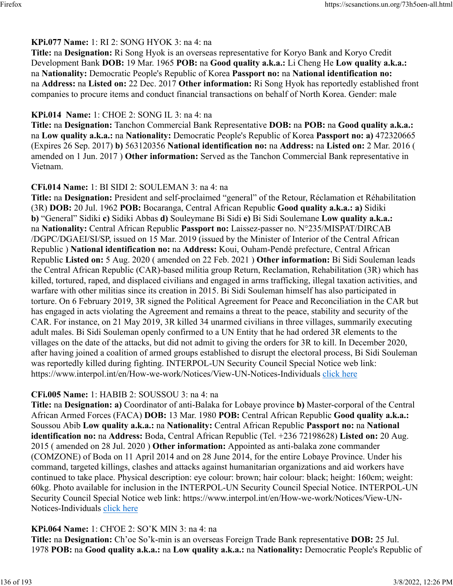#### **KPi.077 Name:** 1: RI 2: SONG HYOK 3: na 4: na

**Title:** na **Designation:** Ri Song Hyok is an overseas representative for Koryo Bank and Koryo Credit Development Bank **DOB:** 19 Mar. 1965 **POB:** na **Good quality a.k.a.:** Li Cheng He **Low quality a.k.a.:** na **Nationality:** Democratic People's Republic of Korea **Passport no:** na **National identification no:** na **Address:** na **Listed on:** 22 Dec. 2017 **Other information:** Ri Song Hyok has reportedly established front companies to procure items and conduct financial transactions on behalf of North Korea. Gender: male

#### **KPi.014 Name:** 1: CHOE 2: SONG IL 3: na 4: na

**Title:** na **Designation:** Tanchon Commercial Bank Representative **DOB:** na **POB:** na **Good quality a.k.a.:** na **Low quality a.k.a.:** na **Nationality:** Democratic People's Republic of Korea **Passport no: a)** 472320665 (Expires 26 Sep. 2017) **b)** 563120356 **National identification no:** na **Address:** na **Listed on:** 2 Mar. 2016 ( amended on 1 Jun. 2017 ) **Other information:** Served as the Tanchon Commercial Bank representative in Vietnam.

#### **CFi.014 Name:** 1: BI SIDI 2: SOULEMAN 3: na 4: na

**Title:** na **Designation:** President and self-proclaimed "general" of the Retour, Réclamation et Réhabilitation (3R) **DOB:** 20 Jul. 1962 **POB:** Bocaranga, Central African Republic **Good quality a.k.a.: a)** Sidiki **b)** "General" Sidiki **c)** Sidiki Abbas **d)** Souleymane Bi Sidi **e)** Bi Sidi Soulemane **Low quality a.k.a.:** na **Nationality:** Central African Republic **Passport no:** Laissez-passer no. N°235/MISPAT/DIRCAB /DGPC/DGAEI/SI/SP, issued on 15 Mar. 2019 (issued by the Minister of Interior of the Central African Republic ) **National identification no:** na **Address:** Koui, Ouham-Pendé prefecture, Central African Republic **Listed on:** 5 Aug. 2020 ( amended on 22 Feb. 2021 ) **Other information:** Bi Sidi Souleman leads the Central African Republic (CAR)-based militia group Return, Reclamation, Rehabilitation (3R) which has killed, tortured, raped, and displaced civilians and engaged in arms trafficking, illegal taxation activities, and warfare with other militias since its creation in 2015. Bi Sidi Souleman himself has also participated in torture. On 6 February 2019, 3R signed the Political Agreement for Peace and Reconciliation in the CAR but has engaged in acts violating the Agreement and remains a threat to the peace, stability and security of the CAR. For instance, on 21 May 2019, 3R killed 34 unarmed civilians in three villages, summarily executing adult males. Bi Sidi Souleman openly confirmed to a UN Entity that he had ordered 3R elements to the villages on the date of the attacks, but did not admit to giving the orders for 3R to kill. In December 2020, after having joined a coalition of armed groups established to disrupt the electoral process, Bi Sidi Souleman was reportedly killed during fighting. INTERPOL-UN Security Council Special Notice web link: https://www.interpol.int/en/How-we-work/Notices/View-UN-Notices-Individuals [click here](https://www.interpol.int/en/How-we-work/Notices/View-UN-Notices-Individuals)

# **CFi.005 Name:** 1: HABIB 2: SOUSSOU 3: na 4: na

**Title:** na **Designation: a)** Coordinator of anti-Balaka for Lobaye province **b)** Master-corporal of the Central African Armed Forces (FACA) **DOB:** 13 Mar. 1980 **POB:** Central African Republic **Good quality a.k.a.:** Soussou Abib **Low quality a.k.a.:** na **Nationality:** Central African Republic **Passport no:** na **National identification no:** na **Address:** Boda, Central African Republic (Tel. +236 72198628) **Listed on:** 20 Aug. 2015 ( amended on 28 Jul. 2020 ) **Other information:** Appointed as anti-balaka zone commander (COMZONE) of Boda on 11 April 2014 and on 28 June 2014, for the entire Lobaye Province. Under his command, targeted killings, clashes and attacks against humanitarian organizations and aid workers have continued to take place. Physical description: eye colour: brown; hair colour: black; height: 160cm; weight: 60kg. Photo available for inclusion in the INTERPOL-UN Security Council Special Notice. INTERPOL-UN Security Council Special Notice web link: https://www.interpol.int/en/How-we-work/Notices/View-UNNotices-Individuals [click here](https://www.interpol.int/en/How-we-work/Notices/View-UN-Notices-Individuals)

# **KPi.064 Name:** 1: CH'OE 2: SO'K MIN 3: na 4: na

**Title:** na **Designation:** Ch'oe So'k-min is an overseas Foreign Trade Bank representative **DOB:** 25 Jul. 1978 **POB:** na **Good quality a.k.a.:** na **Low quality a.k.a.:** na **Nationality:** Democratic People's Republic of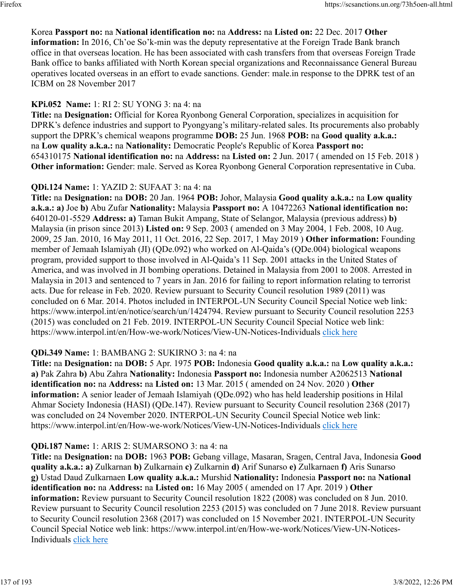# Korea **Passport no:** na **National identification no:** na **Address:** na **Listed on:** 22 Dec. 2017 **Other**

**information:** In 2016, Ch'oe So'k-min was the deputy representative at the Foreign Trade Bank branch office in that overseas location. He has been associated with cash transfers from that overseas Foreign Trade Bank office to banks affiliated with North Korean special organizations and Reconnaissance General Bureau operatives located overseas in an effort to evade sanctions. Gender: male.in response to the DPRK test of an ICBM on 28 November 2017

# **KPi.052 Name:** 1: RI 2: SU YONG 3: na 4: na

**Title:** na **Designation:** Official for Korea Ryonbong General Corporation, specializes in acquisition for DPRK's defence industries and support to Pyongyang's military-related sales. Its procurements also probably support the DPRK's chemical weapons programme **DOB:** 25 Jun. 1968 **POB:** na **Good quality a.k.a.:** na **Low quality a.k.a.:** na **Nationality:** Democratic People's Republic of Korea **Passport no:** 654310175 **National identification no:** na **Address:** na **Listed on:** 2 Jun. 2017 ( amended on 15 Feb. 2018 ) **Other information:** Gender: male. Served as Korea Ryonbong General Corporation representative in Cuba.

### **QDi.124 Name:** 1: YAZID 2: SUFAAT 3: na 4: na

**Title:** na **Designation:** na **DOB:** 20 Jan. 1964 **POB:** Johor, Malaysia **Good quality a.k.a.:** na **Low quality a.k.a.: a)** Joe **b)** Abu Zufar **Nationality:** Malaysia **Passport no:** A 10472263 **National identification no:** 640120-01-5529 **Address: a)** Taman Bukit Ampang, State of Selangor, Malaysia (previous address) **b)** Malaysia (in prison since 2013) **Listed on:** 9 Sep. 2003 ( amended on 3 May 2004, 1 Feb. 2008, 10 Aug. 2009, 25 Jan. 2010, 16 May 2011, 11 Oct. 2016, 22 Sep. 2017, 1 May 2019 ) **Other information:** Founding member of Jemaah Islamiyah (JI) (QDe.092) who worked on Al-Qaida's (QDe.004) biological weapons program, provided support to those involved in Al-Qaida's 11 Sep. 2001 attacks in the United States of America, and was involved in JI bombing operations. Detained in Malaysia from 2001 to 2008. Arrested in Malaysia in 2013 and sentenced to 7 years in Jan. 2016 for failing to report information relating to terrorist acts. Due for release in Feb. 2020. Review pursuant to Security Council resolution 1989 (2011) was concluded on 6 Mar. 2014. Photos included in INTERPOL-UN Security Council Special Notice web link: https://www.interpol.int/en/notice/search/un/1424794. Review pursuant to Security Council resolution 2253 (2015) was concluded on 21 Feb. 2019. INTERPOL-UN Security Council Special Notice web link: https://www.interpol.int/en/How-we-work/Notices/View-UN-Notices-Individuals [click here](https://www.interpol.int/en/How-we-work/Notices/View-UN-Notices-Individuals)

# **QDi.349 Name:** 1: BAMBANG 2: SUKIRNO 3: na 4: na

**Title:** na **Designation:** na **DOB:** 5 Apr. 1975 **POB:** Indonesia **Good quality a.k.a.:** na **Low quality a.k.a.: a)** Pak Zahra **b)** Abu Zahra **Nationality:** Indonesia **Passport no:** Indonesia number A2062513 **National identification no:** na **Address:** na **Listed on:** 13 Mar. 2015 ( amended on 24 Nov. 2020 ) **Other information:** A senior leader of Jemaah Islamiyah (QDe.092) who has held leadership positions in Hilal Ahmar Society Indonesia (HASI) (QDe.147). Review pursuant to Security Council resolution 2368 (2017) was concluded on 24 November 2020. INTERPOL-UN Security Council Special Notice web link: https://www.interpol.int/en/How-we-work/Notices/View-UN-Notices-Individuals [click here](https://www.interpol.int/en/How-we-work/Notices/View-UN-Notices-Individuals)

# **QDi.187 Name:** 1: ARIS 2: SUMARSONO 3: na 4: na

**Title:** na **Designation:** na **DOB:** 1963 **POB:** Gebang village, Masaran, Sragen, Central Java, Indonesia **Good quality a.k.a.: a)** Zulkarnan **b)** Zulkarnain **c)** Zulkarnin **d)** Arif Sunarso **e)** Zulkarnaen **f)** Aris Sunarso **g)** Ustad Daud Zulkarnaen **Low quality a.k.a.:** Murshid **Nationality:** Indonesia **Passport no:** na **National identification no:** na **Address:** na **Listed on:** 16 May 2005 ( amended on 17 Apr. 2019 ) **Other information:** Review pursuant to Security Council resolution 1822 (2008) was concluded on 8 Jun. 2010. Review pursuant to Security Council resolution 2253 (2015) was concluded on 7 June 2018. Review pursuant to Security Council resolution 2368 (2017) was concluded on 15 November 2021. INTERPOL-UN Security Council Special Notice web link: https://www.interpol.int/en/How-we-work/Notices/View-UN-Notices-Individuals [click here](https://www.interpol.int/en/How-we-work/Notices/View-UN-Notices-Individuals)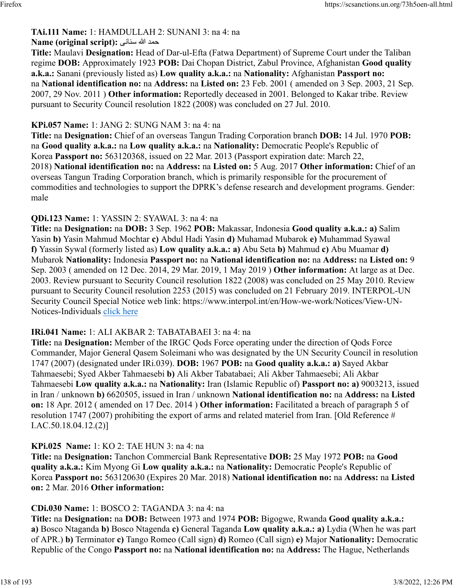#### **TAi.111 Name:** 1: HAMDULLAH 2: SUNANI 3: na 4: na دمح الله ینانس **:(script original (Name**

**Title:** Maulavi **Designation:** Head of Dar-ul-Efta (Fatwa Department) of Supreme Court under the Taliban regime **DOB:** Approximately 1923 **POB:** Dai Chopan District, Zabul Province, Afghanistan **Good quality a.k.a.:** Sanani (previously listed as) **Low quality a.k.a.:** na **Nationality:** Afghanistan **Passport no:** na **National identification no:** na **Address:** na **Listed on:** 23 Feb. 2001 ( amended on 3 Sep. 2003, 21 Sep. 2007, 29 Nov. 2011 ) **Other information:** Reportedly deceased in 2001. Belonged to Kakar tribe. Review pursuant to Security Council resolution 1822 (2008) was concluded on 27 Jul. 2010.

#### **KPi.057 Name:** 1: JANG 2: SUNG NAM 3: na 4: na

**Title:** na **Designation:** Chief of an overseas Tangun Trading Corporation branch **DOB:** 14 Jul. 1970 **POB:** na **Good quality a.k.a.:** na **Low quality a.k.a.:** na **Nationality:** Democratic People's Republic of Korea **Passport no:** 563120368, issued on 22 Mar. 2013 (Passport expiration date: March 22, 2018) **National identification no:** na **Address:** na **Listed on:** 5 Aug. 2017 **Other information:** Chief of an overseas Tangun Trading Corporation branch, which is primarily responsible for the procurement of commodities and technologies to support the DPRK's defense research and development programs. Gender: male

#### **QDi.123 Name:** 1: YASSIN 2: SYAWAL 3: na 4: na

**Title:** na **Designation:** na **DOB:** 3 Sep. 1962 **POB:** Makassar, Indonesia **Good quality a.k.a.: a)** Salim Yasin **b)** Yasin Mahmud Mochtar **c)** Abdul Hadi Yasin **d)** Muhamad Mubarok **e)** Muhammad Syawal **f)** Yassin Sywal (formerly listed as) **Low quality a.k.a.: a)** Abu Seta **b)** Mahmud **c)** Abu Muamar **d)** Mubarok **Nationality:** Indonesia **Passport no:** na **National identification no:** na **Address:** na **Listed on:** 9 Sep. 2003 ( amended on 12 Dec. 2014, 29 Mar. 2019, 1 May 2019 ) **Other information:** At large as at Dec. 2003. Review pursuant to Security Council resolution 1822 (2008) was concluded on 25 May 2010. Review pursuant to Security Council resolution 2253 (2015) was concluded on 21 February 2019. INTERPOL-UN Security Council Special Notice web link: https://www.interpol.int/en/How-we-work/Notices/View-UN-Notices-Individuals [click here](https://www.interpol.int/en/How-we-work/Notices/View-UN-Notices-Individuals)

#### **IRi.041 Name:** 1: ALI AKBAR 2: TABATABAEI 3: na 4: na

**Title:** na **Designation:** Member of the IRGC Qods Force operating under the direction of Qods Force Commander, Major General Qasem Soleimani who was designated by the UN Security Council in resolution 1747 (2007) (designated under IRi.039). **DOB:** 1967 **POB:** na **Good quality a.k.a.: a)** Sayed Akbar Tahmaesebi; Syed Akber Tahmaesebi **b)** Ali Akber Tabatabaei; Ali Akber Tahmaesebi; Ali Akbar Tahmaesebi **Low quality a.k.a.:** na **Nationality:** Iran (Islamic Republic of) **Passport no: a)** 9003213, issued in Iran / unknown **b)** 6620505, issued in Iran / unknown **National identification no:** na **Address:** na **Listed on:** 18 Apr. 2012 ( amended on 17 Dec. 2014 ) **Other information:** Facilitated a breach of paragraph 5 of resolution 1747 (2007) prohibiting the export of arms and related materiel from Iran. [Old Reference # I.AC.50.18.04.12.(2)]

#### **KPi.025 Name:** 1: KO 2: TAE HUN 3: na 4: na

**Title:** na **Designation:** Tanchon Commercial Bank Representative **DOB:** 25 May 1972 **POB:** na **Good quality a.k.a.:** Kim Myong Gi **Low quality a.k.a.:** na **Nationality:** Democratic People's Republic of Korea **Passport no:** 563120630 (Expires 20 Mar. 2018) **National identification no:** na **Address:** na **Listed on:** 2 Mar. 2016 **Other information:** 

#### **CDi.030 Name:** 1: BOSCO 2: TAGANDA 3: na 4: na

**Title:** na **Designation:** na **DOB:** Between 1973 and 1974 **POB:** Bigogwe, Rwanda **Good quality a.k.a.: a)** Bosco Ntaganda **b)** Bosco Ntagenda **c)** General Taganda **Low quality a.k.a.: a)** Lydia (When he was part of APR.) **b)** Terminator **c)** Tango Romeo (Call sign) **d)** Romeo (Call sign) **e)** Major **Nationality:** Democratic Republic of the Congo **Passport no:** na **National identification no:** na **Address:** The Hague, Netherlands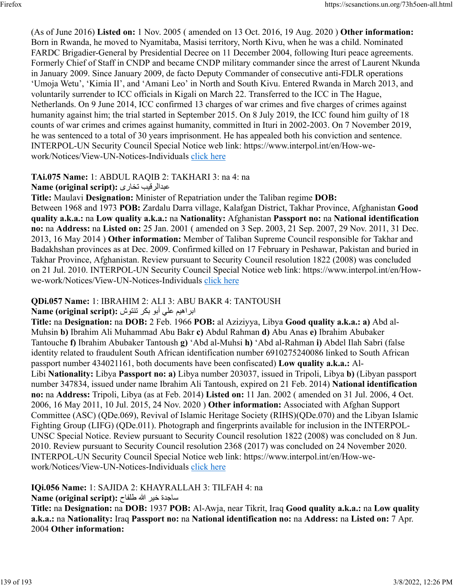(As of June 2016) **Listed on:** 1 Nov. 2005 ( amended on 13 Oct. 2016, 19 Aug. 2020 ) **Other information:** Born in Rwanda, he moved to Nyamitaba, Masisi territory, North Kivu, when he was a child. Nominated FARDC Brigadier-General by Presidential Decree on 11 December 2004, following Ituri peace agreements. Formerly Chief of Staff in CNDP and became CNDP military commander since the arrest of Laurent Nkunda in January 2009. Since January 2009, de facto Deputy Commander of consecutive anti-FDLR operations 'Umoja Wetu', 'Kimia II', and 'Amani Leo' in North and South Kivu. Entered Rwanda in March 2013, and voluntarily surrender to ICC officials in Kigali on March 22. Transferred to the ICC in The Hague, Netherlands. On 9 June 2014, ICC confirmed 13 charges of war crimes and five charges of crimes against humanity against him; the trial started in September 2015. On 8 July 2019, the ICC found him guilty of 18 counts of war crimes and crimes against humanity, committed in Ituri in 2002-2003. On 7 November 2019, he was sentenced to a total of 30 years imprisonment. He has appealed both his conviction and sentence. INTERPOL-UN Security Council Special Notice web link: https://www.interpol.int/en/How-wework/Notices/View-UN-Notices-Individuals [click here](https://www.interpol.int/en/How-we-work/Notices/View-UN-Notices-Individuals)

#### **TAi.075 Name:** 1: ABDUL RAQIB 2: TAKHARI 3: na 4: na

**Name (original script):** یراخت بيقرلادبع

**Title:** Maulavi **Designation:** Minister of Repatriation under the Taliban regime **DOB:** Between 1968 and 1973 **POB:** Zardalu Darra village, Kalafgan District, Takhar Province, Afghanistan **Good quality a.k.a.:** na **Low quality a.k.a.:** na **Nationality:** Afghanistan **Passport no:** na **National identification no:** na **Address:** na **Listed on:** 25 Jan. 2001 ( amended on 3 Sep. 2003, 21 Sep. 2007, 29 Nov. 2011, 31 Dec. 2013, 16 May 2014 ) **Other information:** Member of Taliban Supreme Council responsible for Takhar and Badakhshan provinces as at Dec. 2009. Confirmed killed on 17 February in Peshawar, Pakistan and buried in Takhar Province, Afghanistan. Review pursuant to Security Council resolution 1822 (2008) was concluded on 21 Jul. 2010. INTERPOL-UN Security Council Special Notice web link: https://www.interpol.int/en/Howwe-work/Notices/View-UN-Notices-Individuals [click here](https://www.interpol.int/en/How-we-work/Notices/View-UN-Notices-Individuals)

#### **QDi.057 Name:** 1: IBRAHIM 2: ALI 3: ABU BAKR 4: TANTOUSH

#### ابراهيم على أبو بكر تنتوش :Name (original script)

**Title:** na **Designation:** na **DOB:** 2 Feb. 1966 **POB:** al Aziziyya, Libya **Good quality a.k.a.: a)** Abd al-Muhsin **b)** Ibrahim Ali Muhammad Abu Bakr **c)** Abdul Rahman **d)** Abu Anas **e)** Ibrahim Abubaker Tantouche **f)** Ibrahim Abubaker Tantoush **g)** 'Abd al-Muhsi **h)** 'Abd al-Rahman **i)** Abdel Ilah Sabri (false identity related to fraudulent South African identification number 6910275240086 linked to South African passport number 434021161, both documents have been confiscated) **Low quality a.k.a.:** Al-Libi **Nationality:** Libya **Passport no: a)** Libya number 203037, issued in Tripoli, Libya **b)** (Libyan passport number 347834, issued under name Ibrahim Ali Tantoush, expired on 21 Feb. 2014) **National identification no:** na **Address:** Tripoli, Libya (as at Feb. 2014) **Listed on:** 11 Jan. 2002 ( amended on 31 Jul. 2006, 4 Oct. 2006, 16 May 2011, 10 Jul. 2015, 24 Nov. 2020 ) **Other information:** Associated with Afghan Support Committee (ASC) (QDe.069), Revival of Islamic Heritage Society (RIHS)(QDe.070) and the Libyan Islamic Fighting Group (LIFG) (QDe.011). Photograph and fingerprints available for inclusion in the INTERPOL-UNSC Special Notice. Review pursuant to Security Council resolution 1822 (2008) was concluded on 8 Jun. 2010. Review pursuant to Security Council resolution 2368 (2017) was concluded on 24 November 2020. INTERPOL-UN Security Council Special Notice web link: https://www.interpol.int/en/How-wework/Notices/View-UN-Notices-Individuals [click here](https://www.interpol.int/en/How-we-work/Notices/View-UN-Notices-Individuals)

**IQi.056 Name:** 1: SAJIDA 2: KHAYRALLAH 3: TILFAH 4: na

ةدجاس ريخ الله حافلط **:(script original (Name**

**Title:** na **Designation:** na **DOB:** 1937 **POB:** Al-Awja, near Tikrit, Iraq **Good quality a.k.a.:** na **Low quality a.k.a.:** na **Nationality:** Iraq **Passport no:** na **National identification no:** na **Address:** na **Listed on:** 7 Apr. 2004 **Other information:**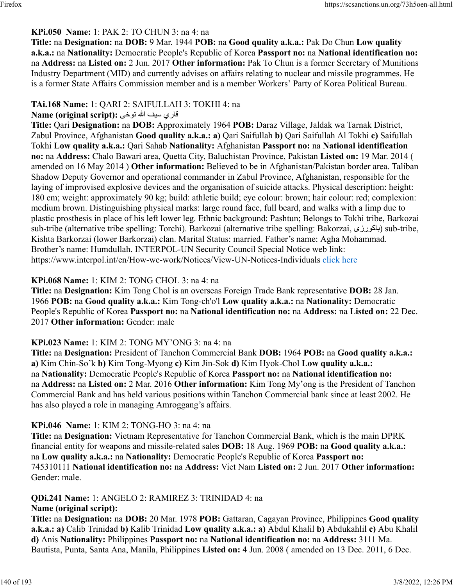#### **KPi.050 Name:** 1: PAK 2: TO CHUN 3: na 4: na

**Title:** na **Designation:** na **DOB:** 9 Mar. 1944 **POB:** na **Good quality a.k.a.:** Pak Do Chun **Low quality a.k.a.:** na **Nationality:** Democratic People's Republic of Korea **Passport no:** na **National identification no:** na **Address:** na **Listed on:** 2 Jun. 2017 **Other information:** Pak To Chun is a former Secretary of Munitions Industry Department (MID) and currently advises on affairs relating to nuclear and missile programmes. He is a former State Affairs Commission member and is a member Workers' Party of Korea Political Bureau.

# **TAi.168 Name:** 1: QARI 2: SAIFULLAH 3: TOKHI 4: na

# قاري سيف الله توخي :(Name (original script

**Title:** Qari **Designation:** na **DOB:** Approximately 1964 **POB:** Daraz Village, Jaldak wa Tarnak District, Zabul Province, Afghanistan **Good quality a.k.a.: a)** Qari Saifullah **b)** Qari Saifullah Al Tokhi **c)** Saifullah Tokhi **Low quality a.k.a.:** Qari Sahab **Nationality:** Afghanistan **Passport no:** na **National identification no:** na **Address:** Chalo Bawari area, Quetta City, Baluchistan Province, Pakistan **Listed on:** 19 Mar. 2014 ( amended on 16 May 2014 ) **Other information:** Believed to be in Afghanistan/Pakistan border area. Taliban Shadow Deputy Governor and operational commander in Zabul Province, Afghanistan, responsible for the laying of improvised explosive devices and the organisation of suicide attacks. Physical description: height: 180 cm; weight: approximately 90 kg; build: athletic build; eye colour: brown; hair colour: red; complexion: medium brown. Distinguishing physical marks: large round face, full beard, and walks with a limp due to plastic prosthesis in place of his left lower leg. Ethnic background: Pashtun; Belongs to Tokhi tribe, Barkozai sub-tribe (alternative tribe spelling: Torchi). Barkozai (alternative tribe spelling: Bakorzai, باكورزى) sub-tribe, Kishta Barkorzai (lower Barkorzai) clan. Marital Status: married. Father's name: Agha Mohammad. Brother's name: Humdullah. INTERPOL-UN Security Council Special Notice web link: https://www.interpol.int/en/How-we-work/Notices/View-UN-Notices-Individuals [click here](https://www.interpol.int/en/How-we-work/Notices/View-UN-Notices-Individuals)

# **KPi.068 Name:** 1: KIM 2: TONG CHOL 3: na 4: na

**Title:** na **Designation:** Kim Tong Chol is an overseas Foreign Trade Bank representative **DOB:** 28 Jan. 1966 **POB:** na **Good quality a.k.a.:** Kim Tong-ch'o'l **Low quality a.k.a.:** na **Nationality:** Democratic People's Republic of Korea **Passport no:** na **National identification no:** na **Address:** na **Listed on:** 22 Dec. 2017 **Other information:** Gender: male

# **KPi.023 Name:** 1: KIM 2: TONG MY'ONG 3: na 4: na

**Title:** na **Designation:** President of Tanchon Commercial Bank **DOB:** 1964 **POB:** na **Good quality a.k.a.: a)** Kim Chin-So'k **b)** Kim Tong-Myong **c)** Kim Jin-Sok **d)** Kim Hyok-Chol **Low quality a.k.a.:** na **Nationality:** Democratic People's Republic of Korea **Passport no:** na **National identification no:** na **Address:** na **Listed on:** 2 Mar. 2016 **Other information:** Kim Tong My'ong is the President of Tanchon Commercial Bank and has held various positions within Tanchon Commercial bank since at least 2002. He has also played a role in managing Amroggang's affairs.

# **KPi.046 Name:** 1: KIM 2: TONG-HO 3: na 4: na

**Title:** na **Designation:** Vietnam Representative for Tanchon Commercial Bank, which is the main DPRK financial entity for weapons and missile-related sales **DOB:** 18 Aug. 1969 **POB:** na **Good quality a.k.a.:** na **Low quality a.k.a.:** na **Nationality:** Democratic People's Republic of Korea **Passport no:** 745310111 **National identification no:** na **Address:** Viet Nam **Listed on:** 2 Jun. 2017 **Other information:** Gender: male.

# **QDi.241 Name:** 1: ANGELO 2: RAMIREZ 3: TRINIDAD 4: na

# **Name (original script):**

**Title:** na **Designation:** na **DOB:** 20 Mar. 1978 **POB:** Gattaran, Cagayan Province, Philippines **Good quality a.k.a.: a)** Calib Trinidad **b)** Kalib Trinidad **Low quality a.k.a.: a)** Abdul Khalil **b)** Abdukahlil **c)** Abu Khalil **d)** Anis **Nationality:** Philippines **Passport no:** na **National identification no:** na **Address:** 3111 Ma. Bautista, Punta, Santa Ana, Manila, Philippines **Listed on:** 4 Jun. 2008 ( amended on 13 Dec. 2011, 6 Dec.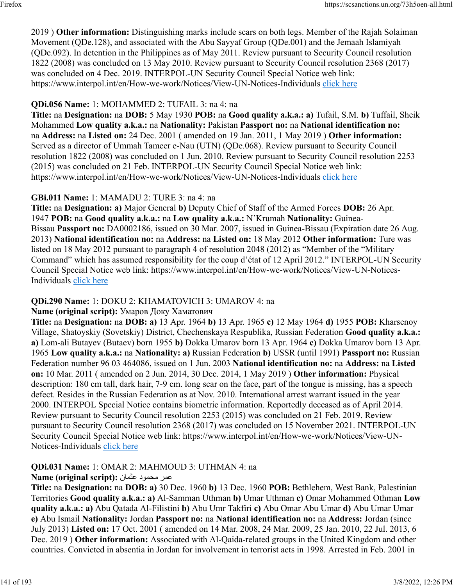2019 ) **Other information:** Distinguishing marks include scars on both legs. Member of the Rajah Solaiman Movement (QDe.128), and associated with the Abu Sayyaf Group (QDe.001) and the Jemaah Islamiyah (QDe.092). In detention in the Philippines as of May 2011. Review pursuant to Security Council resolution 1822 (2008) was concluded on 13 May 2010. Review pursuant to Security Council resolution 2368 (2017) was concluded on 4 Dec. 2019. INTERPOL-UN Security Council Special Notice web link: https://www.interpol.int/en/How-we-work/Notices/View-UN-Notices-Individuals [click here](https://www.interpol.int/en/How-we-work/Notices/View-UN-Notices-Individuals)

### **QDi.056 Name:** 1: MOHAMMED 2: TUFAIL 3: na 4: na

**Title:** na **Designation:** na **DOB:** 5 May 1930 **POB:** na **Good quality a.k.a.: a)** Tufail, S.M. **b)** Tuffail, Sheik Mohammed **Low quality a.k.a.:** na **Nationality:** Pakistan **Passport no:** na **National identification no:** na **Address:** na **Listed on:** 24 Dec. 2001 ( amended on 19 Jan. 2011, 1 May 2019 ) **Other information:** Served as a director of Ummah Tameer e-Nau (UTN) (QDe.068). Review pursuant to Security Council resolution 1822 (2008) was concluded on 1 Jun. 2010. Review pursuant to Security Council resolution 2253 (2015) was concluded on 21 Feb. INTERPOL-UN Security Council Special Notice web link: https://www.interpol.int/en/How-we-work/Notices/View-UN-Notices-Individuals [click here](https://www.interpol.int/en/How-we-work/Notices/View-UN-Notices-Individuals)

#### **GBi.011 Name:** 1: MAMADU 2: TURE 3: na 4: na

**Title:** na **Designation: a)** Major General **b)** Deputy Chief of Staff of the Armed Forces **DOB:** 26 Apr. 1947 **POB:** na **Good quality a.k.a.:** na **Low quality a.k.a.:** N'Krumah **Nationality:** Guinea-Bissau **Passport no:** DA0002186, issued on 30 Mar. 2007, issued in Guinea-Bissau (Expiration date 26 Aug. 2013) **National identification no:** na **Address:** na **Listed on:** 18 May 2012 **Other information:** Ture was listed on 18 May 2012 pursuant to paragraph 4 of resolution 2048 (2012) as "Member of the "Military Command" which has assumed responsibility for the coup d'état of 12 April 2012." INTERPOL-UN Security Council Special Notice web link: https://www.interpol.int/en/How-we-work/Notices/View-UN-NoticesIndividuals [click here](https://www.interpol.int/en/How-we-work/Notices/View-UN-Notices-Individuals)

#### **QDi.290 Name:** 1: DOKU 2: KHAMATOVICH 3: UMAROV 4: na

#### **Name (original script):** Умаров Доку Хаматович

**Title:** na **Designation:** na **DOB: a)** 13 Apr. 1964 **b)** 13 Apr. 1965 **c)** 12 May 1964 **d)** 1955 **POB:** Kharsenoy Village, Shatoyskiy (Sovetskiy) District, Chechenskaya Respublika, Russian Federation **Good quality a.k.a.: a)** Lom-ali Butayev (Butaev) born 1955 **b)** Dokka Umarov born 13 Apr. 1964 **c)** Dokka Umarov born 13 Apr. 1965 **Low quality a.k.a.:** na **Nationality: a)** Russian Federation **b)** USSR (until 1991) **Passport no:** Russian Federation number 96 03 464086, issued on 1 Jun. 2003 **National identification no:** na **Address:** na **Listed on:** 10 Mar. 2011 ( amended on 2 Jun. 2014, 30 Dec. 2014, 1 May 2019 ) **Other information:** Physical description: 180 cm tall, dark hair, 7-9 cm. long scar on the face, part of the tongue is missing, has a speech defect. Resides in the Russian Federation as at Nov. 2010. International arrest warrant issued in the year 2000. INTERPOL Special Notice contains biometric information. Reportedly deceased as of April 2014. Review pursuant to Security Council resolution 2253 (2015) was concluded on 21 Feb. 2019. Review pursuant to Security Council resolution 2368 (2017) was concluded on 15 November 2021. INTERPOL-UN Security Council Special Notice web link: https://www.interpol.int/en/How-we-work/Notices/View-UNNotices-Individuals [click here](https://www.interpol.int/en/How-we-work/Notices/View-UN-Notices-Individuals)

# **QDi.031 Name:** 1: OMAR 2: MAHMOUD 3: UTHMAN 4: na

#### رمع دومحم نامثع **:(script original (Name**

**Title:** na **Designation:** na **DOB: a)** 30 Dec. 1960 **b)** 13 Dec. 1960 **POB:** Bethlehem, West Bank, Palestinian Territories **Good quality a.k.a.: a)** Al-Samman Uthman **b)** Umar Uthman **c)** Omar Mohammed Othman **Low quality a.k.a.: a)** Abu Qatada Al-Filistini **b)** Abu Umr Takfiri **c)** Abu Omar Abu Umar **d)** Abu Umar Umar **e)** Abu Ismail **Nationality:** Jordan **Passport no:** na **National identification no:** na **Address:** Jordan (since July 2013) **Listed on:** 17 Oct. 2001 ( amended on 14 Mar. 2008, 24 Mar. 2009, 25 Jan. 2010, 22 Jul. 2013, 6 Dec. 2019 ) **Other information:** Associated with Al-Qaida-related groups in the United Kingdom and other countries. Convicted in absentia in Jordan for involvement in terrorist acts in 1998. Arrested in Feb. 2001 in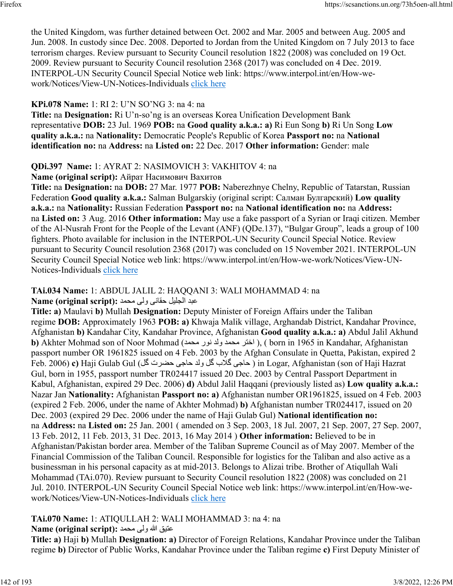the United Kingdom, was further detained between Oct. 2002 and Mar. 2005 and between Aug. 2005 and Jun. 2008. In custody since Dec. 2008. Deported to Jordan from the United Kingdom on 7 July 2013 to face terrorism charges. Review pursuant to Security Council resolution 1822 (2008) was concluded on 19 Oct. 2009. Review pursuant to Security Council resolution 2368 (2017) was concluded on 4 Dec. 2019. INTERPOL-UN Security Council Special Notice web link: https://www.interpol.int/en/How-wework/Notices/View-UN-Notices-Individuals [click here](https://www.interpol.int/en/How-we-work/Notices/View-UN-Notices-Individuals)

# **KPi.078 Name:** 1: RI 2: U'N SO'NG 3: na 4: na

**Title:** na **Designation:** Ri U'n-so'ng is an overseas Korea Unification Development Bank representative **DOB:** 23 Jul. 1969 **POB:** na **Good quality a.k.a.: a)** Ri Eun Song **b)** Ri Un Song **Low quality a.k.a.:** na **Nationality:** Democratic People's Republic of Korea **Passport no:** na **National identification no:** na **Address:** na **Listed on:** 22 Dec. 2017 **Other information:** Gender: male

# **QDi.397 Name:** 1: AYRAT 2: NASIMOVICH 3: VAKHITOV 4: na

**Name (original script):** Айрат Насимович Вахитов

**Title:** na **Designation:** na **DOB:** 27 Mar. 1977 **POB:** Naberezhnye Chelny, Republic of Tatarstan, Russian Federation **Good quality a.k.a.:** Salman Bulgarskiy (original script: Салман Булгарский) **Low quality a.k.a.:** na **Nationality:** Russian Federation **Passport no:** na **National identification no:** na **Address:** na **Listed on:** 3 Aug. 2016 **Other information:** May use a fake passport of a Syrian or Iraqi citizen. Member of the Al-Nusrah Front for the People of the Levant (ANF) (QDe.137), "Bulgar Group", leads a group of 100 fighters. Photo available for inclusion in the INTERPOL-UN Security Council Special Notice. Review pursuant to Security Council resolution 2368 (2017) was concluded on 15 November 2021. INTERPOL-UN Security Council Special Notice web link: https://www.interpol.int/en/How-we-work/Notices/View-UN-Notices-Individuals [click here](https://www.interpol.int/en/How-we-work/Notices/View-UN-Notices-Individuals)

#### **TAi.034 Name:** 1: ABDUL JALIL 2: HAQQANI 3: WALI MOHAMMAD 4: na دبع ليلجلا یناقح یلو دمحم **:(script original (Name**

**Title: a)** Maulavi **b)** Mullah **Designation:** Deputy Minister of Foreign Affairs under the Taliban regime **DOB:** Approximately 1963 **POB: a)** Khwaja Malik village, Arghandab District, Kandahar Province, Afghanistan **b)** Kandahar City, Kandahar Province, Afghanistan **Good quality a.k.a.: a)** Abdul Jalil Akhund **b)** Akhter Mohmad son of Noor Mohmad (محمد ولد نور محمد رفد نور محمد ولد 6 khter Mohmad son of Noor Mohmad (اختر passport number OR 1961825 issued on 4 Feb. 2003 by the Afghan Consulate in Quetta, Pakistan, expired 2 Feb. 2006) **c)** Haji Gulab Gul ( لگ ترضح یجاح دلو لگ بلاگ یجاح ( in Logar, Afghanistan (son of Haji Hazrat Gul, born in 1955, passport number TR024417 issued 20 Dec. 2003 by Central Passport Department in Kabul, Afghanistan, expired 29 Dec. 2006) **d)** Abdul Jalil Haqqani (previously listed as) **Low quality a.k.a.:** Nazar Jan **Nationality:** Afghanistan **Passport no: a)** Afghanistan number OR1961825, issued on 4 Feb. 2003 (expired 2 Feb. 2006, under the name of Akhter Mohmad) **b)** Afghanistan number TR024417, issued on 20 Dec. 2003 (expired 29 Dec. 2006 under the name of Haji Gulab Gul) **National identification no:** na **Address:** na **Listed on:** 25 Jan. 2001 ( amended on 3 Sep. 2003, 18 Jul. 2007, 21 Sep. 2007, 27 Sep. 2007, 13 Feb. 2012, 11 Feb. 2013, 31 Dec. 2013, 16 May 2014 ) **Other information:** Believed to be in Afghanistan/Pakistan border area. Member of the Taliban Supreme Council as of May 2007. Member of the Financial Commission of the Taliban Council. Responsible for logistics for the Taliban and also active as a businessman in his personal capacity as at mid-2013. Belongs to Alizai tribe. Brother of Atiqullah Wali Mohammad (TAi.070). Review pursuant to Security Council resolution 1822 (2008) was concluded on 21 Jul. 2010. INTERPOL-UN Security Council Special Notice web link: https://www.interpol.int/en/How-wework/Notices/View-UN-Notices-Individuals [click here](https://www.interpol.int/en/How-we-work/Notices/View-UN-Notices-Individuals)

# **TAi.070 Name:** 1: ATIQULLAH 2: WALI MOHAMMAD 3: na 4: na

# قيتع الله یلو دمحم **:(script original (Name**

**Title: a)** Haji **b)** Mullah **Designation: a)** Director of Foreign Relations, Kandahar Province under the Taliban regime **b)** Director of Public Works, Kandahar Province under the Taliban regime **c)** First Deputy Minister of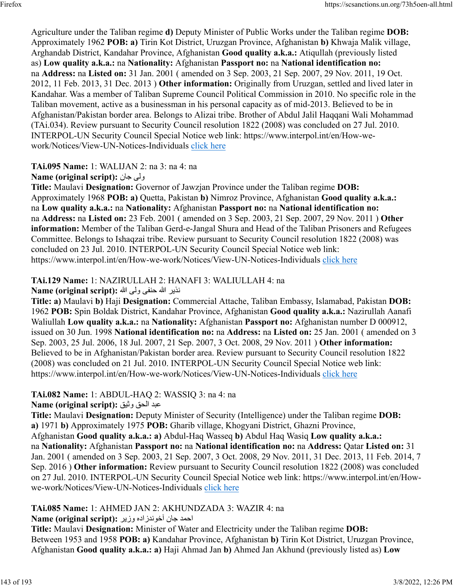Agriculture under the Taliban regime **d)** Deputy Minister of Public Works under the Taliban regime **DOB:** Approximately 1962 **POB: a)** Tirin Kot District, Uruzgan Province, Afghanistan **b)** Khwaja Malik village, Arghandab District, Kandahar Province, Afghanistan **Good quality a.k.a.:** Atiqullah (previously listed as) **Low quality a.k.a.:** na **Nationality:** Afghanistan **Passport no:** na **National identification no:** na **Address:** na **Listed on:** 31 Jan. 2001 ( amended on 3 Sep. 2003, 21 Sep. 2007, 29 Nov. 2011, 19 Oct. 2012, 11 Feb. 2013, 31 Dec. 2013 ) **Other information:** Originally from Uruzgan, settled and lived later in Kandahar. Was a member of Taliban Supreme Council Political Commission in 2010. No specific role in the Taliban movement, active as a businessman in his personal capacity as of mid-2013. Believed to be in Afghanistan/Pakistan border area. Belongs to Alizai tribe. Brother of Abdul Jalil Haqqani Wali Mohammad (TAi.034). Review pursuant to Security Council resolution 1822 (2008) was concluded on 27 Jul. 2010. INTERPOL-UN Security Council Special Notice web link: https://www.interpol.int/en/How-wework/Notices/View-UN-Notices-Individuals [click here](https://www.interpol.int/en/How-we-work/Notices/View-UN-Notices-Individuals)

**TAi.095 Name:** 1: WALIJAN 2: na 3: na 4: na

**Name (original script):** ناج یلو

**Title:** Maulavi **Designation:** Governor of Jawzjan Province under the Taliban regime **DOB:** Approximately 1968 **POB: a)** Quetta, Pakistan **b)** Nimroz Province, Afghanistan **Good quality a.k.a.:** na **Low quality a.k.a.:** na **Nationality:** Afghanistan **Passport no:** na **National identification no:** na **Address:** na **Listed on:** 23 Feb. 2001 ( amended on 3 Sep. 2003, 21 Sep. 2007, 29 Nov. 2011 ) **Other information:** Member of the Taliban Gerd-e-Jangal Shura and Head of the Taliban Prisoners and Refugees Committee. Belongs to Ishaqzai tribe. Review pursuant to Security Council resolution 1822 (2008) was concluded on 23 Jul. 2010. INTERPOL-UN Security Council Special Notice web link: https://www.interpol.int/en/How-we-work/Notices/View-UN-Notices-Individuals [click here](https://www.interpol.int/en/How-we-work/Notices/View-UN-Notices-Individuals)

### **TAi.129 Name:** 1: NAZIRULLAH 2: HANAFI 3: WALIULLAH 4: na

ريذن الله ىفنح ىلو الله **:(script original (Name**

**Title: a)** Maulavi **b)** Haji **Designation:** Commercial Attache, Taliban Embassy, Islamabad, Pakistan **DOB:** 1962 **POB:** Spin Boldak District, Kandahar Province, Afghanistan **Good quality a.k.a.:** Nazirullah Aanafi Waliullah **Low quality a.k.a.:** na **Nationality:** Afghanistan **Passport no:** Afghanistan number D 000912, issued on 30 Jun. 1998 **National identification no:** na **Address:** na **Listed on:** 25 Jan. 2001 ( amended on 3 Sep. 2003, 25 Jul. 2006, 18 Jul. 2007, 21 Sep. 2007, 3 Oct. 2008, 29 Nov. 2011 ) **Other information:** Believed to be in Afghanistan/Pakistan border area. Review pursuant to Security Council resolution 1822 (2008) was concluded on 21 Jul. 2010. INTERPOL-UN Security Council Special Notice web link: https://www.interpol.int/en/How-we-work/Notices/View-UN-Notices-Individuals [click here](https://www.interpol.int/en/How-we-work/Notices/View-UN-Notices-Individuals)

# **TAi.082 Name:** 1: ABDUL-HAQ 2: WASSIQ 3: na 4: na

دبع قحلا قيثو **:(script original (Name**

**Title:** Maulavi **Designation:** Deputy Minister of Security (Intelligence) under the Taliban regime **DOB: a)** 1971 **b)** Approximately 1975 **POB:** Gharib village, Khogyani District, Ghazni Province, Afghanistan **Good quality a.k.a.: a)** Abdul-Haq Wasseq **b)** Abdul Haq Wasiq **Low quality a.k.a.:** na **Nationality:** Afghanistan **Passport no:** na **National identification no:** na **Address:** Qatar **Listed on:** 31 Jan. 2001 ( amended on 3 Sep. 2003, 21 Sep. 2007, 3 Oct. 2008, 29 Nov. 2011, 31 Dec. 2013, 11 Feb. 2014, 7

Sep. 2016 ) **Other information:** Review pursuant to Security Council resolution 1822 (2008) was concluded on 27 Jul. 2010. INTERPOL-UN Security Council Special Notice web link: https://www.interpol.int/en/Howwe-work/Notices/View-UN-Notices-Individuals [click here](https://www.interpol.int/en/How-we-work/Notices/View-UN-Notices-Individuals)

# **TAi.085 Name:** 1: AHMED JAN 2: AKHUNDZADA 3: WAZIR 4: na

احمد جان آخوندزاده وزير :Name (original script)

**Title:** Maulavi **Designation:** Minister of Water and Electricity under the Taliban regime **DOB:** Between 1953 and 1958 **POB: a)** Kandahar Province, Afghanistan **b)** Tirin Kot District, Uruzgan Province, Afghanistan **Good quality a.k.a.: a)** Haji Ahmad Jan **b)** Ahmed Jan Akhund (previously listed as) **Low**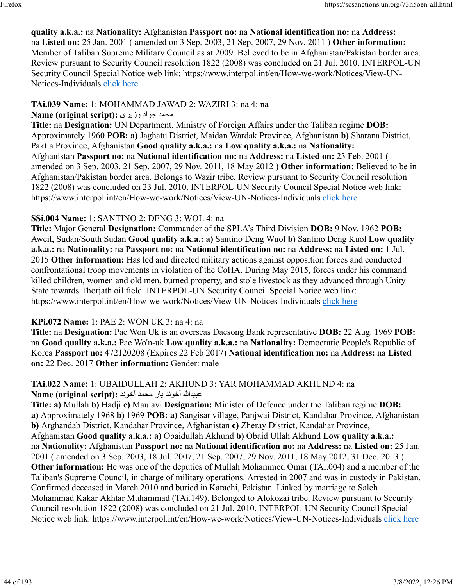### **quality a.k.a.:** na **Nationality:** Afghanistan **Passport no:** na **National identification no:** na **Address:** na **Listed on:** 25 Jan. 2001 ( amended on 3 Sep. 2003, 21 Sep. 2007, 29 Nov. 2011 ) **Other information:** Member of Taliban Supreme Military Council as at 2009. Believed to be in Afghanistan/Pakistan border area. Review pursuant to Security Council resolution 1822 (2008) was concluded on 21 Jul. 2010. INTERPOL-UN Security Council Special Notice web link: https://www.interpol.int/en/How-we-work/Notices/View-UN-Notices-Individuals [click here](https://www.interpol.int/en/How-we-work/Notices/View-UN-Notices-Individuals)

# **TAi.039 Name:** 1: MOHAMMAD JAWAD 2: WAZIRI 3: na 4: na

# محمد جواد وزیری :(Name (original script

**Title:** na **Designation:** UN Department, Ministry of Foreign Affairs under the Taliban regime **DOB:** Approximately 1960 **POB: a)** Jaghatu District, Maidan Wardak Province, Afghanistan **b)** Sharana District, Paktia Province, Afghanistan **Good quality a.k.a.:** na **Low quality a.k.a.:** na **Nationality:** Afghanistan **Passport no:** na **National identification no:** na **Address:** na **Listed on:** 23 Feb. 2001 ( amended on 3 Sep. 2003, 21 Sep. 2007, 29 Nov. 2011, 18 May 2012 ) **Other information:** Believed to be in Afghanistan/Pakistan border area. Belongs to Wazir tribe. Review pursuant to Security Council resolution 1822 (2008) was concluded on 23 Jul. 2010. INTERPOL-UN Security Council Special Notice web link: https://www.interpol.int/en/How-we-work/Notices/View-UN-Notices-Individuals [click here](https://www.interpol.int/en/How-we-work/Notices/View-UN-Notices-Individuals)

# **SSi.004 Name:** 1: SANTINO 2: DENG 3: WOL 4: na

**Title:** Major General **Designation:** Commander of the SPLA's Third Division **DOB:** 9 Nov. 1962 **POB:** Aweil, Sudan/South Sudan **Good quality a.k.a.: a)** Santino Deng Wuol **b)** Santino Deng Kuol **Low quality a.k.a.:** na **Nationality:** na **Passport no:** na **National identification no:** na **Address:** na **Listed on:** 1 Jul. 2015 **Other information:** Has led and directed military actions against opposition forces and conducted confrontational troop movements in violation of the CoHA. During May 2015, forces under his command killed children, women and old men, burned property, and stole livestock as they advanced through Unity State towards Thorjath oil field. INTERPOL-UN Security Council Special Notice web link: https://www.interpol.int/en/How-we-work/Notices/View-UN-Notices-Individuals [click here](https://www.interpol.int/en/How-we-work/Notices/View-UN-Notices-Individuals)

# **KPi.072 Name:** 1: PAE 2: WON UK 3: na 4: na

**Title:** na **Designation:** Pae Won Uk is an overseas Daesong Bank representative **DOB:** 22 Aug. 1969 **POB:** na **Good quality a.k.a.:** Pae Wo'n-uk **Low quality a.k.a.:** na **Nationality:** Democratic People's Republic of Korea **Passport no:** 472120208 (Expires 22 Feb 2017) **National identification no:** na **Address:** na **Listed on:** 22 Dec. 2017 **Other information:** Gender: male

### **TAi.022 Name:** 1: UBAIDULLAH 2: AKHUND 3: YAR MOHAMMAD AKHUND 4: na اللهديبع دنوخآ راي دمحم دنوخآ **:(script original (Name**

**Title: a)** Mullah **b)** Hadji **c)** Maulavi **Designation:** Minister of Defence under the Taliban regime **DOB: a)** Approximately 1968 **b)** 1969 **POB: a)** Sangisar village, Panjwai District, Kandahar Province, Afghanistan **b)** Arghandab District, Kandahar Province, Afghanistan **c)** Zheray District, Kandahar Province, Afghanistan **Good quality a.k.a.: a)** Obaidullah Akhund **b)** Obaid Ullah Akhund **Low quality a.k.a.:** na **Nationality:** Afghanistan **Passport no:** na **National identification no:** na **Address:** na **Listed on:** 25 Jan. 2001 ( amended on 3 Sep. 2003, 18 Jul. 2007, 21 Sep. 2007, 29 Nov. 2011, 18 May 2012, 31 Dec. 2013 ) **Other information:** He was one of the deputies of Mullah Mohammed Omar (TAi.004) and a member of the Taliban's Supreme Council, in charge of military operations. Arrested in 2007 and was in custody in Pakistan. Confirmed deceased in March 2010 and buried in Karachi, Pakistan. Linked by marriage to Saleh Mohammad Kakar Akhtar Muhammad (TAi.149). Belonged to Alokozai tribe. Review pursuant to Security Council resolution 1822 (2008) was concluded on 21 Jul. 2010. INTERPOL-UN Security Council Special Notice web link: https://www.interpol.int/en/How-we-work/Notices/View-UN-Notices-Individuals [click here](https://www.interpol.int/en/How-we-work/Notices/View-UN-Notices-Individuals)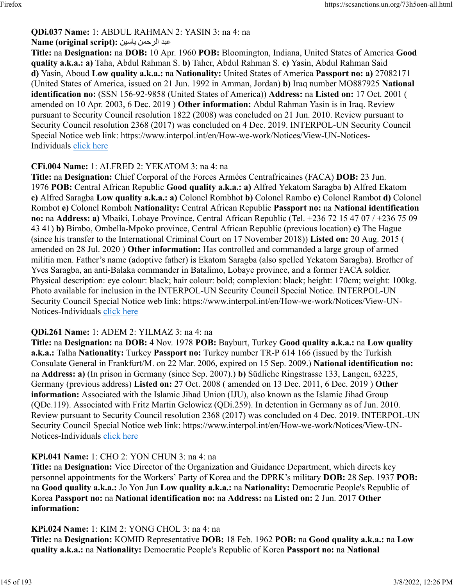# **QDi.037 Name:** 1: ABDUL RAHMAN 2: YASIN 3: na 4: na

### دبع نمحرلا نيساي **:(script original (Name**

**Title:** na **Designation:** na **DOB:** 10 Apr. 1960 **POB:** Bloomington, Indiana, United States of America **Good quality a.k.a.: a)** Taha, Abdul Rahman S. **b)** Taher, Abdul Rahman S. **c)** Yasin, Abdul Rahman Said **d)** Yasin, Aboud **Low quality a.k.a.:** na **Nationality:** United States of America **Passport no: a)** 27082171 (United States of America, issued on 21 Jun. 1992 in Amman, Jordan) **b)** Iraq number MO887925 **National identification no:** (SSN 156-92-9858 (United States of America)) **Address:** na **Listed on:** 17 Oct. 2001 ( amended on 10 Apr. 2003, 6 Dec. 2019 ) **Other information:** Abdul Rahman Yasin is in Iraq. Review pursuant to Security Council resolution 1822 (2008) was concluded on 21 Jun. 2010. Review pursuant to Security Council resolution 2368 (2017) was concluded on 4 Dec. 2019. INTERPOL-UN Security Council Special Notice web link: https://www.interpol.int/en/How-we-work/Notices/View-UN-Notices-Individuals [click here](https://www.interpol.int/en/How-we-work/Notices/View-UN-Notices-Individuals)

#### **CFi.004 Name:** 1: ALFRED 2: YEKATOM 3: na 4: na

**Title:** na **Designation:** Chief Corporal of the Forces Armées Centrafricaines (FACA) **DOB:** 23 Jun. 1976 **POB:** Central African Republic **Good quality a.k.a.: a)** Alfred Yekatom Saragba **b)** Alfred Ekatom **c)** Alfred Saragba **Low quality a.k.a.: a)** Colonel Rombhot **b)** Colonel Rambo **c)** Colonel Rambot **d)** Colonel Rombot **e)** Colonel Romboh **Nationality:** Central African Republic **Passport no:** na **National identification no:** na **Address: a)** Mbaiki, Lobaye Province, Central African Republic (Tel. +236 72 15 47 07 / +236 75 09 43 41) **b)** Bimbo, Ombella-Mpoko province, Central African Republic (previous location) **c)** The Hague (since his transfer to the International Criminal Court on 17 November 2018)) **Listed on:** 20 Aug. 2015 ( amended on 28 Jul. 2020 ) **Other information:** Has controlled and commanded a large group of armed militia men. Father's name (adoptive father) is Ekatom Saragba (also spelled Yekatom Saragba). Brother of Yves Saragba, an anti-Balaka commander in Batalimo, Lobaye province, and a former FACA soldier. Physical description: eye colour: black; hair colour: bold; complexion: black; height: 170cm; weight: 100kg. Photo available for inclusion in the INTERPOL-UN Security Council Special Notice. INTERPOL-UN Security Council Special Notice web link: https://www.interpol.int/en/How-we-work/Notices/View-UN-Notices-Individuals [click here](https://www.interpol.int/en/How-we-work/Notices/View-UN-Notices-Individuals)

#### **QDi.261 Name:** 1: ADEM 2: YILMAZ 3: na 4: na

**Title:** na **Designation:** na **DOB:** 4 Nov. 1978 **POB:** Bayburt, Turkey **Good quality a.k.a.:** na **Low quality a.k.a.:** Talha **Nationality:** Turkey **Passport no:** Turkey number TR-P 614 166 (issued by the Turkish Consulate General in Frankfurt/M. on 22 Mar. 2006, expired on 15 Sep. 2009.) **National identification no:** na **Address: a)** (In prison in Germany (since Sep. 2007).) **b)** Südliche Ringstrasse 133, Langen, 63225, Germany (previous address) **Listed on:** 27 Oct. 2008 ( amended on 13 Dec. 2011, 6 Dec. 2019 ) **Other information:** Associated with the Islamic Jihad Union (IJU), also known as the Islamic Jihad Group (QDe.119). Associated with Fritz Martin Gelowicz (QDi.259). In detention in Germany as of Jun. 2010. Review pursuant to Security Council resolution 2368 (2017) was concluded on 4 Dec. 2019. INTERPOL-UN Security Council Special Notice web link: https://www.interpol.int/en/How-we-work/Notices/View-UN-Notices-Individuals [click here](https://www.interpol.int/en/How-we-work/Notices/View-UN-Notices-Individuals)

#### **KPi.041 Name:** 1: CHO 2: YON CHUN 3: na 4: na

**Title:** na **Designation:** Vice Director of the Organization and Guidance Department, which directs key personnel appointments for the Workers' Party of Korea and the DPRK's military **DOB:** 28 Sep. 1937 **POB:** na **Good quality a.k.a.:** Jo Yon Jun **Low quality a.k.a.:** na **Nationality:** Democratic People's Republic of Korea **Passport no:** na **National identification no:** na **Address:** na **Listed on:** 2 Jun. 2017 **Other information:** 

#### **KPi.024 Name:** 1: KIM 2: YONG CHOL 3: na 4: na

**Title:** na **Designation:** KOMID Representative **DOB:** 18 Feb. 1962 **POB:** na **Good quality a.k.a.:** na **Low quality a.k.a.:** na **Nationality:** Democratic People's Republic of Korea **Passport no:** na **National**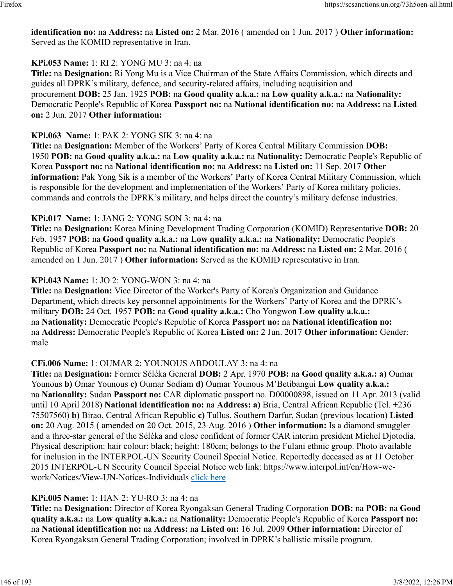**identification no:** na **Address:** na **Listed on:** 2 Mar. 2016 ( amended on 1 Jun. 2017 ) **Other information:** Served as the KOMID representative in Iran.

#### **KPi.053 Name:** 1: RI 2: YONG MU 3: na 4: na

**Title:** na **Designation:** Ri Yong Mu is a Vice Chairman of the State Affairs Commission, which directs and guides all DPRK's military, defence, and security-related affairs, including acquisition and procurement **DOB:** 25 Jan. 1925 **POB:** na **Good quality a.k.a.:** na **Low quality a.k.a.:** na **Nationality:** Democratic People's Republic of Korea **Passport no:** na **National identification no:** na **Address:** na **Listed on:** 2 Jun. 2017 **Other information:** 

#### **KPi.063 Name:** 1: PAK 2: YONG SIK 3: na 4: na

**Title:** na **Designation:** Member of the Workers' Party of Korea Central Military Commission **DOB:** 1950 **POB:** na **Good quality a.k.a.:** na **Low quality a.k.a.:** na **Nationality:** Democratic People's Republic of Korea **Passport no:** na **National identification no:** na **Address:** na **Listed on:** 11 Sep. 2017 **Other information:** Pak Yong Sik is a member of the Workers' Party of Korea Central Military Commission, which is responsible for the development and implementation of the Workers' Party of Korea military policies, commands and controls the DPRK's military, and helps direct the country's military defense industries.

#### **KPi.017 Name:** 1: JANG 2: YONG SON 3: na 4: na

**Title:** na **Designation:** Korea Mining Development Trading Corporation (KOMID) Representative **DOB:** 20 Feb. 1957 **POB:** na **Good quality a.k.a.:** na **Low quality a.k.a.:** na **Nationality:** Democratic People's Republic of Korea **Passport no:** na **National identification no:** na **Address:** na **Listed on:** 2 Mar. 2016 ( amended on 1 Jun. 2017 ) **Other information:** Served as the KOMID representative in Iran.

#### **KPi.043 Name:** 1: JO 2: YONG-WON 3: na 4: na

**Title:** na **Designation:** Vice Director of the Worker's Party of Korea's Organization and Guidance Department, which directs key personnel appointments for the Workers' Party of Korea and the DPRK's military **DOB:** 24 Oct. 1957 **POB:** na **Good quality a.k.a.:** Cho Yongwon **Low quality a.k.a.:** na **Nationality:** Democratic People's Republic of Korea **Passport no:** na **National identification no:** na **Address:** Democratic People's Republic of Korea **Listed on:** 2 Jun. 2017 **Other information:** Gender: male

#### **CFi.006 Name:** 1: OUMAR 2: YOUNOUS ABDOULAY 3: na 4: na

**Title:** na **Designation:** Former Séléka General **DOB:** 2 Apr. 1970 **POB:** na **Good quality a.k.a.: a)** Oumar Younous **b)** Omar Younous **c)** Oumar Sodiam **d)** Oumar Younous M'Betibangui **Low quality a.k.a.:** na **Nationality:** Sudan **Passport no:** CAR diplomatic passport no. D00000898, issued on 11 Apr. 2013 (valid until 10 April 2018) **National identification no:** na **Address: a)** Bria, Central African Republic (Tel. +236 75507560) **b)** Birao, Central African Republic **c)** Tullus, Southern Darfur, Sudan (previous location) **Listed on:** 20 Aug. 2015 ( amended on 20 Oct. 2015, 23 Aug. 2016 ) **Other information:** Is a diamond smuggler and a three-star general of the Séléka and close confident of former CAR interim president Michel Djotodia. Physical description: hair colour: black; height: 180cm; belongs to the Fulani ethnic group. Photo available for inclusion in the INTERPOL-UN Security Council Special Notice. Reportedly deceased as at 11 October 2015 INTERPOL-UN Security Council Special Notice web link: https://www.interpol.int/en/How-wework/Notices/View-UN-Notices-Individuals [click here](https://www.interpol.int/en/How-we-work/Notices/View-UN-Notices-Individuals)

#### **KPi.005 Name:** 1: HAN 2: YU-RO 3: na 4: na

**Title:** na **Designation:** Director of Korea Ryongaksan General Trading Corporation **DOB:** na **POB:** na **Good quality a.k.a.:** na **Low quality a.k.a.:** na **Nationality:** Democratic People's Republic of Korea **Passport no:** na **National identification no:** na **Address:** na **Listed on:** 16 Jul. 2009 **Other information:** Director of Korea Ryongaksan General Trading Corporation; involved in DPRK's ballistic missile program.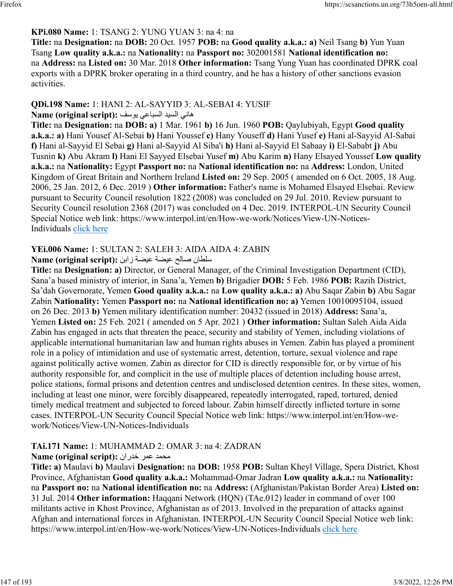#### **KPi.080 Name:** 1: TSANG 2: YUNG YUAN 3: na 4: na

**Title:** na **Designation:** na **DOB:** 20 Oct. 1957 **POB:** na **Good quality a.k.a.: a)** Neil Tsang **b)** Yun Yuan Tsang **Low quality a.k.a.:** na **Nationality:** na **Passport no:** 302001581 **National identification no:** na **Address:** na **Listed on:** 30 Mar. 2018 **Other information:** Tsang Yung Yuan has coordinated DPRK coal exports with a DPRK broker operating in a third country, and he has a history of other sanctions evasion activities.

#### **QDi.198 Name:** 1: HANI 2: AL-SAYYID 3: AL-SEBAI 4: YUSIF

#### هاني السيد السباعي يوسف :(Name (original script

**Title:** na **Designation:** na **DOB: a)** 1 Mar. 1961 **b)** 16 Jun. 1960 **POB:** Qaylubiyah, Egypt **Good quality a.k.a.: a)** Hani Yousef Al-Sebai **b)** Hani Youssef **c)** Hany Youseff **d)** Hani Yusef **e)** Hani al-Sayyid Al-Sabai **f)** Hani al-Sayyid El Sebai **g)** Hani al-Sayyid Al Siba'i **h)** Hani al-Sayyid El Sabaay **i)** El-Sababt **j)** Abu Tusnin **k)** Abu Akram **l)** Hani El Sayyed Elsebai Yusef **m)** Abu Karim **n)** Hany Elsayed Youssef **Low quality a.k.a.:** na **Nationality:** Egypt **Passport no:** na **National identification no:** na **Address:** London, United Kingdom of Great Britain and Northern Ireland **Listed on:** 29 Sep. 2005 ( amended on 6 Oct. 2005, 18 Aug. 2006, 25 Jan. 2012, 6 Dec. 2019 ) **Other information:** Father's name is Mohamed Elsayed Elsebai. Review pursuant to Security Council resolution 1822 (2008) was concluded on 29 Jul. 2010. Review pursuant to Security Council resolution 2368 (2017) was concluded on 4 Dec. 2019. INTERPOL-UN Security Council Special Notice web link: https://www.interpol.int/en/How-we-work/Notices/View-UN-Notices-Individuals [click here](https://www.interpol.int/en/How-we-work/Notices/View-UN-Notices-Individuals)

### **YEi.006 Name:** 1: SULTAN 2: SALEH 3: AIDA AIDA 4: ZABIN

#### ناطلس حلاص ةضيع ةضيع نباز **:(script original (Name**

**Title:** na **Designation: a)** Director, or General Manager, of the Criminal Investigation Department (CID), Sana'a based ministry of interior, in Sana'a, Yemen **b)** Brigadier **DOB:** 5 Feb. 1986 **POB:** Razih District, Sa'dah Governorate, Yemen **Good quality a.k.a.:** na **Low quality a.k.a.: a)** Abu Saqar Zabin **b)** Abu Sagar Zabin **Nationality:** Yemen **Passport no:** na **National identification no: a)** Yemen 10010095104, issued on 26 Dec. 2013 **b)** Yemen military identification number: 20432 (issued in 2018) **Address:** Sana'a, Yemen **Listed on:** 25 Feb. 2021 ( amended on 5 Apr. 2021 ) **Other information:** Sultan Saleh Aida Aida Zabin has engaged in acts that threaten the peace, security and stability of Yemen, including violations of applicable international humanitarian law and human rights abuses in Yemen. Zabin has played a prominent role in a policy of intimidation and use of systematic arrest, detention, torture, sexual violence and rape against politically active women. Zabin as director for CID is directly responsible for, or by virtue of his authority responsible for, and complicit in the use of multiple places of detention including house arrest, police stations, formal prisons and detention centres and undisclosed detention centres. In these sites, women, including at least one minor, were forcibly disappeared, repeatedly interrogated, raped, tortured, denied timely medical treatment and subjected to forced labour. Zabin himself directly inflicted torture in some cases. INTERPOL-UN Security Council Special Notice web link: https://www.interpol.int/en/How-wework/Notices/View-UN-Notices-Individuals

## **TAi.171 Name:** 1: MUHAMMAD 2: OMAR 3: na 4: ZADRAN

#### **Name (original script):** محمد عمر خدران

**Title: a)** Maulavi **b)** Maulavi **Designation:** na **DOB:** 1958 **POB:** Sultan Kheyl Village, Spera District, Khost Province, Afghanistan **Good quality a.k.a.:** Mohammad-Omar Jadran **Low quality a.k.a.:** na **Nationality:** na **Passport no:** na **National identification no:** na **Address:** (Afghanistan/Pakistan Border Area) **Listed on:** 31 Jul. 2014 **Other information:** Haqqani Network (HQN) (TAe.012) leader in command of over 100 militants active in Khost Province, Afghanistan as of 2013. Involved in the preparation of attacks against Afghan and international forces in Afghanistan. INTERPOL-UN Security Council Special Notice web link: https://www.interpol.int/en/How-we-work/Notices/View-UN-Notices-Individuals [click here](https://www.interpol.int/en/How-we-work/Notices/View-UN-Notices-Individuals)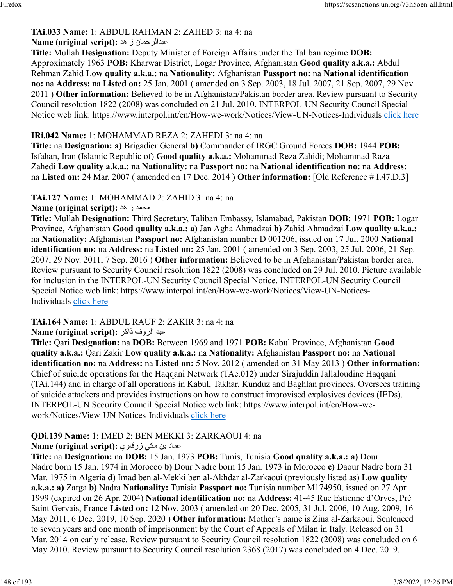#### **TAi.033 Name:** 1: ABDUL RAHMAN 2: ZAHED 3: na 4: na **Name (original script):** دهاز نامحرلادبع

**Title:** Mullah **Designation:** Deputy Minister of Foreign Affairs under the Taliban regime **DOB:** Approximately 1963 **POB:** Kharwar District, Logar Province, Afghanistan **Good quality a.k.a.:** Abdul Rehman Zahid **Low quality a.k.a.:** na **Nationality:** Afghanistan **Passport no:** na **National identification no:** na **Address:** na **Listed on:** 25 Jan. 2001 ( amended on 3 Sep. 2003, 18 Jul. 2007, 21 Sep. 2007, 29 Nov. 2011 ) **Other information:** Believed to be in Afghanistan/Pakistan border area. Review pursuant to Security Council resolution 1822 (2008) was concluded on 21 Jul. 2010. INTERPOL-UN Security Council Special Notice web link: https://www.interpol.int/en/How-we-work/Notices/View-UN-Notices-Individuals [click here](https://www.interpol.int/en/How-we-work/Notices/View-UN-Notices-Individuals)

#### **IRi.042 Name:** 1: MOHAMMAD REZA 2: ZAHEDI 3: na 4: na

**Title:** na **Designation: a)** Brigadier General **b)** Commander of IRGC Ground Forces **DOB:** 1944 **POB:** Isfahan, Iran (Islamic Republic of) **Good quality a.k.a.:** Mohammad Reza Zahidi; Mohammad Raza Zahedi **Low quality a.k.a.:** na **Nationality:** na **Passport no:** na **National identification no:** na **Address:** na **Listed on:** 24 Mar. 2007 ( amended on 17 Dec. 2014 ) **Other information:** [Old Reference # I.47.D.3]

**TAi.127 Name:** 1: MOHAMMAD 2: ZAHID 3: na 4: na

**Name (original script):** دهاز دمحم

**Title:** Mullah **Designation:** Third Secretary, Taliban Embassy, Islamabad, Pakistan **DOB:** 1971 **POB:** Logar Province, Afghanistan **Good quality a.k.a.: a)** Jan Agha Ahmadzai **b)** Zahid Ahmadzai **Low quality a.k.a.:** na **Nationality:** Afghanistan **Passport no:** Afghanistan number D 001206, issued on 17 Jul. 2000 **National identification no:** na **Address:** na **Listed on:** 25 Jan. 2001 ( amended on 3 Sep. 2003, 25 Jul. 2006, 21 Sep. 2007, 29 Nov. 2011, 7 Sep. 2016 ) **Other information:** Believed to be in Afghanistan/Pakistan border area. Review pursuant to Security Council resolution 1822 (2008) was concluded on 29 Jul. 2010. Picture available for inclusion in the INTERPOL-UN Security Council Special Notice. INTERPOL-UN Security Council Special Notice web link: https://www.interpol.int/en/How-we-work/Notices/View-UN-Notices-Individuals [click here](https://www.interpol.int/en/How-we-work/Notices/View-UN-Notices-Individuals)

**TAi.164 Name:** 1: ABDUL RAUF 2: ZAKIR 3: na 4: na

دبع فورلا رکاذ **:(script original (Name**

**Title:** Qari **Designation:** na **DOB:** Between 1969 and 1971 **POB:** Kabul Province, Afghanistan **Good quality a.k.a.:** Qari Zakir **Low quality a.k.a.:** na **Nationality:** Afghanistan **Passport no:** na **National identification no:** na **Address:** na **Listed on:** 5 Nov. 2012 ( amended on 31 May 2013 ) **Other information:** Chief of suicide operations for the Haqqani Network (TAe.012) under Sirajuddin Jallaloudine Haqqani (TAi.144) and in charge of all operations in Kabul, Takhar, Kunduz and Baghlan provinces. Oversees training of suicide attackers and provides instructions on how to construct improvised explosives devices (IEDs). INTERPOL-UN Security Council Special Notice web link: https://www.interpol.int/en/How-wework/Notices/View-UN-Notices-Individuals [click here](https://www.interpol.int/en/How-we-work/Notices/View-UN-Notices-Individuals)

# **QDi.139 Name:** 1: IMED 2: BEN MEKKI 3: ZARKAOUI 4: na

دامع نب يكم يواقرز **:(script original (Name**

**Title:** na **Designation:** na **DOB:** 15 Jan. 1973 **POB:** Tunis, Tunisia **Good quality a.k.a.: a)** Dour Nadre born 15 Jan. 1974 in Morocco **b)** Dour Nadre born 15 Jan. 1973 in Morocco **c)** Daour Nadre born 31 Mar. 1975 in Algeria **d)** Imad ben al-Mekki ben al-Akhdar al-Zarkaoui (previously listed as) **Low quality a.k.a.: a)** Zarga **b)** Nadra **Nationality:** Tunisia **Passport no:** Tunisia number M174950, issued on 27 Apr. 1999 (expired on 26 Apr. 2004) **National identification no:** na **Address:** 41-45 Rue Estienne d'Orves, Pré Saint Gervais, France **Listed on:** 12 Nov. 2003 ( amended on 20 Dec. 2005, 31 Jul. 2006, 10 Aug. 2009, 16 May 2011, 6 Dec. 2019, 10 Sep. 2020 ) **Other information:** Mother's name is Zina al-Zarkaoui. Sentenced to seven years and one month of imprisonment by the Court of Appeals of Milan in Italy. Released on 31 Mar. 2014 on early release. Review pursuant to Security Council resolution 1822 (2008) was concluded on 6 May 2010. Review pursuant to Security Council resolution 2368 (2017) was concluded on 4 Dec. 2019.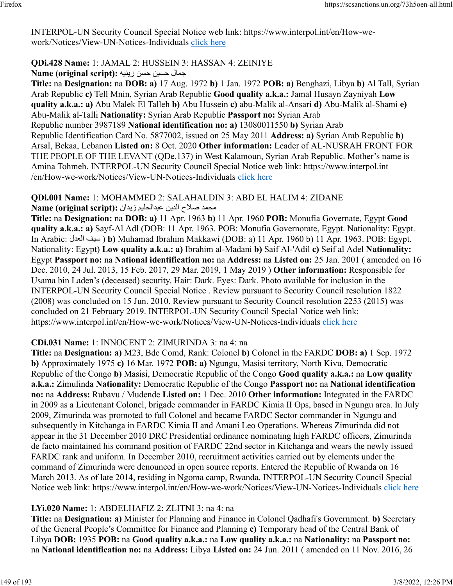INTERPOL-UN Security Council Special Notice web link: https://www.interpol.int/en/How-wework/Notices/View-UN-Notices-Individuals [click here](https://www.interpol.int/en/How-we-work/Notices/View-UN-Notices-Individuals)

### **QDi.428 Name:** 1: JAMAL 2: HUSSEIN 3: HASSAN 4: ZEINIYE

#### لامجمال حسين حسن زينيه :(Name (original script

**Title:** na **Designation:** na **DOB: a)** 17 Aug. 1972 **b)** 1 Jan. 1972 **POB: a)** Benghazi, Libya **b)** Al Tall, Syrian Arab Republic **c)** Tell Mnin, Syrian Arab Republic **Good quality a.k.a.:** Jamal Husayn Zayniyah **Low quality a.k.a.: a)** Abu Malek El Talleh **b)** Abu Hussein **c)** abu-Malik al-Ansari **d)** Abu-Malik al-Shami **e)** Abu-Malik al-Talli **Nationality:** Syrian Arab Republic **Passport no:** Syrian Arab Republic number 3987189 **National identification no: a)** 13080011550 **b)** Syrian Arab Republic Identification Card No. 5877002, issued on 25 May 2011 **Address: a)** Syrian Arab Republic **b)** Arsal, Bekaa, Lebanon **Listed on:** 8 Oct. 2020 **Other information:** Leader of AL-NUSRAH FRONT FOR THE PEOPLE OF THE LEVANT (QDe.137) in West Kalamoun, Syrian Arab Republic. Mother's name is Amina Tohmeh. INTERPOL-UN Security Council Special Notice web link: https://www.interpol.int /en/How-we-work/Notices/View-UN-Notices-Individuals [click here](https://www.interpol.int/en/How-we-work/Notices/View-UN-Notices-Individuals)

**QDi.001 Name:** 1: MOHAMMED 2: SALAHALDIN 3: ABD EL HALIM 4: ZIDANE

دمحم حلاص نيدلا ميلحلادبع ناديز **:(script original (Name**

**Title:** na **Designation:** na **DOB: a)** 11 Apr. 1963 **b)** 11 Apr. 1960 **POB:** Monufia Governate, Egypt **Good quality a.k.a.: a)** Sayf-Al Adl (DOB: 11 Apr. 1963. POB: Monufia Governorate, Egypt. Nationality: Egypt. In Arabic: لدعلا فيس( **b)** Muhamad Ibrahim Makkawi (DOB: a) 11 Apr. 1960 b) 11 Apr. 1963. POB: Egypt. Nationality: Egypt) **Low quality a.k.a.: a)** Ibrahim al-Madani **b)** Saif Al-'Adil **c)** Seif al Adel **Nationality:** Egypt **Passport no:** na **National identification no:** na **Address:** na **Listed on:** 25 Jan. 2001 ( amended on 16 Dec. 2010, 24 Jul. 2013, 15 Feb. 2017, 29 Mar. 2019, 1 May 2019 ) **Other information:** Responsible for Usama bin Laden's (deceased) security. Hair: Dark. Eyes: Dark. Photo available for inclusion in the INTERPOL-UN Security Council Special Notice . Review pursuant to Security Council resolution 1822 (2008) was concluded on 15 Jun. 2010. Review pursuant to Security Council resolution 2253 (2015) was concluded on 21 February 2019. INTERPOL-UN Security Council Special Notice web link: https://www.interpol.int/en/How-we-work/Notices/View-UN-Notices-Individuals [click here](https://www.interpol.int/en/How-we-work/Notices/View-UN-Notices-Individuals)

#### **CDi.031 Name:** 1: INNOCENT 2: ZIMURINDA 3: na 4: na

**Title:** na **Designation: a)** M23, Bde Comd, Rank: Colonel **b)** Colonel in the FARDC **DOB: a)** 1 Sep. 1972 **b)** Approximately 1975 **c)** 16 Mar. 1972 **POB: a)** Ngungu, Masisi territory, North Kivu, Democratic Republic of the Congo **b)** Masisi, Democratic Republic of the Congo **Good quality a.k.a.:** na **Low quality a.k.a.:** Zimulinda **Nationality:** Democratic Republic of the Congo **Passport no:** na **National identification no:** na **Address:** Rubavu / Mudende **Listed on:** 1 Dec. 2010 **Other information:** Integrated in the FARDC in 2009 as a Lieutenant Colonel, brigade commander in FARDC Kimia II Ops, based in Ngungu area. In July 2009, Zimurinda was promoted to full Colonel and became FARDC Sector commander in Ngungu and subsequently in Kitchanga in FARDC Kimia II and Amani Leo Operations. Whereas Zimurinda did not appear in the 31 December 2010 DRC Presidential ordinance nominating high FARDC officers, Zimurinda de facto maintained his command position of FARDC 22nd sector in Kitchanga and wears the newly issued FARDC rank and uniform. In December 2010, recruitment activities carried out by elements under the command of Zimurinda were denounced in open source reports. Entered the Republic of Rwanda on 16 March 2013. As of late 2014, residing in Ngoma camp, Rwanda. INTERPOL-UN Security Council Special Notice web link: https://www.interpol.int/en/How-we-work/Notices/View-UN-Notices-Individuals [click here](https://www.interpol.int/en/How-we-work/Notices/View-UN-Notices-Individuals)

#### **LYi.020 Name:** 1: ABDELHAFIZ 2: ZLITNI 3: na 4: na

**Title:** na **Designation: a)** Minister for Planning and Finance in Colonel Qadhafi's Government. **b)** Secretary of the General People's Committee for Finance and Planning **c)** Temporary head of the Central Bank of Libya **DOB:** 1935 **POB:** na **Good quality a.k.a.:** na **Low quality a.k.a.:** na **Nationality:** na **Passport no:** na **National identification no:** na **Address:** Libya **Listed on:** 24 Jun. 2011 ( amended on 11 Nov. 2016, 26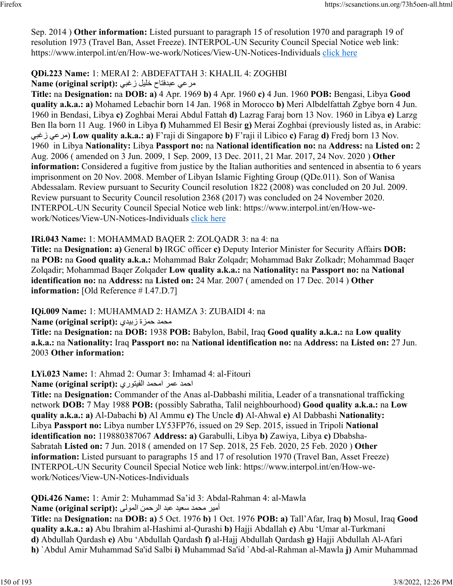Sep. 2014 ) **Other information:** Listed pursuant to paragraph 15 of resolution 1970 and paragraph 19 of resolution 1973 (Travel Ban, Asset Freeze). INTERPOL-UN Security Council Special Notice web link: https://www.interpol.int/en/How-we-work/Notices/View-UN-Notices-Individuals [click here](https://www.interpol.int/en/How-we-work/Notices/View-UN-Notices-Individuals)

## **QDi.223 Name:** 1: MERAI 2: ABDEFATTAH 3: KHALIL 4: ZOGHBI

مر عي عبدفتاح خليل زغبي :Name (original script)

**Title:** na **Designation:** na **DOB: a)** 4 Apr. 1969 **b)** 4 Apr. 1960 **c)** 4 Jun. 1960 **POB:** Bengasi, Libya **Good quality a.k.a.: a)** Mohamed Lebachir born 14 Jan. 1968 in Morocco **b)** Meri Albdelfattah Zgbye born 4 Jun. 1960 in Bendasi, Libya **c)** Zoghbai Merai Abdul Fattah **d)** Lazrag Faraj born 13 Nov. 1960 in Libya **e)** Larzg Ben Ila born 11 Aug. 1960 in Libya **f)** Muhammed El Besir **g)** Merai Zoghbai (previously listed as, in Arabic: يبغز يعرم ( **Low quality a.k.a.: a)** F'raji di Singapore **b)** F'raji il Libico **c)** Farag **d)** Fredj born 13 Nov. 1960 in Libya **Nationality:** Libya **Passport no:** na **National identification no:** na **Address:** na **Listed on:** 2 Aug. 2006 ( amended on 3 Jun. 2009, 1 Sep. 2009, 13 Dec. 2011, 21 Mar. 2017, 24 Nov. 2020 ) **Other information:** Considered a fugitive from justice by the Italian authorities and sentenced in absentia to 6 years imprisonment on 20 Nov. 2008. Member of Libyan Islamic Fighting Group (QDe.011). Son of Wanisa Abdessalam. Review pursuant to Security Council resolution 1822 (2008) was concluded on 20 Jul. 2009. Review pursuant to Security Council resolution 2368 (2017) was concluded on 24 November 2020. INTERPOL-UN Security Council Special Notice web link: https://www.interpol.int/en/How-wework/Notices/View-UN-Notices-Individuals [click here](https://www.interpol.int/en/How-we-work/Notices/View-UN-Notices-Individuals)

## **IRi.043 Name:** 1: MOHAMMAD BAQER 2: ZOLQADR 3: na 4: na

**Title:** na **Designation: a)** General **b)** IRGC officer **c)** Deputy Interior Minister for Security Affairs **DOB:** na **POB:** na **Good quality a.k.a.:** Mohammad Bakr Zolqadr; Mohammad Bakr Zolkadr; Mohammad Baqer Zolqadir; Mohammad Baqer Zolqader **Low quality a.k.a.:** na **Nationality:** na **Passport no:** na **National identification no:** na **Address:** na **Listed on:** 24 Mar. 2007 ( amended on 17 Dec. 2014 ) **Other information:** [Old Reference # I.47.D.7]

**IQi.009 Name:** 1: MUHAMMAD 2: HAMZA 3: ZUBAIDI 4: na

محمد حمزة زبيدي :(Name (original script

**Title:** na **Designation:** na **DOB:** 1938 **POB:** Babylon, Babil, Iraq **Good quality a.k.a.:** na **Low quality a.k.a.:** na **Nationality:** Iraq **Passport no:** na **National identification no:** na **Address:** na **Listed on:** 27 Jun. 2003 **Other information:** 

**LYi.023 Name:** 1: Ahmad 2: Oumar 3: Imhamad 4: al-Fitouri

احمد عمر امحمد الفيتوري: Name (original script):

**Title:** na **Designation:** Commander of the Anas al-Dabbashi militia, Leader of a transnational trafficking network **DOB:** 7 May 1988 **POB:** (possibly Sabratha, Talil neighbourhood) **Good quality a.k.a.:** na **Low quality a.k.a.: a)** Al-Dabachi **b)** Al Ammu **c)** The Uncle **d)** Al-Ahwal **e)** Al Dabbashi **Nationality:** Libya **Passport no:** Libya number LY53FP76, issued on 29 Sep. 2015, issued in Tripoli **National identification no:** 119880387067 **Address: a)** Garabulli, Libya **b)** Zawiya, Libya **c)** Dbabsha-Sabratah **Listed on:** 7 Jun. 2018 ( amended on 17 Sep. 2018, 25 Feb. 2020, 25 Feb. 2020 ) **Other information:** Listed pursuant to paragraphs 15 and 17 of resolution 1970 (Travel Ban, Asset Freeze) INTERPOL-UN Security Council Special Notice web link: https://www.interpol.int/en/How-wework/Notices/View-UN-Notices-Individuals

**QDi.426 Name:** 1: Amir 2: Muhammad Sa'id 3: Abdal-Rahman 4: al-Mawla

أمير محمد سعيد عبد الرحمن المولي :**(Name (original script** 

**Title:** na **Designation:** na **DOB: a)** 5 Oct. 1976 **b)** 1 Oct. 1976 **POB: a)** Tall'Afar, Iraq **b)** Mosul, Iraq **Good quality a.k.a.: a)** Abu Ibrahim al-Hashimi al-Qurashi **b)** Hajji Abdallah **c)** Abu 'Umar al-Turkmani **d)** Abdullah Qardash **e)** Abu 'Abdullah Qardash **f)** al-Hajj Abdullah Qardash **g)** Hajji Abdullah Al-Afari **h)** `Abdul Amir Muhammad Sa'id Salbi **i)** Muhammad Sa'id `Abd-al-Rahman al-Mawla **j)** Amir Muhammad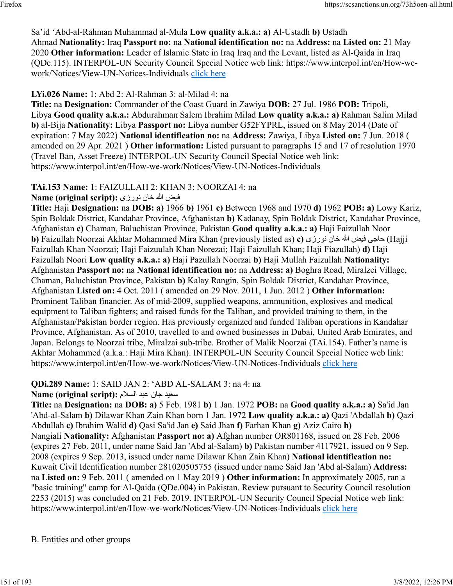Sa'id 'Abd-al-Rahman Muhammad al-Mula **Low quality a.k.a.: a)** Al-Ustadh **b)** Ustadh Ahmad **Nationality:** Iraq **Passport no:** na **National identification no:** na **Address:** na **Listed on:** 21 May 2020 **Other information:** Leader of Islamic State in Iraq Iraq and the Levant, listed as Al-Qaida in Iraq (QDe.115). INTERPOL-UN Security Council Special Notice web link: https://www.interpol.int/en/How-wework/Notices/View-UN-Notices-Individuals [click here](https://www.interpol.int/en/How-we-work/Notices/View-UN-Notices-Individuals)

#### **LYi.026 Name:** 1: Abd 2: Al-Rahman 3: al-Milad 4: na

**Title:** na **Designation:** Commander of the Coast Guard in Zawiya **DOB:** 27 Jul. 1986 **POB:** Tripoli, Libya **Good quality a.k.a.:** Abdurahman Salem Ibrahim Milad **Low quality a.k.a.: a)** Rahman Salim Milad **b)** al-Bija **Nationality:** Libya **Passport no:** Libya number G52FYPRL, issued on 8 May 2014 (Date of expiration: 7 May 2022) **National identification no:** na **Address:** Zawiya, Libya **Listed on:** 7 Jun. 2018 ( amended on 29 Apr. 2021 ) **Other information:** Listed pursuant to paragraphs 15 and 17 of resolution 1970 (Travel Ban, Asset Freeze) INTERPOL-UN Security Council Special Notice web link: https://www.interpol.int/en/How-we-work/Notices/View-UN-Notices-Individuals

### **TAi.153 Name:** 1: FAIZULLAH 2: KHAN 3: NOORZAI 4: na

فيض الله خان نورزي :**Name (original script)** 

**Title:** Haji **Designation:** na **DOB: a)** 1966 **b)** 1961 **c)** Between 1968 and 1970 **d)** 1962 **POB: a)** Lowy Kariz, Spin Boldak District, Kandahar Province, Afghanistan **b)** Kadanay, Spin Boldak District, Kandahar Province, Afghanistan **c)** Chaman, Baluchistan Province, Pakistan **Good quality a.k.a.: a)** Haji Faizullah Noor **b)** Faizullah Noorzai Akhtar Mohammed Mira Khan (previously listed as) **c)** عاجي فيض الله خان نورزي (b Faizullah Khan Noorzai; Haji Faizuulah Khan Norezai; Haji Faizullah Khan; Haji Fiazullah) **d)** Haji Faizullah Noori **Low quality a.k.a.: a)** Haji Pazullah Noorzai **b)** Haji Mullah Faizullah **Nationality:** Afghanistan **Passport no:** na **National identification no:** na **Address: a)** Boghra Road, Miralzei Village, Chaman, Baluchistan Province, Pakistan **b)** Kalay Rangin, Spin Boldak District, Kandahar Province, Afghanistan **Listed on:** 4 Oct. 2011 ( amended on 29 Nov. 2011, 1 Jun. 2012 ) **Other information:** Prominent Taliban financier. As of mid-2009, supplied weapons, ammunition, explosives and medical equipment to Taliban fighters; and raised funds for the Taliban, and provided training to them, in the Afghanistan/Pakistan border region. Has previously organized and funded Taliban operations in Kandahar Province, Afghanistan. As of 2010, travelled to and owned businesses in Dubai, United Arab Emirates, and Japan. Belongs to Noorzai tribe, Miralzai sub-tribe. Brother of Malik Noorzai (TAi.154). Father's name is Akhtar Mohammed (a.k.a.: Haji Mira Khan). INTERPOL-UN Security Council Special Notice web link: https://www.interpol.int/en/How-we-work/Notices/View-UN-Notices-Individuals [click here](https://www.interpol.int/en/How-we-work/Notices/View-UN-Notices-Individuals)

#### **QDi.289 Name:** 1: SAID JAN 2: 'ABD AL-SALAM 3: na 4: na

#### ديعس ناج دبع ملاسلا **:(script original (Name**

**Title:** na **Designation:** na **DOB: a)** 5 Feb. 1981 **b)** 1 Jan. 1972 **POB:** na **Good quality a.k.a.: a)** Sa'id Jan 'Abd-al-Salam **b)** Dilawar Khan Zain Khan born 1 Jan. 1972 **Low quality a.k.a.: a)** Qazi 'Abdallah **b)** Qazi Abdullah **c)** Ibrahim Walid **d)** Qasi Sa'id Jan **e)** Said Jhan **f)** Farhan Khan **g)** Aziz Cairo **h)** Nangiali **Nationality:** Afghanistan **Passport no: a)** Afghan number OR801168, issued on 28 Feb. 2006 (expires 27 Feb. 2011, under name Said Jan 'Abd al-Salam) **b)** Pakistan number 4117921, issued on 9 Sep. 2008 (expires 9 Sep. 2013, issued under name Dilawar Khan Zain Khan) **National identification no:** Kuwait Civil Identification number 281020505755 (issued under name Said Jan 'Abd al-Salam) **Address:** na **Listed on:** 9 Feb. 2011 ( amended on 1 May 2019 ) **Other information:** In approximately 2005, ran a "basic training" camp for Al-Qaida (QDe.004) in Pakistan. Review pursuant to Security Council resolution 2253 (2015) was concluded on 21 Feb. 2019. INTERPOL-UN Security Council Special Notice web link: https://www.interpol.int/en/How-we-work/Notices/View-UN-Notices-Individuals [click here](https://www.interpol.int/en/How-we-work/Notices/View-UN-Notices-Individuals)

#### B. Entities and other groups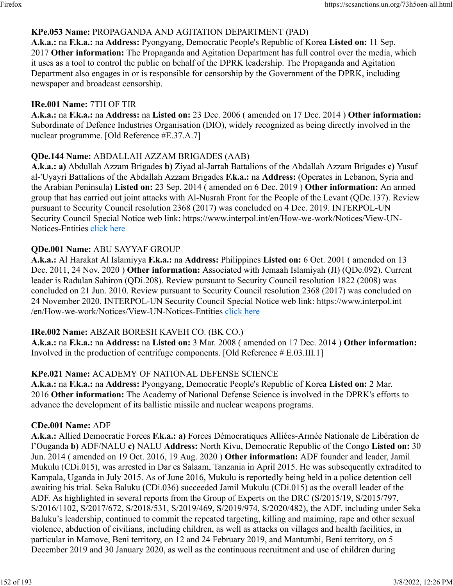### **KPe.053 Name:** PROPAGANDA AND AGITATION DEPARTMENT (PAD)

**A.k.a.:** na **F.k.a.:** na **Address:** Pyongyang, Democratic People's Republic of Korea **Listed on:** 11 Sep. 2017 **Other information:** The Propaganda and Agitation Department has full control over the media, which it uses as a tool to control the public on behalf of the DPRK leadership. The Propaganda and Agitation Department also engages in or is responsible for censorship by the Government of the DPRK, including newspaper and broadcast censorship.

#### **IRe.001 Name:** 7TH OF TIR

**A.k.a.:** na **F.k.a.:** na **Address:** na **Listed on:** 23 Dec. 2006 ( amended on 17 Dec. 2014 ) **Other information:** Subordinate of Defence Industries Organisation (DIO), widely recognized as being directly involved in the nuclear programme. [Old Reference #E.37.A.7]

### **QDe.144 Name:** ABDALLAH AZZAM BRIGADES (AAB)

**A.k.a.: a)** Abdullah Azzam Brigades **b)** Ziyad al-Jarrah Battalions of the Abdallah Azzam Brigades **c)** Yusuf al-'Uyayri Battalions of the Abdallah Azzam Brigades **F.k.a.:** na **Address:** (Operates in Lebanon, Syria and the Arabian Peninsula) **Listed on:** 23 Sep. 2014 ( amended on 6 Dec. 2019 ) **Other information:** An armed group that has carried out joint attacks with Al-Nusrah Front for the People of the Levant (QDe.137). Review pursuant to Security Council resolution 2368 (2017) was concluded on 4 Dec. 2019. INTERPOL-UN Security Council Special Notice web link: https://www.interpol.int/en/How-we-work/Notices/View-UN-Notices-Entities [click here](https://www.interpol.int/en/How-we-work/Notices/View-UN-Notices-Entities)

#### **QDe.001 Name:** ABU SAYYAF GROUP

**A.k.a.:** Al Harakat Al Islamiyya **F.k.a.:** na **Address:** Philippines **Listed on:** 6 Oct. 2001 ( amended on 13 Dec. 2011, 24 Nov. 2020 ) **Other information:** Associated with Jemaah Islamiyah (JI) (QDe.092). Current leader is Radulan Sahiron (QDi.208). Review pursuant to Security Council resolution 1822 (2008) was concluded on 21 Jun. 2010. Review pursuant to Security Council resolution 2368 (2017) was concluded on 24 November 2020. INTERPOL-UN Security Council Special Notice web link: https://www.interpol.int /en/How-we-work/Notices/View-UN-Notices-Entities [click here](https://www.interpol.int/en/How-we-work/Notices/View-UN-Notices-Entities)

#### **IRe.002 Name:** ABZAR BORESH KAVEH CO. (BK CO.)

**A.k.a.:** na **F.k.a.:** na **Address:** na **Listed on:** 3 Mar. 2008 ( amended on 17 Dec. 2014 ) **Other information:** Involved in the production of centrifuge components. [Old Reference # E.03.III.1]

#### **KPe.021 Name:** ACADEMY OF NATIONAL DEFENSE SCIENCE

**A.k.a.:** na **F.k.a.:** na **Address:** Pyongyang, Democratic People's Republic of Korea **Listed on:** 2 Mar. 2016 **Other information:** The Academy of National Defense Science is involved in the DPRK's efforts to advance the development of its ballistic missile and nuclear weapons programs.

#### **CDe.001 Name:** ADF

**A.k.a.:** Allied Democratic Forces **F.k.a.: a)** Forces Démocratiques Alliées-Armée Nationale de Libération de l'Ouganda **b)** ADF/NALU **c)** NALU **Address:** North Kivu, Democratic Republic of the Congo **Listed on:** 30 Jun. 2014 ( amended on 19 Oct. 2016, 19 Aug. 2020 ) **Other information:** ADF founder and leader, Jamil Mukulu (CDi.015), was arrested in Dar es Salaam, Tanzania in April 2015. He was subsequently extradited to Kampala, Uganda in July 2015. As of June 2016, Mukulu is reportedly being held in a police detention cell awaiting his trial. Seka Baluku (CDi.036) succeeded Jamil Mukulu (CDi.015) as the overall leader of the ADF. As highlighted in several reports from the Group of Experts on the DRC (S/2015/19, S/2015/797, S/2016/1102, S/2017/672, S/2018/531, S/2019/469, S/2019/974, S/2020/482), the ADF, including under Seka Baluku's leadership, continued to commit the repeated targeting, killing and maiming, rape and other sexual violence, abduction of civilians, including children, as well as attacks on villages and health facilities, in particular in Mamove, Beni territory, on 12 and 24 February 2019, and Mantumbi, Beni territory, on 5 December 2019 and 30 January 2020, as well as the continuous recruitment and use of children during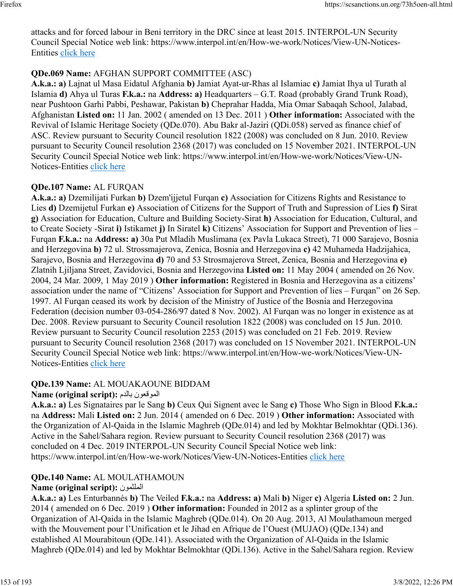attacks and for forced labour in Beni territory in the DRC since at least 2015. INTERPOL-UN Security Council Special Notice web link: https://www.interpol.int/en/How-we-work/Notices/View-UN-Notices-Entities [click here](https://www.interpol.int/en/How-we-work/Notices/View-UN-Notices-Entities)

### **QDe.069 Name:** AFGHAN SUPPORT COMMITTEE (ASC)

**A.k.a.: a)** Lajnat ul Masa Eidatul Afghania **b)** Jamiat Ayat-ur-Rhas al Islamiac **c)** Jamiat Ihya ul Turath al Islamia **d)** Ahya ul Turas **F.k.a.:** na **Address: a)** Headquarters – G.T. Road (probably Grand Trunk Road), near Pushtoon Garhi Pabbi, Peshawar, Pakistan **b)** Cheprahar Hadda, Mia Omar Sabaqah School, Jalabad, Afghanistan **Listed on:** 11 Jan. 2002 ( amended on 13 Dec. 2011 ) **Other information:** Associated with the Revival of Islamic Heritage Society (QDe.070). Abu Bakr al-Jaziri (QDi.058) served as finance chief of ASC. Review pursuant to Security Council resolution 1822 (2008) was concluded on 8 Jun. 2010. Review pursuant to Security Council resolution 2368 (2017) was concluded on 15 November 2021. INTERPOL-UN Security Council Special Notice web link: https://www.interpol.int/en/How-we-work/Notices/View-UN-Notices-Entities [click here](https://www.interpol.int/en/How-we-work/Notices/View-UN-Notices-Entities)

#### **QDe.107 Name:** AL FURQAN

**A.k.a.: a)** Dzemilijati Furkan **b)** Dzem'ijjetul Furqan **c)** Association for Citizens Rights and Resistance to Lies **d)** Dzemijetul Furkan **e)** Association of Citizens for the Support of Truth and Supression of Lies **f)** Sirat **g)** Association for Education, Culture and Building Society-Sirat **h)** Association for Education, Cultural, and to Create Society -Sirat **i)** Istikamet **j)** In Siratel **k)** Citizens' Association for Support and Prevention of lies – Furqan **F.k.a.:** na **Address: a)** 30a Put Mladih Muslimana (ex Pavla Lukaca Street), 71 000 Sarajevo, Bosnia and Herzegovina **b)** 72 ul. Strossmajerova, Zenica, Bosnia and Herzegovina **c)** 42 Muhameda Hadzijahica, Sarajevo, Bosnia and Herzegovina **d)** 70 and 53 Strosmajerova Street, Zenica, Bosnia and Herzegovina **e)** Zlatnih Ljiljana Street, Zavidovici, Bosnia and Herzegovina **Listed on:** 11 May 2004 ( amended on 26 Nov. 2004, 24 Mar. 2009, 1 May 2019 ) **Other information:** Registered in Bosnia and Herzegovina as a citizens' association under the name of "Citizens' Association for Support and Prevention of lies – Furqan" on 26 Sep. 1997. Al Furqan ceased its work by decision of the Ministry of Justice of the Bosnia and Herzegovina Federation (decision number 03-054-286/97 dated 8 Nov. 2002). Al Furqan was no longer in existence as at Dec. 2008. Review pursuant to Security Council resolution 1822 (2008) was concluded on 15 Jun. 2010. Review pursuant to Security Council resolution 2253 (2015) was concluded on 21 Feb. 2019. Review pursuant to Security Council resolution 2368 (2017) was concluded on 15 November 2021. INTERPOL-UN Security Council Special Notice web link: https://www.interpol.int/en/How-we-work/Notices/View-UN-Notices-Entities [click here](https://www.interpol.int/en/How-we-work/Notices/View-UN-Notices-Entities)

### **QDe.139 Name:** AL MOUAKAOUNE BIDDAM

#### **Name (original script):** مدلاب نوعقوملا

**A.k.a.: a)** Les Signataires par le Sang **b)** Ceux Qui Signent avec le Sang **c)** Those Who Sign in Blood **F.k.a.:** na **Address:** Mali **Listed on:** 2 Jun. 2014 ( amended on 6 Dec. 2019 ) **Other information:** Associated with the Organization of Al-Qaida in the Islamic Maghreb (QDe.014) and led by Mokhtar Belmokhtar (QDi.136). Active in the Sahel/Sahara region. Review pursuant to Security Council resolution 2368 (2017) was concluded on 4 Dec. 2019 INTERPOL-UN Security Council Special Notice web link: https://www.interpol.int/en/How-we-work/Notices/View-UN-Notices-Entities [click here](https://www.interpol.int/en/How-we-work/Notices/View-UN-Notices-Entities)

### **QDe.140 Name:** AL MOULATHAMOUN

### **Name (original script):** نومثلملا

**A.k.a.: a)** Les Enturbannés **b)** The Veiled **F.k.a.:** na **Address: a)** Mali **b)** Niger **c)** Algeria **Listed on:** 2 Jun. 2014 ( amended on 6 Dec. 2019 ) **Other information:** Founded in 2012 as a splinter group of the Organization of Al-Qaida in the Islamic Maghreb (QDe.014). On 20 Aug. 2013, Al Moulathamoun merged with the Mouvement pour l'Unification et le Jihad en Afrique de l'Ouest (MUJAO) (QDe.134) and established Al Mourabitoun (QDe.141). Associated with the Organization of Al-Qaida in the Islamic Maghreb (QDe.014) and led by Mokhtar Belmokhtar (QDi.136). Active in the Sahel/Sahara region. Review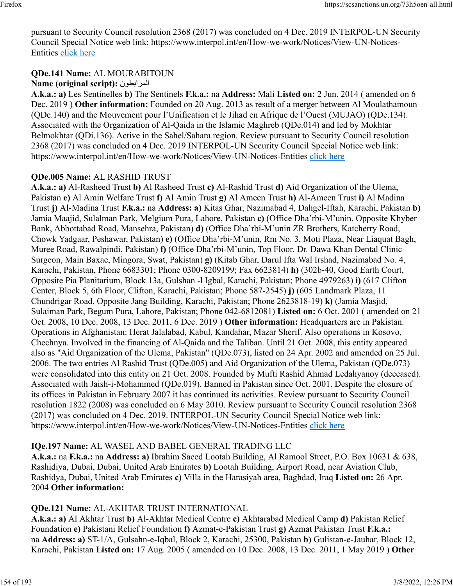pursuant to Security Council resolution 2368 (2017) was concluded on 4 Dec. 2019 INTERPOL-UN Security Council Special Notice web link: https://www.interpol.int/en/How-we-work/Notices/View-UN-Notices-Entities [click here](https://www.interpol.int/en/How-we-work/Notices/View-UN-Notices-Entities)

## **QDe.141 Name:** AL MOURABITOUN

## **Name (original script):** المرابطون

**A.k.a.: a)** Les Sentinelles **b)** The Sentinels **F.k.a.:** na **Address:** Mali **Listed on:** 2 Jun. 2014 ( amended on 6 Dec. 2019 ) **Other information:** Founded on 20 Aug. 2013 as result of a merger between Al Moulathamoun (QDe.140) and the Mouvement pour l'Unification et le Jihad en Afrique de l'Ouest (MUJAO) (QDe.134). Associated with the Organization of Al-Qaida in the Islamic Maghreb (QDe.014) and led by Mokhtar Belmokhtar (QDi.136). Active in the Sahel/Sahara region. Review pursuant to Security Council resolution 2368 (2017) was concluded on 4 Dec. 2019 INTERPOL-UN Security Council Special Notice web link: https://www.interpol.int/en/How-we-work/Notices/View-UN-Notices-Entities [click here](https://www.interpol.int/en/How-we-work/Notices/View-UN-Notices-Entities)

## **QDe.005 Name:** AL RASHID TRUST

**A.k.a.: a)** Al-Rasheed Trust **b)** Al Rasheed Trust **c)** Al-Rashid Trust **d)** Aid Organization of the Ulema, Pakistan **e)** Al Amin Welfare Trust **f)** Al Amin Trust **g)** Al Ameen Trust **h)** Al-Ameen Trust **i)** Al Madina Trust **j)** Al-Madina Trust **F.k.a.:** na **Address: a)** Kitas Ghar, Nazimabad 4, Dahgel-Iftah, Karachi, Pakistan **b)** Jamia Maajid, Sulalman Park, Melgium Pura, Lahore, Pakistan **c)** (Office Dha'rbi-M'unin, Opposite Khyber Bank, Abbottabad Road, Mansehra, Pakistan) **d)** (Office Dha'rbi-M'unin ZR Brothers, Katcherry Road, Chowk Yadgaar, Peshawar, Pakistan) **e)** (Office Dha'rbi-M'unin, Rm No. 3, Moti Plaza, Near Liaquat Bagh, Muree Road, Rawalpindi, Pakistan) **f)** (Office Dha'rbi-M'unin, Top Floor, Dr. Dawa Khan Dental Clinic Surgeon, Main Baxae, Mingora, Swat, Pakistan) **g)** (Kitab Ghar, Darul Ifta Wal Irshad, Nazimabad No. 4, Karachi, Pakistan, Phone 6683301; Phone 0300-8209199; Fax 6623814) **h)** (302b-40, Good Earth Court, Opposite Pia Planitarium, Block 13a, Gulshan -l Igbal, Karachi, Pakistan; Phone 4979263) **i)** (617 Clifton Center, Block 5, 6th Floor, Clifton, Karachi, Pakistan; Phone 587-2545) **j)** (605 Landmark Plaza, 11 Chundrigar Road, Opposite Jang Building, Karachi, Pakistan; Phone 2623818-19) **k)** (Jamia Masjid, Sulaiman Park, Begum Pura, Lahore, Pakistan; Phone 042-6812081) **Listed on:** 6 Oct. 2001 ( amended on 21 Oct. 2008, 10 Dec. 2008, 13 Dec. 2011, 6 Dec. 2019 ) **Other information:** Headquarters are in Pakistan. Operations in Afghanistan: Herat Jalalabad, Kabul, Kandahar, Mazar Sherif. Also operations in Kosovo, Chechnya. Involved in the financing of Al-Qaida and the Taliban. Until 21 Oct. 2008, this entity appeared also as "Aid Organization of the Ulema, Pakistan" (QDe.073), listed on 24 Apr. 2002 and amended on 25 Jul. 2006. The two entries Al Rashid Trust (QDe.005) and Aid Organization of the Ulema, Pakistan (QDe.073) were consolidated into this entity on 21 Oct. 2008. Founded by Mufti Rashid Ahmad Ledahyanoy (deceased). Associated with Jaish-i-Mohammed (QDe.019). Banned in Pakistan since Oct. 2001. Despite the closure of its offices in Pakistan in February 2007 it has continued its activities. Review pursuant to Security Council resolution 1822 (2008) was concluded on 6 May 2010. Review pursuant to Security Council resolution 2368 (2017) was concluded on 4 Dec. 2019. INTERPOL-UN Security Council Special Notice web link: https://www.interpol.int/en/How-we-work/Notices/View-UN-Notices-Entities [click here](https://www.interpol.int/en/How-we-work/Notices/View-UN-Notices-Entities)

## **IQe.197 Name:** AL WASEL AND BABEL GENERAL TRADING LLC

**A.k.a.:** na **F.k.a.:** na **Address: a)** Ibrahim Saeed Lootah Building, Al Ramool Street, P.O. Box 10631 & 638, Rashidiya, Dubai, Dubai, United Arab Emirates **b)** Lootah Building, Airport Road, near Aviation Club, Rashidya, Dubai, United Arab Emirates **c)** Villa in the Harasiyah area, Baghdad, Iraq **Listed on:** 26 Apr. 2004 **Other information:** 

## **QDe.121 Name:** AL-AKHTAR TRUST INTERNATIONAL

**A.k.a.: a)** Al Akhtar Trust **b)** Al-Akhtar Medical Centre **c)** Akhtarabad Medical Camp **d)** Pakistan Relief Foundation **e)** Pakistani Relief Foundation **f)** Azmat-e-Pakistan Trust **g)** Azmat Pakistan Trust **F.k.a.:** na **Address: a)** ST-1/A, Gulsahn-e-Iqbal, Block 2, Karachi, 25300, Pakistan **b)** Gulistan-e-Jauhar, Block 12, Karachi, Pakistan **Listed on:** 17 Aug. 2005 ( amended on 10 Dec. 2008, 13 Dec. 2011, 1 May 2019 ) **Other**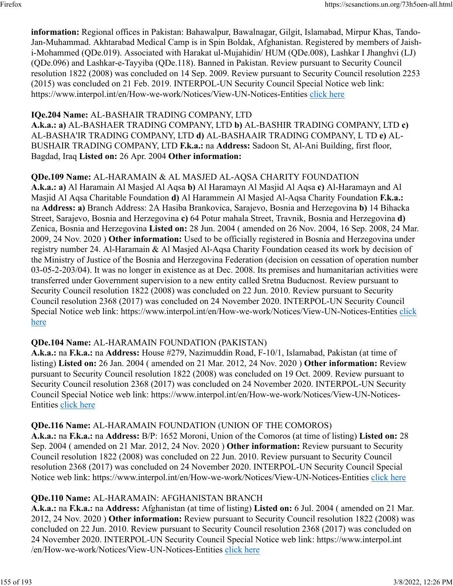**information:** Regional offices in Pakistan: Bahawalpur, Bawalnagar, Gilgit, Islamabad, Mirpur Khas, Tando-Jan-Muhammad. Akhtarabad Medical Camp is in Spin Boldak, Afghanistan. Registered by members of Jaishi-Mohammed (QDe.019). Associated with Harakat ul-Mujahidin/ HUM (QDe.008), Lashkar I Jhanghvi (LJ) (QDe.096) and Lashkar-e-Tayyiba (QDe.118). Banned in Pakistan. Review pursuant to Security Council resolution 1822 (2008) was concluded on 14 Sep. 2009. Review pursuant to Security Council resolution 2253 (2015) was concluded on 21 Feb. 2019. INTERPOL-UN Security Council Special Notice web link: https://www.interpol.int/en/How-we-work/Notices/View-UN-Notices-Entities [click here](https://www.interpol.int/en/How-we-work/Notices/View-UN-Notices-Entities)

#### **IQe.204 Name:** AL-BASHAIR TRADING COMPANY, LTD

**A.k.a.: a)** AL-BASHAER TRADING COMPANY, LTD **b)** AL-BASHIR TRADING COMPANY, LTD **c)** AL-BASHA'IR TRADING COMPANY, LTD **d)** AL-BASHAAIR TRADING COMPANY, L TD **e)** AL-BUSHAIR TRADING COMPANY, LTD **F.k.a.:** na **Address:** Sadoon St, Al-Ani Building, first floor, Bagdad, Iraq **Listed on:** 26 Apr. 2004 **Other information:** 

#### **QDe.109 Name:** AL-HARAMAIN & AL MASJED AL-AQSA CHARITY FOUNDATION

**A.k.a.: a)** Al Haramain Al Masjed Al Aqsa **b)** Al Haramayn Al Masjid Al Aqsa **c)** Al-Haramayn and Al Masjid Al Aqsa Charitable Foundation **d)** Al Harammein Al Masjed Al-Aqsa Charity Foundation **F.k.a.:** na **Address: a)** Branch Address: 2A Hasiba Brankovica, Sarajevo, Bosnia and Herzegovina **b)** 14 Bihacka Street, Sarajevo, Bosnia and Herzegovina **c)** 64 Potur mahala Street, Travnik, Bosnia and Herzegovina **d)** Zenica, Bosnia and Herzegovina **Listed on:** 28 Jun. 2004 ( amended on 26 Nov. 2004, 16 Sep. 2008, 24 Mar. 2009, 24 Nov. 2020 ) **Other information:** Used to be officially registered in Bosnia and Herzegovina under registry number 24. Al-Haramain & Al Masjed Al-Aqsa Charity Foundation ceased its work by decision of the Ministry of Justice of the Bosnia and Herzegovina Federation (decision on cessation of operation number 03-05-2-203/04). It was no longer in existence as at Dec. 2008. Its premises and humanitarian activities were transferred under Government supervision to a new entity called Sretna Buducnost. Review pursuant to Security Council resolution 1822 (2008) was concluded on 22 Jun. 2010. Review pursuant to Security Council resolution 2368 (2017) was concluded on 24 November 2020. INTERPOL-UN Security Council Special Notice web link: https://www.interpol.int/en/How-we-work/Notices/View-UN-Notices-Entities [click](https://www.interpol.int/en/How-we-work/Notices/View-UN-Notices-Entities) [here](https://www.interpol.int/en/How-we-work/Notices/View-UN-Notices-Entities)

#### **QDe.104 Name:** AL-HARAMAIN FOUNDATION (PAKISTAN)

**A.k.a.:** na **F.k.a.:** na **Address:** House #279, Nazimuddin Road, F-10/1, Islamabad, Pakistan (at time of listing) **Listed on:** 26 Jan. 2004 ( amended on 21 Mar. 2012, 24 Nov. 2020 ) **Other information:** Review pursuant to Security Council resolution 1822 (2008) was concluded on 19 Oct. 2009. Review pursuant to Security Council resolution 2368 (2017) was concluded on 24 November 2020. INTERPOL-UN Security Council Special Notice web link: https://www.interpol.int/en/How-we-work/Notices/View-UN-Notices-Entities [click here](https://www.interpol.int/en/How-we-work/Notices/View-UN-Notices-Entities)

#### **QDe.116 Name:** AL-HARAMAIN FOUNDATION (UNION OF THE COMOROS)

**A.k.a.:** na **F.k.a.:** na **Address:** B/P: 1652 Moroni, Union of the Comoros (at time of listing) **Listed on:** 28 Sep. 2004 ( amended on 21 Mar. 2012, 24 Nov. 2020 ) **Other information:** Review pursuant to Security Council resolution 1822 (2008) was concluded on 22 Jun. 2010. Review pursuant to Security Council resolution 2368 (2017) was concluded on 24 November 2020. INTERPOL-UN Security Council Special Notice web link: https://www.interpol.int/en/How-we-work/Notices/View-UN-Notices-Entities [click here](https://www.interpol.int/en/How-we-work/Notices/View-UN-Notices-Entities)

#### **QDe.110 Name:** AL-HARAMAIN: AFGHANISTAN BRANCH

**A.k.a.:** na **F.k.a.:** na **Address:** Afghanistan (at time of listing) **Listed on:** 6 Jul. 2004 ( amended on 21 Mar. 2012, 24 Nov. 2020 ) **Other information:** Review pursuant to Security Council resolution 1822 (2008) was concluded on 22 Jun. 2010. Review pursuant to Security Council resolution 2368 (2017) was concluded on 24 November 2020. INTERPOL-UN Security Council Special Notice web link: https://www.interpol.int /en/How-we-work/Notices/View-UN-Notices-Entities [click here](https://www.interpol.int/en/How-we-work/Notices/View-UN-Notices-Entities)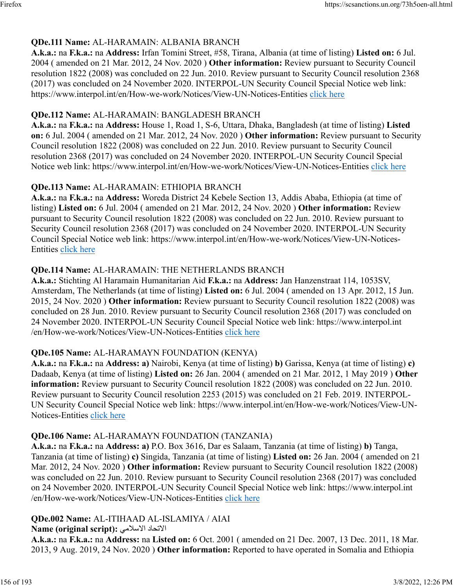### **QDe.111 Name:** AL-HARAMAIN: ALBANIA BRANCH

**A.k.a.:** na **F.k.a.:** na **Address:** Irfan Tomini Street, #58, Tirana, Albania (at time of listing) **Listed on:** 6 Jul. 2004 ( amended on 21 Mar. 2012, 24 Nov. 2020 ) **Other information:** Review pursuant to Security Council resolution 1822 (2008) was concluded on 22 Jun. 2010. Review pursuant to Security Council resolution 2368 (2017) was concluded on 24 November 2020. INTERPOL-UN Security Council Special Notice web link: https://www.interpol.int/en/How-we-work/Notices/View-UN-Notices-Entities [click here](https://www.interpol.int/en/How-we-work/Notices/View-UN-Notices-Entities)

#### **QDe.112 Name:** AL-HARAMAIN: BANGLADESH BRANCH

**A.k.a.:** na **F.k.a.:** na **Address:** House 1, Road 1, S-6, Uttara, Dhaka, Bangladesh (at time of listing) **Listed on:** 6 Jul. 2004 ( amended on 21 Mar. 2012, 24 Nov. 2020 ) **Other information:** Review pursuant to Security Council resolution 1822 (2008) was concluded on 22 Jun. 2010. Review pursuant to Security Council resolution 2368 (2017) was concluded on 24 November 2020. INTERPOL-UN Security Council Special Notice web link: https://www.interpol.int/en/How-we-work/Notices/View-UN-Notices-Entities [click here](https://www.interpol.int/en/How-we-work/Notices/View-UN-Notices-Entities)

### **QDe.113 Name:** AL-HARAMAIN: ETHIOPIA BRANCH

**A.k.a.:** na **F.k.a.:** na **Address:** Woreda District 24 Kebele Section 13, Addis Ababa, Ethiopia (at time of listing) **Listed on:** 6 Jul. 2004 ( amended on 21 Mar. 2012, 24 Nov. 2020 ) **Other information:** Review pursuant to Security Council resolution 1822 (2008) was concluded on 22 Jun. 2010. Review pursuant to Security Council resolution 2368 (2017) was concluded on 24 November 2020. INTERPOL-UN Security Council Special Notice web link: https://www.interpol.int/en/How-we-work/Notices/View-UN-Notices-Entities [click here](https://www.interpol.int/en/How-we-work/Notices/View-UN-Notices-Entities)

### **QDe.114 Name:** AL-HARAMAIN: THE NETHERLANDS BRANCH

**A.k.a.:** Stichting Al Haramain Humanitarian Aid **F.k.a.:** na **Address:** Jan Hanzenstraat 114, 1053SV, Amsterdam, The Netherlands (at time of listing) **Listed on:** 6 Jul. 2004 ( amended on 13 Apr. 2012, 15 Jun. 2015, 24 Nov. 2020 ) **Other information:** Review pursuant to Security Council resolution 1822 (2008) was concluded on 28 Jun. 2010. Review pursuant to Security Council resolution 2368 (2017) was concluded on 24 November 2020. INTERPOL-UN Security Council Special Notice web link: https://www.interpol.int /en/How-we-work/Notices/View-UN-Notices-Entities [click here](https://www.interpol.int/en/How-we-work/Notices/View-UN-Notices-Entities)

### **QDe.105 Name:** AL-HARAMAYN FOUNDATION (KENYA)

**A.k.a.:** na **F.k.a.:** na **Address: a)** Nairobi, Kenya (at time of listing) **b)** Garissa, Kenya (at time of listing) **c)** Dadaab, Kenya (at time of listing) **Listed on:** 26 Jan. 2004 ( amended on 21 Mar. 2012, 1 May 2019 ) **Other information:** Review pursuant to Security Council resolution 1822 (2008) was concluded on 22 Jun. 2010. Review pursuant to Security Council resolution 2253 (2015) was concluded on 21 Feb. 2019. INTERPOL-UN Security Council Special Notice web link: https://www.interpol.int/en/How-we-work/Notices/View-UN-Notices-Entities [click here](https://www.interpol.int/en/How-we-work/Notices/View-UN-Notices-Entities)

### **QDe.106 Name:** AL-HARAMAYN FOUNDATION (TANZANIA)

**A.k.a.:** na **F.k.a.:** na **Address: a)** P.O. Box 3616, Dar es Salaam, Tanzania (at time of listing) **b)** Tanga, Tanzania (at time of listing) **c)** Singida, Tanzania (at time of listing) **Listed on:** 26 Jan. 2004 ( amended on 21 Mar. 2012, 24 Nov. 2020 ) **Other information:** Review pursuant to Security Council resolution 1822 (2008) was concluded on 22 Jun. 2010. Review pursuant to Security Council resolution 2368 (2017) was concluded on 24 November 2020. INTERPOL-UN Security Council Special Notice web link: https://www.interpol.int /en/How-we-work/Notices/View-UN-Notices-Entities [click here](https://www.interpol.int/en/How-we-work/Notices/View-UN-Notices-Entities)

#### **QDe.002 Name:** AL-ITIHAAD AL-ISLAMIYA / AIAI

#### الاتحاد الاسلامي: **Name (original script):**

**A.k.a.:** na **F.k.a.:** na **Address:** na **Listed on:** 6 Oct. 2001 ( amended on 21 Dec. 2007, 13 Dec. 2011, 18 Mar. 2013, 9 Aug. 2019, 24 Nov. 2020 ) **Other information:** Reported to have operated in Somalia and Ethiopia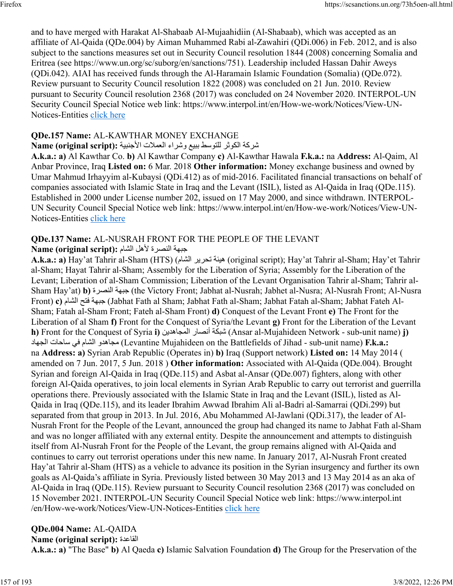and to have merged with Harakat Al-Shabaab Al-Mujaahidiin (Al-Shabaab), which was accepted as an affiliate of Al-Qaida (QDe.004) by Aiman Muhammed Rabi al-Zawahiri (QDi.006) in Feb. 2012, and is also subject to the sanctions measures set out in Security Council resolution 1844 (2008) concerning Somalia and Eritrea (see https://www.un.org/sc/suborg/en/sanctions/751). Leadership included Hassan Dahir Aweys (QDi.042). AIAI has received funds through the Al-Haramain Islamic Foundation (Somalia) (QDe.072). Review pursuant to Security Council resolution 1822 (2008) was concluded on 21 Jun. 2010. Review pursuant to Security Council resolution 2368 (2017) was concluded on 24 November 2020. INTERPOL-UN Security Council Special Notice web link: https://www.interpol.int/en/How-we-work/Notices/View-UN-Notices-Entities [click here](https://www.interpol.int/en/How-we-work/Notices/View-UN-Notices-Entities)

#### **QDe.157 Name:** AL-KAWTHAR MONEY EXCHANGE

#### تسركة الكوثر للتوسط ببيع وشراء العملات الأجنبية :Name (original script)

**A.k.a.: a)** Al Kawthar Co. **b)** Al Kawthar Company **c)** Al-Kawthar Hawala **F.k.a.:** na **Address:** Al-Qaim, Al Anbar Province, Iraq **Listed on:** 6 Mar. 2018 **Other information:** Money exchange business and owned by Umar Mahmud Irhayyim al-Kubaysi (QDi.412) as of mid-2016. Facilitated financial transactions on behalf of companies associated with Islamic State in Iraq and the Levant (ISIL), listed as Al-Qaida in Iraq (QDe.115). Established in 2000 under License number 202, issued on 17 May 2000, and since withdrawn. INTERPOL-UN Security Council Special Notice web link: https://www.interpol.int/en/How-we-work/Notices/View-UNNotices-Entities [click here](https://www.interpol.int/en/How-we-work/Notices/View-UN-Notices-Entities)

### **QDe.137 Name:** AL-NUSRAH FRONT FOR THE PEOPLE OF THE LEVANT

#### ةهبج ةرصنلا لهلأ ماشلا **:(script original (Name**

**A.k.a.: a)** Hay'at Tahrir al-Sham (HTS) ( ماشلا ريرحت ةئيه) original script); Hay'at Tahrir al-Sham; Hay'et Tahrir al-Sham; Hayat Tahrir al-Sham; Assembly for the Liberation of Syria; Assembly for the Liberation of the Levant; Liberation of al-Sham Commission; Liberation of the Levant Organisation Tahrir al-Sham; Tahrir al-Sham Hay'at) **b)** ةرصنلا ةهبج) the Victory Front; Jabhat al-Nusrah; Jabhet al-Nusra; Al-Nusrah Front; Al-Nusra Front) **c)** ماشلا حتف ةهبج) Jabhat Fath al Sham; Jabhat Fath al-Sham; Jabhat Fatah al-Sham; Jabhat Fateh Al-Sham; Fatah al-Sham Front; Fateh al-Sham Front) **d)** Conquest of the Levant Front **e)** The Front for the Liberation of al Sham **f)** Front for the Conquest of Syria/the Levant **g)** Front for the Liberation of the Levant **h)** Front for the Conquest of Syria **i)** نيدهاجملا راصنأ ةكبش) Ansar al-Mujahideen Network - sub-unit name) **j)** داهجلا تاحاس يف ماشلا ودهاجم) Levantine Mujahideen on the Battlefields of Jihad - sub-unit name) **F.k.a.:** na **Address: a)** Syrian Arab Republic (Operates in) **b)** Iraq (Support network) **Listed on:** 14 May 2014 ( amended on 7 Jun. 2017, 5 Jun. 2018 ) **Other information:** Associated with Al-Qaida (QDe.004). Brought Syrian and foreign Al-Qaida in Iraq (QDe.115) and Asbat al-Ansar (QDe.007) fighters, along with other foreign Al-Qaida operatives, to join local elements in Syrian Arab Republic to carry out terrorist and guerrilla operations there. Previously associated with the Islamic State in Iraq and the Levant (ISIL), listed as Al-Qaida in Iraq (QDe.115), and its leader Ibrahim Awwad Ibrahim Ali al-Badri al-Samarrai (QDi.299) but separated from that group in 2013. In Jul. 2016, Abu Mohammed Al-Jawlani (QDi.317), the leader of Al-Nusrah Front for the People of the Levant, announced the group had changed its name to Jabhat Fath al-Sham and was no longer affiliated with any external entity. Despite the announcement and attempts to distinguish itself from Al-Nusrah Front for the People of the Levant, the group remains aligned with Al-Qaida and continues to carry out terrorist operations under this new name. In January 2017, Al-Nusrah Front created Hay'at Tahrir al-Sham (HTS) as a vehicle to advance its position in the Syrian insurgency and further its own goals as Al-Qaida's affiliate in Syria. Previously listed between 30 May 2013 and 13 May 2014 as an aka of Al-Qaida in Iraq (QDe.115). Review pursuant to Security Council resolution 2368 (2017) was concluded on 15 November 2021. INTERPOL-UN Security Council Special Notice web link: https://www.interpol.int /en/How-we-work/Notices/View-UN-Notices-Entities [click here](https://www.interpol.int/en/How-we-work/Notices/View-UN-Notices-Entities)

**QDe.004 Name:** AL-QAIDA **Name (original script):** ةدعاقلا **A.k.a.: a)** "The Base" **b)** Al Qaeda **c)** Islamic Salvation Foundation **d)** The Group for the Preservation of the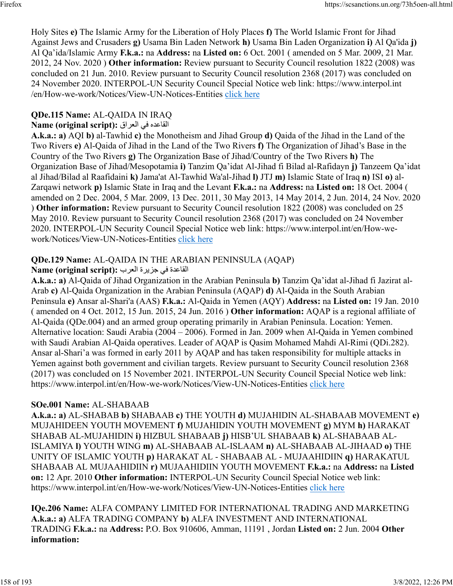Holy Sites **e)** The Islamic Army for the Liberation of Holy Places **f)** The World Islamic Front for Jihad Against Jews and Crusaders **g)** Usama Bin Laden Network **h)** Usama Bin Laden Organization **i)** Al Qa'ida **j)** Al Qa'ida/Islamic Army **F.k.a.:** na **Address:** na **Listed on:** 6 Oct. 2001 ( amended on 5 Mar. 2009, 21 Mar. 2012, 24 Nov. 2020 ) **Other information:** Review pursuant to Security Council resolution 1822 (2008) was concluded on 21 Jun. 2010. Review pursuant to Security Council resolution 2368 (2017) was concluded on 24 November 2020. INTERPOL-UN Security Council Special Notice web link: https://www.interpol.int /en/How-we-work/Notices/View-UN-Notices-Entities [click here](https://www.interpol.int/en/How-we-work/Notices/View-UN-Notices-Entities)

## **QDe.115 Name:** AL-QAIDA IN IRAQ

### القاعده في العراق :(Name (original script

**A.k.a.: a)** AQI **b)** al-Tawhid **c)** the Monotheism and Jihad Group **d)** Qaida of the Jihad in the Land of the Two Rivers **e)** Al-Qaida of Jihad in the Land of the Two Rivers **f)** The Organization of Jihad's Base in the Country of the Two Rivers **g)** The Organization Base of Jihad/Country of the Two Rivers **h)** The Organization Base of Jihad/Mesopotamia **i)** Tanzim Qa'idat Al-Jihad fi Bilad al-Rafidayn **j)** Tanzeem Qa'idat al Jihad/Bilad al Raafidaini **k)** Jama'at Al-Tawhid Wa'al-Jihad **l)** JTJ **m)** Islamic State of Iraq **n)** ISI **o)** al-Zarqawi network **p)** Islamic State in Iraq and the Levant **F.k.a.:** na **Address:** na **Listed on:** 18 Oct. 2004 ( amended on 2 Dec. 2004, 5 Mar. 2009, 13 Dec. 2011, 30 May 2013, 14 May 2014, 2 Jun. 2014, 24 Nov. 2020 ) **Other information:** Review pursuant to Security Council resolution 1822 (2008) was concluded on 25 May 2010. Review pursuant to Security Council resolution 2368 (2017) was concluded on 24 November 2020. INTERPOL-UN Security Council Special Notice web link: https://www.interpol.int/en/How-wework/Notices/View-UN-Notices-Entities [click here](https://www.interpol.int/en/How-we-work/Notices/View-UN-Notices-Entities)

## **QDe.129 Name:** AL-QAIDA IN THE ARABIAN PENINSULA (AQAP)

## القاعدة في جزيرة العرب : Name (original script)

**A.k.a.: a)** Al-Qaida of Jihad Organization in the Arabian Peninsula **b)** Tanzim Qa'idat al-Jihad fi Jazirat al-Arab **c)** Al-Qaida Organization in the Arabian Peninsula (AQAP) **d)** Al-Qaida in the South Arabian Peninsula **e)** Ansar al-Shari'a (AAS) **F.k.a.:** Al-Qaida in Yemen (AQY) **Address:** na **Listed on:** 19 Jan. 2010 ( amended on 4 Oct. 2012, 15 Jun. 2015, 24 Jun. 2016 ) **Other information:** AQAP is a regional affiliate of Al-Qaida (QDe.004) and an armed group operating primarily in Arabian Peninsula. Location: Yemen. Alternative location: Saudi Arabia (2004 – 2006). Formed in Jan. 2009 when Al-Qaida in Yemen combined with Saudi Arabian Al-Qaida operatives. Leader of AQAP is Qasim Mohamed Mahdi Al-Rimi (QDi.282). Ansar al-Shari'a was formed in early 2011 by AQAP and has taken responsibility for multiple attacks in Yemen against both government and civilian targets. Review pursuant to Security Council resolution 2368 (2017) was concluded on 15 November 2021. INTERPOL-UN Security Council Special Notice web link: https://www.interpol.int/en/How-we-work/Notices/View-UN-Notices-Entities [click here](https://www.interpol.int/en/How-we-work/Notices/View-UN-Notices-Entities)

## **SOe.001 Name:** AL-SHABAAB

**A.k.a.: a)** AL-SHABAB **b)** SHABAAB **c)** THE YOUTH **d)** MUJAHIDIN AL-SHABAAB MOVEMENT **e)** MUJAHIDEEN YOUTH MOVEMENT **f)** MUJAHIDIN YOUTH MOVEMENT **g)** MYM **h)** HARAKAT SHABAB AL-MUJAHIDIN **i)** HIZBUL SHABAAB **j)** HISB'UL SHABAAB **k)** AL-SHABAAB AL-ISLAMIYA **l)** YOUTH WING **m)** AL-SHABAAB AL-ISLAAM **n)** AL-SHABAAB AL-JIHAAD **o)** THE UNITY OF ISLAMIC YOUTH **p)** HARAKAT AL - SHABAAB AL - MUJAAHIDIIN **q)** HARAKATUL SHABAAB AL MUJAAHIDIIN **r)** MUJAAHIDIIN YOUTH MOVEMENT **F.k.a.:** na **Address:** na **Listed on:** 12 Apr. 2010 **Other information:** INTERPOL-UN Security Council Special Notice web link: https://www.interpol.int/en/How-we-work/Notices/View-UN-Notices-Entities [click here](https://www.interpol.int/en/How-we-work/Notices/View-UN-Notices-Entities)

**IQe.206 Name:** ALFA COMPANY LIMITED FOR INTERNATIONAL TRADING AND MARKETING **A.k.a.: a)** ALFA TRADING COMPANY **b)** ALFA INVESTMENT AND INTERNATIONAL TRADING **F.k.a.:** na **Address:** P.O. Box 910606, Amman, 11191 , Jordan **Listed on:** 2 Jun. 2004 **Other information:**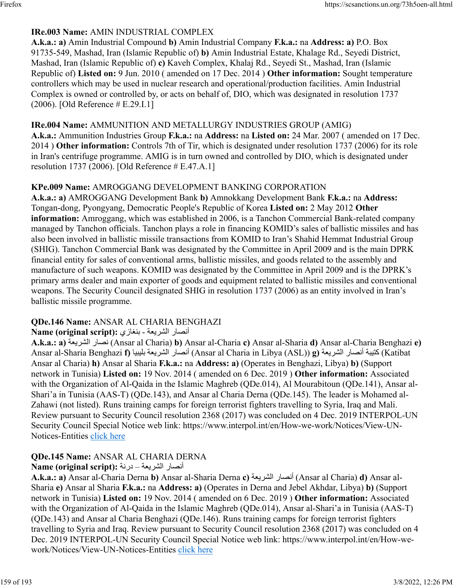### **IRe.003 Name:** AMIN INDUSTRIAL COMPLEX

**A.k.a.: a)** Amin Industrial Compound **b)** Amin Industrial Company **F.k.a.:** na **Address: a)** P.O. Box 91735-549, Mashad, Iran (Islamic Republic of) **b)** Amin Industrial Estate, Khalage Rd., Seyedi District, Mashad, Iran (Islamic Republic of) **c)** Kaveh Complex, Khalaj Rd., Seyedi St., Mashad, Iran (Islamic Republic of) **Listed on:** 9 Jun. 2010 ( amended on 17 Dec. 2014 ) **Other information:** Sought temperature controllers which may be used in nuclear research and operational/production facilities. Amin Industrial Complex is owned or controlled by, or acts on behalf of, DIO, which was designated in resolution 1737 (2006). [Old Reference # E.29.I.1]

#### **IRe.004 Name:** AMMUNITION AND METALLURGY INDUSTRIES GROUP (AMIG)

**A.k.a.:** Ammunition Industries Group **F.k.a.:** na **Address:** na **Listed on:** 24 Mar. 2007 ( amended on 17 Dec. 2014 ) **Other information:** Controls 7th of Tir, which is designated under resolution 1737 (2006) for its role in Iran's centrifuge programme. AMIG is in turn owned and controlled by DIO, which is designated under resolution 1737 (2006). [Old Reference # E.47.A.1]

#### **KPe.009 Name:** AMROGGANG DEVELOPMENT BANKING CORPORATION

**A.k.a.: a)** AMROGGANG Development Bank **b)** Amnokkang Development Bank **F.k.a.:** na **Address:** Tongan-dong, Pyongyang, Democratic People's Republic of Korea **Listed on:** 2 May 2012 **Other information:** Amroggang, which was established in 2006, is a Tanchon Commercial Bank-related company managed by Tanchon officials. Tanchon plays a role in financing KOMID's sales of ballistic missiles and has also been involved in ballistic missile transactions from KOMID to Iran's Shahid Hemmat Industrial Group (SHIG). Tanchon Commercial Bank was designated by the Committee in April 2009 and is the main DPRK financial entity for sales of conventional arms, ballistic missiles, and goods related to the assembly and manufacture of such weapons. KOMID was designated by the Committee in April 2009 and is the DPRK's primary arms dealer and main exporter of goods and equipment related to ballistic missiles and conventional weapons. The Security Council designated SHIG in resolution 1737 (2006) as an entity involved in Iran's ballistic missile programme.

#### **QDe.146 Name:** ANSAR AL CHARIA BENGHAZI

#### أنصار الشريعة - بنغازي :Name (original script)

**A.k.a.: a)** ةعيرشلا راصن) Ansar al Charia) **b)** Ansar al-Charia **c)** Ansar al-Sharia **d)** Ansar al-Charia Benghazi **e)** Ansar al-Sharia Benghazi **f)** ايبيلب ةعيرشلا راصنأ) Ansar al Charia in Libya (ASL)) **g)** ةعيرشلا راصنأ ةبيتك) Katibat Ansar al Charia) **h)** Ansar al Sharia **F.k.a.:** na **Address: a)** (Operates in Benghazi, Libya) **b)** (Support network in Tunisia) **Listed on:** 19 Nov. 2014 ( amended on 6 Dec. 2019 ) **Other information:** Associated with the Organization of Al-Qaida in the Islamic Maghreb (ODe.014), Al Mourabitoun (ODe.141), Ansar al-Shari'a in Tunisia (AAS-T) (QDe.143), and Ansar al Charia Derna (QDe.145). The leader is Mohamed al-Zahawi (not listed). Runs training camps for foreign terrorist fighters travelling to Syria, Iraq and Mali. Review pursuant to Security Council resolution 2368 (2017) was concluded on 4 Dec. 2019 INTERPOL-UN Security Council Special Notice web link: https://www.interpol.int/en/How-we-work/Notices/View-UN-Notices-Entities [click here](https://www.interpol.int/en/How-we-work/Notices/View-UN-Notices-Entities)

### **QDe.145 Name:** ANSAR AL CHARIA DERNA

#### أنصار الشريعة – درنة :Name (original script)

**A.k.a.: a)** Ansar al-Charia Derna **b)** Ansar al-Sharia Derna **c)** ةعيرشلا راصنأ) Ansar al Charia) **d)** Ansar al-Sharia **e)** Ansar al Sharia **F.k.a.:** na **Address: a)** (Operates in Derna and Jebel Akhdar, Libya) **b)** (Support network in Tunisia) **Listed on:** 19 Nov. 2014 ( amended on 6 Dec. 2019 ) **Other information:** Associated with the Organization of Al-Qaida in the Islamic Maghreb (QDe.014), Ansar al-Shari'a in Tunisia (AAS-T) (QDe.143) and Ansar al Charia Benghazi (QDe.146). Runs training camps for foreign terrorist fighters travelling to Syria and Iraq. Review pursuant to Security Council resolution 2368 (2017) was concluded on 4 Dec. 2019 INTERPOL-UN Security Council Special Notice web link: https://www.interpol.int/en/How-wework/Notices/View-UN-Notices-Entities [click here](https://www.interpol.int/en/How-we-work/Notices/View-UN-Notices-Entities)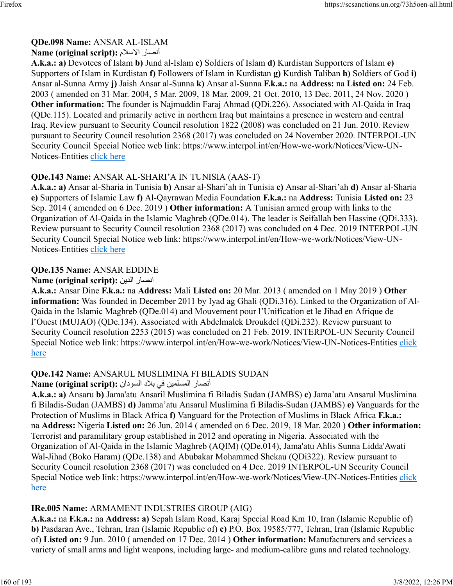## **QDe.098 Name:** ANSAR AL-ISLAM

#### Name (original script): أنصار الاسلام

**A.k.a.: a)** Devotees of Islam **b)** Jund al-Islam **c)** Soldiers of Islam **d)** Kurdistan Supporters of Islam **e)** Supporters of Islam in Kurdistan **f)** Followers of Islam in Kurdistan **g)** Kurdish Taliban **h)** Soldiers of God **i)** Ansar al-Sunna Army **j)** Jaish Ansar al-Sunna **k)** Ansar al-Sunna **F.k.a.:** na **Address:** na **Listed on:** 24 Feb. 2003 ( amended on 31 Mar. 2004, 5 Mar. 2009, 18 Mar. 2009, 21 Oct. 2010, 13 Dec. 2011, 24 Nov. 2020 ) **Other information:** The founder is Najmuddin Faraj Ahmad (QDi.226). Associated with Al-Qaida in Iraq (QDe.115). Located and primarily active in northern Iraq but maintains a presence in western and central Iraq. Review pursuant to Security Council resolution 1822 (2008) was concluded on 21 Jun. 2010. Review pursuant to Security Council resolution 2368 (2017) was concluded on 24 November 2020. INTERPOL-UN Security Council Special Notice web link: https://www.interpol.int/en/How-we-work/Notices/View-UN-Notices-Entities [click here](https://www.interpol.int/en/How-we-work/Notices/View-UN-Notices-Entities)

## **QDe.143 Name:** ANSAR AL-SHARI'A IN TUNISIA (AAS-T)

**A.k.a.: a)** Ansar al-Sharia in Tunisia **b)** Ansar al-Shari'ah in Tunisia **c)** Ansar al-Shari'ah **d)** Ansar al-Sharia **e)** Supporters of Islamic Law **f)** Al-Qayrawan Media Foundation **F.k.a.:** na **Address:** Tunisia **Listed on:** 23 Sep. 2014 ( amended on 6 Dec. 2019 ) **Other information:** A Tunisian armed group with links to the Organization of Al-Qaida in the Islamic Maghreb (QDe.014). The leader is Seifallah ben Hassine (QDi.333). Review pursuant to Security Council resolution 2368 (2017) was concluded on 4 Dec. 2019 INTERPOL-UN Security Council Special Notice web link: https://www.interpol.int/en/How-we-work/Notices/View-UN-Notices-Entities [click here](https://www.interpol.int/en/How-we-work/Notices/View-UN-Notices-Entities)

### **QDe.135 Name:** ANSAR EDDINE

#### **Name (original script):** نيدلا راصنا

**A.k.a.:** Ansar Dine **F.k.a.:** na **Address:** Mali **Listed on:** 20 Mar. 2013 ( amended on 1 May 2019 ) **Other information:** Was founded in December 2011 by Iyad ag Ghali (QDi.316). Linked to the Organization of Al-Qaida in the Islamic Maghreb (QDe.014) and Mouvement pour l'Unification et le Jihad en Afrique de l'Ouest (MUJAO) (QDe.134). Associated with Abdelmalek Droukdel (QDi.232). Review pursuant to Security Council resolution 2253 (2015) was concluded on 21 Feb. 2019. INTERPOL-UN Security Council Special Notice web link: https://www.interpol.int/en/How-we-work/Notices/View-UN-Notices-Entities [click](https://www.interpol.int/en/How-we-work/Notices/View-UN-Notices-Entities) [here](https://www.interpol.int/en/How-we-work/Notices/View-UN-Notices-Entities)

### **QDe.142 Name:** ANSARUL MUSLIMINA FI BILADIS SUDAN

#### أنصار المسلمين في بلاد السودان : Name (original script)

**A.k.a.: a)** Ansaru **b)** Jama'atu Ansaril Muslimina fi Biladis Sudan (JAMBS) **c)** Jama'atu Ansarul Muslimina fi Biladis-Sudan (JAMBS) **d)** Jamma'atu Ansarul Muslimina fi Biladis-Sudan (JAMBS) **e)** Vanguards for the Protection of Muslims in Black Africa **f)** Vanguard for the Protection of Muslims in Black Africa **F.k.a.:** na **Address:** Nigeria **Listed on:** 26 Jun. 2014 ( amended on 6 Dec. 2019, 18 Mar. 2020 ) **Other information:** Terrorist and paramilitary group established in 2012 and operating in Nigeria. Associated with the Organization of Al-Qaida in the Islamic Maghreb (AQIM) (QDe.014), Jama'atu Ahlis Sunna Lidda'Awati Wal-Jihad (Boko Haram) (QDe.138) and Abubakar Mohammed Shekau (QDi322). Review pursuant to Security Council resolution 2368 (2017) was concluded on 4 Dec. 2019 INTERPOL-UN Security Council Special Notice web link: https://www.interpol.int/en/How-we-work/Notices/View-UN-Notices-Entities [click](https://www.interpol.int/en/How-we-work/Notices/View-UN-Notices-Entities) [here](https://www.interpol.int/en/How-we-work/Notices/View-UN-Notices-Entities)

## **IRe.005 Name:** ARMAMENT INDUSTRIES GROUP (AIG)

**A.k.a.:** na **F.k.a.:** na **Address: a)** Sepah Islam Road, Karaj Special Road Km 10, Iran (Islamic Republic of) **b)** Pasdaran Ave., Tehran, Iran (Islamic Republic of) **c)** P.O. Box 19585/777, Tehran, Iran (Islamic Republic of) **Listed on:** 9 Jun. 2010 ( amended on 17 Dec. 2014 ) **Other information:** Manufacturers and services a variety of small arms and light weapons, including large- and medium-calibre guns and related technology.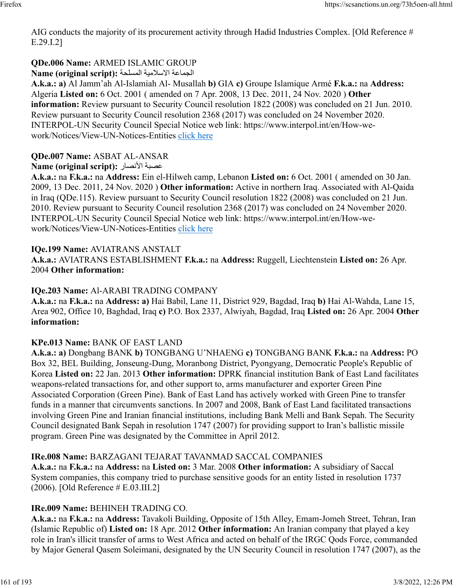AIG conducts the majority of its procurement activity through Hadid Industries Complex. [Old Reference # E.29.I.2]

# **QDe.006 Name:** ARMED ISLAMIC GROUP

الجماعة الاسلامية المسلحة : Name (original script)

**A.k.a.: a)** Al Jamm'ah Al-Islamiah Al- Musallah **b)** GIA **c)** Groupe Islamique Armé **F.k.a.:** na **Address:** Algeria **Listed on:** 6 Oct. 2001 ( amended on 7 Apr. 2008, 13 Dec. 2011, 24 Nov. 2020 ) **Other information:** Review pursuant to Security Council resolution 1822 (2008) was concluded on 21 Jun. 2010. Review pursuant to Security Council resolution 2368 (2017) was concluded on 24 November 2020. INTERPOL-UN Security Council Special Notice web link: https://www.interpol.int/en/How-wework/Notices/View-UN-Notices-Entities [click here](https://www.interpol.int/en/How-we-work/Notices/View-UN-Notices-Entities)

## **QDe.007 Name:** ASBAT AL-ANSAR

### **Name (original script):** راصنلأا ةبصع

**A.k.a.:** na **F.k.a.:** na **Address:** Ein el-Hilweh camp, Lebanon **Listed on:** 6 Oct. 2001 ( amended on 30 Jan. 2009, 13 Dec. 2011, 24 Nov. 2020 ) **Other information:** Active in northern Iraq. Associated with Al-Qaida in Iraq (QDe.115). Review pursuant to Security Council resolution 1822 (2008) was concluded on 21 Jun. 2010. Review pursuant to Security Council resolution 2368 (2017) was concluded on 24 November 2020. INTERPOL-UN Security Council Special Notice web link: https://www.interpol.int/en/How-wework/Notices/View-UN-Notices-Entities [click here](https://www.interpol.int/en/How-we-work/Notices/View-UN-Notices-Entities)

### **IQe.199 Name:** AVIATRANS ANSTALT

**A.k.a.:** AVIATRANS ESTABLISHMENT **F.k.a.:** na **Address:** Ruggell, Liechtenstein **Listed on:** 26 Apr. 2004 **Other information:** 

### **IQe.203 Name:** Al-ARABI TRADING COMPANY

**A.k.a.:** na **F.k.a.:** na **Address: a)** Hai Babil, Lane 11, District 929, Bagdad, Iraq **b)** Hai Al-Wahda, Lane 15, Area 902, Office 10, Baghdad, Iraq **c)** P.O. Box 2337, Alwiyah, Bagdad, Iraq **Listed on:** 26 Apr. 2004 **Other information:** 

### **KPe.013 Name:** BANK OF EAST LAND

**A.k.a.: a)** Dongbang BANK **b)** TONGBANG U'NHAENG **c)** TONGBANG BANK **F.k.a.:** na **Address:** PO Box 32, BEL Building, Jonseung-Dung, Moranbong District, Pyongyang, Democratic People's Republic of Korea **Listed on:** 22 Jan. 2013 **Other information:** DPRK financial institution Bank of East Land facilitates weapons-related transactions for, and other support to, arms manufacturer and exporter Green Pine Associated Corporation (Green Pine). Bank of East Land has actively worked with Green Pine to transfer funds in a manner that circumvents sanctions. In 2007 and 2008, Bank of East Land facilitated transactions involving Green Pine and Iranian financial institutions, including Bank Melli and Bank Sepah. The Security Council designated Bank Sepah in resolution 1747 (2007) for providing support to Iran's ballistic missile program. Green Pine was designated by the Committee in April 2012.

#### **IRe.008 Name:** BARZAGANI TEJARAT TAVANMAD SACCAL COMPANIES

**A.k.a.:** na **F.k.a.:** na **Address:** na **Listed on:** 3 Mar. 2008 **Other information:** A subsidiary of Saccal System companies, this company tried to purchase sensitive goods for an entity listed in resolution 1737 (2006). [Old Reference # E.03.III.2]

### **IRe.009 Name:** BEHINEH TRADING CO.

**A.k.a.:** na **F.k.a.:** na **Address:** Tavakoli Building, Opposite of 15th Alley, Emam-Jomeh Street, Tehran, Iran (Islamic Republic of) **Listed on:** 18 Apr. 2012 **Other information:** An Iranian company that played a key role in Iran's illicit transfer of arms to West Africa and acted on behalf of the IRGC Qods Force, commanded by Major General Qasem Soleimani, designated by the UN Security Council in resolution 1747 (2007), as the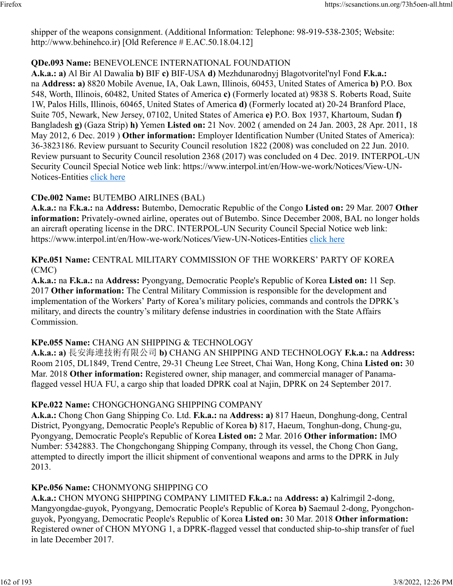shipper of the weapons consignment. (Additional Information: Telephone: 98-919-538-2305; Website: http://www.behinehco.ir) [Old Reference # E.AC.50.18.04.12]

#### **QDe.093 Name:** BENEVOLENCE INTERNATIONAL FOUNDATION

**A.k.a.: a)** Al Bir Al Dawalia **b)** BIF **c)** BIF-USA **d)** Mezhdunarodnyj Blagotvoritel'nyl Fond **F.k.a.:** na **Address: a)** 8820 Mobile Avenue, IA, Oak Lawn, Illinois, 60453, United States of America **b)** P.O. Box 548, Worth, Illinois, 60482, United States of America **c)** (Formerly located at) 9838 S. Roberts Road, Suite 1W, Palos Hills, Illinois, 60465, United States of America **d)** (Formerly located at) 20-24 Branford Place, Suite 705, Newark, New Jersey, 07102, United States of America **e)** P.O. Box 1937, Khartoum, Sudan **f)** Bangladesh **g)** (Gaza Strip) **h)** Yemen **Listed on:** 21 Nov. 2002 ( amended on 24 Jan. 2003, 28 Apr. 2011, 18 May 2012, 6 Dec. 2019 ) **Other information:** Employer Identification Number (United States of America): 36-3823186. Review pursuant to Security Council resolution 1822 (2008) was concluded on 22 Jun. 2010. Review pursuant to Security Council resolution 2368 (2017) was concluded on 4 Dec. 2019. INTERPOL-UN Security Council Special Notice web link: https://www.interpol.int/en/How-we-work/Notices/View-UN-Notices-Entities [click here](https://www.interpol.int/en/How-we-work/Notices/View-UN-Notices-Entities)

### **CDe.002 Name:** BUTEMBO AIRLINES (BAL)

**A.k.a.:** na **F.k.a.:** na **Address:** Butembo, Democratic Republic of the Congo **Listed on:** 29 Mar. 2007 **Other information:** Privately-owned airline, operates out of Butembo. Since December 2008, BAL no longer holds an aircraft operating license in the DRC. INTERPOL-UN Security Council Special Notice web link: https://www.interpol.int/en/How-we-work/Notices/View-UN-Notices-Entities [click here](https://www.interpol.int/en/How-we-work/Notices/View-UN-Notices-Entities)

#### **KPe.051 Name:** CENTRAL MILITARY COMMISSION OF THE WORKERS' PARTY OF KOREA (CMC)

**A.k.a.:** na **F.k.a.:** na **Address:** Pyongyang, Democratic People's Republic of Korea **Listed on:** 11 Sep. 2017 **Other information:** The Central Military Commission is responsible for the development and implementation of the Workers' Party of Korea's military policies, commands and controls the DPRK's military, and directs the country's military defense industries in coordination with the State Affairs Commission.

#### **KPe.055 Name:** CHANG AN SHIPPING & TECHNOLOGY

**A.k.a.: a)** 長安海連技術有限公司 **b)** CHANG AN SHIPPING AND TECHNOLOGY **F.k.a.:** na **Address:** Room 2105, DL1849, Trend Centre, 29-31 Cheung Lee Street, Chai Wan, Hong Kong, China **Listed on:** 30 Mar. 2018 **Other information:** Registered owner, ship manager, and commercial manager of Panamaflagged vessel HUA FU, a cargo ship that loaded DPRK coal at Najin, DPRK on 24 September 2017.

#### **KPe.022 Name:** CHONGCHONGANG SHIPPING COMPANY

**A.k.a.:** Chong Chon Gang Shipping Co. Ltd. **F.k.a.:** na **Address: a)** 817 Haeun, Donghung-dong, Central District, Pyongyang, Democratic People's Republic of Korea **b)** 817, Haeum, Tonghun-dong, Chung-gu, Pyongyang, Democratic People's Republic of Korea **Listed on:** 2 Mar. 2016 **Other information:** IMO Number: 5342883. The Chongchongang Shipping Company, through its vessel, the Chong Chon Gang, attempted to directly import the illicit shipment of conventional weapons and arms to the DPRK in July 2013.

#### **KPe.056 Name:** CHONMYONG SHIPPING CO

**A.k.a.:** CHON MYONG SHIPPING COMPANY LIMITED **F.k.a.:** na **Address: a)** Kalrimgil 2-dong, Mangyongdae-guyok, Pyongyang, Democratic People's Republic of Korea **b)** Saemaul 2-dong, Pyongchonguyok, Pyongyang, Democratic People's Republic of Korea **Listed on:** 30 Mar. 2018 **Other information:** Registered owner of CHON MYONG 1, a DPRK-flagged vessel that conducted ship-to-ship transfer of fuel in late December 2017.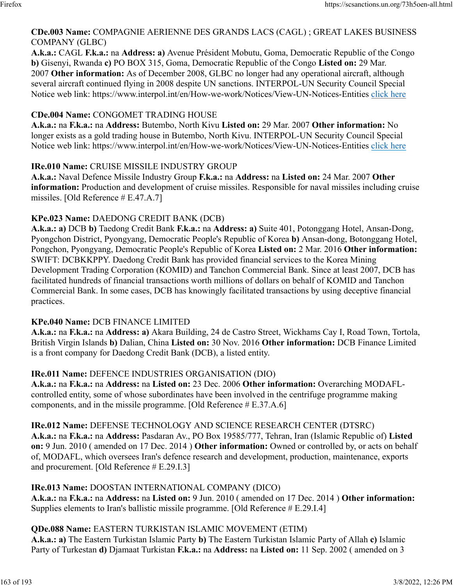#### **CDe.003 Name:** COMPAGNIE AERIENNE DES GRANDS LACS (CAGL) ; GREAT LAKES BUSINESS COMPANY (GLBC)

**A.k.a.:** CAGL **F.k.a.:** na **Address: a)** Avenue Président Mobutu, Goma, Democratic Republic of the Congo **b)** Gisenyi, Rwanda **c)** PO BOX 315, Goma, Democratic Republic of the Congo **Listed on:** 29 Mar. 2007 **Other information:** As of December 2008, GLBC no longer had any operational aircraft, although several aircraft continued flying in 2008 despite UN sanctions. INTERPOL-UN Security Council Special Notice web link: https://www.interpol.int/en/How-we-work/Notices/View-UN-Notices-Entities [click here](https://www.interpol.int/en/How-we-work/Notices/View-UN-Notices-Entities)

#### **CDe.004 Name:** CONGOMET TRADING HOUSE

**A.k.a.:** na **F.k.a.:** na **Address:** Butembo, North Kivu **Listed on:** 29 Mar. 2007 **Other information:** No longer exists as a gold trading house in Butembo, North Kivu. INTERPOL-UN Security Council Special Notice web link: https://www.interpol.int/en/How-we-work/Notices/View-UN-Notices-Entities [click here](https://www.interpol.int/en/How-we-work/Notices/View-UN-Notices-Entities)

#### **IRe.010 Name:** CRUISE MISSILE INDUSTRY GROUP

**A.k.a.:** Naval Defence Missile Industry Group **F.k.a.:** na **Address:** na **Listed on:** 24 Mar. 2007 **Other information:** Production and development of cruise missiles. Responsible for naval missiles including cruise missiles. [Old Reference # E.47.A.7]

#### **KPe.023 Name:** DAEDONG CREDIT BANK (DCB)

**A.k.a.: a)** DCB **b)** Taedong Credit Bank **F.k.a.:** na **Address: a)** Suite 401, Potonggang Hotel, Ansan-Dong, Pyongchon District, Pyongyang, Democratic People's Republic of Korea **b)** Ansan-dong, Botonggang Hotel, Pongchon, Pyongyang, Democratic People's Republic of Korea **Listed on:** 2 Mar. 2016 **Other information:** SWIFT: DCBKKPPY. Daedong Credit Bank has provided financial services to the Korea Mining Development Trading Corporation (KOMID) and Tanchon Commercial Bank. Since at least 2007, DCB has facilitated hundreds of financial transactions worth millions of dollars on behalf of KOMID and Tanchon Commercial Bank. In some cases, DCB has knowingly facilitated transactions by using deceptive financial practices.

#### **KPe.040 Name:** DCB FINANCE LIMITED

**A.k.a.:** na **F.k.a.:** na **Address: a)** Akara Building, 24 de Castro Street, Wickhams Cay I, Road Town, Tortola, British Virgin Islands **b)** Dalian, China **Listed on:** 30 Nov. 2016 **Other information:** DCB Finance Limited is a front company for Daedong Credit Bank (DCB), a listed entity.

#### **IRe.011 Name:** DEFENCE INDUSTRIES ORGANISATION (DIO)

**A.k.a.:** na **F.k.a.:** na **Address:** na **Listed on:** 23 Dec. 2006 **Other information:** Overarching MODAFLcontrolled entity, some of whose subordinates have been involved in the centrifuge programme making components, and in the missile programme. [Old Reference # E.37.A.6]

#### **IRe.012 Name:** DEFENSE TECHNOLOGY AND SCIENCE RESEARCH CENTER (DTSRC)

**A.k.a.:** na **F.k.a.:** na **Address:** Pasdaran Av., PO Box 19585/777, Tehran, Iran (Islamic Republic of) **Listed on:** 9 Jun. 2010 ( amended on 17 Dec. 2014 ) **Other information:** Owned or controlled by, or acts on behalf of, MODAFL, which oversees Iran's defence research and development, production, maintenance, exports and procurement. [Old Reference # E.29.I.3]

#### **IRe.013 Name:** DOOSTAN INTERNATIONAL COMPANY (DICO)

**A.k.a.:** na **F.k.a.:** na **Address:** na **Listed on:** 9 Jun. 2010 ( amended on 17 Dec. 2014 ) **Other information:** Supplies elements to Iran's ballistic missile programme. [Old Reference # E.29.I.4]

#### **QDe.088 Name:** EASTERN TURKISTAN ISLAMIC MOVEMENT (ETIM)

**A.k.a.: a)** The Eastern Turkistan Islamic Party **b)** The Eastern Turkistan Islamic Party of Allah **c)** Islamic Party of Turkestan **d)** Djamaat Turkistan **F.k.a.:** na **Address:** na **Listed on:** 11 Sep. 2002 ( amended on 3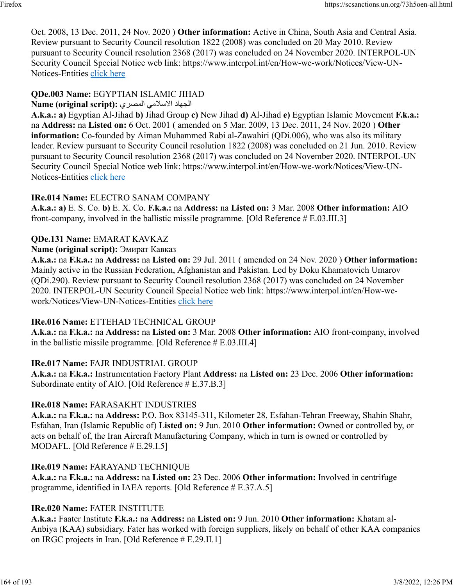Oct. 2008, 13 Dec. 2011, 24 Nov. 2020 ) **Other information:** Active in China, South Asia and Central Asia. Review pursuant to Security Council resolution 1822 (2008) was concluded on 20 May 2010. Review pursuant to Security Council resolution 2368 (2017) was concluded on 24 November 2020. INTERPOL-UN Security Council Special Notice web link: https://www.interpol.int/en/How-we-work/Notices/View-UN-Notices-Entities [click here](https://www.interpol.int/en/How-we-work/Notices/View-UN-Notices-Entities)

## **QDe.003 Name:** EGYPTIAN ISLAMIC JIHAD

الجهاد الاسلامي المصري : Name (original script)

**A.k.a.: a)** Egyptian Al-Jihad **b)** Jihad Group **c)** New Jihad **d)** Al-Jihad **e)** Egyptian Islamic Movement **F.k.a.:** na **Address:** na **Listed on:** 6 Oct. 2001 ( amended on 5 Mar. 2009, 13 Dec. 2011, 24 Nov. 2020 ) **Other information:** Co-founded by Aiman Muhammed Rabi al-Zawahiri (QDi.006), who was also its military leader. Review pursuant to Security Council resolution 1822 (2008) was concluded on 21 Jun. 2010. Review pursuant to Security Council resolution 2368 (2017) was concluded on 24 November 2020. INTERPOL-UN Security Council Special Notice web link: https://www.interpol.int/en/How-we-work/Notices/View-UN-Notices-Entities [click here](https://www.interpol.int/en/How-we-work/Notices/View-UN-Notices-Entities)

### **IRe.014 Name:** ELECTRO SANAM COMPANY

**A.k.a.: a)** E. S. Co. **b)** E. X. Co. **F.k.a.:** na **Address:** na **Listed on:** 3 Mar. 2008 **Other information:** AIO front-company, involved in the ballistic missile programme. [Old Reference # E.03.III.3]

### **QDe.131 Name:** EMARAT KAVKAZ

#### **Name (original script):** Эмират Кавказ

**A.k.a.:** na **F.k.a.:** na **Address:** na **Listed on:** 29 Jul. 2011 ( amended on 24 Nov. 2020 ) **Other information:** Mainly active in the Russian Federation, Afghanistan and Pakistan. Led by Doku Khamatovich Umarov (QDi.290). Review pursuant to Security Council resolution 2368 (2017) was concluded on 24 November 2020. INTERPOL-UN Security Council Special Notice web link: https://www.interpol.int/en/How-wework/Notices/View-UN-Notices-Entities [click here](https://www.interpol.int/en/How-we-work/Notices/View-UN-Notices-Entities)

#### **IRe.016 Name:** ETTEHAD TECHNICAL GROUP

**A.k.a.:** na **F.k.a.:** na **Address:** na **Listed on:** 3 Mar. 2008 **Other information:** AIO front-company, involved in the ballistic missile programme. [Old Reference # E.03.III.4]

#### **IRe.017 Name:** FAJR INDUSTRIAL GROUP

**A.k.a.:** na **F.k.a.:** Instrumentation Factory Plant **Address:** na **Listed on:** 23 Dec. 2006 **Other information:** Subordinate entity of AIO. [Old Reference # E.37.B.3]

#### **IRe.018 Name:** FARASAKHT INDUSTRIES

**A.k.a.:** na **F.k.a.:** na **Address:** P.O. Box 83145-311, Kilometer 28, Esfahan-Tehran Freeway, Shahin Shahr, Esfahan, Iran (Islamic Republic of) **Listed on:** 9 Jun. 2010 **Other information:** Owned or controlled by, or acts on behalf of, the Iran Aircraft Manufacturing Company, which in turn is owned or controlled by MODAFL. [Old Reference # E.29.I.5]

#### **IRe.019 Name:** FARAYAND TECHNIQUE

**A.k.a.:** na **F.k.a.:** na **Address:** na **Listed on:** 23 Dec. 2006 **Other information:** Involved in centrifuge programme, identified in IAEA reports. [Old Reference # E.37.A.5]

### **IRe.020 Name:** FATER INSTITUTE

**A.k.a.:** Faater Institute **F.k.a.:** na **Address:** na **Listed on:** 9 Jun. 2010 **Other information:** Khatam al-Anbiya (KAA) subsidiary. Fater has worked with foreign suppliers, likely on behalf of other KAA companies on IRGC projects in Iran. [Old Reference # E.29.II.1]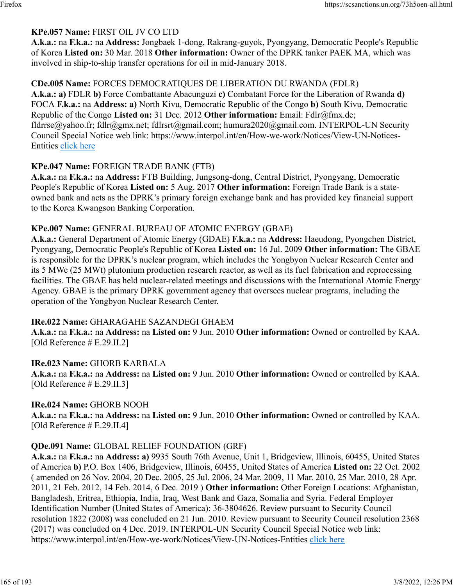#### **KPe.057 Name:** FIRST OIL JV CO LTD

**A.k.a.:** na **F.k.a.:** na **Address:** Jongbaek 1-dong, Rakrang-guyok, Pyongyang, Democratic People's Republic of Korea **Listed on:** 30 Mar. 2018 **Other information:** Owner of the DPRK tanker PAEK MA, which was involved in ship-to-ship transfer operations for oil in mid-January 2018.

#### **CDe.005 Name:** FORCES DEMOCRATIQUES DE LIBERATION DU RWANDA (FDLR)

**A.k.a.: a)** FDLR **b)** Force Combattante Abacunguzi **c)** Combatant Force for the Liberation of Rwanda **d)** FOCA **F.k.a.:** na **Address: a)** North Kivu, Democratic Republic of the Congo **b)** South Kivu, Democratic Republic of the Congo **Listed on:** 31 Dec. 2012 **Other information:** Email: Fdlr@fmx.de; fldrrse@yahoo.fr; fdlr@gmx.net; fdlrsrt@gmail.com; humura2020@gmail.com. INTERPOL-UN Security Council Special Notice web link: https://www.interpol.int/en/How-we-work/Notices/View-UN-Notices-Entities [click here](https://www.interpol.int/en/How-we-work/Notices/View-UN-Notices-Entities)

#### **KPe.047 Name:** FOREIGN TRADE BANK (FTB)

**A.k.a.:** na **F.k.a.:** na **Address:** FTB Building, Jungsong-dong, Central District, Pyongyang, Democratic People's Republic of Korea **Listed on:** 5 Aug. 2017 **Other information:** Foreign Trade Bank is a stateowned bank and acts as the DPRK's primary foreign exchange bank and has provided key financial support to the Korea Kwangson Banking Corporation.

#### **KPe.007 Name:** GENERAL BUREAU OF ATOMIC ENERGY (GBAE)

**A.k.a.:** General Department of Atomic Energy (GDAE) **F.k.a.:** na **Address:** Haeudong, Pyongchen District, Pyongyang, Democratic People's Republic of Korea **Listed on:** 16 Jul. 2009 **Other information:** The GBAE is responsible for the DPRK's nuclear program, which includes the Yongbyon Nuclear Research Center and its 5 MWe (25 MWt) plutonium production research reactor, as well as its fuel fabrication and reprocessing facilities. The GBAE has held nuclear-related meetings and discussions with the International Atomic Energy Agency. GBAE is the primary DPRK government agency that oversees nuclear programs, including the operation of the Yongbyon Nuclear Research Center.

#### **IRe.022 Name:** GHARAGAHE SAZANDEGI GHAEM

**A.k.a.:** na **F.k.a.:** na **Address:** na **Listed on:** 9 Jun. 2010 **Other information:** Owned or controlled by KAA. [Old Reference # E.29.II.2]

#### **IRe.023 Name:** GHORB KARBALA

**A.k.a.:** na **F.k.a.:** na **Address:** na **Listed on:** 9 Jun. 2010 **Other information:** Owned or controlled by KAA. [Old Reference # E.29.II.3]

#### **IRe.024 Name:** GHORB NOOH

**A.k.a.:** na **F.k.a.:** na **Address:** na **Listed on:** 9 Jun. 2010 **Other information:** Owned or controlled by KAA. [Old Reference # E.29.II.4]

#### **QDe.091 Name:** GLOBAL RELIEF FOUNDATION (GRF)

**A.k.a.:** na **F.k.a.:** na **Address: a)** 9935 South 76th Avenue, Unit 1, Bridgeview, Illinois, 60455, United States of America **b)** P.O. Box 1406, Bridgeview, Illinois, 60455, United States of America **Listed on:** 22 Oct. 2002 ( amended on 26 Nov. 2004, 20 Dec. 2005, 25 Jul. 2006, 24 Mar. 2009, 11 Mar. 2010, 25 Mar. 2010, 28 Apr. 2011, 21 Feb. 2012, 14 Feb. 2014, 6 Dec. 2019 ) **Other information:** Other Foreign Locations: Afghanistan, Bangladesh, Eritrea, Ethiopia, India, Iraq, West Bank and Gaza, Somalia and Syria. Federal Employer Identification Number (United States of America): 36-3804626. Review pursuant to Security Council resolution 1822 (2008) was concluded on 21 Jun. 2010. Review pursuant to Security Council resolution 2368 (2017) was concluded on 4 Dec. 2019. INTERPOL-UN Security Council Special Notice web link: https://www.interpol.int/en/How-we-work/Notices/View-UN-Notices-Entities [click here](https://www.interpol.int/en/How-we-work/Notices/View-UN-Notices-Entities)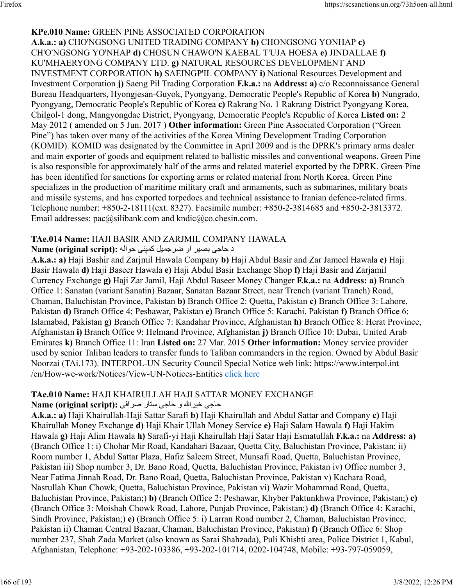#### **KPe.010 Name:** GREEN PINE ASSOCIATED CORPORATION

**A.k.a.: a)** CHO'NGSONG UNITED TRADING COMPANY **b)** CHONGSONG YONHAP **c)** CH'O'NGSONG YO'NHAP **d)** CHOSUN CHAWO'N KAEBAL T'UJA HOESA **e)** JINDALLAE **f)** KU'MHAERYONG COMPANY LTD. **g)** NATURAL RESOURCES DEVELOPMENT AND INVESTMENT CORPORATION **h)** SAEINGP'IL COMPANY **i)** National Resources Development and Investment Corporation **j)** Saeng Pil Trading Corporation **F.k.a.:** na **Address: a)** c/o Reconnaissance General Bureau Headquarters, Hyongjesan-Guyok, Pyongyang, Democratic People's Republic of Korea **b)** Nungrado, Pyongyang, Democratic People's Republic of Korea **c)** Rakrang No. 1 Rakrang District Pyongyang Korea, Chilgol-1 dong, Mangyongdae District, Pyongyang, Democratic People's Republic of Korea **Listed on:** 2 May 2012 ( amended on 5 Jun. 2017 ) **Other information:** Green Pine Associated Corporation ("Green Pine") has taken over many of the activities of the Korea Mining Development Trading Corporation (KOMID). KOMID was designated by the Committee in April 2009 and is the DPRK's primary arms dealer and main exporter of goods and equipment related to ballistic missiles and conventional weapons. Green Pine is also responsible for approximately half of the arms and related materiel exported by the DPRK. Green Pine has been identified for sanctions for exporting arms or related material from North Korea. Green Pine specializes in the production of maritime military craft and armaments, such as submarines, military boats and missile systems, and has exported torpedoes and technical assistance to Iranian defence-related firms. Telephone number: +850-2-18111(ext. 8327). Facsimile number: +850-2-3814685 and +850-2-3813372. Email addresses: pac@silibank.com and kndic@co.chesin.com.

#### **TAe.014 Name:** HAJI BASIR AND ZARJMIL COMPANY HAWALA

#### د حاجي بصبر او ضر جمبل كمپني حواله :Name (original script)

**A.k.a.: a)** Haji Bashir and Zarjmil Hawala Company **b)** Haji Abdul Basir and Zar Jameel Hawala **c)** Haji Basir Hawala **d)** Haji Baseer Hawala **e)** Haji Abdul Basir Exchange Shop **f)** Haji Basir and Zarjamil Currency Exchange **g)** Haji Zar Jamil, Haji Abdul Baseer Money Changer **F.k.a.:** na **Address: a)** Branch Office 1: Sanatan (variant Sanatin) Bazaar, Sanatan Bazaar Street, near Trench (variant Tranch) Road, Chaman, Baluchistan Province, Pakistan **b)** Branch Office 2: Quetta, Pakistan **c)** Branch Office 3: Lahore, Pakistan **d)** Branch Office 4: Peshawar, Pakistan **e)** Branch Office 5: Karachi, Pakistan **f)** Branch Office 6: Islamabad, Pakistan **g)** Branch Office 7: Kandahar Province, Afghanistan **h)** Branch Office 8: Herat Province, Afghanistan **i)** Branch Office 9: Helmand Province, Afghanistan **j)** Branch Office 10: Dubai, United Arab Emirates **k)** Branch Office 11: Iran **Listed on:** 27 Mar. 2015 **Other information:** Money service provider used by senior Taliban leaders to transfer funds to Taliban commanders in the region. Owned by Abdul Basir Noorzai (TAi.173). INTERPOL-UN Security Council Special Notice web link: https://www.interpol.int /en/How-we-work/Notices/View-UN-Notices-Entities [click here](https://www.interpol.int/en/How-we-work/Notices/View-UN-Notices-Entities)

#### **TAe.010 Name:** HAJI KHAIRULLAH HAJI SATTAR MONEY EXCHANGE

#### یجاح اللهريخ و یجاح راتس یفارص **:(script original (Name**

**A.k.a.: a)** Haji Khairullah-Haji Sattar Sarafi **b)** Haji Khairullah and Abdul Sattar and Company **c)** Haji Khairullah Money Exchange **d)** Haji Khair Ullah Money Service **e)** Haji Salam Hawala **f)** Haji Hakim Hawala **g)** Haji Alim Hawala **h)** Sarafi-yi Haji Khairullah Haji Satar Haji Esmatullah **F.k.a.:** na **Address: a)** (Branch Office 1: i) Chohar Mir Road, Kandahari Bazaar, Quetta City, Baluchistan Province, Pakistan; ii) Room number 1, Abdul Sattar Plaza, Hafiz Saleem Street, Munsafi Road, Quetta, Baluchistan Province, Pakistan iii) Shop number 3, Dr. Bano Road, Quetta, Baluchistan Province, Pakistan iv) Office number 3, Near Fatima Jinnah Road, Dr. Bano Road, Quetta, Baluchistan Province, Pakistan v) Kachara Road, Nasrullah Khan Chowk, Quetta, Baluchistan Province, Pakistan vi) Wazir Mohammad Road, Quetta, Baluchistan Province, Pakistan;) **b)** (Branch Office 2: Peshawar, Khyber Paktunkhwa Province, Pakistan;) **c)** (Branch Office 3: Moishah Chowk Road, Lahore, Punjab Province, Pakistan;) **d)** (Branch Office 4: Karachi, Sindh Province, Pakistan;) **e)** (Branch Office 5: i) Larran Road number 2, Chaman, Baluchistan Province, Pakistan ii) Chaman Central Bazaar, Chaman, Baluchistan Province, Pakistan) **f)** (Branch Office 6: Shop number 237, Shah Zada Market (also known as Sarai Shahzada), Puli Khishti area, Police District 1, Kabul, Afghanistan, Telephone: +93-202-103386, +93-202-101714, 0202-104748, Mobile: +93-797-059059,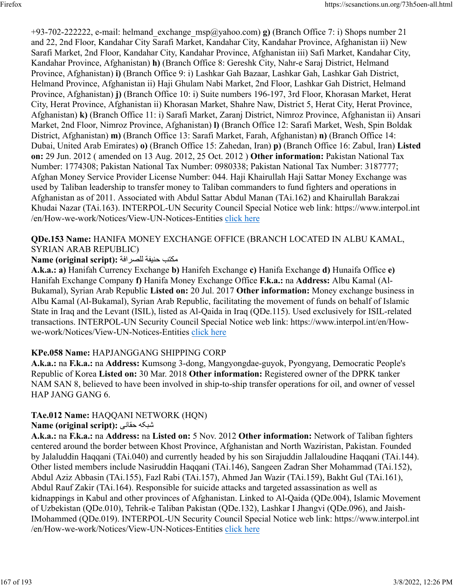+93-702-222222, e-mail: helmand\_exchange\_msp@yahoo.com) **g)** (Branch Office 7: i) Shops number 21 and 22, 2nd Floor, Kandahar City Sarafi Market, Kandahar City, Kandahar Province, Afghanistan ii) New Sarafi Market, 2nd Floor, Kandahar City, Kandahar Province, Afghanistan iii) Safi Market, Kandahar City, Kandahar Province, Afghanistan) **h)** (Branch Office 8: Gereshk City, Nahr-e Saraj District, Helmand Province, Afghanistan) **i)** (Branch Office 9: i) Lashkar Gah Bazaar, Lashkar Gah, Lashkar Gah District, Helmand Province, Afghanistan ii) Haji Ghulam Nabi Market, 2nd Floor, Lashkar Gah District, Helmand Province, Afghanistan) **j)** (Branch Office 10: i) Suite numbers 196-197, 3rd Floor, Khorasan Market, Herat City, Herat Province, Afghanistan ii) Khorasan Market, Shahre Naw, District 5, Herat City, Herat Province, Afghanistan) **k)** (Branch Office 11: i) Sarafi Market, Zaranj District, Nimroz Province, Afghanistan ii) Ansari Market, 2nd Floor, Nimroz Province, Afghanistan) **l)** (Branch Office 12: Sarafi Market, Wesh, Spin Boldak District, Afghanistan) **m)** (Branch Office 13: Sarafi Market, Farah, Afghanistan) **n)** (Branch Office 14: Dubai, United Arab Emirates) **o)** (Branch Office 15: Zahedan, Iran) **p)** (Branch Office 16: Zabul, Iran) **Listed on:** 29 Jun. 2012 ( amended on 13 Aug. 2012, 25 Oct. 2012 ) **Other information:** Pakistan National Tax Number: 1774308; Pakistan National Tax Number: 0980338; Pakistan National Tax Number: 3187777; Afghan Money Service Provider License Number: 044. Haji Khairullah Haji Sattar Money Exchange was used by Taliban leadership to transfer money to Taliban commanders to fund fighters and operations in Afghanistan as of 2011. Associated with Abdul Sattar Abdul Manan (TAi.162) and Khairullah Barakzai Khudai Nazar (TAi.163). INTERPOL-UN Security Council Special Notice web link: https://www.interpol.int /en/How-we-work/Notices/View-UN-Notices-Entities [click here](https://www.interpol.int/en/How-we-work/Notices/View-UN-Notices-Entities)

#### **QDe.153 Name:** HANIFA MONEY EXCHANGE OFFICE (BRANCH LOCATED IN ALBU KAMAL, SYRIAN ARAB REPUBLIC)

### بتكم ةفينح ةفارصلل **:(script original (Name**

**A.k.a.: a)** Hanifah Currency Exchange **b)** Hanifeh Exchange **c)** Hanifa Exchange **d)** Hunaifa Office **e)** Hanifah Exchange Company **f)** Hanifa Money Exchange Office **F.k.a.:** na **Address:** Albu Kamal (Al-Bukamal), Syrian Arab Republic **Listed on:** 20 Jul. 2017 **Other information:** Money exchange business in Albu Kamal (Al-Bukamal), Syrian Arab Republic, facilitating the movement of funds on behalf of Islamic State in Iraq and the Levant (ISIL), listed as Al-Qaida in Iraq (QDe.115). Used exclusively for ISIL-related transactions. INTERPOL-UN Security Council Special Notice web link: https://www.interpol.int/en/Howwe-work/Notices/View-UN-Notices-Entities [click here](https://www.interpol.int/en/How-we-work/Notices/View-UN-Notices-Entities)

### **KPe.058 Name:** HAPJANGGANG SHIPPING CORP

**A.k.a.:** na **F.k.a.:** na **Address:** Kumsong 3-dong, Mangyongdae-guyok, Pyongyang, Democratic People's Republic of Korea **Listed on:** 30 Mar. 2018 **Other information:** Registered owner of the DPRK tanker NAM SAN 8, believed to have been involved in ship-to-ship transfer operations for oil, and owner of vessel HAP JANG GANG 6.

### **TAe.012 Name:** HAQQANI NETWORK (HQN)

#### **Name (original script):** یناقح هکبش

**A.k.a.:** na **F.k.a.:** na **Address:** na **Listed on:** 5 Nov. 2012 **Other information:** Network of Taliban fighters centered around the border between Khost Province, Afghanistan and North Waziristan, Pakistan. Founded by Jalaluddin Haqqani (TAi.040) and currently headed by his son Sirajuddin Jallaloudine Haqqani (TAi.144). Other listed members include Nasiruddin Haqqani (TAi.146), Sangeen Zadran Sher Mohammad (TAi.152), Abdul Aziz Abbasin (TAi.155), Fazl Rabi (TAi.157), Ahmed Jan Wazir (TAi.159), Bakht Gul (TAi.161), Abdul Rauf Zakir (TAi.164). Responsible for suicide attacks and targeted assassination as well as kidnappings in Kabul and other provinces of Afghanistan. Linked to Al-Qaida (QDe.004), Islamic Movement of Uzbekistan (QDe.010), Tehrik-e Taliban Pakistan (QDe.132), Lashkar I Jhangvi (QDe.096), and Jaish-IMohammed (QDe.019). INTERPOL-UN Security Council Special Notice web link: https://www.interpol.int /en/How-we-work/Notices/View-UN-Notices-Entities [click here](https://www.interpol.int/en/How-we-work/Notices/View-UN-Notices-Entities)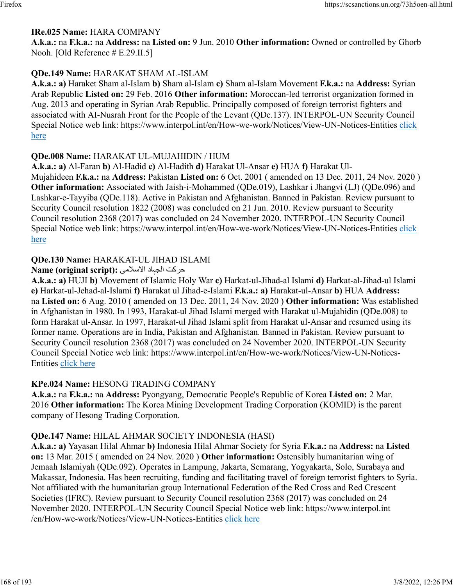#### **IRe.025 Name:** HARA COMPANY

**A.k.a.:** na **F.k.a.:** na **Address:** na **Listed on:** 9 Jun. 2010 **Other information:** Owned or controlled by Ghorb Nooh. [Old Reference # E.29.II.5]

#### **QDe.149 Name:** HARAKAT SHAM AL-ISLAM

**A.k.a.: a)** Haraket Sham al-Islam **b)** Sham al-Islam **c)** Sham al-Islam Movement **F.k.a.:** na **Address:** Syrian Arab Republic **Listed on:** 29 Feb. 2016 **Other information:** Moroccan-led terrorist organization formed in Aug. 2013 and operating in Syrian Arab Republic. Principally composed of foreign terrorist fighters and associated with AI-Nusrah Front for the People of the Levant (QDe.137). INTERPOL-UN Security Council Special Notice web link: https://www.interpol.int/en/How-we-work/Notices/View-UN-Notices-Entities [click](https://www.interpol.int/en/How-we-work/Notices/View-UN-Notices-Entities) [here](https://www.interpol.int/en/How-we-work/Notices/View-UN-Notices-Entities)

#### **QDe.008 Name:** HARAKAT UL-MUJAHIDIN / HUM

**A.k.a.: a)** Al-Faran **b)** Al-Hadid **c)** Al-Hadith **d)** Harakat Ul-Ansar **e)** HUA **f)** Harakat Ul-Mujahideen **F.k.a.:** na **Address:** Pakistan **Listed on:** 6 Oct. 2001 ( amended on 13 Dec. 2011, 24 Nov. 2020 ) **Other information:** Associated with Jaish-i-Mohammed (QDe.019), Lashkar i Jhangvi (LJ) (QDe.096) and Lashkar-e-Tayyiba (QDe.118). Active in Pakistan and Afghanistan. Banned in Pakistan. Review pursuant to Security Council resolution 1822 (2008) was concluded on 21 Jun. 2010. Review pursuant to Security Council resolution 2368 (2017) was concluded on 24 November 2020. INTERPOL-UN Security Council Special Notice web link: https://www.interpol.int/en/How-we-work/Notices/View-UN-Notices-Entities [click](https://www.interpol.int/en/How-we-work/Notices/View-UN-Notices-Entities) [here](https://www.interpol.int/en/How-we-work/Notices/View-UN-Notices-Entities)

#### **QDe.130 Name:** HARAKAT-UL JIHAD ISLAMI

#### تک الجباد الاسلامي :(Name (original script

**A.k.a.: a)** HUJI **b)** Movement of Islamic Holy War **c)** Harkat-ul-Jihad-al Islami **d)** Harkat-al-Jihad-ul Islami **e)** Harkat-ul-Jehad-al-Islami **f)** Harakat ul Jihad-e-Islami **F.k.a.: a)** Harakat-ul-Ansar **b)** HUA **Address:** na **Listed on:** 6 Aug. 2010 ( amended on 13 Dec. 2011, 24 Nov. 2020 ) **Other information:** Was established in Afghanistan in 1980. In 1993, Harakat-ul Jihad Islami merged with Harakat ul-Mujahidin (QDe.008) to form Harakat ul-Ansar. In 1997, Harakat-ul Jihad Islami split from Harakat ul-Ansar and resumed using its former name. Operations are in India, Pakistan and Afghanistan. Banned in Pakistan. Review pursuant to Security Council resolution 2368 (2017) was concluded on 24 November 2020. INTERPOL-UN Security Council Special Notice web link: https://www.interpol.int/en/How-we-work/Notices/View-UN-Notices-Entities [click here](https://www.interpol.int/en/How-we-work/Notices/View-UN-Notices-Entities)

#### **KPe.024 Name:** HESONG TRADING COMPANY

**A.k.a.:** na **F.k.a.:** na **Address:** Pyongyang, Democratic People's Republic of Korea **Listed on:** 2 Mar. 2016 **Other information:** The Korea Mining Development Trading Corporation (KOMID) is the parent company of Hesong Trading Corporation.

#### **QDe.147 Name:** HILAL AHMAR SOCIETY INDONESIA (HASI)

**A.k.a.: a)** Yayasan Hilal Ahmar **b)** Indonesia Hilal Ahmar Society for Syria **F.k.a.:** na **Address:** na **Listed on:** 13 Mar. 2015 ( amended on 24 Nov. 2020 ) **Other information:** Ostensibly humanitarian wing of Jemaah Islamiyah (QDe.092). Operates in Lampung, Jakarta, Semarang, Yogyakarta, Solo, Surabaya and Makassar, Indonesia. Has been recruiting, funding and facilitating travel of foreign terrorist fighters to Syria. Not affiliated with the humanitarian group International Federation of the Red Cross and Red Crescent Societies (IFRC). Review pursuant to Security Council resolution 2368 (2017) was concluded on 24 November 2020. INTERPOL-UN Security Council Special Notice web link: https://www.interpol.int /en/How-we-work/Notices/View-UN-Notices-Entities [click here](https://www.interpol.int/en/How-we-work/Notices/View-UN-Notices-Entities)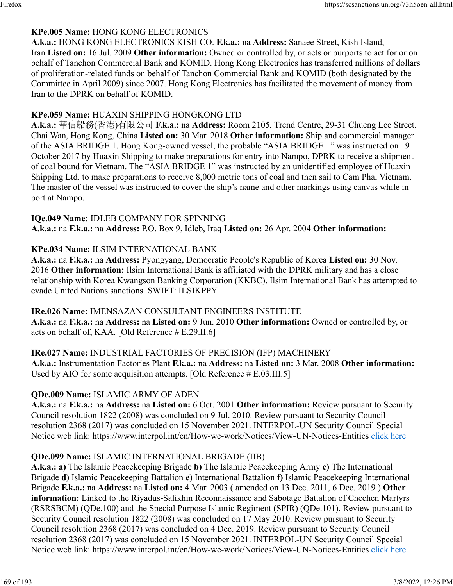### **KPe.005 Name:** HONG KONG ELECTRONICS

**A.k.a.:** HONG KONG ELECTRONICS KISH CO. **F.k.a.:** na **Address:** Sanaee Street, Kish Island, Iran **Listed on:** 16 Jul. 2009 **Other information:** Owned or controlled by, or acts or purports to act for or on behalf of Tanchon Commercial Bank and KOMID. Hong Kong Electronics has transferred millions of dollars of proliferation-related funds on behalf of Tanchon Commercial Bank and KOMID (both designated by the Committee in April 2009) since 2007. Hong Kong Electronics has facilitated the movement of money from Iran to the DPRK on behalf of KOMID.

#### **KPe.059 Name:** HUAXIN SHIPPING HONGKONG LTD

**A.k.a.:** 華信船務(香港)有限公司 **F.k.a.:** na **Address:** Room 2105, Trend Centre, 29-31 Chueng Lee Street, Chai Wan, Hong Kong, China **Listed on:** 30 Mar. 2018 **Other information:** Ship and commercial manager of the ASIA BRIDGE 1. Hong Kong-owned vessel, the probable "ASIA BRIDGE 1" was instructed on 19 October 2017 by Huaxin Shipping to make preparations for entry into Nampo, DPRK to receive a shipment of coal bound for Vietnam. The "ASIA BRIDGE 1" was instructed by an unidentified employee of Huaxin Shipping Ltd. to make preparations to receive 8,000 metric tons of coal and then sail to Cam Pha, Vietnam. The master of the vessel was instructed to cover the ship's name and other markings using canvas while in port at Nampo.

### **IQe.049 Name:** IDLEB COMPANY FOR SPINNING

**A.k.a.:** na **F.k.a.:** na **Address:** P.O. Box 9, Idleb, Iraq **Listed on:** 26 Apr. 2004 **Other information:** 

### **KPe.034 Name:** ILSIM INTERNATIONAL BANK

**A.k.a.:** na **F.k.a.:** na **Address:** Pyongyang, Democratic People's Republic of Korea **Listed on:** 30 Nov. 2016 **Other information:** Ilsim International Bank is affiliated with the DPRK military and has a close relationship with Korea Kwangson Banking Corporation (KKBC). Ilsim International Bank has attempted to evade United Nations sanctions. SWIFT: ILSIKPPY

#### **IRe.026 Name:** IMENSAZAN CONSULTANT ENGINEERS INSTITUTE

**A.k.a.:** na **F.k.a.:** na **Address:** na **Listed on:** 9 Jun. 2010 **Other information:** Owned or controlled by, or acts on behalf of, KAA. [Old Reference # E.29.II.6]

#### **IRe.027 Name:** INDUSTRIAL FACTORIES OF PRECISION (IFP) MACHINERY

**A.k.a.:** Instrumentation Factories Plant **F.k.a.:** na **Address:** na **Listed on:** 3 Mar. 2008 **Other information:** Used by AIO for some acquisition attempts. [Old Reference # E.03.III.5]

### **QDe.009 Name:** ISLAMIC ARMY OF ADEN

**A.k.a.:** na **F.k.a.:** na **Address:** na **Listed on:** 6 Oct. 2001 **Other information:** Review pursuant to Security Council resolution 1822 (2008) was concluded on 9 Jul. 2010. Review pursuant to Security Council resolution 2368 (2017) was concluded on 15 November 2021. INTERPOL-UN Security Council Special Notice web link: https://www.interpol.int/en/How-we-work/Notices/View-UN-Notices-Entities [click here](https://www.interpol.int/en/How-we-work/Notices/View-UN-Notices-Entities)

### **QDe.099 Name:** ISLAMIC INTERNATIONAL BRIGADE (IIB)

**A.k.a.: a)** The Islamic Peacekeeping Brigade **b)** The Islamic Peacekeeping Army **c)** The International Brigade **d)** Islamic Peacekeeping Battalion **e)** International Battalion **f)** Islamic Peacekeeping International Brigade **F.k.a.:** na **Address:** na **Listed on:** 4 Mar. 2003 ( amended on 13 Dec. 2011, 6 Dec. 2019 ) **Other information:** Linked to the Riyadus-Salikhin Reconnaissance and Sabotage Battalion of Chechen Martyrs (RSRSBCM) (QDe.100) and the Special Purpose Islamic Regiment (SPIR) (QDe.101). Review pursuant to Security Council resolution 1822 (2008) was concluded on 17 May 2010. Review pursuant to Security Council resolution 2368 (2017) was concluded on 4 Dec. 2019. Review pursuant to Security Council resolution 2368 (2017) was concluded on 15 November 2021. INTERPOL-UN Security Council Special Notice web link: https://www.interpol.int/en/How-we-work/Notices/View-UN-Notices-Entities [click here](https://www.interpol.int/en/How-we-work/Notices/View-UN-Notices-Entities)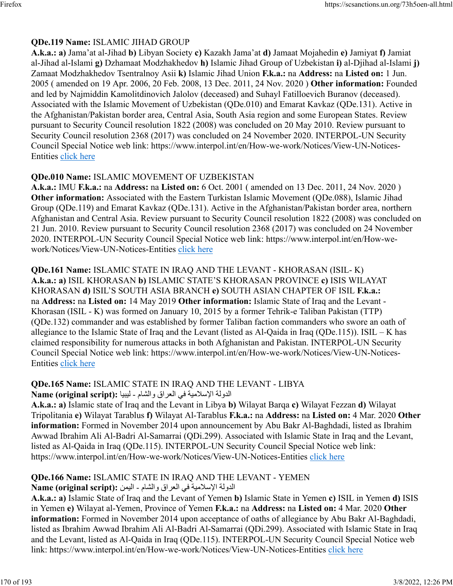### **QDe.119 Name:** ISLAMIC JIHAD GROUP

**A.k.a.: a)** Jama'at al-Jihad **b)** Libyan Society **c)** Kazakh Jama'at **d)** Jamaat Mojahedin **e)** Jamiyat **f)** Jamiat al-Jihad al-Islami **g)** Dzhamaat Modzhakhedov **h)** Islamic Jihad Group of Uzbekistan **i)** al-Djihad al-Islami **j)** Zamaat Modzhakhedov Tsentralnoy Asii **k)** Islamic Jihad Union **F.k.a.:** na **Address:** na **Listed on:** 1 Jun. 2005 ( amended on 19 Apr. 2006, 20 Feb. 2008, 13 Dec. 2011, 24 Nov. 2020 ) **Other information:** Founded and led by Najmiddin Kamolitdinovich Jalolov (deceased) and Suhayl Fatilloevich Buranov (deceased). Associated with the Islamic Movement of Uzbekistan (QDe.010) and Emarat Kavkaz (QDe.131). Active in the Afghanistan/Pakistan border area, Central Asia, South Asia region and some European States. Review pursuant to Security Council resolution 1822 (2008) was concluded on 20 May 2010. Review pursuant to Security Council resolution 2368 (2017) was concluded on 24 November 2020. INTERPOL-UN Security Council Special Notice web link: https://www.interpol.int/en/How-we-work/Notices/View-UN-Notices-Entities [click here](https://www.interpol.int/en/How-we-work/Notices/View-UN-Notices-Entities)

### **QDe.010 Name:** ISLAMIC MOVEMENT OF UZBEKISTAN

**A.k.a.:** IMU **F.k.a.:** na **Address:** na **Listed on:** 6 Oct. 2001 ( amended on 13 Dec. 2011, 24 Nov. 2020 ) **Other information:** Associated with the Eastern Turkistan Islamic Movement (QDe.088), Islamic Jihad Group (QDe.119) and Emarat Kavkaz (QDe.131). Active in the Afghanistan/Pakistan border area, northern Afghanistan and Central Asia. Review pursuant to Security Council resolution 1822 (2008) was concluded on 21 Jun. 2010. Review pursuant to Security Council resolution 2368 (2017) was concluded on 24 November 2020. INTERPOL-UN Security Council Special Notice web link: https://www.interpol.int/en/How-wework/Notices/View-UN-Notices-Entities [click here](https://www.interpol.int/en/How-we-work/Notices/View-UN-Notices-Entities)

**QDe.161 Name:** ISLAMIC STATE IN IRAQ AND THE LEVANT - KHORASAN (ISIL- K) **A.k.a.: a)** ISIL KHORASAN **b)** ISLAMIC STATE'S KHORASAN PROVINCE **c)** ISIS WILAYAT KHORASAN **d)** ISIL'S SOUTH ASIA BRANCH **e)** SOUTH ASIAN CHAPTER OF ISIL **F.k.a.:** na **Address:** na **Listed on:** 14 May 2019 **Other information:** Islamic State of Iraq and the Levant - Khorasan (ISIL - K) was formed on January 10, 2015 by a former Tehrik-e Taliban Pakistan (TTP) (QDe.132) commander and was established by former Taliban faction commanders who swore an oath of allegiance to the Islamic State of Iraq and the Levant (listed as Al-Qaida in Iraq (QDe.115)). ISIL – K has claimed responsibility for numerous attacks in both Afghanistan and Pakistan. INTERPOL-UN Security Council Special Notice web link: https://www.interpol.int/en/How-we-work/Notices/View-UN-Notices-Entities [click here](https://www.interpol.int/en/How-we-work/Notices/View-UN-Notices-Entities)

# **QDe.165 Name:** ISLAMIC STATE IN IRAQ AND THE LEVANT - LIBYA

الدولة الإسلامية في العراق والشلم - ليبيا : Name (original script)

**A.k.a.: a)** Islamic state of Iraq and the Levant in Libya **b)** Wilayat Barqa **c)** Wilayat Fezzan **d)** Wilayat Tripolitania **e)** Wilayat Tarablus **f)** Wilayat Al-Tarablus **F.k.a.:** na **Address:** na **Listed on:** 4 Mar. 2020 **Other information:** Formed in November 2014 upon announcement by Abu Bakr Al-Baghdadi, listed as Ibrahim Awwad Ibrahim Ali Al-Badri Al-Samarrai (QDi.299). Associated with Islamic State in Iraq and the Levant, listed as Al-Qaida in Iraq (QDe.115). INTERPOL-UN Security Council Special Notice web link: https://www.interpol.int/en/How-we-work/Notices/View-UN-Notices-Entities [click here](https://www.interpol.int/en/How-we-work/Notices/View-UN-Notices-Entities)

### **QDe.166 Name:** ISLAMIC STATE IN IRAQ AND THE LEVANT - YEMEN

الدولة الإسلامية في العراق والشلم - اليمن :Name (original script)

**A.k.a.: a)** Islamic State of Iraq and the Levant of Yemen **b)** Islamic State in Yemen **c)** ISIL in Yemen **d)** ISIS in Yemen **e)** Wilayat al-Yemen, Province of Yemen **F.k.a.:** na **Address:** na **Listed on:** 4 Mar. 2020 **Other information:** Formed in November 2014 upon acceptance of oaths of allegiance by Abu Bakr Al-Baghdadi, listed as Ibrahim Awwad Ibrahim Ali Al-Badri Al-Samarrai (QDi.299). Associated with Islamic State in Iraq and the Levant, listed as Al-Qaida in Iraq (QDe.115). INTERPOL-UN Security Council Special Notice web link: https://www.interpol.int/en/How-we-work/Notices/View-UN-Notices-Entities [click here](https://www.interpol.int/en/How-we-work/Notices/View-UN-Notices-Entities)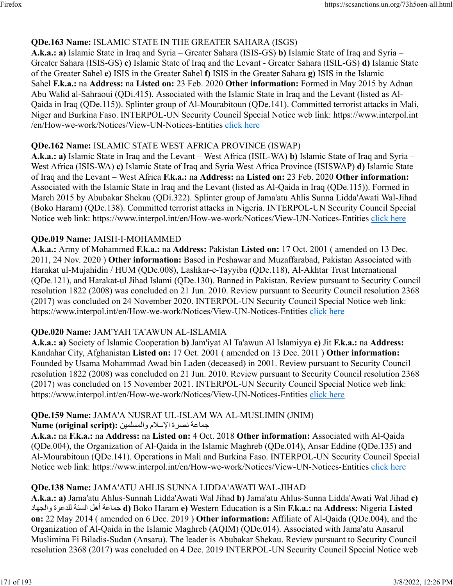### **QDe.163 Name:** ISLAMIC STATE IN THE GREATER SAHARA (ISGS)

**A.k.a.: a)** Islamic State in Iraq and Syria – Greater Sahara (ISIS-GS) **b)** Islamic State of Iraq and Syria – Greater Sahara (ISIS-GS) **c)** Islamic State of Iraq and the Levant - Greater Sahara (ISIL-GS) **d)** Islamic State of the Greater Sahel **e)** ISIS in the Greater Sahel **f)** ISIS in the Greater Sahara **g)** ISIS in the Islamic Sahel **F.k.a.:** na **Address:** na **Listed on:** 23 Feb. 2020 **Other information:** Formed in May 2015 by Adnan Abu Walid al-Sahraoui (QDi.415). Associated with the Islamic State in Iraq and the Levant (listed as Al-Qaida in Iraq (QDe.115)). Splinter group of Al-Mourabitoun (QDe.141). Committed terrorist attacks in Mali, Niger and Burkina Faso. INTERPOL-UN Security Council Special Notice web link: https://www.interpol.int /en/How-we-work/Notices/View-UN-Notices-Entities [click here](https://www.interpol.int/en/How-we-work/Notices/View-UN-Notices-Entities)

#### **QDe.162 Name:** ISLAMIC STATE WEST AFRICA PROVINCE (ISWAP)

**A.k.a.: a)** Islamic State in Iraq and the Levant – West Africa (ISIL-WA) **b)** Islamic State of Iraq and Syria – West Africa (ISIS-WA) **c)** Islamic State of Iraq and Syria West Africa Province (ISISWAP) **d)** Islamic State of Iraq and the Levant – West Africa **F.k.a.:** na **Address:** na **Listed on:** 23 Feb. 2020 **Other information:** Associated with the Islamic State in Iraq and the Levant (listed as Al-Qaida in Iraq (QDe.115)). Formed in March 2015 by Abubakar Shekau (QDi.322). Splinter group of Jama'atu Ahlis Sunna Lidda'Awati Wal-Jihad (Boko Haram) (QDe.138). Committed terrorist attacks in Nigeria. INTERPOL-UN Security Council Special Notice web link: https://www.interpol.int/en/How-we-work/Notices/View-UN-Notices-Entities [click here](https://www.interpol.int/en/How-we-work/Notices/View-UN-Notices-Entities)

### **QDe.019 Name:** JAISH-I-MOHAMMED

**A.k.a.:** Army of Mohammed **F.k.a.:** na **Address:** Pakistan **Listed on:** 17 Oct. 2001 ( amended on 13 Dec. 2011, 24 Nov. 2020 ) **Other information:** Based in Peshawar and Muzaffarabad, Pakistan Associated with Harakat ul-Mujahidin / HUM (QDe.008), Lashkar-e-Tayyiba (QDe.118), Al-Akhtar Trust International (QDe.121), and Harakat-ul Jihad Islami (QDe.130). Banned in Pakistan. Review pursuant to Security Council resolution 1822 (2008) was concluded on 21 Jun. 2010. Review pursuant to Security Council resolution 2368 (2017) was concluded on 24 November 2020. INTERPOL-UN Security Council Special Notice web link: https://www.interpol.int/en/How-we-work/Notices/View-UN-Notices-Entities [click here](https://www.interpol.int/en/How-we-work/Notices/View-UN-Notices-Entities)

#### **QDe.020 Name:** JAM'YAH TA'AWUN AL-ISLAMIA

**A.k.a.: a)** Society of Islamic Cooperation **b)** Jam'iyat Al Ta'awun Al Islamiyya **c)** Jit **F.k.a.:** na **Address:** Kandahar City, Afghanistan **Listed on:** 17 Oct. 2001 ( amended on 13 Dec. 2011 ) **Other information:** Founded by Usama Mohammad Awad bin Laden (deceased) in 2001. Review pursuant to Security Council resolution 1822 (2008) was concluded on 21 Jun. 2010. Review pursuant to Security Council resolution 2368 (2017) was concluded on 15 November 2021. INTERPOL-UN Security Council Special Notice web link: https://www.interpol.int/en/How-we-work/Notices/View-UN-Notices-Entities [click here](https://www.interpol.int/en/How-we-work/Notices/View-UN-Notices-Entities)

### **QDe.159 Name:** JAMA'A NUSRAT UL-ISLAM WA AL-MUSLIMIN (JNIM)

هاعة نصرة الإسلام والمسلمين : Name (original script)

**A.k.a.:** na **F.k.a.:** na **Address:** na **Listed on:** 4 Oct. 2018 **Other information:** Associated with Al-Qaida (QDe.004), the Organization of Al-Qaida in the Islamic Maghreb (QDe.014), Ansar Eddine (QDe.135) and Al-Mourabitoun (QDe.141). Operations in Mali and Burkina Faso. INTERPOL-UN Security Council Special Notice web link: https://www.interpol.int/en/How-we-work/Notices/View-UN-Notices-Entities [click here](https://www.interpol.int/en/How-we-work/Notices/View-UN-Notices-Entities)

### **QDe.138 Name:** JAMA'ATU AHLIS SUNNA LIDDA'AWATI WAL-JIHAD

**A.k.a.: a)** Jama'atu Ahlus-Sunnah Lidda'Awati Wal Jihad **b)** Jama'atu Ahlus-Sunna Lidda'Awati Wal Jihad **c)** داهجلاو ةوعدلل ةنسلا لهأ ةعامج **d)** Boko Haram **e)** Western Education is a Sin **F.k.a.:** na **Address:** Nigeria **Listed on:** 22 May 2014 ( amended on 6 Dec. 2019 ) **Other information:** Affiliate of Al-Qaida (QDe.004), and the Organization of Al-Qaida in the Islamic Maghreb (AQIM) (QDe.014). Associated with Jama'atu Ansarul Muslimina Fi Biladis-Sudan (Ansaru). The leader is Abubakar Shekau. Review pursuant to Security Council resolution 2368 (2017) was concluded on 4 Dec. 2019 INTERPOL-UN Security Council Special Notice web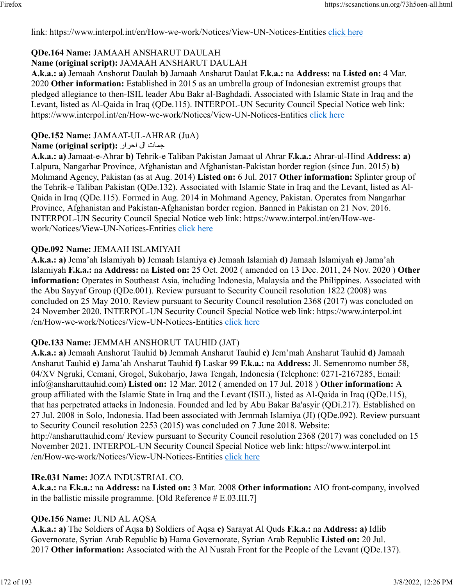link: https://www.interpol.int/en/How-we-work/Notices/View-UN-Notices-Entities [click here](https://www.interpol.int/en/How-we-work/Notices/View-UN-Notices-Entities)

# **QDe.164 Name:** JAMAAH ANSHARUT DAULAH

### **Name (original script):** JAMAAH ANSHARUT DAULAH

**A.k.a.: a)** Jemaah Anshorut Daulah **b)** Jamaah Ansharut Daulat **F.k.a.:** na **Address:** na **Listed on:** 4 Mar. 2020 **Other information:** Established in 2015 as an umbrella group of Indonesian extremist groups that pledged allegiance to then-ISIL leader Abu Bakr al-Baghdadi. Associated with Islamic State in Iraq and the Levant, listed as Al-Qaida in Iraq (QDe.115). INTERPOL-UN Security Council Special Notice web link: https://www.interpol.int/en/How-we-work/Notices/View-UN-Notices-Entities [click here](https://www.interpol.int/en/How-we-work/Notices/View-UN-Notices-Entities)

## **QDe.152 Name:** JAMAAT-UL-AHRAR (JuA)

### تامج لا رارحا **:(script original (Name**

**A.k.a.: a)** Jamaat-e-Ahrar **b)** Tehrik-e Taliban Pakistan Jamaat ul Ahrar **F.k.a.:** Ahrar-ul-Hind **Address: a)** Lalpura, Nangarhar Province, Afghanistan and Afghanistan-Pakistan border region (since Jun. 2015) **b)** Mohmand Agency, Pakistan (as at Aug. 2014) **Listed on:** 6 Jul. 2017 **Other information:** Splinter group of the Tehrik-e Taliban Pakistan (QDe.132). Associated with Islamic State in Iraq and the Levant, listed as Al-Qaida in Iraq (QDe.115). Formed in Aug. 2014 in Mohmand Agency, Pakistan. Operates from Nangarhar Province, Afghanistan and Pakistan-Afghanistan border region. Banned in Pakistan on 21 Nov. 2016. INTERPOL-UN Security Council Special Notice web link: https://www.interpol.int/en/How-wework/Notices/View-UN-Notices-Entities [click here](https://www.interpol.int/en/How-we-work/Notices/View-UN-Notices-Entities)

### **QDe.092 Name:** JEMAAH ISLAMIYAH

**A.k.a.: a)** Jema'ah Islamiyah **b)** Jemaah Islamiya **c)** Jemaah Islamiah **d)** Jamaah Islamiyah **e)** Jama'ah Islamiyah **F.k.a.:** na **Address:** na **Listed on:** 25 Oct. 2002 ( amended on 13 Dec. 2011, 24 Nov. 2020 ) **Other information:** Operates in Southeast Asia, including Indonesia, Malaysia and the Philippines. Associated with the Abu Sayyaf Group (QDe.001). Review pursuant to Security Council resolution 1822 (2008) was concluded on 25 May 2010. Review pursuant to Security Council resolution 2368 (2017) was concluded on 24 November 2020. INTERPOL-UN Security Council Special Notice web link: https://www.interpol.int /en/How-we-work/Notices/View-UN-Notices-Entities [click here](https://www.interpol.int/en/How-we-work/Notices/View-UN-Notices-Entities)

## **QDe.133 Name:** JEMMAH ANSHORUT TAUHID (JAT)

**A.k.a.: a)** Jemaah Anshorut Tauhid **b)** Jemmah Ansharut Tauhid **c)** Jem'mah Ansharut Tauhid **d)** Jamaah Ansharut Tauhid **e)** Jama'ah Ansharut Tauhid **f)** Laskar 99 **F.k.a.:** na **Address:** Jl. Semenromo number 58, 04/XV Ngruki, Cemani, Grogol, Sukoharjo, Jawa Tengah, Indonesia (Telephone: 0271-2167285, Email: info@ansharuttauhid.com) **Listed on:** 12 Mar. 2012 ( amended on 17 Jul. 2018 ) **Other information:** A group affiliated with the Islamic State in Iraq and the Levant (ISIL), listed as Al-Qaida in Iraq (QDe.115), that has perpetrated attacks in Indonesia. Founded and led by Abu Bakar Ba'asyir (QDi.217). Established on 27 Jul. 2008 in Solo, Indonesia. Had been associated with Jemmah Islamiya (JI) (QDe.092). Review pursuant to Security Council resolution 2253 (2015) was concluded on 7 June 2018. Website: http://ansharuttauhid.com/ Review pursuant to Security Council resolution 2368 (2017) was concluded on 15 November 2021. INTERPOL-UN Security Council Special Notice web link: https://www.interpol.int /en/How-we-work/Notices/View-UN-Notices-Entities [click here](https://www.interpol.int/en/How-we-work/Notices/View-UN-Notices-Entities)

### **IRe.031 Name:** JOZA INDUSTRIAL CO.

**A.k.a.:** na **F.k.a.:** na **Address:** na **Listed on:** 3 Mar. 2008 **Other information:** AIO front-company, involved in the ballistic missile programme. [Old Reference # E.03.III.7]

## **QDe.156 Name:** JUND AL AQSA

**A.k.a.: a)** The Soldiers of Aqsa **b)** Soldiers of Aqsa **c)** Sarayat Al Quds **F.k.a.:** na **Address: a)** Idlib Governorate, Syrian Arab Republic **b)** Hama Governorate, Syrian Arab Republic **Listed on:** 20 Jul. 2017 **Other information:** Associated with the Al Nusrah Front for the People of the Levant (QDe.137).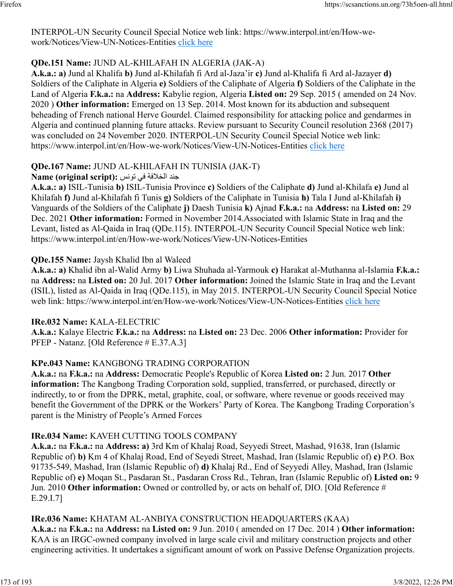INTERPOL-UN Security Council Special Notice web link: https://www.interpol.int/en/How-wework/Notices/View-UN-Notices-Entities [click here](https://www.interpol.int/en/How-we-work/Notices/View-UN-Notices-Entities)

### **QDe.151 Name:** JUND AL-KHILAFAH IN ALGERIA (JAK-A)

**A.k.a.: a)** Jund al Khalifa **b)** Jund al-Khilafah fi Ard al-Jaza'ir **c)** Jund al-Khalifa fi Ard al-Jazayer **d)** Soldiers of the Caliphate in Algeria **e)** Soldiers of the Caliphate of Algeria **f)** Soldiers of the Caliphate in the Land of Algeria **F.k.a.:** na **Address:** Kabylie region, Algeria **Listed on:** 29 Sep. 2015 ( amended on 24 Nov. 2020 ) **Other information:** Emerged on 13 Sep. 2014. Most known for its abduction and subsequent beheading of French national Herve Gourdel. Claimed responsibility for attacking police and gendarmes in Algeria and continued planning future attacks. Review pursuant to Security Council resolution 2368 (2017) was concluded on 24 November 2020. INTERPOL-UN Security Council Special Notice web link: https://www.interpol.int/en/How-we-work/Notices/View-UN-Notices-Entities [click here](https://www.interpol.int/en/How-we-work/Notices/View-UN-Notices-Entities)

### **QDe.167 Name:** JUND AL-KHILAFAH IN TUNISIA (JAK-T)

### دنج ةفلاخلا يف سنوت **:(script original (Name**

**A.k.a.: a)** ISIL-Tunisia **b)** ISIL-Tunisia Province **c)** Soldiers of the Caliphate **d)** Jund al-Khilafa **e)** Jund al Khilafah **f)** Jund al-Khilafah fi Tunis **g)** Soldiers of the Caliphate in Tunisia **h)** Tala I Jund al-Khilafah **i)** Vanguards of the Soldiers of the Caliphate **j)** Daesh Tunisia **k)** Ajnad **F.k.a.:** na **Address:** na **Listed on:** 29 Dec. 2021 **Other information:** Formed in November 2014.Associated with Islamic State in Iraq and the Levant, listed as Al-Qaida in Iraq (QDe.115). INTERPOL-UN Security Council Special Notice web link: https://www.interpol.int/en/How-we-work/Notices/View-UN-Notices-Entities

### **QDe.155 Name:** Jaysh Khalid Ibn al Waleed

**A.k.a.: a)** Khalid ibn al-Walid Army **b)** Liwa Shuhada al-Yarmouk **c)** Harakat al-Muthanna al-Islamia **F.k.a.:** na **Address:** na **Listed on:** 20 Jul. 2017 **Other information:** Joined the Islamic State in Iraq and the Levant (ISIL), listed as Al-Qaida in Iraq (QDe.115), in May 2015. INTERPOL-UN Security Council Special Notice web link: https://www.interpol.int/en/How-we-work/Notices/View-UN-Notices-Entities [click here](https://www.interpol.int/en/How-we-work/Notices/View-UN-Notices-Entities)

### **IRe.032 Name:** KALA-ELECTRIC

**A.k.a.:** Kalaye Electric **F.k.a.:** na **Address:** na **Listed on:** 23 Dec. 2006 **Other information:** Provider for PFEP - Natanz. [Old Reference # E.37.A.3]

### **KPe.043 Name:** KANGBONG TRADING CORPORATION

**A.k.a.:** na **F.k.a.:** na **Address:** Democratic People's Republic of Korea **Listed on:** 2 Jun. 2017 **Other information:** The Kangbong Trading Corporation sold, supplied, transferred, or purchased, directly or indirectly, to or from the DPRK, metal, graphite, coal, or software, where revenue or goods received may benefit the Government of the DPRK or the Workers' Party of Korea. The Kangbong Trading Corporation's parent is the Ministry of People's Armed Forces

### **IRe.034 Name:** KAVEH CUTTING TOOLS COMPANY

**A.k.a.:** na **F.k.a.:** na **Address: a)** 3rd Km of Khalaj Road, Seyyedi Street, Mashad, 91638, Iran (Islamic Republic of) **b)** Km 4 of Khalaj Road, End of Seyedi Street, Mashad, Iran (Islamic Republic of) **c)** P.O. Box 91735-549, Mashad, Iran (Islamic Republic of) **d)** Khalaj Rd., End of Seyyedi Alley, Mashad, Iran (Islamic Republic of) **e)** Moqan St., Pasdaran St., Pasdaran Cross Rd., Tehran, Iran (Islamic Republic of) **Listed on:** 9 Jun. 2010 **Other information:** Owned or controlled by, or acts on behalf of, DIO. [Old Reference # E.29.I.7]

### **IRe.036 Name:** KHATAM AL-ANBIYA CONSTRUCTION HEADQUARTERS (KAA)

**A.k.a.:** na **F.k.a.:** na **Address:** na **Listed on:** 9 Jun. 2010 ( amended on 17 Dec. 2014 ) **Other information:** KAA is an IRGC-owned company involved in large scale civil and military construction projects and other engineering activities. It undertakes a significant amount of work on Passive Defense Organization projects.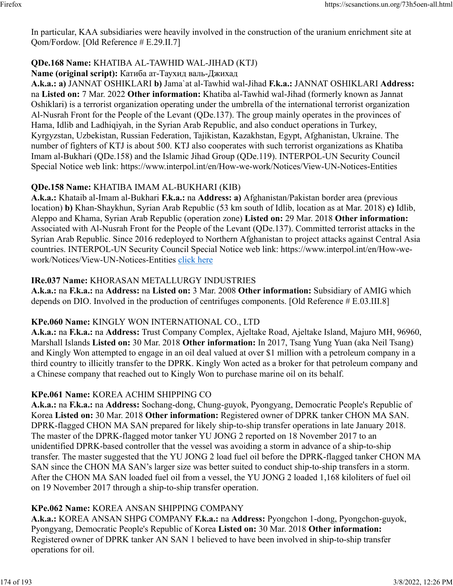In particular, KAA subsidiaries were heavily involved in the construction of the uranium enrichment site at Qom/Fordow. [Old Reference # E.29.II.7]

### **QDe.168 Name:** KHATIBA AL-TAWHID WAL-JIHAD (KTJ)

**Name (original script):** Катиба ат-Таухид валь-Джихад

**A.k.a.: a)** JANNAT OSHIKLARI **b)** Jama`at al-Tawhid wal-Jihad **F.k.a.:** JANNAT OSHIKLARI **Address:** na **Listed on:** 7 Mar. 2022 **Other information:** Khatiba al-Tawhid wal-Jihad (formerly known as Jannat Oshiklari) is a terrorist organization operating under the umbrella of the international terrorist organization Al-Nusrah Front for the People of the Levant (QDe.137). The group mainly operates in the provinces of Hama, Idlib and Ladhiqiyah, in the Syrian Arab Republic, and also conduct operations in Turkey, Kyrgyzstan, Uzbekistan, Russian Federation, Tajikistan, Kazakhstan, Egypt, Afghanistan, Ukraine. The number of fighters of KTJ is about 500. KTJ also cooperates with such terrorist organizations as Khatiba Imam al-Bukhari (QDe.158) and the Islamic Jihad Group (QDe.119). INTERPOL-UN Security Council Special Notice web link: https://www.interpol.int/en/How-we-work/Notices/View-UN-Notices-Entities

#### **QDe.158 Name:** KHATIBA IMAM AL-BUKHARI (KIB)

**A.k.a.:** Khataib al-Imam al-Bukhari **F.k.a.:** na **Address: a)** Afghanistan/Pakistan border area (previous location) **b)** Khan-Shaykhun, Syrian Arab Republic (53 km south of Idlib, location as at Mar. 2018) **c)** Idlib, Aleppo and Khama, Syrian Arab Republic (operation zone) **Listed on:** 29 Mar. 2018 **Other information:** Associated with Al-Nusrah Front for the People of the Levant (QDe.137). Committed terrorist attacks in the Syrian Arab Republic. Since 2016 redeployed to Northern Afghanistan to project attacks against Central Asia countries. INTERPOL-UN Security Council Special Notice web link: https://www.interpol.int/en/How-wework/Notices/View-UN-Notices-Entities [click here](https://www.interpol.int/en/How-we-work/Notices/View-UN-Notices-Entities)

### **IRe.037 Name:** KHORASAN METALLURGY INDUSTRIES

**A.k.a.:** na **F.k.a.:** na **Address:** na **Listed on:** 3 Mar. 2008 **Other information:** Subsidiary of AMIG which depends on DIO. Involved in the production of centrifuges components. [Old Reference # E.03.III.8]

#### **KPe.060 Name:** KINGLY WON INTERNATIONAL CO., LTD

**A.k.a.:** na **F.k.a.:** na **Address:** Trust Company Complex, Ajeltake Road, Ajeltake Island, Majuro MH, 96960, Marshall Islands **Listed on:** 30 Mar. 2018 **Other information:** In 2017, Tsang Yung Yuan (aka Neil Tsang) and Kingly Won attempted to engage in an oil deal valued at over \$1 million with a petroleum company in a third country to illicitly transfer to the DPRK. Kingly Won acted as a broker for that petroleum company and a Chinese company that reached out to Kingly Won to purchase marine oil on its behalf.

#### **KPe.061 Name:** KOREA ACHIM SHIPPING CO

**A.k.a.:** na **F.k.a.:** na **Address:** Sochang-dong, Chung-guyok, Pyongyang, Democratic People's Republic of Korea **Listed on:** 30 Mar. 2018 **Other information:** Registered owner of DPRK tanker CHON MA SAN. DPRK-flagged CHON MA SAN prepared for likely ship-to-ship transfer operations in late January 2018. The master of the DPRK-flagged motor tanker YU JONG 2 reported on 18 November 2017 to an unidentified DPRK-based controller that the vessel was avoiding a storm in advance of a ship-to-ship transfer. The master suggested that the YU JONG 2 load fuel oil before the DPRK-flagged tanker CHON MA SAN since the CHON MA SAN's larger size was better suited to conduct ship-to-ship transfers in a storm. After the CHON MA SAN loaded fuel oil from a vessel, the YU JONG 2 loaded 1,168 kiloliters of fuel oil on 19 November 2017 through a ship-to-ship transfer operation.

### **KPe.062 Name:** KOREA ANSAN SHIPPING COMPANY

**A.k.a.:** KOREA ANSAN SHPG COMPANY **F.k.a.:** na **Address:** Pyongchon 1-dong, Pyongchon-guyok, Pyongyang, Democratic People's Republic of Korea **Listed on:** 30 Mar. 2018 **Other information:** Registered owner of DPRK tanker AN SAN 1 believed to have been involved in ship-to-ship transfer operations for oil.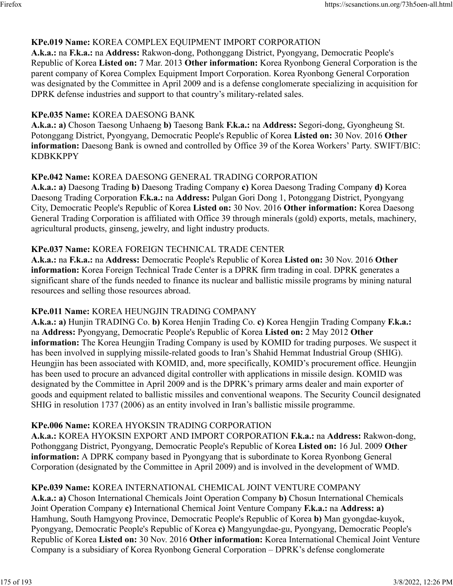### **KPe.019 Name:** KOREA COMPLEX EQUIPMENT IMPORT CORPORATION

**A.k.a.:** na **F.k.a.:** na **Address:** Rakwon-dong, Pothonggang District, Pyongyang, Democratic People's Republic of Korea **Listed on:** 7 Mar. 2013 **Other information:** Korea Ryonbong General Corporation is the parent company of Korea Complex Equipment Import Corporation. Korea Ryonbong General Corporation was designated by the Committee in April 2009 and is a defense conglomerate specializing in acquisition for DPRK defense industries and support to that country's military-related sales.

### **KPe.035 Name:** KOREA DAESONG BANK

**A.k.a.: a)** Choson Taesong Unhaeng **b)** Taesong Bank **F.k.a.:** na **Address:** Segori-dong, Gyongheung St. Potonggang District, Pyongyang, Democratic People's Republic of Korea **Listed on:** 30 Nov. 2016 **Other information:** Daesong Bank is owned and controlled by Office 39 of the Korea Workers' Party. SWIFT/BIC: KDBKKPPY

### **KPe.042 Name:** KOREA DAESONG GENERAL TRADING CORPORATION

**A.k.a.: a)** Daesong Trading **b)** Daesong Trading Company **c)** Korea Daesong Trading Company **d)** Korea Daesong Trading Corporation **F.k.a.:** na **Address:** Pulgan Gori Dong 1, Potonggang District, Pyongyang City, Democratic People's Republic of Korea **Listed on:** 30 Nov. 2016 **Other information:** Korea Daesong General Trading Corporation is affiliated with Office 39 through minerals (gold) exports, metals, machinery, agricultural products, ginseng, jewelry, and light industry products.

### **KPe.037 Name:** KOREA FOREIGN TECHNICAL TRADE CENTER

**A.k.a.:** na **F.k.a.:** na **Address:** Democratic People's Republic of Korea **Listed on:** 30 Nov. 2016 **Other information:** Korea Foreign Technical Trade Center is a DPRK firm trading in coal. DPRK generates a significant share of the funds needed to finance its nuclear and ballistic missile programs by mining natural resources and selling those resources abroad.

#### **KPe.011 Name:** KOREA HEUNGJIN TRADING COMPANY

**A.k.a.: a)** Hunjin TRADING Co. **b)** Korea Henjin Trading Co. **c)** Korea Hengjin Trading Company **F.k.a.:** na **Address:** Pyongyang, Democratic People's Republic of Korea **Listed on:** 2 May 2012 **Other information:** The Korea Heungjin Trading Company is used by KOMID for trading purposes. We suspect it has been involved in supplying missile-related goods to Iran's Shahid Hemmat Industrial Group (SHIG). Heungjin has been associated with KOMID, and, more specifically, KOMID's procurement office. Heungjin has been used to procure an advanced digital controller with applications in missile design. KOMID was designated by the Committee in April 2009 and is the DPRK's primary arms dealer and main exporter of goods and equipment related to ballistic missiles and conventional weapons. The Security Council designated SHIG in resolution 1737 (2006) as an entity involved in Iran's ballistic missile programme.

### **KPe.006 Name:** KOREA HYOKSIN TRADING CORPORATION

**A.k.a.:** KOREA HYOKSIN EXPORT AND IMPORT CORPORATION **F.k.a.:** na **Address:** Rakwon-dong, Pothonggang District, Pyongyang, Democratic People's Republic of Korea **Listed on:** 16 Jul. 2009 **Other information:** A DPRK company based in Pyongyang that is subordinate to Korea Ryonbong General Corporation (designated by the Committee in April 2009) and is involved in the development of WMD.

### **KPe.039 Name:** KOREA INTERNATIONAL CHEMICAL JOINT VENTURE COMPANY

**A.k.a.: a)** Choson International Chemicals Joint Operation Company **b)** Chosun International Chemicals Joint Operation Company **c)** International Chemical Joint Venture Company **F.k.a.:** na **Address: a)** Hamhung, South Hamgyong Province, Democratic People's Republic of Korea **b)** Man gyongdae-kuyok, Pyongyang, Democratic People's Republic of Korea **c)** Mangyungdae-gu, Pyongyang, Democratic People's Republic of Korea **Listed on:** 30 Nov. 2016 **Other information:** Korea International Chemical Joint Venture Company is a subsidiary of Korea Ryonbong General Corporation – DPRK's defense conglomerate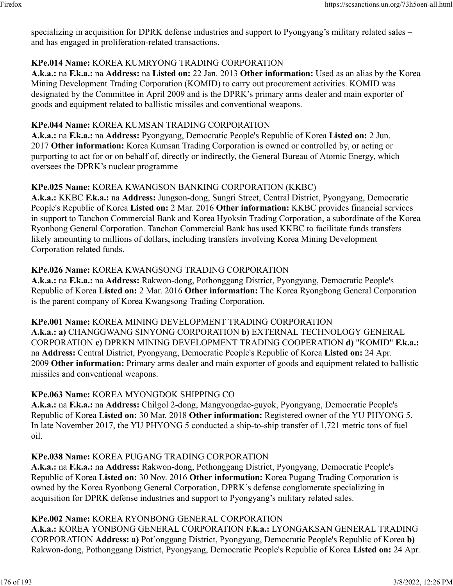specializing in acquisition for DPRK defense industries and support to Pyongyang's military related sales – and has engaged in proliferation-related transactions.

### **KPe.014 Name:** KOREA KUMRYONG TRADING CORPORATION

**A.k.a.:** na **F.k.a.:** na **Address:** na **Listed on:** 22 Jan. 2013 **Other information:** Used as an alias by the Korea Mining Development Trading Corporation (KOMID) to carry out procurement activities. KOMID was designated by the Committee in April 2009 and is the DPRK's primary arms dealer and main exporter of goods and equipment related to ballistic missiles and conventional weapons.

#### **KPe.044 Name:** KOREA KUMSAN TRADING CORPORATION

**A.k.a.:** na **F.k.a.:** na **Address:** Pyongyang, Democratic People's Republic of Korea **Listed on:** 2 Jun. 2017 **Other information:** Korea Kumsan Trading Corporation is owned or controlled by, or acting or purporting to act for or on behalf of, directly or indirectly, the General Bureau of Atomic Energy, which oversees the DPRK's nuclear programme

#### **KPe.025 Name:** KOREA KWANGSON BANKING CORPORATION (KKBC)

**A.k.a.:** KKBC **F.k.a.:** na **Address:** Jungson-dong, Sungri Street, Central District, Pyongyang, Democratic People's Republic of Korea **Listed on:** 2 Mar. 2016 **Other information:** KKBC provides financial services in support to Tanchon Commercial Bank and Korea Hyoksin Trading Corporation, a subordinate of the Korea Ryonbong General Corporation. Tanchon Commercial Bank has used KKBC to facilitate funds transfers likely amounting to millions of dollars, including transfers involving Korea Mining Development Corporation related funds.

### **KPe.026 Name:** KOREA KWANGSONG TRADING CORPORATION

**A.k.a.:** na **F.k.a.:** na **Address:** Rakwon-dong, Pothonggang District, Pyongyang, Democratic People's Republic of Korea **Listed on:** 2 Mar. 2016 **Other information:** The Korea Ryongbong General Corporation is the parent company of Korea Kwangsong Trading Corporation.

**KPe.001 Name:** KOREA MINING DEVELOPMENT TRADING CORPORATION **A.k.a.: a)** CHANGGWANG SINYONG CORPORATION **b)** EXTERNAL TECHNOLOGY GENERAL CORPORATION **c)** DPRKN MINING DEVELOPMENT TRADING COOPERATION **d)** "KOMID" **F.k.a.:** na **Address:** Central District, Pyongyang, Democratic People's Republic of Korea **Listed on:** 24 Apr. 2009 **Other information:** Primary arms dealer and main exporter of goods and equipment related to ballistic missiles and conventional weapons.

### **KPe.063 Name:** KOREA MYONGDOK SHIPPING CO

**A.k.a.:** na **F.k.a.:** na **Address:** Chilgol 2-dong, Mangyongdae-guyok, Pyongyang, Democratic People's Republic of Korea **Listed on:** 30 Mar. 2018 **Other information:** Registered owner of the YU PHYONG 5. In late November 2017, the YU PHYONG 5 conducted a ship-to-ship transfer of 1,721 metric tons of fuel oil.

### **KPe.038 Name:** KOREA PUGANG TRADING CORPORATION

**A.k.a.:** na **F.k.a.:** na **Address:** Rakwon-dong, Pothonggang District, Pyongyang, Democratic People's Republic of Korea **Listed on:** 30 Nov. 2016 **Other information:** Korea Pugang Trading Corporation is owned by the Korea Ryonbong General Corporation, DPRK's defense conglomerate specializing in acquisition for DPRK defense industries and support to Pyongyang's military related sales.

#### **KPe.002 Name:** KOREA RYONBONG GENERAL CORPORATION

**A.k.a.:** KOREA YONBONG GENERAL CORPORATION **F.k.a.:** LYONGAKSAN GENERAL TRADING CORPORATION **Address: a)** Pot'onggang District, Pyongyang, Democratic People's Republic of Korea **b)** Rakwon-dong, Pothonggang District, Pyongyang, Democratic People's Republic of Korea **Listed on:** 24 Apr.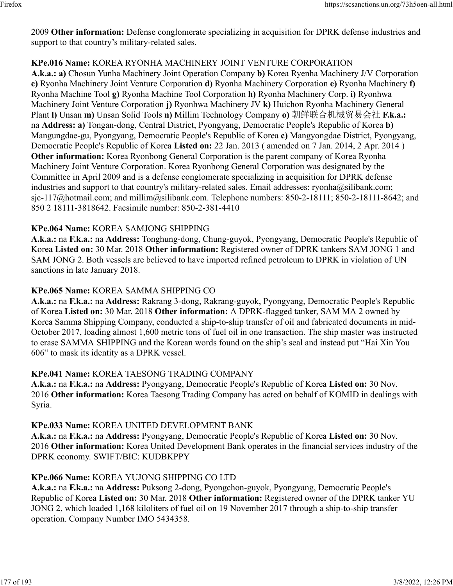2009 **Other information:** Defense conglomerate specializing in acquisition for DPRK defense industries and support to that country's military-related sales.

### **KPe.016 Name:** KOREA RYONHA MACHINERY JOINT VENTURE CORPORATION

**A.k.a.: a)** Chosun Yunha Machinery Joint Operation Company **b)** Korea Ryenha Machinery J/V Corporation **c)** Ryonha Machinery Joint Venture Corporation **d)** Ryonha Machinery Corporation **e)** Ryonha Machinery **f)** Ryonha Machine Tool **g)** Ryonha Machine Tool Corporation **h)** Ryonha Machinery Corp. **i)** Ryonhwa Machinery Joint Venture Corporation **j)** Ryonhwa Machinery JV **k)** Huichon Ryonha Machinery General Plant **l)** Unsan **m)** Unsan Solid Tools **n)** Millim Technology Company **o)** 朝鲜联合机械贸易会社 **F.k.a.:** na **Address: a)** Tongan-dong, Central District, Pyongyang, Democratic People's Republic of Korea **b)** Mangungdae-gu, Pyongyang, Democratic People's Republic of Korea **c)** Mangyongdae District, Pyongyang, Democratic People's Republic of Korea **Listed on:** 22 Jan. 2013 ( amended on 7 Jan. 2014, 2 Apr. 2014 ) **Other information:** Korea Ryonbong General Corporation is the parent company of Korea Ryonha Machinery Joint Venture Corporation. Korea Ryonbong General Corporation was designated by the Committee in April 2009 and is a defense conglomerate specializing in acquisition for DPRK defense industries and support to that country's military-related sales. Email addresses: ryonha@silibank.com; sjc-117@hotmail.com; and millim@silibank.com. Telephone numbers: 850-2-18111; 850-2-18111-8642; and 850 2 18111-3818642. Facsimile number: 850-2-381-4410

### **KPe.064 Name:** KOREA SAMJONG SHIPPING

**A.k.a.:** na **F.k.a.:** na **Address:** Tonghung-dong, Chung-guyok, Pyongyang, Democratic People's Republic of Korea **Listed on:** 30 Mar. 2018 **Other information:** Registered owner of DPRK tankers SAM JONG 1 and SAM JONG 2. Both vessels are believed to have imported refined petroleum to DPRK in violation of UN sanctions in late January 2018.

### **KPe.065 Name:** KOREA SAMMA SHIPPING CO

**A.k.a.:** na **F.k.a.:** na **Address:** Rakrang 3-dong, Rakrang-guyok, Pyongyang, Democratic People's Republic of Korea **Listed on:** 30 Mar. 2018 **Other information:** A DPRK-flagged tanker, SAM MA 2 owned by Korea Samma Shipping Company, conducted a ship-to-ship transfer of oil and fabricated documents in mid-October 2017, loading almost 1,600 metric tons of fuel oil in one transaction. The ship master was instructed to erase SAMMA SHIPPING and the Korean words found on the ship's seal and instead put "Hai Xin You 606" to mask its identity as a DPRK vessel.

### **KPe.041 Name:** KOREA TAESONG TRADING COMPANY

**A.k.a.:** na **F.k.a.:** na **Address:** Pyongyang, Democratic People's Republic of Korea **Listed on:** 30 Nov. 2016 **Other information:** Korea Taesong Trading Company has acted on behalf of KOMID in dealings with Syria.

### **KPe.033 Name:** KOREA UNITED DEVELOPMENT BANK

**A.k.a.:** na **F.k.a.:** na **Address:** Pyongyang, Democratic People's Republic of Korea **Listed on:** 30 Nov. 2016 **Other information:** Korea United Development Bank operates in the financial services industry of the DPRK economy. SWIFT/BIC: KUDBKPPY

### **KPe.066 Name:** KOREA YUJONG SHIPPING CO LTD

**A.k.a.:** na **F.k.a.:** na **Address:** Puksong 2-dong, Pyongchon-guyok, Pyongyang, Democratic People's Republic of Korea **Listed on:** 30 Mar. 2018 **Other information:** Registered owner of the DPRK tanker YU JONG 2, which loaded 1,168 kiloliters of fuel oil on 19 November 2017 through a ship-to-ship transfer operation. Company Number IMO 5434358.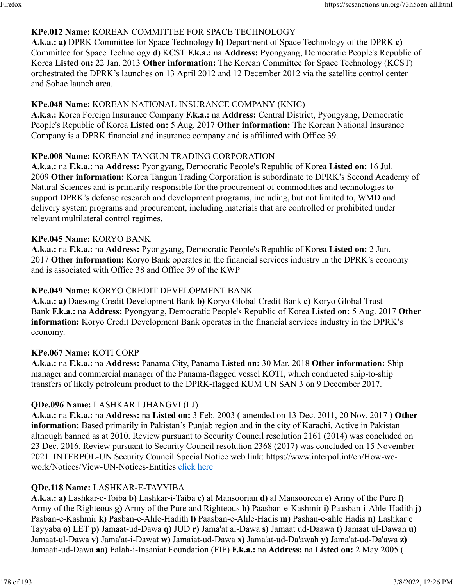### **KPe.012 Name:** KOREAN COMMITTEE FOR SPACE TECHNOLOGY

**A.k.a.: a)** DPRK Committee for Space Technology **b)** Department of Space Technology of the DPRK **c)** Committee for Space Technology **d)** KCST **F.k.a.:** na **Address:** Pyongyang, Democratic People's Republic of Korea **Listed on:** 22 Jan. 2013 **Other information:** The Korean Committee for Space Technology (KCST) orchestrated the DPRK's launches on 13 April 2012 and 12 December 2012 via the satellite control center and Sohae launch area.

#### **KPe.048 Name:** KOREAN NATIONAL INSURANCE COMPANY (KNIC)

**A.k.a.:** Korea Foreign Insurance Company **F.k.a.:** na **Address:** Central District, Pyongyang, Democratic People's Republic of Korea **Listed on:** 5 Aug. 2017 **Other information:** The Korean National Insurance Company is a DPRK financial and insurance company and is affiliated with Office 39.

### **KPe.008 Name:** KOREAN TANGUN TRADING CORPORATION

**A.k.a.:** na **F.k.a.:** na **Address:** Pyongyang, Democratic People's Republic of Korea **Listed on:** 16 Jul. 2009 **Other information:** Korea Tangun Trading Corporation is subordinate to DPRK's Second Academy of Natural Sciences and is primarily responsible for the procurement of commodities and technologies to support DPRK's defense research and development programs, including, but not limited to, WMD and delivery system programs and procurement, including materials that are controlled or prohibited under relevant multilateral control regimes.

### **KPe.045 Name:** KORYO BANK

**A.k.a.:** na **F.k.a.:** na **Address:** Pyongyang, Democratic People's Republic of Korea **Listed on:** 2 Jun. 2017 **Other information:** Koryo Bank operates in the financial services industry in the DPRK's economy and is associated with Office 38 and Office 39 of the KWP

### **KPe.049 Name:** KORYO CREDIT DEVELOPMENT BANK

**A.k.a.: a)** Daesong Credit Development Bank **b)** Koryo Global Credit Bank **c)** Koryo Global Trust Bank **F.k.a.:** na **Address:** Pyongyang, Democratic People's Republic of Korea **Listed on:** 5 Aug. 2017 **Other information:** Koryo Credit Development Bank operates in the financial services industry in the DPRK's economy.

### **KPe.067 Name:** KOTI CORP

**A.k.a.:** na **F.k.a.:** na **Address:** Panama City, Panama **Listed on:** 30 Mar. 2018 **Other information:** Ship manager and commercial manager of the Panama-flagged vessel KOTI, which conducted ship-to-ship transfers of likely petroleum product to the DPRK-flagged KUM UN SAN 3 on 9 December 2017.

### **QDe.096 Name:** LASHKAR I JHANGVI (LJ)

**A.k.a.:** na **F.k.a.:** na **Address:** na **Listed on:** 3 Feb. 2003 ( amended on 13 Dec. 2011, 20 Nov. 2017 ) **Other information:** Based primarily in Pakistan's Punjab region and in the city of Karachi. Active in Pakistan although banned as at 2010. Review pursuant to Security Council resolution 2161 (2014) was concluded on 23 Dec. 2016. Review pursuant to Security Council resolution 2368 (2017) was concluded on 15 November 2021. INTERPOL-UN Security Council Special Notice web link: https://www.interpol.int/en/How-wework/Notices/View-UN-Notices-Entities [click here](https://www.interpol.int/en/How-we-work/Notices/View-UN-Notices-Entities)

### **QDe.118 Name:** LASHKAR-E-TAYYIBA

**A.k.a.: a)** Lashkar-e-Toiba **b)** Lashkar-i-Taiba **c)** al Mansoorian **d)** al Mansooreen **e)** Army of the Pure **f)** Army of the Righteous **g)** Army of the Pure and Righteous **h)** Paasban-e-Kashmir **i)** Paasban-i-Ahle-Hadith **j)** Pasban-e-Kashmir **k)** Pasban-e-Ahle-Hadith **l)** Paasban-e-Ahle-Hadis **m)** Pashan-e-ahle Hadis **n)** Lashkar e Tayyaba **o)** LET **p)** Jamaat-ud-Dawa **q)** JUD **r)** Jama'at al-Dawa **s)** Jamaat ud-Daawa **t)** Jamaat ul-Dawah **u)** Jamaat-ul-Dawa **v)** Jama'at-i-Dawat **w)** Jamaiat-ud-Dawa **x)** Jama'at-ud-Da'awah **y)** Jama'at-ud-Da'awa **z)** Jamaati-ud-Dawa **aa)** Falah-i-Insaniat Foundation (FIF) **F.k.a.:** na **Address:** na **Listed on:** 2 May 2005 (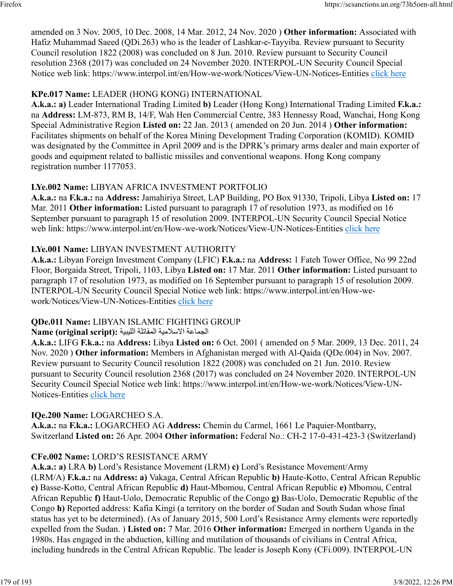amended on 3 Nov. 2005, 10 Dec. 2008, 14 Mar. 2012, 24 Nov. 2020 ) **Other information:** Associated with Hafiz Muhammad Saeed (QDi.263) who is the leader of Lashkar-e-Tayyiba. Review pursuant to Security Council resolution 1822 (2008) was concluded on 8 Jun. 2010. Review pursuant to Security Council resolution 2368 (2017) was concluded on 24 November 2020. INTERPOL-UN Security Council Special Notice web link: https://www.interpol.int/en/How-we-work/Notices/View-UN-Notices-Entities [click here](https://www.interpol.int/en/How-we-work/Notices/View-UN-Notices-Entities)

## **KPe.017 Name:** LEADER (HONG KONG) INTERNATIONAL

**A.k.a.: a)** Leader International Trading Limited **b)** Leader (Hong Kong) International Trading Limited **F.k.a.:** na **Address:** LM-873, RM B, 14/F, Wah Hen Commercial Centre, 383 Hennessy Road, Wanchai, Hong Kong Special Administrative Region **Listed on:** 22 Jan. 2013 ( amended on 20 Jun. 2014 ) **Other information:** Facilitates shipments on behalf of the Korea Mining Development Trading Corporation (KOMID). KOMID was designated by the Committee in April 2009 and is the DPRK's primary arms dealer and main exporter of goods and equipment related to ballistic missiles and conventional weapons. Hong Kong company registration number 1177053.

## **LYe.002 Name:** LIBYAN AFRICA INVESTMENT PORTFOLIO

**A.k.a.:** na **F.k.a.:** na **Address:** Jamahiriya Street, LAP Building, PO Box 91330, Tripoli, Libya **Listed on:** 17 Mar. 2011 **Other information:** Listed pursuant to paragraph 17 of resolution 1973, as modified on 16 September pursuant to paragraph 15 of resolution 2009. INTERPOL-UN Security Council Special Notice web link: https://www.interpol.int/en/How-we-work/Notices/View-UN-Notices-Entities [click here](https://www.interpol.int/en/How-we-work/Notices/View-UN-Notices-Entities)

## **LYe.001 Name:** LIBYAN INVESTMENT AUTHORITY

**A.k.a.:** Libyan Foreign Investment Company (LFIC) **F.k.a.:** na **Address:** 1 Fateh Tower Office, No 99 22nd Floor, Borgaida Street, Tripoli, 1103, Libya **Listed on:** 17 Mar. 2011 **Other information:** Listed pursuant to paragraph 17 of resolution 1973, as modified on 16 September pursuant to paragraph 15 of resolution 2009. INTERPOL-UN Security Council Special Notice web link: https://www.interpol.int/en/How-wework/Notices/View-UN-Notices-Entities [click here](https://www.interpol.int/en/How-we-work/Notices/View-UN-Notices-Entities)

## **QDe.011 Name:** LIBYAN ISLAMIC FIGHTING GROUP

### الجماعة الاسلامية المقاتلة الليبية **: Name (original script)**

**A.k.a.:** LIFG **F.k.a.:** na **Address:** Libya **Listed on:** 6 Oct. 2001 ( amended on 5 Mar. 2009, 13 Dec. 2011, 24 Nov. 2020 ) **Other information:** Members in Afghanistan merged with Al-Qaida (QDe.004) in Nov. 2007. Review pursuant to Security Council resolution 1822 (2008) was concluded on 21 Jun. 2010. Review pursuant to Security Council resolution 2368 (2017) was concluded on 24 November 2020. INTERPOL-UN Security Council Special Notice web link: https://www.interpol.int/en/How-we-work/Notices/View-UN-Notices-Entities [click here](https://www.interpol.int/en/How-we-work/Notices/View-UN-Notices-Entities)

## **IQe.200 Name:** LOGARCHEO S.A.

**A.k.a.:** na **F.k.a.:** LOGARCHEO AG **Address:** Chemin du Carmel, 1661 Le Paquier-Montbarry, Switzerland **Listed on:** 26 Apr. 2004 **Other information:** Federal No.: CH-2 17-0-431-423-3 (Switzerland)

## **CFe.002 Name:** LORD'S RESISTANCE ARMY

**A.k.a.: a)** LRA **b)** Lord's Resistance Movement (LRM) **c)** Lord's Resistance Movement/Army (LRM/A) **F.k.a.:** na **Address: a)** Vakaga, Central African Republic **b)** Haute-Kotto, Central African Republic **c)** Basse-Kotto, Central African Republic **d)** Haut-Mbomou, Central African Republic **e)** Mbomou, Central African Republic **f)** Haut-Uolo, Democratic Republic of the Congo **g)** Bas-Uolo, Democratic Republic of the Congo **h)** Reported address: Kafia Kingi (a territory on the border of Sudan and South Sudan whose final status has yet to be determined). (As of January 2015, 500 Lord's Resistance Army elements were reportedly expelled from the Sudan. ) **Listed on:** 7 Mar. 2016 **Other information:** Emerged in northern Uganda in the 1980s. Has engaged in the abduction, killing and mutilation of thousands of civilians in Central Africa, including hundreds in the Central African Republic. The leader is Joseph Kony (CFi.009). INTERPOL-UN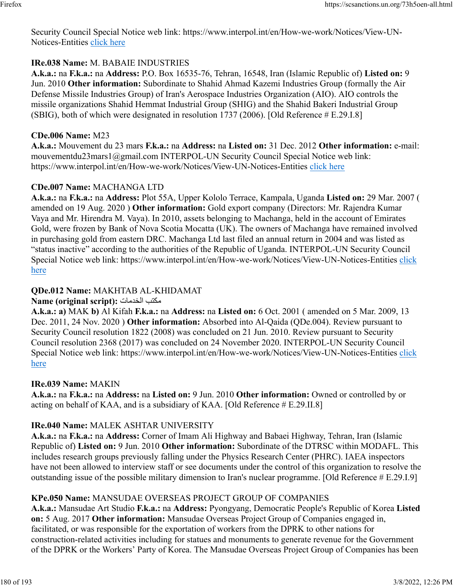Security Council Special Notice web link: https://www.interpol.int/en/How-we-work/Notices/View-UN-Notices-Entities [click here](https://www.interpol.int/en/How-we-work/Notices/View-UN-Notices-Entities)

#### **IRe.038 Name:** M. BABAIE INDUSTRIES

**A.k.a.:** na **F.k.a.:** na **Address:** P.O. Box 16535-76, Tehran, 16548, Iran (Islamic Republic of) **Listed on:** 9 Jun. 2010 **Other information:** Subordinate to Shahid Ahmad Kazemi Industries Group (formally the Air Defense Missile Industries Group) of Iran's Aerospace Industries Organization (AIO). AIO controls the missile organizations Shahid Hemmat Industrial Group (SHIG) and the Shahid Bakeri Industrial Group (SBIG), both of which were designated in resolution 1737 (2006). [Old Reference # E.29.I.8]

#### **CDe.006 Name:** M23

**A.k.a.:** Mouvement du 23 mars **F.k.a.:** na **Address:** na **Listed on:** 31 Dec. 2012 **Other information:** e-mail: mouvementdu23mars1@gmail.com INTERPOL-UN Security Council Special Notice web link: https://www.interpol.int/en/How-we-work/Notices/View-UN-Notices-Entities [click here](https://www.interpol.int/en/How-we-work/Notices/View-UN-Notices-Entities)

#### **CDe.007 Name:** MACHANGA LTD

**A.k.a.:** na **F.k.a.:** na **Address:** Plot 55A, Upper Kololo Terrace, Kampala, Uganda **Listed on:** 29 Mar. 2007 ( amended on 19 Aug. 2020 ) **Other information:** Gold export company (Directors: Mr. Rajendra Kumar Vaya and Mr. Hirendra M. Vaya). In 2010, assets belonging to Machanga, held in the account of Emirates Gold, were frozen by Bank of Nova Scotia Mocatta (UK). The owners of Machanga have remained involved in purchasing gold from eastern DRC. Machanga Ltd last filed an annual return in 2004 and was listed as "status inactive" according to the authorities of the Republic of Uganda. INTERPOL-UN Security Council Special Notice web link: https://www.interpol.int/en/How-we-work/Notices/View-UN-Notices-Entities [click](https://www.interpol.int/en/How-we-work/Notices/View-UN-Notices-Entities) [here](https://www.interpol.int/en/How-we-work/Notices/View-UN-Notices-Entities)

### **QDe.012 Name:** MAKHTAB AL-KHIDAMAT

#### **Name (original script):** تامدخلا بتكم

**A.k.a.: a)** MAK **b)** Al Kifah **F.k.a.:** na **Address:** na **Listed on:** 6 Oct. 2001 ( amended on 5 Mar. 2009, 13 Dec. 2011, 24 Nov. 2020 ) **Other information:** Absorbed into Al-Qaida (QDe.004). Review pursuant to Security Council resolution 1822 (2008) was concluded on 21 Jun. 2010. Review pursuant to Security Council resolution 2368 (2017) was concluded on 24 November 2020. INTERPOL-UN Security Council Special Notice web link: https://www.interpol.int/en/How-we-work/Notices/View-UN-Notices-Entities [click](https://www.interpol.int/en/How-we-work/Notices/View-UN-Notices-Entities) [here](https://www.interpol.int/en/How-we-work/Notices/View-UN-Notices-Entities)

#### **IRe.039 Name:** MAKIN

**A.k.a.:** na **F.k.a.:** na **Address:** na **Listed on:** 9 Jun. 2010 **Other information:** Owned or controlled by or acting on behalf of KAA, and is a subsidiary of KAA. [Old Reference # E.29.II.8]

#### **IRe.040 Name:** MALEK ASHTAR UNIVERSITY

**A.k.a.:** na **F.k.a.:** na **Address:** Corner of Imam Ali Highway and Babaei Highway, Tehran, Iran (Islamic Republic of) **Listed on:** 9 Jun. 2010 **Other information:** Subordinate of the DTRSC within MODAFL. This includes research groups previously falling under the Physics Research Center (PHRC). IAEA inspectors have not been allowed to interview staff or see documents under the control of this organization to resolve the outstanding issue of the possible military dimension to Iran's nuclear programme. [Old Reference # E.29.I.9]

#### **KPe.050 Name:** MANSUDAE OVERSEAS PROJECT GROUP OF COMPANIES

**A.k.a.:** Mansudae Art Studio **F.k.a.:** na **Address:** Pyongyang, Democratic People's Republic of Korea **Listed on:** 5 Aug. 2017 **Other information:** Mansudae Overseas Project Group of Companies engaged in, facilitated, or was responsible for the exportation of workers from the DPRK to other nations for construction-related activities including for statues and monuments to generate revenue for the Government of the DPRK or the Workers' Party of Korea. The Mansudae Overseas Project Group of Companies has been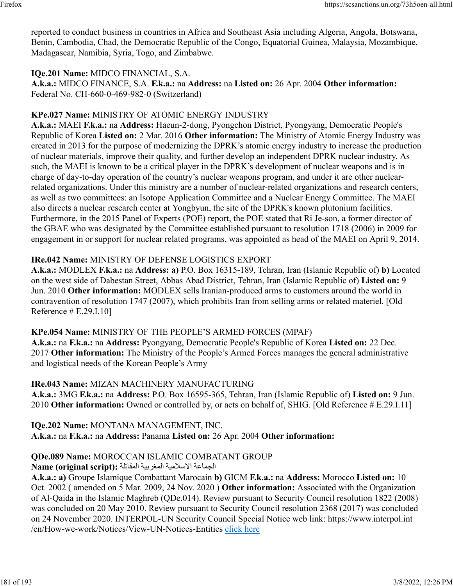reported to conduct business in countries in Africa and Southeast Asia including Algeria, Angola, Botswana, Benin, Cambodia, Chad, the Democratic Republic of the Congo, Equatorial Guinea, Malaysia, Mozambique, Madagascar, Namibia, Syria, Togo, and Zimbabwe.

### **IQe.201 Name:** MIDCO FINANCIAL, S.A.

**A.k.a.:** MIDCO FINANCE, S.A. **F.k.a.:** na **Address:** na **Listed on:** 26 Apr. 2004 **Other information:** Federal No. CH-660-0-469-982-0 (Switzerland)

# **KPe.027 Name:** MINISTRY OF ATOMIC ENERGY INDUSTRY

**A.k.a.:** MAEI **F.k.a.:** na **Address:** Haeun-2-dong, Pyongchon District, Pyongyang, Democratic People's Republic of Korea **Listed on:** 2 Mar. 2016 **Other information:** The Ministry of Atomic Energy Industry was created in 2013 for the purpose of modernizing the DPRK's atomic energy industry to increase the production of nuclear materials, improve their quality, and further develop an independent DPRK nuclear industry. As such, the MAEI is known to be a critical player in the DPRK's development of nuclear weapons and is in charge of day-to-day operation of the country's nuclear weapons program, and under it are other nuclearrelated organizations. Under this ministry are a number of nuclear-related organizations and research centers, as well as two committees: an Isotope Application Committee and a Nuclear Energy Committee. The MAEI also directs a nuclear research center at Yongbyun, the site of the DPRK's known plutonium facilities. Furthermore, in the 2015 Panel of Experts (POE) report, the POE stated that Ri Je-son, a former director of the GBAE who was designated by the Committee established pursuant to resolution 1718 (2006) in 2009 for engagement in or support for nuclear related programs, was appointed as head of the MAEI on April 9, 2014.

# **IRe.042 Name:** MINISTRY OF DEFENSE LOGISTICS EXPORT

**A.k.a.:** MODLEX **F.k.a.:** na **Address: a)** P.O. Box 16315-189, Tehran, Iran (Islamic Republic of) **b)** Located on the west side of Dabestan Street, Abbas Abad District, Tehran, Iran (Islamic Republic of) **Listed on:** 9 Jun. 2010 **Other information:** MODLEX sells Iranian-produced arms to customers around the world in contravention of resolution 1747 (2007), which prohibits Iran from selling arms or related materiel. [Old Reference # E.29.I.10]

# **KPe.054 Name:** MINISTRY OF THE PEOPLE'S ARMED FORCES (MPAF)

**A.k.a.:** na **F.k.a.:** na **Address:** Pyongyang, Democratic People's Republic of Korea **Listed on:** 22 Dec. 2017 **Other information:** The Ministry of the People's Armed Forces manages the general administrative and logistical needs of the Korean People's Army

# **IRe.043 Name:** MIZAN MACHINERY MANUFACTURING

**A.k.a.:** 3MG **F.k.a.:** na **Address:** P.O. Box 16595-365, Tehran, Iran (Islamic Republic of) **Listed on:** 9 Jun. 2010 **Other information:** Owned or controlled by, or acts on behalf of, SHIG. [Old Reference # E.29.I.11]

**IQe.202 Name:** MONTANA MANAGEMENT, INC. **A.k.a.:** na **F.k.a.:** na **Address:** Panama **Listed on:** 26 Apr. 2004 **Other information:** 

# **QDe.089 Name:** MOROCCAN ISLAMIC COMBATANT GROUP

# الجماعة الاسلامية المغربية المقاتلة **: Name (original script)**

**A.k.a.: a)** Groupe Islamique Combattant Marocain **b)** GICM **F.k.a.:** na **Address:** Morocco **Listed on:** 10 Oct. 2002 ( amended on 5 Mar. 2009, 24 Nov. 2020 ) **Other information:** Associated with the Organization of Al-Qaida in the Islamic Maghreb (QDe.014). Review pursuant to Security Council resolution 1822 (2008) was concluded on 20 May 2010. Review pursuant to Security Council resolution 2368 (2017) was concluded on 24 November 2020. INTERPOL-UN Security Council Special Notice web link: https://www.interpol.int /en/How-we-work/Notices/View-UN-Notices-Entities [click here](https://www.interpol.int/en/How-we-work/Notices/View-UN-Notices-Entities)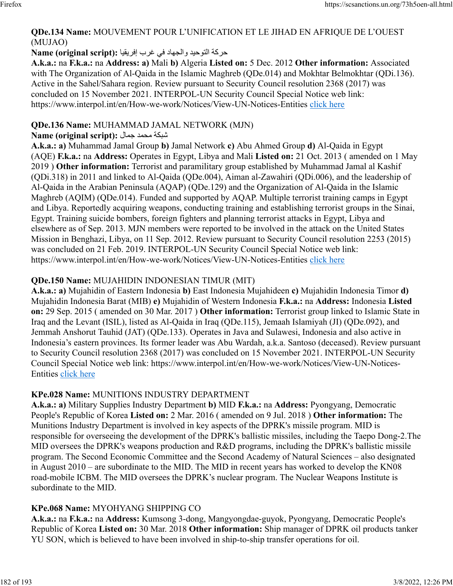### **QDe.134 Name:** MOUVEMENT POUR L'UNIFICATION ET LE JIHAD EN AFRIQUE DE L'OUEST (MUJAO)

### ةكرح ديحوتلا داهجلاو يف برغ ايقيرفإ **:(script original (Name**

**A.k.a.:** na **F.k.a.:** na **Address: a)** Mali **b)** Algeria **Listed on:** 5 Dec. 2012 **Other information:** Associated with The Organization of Al-Qaida in the Islamic Maghreb (QDe.014) and Mokhtar Belmokhtar (QDi.136). Active in the Sahel/Sahara region. Review pursuant to Security Council resolution 2368 (2017) was concluded on 15 November 2021. INTERPOL-UN Security Council Special Notice web link: https://www.interpol.int/en/How-we-work/Notices/View-UN-Notices-Entities [click here](https://www.interpol.int/en/How-we-work/Notices/View-UN-Notices-Entities)

### **QDe.136 Name:** MUHAMMAD JAMAL NETWORK (MJN)

# $\boldsymbol{\mathrm{Name}}$  (original script): شبكة محمد جمال

**A.k.a.: a)** Muhammad Jamal Group **b)** Jamal Network **c)** Abu Ahmed Group **d)** Al-Qaida in Egypt (AQE) **F.k.a.:** na **Address:** Operates in Egypt, Libya and Mali **Listed on:** 21 Oct. 2013 ( amended on 1 May 2019 ) **Other information:** Terrorist and paramilitary group established by Muhammad Jamal al Kashif (QDi.318) in 2011 and linked to Al-Qaida (QDe.004), Aiman al-Zawahiri (QDi.006), and the leadership of Al-Qaida in the Arabian Peninsula (AQAP) (QDe.129) and the Organization of Al-Qaida in the Islamic Maghreb (AQIM) (QDe.014). Funded and supported by AQAP. Multiple terrorist training camps in Egypt and Libya. Reportedly acquiring weapons, conducting training and establishing terrorist groups in the Sinai, Egypt. Training suicide bombers, foreign fighters and planning terrorist attacks in Egypt, Libya and elsewhere as of Sep. 2013. MJN members were reported to be involved in the attack on the United States Mission in Benghazi, Libya, on 11 Sep. 2012. Review pursuant to Security Council resolution 2253 (2015) was concluded on 21 Feb. 2019. INTERPOL-UN Security Council Special Notice web link: https://www.interpol.int/en/How-we-work/Notices/View-UN-Notices-Entities [click here](https://www.interpol.int/en/How-we-work/Notices/View-UN-Notices-Entities)

# **QDe.150 Name:** MUJAHIDIN INDONESIAN TIMUR (MIT)

**A.k.a.: a)** Mujahidin of Eastern Indonesia **b)** East Indonesia Mujahideen **c)** Mujahidin Indonesia Timor **d)** Mujahidin Indonesia Barat (MIB) **e)** Mujahidin of Western Indonesia **F.k.a.:** na **Address:** Indonesia **Listed on:** 29 Sep. 2015 ( amended on 30 Mar. 2017 ) **Other information:** Terrorist group linked to Islamic State in Iraq and the Levant (ISIL), listed as Al-Qaida in Iraq (QDe.115), Jemaah Islamiyah (JI) (QDe.092), and Jemmah Anshorut Tauhid (JAT) (QDe.133). Operates in Java and Sulawesi, Indonesia and also active in Indonesia's eastern provinces. Its former leader was Abu Wardah, a.k.a. Santoso (deceased). Review pursuant to Security Council resolution 2368 (2017) was concluded on 15 November 2021. INTERPOL-UN Security Council Special Notice web link: https://www.interpol.int/en/How-we-work/Notices/View-UN-Notices-Entities [click here](https://www.interpol.int/en/How-we-work/Notices/View-UN-Notices-Entities)

# **KPe.028 Name:** MUNITIONS INDUSTRY DEPARTMENT

**A.k.a.: a)** Military Supplies Industry Department **b)** MID **F.k.a.:** na **Address:** Pyongyang, Democratic People's Republic of Korea **Listed on:** 2 Mar. 2016 ( amended on 9 Jul. 2018 ) **Other information:** The Munitions Industry Department is involved in key aspects of the DPRK's missile program. MID is responsible for overseeing the development of the DPRK's ballistic missiles, including the Taepo Dong-2.The MID oversees the DPRK's weapons production and R&D programs, including the DPRK's ballistic missile program. The Second Economic Committee and the Second Academy of Natural Sciences – also designated in August 2010 – are subordinate to the MID. The MID in recent years has worked to develop the KN08 road-mobile ICBM. The MID oversees the DPRK's nuclear program. The Nuclear Weapons Institute is subordinate to the MID.

# **KPe.068 Name:** MYOHYANG SHIPPING CO

**A.k.a.:** na **F.k.a.:** na **Address:** Kumsong 3-dong, Mangyongdae-guyok, Pyongyang, Democratic People's Republic of Korea **Listed on:** 30 Mar. 2018 **Other information:** Ship manager of DPRK oil products tanker YU SON, which is believed to have been involved in ship-to-ship transfer operations for oil.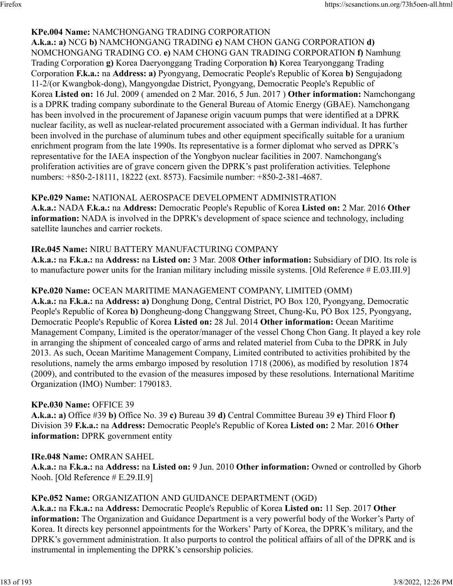#### **KPe.004 Name:** NAMCHONGANG TRADING CORPORATION

**A.k.a.: a)** NCG **b)** NAMCHONGANG TRADING **c)** NAM CHON GANG CORPORATION **d)** NOMCHONGANG TRADING CO. **e)** NAM CHONG GAN TRADING CORPORATION **f)** Namhung Trading Corporation **g)** Korea Daeryonggang Trading Corporation **h)** Korea Tearyonggang Trading Corporation **F.k.a.:** na **Address: a)** Pyongyang, Democratic People's Republic of Korea **b)** Sengujadong 11-2/(or Kwangbok-dong), Mangyongdae District, Pyongyang, Democratic People's Republic of Korea **Listed on:** 16 Jul. 2009 ( amended on 2 Mar. 2016, 5 Jun. 2017 ) **Other information:** Namchongang is a DPRK trading company subordinate to the General Bureau of Atomic Energy (GBAE). Namchongang has been involved in the procurement of Japanese origin vacuum pumps that were identified at a DPRK nuclear facility, as well as nuclear-related procurement associated with a German individual. It has further been involved in the purchase of aluminum tubes and other equipment specifically suitable for a uranium enrichment program from the late 1990s. Its representative is a former diplomat who served as DPRK's representative for the IAEA inspection of the Yongbyon nuclear facilities in 2007. Namchongang's proliferation activities are of grave concern given the DPRK's past proliferation activities. Telephone numbers: +850-2-18111, 18222 (ext. 8573). Facsimile number: +850-2-381-4687.

### **KPe.029 Name:** NATIONAL AEROSPACE DEVELOPMENT ADMINISTRATION

**A.k.a.:** NADA **F.k.a.:** na **Address:** Democratic People's Republic of Korea **Listed on:** 2 Mar. 2016 **Other information:** NADA is involved in the DPRK's development of space science and technology, including satellite launches and carrier rockets.

### **IRe.045 Name:** NIRU BATTERY MANUFACTURING COMPANY

**A.k.a.:** na **F.k.a.:** na **Address:** na **Listed on:** 3 Mar. 2008 **Other information:** Subsidiary of DIO. Its role is to manufacture power units for the Iranian military including missile systems. [Old Reference # E.03.III.9]

### **KPe.020 Name:** OCEAN MARITIME MANAGEMENT COMPANY, LIMITED (OMM)

**A.k.a.:** na **F.k.a.:** na **Address: a)** Donghung Dong, Central District, PO Box 120, Pyongyang, Democratic People's Republic of Korea **b)** Dongheung-dong Changgwang Street, Chung-Ku, PO Box 125, Pyongyang, Democratic People's Republic of Korea **Listed on:** 28 Jul. 2014 **Other information:** Ocean Maritime Management Company, Limited is the operator/manager of the vessel Chong Chon Gang. It played a key role in arranging the shipment of concealed cargo of arms and related materiel from Cuba to the DPRK in July 2013. As such, Ocean Maritime Management Company, Limited contributed to activities prohibited by the resolutions, namely the arms embargo imposed by resolution 1718 (2006), as modified by resolution 1874 (2009), and contributed to the evasion of the measures imposed by these resolutions. International Maritime Organization (IMO) Number: 1790183.

#### **KPe.030 Name:** OFFICE 39

**A.k.a.: a)** Office #39 **b)** Office No. 39 **c)** Bureau 39 **d)** Central Committee Bureau 39 **e)** Third Floor **f)** Division 39 **F.k.a.:** na **Address:** Democratic People's Republic of Korea **Listed on:** 2 Mar. 2016 **Other information:** DPRK government entity

#### **IRe.048 Name:** OMRAN SAHEL

**A.k.a.:** na **F.k.a.:** na **Address:** na **Listed on:** 9 Jun. 2010 **Other information:** Owned or controlled by Ghorb Nooh. [Old Reference # E.29.II.9]

#### **KPe.052 Name:** ORGANIZATION AND GUIDANCE DEPARTMENT (OGD)

**A.k.a.:** na **F.k.a.:** na **Address:** Democratic People's Republic of Korea **Listed on:** 11 Sep. 2017 **Other information:** The Organization and Guidance Department is a very powerful body of the Worker's Party of Korea. It directs key personnel appointments for the Workers' Party of Korea, the DPRK's military, and the DPRK's government administration. It also purports to control the political affairs of all of the DPRK and is instrumental in implementing the DPRK's censorship policies.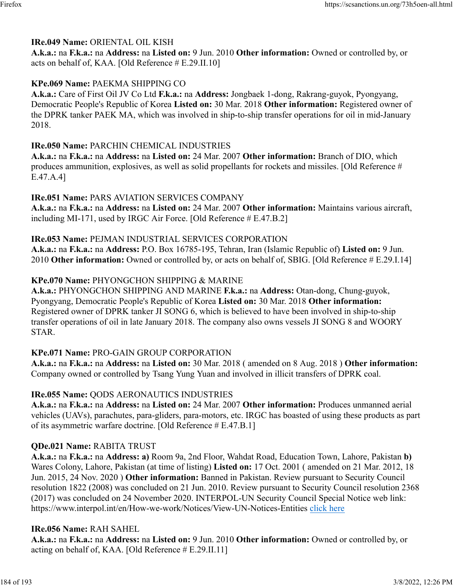### **IRe.049 Name:** ORIENTAL OIL KISH

**A.k.a.:** na **F.k.a.:** na **Address:** na **Listed on:** 9 Jun. 2010 **Other information:** Owned or controlled by, or acts on behalf of, KAA. [Old Reference # E.29.II.10]

### **KPe.069 Name:** PAEKMA SHIPPING CO

**A.k.a.:** Care of First Oil JV Co Ltd **F.k.a.:** na **Address:** Jongbaek 1-dong, Rakrang-guyok, Pyongyang, Democratic People's Republic of Korea **Listed on:** 30 Mar. 2018 **Other information:** Registered owner of the DPRK tanker PAEK MA, which was involved in ship-to-ship transfer operations for oil in mid-January 2018.

### **IRe.050 Name:** PARCHIN CHEMICAL INDUSTRIES

**A.k.a.:** na **F.k.a.:** na **Address:** na **Listed on:** 24 Mar. 2007 **Other information:** Branch of DIO, which produces ammunition, explosives, as well as solid propellants for rockets and missiles. [Old Reference # E.47.A.4]

### **IRe.051 Name:** PARS AVIATION SERVICES COMPANY

**A.k.a.:** na **F.k.a.:** na **Address:** na **Listed on:** 24 Mar. 2007 **Other information:** Maintains various aircraft, including MI-171, used by IRGC Air Force. [Old Reference # E.47.B.2]

### **IRe.053 Name:** PEJMAN INDUSTRIAL SERVICES CORPORATION

**A.k.a.:** na **F.k.a.:** na **Address:** P.O. Box 16785-195, Tehran, Iran (Islamic Republic of) **Listed on:** 9 Jun. 2010 **Other information:** Owned or controlled by, or acts on behalf of, SBIG. [Old Reference # E.29.I.14]

### **KPe.070 Name:** PHYONGCHON SHIPPING & MARINE

**A.k.a.:** PHYONGCHON SHIPPING AND MARINE **F.k.a.:** na **Address:** Otan-dong, Chung-guyok, Pyongyang, Democratic People's Republic of Korea **Listed on:** 30 Mar. 2018 **Other information:** Registered owner of DPRK tanker JI SONG 6, which is believed to have been involved in ship-to-ship transfer operations of oil in late January 2018. The company also owns vessels JI SONG 8 and WOORY STAR.

### **KPe.071 Name:** PRO-GAIN GROUP CORPORATION

**A.k.a.:** na **F.k.a.:** na **Address:** na **Listed on:** 30 Mar. 2018 ( amended on 8 Aug. 2018 ) **Other information:** Company owned or controlled by Tsang Yung Yuan and involved in illicit transfers of DPRK coal.

### **IRe.055 Name:** QODS AERONAUTICS INDUSTRIES

**A.k.a.:** na **F.k.a.:** na **Address:** na **Listed on:** 24 Mar. 2007 **Other information:** Produces unmanned aerial vehicles (UAVs), parachutes, para-gliders, para-motors, etc. IRGC has boasted of using these products as part of its asymmetric warfare doctrine. [Old Reference # E.47.B.1]

### **QDe.021 Name:** RABITA TRUST

**A.k.a.:** na **F.k.a.:** na **Address: a)** Room 9a, 2nd Floor, Wahdat Road, Education Town, Lahore, Pakistan **b)** Wares Colony, Lahore, Pakistan (at time of listing) **Listed on:** 17 Oct. 2001 ( amended on 21 Mar. 2012, 18 Jun. 2015, 24 Nov. 2020 ) **Other information:** Banned in Pakistan. Review pursuant to Security Council resolution 1822 (2008) was concluded on 21 Jun. 2010. Review pursuant to Security Council resolution 2368 (2017) was concluded on 24 November 2020. INTERPOL-UN Security Council Special Notice web link: https://www.interpol.int/en/How-we-work/Notices/View-UN-Notices-Entities [click here](https://www.interpol.int/en/How-we-work/Notices/View-UN-Notices-Entities)

### **IRe.056 Name:** RAH SAHEL

**A.k.a.:** na **F.k.a.:** na **Address:** na **Listed on:** 9 Jun. 2010 **Other information:** Owned or controlled by, or acting on behalf of, KAA. [Old Reference # E.29.II.11]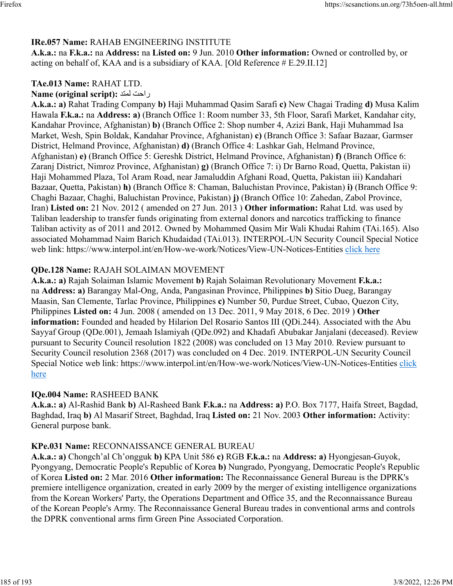### **IRe.057 Name:** RAHAB ENGINEERING INSTITUTE

**A.k.a.:** na **F.k.a.:** na **Address:** na **Listed on:** 9 Jun. 2010 **Other information:** Owned or controlled by, or acting on behalf of, KAA and is a subsidiary of KAA. [Old Reference # E.29.II.12]

### **TAe.013 Name:** RAHAT LTD.

#### **Name (original script): راحت لمتد**

**A.k.a.: a)** Rahat Trading Company **b)** Haji Muhammad Qasim Sarafi **c)** New Chagai Trading **d)** Musa Kalim Hawala **F.k.a.:** na **Address: a)** (Branch Office 1: Room number 33, 5th Floor, Sarafi Market, Kandahar city, Kandahar Province, Afghanistan) **b)** (Branch Office 2: Shop number 4, Azizi Bank, Haji Muhammad Isa Market, Wesh, Spin Boldak, Kandahar Province, Afghanistan) **c)** (Branch Office 3: Safaar Bazaar, Garmser District, Helmand Province, Afghanistan) **d)** (Branch Office 4: Lashkar Gah, Helmand Province, Afghanistan) **e)** (Branch Office 5: Gereshk District, Helmand Province, Afghanistan) **f)** (Branch Office 6: Zaranj District, Nimroz Province, Afghanistan) **g)** (Branch Office 7: i) Dr Barno Road, Quetta, Pakistan ii) Haji Mohammed Plaza, Tol Aram Road, near Jamaluddin Afghani Road, Quetta, Pakistan iii) Kandahari Bazaar, Quetta, Pakistan) **h)** (Branch Office 8: Chaman, Baluchistan Province, Pakistan) **i)** (Branch Office 9: Chaghi Bazaar, Chaghi, Baluchistan Province, Pakistan) **j)** (Branch Office 10: Zahedan, Zabol Province, Iran) **Listed on:** 21 Nov. 2012 ( amended on 27 Jun. 2013 ) **Other information:** Rahat Ltd. was used by Taliban leadership to transfer funds originating from external donors and narcotics trafficking to finance Taliban activity as of 2011 and 2012. Owned by Mohammed Qasim Mir Wali Khudai Rahim (TAi.165). Also associated Mohammad Naim Barich Khudaidad (TAi.013). INTERPOL-UN Security Council Special Notice web link: https://www.interpol.int/en/How-we-work/Notices/View-UN-Notices-Entities [click here](https://www.interpol.int/en/How-we-work/Notices/View-UN-Notices-Entities)

### **QDe.128 Name:** RAJAH SOLAIMAN MOVEMENT

**A.k.a.: a)** Rajah Solaiman Islamic Movement **b)** Rajah Solaiman Revolutionary Movement **F.k.a.:** na **Address: a)** Barangay Mal-Ong, Anda, Pangasinan Province, Philippines **b)** Sitio Dueg, Barangay Maasin, San Clemente, Tarlac Province, Philippines **c)** Number 50, Purdue Street, Cubao, Quezon City, Philippines **Listed on:** 4 Jun. 2008 ( amended on 13 Dec. 2011, 9 May 2018, 6 Dec. 2019 ) **Other information:** Founded and headed by Hilarion Del Rosario Santos III (QDi.244). Associated with the Abu Sayyaf Group (QDe.001), Jemaah Islamiyah (QDe.092) and Khadafi Abubakar Janjalani (deceased). Review pursuant to Security Council resolution 1822 (2008) was concluded on 13 May 2010. Review pursuant to Security Council resolution 2368 (2017) was concluded on 4 Dec. 2019. INTERPOL-UN Security Council Special Notice web link: https://www.interpol.int/en/How-we-work/Notices/View-UN-Notices-Entities [click](https://www.interpol.int/en/How-we-work/Notices/View-UN-Notices-Entities) [here](https://www.interpol.int/en/How-we-work/Notices/View-UN-Notices-Entities)

#### **IQe.004 Name:** RASHEED BANK

**A.k.a.: a)** Al-Rashid Bank **b)** Al-Rasheed Bank **F.k.a.:** na **Address: a)** P.O. Box 7177, Haifa Street, Bagdad, Baghdad, Iraq **b)** Al Masarif Street, Baghdad, Iraq **Listed on:** 21 Nov. 2003 **Other information:** Activity: General purpose bank.

### **KPe.031 Name:** RECONNAISSANCE GENERAL BUREAU

**A.k.a.: a)** Chongch'al Ch'ongguk **b)** KPA Unit 586 **c)** RGB **F.k.a.:** na **Address: a)** Hyongjesan-Guyok, Pyongyang, Democratic People's Republic of Korea **b)** Nungrado, Pyongyang, Democratic People's Republic of Korea **Listed on:** 2 Mar. 2016 **Other information:** The Reconnaissance General Bureau is the DPRK's premiere intelligence organization, created in early 2009 by the merger of existing intelligence organizations from the Korean Workers' Party, the Operations Department and Office 35, and the Reconnaissance Bureau of the Korean People's Army. The Reconnaissance General Bureau trades in conventional arms and controls the DPRK conventional arms firm Green Pine Associated Corporation.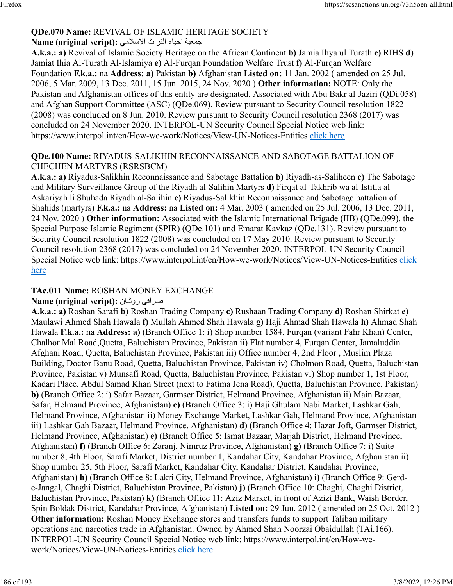#### **QDe.070 Name:** REVIVAL OF ISLAMIC HERITAGE SOCIETY تجمعية احياء التراث الاسلامي : Name (original script)

**A.k.a.: a)** Revival of Islamic Society Heritage on the African Continent **b)** Jamia Ihya ul Turath **c)** RIHS **d)** Jamiat Ihia Al-Turath Al-Islamiya **e)** Al-Furqan Foundation Welfare Trust **f)** Al-Furqan Welfare Foundation **F.k.a.:** na **Address: a)** Pakistan **b)** Afghanistan **Listed on:** 11 Jan. 2002 ( amended on 25 Jul. 2006, 5 Mar. 2009, 13 Dec. 2011, 15 Jun. 2015, 24 Nov. 2020 ) **Other information:** NOTE: Only the Pakistan and Afghanistan offices of this entity are designated. Associated with Abu Bakr al-Jaziri (QDi.058) and Afghan Support Committee (ASC) (QDe.069). Review pursuant to Security Council resolution 1822 (2008) was concluded on 8 Jun. 2010. Review pursuant to Security Council resolution 2368 (2017) was concluded on 24 November 2020. INTERPOL-UN Security Council Special Notice web link: https://www.interpol.int/en/How-we-work/Notices/View-UN-Notices-Entities [click here](https://www.interpol.int/en/How-we-work/Notices/View-UN-Notices-Entities)

#### **QDe.100 Name:** RIYADUS-SALIKHIN RECONNAISSANCE AND SABOTAGE BATTALION OF CHECHEN MARTYRS (RSRSBCM)

**A.k.a.: a)** Riyadus-Salikhin Reconnaissance and Sabotage Battalion **b)** Riyadh-as-Saliheen **c)** The Sabotage and Military Surveillance Group of the Riyadh al-Salihin Martyrs **d)** Firqat al-Takhrib wa al-Istitla al-Askariyah li Shuhada Riyadh al-Salihin **e)** Riyadus-Salikhin Reconnaissance and Sabotage battalion of Shahids (martyrs) **F.k.a.:** na **Address:** na **Listed on:** 4 Mar. 2003 ( amended on 25 Jul. 2006, 13 Dec. 2011, 24 Nov. 2020 ) **Other information:** Associated with the Islamic International Brigade (IIB) (QDe.099), the Special Purpose Islamic Regiment (SPIR) (QDe.101) and Emarat Kavkaz (QDe.131). Review pursuant to Security Council resolution 1822 (2008) was concluded on 17 May 2010. Review pursuant to Security Council resolution 2368 (2017) was concluded on 24 November 2020. INTERPOL-UN Security Council Special Notice web link: https://www.interpol.int/en/How-we-work/Notices/View-UN-Notices-Entities [click](https://www.interpol.int/en/How-we-work/Notices/View-UN-Notices-Entities) [here](https://www.interpol.int/en/How-we-work/Notices/View-UN-Notices-Entities)

### **TAe.011 Name:** ROSHAN MONEY EXCHANGE

### **Name (original script):** ناشور یفارص

**A.k.a.: a)** Roshan Sarafi **b)** Roshan Trading Company **c)** Rushaan Trading Company **d)** Roshan Shirkat **e)** Maulawi Ahmed Shah Hawala **f)** Mullah Ahmed Shah Hawala **g)** Haji Ahmad Shah Hawala **h)** Ahmad Shah Hawala **F.k.a.:** na **Address: a)** (Branch Office 1: i) Shop number 1584, Furqan (variant Fahr Khan) Center, Chalhor Mal Road,Quetta, Baluchistan Province, Pakistan ii) Flat number 4, Furqan Center, Jamaluddin Afghani Road, Quetta, Baluchistan Province, Pakistan iii) Office number 4, 2nd Floor , Muslim Plaza Building, Doctor Banu Road, Quetta, Baluchistan Province, Pakistan iv) Cholmon Road, Quetta, Baluchistan Province, Pakistan v) Munsafi Road, Quetta, Baluchistan Province, Pakistan vi) Shop number 1, 1st Floor, Kadari Place, Abdul Samad Khan Street (next to Fatima Jena Road), Quetta, Baluchistan Province, Pakistan) **b)** (Branch Office 2: i) Safar Bazaar, Garmser District, Helmand Province, Afghanistan ii) Main Bazaar, Safar, Helmand Province, Afghanistan) **c)** (Branch Office 3: i) Haji Ghulam Nabi Market, Lashkar Gah, Helmand Province, Afghanistan ii) Money Exchange Market, Lashkar Gah, Helmand Province, Afghanistan iii) Lashkar Gah Bazaar, Helmand Province, Afghanistan) **d)** (Branch Office 4: Hazar Joft, Garmser District, Helmand Province, Afghanistan) **e)** (Branch Office 5: Ismat Bazaar, Marjah District, Helmand Province, Afghanistan) **f)** (Branch Office 6: Zaranj, Nimruz Province, Afghanistan) **g)** (Branch Office 7: i) Suite number 8, 4th Floor, Sarafi Market, District number 1, Kandahar City, Kandahar Province, Afghanistan ii) Shop number 25, 5th Floor, Sarafi Market, Kandahar City, Kandahar District, Kandahar Province, Afghanistan) **h)** (Branch Office 8: Lakri City, Helmand Province, Afghanistan) **i)** (Branch Office 9: Gerde-Jangal, Chaghi District, Baluchistan Province, Pakistan) **j)** (Branch Office 10: Chaghi, Chaghi District, Baluchistan Province, Pakistan) **k)** (Branch Office 11: Aziz Market, in front of Azizi Bank, Waish Border, Spin Boldak District, Kandahar Province, Afghanistan) **Listed on:** 29 Jun. 2012 ( amended on 25 Oct. 2012 ) **Other information:** Roshan Money Exchange stores and transfers funds to support Taliban military operations and narcotics trade in Afghanistan. Owned by Ahmed Shah Noorzai Obaidullah (TAi.166). INTERPOL-UN Security Council Special Notice web link: https://www.interpol.int/en/How-wework/Notices/View-UN-Notices-Entities [click here](https://www.interpol.int/en/How-we-work/Notices/View-UN-Notices-Entities)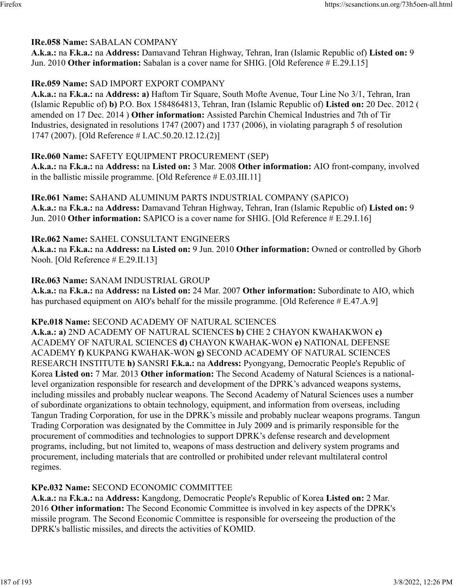#### **IRe.058 Name:** SABALAN COMPANY

**A.k.a.:** na **F.k.a.:** na **Address:** Damavand Tehran Highway, Tehran, Iran (Islamic Republic of) **Listed on:** 9 Jun. 2010 Other information: Sabalan is a cover name for SHIG. [Old Reference # E.29.I.15]

### **IRe.059 Name:** SAD IMPORT EXPORT COMPANY

**A.k.a.:** na **F.k.a.:** na **Address: a)** Haftom Tir Square, South Mofte Avenue, Tour Line No 3/1, Tehran, Iran (Islamic Republic of) **b)** P.O. Box 1584864813, Tehran, Iran (Islamic Republic of) **Listed on:** 20 Dec. 2012 ( amended on 17 Dec. 2014 ) **Other information:** Assisted Parchin Chemical Industries and 7th of Tir Industries, designated in resolutions 1747 (2007) and 1737 (2006), in violating paragraph 5 of resolution 1747 (2007). [Old Reference # I.AC.50.20.12.12.(2)]

#### **IRe.060 Name:** SAFETY EQUIPMENT PROCUREMENT (SEP)

**A.k.a.:** na **F.k.a.:** na **Address:** na **Listed on:** 3 Mar. 2008 **Other information:** AIO front-company, involved in the ballistic missile programme. [Old Reference # E.03.III.11]

**IRe.061 Name:** SAHAND ALUMINUM PARTS INDUSTRIAL COMPANY (SAPICO) **A.k.a.:** na **F.k.a.:** na **Address:** Damavand Tehran Highway, Tehran, Iran (Islamic Republic of) **Listed on:** 9 Jun. 2010 **Other information:** SAPICO is a cover name for SHIG. [Old Reference # E.29.I.16]

#### **IRe.062 Name:** SAHEL CONSULTANT ENGINEERS

**A.k.a.:** na **F.k.a.:** na **Address:** na **Listed on:** 9 Jun. 2010 **Other information:** Owned or controlled by Ghorb Nooh. [Old Reference # E.29.II.13]

### **IRe.063 Name:** SANAM INDUSTRIAL GROUP

**A.k.a.:** na **F.k.a.:** na **Address:** na **Listed on:** 24 Mar. 2007 **Other information:** Subordinate to AIO, which has purchased equipment on AIO's behalf for the missile programme. [Old Reference # E.47.A.9]

#### **KPe.018 Name:** SECOND ACADEMY OF NATURAL SCIENCES

**A.k.a.: a)** 2ND ACADEMY OF NATURAL SCIENCES **b)** CHE 2 CHAYON KWAHAKWON **c)** ACADEMY OF NATURAL SCIENCES **d)** CHAYON KWAHAK-WON **e)** NATIONAL DEFENSE ACADEMY **f)** KUKPANG KWAHAK-WON **g)** SECOND ACADEMY OF NATURAL SCIENCES RESEARCH INSTITUTE **h)** SANSRI **F.k.a.:** na **Address:** Pyongyang, Democratic People's Republic of Korea **Listed on:** 7 Mar. 2013 **Other information:** The Second Academy of Natural Sciences is a nationallevel organization responsible for research and development of the DPRK's advanced weapons systems, including missiles and probably nuclear weapons. The Second Academy of Natural Sciences uses a number of subordinate organizations to obtain technology, equipment, and information from overseas, including Tangun Trading Corporation, for use in the DPRK's missile and probably nuclear weapons programs. Tangun Trading Corporation was designated by the Committee in July 2009 and is primarily responsible for the procurement of commodities and technologies to support DPRK's defense research and development programs, including, but not limited to, weapons of mass destruction and delivery system programs and procurement, including materials that are controlled or prohibited under relevant multilateral control regimes.

#### **KPe.032 Name:** SECOND ECONOMIC COMMITTEE

**A.k.a.:** na **F.k.a.:** na **Address:** Kangdong, Democratic People's Republic of Korea **Listed on:** 2 Mar. 2016 **Other information:** The Second Economic Committee is involved in key aspects of the DPRK's missile program. The Second Economic Committee is responsible for overseeing the production of the DPRK's ballistic missiles, and directs the activities of KOMID.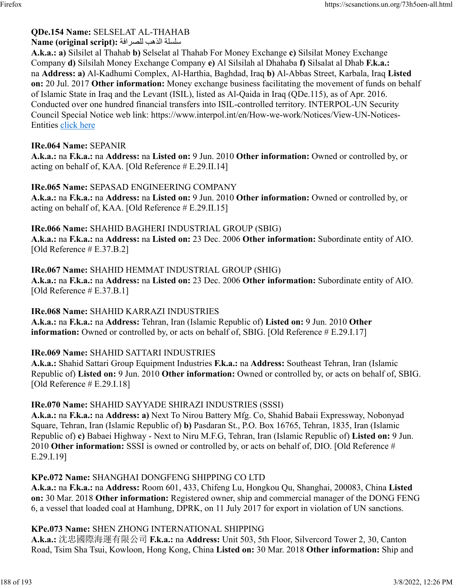### **QDe.154 Name:** SELSELAT AL-THAHAB

#### ةلسلس بهذلا ةفارصلل **:(script original (Name**

**A.k.a.: a)** Silsilet al Thahab **b)** Selselat al Thahab For Money Exchange **c)** Silsilat Money Exchange Company **d)** Silsilah Money Exchange Company **e)** Al Silsilah al Dhahaba **f)** Silsalat al Dhab **F.k.a.:** na **Address: a)** Al-Kadhumi Complex, Al-Harthia, Baghdad, Iraq **b)** Al-Abbas Street, Karbala, Iraq **Listed on:** 20 Jul. 2017 **Other information:** Money exchange business facilitating the movement of funds on behalf of Islamic State in Iraq and the Levant (ISIL), listed as Al-Qaida in Iraq (QDe.115), as of Apr. 2016. Conducted over one hundred financial transfers into ISIL-controlled territory. INTERPOL-UN Security Council Special Notice web link: https://www.interpol.int/en/How-we-work/Notices/View-UN-Notices-Entities [click here](https://www.interpol.int/en/How-we-work/Notices/View-UN-Notices-Entities)

#### **IRe.064 Name:** SEPANIR

**A.k.a.:** na **F.k.a.:** na **Address:** na **Listed on:** 9 Jun. 2010 **Other information:** Owned or controlled by, or acting on behalf of, KAA. [Old Reference # E.29.II.14]

#### **IRe.065 Name:** SEPASAD ENGINEERING COMPANY

**A.k.a.:** na **F.k.a.:** na **Address:** na **Listed on:** 9 Jun. 2010 **Other information:** Owned or controlled by, or acting on behalf of, KAA. [Old Reference # E.29.II.15]

#### **IRe.066 Name:** SHAHID BAGHERI INDUSTRIAL GROUP (SBIG)

**A.k.a.:** na **F.k.a.:** na **Address:** na **Listed on:** 23 Dec. 2006 **Other information:** Subordinate entity of AIO. [Old Reference # E.37.B.2]

#### **IRe.067 Name:** SHAHID HEMMAT INDUSTRIAL GROUP (SHIG)

**A.k.a.:** na **F.k.a.:** na **Address:** na **Listed on:** 23 Dec. 2006 **Other information:** Subordinate entity of AIO. [Old Reference # E.37.B.1]

#### **IRe.068 Name:** SHAHID KARRAZI INDUSTRIES

**A.k.a.:** na **F.k.a.:** na **Address:** Tehran, Iran (Islamic Republic of) **Listed on:** 9 Jun. 2010 **Other information:** Owned or controlled by, or acts on behalf of, SBIG. [Old Reference # E.29.I.17]

#### **IRe.069 Name:** SHAHID SATTARI INDUSTRIES

**A.k.a.:** Shahid Sattari Group Equipment Industries **F.k.a.:** na **Address:** Southeast Tehran, Iran (Islamic Republic of) **Listed on:** 9 Jun. 2010 **Other information:** Owned or controlled by, or acts on behalf of, SBIG. [Old Reference # E.29.I.18]

#### **IRe.070 Name:** SHAHID SAYYADE SHIRAZI INDUSTRIES (SSSI)

**A.k.a.:** na **F.k.a.:** na **Address: a)** Next To Nirou Battery Mfg. Co, Shahid Babaii Expressway, Nobonyad Square, Tehran, Iran (Islamic Republic of) **b)** Pasdaran St., P.O. Box 16765, Tehran, 1835, Iran (Islamic Republic of) **c)** Babaei Highway - Next to Niru M.F.G, Tehran, Iran (Islamic Republic of) **Listed on:** 9 Jun. 2010 **Other information:** SSSI is owned or controlled by, or acts on behalf of, DIO. [Old Reference # E.29.I.19]

#### **KPe.072 Name:** SHANGHAI DONGFENG SHIPPING CO LTD

**A.k.a.:** na **F.k.a.:** na **Address:** Room 601, 433, Chifeng Lu, Hongkou Qu, Shanghai, 200083, China **Listed on:** 30 Mar. 2018 **Other information:** Registered owner, ship and commercial manager of the DONG FENG 6, a vessel that loaded coal at Hamhung, DPRK, on 11 July 2017 for export in violation of UN sanctions.

#### **KPe.073 Name:** SHEN ZHONG INTERNATIONAL SHIPPING

**A.k.a.:** 沈忠國際海運有限公司 **F.k.a.:** na **Address:** Unit 503, 5th Floor, Silvercord Tower 2, 30, Canton Road, Tsim Sha Tsui, Kowloon, Hong Kong, China **Listed on:** 30 Mar. 2018 **Other information:** Ship and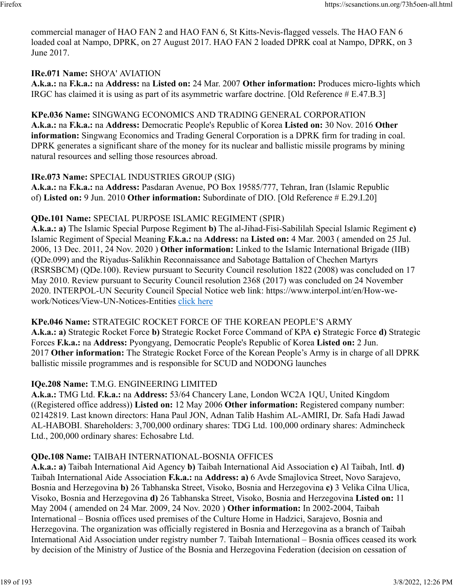commercial manager of HAO FAN 2 and HAO FAN 6, St Kitts-Nevis-flagged vessels. The HAO FAN 6 loaded coal at Nampo, DPRK, on 27 August 2017. HAO FAN 2 loaded DPRK coal at Nampo, DPRK, on 3 June 2017.

### **IRe.071 Name:** SHO'A' AVIATION

**A.k.a.:** na **F.k.a.:** na **Address:** na **Listed on:** 24 Mar. 2007 **Other information:** Produces micro-lights which IRGC has claimed it is using as part of its asymmetric warfare doctrine. [Old Reference # E.47.B.3]

### **KPe.036 Name:** SINGWANG ECONOMICS AND TRADING GENERAL CORPORATION

**A.k.a.:** na **F.k.a.:** na **Address:** Democratic People's Republic of Korea **Listed on:** 30 Nov. 2016 **Other information:** Singwang Economics and Trading General Corporation is a DPRK firm for trading in coal. DPRK generates a significant share of the money for its nuclear and ballistic missile programs by mining natural resources and selling those resources abroad.

### **IRe.073 Name:** SPECIAL INDUSTRIES GROUP (SIG)

**A.k.a.:** na **F.k.a.:** na **Address:** Pasdaran Avenue, PO Box 19585/777, Tehran, Iran (Islamic Republic of) **Listed on:** 9 Jun. 2010 **Other information:** Subordinate of DIO. [Old Reference # E.29.I.20]

### **QDe.101 Name:** SPECIAL PURPOSE ISLAMIC REGIMENT (SPIR)

**A.k.a.: a)** The Islamic Special Purpose Regiment **b)** The al-Jihad-Fisi-Sabililah Special Islamic Regiment **c)** Islamic Regiment of Special Meaning **F.k.a.:** na **Address:** na **Listed on:** 4 Mar. 2003 ( amended on 25 Jul. 2006, 13 Dec. 2011, 24 Nov. 2020 ) **Other information:** Linked to the Islamic International Brigade (IIB) (QDe.099) and the Riyadus-Salikhin Reconnaissance and Sabotage Battalion of Chechen Martyrs (RSRSBCM) (QDe.100). Review pursuant to Security Council resolution 1822 (2008) was concluded on 17 May 2010. Review pursuant to Security Council resolution 2368 (2017) was concluded on 24 November 2020. INTERPOL-UN Security Council Special Notice web link: https://www.interpol.int/en/How-wework/Notices/View-UN-Notices-Entities [click here](https://www.interpol.int/en/How-we-work/Notices/View-UN-Notices-Entities)

#### **KPe.046 Name:** STRATEGIC ROCKET FORCE OF THE KOREAN PEOPLE'S ARMY

**A.k.a.: a)** Strategic Rocket Force **b)** Strategic Rocket Force Command of KPA **c)** Strategic Force **d)** Strategic Forces **F.k.a.:** na **Address:** Pyongyang, Democratic People's Republic of Korea **Listed on:** 2 Jun. 2017 **Other information:** The Strategic Rocket Force of the Korean People's Army is in charge of all DPRK ballistic missile programmes and is responsible for SCUD and NODONG launches

### **IQe.208 Name:** T.M.G. ENGINEERING LIMITED

**A.k.a.:** TMG Ltd. **F.k.a.:** na **Address:** 53/64 Chancery Lane, London WC2A 1QU, United Kingdom ((Registered office address)) **Listed on:** 12 May 2006 **Other information:** Registered company number: 02142819. Last known directors: Hana Paul JON, Adnan Talib Hashim AL-AMIRI, Dr. Safa Hadi Jawad AL-HABOBI. Shareholders: 3,700,000 ordinary shares: TDG Ltd. 100,000 ordinary shares: Admincheck Ltd., 200,000 ordinary shares: Echosabre Ltd.

### **QDe.108 Name:** TAIBAH INTERNATIONAL-BOSNIA OFFICES

**A.k.a.: a)** Taibah International Aid Agency **b)** Taibah International Aid Association **c)** Al Taibah, Intl. **d)** Taibah International Aide Association **F.k.a.:** na **Address: a)** 6 Avde Smajlovica Street, Novo Sarajevo, Bosnia and Herzegovina **b)** 26 Tabhanska Street, Visoko, Bosnia and Herzegovina **c)** 3 Velika Cilna Ulica, Visoko, Bosnia and Herzegovina **d)** 26 Tabhanska Street, Visoko, Bosnia and Herzegovina **Listed on:** 11 May 2004 ( amended on 24 Mar. 2009, 24 Nov. 2020 ) **Other information:** In 2002-2004, Taibah International – Bosnia offices used premises of the Culture Home in Hadzici, Sarajevo, Bosnia and Herzegovina. The organization was officially registered in Bosnia and Herzegovina as a branch of Taibah International Aid Association under registry number 7. Taibah International – Bosnia offices ceased its work by decision of the Ministry of Justice of the Bosnia and Herzegovina Federation (decision on cessation of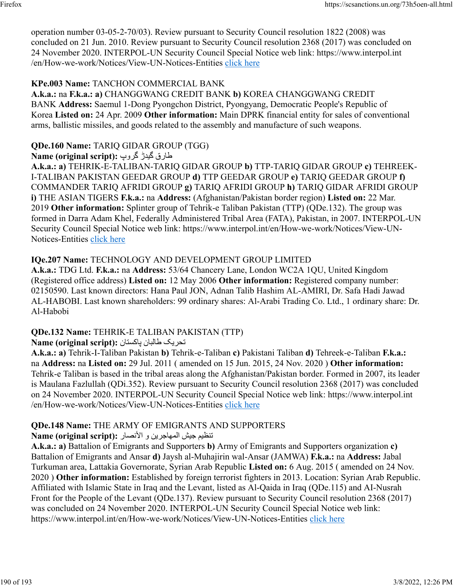operation number 03-05-2-70/03). Review pursuant to Security Council resolution 1822 (2008) was concluded on 21 Jun. 2010. Review pursuant to Security Council resolution 2368 (2017) was concluded on 24 November 2020. INTERPOL-UN Security Council Special Notice web link: https://www.interpol.int /en/How-we-work/Notices/View-UN-Notices-Entities [click here](https://www.interpol.int/en/How-we-work/Notices/View-UN-Notices-Entities)

### **KPe.003 Name:** TANCHON COMMERCIAL BANK

**A.k.a.:** na **F.k.a.: a)** CHANGGWANG CREDIT BANK **b)** KOREA CHANGGWANG CREDIT BANK **Address:** Saemul 1-Dong Pyongchon District, Pyongyang, Democratic People's Republic of Korea **Listed on:** 24 Apr. 2009 **Other information:** Main DPRK financial entity for sales of conventional arms, ballistic missiles, and goods related to the assembly and manufacture of such weapons.

## **QDe.160 Name:** TARIQ GIDAR GROUP (TGG)

### قراط ڑديگ پورگ **:(script original (Name**

**A.k.a.: a)** TEHRIK-E-TALIBAN-TARIQ GIDAR GROUP **b)** TTP-TARIQ GIDAR GROUP **c)** TEHREEK-I-TALIBAN PAKISTAN GEEDAR GROUP **d)** TTP GEEDAR GROUP **e)** TARIQ GEEDAR GROUP **f)** COMMANDER TARIQ AFRIDI GROUP **g)** TARIQ AFRIDI GROUP **h)** TARIQ GIDAR AFRIDI GROUP **i)** THE ASIAN TIGERS **F.k.a.:** na **Address:** (Afghanistan/Pakistan border region) **Listed on:** 22 Mar. 2019 **Other information:** Splinter group of Tehrik-e Taliban Pakistan (TTP) (QDe.132). The group was formed in Darra Adam Khel, Federally Administered Tribal Area (FATA), Pakistan, in 2007. INTERPOL-UN Security Council Special Notice web link: https://www.interpol.int/en/How-we-work/Notices/View-UN-Notices-Entities [click here](https://www.interpol.int/en/How-we-work/Notices/View-UN-Notices-Entities)

### **IQe.207 Name:** TECHNOLOGY AND DEVELOPMENT GROUP LIMITED

**A.k.a.:** TDG Ltd. **F.k.a.:** na **Address:** 53/64 Chancery Lane, London WC2A 1QU, United Kingdom (Registered office address) **Listed on:** 12 May 2006 **Other information:** Registered company number: 02150590. Last known directors: Hana Paul JON, Adnan Talib Hashim AL-AMIRI, Dr. Safa Hadi Jawad AL-HABOBI. Last known shareholders: 99 ordinary shares: Al-Arabi Trading Co. Ltd., 1 ordinary share: Dr. Al-Habobi

### **QDe.132 Name:** TEHRIK-E TALIBAN PAKISTAN (TTP)

### کيرحت نابلاط ناتسکاپ **:(script original (Name**

**A.k.a.: a)** Tehrik-I-Taliban Pakistan **b)** Tehrik-e-Taliban **c)** Pakistani Taliban **d)** Tehreek-e-Taliban **F.k.a.:** na **Address:** na **Listed on:** 29 Jul. 2011 ( amended on 15 Jun. 2015, 24 Nov. 2020 ) **Other information:** Tehrik-e Taliban is based in the tribal areas along the Afghanistan/Pakistan border. Formed in 2007, its leader is Maulana Fazlullah (QDi.352). Review pursuant to Security Council resolution 2368 (2017) was concluded on 24 November 2020. INTERPOL-UN Security Council Special Notice web link: https://www.interpol.int /en/How-we-work/Notices/View-UN-Notices-Entities [click here](https://www.interpol.int/en/How-we-work/Notices/View-UN-Notices-Entities)

### **QDe.148 Name:** THE ARMY OF EMIGRANTS AND SUPPORTERS

### تنظيم جيش المهاجرين و الأنصار :(Name (original script

**A.k.a.: a)** Battalion of Emigrants and Supporters **b)** Army of Emigrants and Supporters organization **c)** Battalion of Emigrants and Ansar **d)** Jaysh al-Muhajirin wal-Ansar (JAMWA) **F.k.a.:** na **Address:** Jabal Turkuman area, Lattakia Governorate, Syrian Arab Republic **Listed on:** 6 Aug. 2015 ( amended on 24 Nov. 2020 ) **Other information:** Established by foreign terrorist fighters in 2013. Location: Syrian Arab Republic. Affiliated with Islamic State in Iraq and the Levant, listed as Al-Qaida in Iraq (QDe.115) and AI-Nusrah Front for the People of the Levant (QDe.137). Review pursuant to Security Council resolution 2368 (2017) was concluded on 24 November 2020. INTERPOL-UN Security Council Special Notice web link: https://www.interpol.int/en/How-we-work/Notices/View-UN-Notices-Entities [click here](https://www.interpol.int/en/How-we-work/Notices/View-UN-Notices-Entities)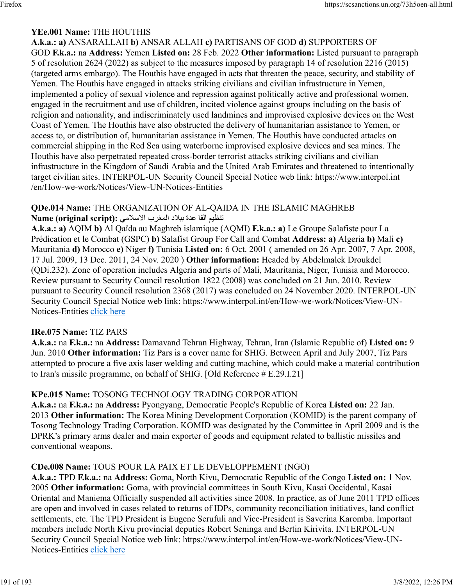#### **YEe.001 Name:** THE HOUTHIS

**A.k.a.: a)** ANSARALLAH **b)** ANSAR ALLAH **c)** PARTISANS OF GOD **d)** SUPPORTERS OF GOD **F.k.a.:** na **Address:** Yemen **Listed on:** 28 Feb. 2022 **Other information:** Listed pursuant to paragraph 5 of resolution 2624 (2022) as subject to the measures imposed by paragraph 14 of resolution 2216 (2015) (targeted arms embargo). The Houthis have engaged in acts that threaten the peace, security, and stability of Yemen. The Houthis have engaged in attacks striking civilians and civilian infrastructure in Yemen, implemented a policy of sexual violence and repression against politically active and professional women, engaged in the recruitment and use of children, incited violence against groups including on the basis of religion and nationality, and indiscriminately used landmines and improvised explosive devices on the West Coast of Yemen. The Houthis have also obstructed the delivery of humanitarian assistance to Yemen, or access to, or distribution of, humanitarian assistance in Yemen. The Houthis have conducted attacks on commercial shipping in the Red Sea using waterborne improvised explosive devices and sea mines. The Houthis have also perpetrated repeated cross-border terrorist attacks striking civilians and civilian infrastructure in the Kingdom of Saudi Arabia and the United Arab Emirates and threatened to intentionally target civilian sites. INTERPOL-UN Security Council Special Notice web link: https://www.interpol.int /en/How-we-work/Notices/View-UN-Notices-Entities

# **QDe.014 Name:** THE ORGANIZATION OF AL-QAIDA IN THE ISLAMIC MAGHREB

#### تنظيم القا عدة ببلاد المغرب الاسلامي : Name (original script)

**A.k.a.: a)** AQIM **b)** Al Qaïda au Maghreb islamique (AQMI) **F.k.a.: a)** Le Groupe Salafiste pour La Prédication et le Combat (GSPC) **b)** Salafist Group For Call and Combat **Address: a)** Algeria **b)** Mali **c)** Mauritania **d)** Morocco **e)** Niger **f)** Tunisia **Listed on:** 6 Oct. 2001 ( amended on 26 Apr. 2007, 7 Apr. 2008, 17 Jul. 2009, 13 Dec. 2011, 24 Nov. 2020 ) **Other information:** Headed by Abdelmalek Droukdel (QDi.232). Zone of operation includes Algeria and parts of Mali, Mauritania, Niger, Tunisia and Morocco. Review pursuant to Security Council resolution 1822 (2008) was concluded on 21 Jun. 2010. Review pursuant to Security Council resolution 2368 (2017) was concluded on 24 November 2020. INTERPOL-UN Security Council Special Notice web link: https://www.interpol.int/en/How-we-work/Notices/View-UN-Notices-Entities [click here](https://www.interpol.int/en/How-we-work/Notices/View-UN-Notices-Entities)

#### **IRe.075 Name:** TIZ PARS

**A.k.a.:** na **F.k.a.:** na **Address:** Damavand Tehran Highway, Tehran, Iran (Islamic Republic of) **Listed on:** 9 Jun. 2010 **Other information:** Tiz Pars is a cover name for SHIG. Between April and July 2007, Tiz Pars attempted to procure a five axis laser welding and cutting machine, which could make a material contribution to Iran's missile programme, on behalf of SHIG. [Old Reference # E.29.I.21]

#### **KPe.015 Name:** TOSONG TECHNOLOGY TRADING CORPORATION

**A.k.a.:** na **F.k.a.:** na **Address:** Pyongyang, Democratic People's Republic of Korea **Listed on:** 22 Jan. 2013 **Other information:** The Korea Mining Development Corporation (KOMID) is the parent company of Tosong Technology Trading Corporation. KOMID was designated by the Committee in April 2009 and is the DPRK's primary arms dealer and main exporter of goods and equipment related to ballistic missiles and conventional weapons.

#### **CDe.008 Name:** TOUS POUR LA PAIX ET LE DEVELOPPEMENT (NGO)

**A.k.a.:** TPD **F.k.a.:** na **Address:** Goma, North Kivu, Democratic Republic of the Congo **Listed on:** 1 Nov. 2005 **Other information:** Goma, with provincial committees in South Kivu, Kasai Occidental, Kasai Oriental and Maniema Officially suspended all activities since 2008. In practice, as of June 2011 TPD offices are open and involved in cases related to returns of IDPs, community reconciliation initiatives, land conflict settlements, etc. The TPD President is Eugene Serufuli and Vice-President is Saverina Karomba. Important members include North Kivu provincial deputies Robert Seninga and Bertin Kirivita. INTERPOL-UN Security Council Special Notice web link: https://www.interpol.int/en/How-we-work/Notices/View-UN-Notices-Entities [click here](https://www.interpol.int/en/How-we-work/Notices/View-UN-Notices-Entities)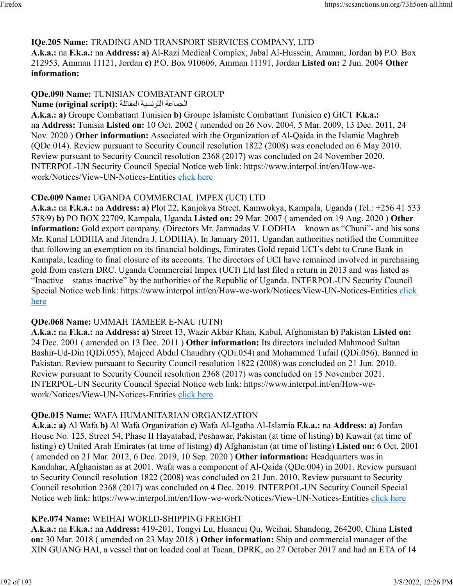#### **IQe.205 Name:** TRADING AND TRANSPORT SERVICES COMPANY, LTD

**A.k.a.:** na **F.k.a.:** na **Address: a)** Al-Razi Medical Complex, Jabal Al-Hussein, Amman, Jordan **b)** P.O. Box 212953, Amman 11121, Jordan **c)** P.O. Box 910606, Amman 11191, Jordan **Listed on:** 2 Jun. 2004 **Other information:** 

#### **QDe.090 Name:** TUNISIAN COMBATANT GROUP الجماعة التونسية المقاتلة : Name (original script)

**A.k.a.: a)** Groupe Combattant Tunisien **b)** Groupe Islamiste Combattant Tunisien **c)** GICT **F.k.a.:** na **Address:** Tunisia **Listed on:** 10 Oct. 2002 ( amended on 26 Nov. 2004, 5 Mar. 2009, 13 Dec. 2011, 24 Nov. 2020 ) **Other information:** Associated with the Organization of Al-Qaida in the Islamic Maghreb (QDe.014). Review pursuant to Security Council resolution 1822 (2008) was concluded on 6 May 2010. Review pursuant to Security Council resolution 2368 (2017) was concluded on 24 November 2020. INTERPOL-UN Security Council Special Notice web link: https://www.interpol.int/en/How-wework/Notices/View-UN-Notices-Entities [click here](https://www.interpol.int/en/How-we-work/Notices/View-UN-Notices-Entities)

### **CDe.009 Name:** UGANDA COMMERCIAL IMPEX (UCI) LTD

**A.k.a.:** na **F.k.a.:** na **Address: a)** Plot 22, Kanjokya Street, Kamwokya, Kampala, Uganda (Tel.: +256 41 533 578/9) **b)** PO BOX 22709, Kampala, Uganda **Listed on:** 29 Mar. 2007 ( amended on 19 Aug. 2020 ) **Other information:** Gold export company. (Directors Mr. Jamnadas V. LODHIA – known as "Chuni"- and his sons Mr. Kunal LODHIA and Jitendra J. LODHIA). In January 2011, Ugandan authorities notified the Committee that following an exemption on its financial holdings, Emirates Gold repaid UCI's debt to Crane Bank in Kampala, leading to final closure of its accounts. The directors of UCI have remained involved in purchasing gold from eastern DRC. Uganda Commercial Impex (UCI) Ltd last filed a return in 2013 and was listed as "Inactive – status inactive" by the authorities of the Republic of Uganda. INTERPOL-UN Security Council Special Notice web link: https://www.interpol.int/en/How-we-work/Notices/View-UN-Notices-Entities [click](https://www.interpol.int/en/How-we-work/Notices/View-UN-Notices-Entities) [here](https://www.interpol.int/en/How-we-work/Notices/View-UN-Notices-Entities)

#### **QDe.068 Name:** UMMAH TAMEER E-NAU (UTN)

**A.k.a.:** na **F.k.a.:** na **Address: a)** Street 13, Wazir Akbar Khan, Kabul, Afghanistan **b)** Pakistan **Listed on:** 24 Dec. 2001 ( amended on 13 Dec. 2011 ) **Other information:** Its directors included Mahmood Sultan Bashir-Ud-Din (QDi.055), Majeed Abdul Chaudhry (QDi.054) and Mohammed Tufail (QDi.056). Banned in Pakistan. Review pursuant to Security Council resolution 1822 (2008) was concluded on 21 Jun. 2010. Review pursuant to Security Council resolution 2368 (2017) was concluded on 15 November 2021. INTERPOL-UN Security Council Special Notice web link: https://www.interpol.int/en/How-wework/Notices/View-UN-Notices-Entities [click here](https://www.interpol.int/en/How-we-work/Notices/View-UN-Notices-Entities)

### **QDe.015 Name:** WAFA HUMANITARIAN ORGANIZATION

**A.k.a.: a)** Al Wafa **b)** Al Wafa Organization **c)** Wafa Al-Igatha Al-Islamia **F.k.a.:** na **Address: a)** Jordan House No. 125, Street 54, Phase II Hayatabad, Peshawar, Pakistan (at time of listing) **b)** Kuwait (at time of listing) **c)** United Arab Emirates (at time of listing) **d)** Afghanistan (at time of listing) **Listed on:** 6 Oct. 2001 ( amended on 21 Mar. 2012, 6 Dec. 2019, 10 Sep. 2020 ) **Other information:** Headquarters was in Kandahar, Afghanistan as at 2001. Wafa was a component of Al-Qaida (QDe.004) in 2001. Review pursuant to Security Council resolution 1822 (2008) was concluded on 21 Jun. 2010. Review pursuant to Security Council resolution 2368 (2017) was concluded on 4 Dec. 2019. INTERPOL-UN Security Council Special Notice web link: https://www.interpol.int/en/How-we-work/Notices/View-UN-Notices-Entities [click here](https://www.interpol.int/en/How-we-work/Notices/View-UN-Notices-Entities)

### **KPe.074 Name:** WEIHAI WORLD-SHIPPING FREIGHT

**A.k.a.:** na **F.k.a.:** na **Address:** 419-201, Tongyi Lu, Huancui Qu, Weihai, Shandong, 264200, China **Listed on:** 30 Mar. 2018 ( amended on 23 May 2018 ) **Other information:** Ship and commercial manager of the XIN GUANG HAI, a vessel that on loaded coal at Taean, DPRK, on 27 October 2017 and had an ETA of 14